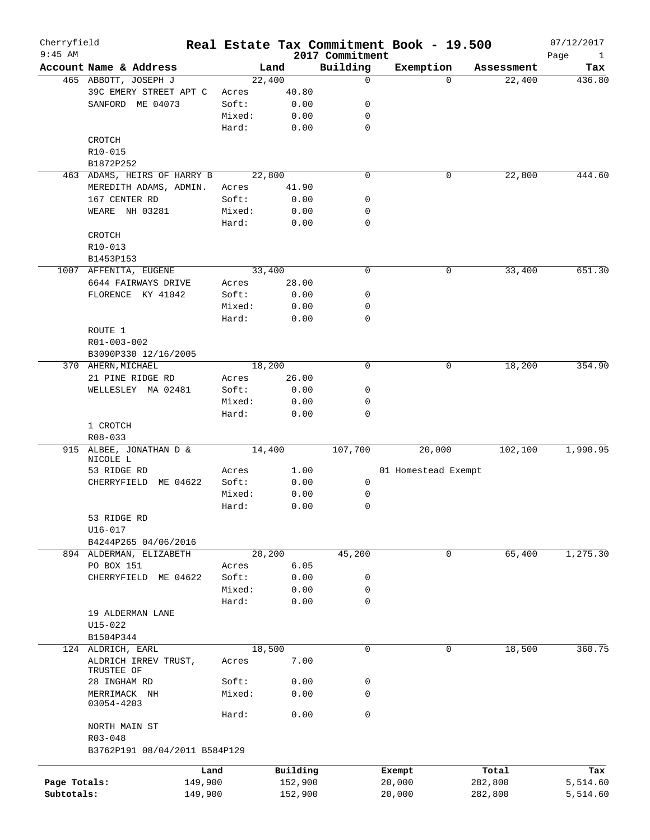| Cherryfield<br>$9:45$ AM |                               |        |          | 2017 Commitment | Real Estate Tax Commitment Book - 19.500 |          |            | 07/12/2017                  |
|--------------------------|-------------------------------|--------|----------|-----------------|------------------------------------------|----------|------------|-----------------------------|
|                          | Account Name & Address        |        | Land     | Building        | Exemption                                |          | Assessment | Page<br>$\mathbf{1}$<br>Tax |
|                          | 465 ABBOTT, JOSEPH J          |        | 22,400   | 0               |                                          | $\Omega$ | 22,400     | 436.80                      |
|                          | 39C EMERY STREET APT C        | Acres  | 40.80    |                 |                                          |          |            |                             |
|                          | SANFORD ME 04073              | Soft:  | 0.00     | 0               |                                          |          |            |                             |
|                          |                               | Mixed: | 0.00     | 0               |                                          |          |            |                             |
|                          |                               | Hard:  | 0.00     | $\mathbf 0$     |                                          |          |            |                             |
|                          | CROTCH                        |        |          |                 |                                          |          |            |                             |
|                          |                               |        |          |                 |                                          |          |            |                             |
|                          | R10-015                       |        |          |                 |                                          |          |            |                             |
|                          | B1872P252                     |        |          |                 |                                          |          |            |                             |
|                          | 463 ADAMS, HEIRS OF HARRY B   |        | 22,800   | $\mathbf 0$     |                                          | 0        | 22,800     | 444.60                      |
|                          | MEREDITH ADAMS, ADMIN.        | Acres  | 41.90    |                 |                                          |          |            |                             |
|                          | 167 CENTER RD                 | Soft:  | 0.00     | 0               |                                          |          |            |                             |
|                          | WEARE NH 03281                | Mixed: | 0.00     | 0               |                                          |          |            |                             |
|                          |                               | Hard:  | 0.00     | $\mathbf 0$     |                                          |          |            |                             |
|                          | CROTCH                        |        |          |                 |                                          |          |            |                             |
|                          | R10-013                       |        |          |                 |                                          |          |            |                             |
|                          | B1453P153                     |        |          |                 |                                          |          |            |                             |
|                          | 1007 AFFENITA, EUGENE         |        | 33,400   | $\mathbf 0$     |                                          | 0        | 33,400     | 651.30                      |
|                          | 6644 FAIRWAYS DRIVE           | Acres  | 28.00    |                 |                                          |          |            |                             |
|                          | FLORENCE KY 41042             | Soft:  | 0.00     | 0               |                                          |          |            |                             |
|                          |                               | Mixed: | 0.00     | 0               |                                          |          |            |                             |
|                          |                               | Hard:  | 0.00     | 0               |                                          |          |            |                             |
|                          | ROUTE 1                       |        |          |                 |                                          |          |            |                             |
|                          | R01-003-002                   |        |          |                 |                                          |          |            |                             |
|                          | B3090P330 12/16/2005          |        |          |                 |                                          |          |            |                             |
|                          | 370 AHERN, MICHAEL            |        | 18,200   | $\mathbf 0$     |                                          | 0        | 18,200     | 354.90                      |
|                          | 21 PINE RIDGE RD              | Acres  | 26.00    |                 |                                          |          |            |                             |
|                          | WELLESLEY MA 02481            | Soft:  | 0.00     | 0               |                                          |          |            |                             |
|                          |                               | Mixed: |          | 0               |                                          |          |            |                             |
|                          |                               |        | 0.00     |                 |                                          |          |            |                             |
|                          |                               | Hard:  | 0.00     | $\mathbf 0$     |                                          |          |            |                             |
|                          | 1 CROTCH                      |        |          |                 |                                          |          |            |                             |
|                          | $R08 - 033$                   |        |          |                 |                                          |          |            |                             |
|                          | 915 ALBEE, JONATHAN D &       |        | 14,400   | 107,700         | 20,000                                   |          | 102,100    | 1,990.95                    |
|                          | NICOLE L<br>53 RIDGE RD       | Acres  | 1.00     |                 | 01 Homestead Exempt                      |          |            |                             |
|                          |                               |        |          |                 |                                          |          |            |                             |
|                          | CHERRYFIELD ME 04622          | Soft:  | 0.00     | 0               |                                          |          |            |                             |
|                          |                               | Mixed: | 0.00     | 0               |                                          |          |            |                             |
|                          |                               | Hard:  | 0.00     | 0               |                                          |          |            |                             |
|                          | 53 RIDGE RD                   |        |          |                 |                                          |          |            |                             |
|                          | U16-017                       |        |          |                 |                                          |          |            |                             |
|                          | B4244P265 04/06/2016          |        |          |                 |                                          |          |            |                             |
|                          | 894 ALDERMAN, ELIZABETH       |        | 20,200   | 45,200          |                                          | 0        | 65,400     | 1,275.30                    |
|                          | PO BOX 151                    | Acres  | 6.05     |                 |                                          |          |            |                             |
|                          | CHERRYFIELD ME 04622          | Soft:  | 0.00     | 0               |                                          |          |            |                             |
|                          |                               | Mixed: | 0.00     | 0               |                                          |          |            |                             |
|                          |                               | Hard:  | 0.00     | $\mathbf 0$     |                                          |          |            |                             |
|                          | 19 ALDERMAN LANE              |        |          |                 |                                          |          |            |                             |
|                          | $U15 - 022$                   |        |          |                 |                                          |          |            |                             |
|                          | B1504P344                     |        |          |                 |                                          |          |            |                             |
|                          | 124 ALDRICH, EARL             |        | 18,500   | $\mathbf 0$     |                                          | 0        | 18,500     | 360.75                      |
|                          | ALDRICH IRREV TRUST,          | Acres  | 7.00     |                 |                                          |          |            |                             |
|                          | TRUSTEE OF                    |        |          |                 |                                          |          |            |                             |
|                          | 28 INGHAM RD                  | Soft:  | 0.00     | 0               |                                          |          |            |                             |
|                          | MERRIMACK NH                  | Mixed: | 0.00     | 0               |                                          |          |            |                             |
|                          | 03054-4203                    |        |          |                 |                                          |          |            |                             |
|                          |                               | Hard:  | 0.00     | $\mathbf 0$     |                                          |          |            |                             |
|                          | NORTH MAIN ST                 |        |          |                 |                                          |          |            |                             |
|                          | R03-048                       |        |          |                 |                                          |          |            |                             |
|                          | B3762P191 08/04/2011 B584P129 |        |          |                 |                                          |          |            |                             |
|                          |                               |        |          |                 |                                          |          |            |                             |
|                          |                               | Land   | Building |                 | Exempt                                   |          | Total      | Tax                         |
| Page Totals:             | 149,900                       |        | 152,900  |                 | 20,000                                   |          | 282,800    | 5,514.60                    |
| Subtotals:               | 149,900                       |        | 152,900  |                 | 20,000                                   |          | 282,800    | 5,514.60                    |
|                          |                               |        |          |                 |                                          |          |            |                             |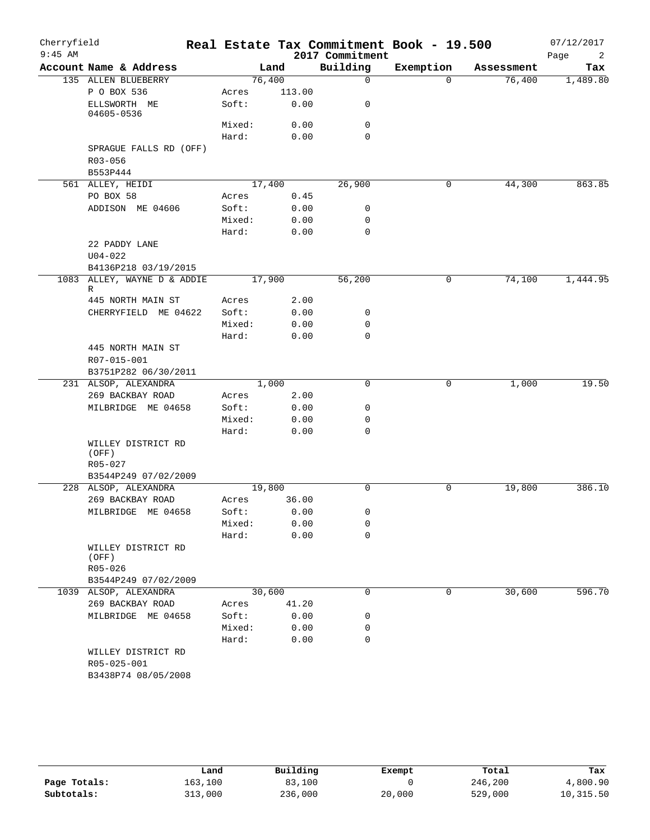| Cherryfield<br>$9:45$ AM |                                    |                |              | 2017 Commitment | Real Estate Tax Commitment Book - 19.500 |            | 07/12/2017<br>Page<br>2 |
|--------------------------|------------------------------------|----------------|--------------|-----------------|------------------------------------------|------------|-------------------------|
|                          | Account Name & Address             | Land           |              | Building        | Exemption                                | Assessment | Tax                     |
|                          | 135 ALLEN BLUEBERRY                | 76,400         |              | $\mathbf 0$     | $\Omega$                                 | 76,400     | 1,489.80                |
|                          | P O BOX 536                        | Acres          | 113.00       |                 |                                          |            |                         |
|                          | ELLSWORTH ME<br>04605-0536         | Soft:          | 0.00         | 0               |                                          |            |                         |
|                          |                                    | Mixed:         | 0.00         | $\mathbf 0$     |                                          |            |                         |
|                          |                                    | Hard:          | 0.00         | $\Omega$        |                                          |            |                         |
|                          | SPRAGUE FALLS RD (OFF)             |                |              |                 |                                          |            |                         |
|                          | R03-056                            |                |              |                 |                                          |            |                         |
|                          | B553P444                           |                |              |                 |                                          |            |                         |
|                          | 561 ALLEY, HEIDI                   | 17,400         |              | 26,900          | 0                                        | 44,300     | 863.85                  |
|                          | PO BOX 58                          | Acres          | 0.45         |                 |                                          |            |                         |
|                          | ADDISON ME 04606                   | Soft:          | 0.00         | 0               |                                          |            |                         |
|                          |                                    | Mixed:         | 0.00         | 0               |                                          |            |                         |
|                          |                                    | Hard:          | 0.00         | $\mathbf 0$     |                                          |            |                         |
|                          | 22 PADDY LANE                      |                |              |                 |                                          |            |                         |
|                          | $U04 - 022$                        |                |              |                 |                                          |            |                         |
|                          | B4136P218 03/19/2015               |                |              |                 |                                          |            |                         |
|                          | 1083 ALLEY, WAYNE D & ADDIE<br>R   | 17,900         |              | 56,200          | 0                                        | 74,100     | 1,444.95                |
|                          | 445 NORTH MAIN ST                  | Acres          | 2.00         |                 |                                          |            |                         |
|                          | CHERRYFIELD ME 04622               | Soft:          | 0.00         | 0               |                                          |            |                         |
|                          |                                    | Mixed:         | 0.00         | 0               |                                          |            |                         |
|                          |                                    | Hard:          | 0.00         | $\mathbf 0$     |                                          |            |                         |
|                          | 445 NORTH MAIN ST                  |                |              |                 |                                          |            |                         |
|                          | R07-015-001                        |                |              |                 |                                          |            |                         |
|                          | B3751P282 06/30/2011               |                |              |                 |                                          |            |                         |
|                          | 231 ALSOP, ALEXANDRA               | 1,000          |              | 0               | 0                                        | 1,000      | 19.50                   |
|                          | 269 BACKBAY ROAD                   | Acres          | 2.00         |                 |                                          |            |                         |
|                          | MILBRIDGE ME 04658                 | Soft:          | 0.00         | 0               |                                          |            |                         |
|                          |                                    | Mixed:         | 0.00         | 0               |                                          |            |                         |
|                          |                                    | Hard:          | 0.00         | $\mathbf 0$     |                                          |            |                         |
|                          | WILLEY DISTRICT RD<br>(OFF)        |                |              |                 |                                          |            |                         |
|                          | R05-027                            |                |              |                 |                                          |            |                         |
|                          | B3544P249 07/02/2009               |                |              |                 |                                          |            |                         |
|                          | 228 ALSOP, ALEXANDRA               | 19,800         |              | $\mathbf 0$     | $\mathbf 0$                              | 19,800     | 386.10                  |
|                          | 269 BACKBAY ROAD                   | Acres          | 36.00        |                 |                                          |            |                         |
|                          | MILBRIDGE ME 04658                 | Soft:          | 0.00         | 0               |                                          |            |                         |
|                          |                                    | Mixed:         | 0.00         | 0               |                                          |            |                         |
|                          |                                    | Hard:          | 0.00         | $\mathbf 0$     |                                          |            |                         |
|                          | WILLEY DISTRICT RD<br>(OFF)        |                |              |                 |                                          |            |                         |
|                          | $R05 - 026$                        |                |              |                 |                                          |            |                         |
|                          | B3544P249 07/02/2009               |                |              |                 |                                          |            |                         |
|                          | 1039 ALSOP, ALEXANDRA              | 30,600         |              | 0               | 0                                        | 30,600     | 596.70                  |
|                          | 269 BACKBAY ROAD                   | Acres<br>Soft: | 41.20        | 0               |                                          |            |                         |
|                          | MILBRIDGE ME 04658                 | Mixed:         | 0.00<br>0.00 | 0               |                                          |            |                         |
|                          |                                    | Hard:          | 0.00         | 0               |                                          |            |                         |
|                          | WILLEY DISTRICT RD                 |                |              |                 |                                          |            |                         |
|                          | R05-025-001<br>B3438P74 08/05/2008 |                |              |                 |                                          |            |                         |
|                          |                                    |                |              |                 |                                          |            |                         |

|              | Land    | Building | Exempt | Total   | Tax       |
|--------------|---------|----------|--------|---------|-----------|
| Page Totals: | 163,100 | 83,100   |        | 246,200 | 4,800.90  |
| Subtotals:   | 313,000 | 236,000  | 20,000 | 529,000 | 10,315.50 |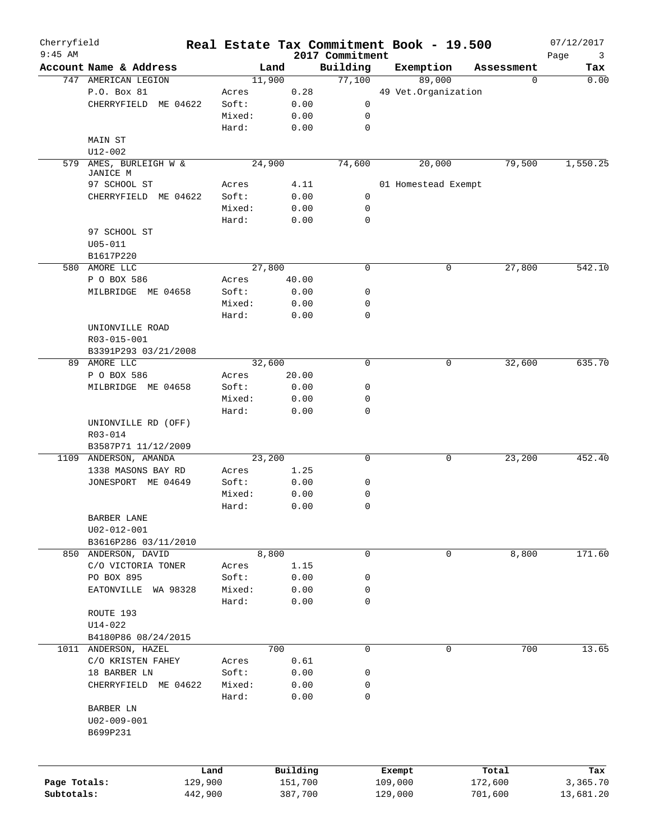| Cherryfield<br>$9:45$ AM |                        | Real Estate Tax Commitment Book - 19.500 |          | 2017 Commitment |         |                     |            | 07/12/2017<br>3 |
|--------------------------|------------------------|------------------------------------------|----------|-----------------|---------|---------------------|------------|-----------------|
|                          | Account Name & Address |                                          | Land     | Building        |         | Exemption           | Assessment | Page<br>Tax     |
|                          | 747 AMERICAN LEGION    | 11,900                                   |          | 77,100          |         | 89,000              | 0          | 0.00            |
|                          | P.O. Box 81            | Acres                                    | 0.28     |                 |         | 49 Vet.Organization |            |                 |
|                          | CHERRYFIELD ME 04622   | Soft:                                    | 0.00     | 0               |         |                     |            |                 |
|                          |                        | Mixed:                                   | 0.00     | 0               |         |                     |            |                 |
|                          |                        | Hard:                                    | 0.00     | $\mathbf 0$     |         |                     |            |                 |
|                          | MAIN ST                |                                          |          |                 |         |                     |            |                 |
|                          | $U12 - 002$            |                                          |          |                 |         |                     |            |                 |
| 579                      | AMES, BURLEIGH W &     | 24,900                                   |          | 74,600          |         | 20,000              | 79,500     | 1,550.25        |
|                          | JANICE M               |                                          |          |                 |         |                     |            |                 |
|                          | 97 SCHOOL ST           | Acres                                    | 4.11     |                 |         | 01 Homestead Exempt |            |                 |
|                          | CHERRYFIELD ME 04622   | Soft:                                    | 0.00     | $\mathsf{O}$    |         |                     |            |                 |
|                          |                        | Mixed:                                   | 0.00     | 0               |         |                     |            |                 |
|                          |                        | Hard:                                    | 0.00     | $\mathbf 0$     |         |                     |            |                 |
|                          | 97 SCHOOL ST           |                                          |          |                 |         |                     |            |                 |
|                          | $U05 - 011$            |                                          |          |                 |         |                     |            |                 |
|                          | B1617P220              |                                          |          |                 |         |                     |            |                 |
|                          | 580 AMORE LLC          | 27,800                                   |          | 0               |         | 0                   |            | 542.10          |
|                          |                        |                                          |          |                 |         |                     | 27,800     |                 |
|                          | P O BOX 586            | Acres                                    | 40.00    |                 |         |                     |            |                 |
|                          | MILBRIDGE ME 04658     | Soft:                                    | 0.00     | 0               |         |                     |            |                 |
|                          |                        | Mixed:                                   | 0.00     | 0               |         |                     |            |                 |
|                          |                        | Hard:                                    | 0.00     | $\mathbf 0$     |         |                     |            |                 |
|                          | UNIONVILLE ROAD        |                                          |          |                 |         |                     |            |                 |
|                          | R03-015-001            |                                          |          |                 |         |                     |            |                 |
|                          | B3391P293 03/21/2008   |                                          |          |                 |         |                     |            |                 |
|                          | 89 AMORE LLC           | 32,600                                   |          | $\mathbf 0$     |         | 0                   | 32,600     | 635.70          |
|                          | P O BOX 586            | Acres                                    | 20.00    |                 |         |                     |            |                 |
|                          | MILBRIDGE ME 04658     | Soft:                                    | 0.00     | 0               |         |                     |            |                 |
|                          |                        | Mixed:                                   | 0.00     | 0               |         |                     |            |                 |
|                          |                        | Hard:                                    | 0.00     | 0               |         |                     |            |                 |
|                          | UNIONVILLE RD (OFF)    |                                          |          |                 |         |                     |            |                 |
|                          | R03-014                |                                          |          |                 |         |                     |            |                 |
|                          | B3587P71 11/12/2009    |                                          |          |                 |         |                     |            |                 |
|                          | 1109 ANDERSON, AMANDA  | 23,200                                   |          | $\mathbf 0$     |         | 0                   | 23,200     | 452.40          |
|                          | 1338 MASONS BAY RD     | Acres                                    | 1.25     |                 |         |                     |            |                 |
|                          | JONESPORT ME 04649     | Soft:                                    | 0.00     | 0               |         |                     |            |                 |
|                          |                        | Mixed:                                   | 0.00     | 0               |         |                     |            |                 |
|                          |                        | Hard:                                    | 0.00     | $\mathbf 0$     |         |                     |            |                 |
|                          | BARBER LANE            |                                          |          |                 |         |                     |            |                 |
|                          | $U02 - 012 - 001$      |                                          |          |                 |         |                     |            |                 |
|                          | B3616P286 03/11/2010   |                                          |          |                 |         |                     |            |                 |
|                          | 850 ANDERSON, DAVID    |                                          | 8,800    | 0               |         | 0                   | 8,800      | 171.60          |
|                          |                        |                                          |          |                 |         |                     |            |                 |
|                          | C/O VICTORIA TONER     | Acres                                    | 1.15     |                 |         |                     |            |                 |
|                          | PO BOX 895             | Soft:                                    | 0.00     | 0               |         |                     |            |                 |
|                          | EATONVILLE WA 98328    | Mixed:                                   | 0.00     | 0               |         |                     |            |                 |
|                          |                        | Hard:                                    | 0.00     | 0               |         |                     |            |                 |
|                          | ROUTE 193              |                                          |          |                 |         |                     |            |                 |
|                          | $U14 - 022$            |                                          |          |                 |         |                     |            |                 |
|                          | B4180P86 08/24/2015    |                                          |          |                 |         |                     |            |                 |
|                          | 1011 ANDERSON, HAZEL   |                                          | 700      | $\mathbf 0$     |         | 0                   | 700        | 13.65           |
|                          | C/O KRISTEN FAHEY      | Acres                                    | 0.61     |                 |         |                     |            |                 |
|                          | 18 BARBER LN           | Soft:                                    | 0.00     | 0               |         |                     |            |                 |
|                          | CHERRYFIELD ME 04622   | Mixed:                                   | 0.00     | 0               |         |                     |            |                 |
|                          |                        | Hard:                                    | 0.00     | 0               |         |                     |            |                 |
|                          | BARBER LN              |                                          |          |                 |         |                     |            |                 |
|                          | U02-009-001            |                                          |          |                 |         |                     |            |                 |
|                          | B699P231               |                                          |          |                 |         |                     |            |                 |
|                          |                        |                                          |          |                 |         |                     |            |                 |
|                          |                        | Land                                     | Building |                 | Exempt  |                     | Total      | Tax             |
| Page Totals:             |                        | 129,900                                  | 151,700  |                 | 109,000 |                     | 172,600    | 3,365.70        |
| Subtotals:               |                        | 442,900                                  | 387,700  |                 | 129,000 |                     | 701,600    | 13,681.20       |
|                          |                        |                                          |          |                 |         |                     |            |                 |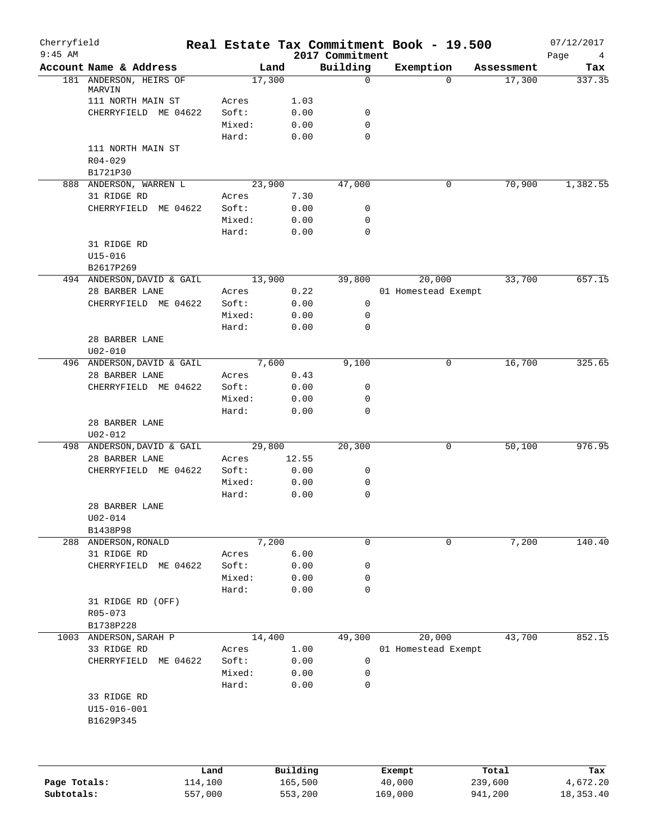| Cherryfield<br>$9:45$ AM   |                                              |                    |                    | 2017 Commitment | Real Estate Tax Commitment Book - 19.500 |                    | 07/12/2017<br>Page<br>4 |
|----------------------------|----------------------------------------------|--------------------|--------------------|-----------------|------------------------------------------|--------------------|-------------------------|
|                            | Account Name & Address                       |                    | Land               | Building        | Exemption                                | Assessment         | Tax                     |
|                            | 181 ANDERSON, HEIRS OF<br>MARVIN             |                    | 17,300             | 0               | $\Omega$                                 | 17,300             | 337.35                  |
|                            | 111 NORTH MAIN ST                            | Acres              | 1.03               |                 |                                          |                    |                         |
|                            | CHERRYFIELD ME 04622                         | Soft:              | 0.00               | 0               |                                          |                    |                         |
|                            |                                              | Mixed:             | 0.00               | 0               |                                          |                    |                         |
|                            |                                              | Hard:              | 0.00               | $\mathbf 0$     |                                          |                    |                         |
|                            | 111 NORTH MAIN ST                            |                    |                    |                 |                                          |                    |                         |
|                            | $R04 - 029$                                  |                    |                    |                 |                                          |                    |                         |
|                            | B1721P30                                     |                    |                    |                 |                                          |                    |                         |
|                            | 888 ANDERSON, WARREN L                       |                    | 23,900             | 47,000          | 0                                        | 70,900             | 1,382.55                |
|                            | 31 RIDGE RD                                  | Acres              | 7.30               |                 |                                          |                    |                         |
|                            | CHERRYFIELD<br>ME 04622                      | Soft:              | 0.00               | 0               |                                          |                    |                         |
|                            |                                              | Mixed:             | 0.00               | 0               |                                          |                    |                         |
|                            |                                              | Hard:              | 0.00               | $\mathbf 0$     |                                          |                    |                         |
|                            | 31 RIDGE RD                                  |                    |                    |                 |                                          |                    |                         |
|                            | $U15 - 016$                                  |                    |                    |                 |                                          |                    |                         |
|                            | B2617P269                                    |                    |                    |                 |                                          |                    |                         |
|                            | 494 ANDERSON, DAVID & GAIL                   |                    | 13,900             | 39,800          | 20,000                                   | 33,700             | 657.15                  |
|                            | 28 BARBER LANE                               | Acres              | 0.22               |                 | 01 Homestead Exempt                      |                    |                         |
|                            | CHERRYFIELD ME 04622                         | Soft:              | 0.00               | 0               |                                          |                    |                         |
|                            |                                              | Mixed:             | 0.00               | 0               |                                          |                    |                         |
|                            |                                              | Hard:              | 0.00               | $\mathbf 0$     |                                          |                    |                         |
|                            | 28 BARBER LANE                               |                    |                    |                 |                                          |                    |                         |
|                            | $U02 - 010$                                  |                    |                    |                 |                                          |                    |                         |
|                            | 496 ANDERSON, DAVID & GAIL                   |                    | 7,600              | 9,100           | $\mathbf 0$                              | 16,700             | 325.65                  |
|                            | 28 BARBER LANE                               | Acres              | 0.43               |                 |                                          |                    |                         |
|                            | CHERRYFIELD ME 04622                         | Soft:              | 0.00               | 0               |                                          |                    |                         |
|                            |                                              | Mixed:             | 0.00               | 0               |                                          |                    |                         |
|                            |                                              | Hard:              | 0.00               | $\mathbf 0$     |                                          |                    |                         |
|                            | 28 BARBER LANE                               |                    |                    |                 |                                          |                    |                         |
|                            | $U02 - 012$                                  |                    |                    | 20,300          | 0                                        | 50,100             | 976.95                  |
|                            | 498 ANDERSON, DAVID & GAIL<br>28 BARBER LANE | Acres              | 29,800<br>12.55    |                 |                                          |                    |                         |
|                            | CHERRYFIELD ME 04622                         | Soft:              | 0.00               | 0               |                                          |                    |                         |
|                            |                                              | Mixed:             | 0.00               | 0               |                                          |                    |                         |
|                            |                                              | Hard:              | 0.00               | 0               |                                          |                    |                         |
|                            | 28 BARBER LANE                               |                    |                    |                 |                                          |                    |                         |
|                            | U02-014                                      |                    |                    |                 |                                          |                    |                         |
|                            | B1438P98                                     |                    |                    |                 |                                          |                    |                         |
|                            | 288 ANDERSON, RONALD                         |                    | 7,200              | 0               | 0                                        | 7,200              | 140.40                  |
|                            | 31 RIDGE RD                                  | Acres              | 6.00               |                 |                                          |                    |                         |
|                            | ME 04622<br>CHERRYFIELD                      | Soft:              | 0.00               | 0               |                                          |                    |                         |
|                            |                                              | Mixed:             | 0.00               | 0               |                                          |                    |                         |
|                            |                                              | Hard:              | 0.00               | 0               |                                          |                    |                         |
|                            | 31 RIDGE RD (OFF)                            |                    |                    |                 |                                          |                    |                         |
|                            | R05-073                                      |                    |                    |                 |                                          |                    |                         |
|                            | B1738P228                                    |                    |                    |                 |                                          |                    |                         |
|                            | 1003 ANDERSON, SARAH P                       |                    | 14,400             | 49,300          | 20,000                                   | 43,700             | 852.15                  |
|                            | 33 RIDGE RD                                  | Acres              | 1.00               |                 | 01 Homestead Exempt                      |                    |                         |
|                            | ME 04622<br>CHERRYFIELD                      | Soft:              | 0.00               | 0               |                                          |                    |                         |
|                            |                                              | Mixed:             | 0.00               | 0               |                                          |                    |                         |
|                            |                                              | Hard:              | 0.00               | 0               |                                          |                    |                         |
|                            | 33 RIDGE RD                                  |                    |                    |                 |                                          |                    |                         |
|                            | U15-016-001                                  |                    |                    |                 |                                          |                    |                         |
|                            | B1629P345                                    |                    |                    |                 |                                          |                    |                         |
|                            |                                              |                    |                    |                 |                                          |                    |                         |
|                            |                                              | Land               | Building           |                 | Exempt                                   | Total              | Tax                     |
| Page Totals:<br>Subtotals: |                                              | 114,100<br>557,000 | 165,500<br>553,200 |                 | 40,000<br>169,000                        | 239,600<br>941,200 | 4,672.20<br>18, 353.40  |
|                            |                                              |                    |                    |                 |                                          |                    |                         |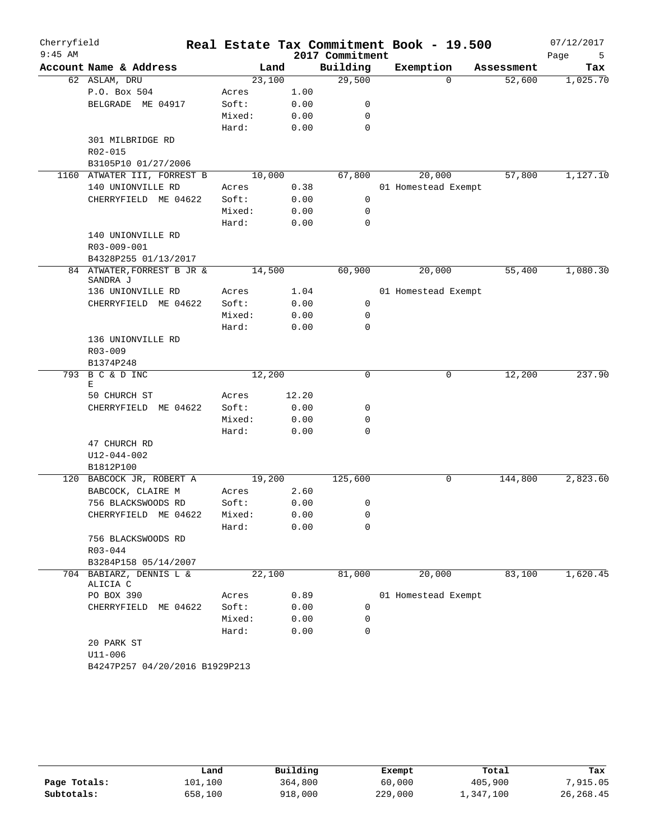| Cherryfield<br>$9:45$ AM |                                     |        |        | 2017 Commitment | Real Estate Tax Commitment Book - 19.500 |            | 07/12/2017<br>Page<br>5 |
|--------------------------|-------------------------------------|--------|--------|-----------------|------------------------------------------|------------|-------------------------|
|                          | Account Name & Address              |        | Land   | Building        | Exemption                                | Assessment | Tax                     |
|                          | 62 ASLAM, DRU                       |        | 23,100 | 29,500          | $\Omega$                                 | 52,600     | 1,025.70                |
|                          | P.O. Box 504                        | Acres  | 1.00   |                 |                                          |            |                         |
|                          | BELGRADE ME 04917                   | Soft:  | 0.00   | 0               |                                          |            |                         |
|                          |                                     | Mixed: | 0.00   | 0               |                                          |            |                         |
|                          |                                     | Hard:  | 0.00   | $\mathbf 0$     |                                          |            |                         |
|                          | 301 MILBRIDGE RD                    |        |        |                 |                                          |            |                         |
|                          | R02-015                             |        |        |                 |                                          |            |                         |
|                          | B3105P10 01/27/2006                 |        |        |                 |                                          |            |                         |
|                          | 1160 ATWATER III, FORREST B         |        | 10,000 | 67,800          | 20,000                                   | 57,800     | 1,127.10                |
|                          | 140 UNIONVILLE RD                   | Acres  | 0.38   |                 | 01 Homestead Exempt                      |            |                         |
|                          | CHERRYFIELD ME 04622                | Soft:  | 0.00   | 0               |                                          |            |                         |
|                          |                                     | Mixed: | 0.00   | 0               |                                          |            |                         |
|                          | 140 UNIONVILLE RD                   | Hard:  | 0.00   | 0               |                                          |            |                         |
|                          | R03-009-001                         |        |        |                 |                                          |            |                         |
|                          | B4328P255 01/13/2017                |        |        |                 |                                          |            |                         |
|                          | 84 ATWATER, FORREST B JR &          |        | 14,500 | 60,900          | 20,000                                   | 55,400     | 1,080.30                |
|                          | SANDRA J                            |        |        |                 |                                          |            |                         |
|                          | 136 UNIONVILLE RD                   | Acres  | 1.04   |                 | 01 Homestead Exempt                      |            |                         |
|                          | CHERRYFIELD ME 04622                | Soft:  | 0.00   | 0               |                                          |            |                         |
|                          |                                     | Mixed: | 0.00   | 0               |                                          |            |                         |
|                          |                                     | Hard:  | 0.00   | $\Omega$        |                                          |            |                         |
|                          | 136 UNIONVILLE RD                   |        |        |                 |                                          |            |                         |
|                          | $R03 - 009$                         |        |        |                 |                                          |            |                         |
|                          | B1374P248                           |        |        |                 |                                          |            |                         |
| 793                      | B C & D INC                         | 12,200 |        | $\Omega$        | 0                                        | 12,200     | 237.90                  |
|                          | Ε<br>50 CHURCH ST                   | Acres  | 12.20  |                 |                                          |            |                         |
|                          | CHERRYFIELD ME 04622                | Soft:  | 0.00   | 0               |                                          |            |                         |
|                          |                                     | Mixed: | 0.00   | 0               |                                          |            |                         |
|                          |                                     | Hard:  | 0.00   | 0               |                                          |            |                         |
|                          | 47 CHURCH RD                        |        |        |                 |                                          |            |                         |
|                          | $U12 - 044 - 002$                   |        |        |                 |                                          |            |                         |
|                          | B1812P100                           |        |        |                 |                                          |            |                         |
|                          | 120 BABCOCK JR, ROBERT A            |        | 19,200 | 125,600         | 0                                        | 144,800    | 2,823.60                |
|                          | BABCOCK, CLAIRE M                   | Acres  | 2.60   |                 |                                          |            |                         |
|                          | 756 BLACKSWOODS RD                  | Soft:  | 0.00   | 0               |                                          |            |                         |
|                          | CHERRYFIELD ME 04622                | Mixed: | 0.00   | 0               |                                          |            |                         |
|                          |                                     | Hard:  | 0.00   | 0               |                                          |            |                         |
|                          | 756 BLACKSWOODS RD                  |        |        |                 |                                          |            |                         |
|                          | R03-044                             |        |        |                 |                                          |            |                         |
|                          | B3284P158 05/14/2007                |        |        |                 |                                          |            |                         |
|                          | 704 BABIARZ, DENNIS L &<br>ALICIA C |        | 22,100 | 81,000          | 20,000                                   | 83,100     | 1,620.45                |
|                          | PO BOX 390                          | Acres  | 0.89   |                 | 01 Homestead Exempt                      |            |                         |
|                          | CHERRYFIELD ME 04622                | Soft:  | 0.00   | 0               |                                          |            |                         |
|                          |                                     | Mixed: | 0.00   | 0               |                                          |            |                         |
|                          |                                     | Hard:  | 0.00   | $\mathbf 0$     |                                          |            |                         |
|                          | 20 PARK ST                          |        |        |                 |                                          |            |                         |
|                          | $U11 - 006$                         |        |        |                 |                                          |            |                         |
|                          | B4247P257 04/20/2016 B1929P213      |        |        |                 |                                          |            |                         |

|              | Land    | Building | Exempt  | Total     | Tax        |
|--------------|---------|----------|---------|-----------|------------|
| Page Totals: | 101,100 | 364,800  | 60,000  | 405,900   | ,915.05    |
| Subtotals:   | 658,100 | 918,000  | 229,000 | 1,347,100 | 26, 268.45 |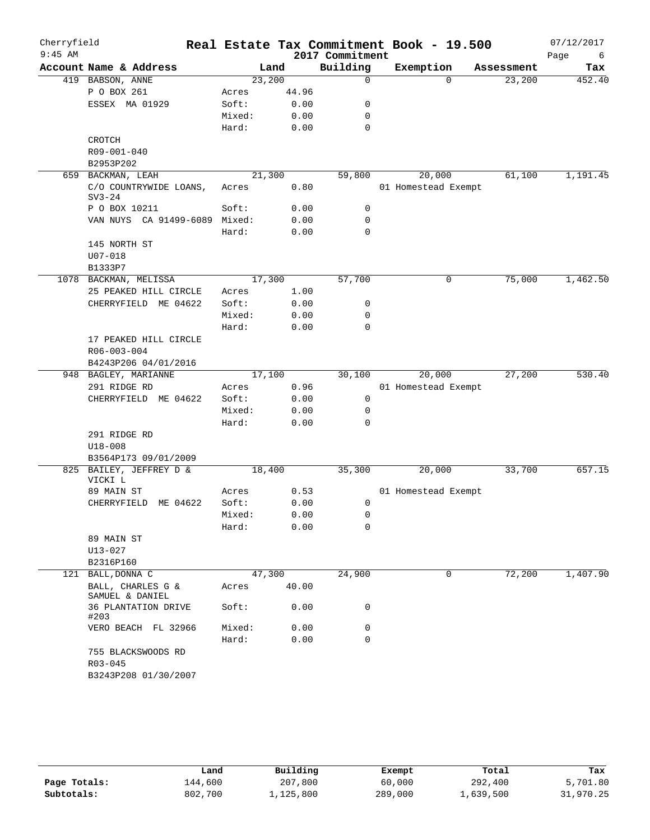| Cherryfield<br>$9:45$ AM |                                                |        |        | 2017 Commitment | Real Estate Tax Commitment Book - 19.500 |            | 07/12/2017<br>Page<br>6 |
|--------------------------|------------------------------------------------|--------|--------|-----------------|------------------------------------------|------------|-------------------------|
|                          | Account Name & Address                         |        | Land   | Building        | Exemption                                | Assessment | Tax                     |
|                          | 419 BABSON, ANNE                               |        | 23,200 | 0               | $\Omega$                                 | 23,200     | 452.40                  |
|                          | P O BOX 261                                    | Acres  | 44.96  |                 |                                          |            |                         |
|                          | ESSEX MA 01929                                 | Soft:  | 0.00   | 0               |                                          |            |                         |
|                          |                                                | Mixed: | 0.00   | 0               |                                          |            |                         |
|                          |                                                | Hard:  | 0.00   | 0               |                                          |            |                         |
|                          | CROTCH                                         |        |        |                 |                                          |            |                         |
|                          | R09-001-040                                    |        |        |                 |                                          |            |                         |
|                          | B2953P202                                      |        |        |                 |                                          |            |                         |
|                          | 659 BACKMAN, LEAH                              |        | 21,300 | 59,800          | 20,000                                   | 61,100     | 1,191.45                |
|                          | C/O COUNTRYWIDE LOANS,<br>$SV3-24$             | Acres  | 0.80   |                 | 01 Homestead Exempt                      |            |                         |
|                          | P O BOX 10211                                  | Soft:  | 0.00   | 0               |                                          |            |                         |
|                          | VAN NUYS CA 91499-6089 Mixed:                  |        | 0.00   | 0               |                                          |            |                         |
|                          |                                                | Hard:  | 0.00   | $\mathbf 0$     |                                          |            |                         |
|                          | 145 NORTH ST                                   |        |        |                 |                                          |            |                         |
|                          | $U07 - 018$                                    |        |        |                 |                                          |            |                         |
|                          | B1333P7                                        |        |        |                 |                                          |            |                         |
|                          | 1078 BACKMAN, MELISSA                          |        | 17,300 | 57,700          | 0                                        | 75,000     | 1,462.50                |
|                          | 25 PEAKED HILL CIRCLE                          | Acres  | 1.00   |                 |                                          |            |                         |
|                          | CHERRYFIELD ME 04622                           | Soft:  | 0.00   | 0               |                                          |            |                         |
|                          |                                                | Mixed: | 0.00   | 0               |                                          |            |                         |
|                          |                                                | Hard:  | 0.00   | 0               |                                          |            |                         |
|                          | 17 PEAKED HILL CIRCLE                          |        |        |                 |                                          |            |                         |
|                          | R06-003-004                                    |        |        |                 |                                          |            |                         |
|                          | B4243P206 04/01/2016                           |        |        |                 |                                          |            |                         |
|                          | 948 BAGLEY, MARIANNE                           |        | 17,100 | 30,100          | 20,000                                   | 27,200     | 530.40                  |
|                          | 291 RIDGE RD                                   | Acres  | 0.96   |                 | 01 Homestead Exempt                      |            |                         |
|                          | CHERRYFIELD ME 04622                           | Soft:  | 0.00   | 0               |                                          |            |                         |
|                          |                                                | Mixed: | 0.00   | 0               |                                          |            |                         |
|                          |                                                | Hard:  | 0.00   | 0               |                                          |            |                         |
|                          | 291 RIDGE RD                                   |        |        |                 |                                          |            |                         |
|                          | $U18 - 008$                                    |        |        |                 |                                          |            |                         |
|                          | B3564P173 09/01/2009                           |        |        |                 |                                          |            |                         |
|                          | 825 BAILEY, JEFFREY D &<br>VICKI L             |        | 18,400 | 35,300          | 20,000                                   | 33,700     | 657.15                  |
|                          | 89 MAIN ST                                     | Acres  | 0.53   |                 | 01 Homestead Exempt                      |            |                         |
|                          | CHERRYFIELD ME 04622                           | Soft:  | 0.00   | 0               |                                          |            |                         |
|                          |                                                | Mixed: | 0.00   | 0               |                                          |            |                         |
|                          |                                                | Hard:  | 0.00   | 0               |                                          |            |                         |
|                          | 89 MAIN ST                                     |        |        |                 |                                          |            |                         |
|                          | $U13 - 027$                                    |        |        |                 |                                          |            |                         |
|                          | B2316P160<br>121 BALL, DONNA C                 |        | 47,300 | 24,900          | 0                                        | 72,200     | 1,407.90                |
|                          | BALL, CHARLES G &                              | Acres  | 40.00  |                 |                                          |            |                         |
|                          | SAMUEL & DANIEL<br>36 PLANTATION DRIVE<br>#203 | Soft:  | 0.00   | 0               |                                          |            |                         |
|                          | VERO BEACH FL 32966                            | Mixed: | 0.00   | 0               |                                          |            |                         |
|                          |                                                | Hard:  | 0.00   | 0               |                                          |            |                         |
|                          | 755 BLACKSWOODS RD                             |        |        |                 |                                          |            |                         |
|                          | R03-045                                        |        |        |                 |                                          |            |                         |
|                          | B3243P208 01/30/2007                           |        |        |                 |                                          |            |                         |

|              | Land    | Building  | Exempt  | Total     | Tax       |
|--------------|---------|-----------|---------|-----------|-----------|
| Page Totals: | 144,600 | 207,800   | 60,000  | 292,400   | 5,701.80  |
| Subtotals:   | 802,700 | 1,125,800 | 289,000 | ⊥,639,500 | 31,970.25 |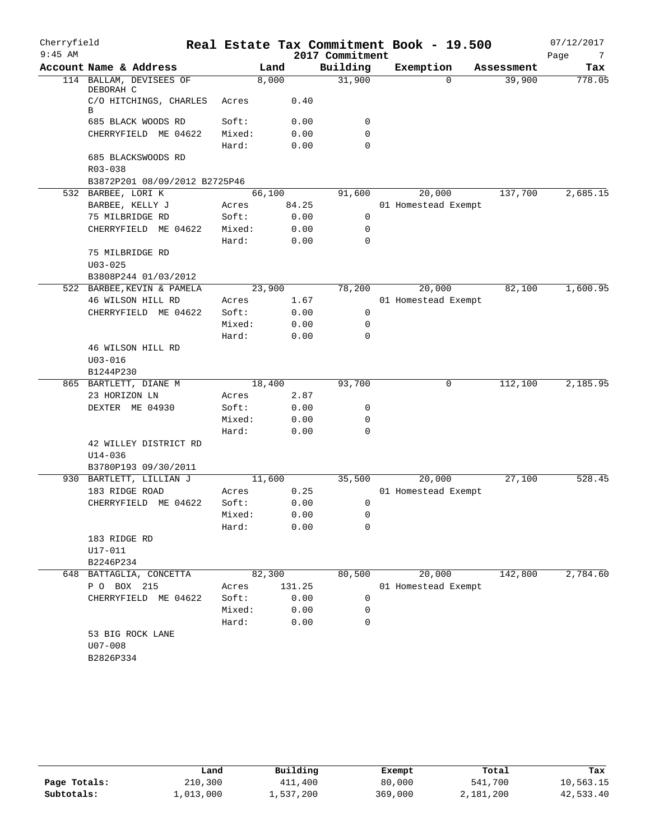| Cherryfield<br>$9:45$ AM |                                      |        |        | 2017 Commitment | Real Estate Tax Commitment Book - 19.500 |            | 07/12/2017<br>Page<br>7 |
|--------------------------|--------------------------------------|--------|--------|-----------------|------------------------------------------|------------|-------------------------|
|                          | Account Name & Address               |        | Land   | Building        | Exemption                                | Assessment | Tax                     |
|                          | 114 BALLAM, DEVISEES OF<br>DEBORAH C | 8,000  |        | 31,900          | $\Omega$                                 | 39,900     | 778.05                  |
|                          | C/O HITCHINGS, CHARLES<br>В          | Acres  | 0.40   |                 |                                          |            |                         |
|                          | 685 BLACK WOODS RD                   | Soft:  | 0.00   | 0               |                                          |            |                         |
|                          | CHERRYFIELD ME 04622                 | Mixed: | 0.00   | 0               |                                          |            |                         |
|                          |                                      | Hard:  | 0.00   | $\Omega$        |                                          |            |                         |
|                          | 685 BLACKSWOODS RD                   |        |        |                 |                                          |            |                         |
|                          | $R03 - 038$                          |        |        |                 |                                          |            |                         |
|                          | B3872P201 08/09/2012 B2725P46        |        |        |                 |                                          |            |                         |
|                          | 532 BARBEE, LORI K                   | 66,100 |        | 91,600          | 20,000                                   | 137,700    | 2,685.15                |
|                          | BARBEE, KELLY J                      | Acres  | 84.25  |                 | 01 Homestead Exempt                      |            |                         |
|                          | 75 MILBRIDGE RD                      | Soft:  | 0.00   | 0               |                                          |            |                         |
|                          | CHERRYFIELD ME 04622                 | Mixed: | 0.00   | 0               |                                          |            |                         |
|                          |                                      | Hard:  | 0.00   | 0               |                                          |            |                         |
|                          | 75 MILBRIDGE RD                      |        |        |                 |                                          |            |                         |
|                          | $U03 - 025$                          |        |        |                 |                                          |            |                         |
|                          | B3808P244 01/03/2012                 |        |        |                 |                                          |            |                         |
|                          | 522 BARBEE, KEVIN & PAMELA           | 23,900 |        | 78,200          | 20,000                                   | 82,100     | 1,600.95                |
|                          | 46 WILSON HILL RD                    | Acres  | 1.67   |                 | 01 Homestead Exempt                      |            |                         |
|                          | CHERRYFIELD ME 04622                 | Soft:  | 0.00   | 0               |                                          |            |                         |
|                          |                                      | Mixed: | 0.00   | 0               |                                          |            |                         |
|                          |                                      | Hard:  | 0.00   | $\Omega$        |                                          |            |                         |
|                          | 46 WILSON HILL RD                    |        |        |                 |                                          |            |                         |
|                          | $U03 - 016$                          |        |        |                 |                                          |            |                         |
|                          | B1244P230                            |        |        |                 |                                          |            |                         |
|                          | 865 BARTLETT, DIANE M                | 18,400 |        | 93,700          | 0                                        | 112,100    | 2,185.95                |
|                          | 23 HORIZON LN                        | Acres  | 2.87   |                 |                                          |            |                         |
|                          | DEXTER ME 04930                      | Soft:  | 0.00   | 0               |                                          |            |                         |
|                          |                                      | Mixed: | 0.00   | 0               |                                          |            |                         |
|                          |                                      | Hard:  | 0.00   | $\mathbf 0$     |                                          |            |                         |
|                          | 42 WILLEY DISTRICT RD                |        |        |                 |                                          |            |                         |
|                          | $U14 - 036$                          |        |        |                 |                                          |            |                         |
|                          | B3780P193 09/30/2011                 |        |        |                 |                                          |            |                         |
|                          | 930 BARTLETT, LILLIAN J              | 11,600 |        | 35,500          | 20,000                                   | 27,100     | 528.45                  |
|                          | 183 RIDGE ROAD                       | Acres  | 0.25   |                 | 01 Homestead Exempt                      |            |                         |
|                          | CHERRYFIELD ME 04622                 | Soft:  | 0.00   | 0               |                                          |            |                         |
|                          |                                      | Mixed: | 0.00   | 0               |                                          |            |                         |
|                          |                                      | Hard:  | 0.00   | 0               |                                          |            |                         |
|                          | 183 RIDGE RD                         |        |        |                 |                                          |            |                         |
|                          | U17-011                              |        |        |                 |                                          |            |                         |
|                          | B2246P234                            |        |        |                 |                                          |            |                         |
|                          | 648 BATTAGLIA, CONCETTA              | 82,300 |        | 80,500          | 20,000                                   | 142,800    | 2,784.60                |
|                          | P O BOX 215                          | Acres  | 131.25 |                 | 01 Homestead Exempt                      |            |                         |
|                          | CHERRYFIELD ME 04622                 | Soft:  | 0.00   | 0               |                                          |            |                         |
|                          |                                      | Mixed: | 0.00   | 0               |                                          |            |                         |
|                          |                                      | Hard:  | 0.00   | 0               |                                          |            |                         |
|                          | 53 BIG ROCK LANE                     |        |        |                 |                                          |            |                         |
|                          | $U07 - 008$                          |        |        |                 |                                          |            |                         |
|                          | B2826P334                            |        |        |                 |                                          |            |                         |
|                          |                                      |        |        |                 |                                          |            |                         |

|              | Land            | Building  | Exempt  | Total     | Tax       |
|--------------|-----------------|-----------|---------|-----------|-----------|
| Page Totals: | 210,300         | 411,400   | 80,000  | 541,700   | 10,563.15 |
| Subtotals:   | $\bot$ ,013,000 | 1,537,200 | 369,000 | 2,181,200 | 42,533.40 |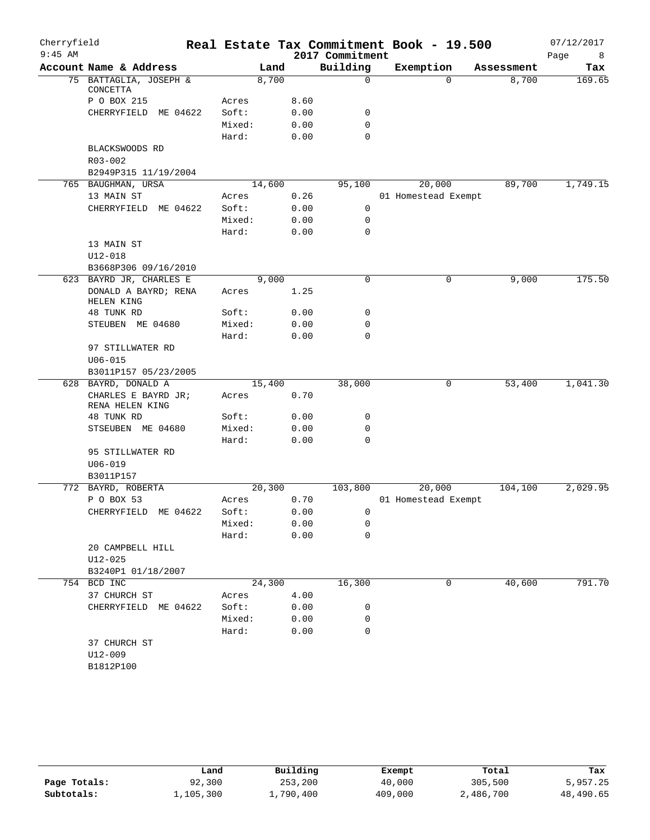| Cherryfield<br>$9:45$ AM |                                        |                 |        |              | 2017 Commitment | Real Estate Tax Commitment Book - 19.500 |            | 07/12/2017<br>Page<br>8 |
|--------------------------|----------------------------------------|-----------------|--------|--------------|-----------------|------------------------------------------|------------|-------------------------|
|                          | Account Name & Address                 |                 | Land   |              | Building        | Exemption                                | Assessment | Tax                     |
|                          | 75 BATTAGLIA, JOSEPH &<br>CONCETTA     |                 | 8,700  |              | $\mathbf 0$     | $\Omega$                                 | 8,700      | 169.65                  |
|                          | P O BOX 215                            | Acres           |        | 8.60         |                 |                                          |            |                         |
|                          | CHERRYFIELD<br>ME 04622                | Soft:           |        | 0.00         | 0               |                                          |            |                         |
|                          |                                        | Mixed:          |        | 0.00         | $\mathbf 0$     |                                          |            |                         |
|                          |                                        | Hard:           |        | 0.00         | $\mathbf 0$     |                                          |            |                         |
|                          | BLACKSWOODS RD                         |                 |        |              |                 |                                          |            |                         |
|                          | R03-002                                |                 |        |              |                 |                                          |            |                         |
|                          | B2949P315 11/19/2004                   |                 |        |              |                 |                                          |            |                         |
|                          | 765 BAUGHMAN, URSA                     |                 | 14,600 |              | 95,100          | 20,000                                   | 89,700     | 1,749.15                |
|                          | 13 MAIN ST                             | Acres           |        | 0.26         |                 | 01 Homestead Exempt                      |            |                         |
|                          | CHERRYFIELD ME 04622                   | Soft:           |        | 0.00         | $\mathbf 0$     |                                          |            |                         |
|                          |                                        | Mixed:          |        | 0.00         | $\mathbf 0$     |                                          |            |                         |
|                          |                                        | Hard:           |        | 0.00         | $\mathbf 0$     |                                          |            |                         |
|                          | 13 MAIN ST                             |                 |        |              |                 |                                          |            |                         |
|                          | $U12 - 018$                            |                 |        |              |                 |                                          |            |                         |
|                          | B3668P306 09/16/2010                   |                 |        |              |                 |                                          |            |                         |
|                          | 623 BAYRD JR, CHARLES E                |                 | 9,000  |              | 0               | 0                                        | 9,000      | 175.50                  |
|                          | DONALD A BAYRD; RENA<br>HELEN KING     | Acres           |        | 1.25         |                 |                                          |            |                         |
|                          | 48 TUNK RD                             | Soft:           |        | 0.00         | 0               |                                          |            |                         |
|                          | STEUBEN ME 04680                       | Mixed:          |        | 0.00         | $\mathbf 0$     |                                          |            |                         |
|                          |                                        | Hard:           |        | 0.00         | $\mathbf 0$     |                                          |            |                         |
|                          | 97 STILLWATER RD                       |                 |        |              |                 |                                          |            |                         |
|                          | $U06 - 015$                            |                 |        |              |                 |                                          |            |                         |
|                          | B3011P157 05/23/2005                   |                 |        |              |                 |                                          |            |                         |
|                          | 628 BAYRD, DONALD A                    |                 | 15,400 |              | 38,000          | 0                                        | 53,400     | 1,041.30                |
|                          | CHARLES E BAYRD JR;<br>RENA HELEN KING | Acres           |        | 0.70         |                 |                                          |            |                         |
|                          | 48 TUNK RD                             | Soft:           |        | 0.00         | 0               |                                          |            |                         |
|                          | STSEUBEN ME 04680                      | Mixed:          |        | 0.00         | 0               |                                          |            |                         |
|                          |                                        | Hard:           |        | 0.00         | $\mathbf 0$     |                                          |            |                         |
|                          | 95 STILLWATER RD                       |                 |        |              |                 |                                          |            |                         |
|                          | $U06 - 019$                            |                 |        |              |                 |                                          |            |                         |
|                          | B3011P157                              |                 |        |              |                 |                                          |            |                         |
|                          | 772 BAYRD, ROBERTA                     |                 | 20,300 |              | 103,800         | 20,000                                   | 104,100    | 2,029.95                |
|                          | P O BOX 53                             | Acres           |        | 0.70         |                 | 01 Homestead Exempt                      |            |                         |
|                          | CHERRYFIELD ME 04622                   | Soft:           |        | 0.00         | 0               |                                          |            |                         |
|                          |                                        | Mixed:<br>Hard: |        | 0.00<br>0.00 | 0<br>0          |                                          |            |                         |
|                          | 20 CAMPBELL HILL                       |                 |        |              |                 |                                          |            |                         |
|                          | $U12 - 025$                            |                 |        |              |                 |                                          |            |                         |
|                          | B3240P1 01/18/2007                     |                 |        |              |                 |                                          |            |                         |
|                          | 754 BCD INC                            |                 | 24,300 |              | 16,300          | 0                                        | 40,600     | 791.70                  |
|                          | 37 CHURCH ST                           |                 |        |              |                 |                                          |            |                         |
|                          | CHERRYFIELD ME 04622                   | Acres<br>Soft:  |        | 4.00<br>0.00 |                 |                                          |            |                         |
|                          |                                        |                 |        |              | 0               |                                          |            |                         |
|                          |                                        | Mixed:<br>Hard: |        | 0.00<br>0.00 | 0<br>0          |                                          |            |                         |
|                          | 37 CHURCH ST                           |                 |        |              |                 |                                          |            |                         |
|                          | U12-009                                |                 |        |              |                 |                                          |            |                         |
|                          | B1812P100                              |                 |        |              |                 |                                          |            |                         |
|                          |                                        |                 |        |              |                 |                                          |            |                         |

|              | Land      | Building  | Exempt  | Total     | Tax       |
|--------------|-----------|-----------|---------|-----------|-----------|
| Page Totals: | 92,300    | 253,200   | 40,000  | 305,500   | 5,957.25  |
| Subtotals:   | ⊥,105,300 | 1,790,400 | 409,000 | 2,486,700 | 48,490.65 |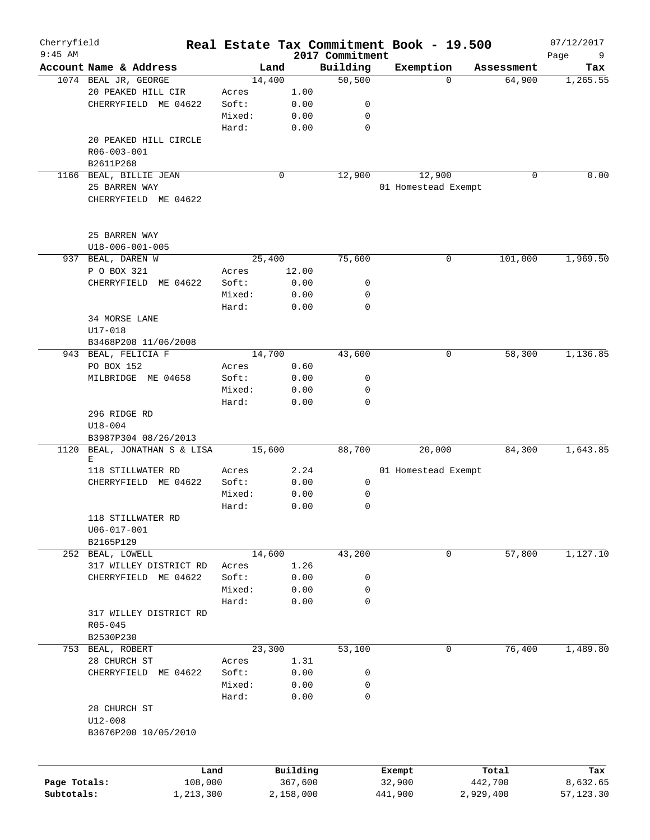| Cherryfield<br>$9:45$ AM |                         |        |                     |                             | Real Estate Tax Commitment Book - 19.500 |           |                  | 07/12/2017       |
|--------------------------|-------------------------|--------|---------------------|-----------------------------|------------------------------------------|-----------|------------------|------------------|
|                          | Account Name & Address  |        | Land                | 2017 Commitment<br>Building | Exemption                                |           | Assessment       | Page<br>9<br>Tax |
|                          | 1074 BEAL JR, GEORGE    | 14,400 |                     | 50,500                      |                                          | $\Omega$  | 64,900           | 1, 265.55        |
|                          | 20 PEAKED HILL CIR      | Acres  | 1.00                |                             |                                          |           |                  |                  |
|                          | CHERRYFIELD ME 04622    | Soft:  | 0.00                | 0                           |                                          |           |                  |                  |
|                          |                         | Mixed: | 0.00                | $\mathbf 0$                 |                                          |           |                  |                  |
|                          |                         | Hard:  | 0.00                | $\mathbf 0$                 |                                          |           |                  |                  |
|                          | 20 PEAKED HILL CIRCLE   |        |                     |                             |                                          |           |                  |                  |
|                          | R06-003-001             |        |                     |                             |                                          |           |                  |                  |
|                          | B2611P268               |        |                     |                             |                                          |           |                  |                  |
|                          | 1166 BEAL, BILLIE JEAN  |        | 0                   | 12,900                      | 12,900                                   |           | 0                | 0.00             |
|                          | 25 BARREN WAY           |        |                     |                             | 01 Homestead Exempt                      |           |                  |                  |
|                          | CHERRYFIELD ME 04622    |        |                     |                             |                                          |           |                  |                  |
|                          | 25 BARREN WAY           |        |                     |                             |                                          |           |                  |                  |
|                          | $U18 - 006 - 001 - 005$ |        |                     |                             |                                          |           |                  |                  |
|                          | 937 BEAL, DAREN W       | 25,400 |                     | 75,600                      |                                          | 0         | 101,000          | 1,969.50         |
|                          | P O BOX 321             | Acres  | 12.00               |                             |                                          |           |                  |                  |
|                          | CHERRYFIELD ME 04622    | Soft:  | 0.00                | 0                           |                                          |           |                  |                  |
|                          |                         | Mixed: | 0.00                | 0                           |                                          |           |                  |                  |
|                          |                         | Hard:  | 0.00                | $\mathbf 0$                 |                                          |           |                  |                  |
|                          | 34 MORSE LANE           |        |                     |                             |                                          |           |                  |                  |
|                          | U17-018                 |        |                     |                             |                                          |           |                  |                  |
|                          | B3468P208 11/06/2008    |        |                     |                             |                                          |           |                  |                  |
|                          | 943 BEAL, FELICIA F     | 14,700 |                     | 43,600                      |                                          | 0         | 58,300           | 1,136.85         |
|                          | PO BOX 152              | Acres  | 0.60                |                             |                                          |           |                  |                  |
|                          | MILBRIDGE ME 04658      | Soft:  | 0.00                | 0                           |                                          |           |                  |                  |
|                          |                         | Mixed: | 0.00                | 0                           |                                          |           |                  |                  |
|                          |                         | Hard:  | 0.00                | $\mathbf 0$                 |                                          |           |                  |                  |
|                          | 296 RIDGE RD            |        |                     |                             |                                          |           |                  |                  |
|                          | $U18 - 004$             |        |                     |                             |                                          |           |                  |                  |
|                          | B3987P304 08/26/2013    |        |                     |                             |                                          |           |                  |                  |
| 1120                     | BEAL, JONATHAN S & LISA | 15,600 |                     | 88,700                      | 20,000                                   |           | 84,300           | 1,643.85         |
|                          | Е                       |        |                     |                             |                                          |           |                  |                  |
|                          | 118 STILLWATER RD       | Acres  | 2.24                |                             | 01 Homestead Exempt                      |           |                  |                  |
|                          | CHERRYFIELD ME 04622    | Soft:  | 0.00                | 0                           |                                          |           |                  |                  |
|                          |                         | Mixed: | 0.00                | 0                           |                                          |           |                  |                  |
|                          |                         | Hard:  | 0.00                | $\mathbf 0$                 |                                          |           |                  |                  |
|                          | 118 STILLWATER RD       |        |                     |                             |                                          |           |                  |                  |
|                          | $U06 - 017 - 001$       |        |                     |                             |                                          |           |                  |                  |
|                          | B2165P129               |        |                     |                             |                                          |           |                  |                  |
|                          | 252 BEAL, LOWELL        | 14,600 |                     | 43,200                      |                                          | 0         | 57,800           | 1,127.10         |
|                          | 317 WILLEY DISTRICT RD  | Acres  | 1.26                |                             |                                          |           |                  |                  |
|                          | CHERRYFIELD ME 04622    | Soft:  | 0.00                | 0                           |                                          |           |                  |                  |
|                          |                         | Mixed: | 0.00                | 0                           |                                          |           |                  |                  |
|                          |                         | Hard:  | 0.00                | $\mathbf 0$                 |                                          |           |                  |                  |
|                          | 317 WILLEY DISTRICT RD  |        |                     |                             |                                          |           |                  |                  |
|                          | $R05 - 045$             |        |                     |                             |                                          |           |                  |                  |
|                          | B2530P230               |        |                     |                             |                                          |           |                  |                  |
|                          | 753 BEAL, ROBERT        | 23,300 |                     | 53,100                      |                                          | 0         | 76,400           | 1,489.80         |
|                          | 28 CHURCH ST            | Acres  | 1.31                |                             |                                          |           |                  |                  |
|                          | CHERRYFIELD ME 04622    | Soft:  | 0.00                | 0                           |                                          |           |                  |                  |
|                          |                         | Mixed: | 0.00                | 0                           |                                          |           |                  |                  |
|                          |                         | Hard:  | 0.00                | $\mathbf 0$                 |                                          |           |                  |                  |
|                          | 28 CHURCH ST            |        |                     |                             |                                          |           |                  |                  |
|                          | U12-008                 |        |                     |                             |                                          |           |                  |                  |
|                          | B3676P200 10/05/2010    |        |                     |                             |                                          |           |                  |                  |
|                          |                         |        |                     |                             |                                          |           |                  |                  |
| Page Totals:             | Land<br>108,000         |        | Building<br>367,600 |                             | Exempt<br>32,900                         |           | Total<br>442,700 | Tax<br>8,632.65  |
| Subtotals:               | 1,213,300               |        | 2,158,000           |                             | 441,900                                  | 2,929,400 |                  | 57,123.30        |
|                          |                         |        |                     |                             |                                          |           |                  |                  |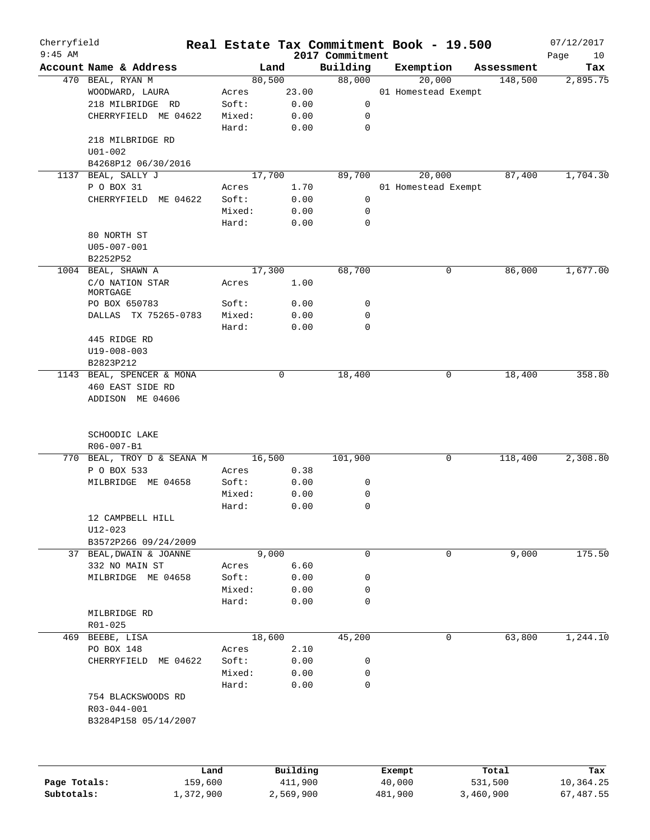| Cherryfield<br>$9:45$ AM |                                      |        |             |                             | Real Estate Tax Commitment Book - 19.500 |   |            | 07/12/2017        |
|--------------------------|--------------------------------------|--------|-------------|-----------------------------|------------------------------------------|---|------------|-------------------|
|                          | Account Name & Address               |        | Land        | 2017 Commitment<br>Building | Exemption                                |   | Assessment | Page<br>10<br>Tax |
|                          | 470 BEAL, RYAN M                     | 80,500 |             | 88,000                      | 20,000                                   |   | 148,500    | 2,895.75          |
|                          | WOODWARD, LAURA                      | Acres  | 23.00       |                             | 01 Homestead Exempt                      |   |            |                   |
|                          | 218 MILBRIDGE RD                     | Soft:  | 0.00        | 0                           |                                          |   |            |                   |
|                          | CHERRYFIELD ME 04622                 | Mixed: | 0.00        | 0                           |                                          |   |            |                   |
|                          |                                      | Hard:  | 0.00        | $\mathbf 0$                 |                                          |   |            |                   |
|                          | 218 MILBRIDGE RD                     |        |             |                             |                                          |   |            |                   |
|                          | $U01 - 002$                          |        |             |                             |                                          |   |            |                   |
|                          | B4268P12 06/30/2016                  |        |             |                             |                                          |   |            |                   |
|                          | 1137 BEAL, SALLY J                   | 17,700 |             | 89,700                      | 20,000                                   |   | 87,400     | 1,704.30          |
|                          | P O BOX 31                           | Acres  | 1.70        |                             | 01 Homestead Exempt                      |   |            |                   |
|                          | CHERRYFIELD ME 04622                 | Soft:  | 0.00        | 0                           |                                          |   |            |                   |
|                          |                                      | Mixed: | 0.00        | 0                           |                                          |   |            |                   |
|                          |                                      | Hard:  | 0.00        | $\mathbf 0$                 |                                          |   |            |                   |
|                          | 80 NORTH ST                          |        |             |                             |                                          |   |            |                   |
|                          | $U05 - 007 - 001$                    |        |             |                             |                                          |   |            |                   |
|                          |                                      |        |             |                             |                                          |   |            |                   |
|                          | B2252P52<br>1004 BEAL, SHAWN A       |        |             |                             |                                          |   |            |                   |
|                          |                                      | 17,300 |             | 68,700                      |                                          | 0 | 86,000     | 1,677.00          |
|                          | C/O NATION STAR<br>MORTGAGE          | Acres  | 1.00        |                             |                                          |   |            |                   |
|                          | PO BOX 650783                        | Soft:  | 0.00        | 0                           |                                          |   |            |                   |
|                          | DALLAS TX 75265-0783                 | Mixed: | 0.00        | 0                           |                                          |   |            |                   |
|                          |                                      | Hard:  |             | 0                           |                                          |   |            |                   |
|                          |                                      |        | 0.00        |                             |                                          |   |            |                   |
|                          | 445 RIDGE RD                         |        |             |                             |                                          |   |            |                   |
|                          | U19-008-003                          |        |             |                             |                                          |   |            |                   |
|                          | B2823P212                            |        |             |                             |                                          |   |            |                   |
|                          | 1143 BEAL, SPENCER & MONA            |        | $\mathbf 0$ | 18,400                      |                                          | 0 | 18,400     | 358.80            |
|                          | 460 EAST SIDE RD<br>ADDISON ME 04606 |        |             |                             |                                          |   |            |                   |
|                          |                                      |        |             |                             |                                          |   |            |                   |
|                          | SCHOODIC LAKE                        |        |             |                             |                                          |   |            |                   |
|                          | R06-007-B1                           |        |             |                             |                                          |   |            |                   |
|                          | 770 BEAL, TROY D & SEANA M           | 16,500 |             | 101,900                     |                                          | 0 | 118,400    | 2,308.80          |
|                          | P O BOX 533                          | Acres  | 0.38        |                             |                                          |   |            |                   |
|                          | MILBRIDGE ME 04658                   | Soft:  | 0.00        | 0                           |                                          |   |            |                   |
|                          |                                      | Mixed: | 0.00        | 0                           |                                          |   |            |                   |
|                          |                                      | Hard:  | 0.00        | 0                           |                                          |   |            |                   |
|                          | 12 CAMPBELL HILL                     |        |             |                             |                                          |   |            |                   |
|                          | $U12 - 023$                          |        |             |                             |                                          |   |            |                   |
|                          | B3572P266 09/24/2009                 |        |             |                             |                                          |   |            |                   |
|                          | 37 BEAL, DWAIN & JOANNE              |        | 9,000       | $\mathbf 0$                 |                                          | 0 | 9,000      | 175.50            |
|                          | 332 NO MAIN ST                       | Acres  | 6.60        |                             |                                          |   |            |                   |
|                          | MILBRIDGE ME 04658                   | Soft:  | 0.00        | 0                           |                                          |   |            |                   |
|                          |                                      | Mixed: | 0.00        | 0                           |                                          |   |            |                   |
|                          |                                      | Hard:  | 0.00        | 0                           |                                          |   |            |                   |
|                          | MILBRIDGE RD                         |        |             |                             |                                          |   |            |                   |
|                          | $R01 - 025$                          |        |             |                             |                                          |   |            |                   |
|                          | 469 BEEBE, LISA                      | 18,600 |             | 45,200                      |                                          | 0 | 63,800     | 1,244.10          |
|                          | PO BOX 148                           | Acres  | 2.10        |                             |                                          |   |            |                   |
|                          | CHERRYFIELD ME 04622                 | Soft:  | 0.00        | 0                           |                                          |   |            |                   |
|                          |                                      | Mixed: | 0.00        | $\mathbf 0$                 |                                          |   |            |                   |
|                          |                                      | Hard:  | 0.00        | $\mathbf 0$                 |                                          |   |            |                   |
|                          | 754 BLACKSWOODS RD                   |        |             |                             |                                          |   |            |                   |
|                          | R03-044-001<br>B3284P158 05/14/2007  |        |             |                             |                                          |   |            |                   |
|                          |                                      |        |             |                             |                                          |   |            |                   |
|                          |                                      | Land   | Building    |                             | Exempt                                   |   | Total      | Tax               |
| Page Totals:             | 159,600                              |        | 411,900     |                             | 40,000                                   |   | 531,500    | 10,364.25         |

**Subtotals:** 1,372,900 2,569,900 481,900 3,460,900 67,487.55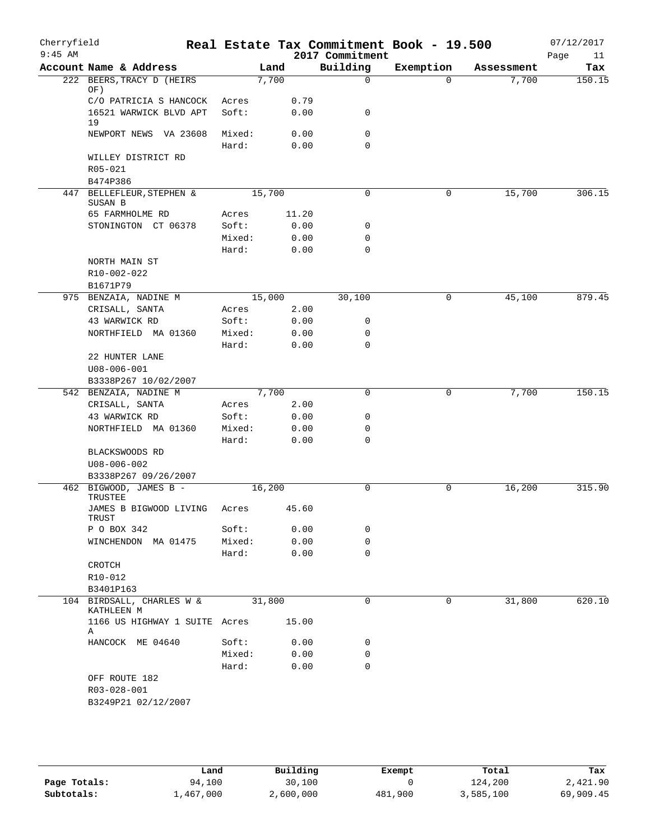| Cherryfield<br>$9:45$ AM |                                             |                 |        |              | Real Estate Tax Commitment Book - 19.500<br>2017 Commitment |           |            | 07/12/2017<br>Page<br>11 |
|--------------------------|---------------------------------------------|-----------------|--------|--------------|-------------------------------------------------------------|-----------|------------|--------------------------|
|                          | Account Name & Address                      |                 | Land   |              | Building                                                    | Exemption | Assessment | Tax                      |
|                          | 222 BEERS, TRACY D (HEIRS<br>OF)            |                 | 7,700  |              | $\Omega$                                                    | $\Omega$  | 7,700      | 150.15                   |
|                          | C/O PATRICIA S HANCOCK                      | Acres           |        | 0.79         |                                                             |           |            |                          |
|                          | 16521 WARWICK BLVD APT<br>19                | Soft:           |        | 0.00         | 0                                                           |           |            |                          |
|                          | NEWPORT NEWS VA 23608                       | Mixed:<br>Hard: |        | 0.00<br>0.00 | $\mathbf 0$<br>$\mathbf 0$                                  |           |            |                          |
|                          | WILLEY DISTRICT RD                          |                 |        |              |                                                             |           |            |                          |
|                          | R05-021                                     |                 |        |              |                                                             |           |            |                          |
|                          | B474P386                                    |                 |        |              |                                                             |           |            |                          |
|                          | 447 BELLEFLEUR, STEPHEN &<br>SUSAN B        |                 | 15,700 |              | $\mathbf 0$                                                 | 0         | 15,700     | 306.15                   |
|                          | 65 FARMHOLME RD                             | Acres           |        | 11.20        |                                                             |           |            |                          |
|                          | STONINGTON CT 06378                         | Soft:           |        | 0.00         | 0                                                           |           |            |                          |
|                          |                                             | Mixed:          |        | 0.00         | $\mathbf 0$                                                 |           |            |                          |
|                          |                                             | Hard:           |        | 0.00         | $\mathbf 0$                                                 |           |            |                          |
|                          | NORTH MAIN ST<br>R10-002-022<br>B1671P79    |                 |        |              |                                                             |           |            |                          |
|                          | 975 BENZAIA, NADINE M                       |                 | 15,000 |              | 30,100                                                      | 0         | 45,100     | 879.45                   |
|                          | CRISALL, SANTA                              | Acres           |        | 2.00         |                                                             |           |            |                          |
|                          | 43 WARWICK RD                               | Soft:           |        | 0.00         | $\mathbf 0$                                                 |           |            |                          |
|                          | NORTHFIELD MA 01360                         | Mixed:          |        | 0.00         | $\mathbf 0$                                                 |           |            |                          |
|                          |                                             | Hard:           |        | 0.00         | $\mathbf 0$                                                 |           |            |                          |
|                          | 22 HUNTER LANE<br>$U08 - 006 - 001$         |                 |        |              |                                                             |           |            |                          |
|                          | B3338P267 10/02/2007                        |                 |        |              |                                                             |           |            |                          |
|                          | 542 BENZAIA, NADINE M<br>CRISALL, SANTA     | Acres           | 7,700  | 2.00         | $\mathbf 0$                                                 | 0         | 7,700      | 150.15                   |
|                          | 43 WARWICK RD                               | Soft:           |        | 0.00         | 0                                                           |           |            |                          |
|                          | NORTHFIELD MA 01360                         | Mixed:          |        | 0.00         | 0                                                           |           |            |                          |
|                          |                                             | Hard:           |        | 0.00         | $\mathbf 0$                                                 |           |            |                          |
|                          | BLACKSWOODS RD                              |                 |        |              |                                                             |           |            |                          |
|                          | $U08 - 006 - 002$                           |                 |        |              |                                                             |           |            |                          |
|                          | B3338P267 09/26/2007                        |                 |        |              |                                                             |           |            |                          |
|                          | 462 BIGWOOD, JAMES B -<br>TRUSTEE           |                 | 16,200 |              | $\mathbf 0$                                                 | 0         | 16,200     | 315.90                   |
|                          | JAMES B BIGWOOD LIVING<br>TRUST             | Acres           |        | 45.60        |                                                             |           |            |                          |
|                          | P O BOX 342                                 | Soft:           |        | 0.00         | $\mathbf 0$                                                 |           |            |                          |
|                          | WINCHENDON MA 01475                         | Mixed:          |        | 0.00         | $\mathbf 0$                                                 |           |            |                          |
|                          |                                             | Hard:           |        | 0.00         | $\mathbf 0$                                                 |           |            |                          |
|                          | CROTCH                                      |                 |        |              |                                                             |           |            |                          |
|                          | R10-012                                     |                 |        |              |                                                             |           |            |                          |
|                          | B3401P163<br>104 BIRDSALL, CHARLES W &      |                 | 31,800 |              | $\mathbf 0$                                                 | 0         | 31,800     | 620.10                   |
|                          | KATHLEEN M<br>1166 US HIGHWAY 1 SUITE Acres |                 |        | 15.00        |                                                             |           |            |                          |
|                          | Α                                           |                 |        |              |                                                             |           |            |                          |
|                          | HANCOCK ME 04640                            | Soft:           |        | 0.00         | $\mathbf 0$                                                 |           |            |                          |
|                          |                                             | Mixed:          |        | 0.00         | $\mathbf 0$                                                 |           |            |                          |
|                          |                                             | Hard:           |        | 0.00         | $\mathbf 0$                                                 |           |            |                          |
|                          | OFF ROUTE 182                               |                 |        |              |                                                             |           |            |                          |
|                          | R03-028-001                                 |                 |        |              |                                                             |           |            |                          |
|                          | B3249P21 02/12/2007                         |                 |        |              |                                                             |           |            |                          |

|              | Land      | Building  | Exempt  | Total     | Tax       |
|--------------|-----------|-----------|---------|-----------|-----------|
| Page Totals: | 94,100    | 30,100    |         | 124,200   | 2,421.90  |
| Subtotals:   | 1,467,000 | 2,600,000 | 481,900 | 3,585,100 | 69,909.45 |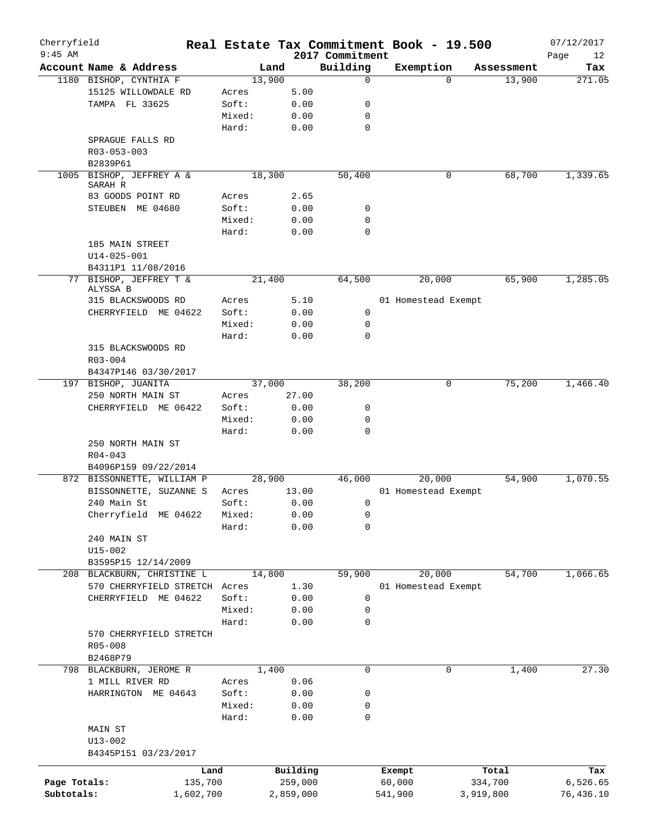| Cherryfield<br>$9:45$ AM |                                |           |        |           |      |                             | Real Estate Tax Commitment Book - 19.500 |           |            | 07/12/2017        |
|--------------------------|--------------------------------|-----------|--------|-----------|------|-----------------------------|------------------------------------------|-----------|------------|-------------------|
|                          | Account Name & Address         |           |        | Land      |      | 2017 Commitment<br>Building | Exemption                                |           | Assessment | Page<br>12<br>Tax |
|                          | 1180 BISHOP, CYNTHIA F         |           |        | 13,900    |      | 0                           |                                          | $\Omega$  | 13,900     | 271.05            |
|                          | 15125 WILLOWDALE RD            |           | Acres  |           | 5.00 |                             |                                          |           |            |                   |
|                          | TAMPA FL 33625                 |           | Soft:  |           | 0.00 | 0                           |                                          |           |            |                   |
|                          |                                |           | Mixed: | 0.00      |      | 0                           |                                          |           |            |                   |
|                          |                                |           | Hard:  |           |      | $\mathbf 0$                 |                                          |           |            |                   |
|                          |                                |           |        |           | 0.00 |                             |                                          |           |            |                   |
|                          | SPRAGUE FALLS RD               |           |        |           |      |                             |                                          |           |            |                   |
|                          | R03-053-003                    |           |        |           |      |                             |                                          |           |            |                   |
|                          | B2839P61                       |           |        |           |      |                             |                                          |           |            |                   |
| 1005                     | BISHOP, JEFFREY A &<br>SARAH R |           |        | 18,300    |      | 50,400                      |                                          | 0         | 68,700     | 1,339.65          |
|                          | 83 GOODS POINT RD              |           | Acres  |           | 2.65 |                             |                                          |           |            |                   |
|                          | STEUBEN ME 04680               |           | Soft:  |           | 0.00 | 0                           |                                          |           |            |                   |
|                          |                                |           | Mixed: | 0.00      |      | 0                           |                                          |           |            |                   |
|                          |                                |           |        |           |      |                             |                                          |           |            |                   |
|                          |                                |           | Hard:  |           | 0.00 | 0                           |                                          |           |            |                   |
|                          | 185 MAIN STREET                |           |        |           |      |                             |                                          |           |            |                   |
|                          | $U14 - 025 - 001$              |           |        |           |      |                             |                                          |           |            |                   |
|                          | B4311P1 11/08/2016             |           |        |           |      |                             |                                          |           |            |                   |
|                          | 77 BISHOP, JEFFREY T &         |           |        | 21,400    |      | 64,500                      | 20,000                                   |           | 65,900     | 1,285.05          |
|                          | ALYSSA B                       |           |        |           |      |                             |                                          |           |            |                   |
|                          | 315 BLACKSWOODS RD             |           | Acres  |           | 5.10 |                             | 01 Homestead Exempt                      |           |            |                   |
|                          | CHERRYFIELD ME 04622           |           | Soft:  |           | 0.00 | 0                           |                                          |           |            |                   |
|                          |                                |           | Mixed: |           | 0.00 | $\mathsf{O}$                |                                          |           |            |                   |
|                          |                                |           | Hard:  |           | 0.00 | $\Omega$                    |                                          |           |            |                   |
|                          | 315 BLACKSWOODS RD             |           |        |           |      |                             |                                          |           |            |                   |
|                          | $R03 - 004$                    |           |        |           |      |                             |                                          |           |            |                   |
|                          | B4347P146 03/30/2017           |           |        |           |      |                             |                                          |           |            |                   |
|                          | 197 BISHOP, JUANITA            |           |        | 37,000    |      | 38,200                      |                                          | 0         | 75,200     | 1,466.40          |
|                          | 250 NORTH MAIN ST              |           | Acres  | 27.00     |      |                             |                                          |           |            |                   |
|                          | CHERRYFIELD ME 06422           |           | Soft:  | 0.00      |      | 0                           |                                          |           |            |                   |
|                          |                                |           | Mixed: | 0.00      |      | 0                           |                                          |           |            |                   |
|                          |                                |           | Hard:  |           | 0.00 | 0                           |                                          |           |            |                   |
|                          | 250 NORTH MAIN ST              |           |        |           |      |                             |                                          |           |            |                   |
|                          | $R04 - 043$                    |           |        |           |      |                             |                                          |           |            |                   |
|                          | B4096P159 09/22/2014           |           |        |           |      |                             |                                          |           |            |                   |
|                          | 872 BISSONNETTE, WILLIAM P     |           |        | 28,900    |      | 46,000                      | 20,000                                   |           | 54,900     | 1,070.55          |
|                          | BISSONNETTE, SUZANNE S         |           | Acres  | 13.00     |      |                             | 01 Homestead Exempt                      |           |            |                   |
|                          | 240 Main St                    |           | Soft:  |           | 0.00 | 0                           |                                          |           |            |                   |
|                          | Cherryfield ME 04622           |           | Mixed: | 0.00      |      | 0                           |                                          |           |            |                   |
|                          |                                |           | Hard:  |           | 0.00 | 0                           |                                          |           |            |                   |
|                          |                                |           |        |           |      |                             |                                          |           |            |                   |
|                          | 240 MAIN ST                    |           |        |           |      |                             |                                          |           |            |                   |
|                          | $U15 - 002$                    |           |        |           |      |                             |                                          |           |            |                   |
|                          | B3595P15 12/14/2009            |           |        |           |      |                             |                                          |           |            |                   |
|                          | 208 BLACKBURN, CHRISTINE L     |           |        | 14,800    |      | 59,900                      | 20,000                                   |           | 54,700     | 1,066.65          |
|                          | 570 CHERRYFIELD STRETCH Acres  |           |        |           | 1.30 |                             | 01 Homestead Exempt                      |           |            |                   |
|                          | CHERRYFIELD ME 04622           |           | Soft:  |           | 0.00 | 0                           |                                          |           |            |                   |
|                          |                                |           | Mixed: |           | 0.00 | 0                           |                                          |           |            |                   |
|                          |                                |           | Hard:  |           | 0.00 | $\mathbf 0$                 |                                          |           |            |                   |
|                          | 570 CHERRYFIELD STRETCH        |           |        |           |      |                             |                                          |           |            |                   |
|                          | R05-008                        |           |        |           |      |                             |                                          |           |            |                   |
|                          | B2468P79                       |           |        |           |      |                             |                                          |           |            |                   |
|                          | 798 BLACKBURN, JEROME R        |           |        | 1,400     |      | 0                           |                                          | 0         | 1,400      | 27.30             |
|                          | 1 MILL RIVER RD                |           | Acres  |           | 0.06 |                             |                                          |           |            |                   |
|                          | HARRINGTON ME 04643            |           | Soft:  |           | 0.00 | 0                           |                                          |           |            |                   |
|                          |                                |           | Mixed: |           | 0.00 | 0                           |                                          |           |            |                   |
|                          |                                |           | Hard:  |           | 0.00 | 0                           |                                          |           |            |                   |
|                          | MAIN ST                        |           |        |           |      |                             |                                          |           |            |                   |
|                          | $U13 - 002$                    |           |        |           |      |                             |                                          |           |            |                   |
|                          | B4345P151 03/23/2017           |           |        |           |      |                             |                                          |           |            |                   |
|                          |                                |           |        |           |      |                             |                                          |           |            |                   |
|                          |                                | Land      |        | Building  |      |                             | Exempt                                   |           | Total      | Tax               |
| Page Totals:             |                                | 135,700   |        | 259,000   |      |                             | 60,000                                   |           | 334,700    | 6,526.65          |
| Subtotals:               |                                | 1,602,700 |        | 2,859,000 |      |                             | 541,900                                  | 3,919,800 |            | 76,436.10         |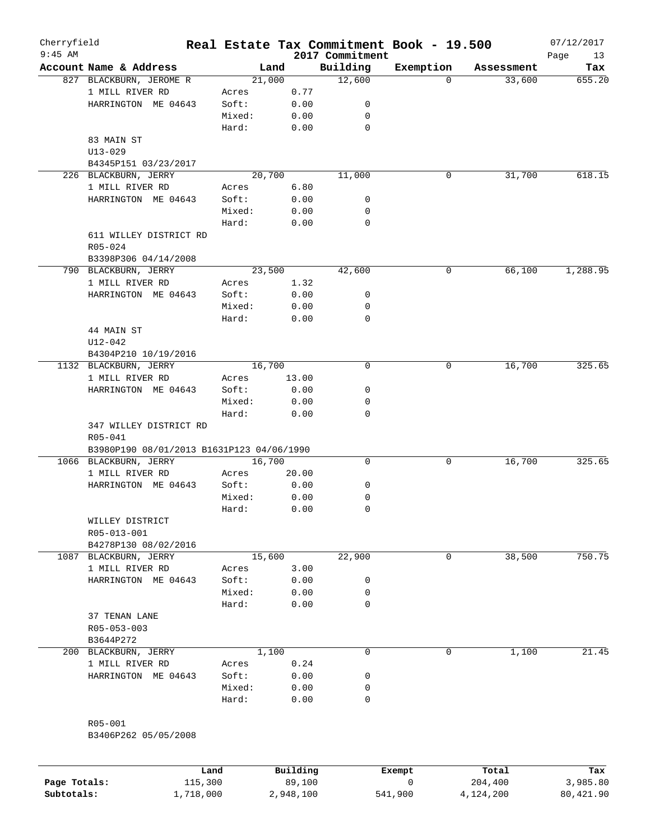| Cherryfield<br>$9:45$ AM |                                           |        |          | 2017 Commitment | Real Estate Tax Commitment Book - 19.500 |            | 07/12/2017<br>Page<br>13 |
|--------------------------|-------------------------------------------|--------|----------|-----------------|------------------------------------------|------------|--------------------------|
|                          | Account Name & Address                    |        | Land     | Building        | Exemption                                | Assessment | Tax                      |
|                          | 827 BLACKBURN, JEROME R                   |        | 21,000   | 12,600          | 0                                        | 33,600     | 655.20                   |
|                          | 1 MILL RIVER RD                           | Acres  | 0.77     |                 |                                          |            |                          |
|                          | HARRINGTON ME 04643                       | Soft:  | 0.00     | 0               |                                          |            |                          |
|                          |                                           | Mixed: | 0.00     | 0               |                                          |            |                          |
|                          |                                           | Hard:  | 0.00     | $\mathbf 0$     |                                          |            |                          |
|                          | 83 MAIN ST                                |        |          |                 |                                          |            |                          |
|                          | $U13 - 029$                               |        |          |                 |                                          |            |                          |
|                          | B4345P151 03/23/2017                      |        |          |                 |                                          |            |                          |
|                          | 226 BLACKBURN, JERRY                      |        | 20,700   | 11,000          | 0                                        | 31,700     | 618.15                   |
|                          | 1 MILL RIVER RD                           | Acres  | 6.80     |                 |                                          |            |                          |
|                          |                                           |        |          | 0               |                                          |            |                          |
|                          | HARRINGTON ME 04643                       | Soft:  | 0.00     |                 |                                          |            |                          |
|                          |                                           | Mixed: | 0.00     | 0               |                                          |            |                          |
|                          |                                           | Hard:  | 0.00     | $\mathbf 0$     |                                          |            |                          |
|                          | 611 WILLEY DISTRICT RD                    |        |          |                 |                                          |            |                          |
|                          | R05-024                                   |        |          |                 |                                          |            |                          |
|                          | B3398P306 04/14/2008                      |        |          |                 |                                          |            |                          |
|                          | 790 BLACKBURN, JERRY                      |        | 23,500   | 42,600          | 0                                        | 66,100     | 1,288.95                 |
|                          | 1 MILL RIVER RD                           | Acres  | 1.32     |                 |                                          |            |                          |
|                          | HARRINGTON ME 04643                       | Soft:  | 0.00     | 0               |                                          |            |                          |
|                          |                                           | Mixed: | 0.00     | 0               |                                          |            |                          |
|                          |                                           | Hard:  | 0.00     | $\mathbf 0$     |                                          |            |                          |
|                          | 44 MAIN ST                                |        |          |                 |                                          |            |                          |
|                          | $U12 - 042$                               |        |          |                 |                                          |            |                          |
|                          | B4304P210 10/19/2016                      |        |          |                 |                                          |            |                          |
|                          | 1132 BLACKBURN, JERRY                     |        | 16,700   | $\mathbf 0$     | 0                                        | 16,700     | 325.65                   |
|                          | 1 MILL RIVER RD                           | Acres  | 13.00    |                 |                                          |            |                          |
|                          | HARRINGTON ME 04643                       | Soft:  | 0.00     | 0               |                                          |            |                          |
|                          |                                           | Mixed: | 0.00     | 0               |                                          |            |                          |
|                          |                                           | Hard:  | 0.00     | $\mathbf 0$     |                                          |            |                          |
|                          | 347 WILLEY DISTRICT RD                    |        |          |                 |                                          |            |                          |
|                          | R05-041                                   |        |          |                 |                                          |            |                          |
|                          | B3980P190 08/01/2013 B1631P123 04/06/1990 |        |          |                 |                                          |            |                          |
|                          | 1066 BLACKBURN, JERRY                     |        | 16,700   | 0               | 0                                        | 16,700     | 325.65                   |
|                          | 1 MILL RIVER RD                           | Acres  | 20.00    |                 |                                          |            |                          |
|                          | HARRINGTON ME 04643                       | Soft:  | 0.00     | 0               |                                          |            |                          |
|                          |                                           | Mixed: | 0.00     | 0               |                                          |            |                          |
|                          |                                           | Hard:  | 0.00     | $\mathbf 0$     |                                          |            |                          |
|                          | WILLEY DISTRICT                           |        |          |                 |                                          |            |                          |
|                          | R05-013-001                               |        |          |                 |                                          |            |                          |
|                          | B4278P130 08/02/2016                      |        |          |                 |                                          |            |                          |
|                          | 1087 BLACKBURN, JERRY                     |        | 15,600   | 22,900          | 0                                        | 38,500     | 750.75                   |
|                          | 1 MILL RIVER RD                           | Acres  | 3.00     |                 |                                          |            |                          |
|                          | HARRINGTON ME 04643                       | Soft:  | 0.00     | 0               |                                          |            |                          |
|                          |                                           | Mixed: | 0.00     | 0               |                                          |            |                          |
|                          |                                           | Hard:  |          | $\mathbf 0$     |                                          |            |                          |
|                          |                                           |        | 0.00     |                 |                                          |            |                          |
|                          | 37 TENAN LANE                             |        |          |                 |                                          |            |                          |
|                          | R05-053-003                               |        |          |                 |                                          |            |                          |
|                          | B3644P272                                 |        |          |                 |                                          |            |                          |
|                          | 200 BLACKBURN, JERRY                      |        | 1,100    | 0               | 0                                        | 1,100      | 21.45                    |
|                          | 1 MILL RIVER RD                           | Acres  | 0.24     |                 |                                          |            |                          |
|                          | HARRINGTON ME 04643                       | Soft:  | 0.00     | 0               |                                          |            |                          |
|                          |                                           | Mixed: | 0.00     | 0               |                                          |            |                          |
|                          |                                           | Hard:  | 0.00     | $\mathbf 0$     |                                          |            |                          |
|                          |                                           |        |          |                 |                                          |            |                          |
|                          | R05-001                                   |        |          |                 |                                          |            |                          |
|                          | B3406P262 05/05/2008                      |        |          |                 |                                          |            |                          |
|                          |                                           |        |          |                 |                                          |            |                          |
|                          |                                           |        |          |                 |                                          |            |                          |
|                          |                                           | Land   | Building |                 | Exempt                                   | Total      | Tax                      |

|              | nana      | <b>DUITOTII</b> | LACINUL | TOLAT     | ias.      |
|--------------|-----------|-----------------|---------|-----------|-----------|
| Page Totals: | 115,300   | 89,100          |         | 204,400   | 3,985.80  |
| Subtotals:   | 1,718,000 | 2,948,100       | 541,900 | 4,124,200 | 80,421.90 |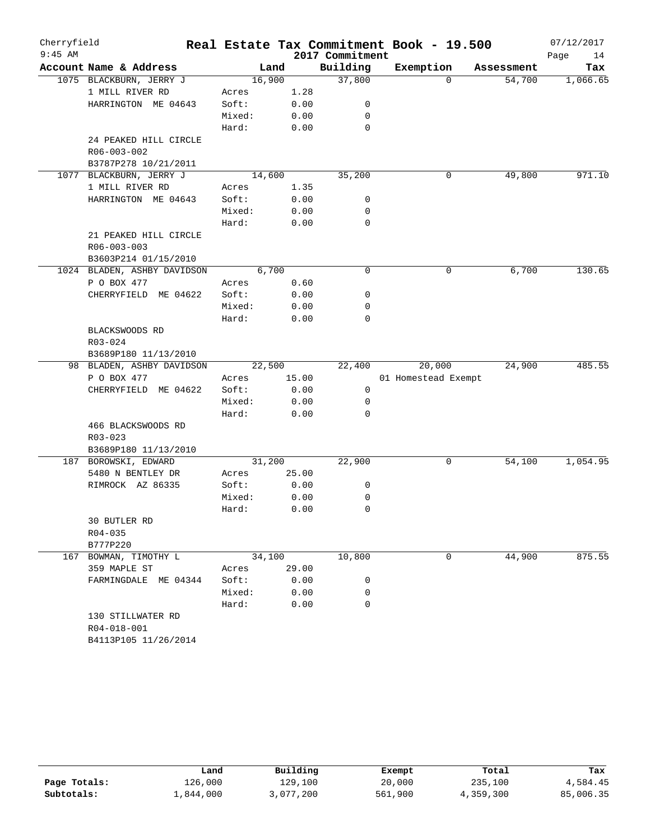| Cherryfield<br>$9:45$ AM |                             |        |        | 2017 Commitment | Real Estate Tax Commitment Book - 19.500 |            | 07/12/2017<br>Page<br>14 |
|--------------------------|-----------------------------|--------|--------|-----------------|------------------------------------------|------------|--------------------------|
|                          | Account Name & Address      |        | Land   | Building        | Exemption                                | Assessment | Tax                      |
|                          | 1075 BLACKBURN, JERRY J     |        | 16,900 | 37,800          | $\Omega$                                 | 54,700     | 1,066.65                 |
|                          | 1 MILL RIVER RD             | Acres  | 1.28   |                 |                                          |            |                          |
|                          | HARRINGTON ME 04643         | Soft:  | 0.00   | 0               |                                          |            |                          |
|                          |                             | Mixed: | 0.00   | 0               |                                          |            |                          |
|                          |                             | Hard:  | 0.00   | $\mathbf 0$     |                                          |            |                          |
|                          | 24 PEAKED HILL CIRCLE       |        |        |                 |                                          |            |                          |
|                          | R06-003-002                 |        |        |                 |                                          |            |                          |
|                          | B3787P278 10/21/2011        |        |        |                 |                                          |            |                          |
|                          | 1077 BLACKBURN, JERRY J     |        | 14,600 | 35,200          | 0                                        | 49,800     | 971.10                   |
|                          | 1 MILL RIVER RD             | Acres  | 1.35   |                 |                                          |            |                          |
|                          | HARRINGTON ME 04643         | Soft:  | 0.00   | 0               |                                          |            |                          |
|                          |                             | Mixed: | 0.00   | 0               |                                          |            |                          |
|                          |                             | Hard:  | 0.00   | $\mathbf 0$     |                                          |            |                          |
|                          | 21 PEAKED HILL CIRCLE       |        |        |                 |                                          |            |                          |
|                          | R06-003-003                 |        |        |                 |                                          |            |                          |
|                          | B3603P214 01/15/2010        |        |        |                 |                                          |            |                          |
|                          | 1024 BLADEN, ASHBY DAVIDSON |        | 6,700  | 0               | 0                                        | 6,700      | 130.65                   |
|                          | P O BOX 477                 | Acres  | 0.60   |                 |                                          |            |                          |
|                          | CHERRYFIELD ME 04622        | Soft:  | 0.00   | 0               |                                          |            |                          |
|                          |                             | Mixed: | 0.00   | 0               |                                          |            |                          |
|                          |                             | Hard:  | 0.00   | 0               |                                          |            |                          |
|                          | BLACKSWOODS RD              |        |        |                 |                                          |            |                          |
|                          | R03-024                     |        |        |                 |                                          |            |                          |
|                          | B3689P180 11/13/2010        |        |        |                 |                                          |            |                          |
|                          | 98 BLADEN, ASHBY DAVIDSON   |        | 22,500 | 22,400          | 20,000                                   | 24,900     | 485.55                   |
|                          | P O BOX 477                 | Acres  | 15.00  |                 | 01 Homestead Exempt                      |            |                          |
|                          | CHERRYFIELD ME 04622        | Soft:  | 0.00   | 0               |                                          |            |                          |
|                          |                             | Mixed: | 0.00   | 0               |                                          |            |                          |
|                          |                             | Hard:  | 0.00   | 0               |                                          |            |                          |
|                          | 466 BLACKSWOODS RD          |        |        |                 |                                          |            |                          |
|                          | R03-023                     |        |        |                 |                                          |            |                          |
|                          | B3689P180 11/13/2010        |        |        |                 |                                          |            |                          |
|                          | 187 BOROWSKI, EDWARD        |        | 31,200 | 22,900          | 0                                        | 54,100     | 1,054.95                 |
|                          | 5480 N BENTLEY DR           | Acres  | 25.00  |                 |                                          |            |                          |
|                          | RIMROCK AZ 86335            | Soft:  | 0.00   | 0               |                                          |            |                          |
|                          |                             | Mixed: | 0.00   | 0               |                                          |            |                          |
|                          |                             | Hard:  | 0.00   | 0               |                                          |            |                          |
|                          | 30 BUTLER RD                |        |        |                 |                                          |            |                          |
|                          | R04-035                     |        |        |                 |                                          |            |                          |
|                          | B777P220                    |        |        |                 |                                          |            |                          |
| 167                      | BOWMAN, TIMOTHY L           |        | 34,100 | 10,800          | 0                                        | 44,900     | 875.55                   |
|                          | 359 MAPLE ST                | Acres  | 29.00  |                 |                                          |            |                          |
|                          | FARMINGDALE ME 04344        | Soft:  | 0.00   | 0               |                                          |            |                          |
|                          |                             | Mixed: | 0.00   | 0               |                                          |            |                          |
|                          |                             | Hard:  | 0.00   | 0               |                                          |            |                          |
|                          | 130 STILLWATER RD           |        |        |                 |                                          |            |                          |
|                          | R04-018-001                 |        |        |                 |                                          |            |                          |
|                          | B4113P105 11/26/2014        |        |        |                 |                                          |            |                          |

|              | Land      | Building  | Exempt  | Total     | Tax       |
|--------------|-----------|-----------|---------|-----------|-----------|
| Page Totals: | 126,000   | 129,100   | 20,000  | 235,100   | 4,584.45  |
| Subtotals:   | 1,844,000 | 3,077,200 | 561,900 | 4,359,300 | 85,006.35 |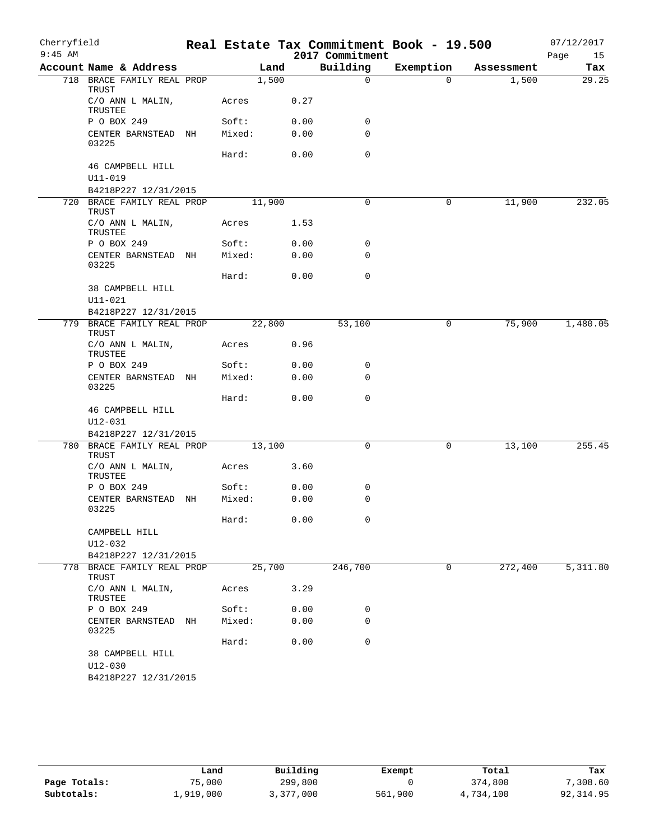| Cherryfield |                                     |        |        |      | Real Estate Tax Commitment Book - 19.500 |             |            | 07/12/2017 |
|-------------|-------------------------------------|--------|--------|------|------------------------------------------|-------------|------------|------------|
| $9:45$ AM   |                                     |        |        |      | 2017 Commitment                          |             |            | Page<br>15 |
|             | Account Name & Address              |        | Land   |      | Building                                 | Exemption   | Assessment | Tax        |
|             | 718 BRACE FAMILY REAL PROP<br>TRUST |        | 1,500  |      | $\Omega$                                 | $\Omega$    | 1,500      | 29.25      |
|             | C/O ANN L MALIN,<br>TRUSTEE         | Acres  |        | 0.27 |                                          |             |            |            |
|             | P O BOX 249                         | Soft:  |        | 0.00 | 0                                        |             |            |            |
|             | CENTER BARNSTEAD NH<br>03225        | Mixed: |        | 0.00 | 0                                        |             |            |            |
|             | 46 CAMPBELL HILL                    | Hard:  |        | 0.00 | $\mathbf 0$                              |             |            |            |
|             | U11-019                             |        |        |      |                                          |             |            |            |
|             | B4218P227 12/31/2015                |        |        |      |                                          |             |            |            |
|             | 720 BRACE FAMILY REAL PROP<br>TRUST |        | 11,900 |      | 0                                        | 0           | 11,900     | 232.05     |
|             | C/O ANN L MALIN,<br>TRUSTEE         | Acres  |        | 1.53 |                                          |             |            |            |
|             | P O BOX 249                         | Soft:  |        | 0.00 | 0                                        |             |            |            |
|             | CENTER BARNSTEAD NH<br>03225        | Mixed: |        | 0.00 | 0                                        |             |            |            |
|             | 38 CAMPBELL HILL                    | Hard:  |        | 0.00 | $\mathbf 0$                              |             |            |            |
|             | $U11 - 021$<br>B4218P227 12/31/2015 |        |        |      |                                          |             |            |            |
|             | 779 BRACE FAMILY REAL PROP<br>TRUST |        | 22,800 |      | 53,100                                   | $\mathbf 0$ | 75,900     | 1,480.05   |
|             | C/O ANN L MALIN,<br>TRUSTEE         | Acres  |        | 0.96 |                                          |             |            |            |
|             | P O BOX 249                         | Soft:  |        | 0.00 | 0                                        |             |            |            |
|             | CENTER BARNSTEAD NH<br>03225        | Mixed: |        | 0.00 | $\Omega$                                 |             |            |            |
|             |                                     | Hard:  |        | 0.00 | $\mathbf 0$                              |             |            |            |
|             | 46 CAMPBELL HILL<br>$U12 - 031$     |        |        |      |                                          |             |            |            |
|             | B4218P227 12/31/2015                |        |        |      |                                          |             |            |            |
|             | 780 BRACE FAMILY REAL PROP<br>TRUST |        | 13,100 |      | 0                                        | 0           | 13,100     | 255.45     |
|             | C/O ANN L MALIN,<br>TRUSTEE         | Acres  |        | 3.60 |                                          |             |            |            |
|             | P O BOX 249                         | Soft:  |        | 0.00 | 0                                        |             |            |            |
|             | CENTER BARNSTEAD NH<br>03225        | Mixed: |        | 0.00 | $\mathbf 0$                              |             |            |            |
|             | CAMPBELL HILL                       | Hard:  |        | 0.00 | $\mathbf 0$                              |             |            |            |
|             | U12-032                             |        |        |      |                                          |             |            |            |
|             | B4218P227 12/31/2015                |        |        |      |                                          |             |            |            |
|             | 778 BRACE FAMILY REAL PROP<br>TRUST |        | 25,700 |      | 246,700                                  | 0           | 272,400    | 5,311.80   |
|             | C/O ANN L MALIN,<br>TRUSTEE         | Acres  |        | 3.29 |                                          |             |            |            |
|             | P O BOX 249                         | Soft:  |        | 0.00 | 0                                        |             |            |            |
|             | CENTER BARNSTEAD NH<br>03225        | Mixed: |        | 0.00 | 0                                        |             |            |            |
|             | 38 CAMPBELL HILL                    | Hard:  |        | 0.00 | 0                                        |             |            |            |
|             | U12-030                             |        |        |      |                                          |             |            |            |
|             | B4218P227 12/31/2015                |        |        |      |                                          |             |            |            |

|              | Land      | Building  | Exempt  | Total     | Tax       |
|--------------|-----------|-----------|---------|-----------|-----------|
| Page Totals: | 75,000    | 299,800   |         | 374,800   | 7,308.60  |
| Subtotals:   | 1,919,000 | 3,377,000 | 561,900 | 4,734,100 | 92,314.95 |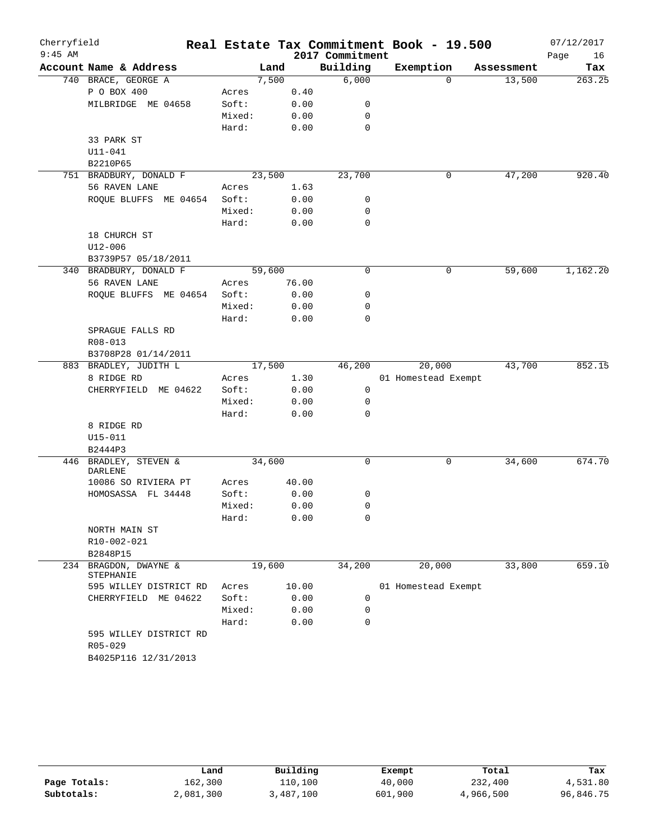| Cherryfield |                                   |                 |        |       |                 | Real Estate Tax Commitment Book - 19.500 |            | 07/12/2017 |
|-------------|-----------------------------------|-----------------|--------|-------|-----------------|------------------------------------------|------------|------------|
| $9:45$ AM   |                                   |                 |        |       | 2017 Commitment |                                          |            | Page<br>16 |
|             | Account Name & Address            |                 | Land   |       | Building        | Exemption                                | Assessment | Tax        |
|             | 740 BRACE, GEORGE A               |                 | 7,500  |       | 6,000           | $\Omega$                                 | 13,500     | 263.25     |
|             | P O BOX 400                       | Acres           |        | 0.40  |                 |                                          |            |            |
|             | MILBRIDGE ME 04658                | Soft:           |        | 0.00  | 0               |                                          |            |            |
|             |                                   | Mixed:          |        | 0.00  | 0               |                                          |            |            |
|             |                                   | Hard:           |        | 0.00  | $\mathbf 0$     |                                          |            |            |
|             | 33 PARK ST                        |                 |        |       |                 |                                          |            |            |
|             | $U11 - 041$                       |                 |        |       |                 |                                          |            |            |
|             | B2210P65                          |                 |        |       |                 |                                          |            |            |
|             | 751 BRADBURY, DONALD F            |                 | 23,500 |       | 23,700          | $\mathsf{O}$                             | 47,200     | 920.40     |
|             | 56 RAVEN LANE                     | Acres           |        | 1.63  |                 |                                          |            |            |
|             | ROQUE BLUFFS ME 04654             | Soft:           |        | 0.00  | 0               |                                          |            |            |
|             |                                   | Mixed:          |        | 0.00  | 0               |                                          |            |            |
|             |                                   | Hard:           |        | 0.00  | 0               |                                          |            |            |
|             | 18 CHURCH ST                      |                 |        |       |                 |                                          |            |            |
|             | $U12 - 006$                       |                 |        |       |                 |                                          |            |            |
|             | B3739P57 05/18/2011               |                 |        |       |                 |                                          |            |            |
|             | 340 BRADBURY, DONALD F            |                 | 59,600 |       | $\mathbf 0$     | $\mathsf{O}$                             | 59,600     | 1,162.20   |
|             | 56 RAVEN LANE                     | Acres           |        | 76.00 |                 |                                          |            |            |
|             | ROQUE BLUFFS ME 04654             | Soft:           |        | 0.00  | 0               |                                          |            |            |
|             |                                   | Mixed:          |        | 0.00  | 0               |                                          |            |            |
|             |                                   | Hard:           |        | 0.00  | $\mathbf 0$     |                                          |            |            |
|             | SPRAGUE FALLS RD                  |                 |        |       |                 |                                          |            |            |
|             | $R08 - 013$                       |                 |        |       |                 |                                          |            |            |
|             | B3708P28 01/14/2011               |                 |        |       |                 |                                          |            |            |
|             | 883 BRADLEY, JUDITH L             |                 | 17,500 |       | 46,200          | 20,000                                   | 43,700     | 852.15     |
|             | 8 RIDGE RD                        | Acres           |        | 1.30  |                 | 01 Homestead Exempt                      |            |            |
|             | CHERRYFIELD ME 04622              | Soft:           |        | 0.00  | 0               |                                          |            |            |
|             |                                   | Mixed:          |        | 0.00  | 0               |                                          |            |            |
|             |                                   | Hard:           |        | 0.00  | 0               |                                          |            |            |
|             | 8 RIDGE RD                        |                 |        |       |                 |                                          |            |            |
|             | U15-011                           |                 |        |       |                 |                                          |            |            |
|             | B2444P3                           |                 |        |       |                 |                                          |            |            |
|             | 446 BRADLEY, STEVEN &             |                 | 34,600 |       | 0               | 0                                        | 34,600     | 674.70     |
|             | <b>DARLENE</b>                    |                 |        |       |                 |                                          |            |            |
|             | 10086 SO RIVIERA PT               | Acres           |        | 40.00 |                 |                                          |            |            |
|             | HOMOSASSA FL 34448                | Soft:<br>Mixed: |        | 0.00  | 0<br>0          |                                          |            |            |
|             |                                   |                 |        | 0.00  | 0               |                                          |            |            |
|             |                                   | Hard:           |        | 0.00  |                 |                                          |            |            |
|             | NORTH MAIN ST                     |                 |        |       |                 |                                          |            |            |
|             | R10-002-021                       |                 |        |       |                 |                                          |            |            |
|             | B2848P15<br>234 BRAGDON, DWAYNE & |                 | 19,600 |       | 34,200          | 20,000                                   | 33,800     | 659.10     |
|             | STEPHANIE                         |                 |        |       |                 |                                          |            |            |
|             | 595 WILLEY DISTRICT RD            | Acres           |        | 10.00 |                 | 01 Homestead Exempt                      |            |            |
|             | CHERRYFIELD ME 04622              | Soft:           |        | 0.00  | 0               |                                          |            |            |
|             |                                   | Mixed:          |        | 0.00  | 0               |                                          |            |            |
|             |                                   | Hard:           |        | 0.00  | $\mathbf 0$     |                                          |            |            |
|             | 595 WILLEY DISTRICT RD            |                 |        |       |                 |                                          |            |            |
|             | R05-029                           |                 |        |       |                 |                                          |            |            |
|             | B4025P116 12/31/2013              |                 |        |       |                 |                                          |            |            |

|              | Land      | Building  | Exempt  | Total     | Tax       |
|--------------|-----------|-----------|---------|-----------|-----------|
| Page Totals: | 162,300   | 110,100   | 40,000  | 232,400   | 4,531.80  |
| Subtotals:   | 2,081,300 | 3,487,100 | 601,900 | 4,966,500 | 96,846.75 |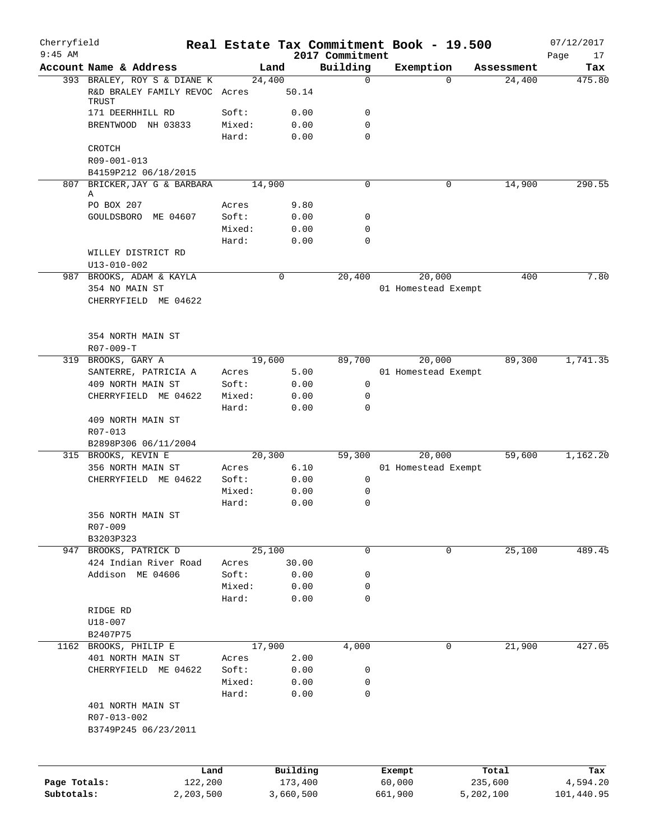| Cherryfield<br>$9:45$ AM |                                                      |                |              | 2017 Commitment | Real Estate Tax Commitment Book - 19.500 |          |            | 07/12/2017<br>Page<br>17 |
|--------------------------|------------------------------------------------------|----------------|--------------|-----------------|------------------------------------------|----------|------------|--------------------------|
|                          | Account Name & Address                               |                | Land         | Building        | Exemption                                |          | Assessment | Tax                      |
|                          | 393 BRALEY, ROY S & DIANE K                          |                | 24,400       | 0               |                                          | $\Omega$ | 24,400     | 475.80                   |
|                          | R&D BRALEY FAMILY REVOC Acres<br><b>TRUST</b>        |                | 50.14        |                 |                                          |          |            |                          |
|                          | 171 DEERHHILL RD                                     | Soft:          | 0.00         | 0               |                                          |          |            |                          |
|                          | BRENTWOOD NH 03833                                   | Mixed:         | 0.00         | 0               |                                          |          |            |                          |
|                          |                                                      | Hard:          | 0.00         | 0               |                                          |          |            |                          |
|                          | CROTCH                                               |                |              |                 |                                          |          |            |                          |
|                          | R09-001-013                                          |                |              |                 |                                          |          |            |                          |
|                          | B4159P212 06/18/2015<br>807 BRICKER, JAY G & BARBARA |                | 14,900       | 0               |                                          | 0        | 14,900     | 290.55                   |
|                          | Α                                                    |                |              |                 |                                          |          |            |                          |
|                          | PO BOX 207                                           | Acres          | 9.80         |                 |                                          |          |            |                          |
|                          | GOULDSBORO ME 04607                                  | Soft:          | 0.00         | 0               |                                          |          |            |                          |
|                          |                                                      | Mixed:         | 0.00         | 0               |                                          |          |            |                          |
|                          |                                                      | Hard:          | 0.00         | 0               |                                          |          |            |                          |
|                          | WILLEY DISTRICT RD                                   |                |              |                 |                                          |          |            |                          |
|                          | $U13 - 010 - 002$                                    |                |              |                 |                                          |          |            |                          |
| 987                      | BROOKS, ADAM & KAYLA                                 |                | 0            | 20,400          | 20,000                                   |          | 400        | 7.80                     |
|                          | 354 NO MAIN ST<br>CHERRYFIELD ME 04622               |                |              |                 | 01 Homestead Exempt                      |          |            |                          |
|                          |                                                      |                |              |                 |                                          |          |            |                          |
|                          |                                                      |                |              |                 |                                          |          |            |                          |
|                          | 354 NORTH MAIN ST                                    |                |              |                 |                                          |          |            |                          |
|                          | $R07 - 009 - T$                                      |                |              |                 |                                          |          |            |                          |
| 319                      | BROOKS, GARY A                                       |                | 19,600       | 89,700          | 20,000                                   |          | 89,300     | 1,741.35                 |
|                          | SANTERRE, PATRICIA A                                 | Acres          | 5.00         |                 | 01 Homestead Exempt                      |          |            |                          |
|                          | 409 NORTH MAIN ST                                    | Soft:          | 0.00         | 0               |                                          |          |            |                          |
|                          | CHERRYFIELD ME 04622                                 | Mixed:         | 0.00         | 0               |                                          |          |            |                          |
|                          |                                                      | Hard:          | 0.00         | $\mathbf 0$     |                                          |          |            |                          |
|                          | 409 NORTH MAIN ST                                    |                |              |                 |                                          |          |            |                          |
|                          | R07-013                                              |                |              |                 |                                          |          |            |                          |
|                          | B2898P306 06/11/2004                                 |                |              |                 |                                          |          |            |                          |
|                          | 315 BROOKS, KEVIN E                                  |                | 20,300       | 59,300          | 20,000                                   |          | 59,600     | 1,162.20                 |
|                          | 356 NORTH MAIN ST<br>CHERRYFIELD ME 04622            | Acres<br>Soft: | 6.10<br>0.00 | 0               | 01 Homestead Exempt                      |          |            |                          |
|                          |                                                      | Mixed:         | 0.00         | 0               |                                          |          |            |                          |
|                          |                                                      | Hard:          | 0.00         | 0               |                                          |          |            |                          |
|                          | 356 NORTH MAIN ST                                    |                |              |                 |                                          |          |            |                          |
|                          | R07-009                                              |                |              |                 |                                          |          |            |                          |
|                          | B3203P323                                            |                |              |                 |                                          |          |            |                          |
| 947                      | BROOKS, PATRICK D                                    |                | 25,100       | 0               |                                          | 0        | 25,100     | 489.45                   |
|                          | 424 Indian River Road                                | Acres          | 30.00        |                 |                                          |          |            |                          |
|                          | Addison ME 04606                                     | Soft:          | 0.00         | 0               |                                          |          |            |                          |
|                          |                                                      | Mixed:         | 0.00         | 0               |                                          |          |            |                          |
|                          |                                                      | Hard:          | 0.00         | 0               |                                          |          |            |                          |
|                          | RIDGE RD                                             |                |              |                 |                                          |          |            |                          |
|                          | $U18 - 007$                                          |                |              |                 |                                          |          |            |                          |
|                          | B2407P75                                             |                |              |                 |                                          |          |            |                          |
|                          | 1162 BROOKS, PHILIP E                                |                | 17,900       | 4,000           |                                          | 0        | 21,900     | 427.05                   |
|                          | 401 NORTH MAIN ST<br>CHERRYFIELD ME 04622            | Acres<br>Soft: | 2.00<br>0.00 | 0               |                                          |          |            |                          |
|                          |                                                      | Mixed:         | 0.00         | 0               |                                          |          |            |                          |
|                          |                                                      | Hard:          | 0.00         | 0               |                                          |          |            |                          |
|                          | 401 NORTH MAIN ST                                    |                |              |                 |                                          |          |            |                          |
|                          | R07-013-002                                          |                |              |                 |                                          |          |            |                          |
|                          | B3749P245 06/23/2011                                 |                |              |                 |                                          |          |            |                          |
|                          |                                                      |                |              |                 |                                          |          |            |                          |
|                          | Land                                                 |                | Building     |                 | Exempt                                   |          | Total      | Tax                      |
| Page Totals:             | 122,200                                              |                | 173,400      |                 | 60,000                                   |          | 235,600    | 4,594.20                 |
| Subtotals:               | 2,203,500                                            |                | 3,660,500    |                 | 661,900                                  |          | 5,202,100  | 101,440.95               |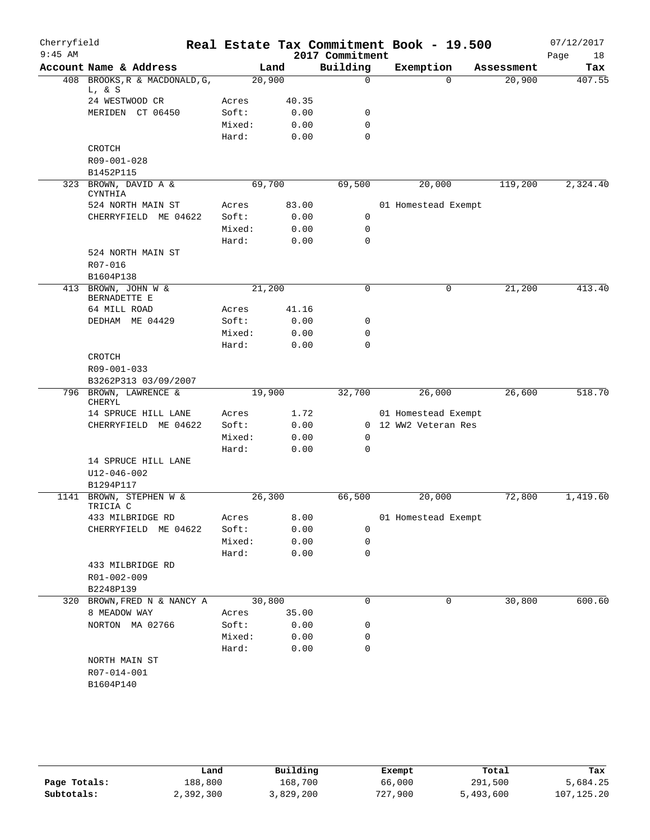| 408 BROOKS, R & MACDONALD, G,<br>Acres<br>Soft:<br>Mixed:<br>Hard:<br>Acres<br>Soft:<br>Mixed:<br>Hard: | Land<br>20,900<br>40.35<br>0.00<br>0.00<br>0.00<br>69,700<br>83.00<br>0.00<br>0.00<br>0.00 | Building<br>$\mathbf 0$<br>0<br>$\mathbf 0$<br>$\mathbf 0$<br>69,500<br>0<br>0<br>$\mathbf 0$ |                                               | Exemption<br>$\Omega$<br>20,000<br>01 Homestead Exempt | Assessment<br>20,900<br>119,200 | Tax      |
|---------------------------------------------------------------------------------------------------------|--------------------------------------------------------------------------------------------|-----------------------------------------------------------------------------------------------|-----------------------------------------------|--------------------------------------------------------|---------------------------------|----------|
|                                                                                                         |                                                                                            |                                                                                               |                                               |                                                        |                                 | 407.55   |
|                                                                                                         |                                                                                            |                                                                                               |                                               |                                                        |                                 |          |
|                                                                                                         |                                                                                            |                                                                                               |                                               |                                                        |                                 | 2,324.40 |
|                                                                                                         |                                                                                            |                                                                                               |                                               |                                                        |                                 |          |
|                                                                                                         |                                                                                            |                                                                                               |                                               |                                                        |                                 |          |
|                                                                                                         |                                                                                            |                                                                                               |                                               |                                                        |                                 |          |
|                                                                                                         |                                                                                            |                                                                                               |                                               |                                                        |                                 |          |
|                                                                                                         |                                                                                            |                                                                                               |                                               |                                                        |                                 |          |
|                                                                                                         |                                                                                            |                                                                                               |                                               |                                                        |                                 |          |
|                                                                                                         |                                                                                            |                                                                                               |                                               |                                                        |                                 |          |
|                                                                                                         |                                                                                            |                                                                                               |                                               |                                                        |                                 |          |
|                                                                                                         |                                                                                            |                                                                                               |                                               |                                                        |                                 |          |
|                                                                                                         |                                                                                            |                                                                                               |                                               |                                                        |                                 |          |
|                                                                                                         |                                                                                            |                                                                                               |                                               |                                                        |                                 |          |
|                                                                                                         |                                                                                            |                                                                                               |                                               |                                                        |                                 |          |
|                                                                                                         |                                                                                            |                                                                                               |                                               |                                                        |                                 |          |
|                                                                                                         |                                                                                            |                                                                                               |                                               |                                                        |                                 |          |
|                                                                                                         |                                                                                            |                                                                                               |                                               |                                                        |                                 |          |
|                                                                                                         | 21,200                                                                                     | $\mathbf 0$                                                                                   |                                               | $\mathbf 0$                                            | 21,200                          | 413.40   |
| Acres                                                                                                   | 41.16                                                                                      |                                                                                               |                                               |                                                        |                                 |          |
| Soft:                                                                                                   | 0.00                                                                                       | 0                                                                                             |                                               |                                                        |                                 |          |
| Mixed:                                                                                                  | 0.00                                                                                       | $\mathbf 0$                                                                                   |                                               |                                                        |                                 |          |
| Hard:                                                                                                   | 0.00                                                                                       | 0                                                                                             |                                               |                                                        |                                 |          |
|                                                                                                         |                                                                                            |                                                                                               |                                               |                                                        |                                 |          |
|                                                                                                         |                                                                                            |                                                                                               |                                               |                                                        |                                 |          |
|                                                                                                         |                                                                                            |                                                                                               |                                               |                                                        |                                 |          |
|                                                                                                         | 19,900                                                                                     | 32,700                                                                                        |                                               | 26,000                                                 | 26,600                          | 518.70   |
| Acres                                                                                                   | 1.72                                                                                       |                                                                                               |                                               | 01 Homestead Exempt                                    |                                 |          |
| Soft:                                                                                                   | 0.00                                                                                       |                                                                                               |                                               | 0 12 WW2 Veteran Res                                   |                                 |          |
| Mixed:                                                                                                  | 0.00                                                                                       | 0                                                                                             |                                               |                                                        |                                 |          |
| Hard:                                                                                                   | 0.00                                                                                       | $\mathbf 0$                                                                                   |                                               |                                                        |                                 |          |
|                                                                                                         |                                                                                            |                                                                                               |                                               |                                                        |                                 |          |
|                                                                                                         |                                                                                            |                                                                                               |                                               |                                                        |                                 |          |
|                                                                                                         |                                                                                            |                                                                                               |                                               |                                                        |                                 |          |
|                                                                                                         | 26,300                                                                                     | 66,500                                                                                        |                                               | 20,000                                                 | 72,800                          | 1,419.60 |
| Acres                                                                                                   | 8.00                                                                                       |                                                                                               |                                               | 01 Homestead Exempt                                    |                                 |          |
| Soft:                                                                                                   | 0.00                                                                                       | 0                                                                                             |                                               |                                                        |                                 |          |
| Mixed:                                                                                                  |                                                                                            | 0                                                                                             |                                               |                                                        |                                 |          |
| Hard:                                                                                                   |                                                                                            | $\mathbf 0$                                                                                   |                                               |                                                        |                                 |          |
|                                                                                                         |                                                                                            |                                                                                               |                                               |                                                        |                                 |          |
|                                                                                                         |                                                                                            |                                                                                               |                                               |                                                        |                                 |          |
|                                                                                                         |                                                                                            |                                                                                               |                                               |                                                        |                                 |          |
|                                                                                                         |                                                                                            | $\mathbf 0$                                                                                   |                                               | 0                                                      | 30,800                          | 600.60   |
| Acres                                                                                                   |                                                                                            |                                                                                               |                                               |                                                        |                                 |          |
| Soft:                                                                                                   |                                                                                            | 0                                                                                             |                                               |                                                        |                                 |          |
| Mixed:                                                                                                  |                                                                                            | 0                                                                                             |                                               |                                                        |                                 |          |
| Hard:                                                                                                   |                                                                                            | $\mathbf 0$                                                                                   |                                               |                                                        |                                 |          |
|                                                                                                         |                                                                                            |                                                                                               |                                               |                                                        |                                 |          |
|                                                                                                         |                                                                                            |                                                                                               |                                               |                                                        |                                 |          |
|                                                                                                         |                                                                                            |                                                                                               |                                               |                                                        |                                 |          |
|                                                                                                         |                                                                                            | 30,800                                                                                        | 0.00<br>0.00<br>35.00<br>0.00<br>0.00<br>0.00 |                                                        |                                 |          |

|              | Land      | Building  | Exempt  | Total     | Tax          |
|--------------|-----------|-----------|---------|-----------|--------------|
| Page Totals: | 188,800   | 168,700   | 66,000  | 291,500   | 5,684.25     |
| Subtotals:   | 2,392,300 | 3,829,200 | 727,900 | 5,493,600 | 107, 125, 20 |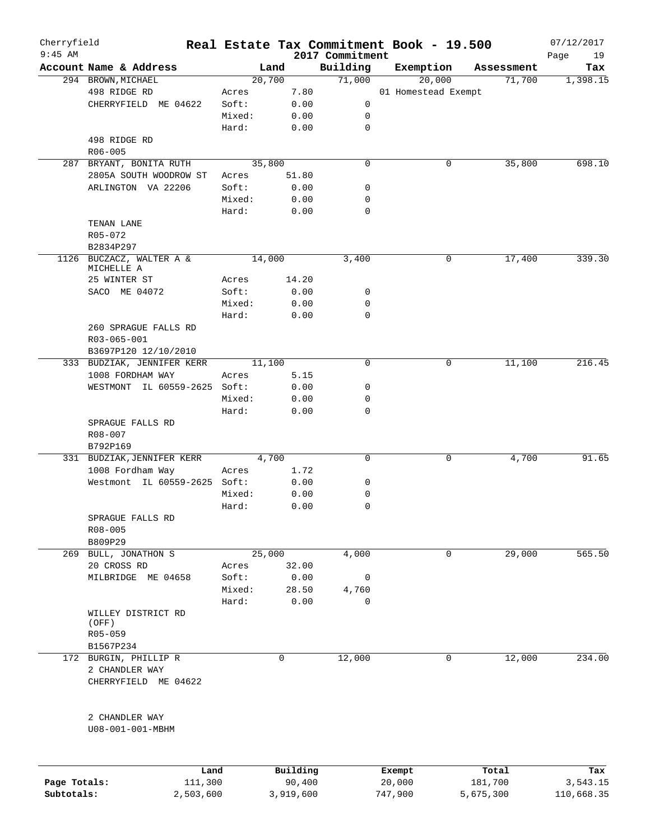| Cherryfield<br>$9:45$ AM |                                                |        |          | 2017 Commitment | Real Estate Tax Commitment Book - 19.500 |            | 07/12/2017        |
|--------------------------|------------------------------------------------|--------|----------|-----------------|------------------------------------------|------------|-------------------|
|                          | Account Name & Address                         |        | Land     | Building        | Exemption                                | Assessment | Page<br>19<br>Tax |
|                          | 294 BROWN, MICHAEL                             |        | 20,700   | 71,000          | 20,000                                   | 71,700     | 1,398.15          |
|                          | 498 RIDGE RD                                   | Acres  | 7.80     |                 | 01 Homestead Exempt                      |            |                   |
|                          | CHERRYFIELD ME 04622                           | Soft:  | 0.00     | 0               |                                          |            |                   |
|                          |                                                | Mixed: | 0.00     | 0               |                                          |            |                   |
|                          |                                                | Hard:  | 0.00     | $\mathbf 0$     |                                          |            |                   |
|                          | 498 RIDGE RD                                   |        |          |                 |                                          |            |                   |
|                          | R06-005                                        |        |          |                 |                                          |            |                   |
| 287                      | BRYANT, BONITA RUTH                            |        | 35,800   | $\mathbf 0$     | 0                                        | 35,800     | 698.10            |
|                          | 2805A SOUTH WOODROW ST                         | Acres  | 51.80    |                 |                                          |            |                   |
|                          |                                                |        |          |                 |                                          |            |                   |
|                          | ARLINGTON VA 22206                             | Soft:  | 0.00     | 0               |                                          |            |                   |
|                          |                                                | Mixed: | 0.00     | 0               |                                          |            |                   |
|                          |                                                | Hard:  | 0.00     | $\mathbf 0$     |                                          |            |                   |
|                          | TENAN LANE                                     |        |          |                 |                                          |            |                   |
|                          | R05-072                                        |        |          |                 |                                          |            |                   |
|                          | B2834P297                                      |        |          |                 |                                          |            |                   |
| 1126                     | BUCZACZ, WALTER A &<br>MICHELLE A              |        | 14,000   | 3,400           | 0                                        | 17,400     | 339.30            |
|                          | 25 WINTER ST                                   | Acres  | 14.20    |                 |                                          |            |                   |
|                          | SACO ME 04072                                  | Soft:  | 0.00     | 0               |                                          |            |                   |
|                          |                                                | Mixed: | 0.00     | 0               |                                          |            |                   |
|                          |                                                | Hard:  | 0.00     | $\mathbf 0$     |                                          |            |                   |
|                          | 260 SPRAGUE FALLS RD                           |        |          |                 |                                          |            |                   |
|                          | R03-065-001                                    |        |          |                 |                                          |            |                   |
|                          | B3697P120 12/10/2010                           |        |          |                 |                                          |            |                   |
|                          | 333 BUDZIAK, JENNIFER KERR                     |        | 11,100   | $\mathbf 0$     | 0                                        | 11,100     | 216.45            |
|                          | 1008 FORDHAM WAY                               | Acres  | 5.15     |                 |                                          |            |                   |
|                          | WESTMONT IL 60559-2625 Soft:                   |        | 0.00     | 0               |                                          |            |                   |
|                          |                                                | Mixed: | 0.00     | 0               |                                          |            |                   |
|                          |                                                | Hard:  | 0.00     | $\mathbf 0$     |                                          |            |                   |
|                          | SPRAGUE FALLS RD                               |        |          |                 |                                          |            |                   |
|                          |                                                |        |          |                 |                                          |            |                   |
|                          | R08-007                                        |        |          |                 |                                          |            |                   |
|                          | B792P169                                       |        | 4,700    | $\mathbf 0$     | 0                                        |            | 91.65             |
|                          | 331 BUDZIAK, JENNIFER KERR<br>1008 Fordham Way |        |          |                 |                                          | 4,700      |                   |
|                          |                                                | Acres  | 1.72     |                 |                                          |            |                   |
|                          | Westmont IL 60559-2625 Soft:                   |        | 0.00     | 0               |                                          |            |                   |
|                          |                                                | Mixed: | 0.00     | 0               |                                          |            |                   |
|                          |                                                | Hard:  | 0.00     | $\mathbf 0$     |                                          |            |                   |
|                          | SPRAGUE FALLS RD                               |        |          |                 |                                          |            |                   |
|                          | R08-005                                        |        |          |                 |                                          |            |                   |
|                          | B809P29                                        |        |          |                 |                                          |            |                   |
|                          | 269 BULL, JONATHON S                           |        | 25,000   | 4,000           | 0                                        | 29,000     | 565.50            |
|                          | 20 CROSS RD                                    | Acres  | 32.00    |                 |                                          |            |                   |
|                          | MILBRIDGE ME 04658                             | Soft:  | 0.00     | 0               |                                          |            |                   |
|                          |                                                | Mixed: | 28.50    | 4,760           |                                          |            |                   |
|                          |                                                | Hard:  | 0.00     | $\mathbf 0$     |                                          |            |                   |
|                          | WILLEY DISTRICT RD                             |        |          |                 |                                          |            |                   |
|                          | (OFF)                                          |        |          |                 |                                          |            |                   |
|                          | $R05 - 059$                                    |        |          |                 |                                          |            |                   |
|                          | B1567P234                                      |        |          |                 |                                          |            |                   |
|                          | 172 BURGIN, PHILLIP R                          |        | 0        | 12,000          | 0                                        | 12,000     | 234.00            |
|                          | 2 CHANDLER WAY                                 |        |          |                 |                                          |            |                   |
|                          | CHERRYFIELD ME 04622                           |        |          |                 |                                          |            |                   |
|                          |                                                |        |          |                 |                                          |            |                   |
|                          | 2 CHANDLER WAY                                 |        |          |                 |                                          |            |                   |
|                          | U08-001-001-MBHM                               |        |          |                 |                                          |            |                   |
|                          |                                                |        |          |                 |                                          |            |                   |
|                          |                                                |        |          |                 |                                          |            |                   |
|                          | Land                                           |        | Building |                 | Exempt                                   | Total      | Tax               |
| Page Totals:             | 111,300                                        |        | 90,400   |                 | 20,000                                   | 181,700    | 3,543.15          |

**Subtotals:** 2,503,600 3,919,600 747,900 5,675,300 110,668.35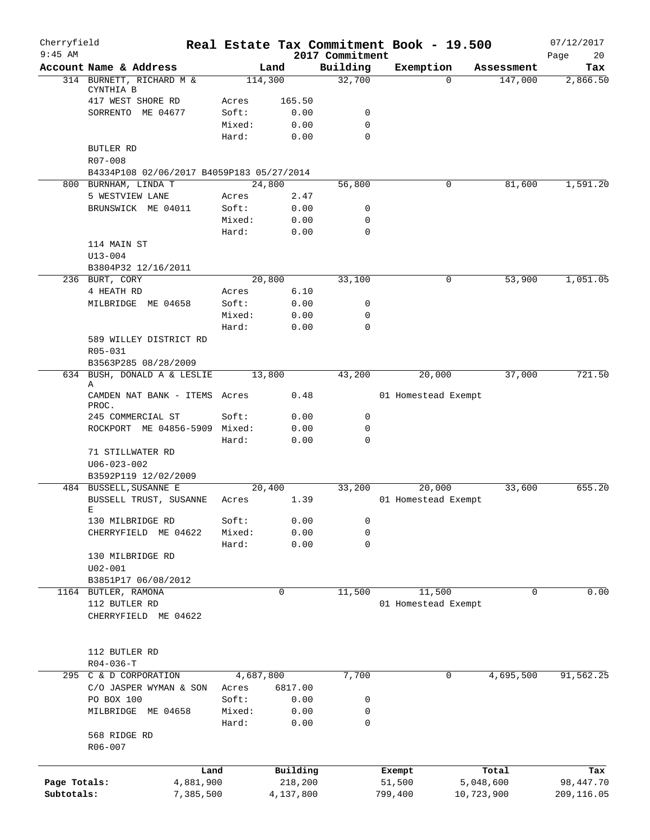| Cherryfield<br>$9:45$ AM |                                                |                 |              |                             | Real Estate Tax Commitment Book - 19.500 |            | 07/12/2017        |
|--------------------------|------------------------------------------------|-----------------|--------------|-----------------------------|------------------------------------------|------------|-------------------|
|                          | Account Name & Address                         | Land            |              | 2017 Commitment<br>Building | Exemption                                | Assessment | Page<br>20<br>Tax |
|                          | 314 BURNETT, RICHARD M &                       | 114,300         |              | 32,700                      | $\Omega$                                 | 147,000    | 2,866.50          |
|                          | CYNTHIA B                                      |                 |              |                             |                                          |            |                   |
|                          | 417 WEST SHORE RD                              | Acres           | 165.50       |                             |                                          |            |                   |
|                          | SORRENTO ME 04677                              | Soft:           | 0.00         | 0                           |                                          |            |                   |
|                          |                                                | Mixed:<br>Hard: | 0.00<br>0.00 | $\mathbf 0$<br>0            |                                          |            |                   |
|                          | BUTLER RD                                      |                 |              |                             |                                          |            |                   |
|                          | R07-008                                        |                 |              |                             |                                          |            |                   |
|                          | B4334P108 02/06/2017 B4059P183 05/27/2014      |                 |              |                             |                                          |            |                   |
|                          | 800 BURNHAM, LINDA T                           | 24,800          |              | 56,800                      | 0                                        | 81,600     | 1,591.20          |
|                          | 5 WESTVIEW LANE                                | Acres           | 2.47         |                             |                                          |            |                   |
|                          | BRUNSWICK ME 04011                             | Soft:           | 0.00         | 0                           |                                          |            |                   |
|                          |                                                | Mixed:          | 0.00         | 0                           |                                          |            |                   |
|                          |                                                | Hard:           | 0.00         | 0                           |                                          |            |                   |
|                          | 114 MAIN ST<br>$U13 - 004$                     |                 |              |                             |                                          |            |                   |
|                          | B3804P32 12/16/2011                            |                 |              |                             |                                          |            |                   |
|                          | 236 BURT, CORY                                 | 20,800          |              | 33,100                      | 0                                        | 53,900     | 1,051.05          |
|                          | 4 HEATH RD                                     | Acres           | 6.10         |                             |                                          |            |                   |
|                          | MILBRIDGE ME 04658                             | Soft:           | 0.00         | 0                           |                                          |            |                   |
|                          |                                                | Mixed:          | 0.00         | $\mathbf 0$                 |                                          |            |                   |
|                          |                                                | Hard:           | 0.00         | 0                           |                                          |            |                   |
|                          | 589 WILLEY DISTRICT RD                         |                 |              |                             |                                          |            |                   |
|                          | R05-031                                        |                 |              |                             |                                          |            |                   |
|                          | B3563P285 08/28/2009                           |                 |              |                             |                                          |            |                   |
|                          | 634 BUSH, DONALD A & LESLIE<br>Α               | 13,800          |              | 43,200                      | 20,000                                   | 37,000     | 721.50            |
|                          | CAMDEN NAT BANK - ITEMS Acres<br>PROC.         |                 | 0.48         |                             | 01 Homestead Exempt                      |            |                   |
|                          | 245 COMMERCIAL ST                              | Soft:           | 0.00         | 0                           |                                          |            |                   |
|                          | ROCKPORT ME 04856-5909 Mixed:                  |                 | 0.00         | 0                           |                                          |            |                   |
|                          |                                                | Hard:           | 0.00         | $\mathbf 0$                 |                                          |            |                   |
|                          | 71 STILLWATER RD                               |                 |              |                             |                                          |            |                   |
|                          | $U06 - 023 - 002$                              |                 |              |                             |                                          |            |                   |
|                          | B3592P119 12/02/2009<br>484 BUSSELL, SUSANNE E | 20,400          |              | 33,200                      | 20,000                                   | 33,600     | 655.20            |
|                          | BUSSELL TRUST, SUSANNE                         | Acres           | 1.39         |                             | 01 Homestead Exempt                      |            |                   |
|                          | Е                                              |                 |              |                             |                                          |            |                   |
|                          | 130 MILBRIDGE RD                               | Soft:           | 0.00         | 0                           |                                          |            |                   |
|                          | ME 04622<br>CHERRYFIELD                        | Mixed:          | 0.00         | 0                           |                                          |            |                   |
|                          |                                                | Hard:           | 0.00         | 0                           |                                          |            |                   |
|                          | 130 MILBRIDGE RD                               |                 |              |                             |                                          |            |                   |
|                          | $U02 - 001$<br>B3851P17 06/08/2012             |                 |              |                             |                                          |            |                   |
|                          | 1164 BUTLER, RAMONA                            | 0               |              | 11,500                      | 11,500                                   | 0          | 0.00              |
|                          | 112 BUTLER RD                                  |                 |              |                             | 01 Homestead Exempt                      |            |                   |
|                          | CHERRYFIELD ME 04622                           |                 |              |                             |                                          |            |                   |
|                          |                                                |                 |              |                             |                                          |            |                   |
|                          | 112 BUTLER RD                                  |                 |              |                             |                                          |            |                   |
|                          | $R04 - 036 - T$                                |                 |              |                             |                                          |            |                   |
|                          | 295 C & D CORPORATION                          | 4,687,800       |              | 7,700                       | 0                                        | 4,695,500  | 91,562.25         |
|                          | C/O JASPER WYMAN & SON                         | Acres           | 6817.00      |                             |                                          |            |                   |
|                          | PO BOX 100                                     | Soft:           | 0.00         | 0                           |                                          |            |                   |
|                          | MILBRIDGE ME 04658                             | Mixed:          | 0.00         | 0                           |                                          |            |                   |
|                          | 568 RIDGE RD                                   | Hard:           | 0.00         | 0                           |                                          |            |                   |
|                          | R06-007                                        |                 |              |                             |                                          |            |                   |
|                          |                                                |                 |              |                             |                                          |            |                   |
|                          | Land                                           |                 | Building     |                             | Exempt                                   | Total      | Tax               |
| Page Totals:             | 4,881,900                                      |                 | 218,200      |                             | 51,500                                   | 5,048,600  | 98,447.70         |
| Subtotals:               | 7,385,500                                      |                 | 4,137,800    |                             | 799,400                                  | 10,723,900 | 209,116.05        |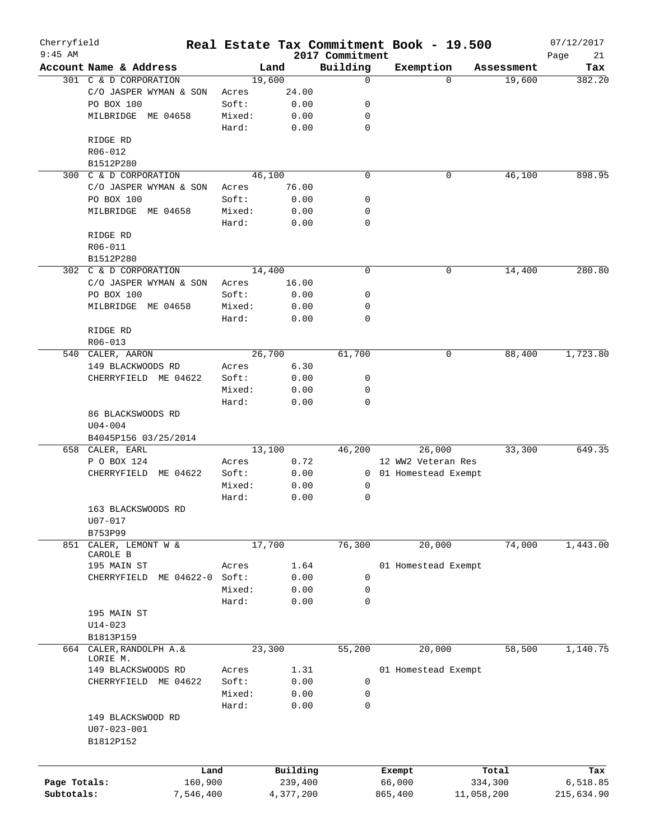| Cherryfield<br>$9:45$ AM |                                      |        |           | 2017 Commitment | Real Estate Tax Commitment Book - 19.500 |              |            | 07/12/2017        |
|--------------------------|--------------------------------------|--------|-----------|-----------------|------------------------------------------|--------------|------------|-------------------|
|                          | Account Name & Address               |        | Land      | Building        | Exemption                                |              | Assessment | Page<br>21<br>Tax |
|                          | 301 C & D CORPORATION                |        | 19,600    | 0               |                                          | $\Omega$     | 19,600     | 382.20            |
|                          | C/O JASPER WYMAN & SON               | Acres  | 24.00     |                 |                                          |              |            |                   |
|                          | PO BOX 100                           | Soft:  | 0.00      | 0               |                                          |              |            |                   |
|                          | MILBRIDGE<br>ME 04658                | Mixed: | 0.00      | 0               |                                          |              |            |                   |
|                          |                                      | Hard:  | 0.00      | $\mathbf 0$     |                                          |              |            |                   |
|                          | RIDGE RD                             |        |           |                 |                                          |              |            |                   |
|                          | R06-012                              |        |           |                 |                                          |              |            |                   |
|                          | B1512P280                            |        |           |                 |                                          |              |            |                   |
|                          | 300 C & D CORPORATION                |        | 46,100    | $\mathbf 0$     |                                          | 0            | 46,100     | 898.95            |
|                          | C/O JASPER WYMAN & SON               | Acres  | 76.00     |                 |                                          |              |            |                   |
|                          | PO BOX 100                           | Soft:  | 0.00      | 0               |                                          |              |            |                   |
|                          | MILBRIDGE<br>ME 04658                | Mixed: | 0.00      | 0               |                                          |              |            |                   |
|                          |                                      | Hard:  | 0.00      | $\mathbf 0$     |                                          |              |            |                   |
|                          | RIDGE RD                             |        |           |                 |                                          |              |            |                   |
|                          | R06-011                              |        |           |                 |                                          |              |            |                   |
|                          | B1512P280                            |        |           |                 |                                          |              |            |                   |
|                          | 302 C & D CORPORATION                |        | 14,400    | 0               |                                          | 0            | 14,400     | 280.80            |
|                          | C/O JASPER WYMAN & SON               | Acres  | 16.00     |                 |                                          |              |            |                   |
|                          | PO BOX 100                           | Soft:  | 0.00      | 0               |                                          |              |            |                   |
|                          | MILBRIDGE<br>ME 04658                | Mixed: | 0.00      | 0               |                                          |              |            |                   |
|                          |                                      | Hard:  | 0.00      | 0               |                                          |              |            |                   |
|                          | RIDGE RD                             |        |           |                 |                                          |              |            |                   |
|                          | R06-013                              |        |           |                 |                                          |              |            |                   |
| 540                      | CALER, AARON                         |        | 26,700    | 61,700          |                                          | $\mathsf{O}$ | 88,400     | 1,723.80          |
|                          | 149 BLACKWOODS RD                    | Acres  | 6.30      |                 |                                          |              |            |                   |
|                          | CHERRYFIELD ME 04622                 | Soft:  | 0.00      | 0               |                                          |              |            |                   |
|                          |                                      | Mixed: | 0.00      | 0               |                                          |              |            |                   |
|                          |                                      | Hard:  | 0.00      | 0               |                                          |              |            |                   |
|                          | 86 BLACKSWOODS RD                    |        |           |                 |                                          |              |            |                   |
|                          | $U04 - 004$<br>B4045P156 03/25/2014  |        |           |                 |                                          |              |            |                   |
|                          | 658 CALER, EARL                      |        | 13,100    | 46,200          | 26,000                                   |              | 33,300     | 649.35            |
|                          | P O BOX 124                          | Acres  | 0.72      |                 | 12 WW2 Veteran Res                       |              |            |                   |
|                          | ME 04622<br>CHERRYFIELD              | Soft:  | 0.00      |                 | 0 01 Homestead Exempt                    |              |            |                   |
|                          |                                      | Mixed: | 0.00      | 0               |                                          |              |            |                   |
|                          |                                      | Hard:  | 0.00      | 0               |                                          |              |            |                   |
|                          | 163 BLACKSWOODS RD                   |        |           |                 |                                          |              |            |                   |
|                          | U07-017                              |        |           |                 |                                          |              |            |                   |
|                          | B753P99                              |        |           |                 |                                          |              |            |                   |
| 851                      | CALER, LEMONT W &                    |        | 17,700    | 76,300          | 20,000                                   |              | 74,000     | 1,443.00          |
|                          | CAROLE B                             |        |           |                 |                                          |              |            |                   |
|                          | 195 MAIN ST                          | Acres  | 1.64      |                 | 01 Homestead Exempt                      |              |            |                   |
|                          | CHERRYFIELD<br>ME 04622-0            | Soft:  | 0.00      | 0               |                                          |              |            |                   |
|                          |                                      | Mixed: | 0.00      | 0               |                                          |              |            |                   |
|                          |                                      | Hard:  | 0.00      | 0               |                                          |              |            |                   |
|                          | 195 MAIN ST                          |        |           |                 |                                          |              |            |                   |
|                          | $U14 - 023$                          |        |           |                 |                                          |              |            |                   |
|                          | B1813P159                            |        |           |                 |                                          |              |            |                   |
|                          | 664 CALER, RANDOLPH A. &<br>LORIE M. |        | 23,300    | 55,200          | 20,000                                   |              | 58,500     | 1,140.75          |
|                          | 149 BLACKSWOODS RD                   | Acres  | 1.31      |                 | 01 Homestead Exempt                      |              |            |                   |
|                          | CHERRYFIELD ME 04622                 | Soft:  | 0.00      | 0               |                                          |              |            |                   |
|                          |                                      | Mixed: | 0.00      | 0               |                                          |              |            |                   |
|                          |                                      | Hard:  | 0.00      | 0               |                                          |              |            |                   |
|                          | 149 BLACKSWOOD RD                    |        |           |                 |                                          |              |            |                   |
|                          | U07-023-001                          |        |           |                 |                                          |              |            |                   |
|                          | B1812P152                            |        |           |                 |                                          |              |            |                   |
|                          |                                      |        |           |                 |                                          |              |            |                   |
|                          |                                      | Land   | Building  |                 | Exempt                                   |              | Total      | Tax               |
| Page Totals:             | 160,900                              |        | 239,400   |                 | 66,000                                   |              | 334,300    | 6,518.85          |
| Subtotals:               | 7,546,400                            |        | 4,377,200 |                 | 865,400                                  | 11,058,200   |            | 215,634.90        |
|                          |                                      |        |           |                 |                                          |              |            |                   |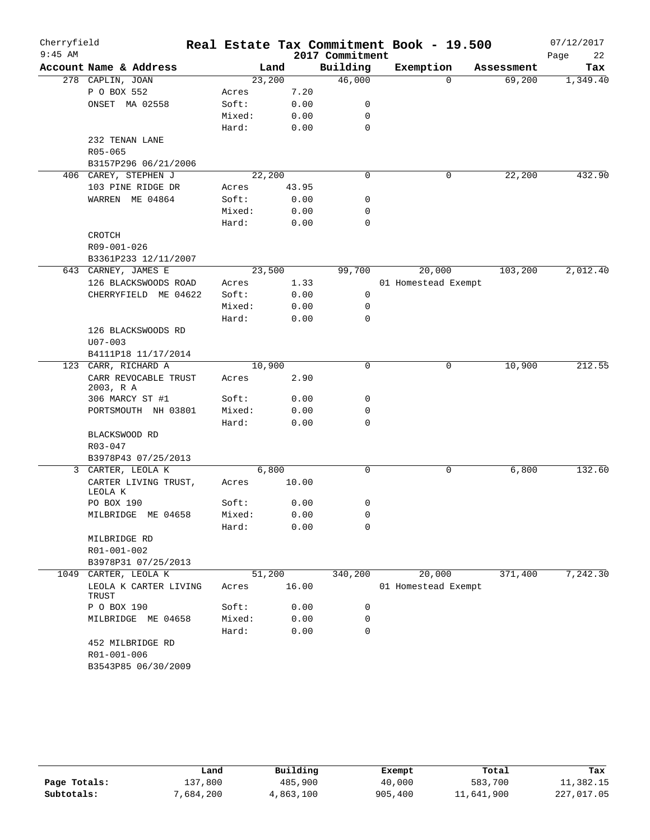| Cherryfield<br>$9:45$ AM |                                    |        |        | 2017 Commitment | Real Estate Tax Commitment Book - 19.500 |            | 07/12/2017<br>Page<br>22 |
|--------------------------|------------------------------------|--------|--------|-----------------|------------------------------------------|------------|--------------------------|
|                          | Account Name & Address             |        | Land   | Building        | Exemption                                | Assessment | Tax                      |
|                          | 278 CAPLIN, JOAN                   | 23,200 |        | 46,000          | $\Omega$                                 | 69,200     | 1,349.40                 |
|                          | P O BOX 552                        | Acres  | 7.20   |                 |                                          |            |                          |
|                          | ONSET MA 02558                     | Soft:  | 0.00   | 0               |                                          |            |                          |
|                          |                                    | Mixed: | 0.00   | 0               |                                          |            |                          |
|                          |                                    | Hard:  | 0.00   | 0               |                                          |            |                          |
|                          | 232 TENAN LANE                     |        |        |                 |                                          |            |                          |
|                          | $R05 - 065$                        |        |        |                 |                                          |            |                          |
|                          | B3157P296 06/21/2006               |        |        |                 |                                          |            |                          |
|                          | 406 CAREY, STEPHEN J               | 22,200 |        | $\mathbf 0$     | 0                                        | 22,200     | 432.90                   |
|                          | 103 PINE RIDGE DR                  | Acres  | 43.95  |                 |                                          |            |                          |
|                          | WARREN ME 04864                    | Soft:  | 0.00   | 0               |                                          |            |                          |
|                          |                                    | Mixed: | 0.00   | 0               |                                          |            |                          |
|                          |                                    | Hard:  | 0.00   | 0               |                                          |            |                          |
|                          | CROTCH                             |        |        |                 |                                          |            |                          |
|                          | R09-001-026                        |        |        |                 |                                          |            |                          |
|                          | B3361P233 12/11/2007               |        |        |                 |                                          |            |                          |
|                          | 643 CARNEY, JAMES E                | 23,500 |        | 99,700          | 20,000                                   | 103,200    | 2,012.40                 |
|                          | 126 BLACKSWOODS ROAD               | Acres  | 1.33   |                 | 01 Homestead Exempt                      |            |                          |
|                          | CHERRYFIELD ME 04622               | Soft:  | 0.00   | 0               |                                          |            |                          |
|                          |                                    | Mixed: | 0.00   | 0               |                                          |            |                          |
|                          |                                    | Hard:  | 0.00   | $\mathbf 0$     |                                          |            |                          |
|                          | 126 BLACKSWOODS RD                 |        |        |                 |                                          |            |                          |
|                          | $U07 - 003$                        |        |        |                 |                                          |            |                          |
|                          | B4111P18 11/17/2014                |        |        |                 |                                          |            |                          |
| 123                      | CARR, RICHARD A                    | 10,900 |        | $\mathbf 0$     | 0                                        | 10,900     | 212.55                   |
|                          | CARR REVOCABLE TRUST<br>2003, R A  | Acres  | 2.90   |                 |                                          |            |                          |
|                          | 306 MARCY ST #1                    | Soft:  | 0.00   | 0               |                                          |            |                          |
|                          | PORTSMOUTH NH 03801                | Mixed: | 0.00   | 0               |                                          |            |                          |
|                          |                                    | Hard:  | 0.00   | 0               |                                          |            |                          |
|                          | BLACKSWOOD RD                      |        |        |                 |                                          |            |                          |
|                          | R03-047                            |        |        |                 |                                          |            |                          |
|                          | B3978P43 07/25/2013                |        |        |                 |                                          |            |                          |
|                          | 3 CARTER, LEOLA K                  |        | 6,800  | $\mathbf 0$     | 0                                        | 6,800      | 132.60                   |
|                          | CARTER LIVING TRUST,<br>LEOLA K    | Acres  | 10.00  |                 |                                          |            |                          |
|                          | PO BOX 190                         | Soft:  | 0.00   | 0               |                                          |            |                          |
|                          | MILBRIDGE ME 04658                 | Mixed: | 0.00   | 0               |                                          |            |                          |
|                          |                                    | Hard:  | 0.00   | 0               |                                          |            |                          |
|                          | MILBRIDGE RD                       |        |        |                 |                                          |            |                          |
|                          | R01-001-002                        |        |        |                 |                                          |            |                          |
|                          | B3978P31 07/25/2013                |        |        |                 |                                          |            |                          |
|                          | 1049 CARTER, LEOLA K               |        | 51,200 | 340,200         | 20,000                                   | 371,400    | 7,242.30                 |
|                          | LEOLA K CARTER LIVING<br>TRUST     | Acres  | 16.00  |                 | 01 Homestead Exempt                      |            |                          |
|                          | P O BOX 190                        | Soft:  | 0.00   | 0               |                                          |            |                          |
|                          | MILBRIDGE ME 04658                 | Mixed: | 0.00   | 0               |                                          |            |                          |
|                          |                                    | Hard:  | 0.00   | 0               |                                          |            |                          |
|                          | 452 MILBRIDGE RD                   |        |        |                 |                                          |            |                          |
|                          | R01-001-006<br>B3543P85 06/30/2009 |        |        |                 |                                          |            |                          |
|                          |                                    |        |        |                 |                                          |            |                          |

|              | Land      | Building  | Exempt  | Total      | Tax        |
|--------------|-----------|-----------|---------|------------|------------|
| Page Totals: | 137,800   | 485,900   | 40,000  | 583,700    | 11,382.15  |
| Subtotals:   | 7,684,200 | 4,863,100 | 905,400 | 11,641,900 | 227,017.05 |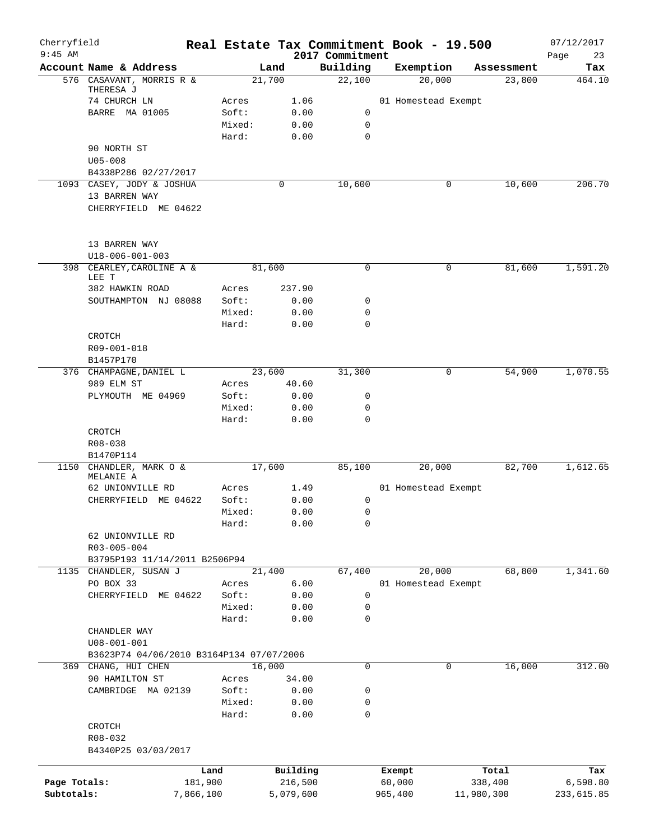| Cherryfield<br>$9:45$ AM |                                          |           |                |        |              | 2017 Commitment | Real Estate Tax Commitment Book - 19.500 |   |            | 07/12/2017<br>Page<br>23 |
|--------------------------|------------------------------------------|-----------|----------------|--------|--------------|-----------------|------------------------------------------|---|------------|--------------------------|
|                          | Account Name & Address                   |           |                | Land   |              | Building        | Exemption                                |   | Assessment | Tax                      |
|                          | 576 CASAVANT, MORRIS R &                 |           |                | 21,700 |              | 22,100          | 20,000                                   |   | 23,800     | 464.10                   |
|                          | THERESA J                                |           |                |        |              |                 |                                          |   |            |                          |
|                          | 74 CHURCH LN                             |           | Acres          |        | 1.06         |                 | 01 Homestead Exempt                      |   |            |                          |
|                          | <b>BARRE MA 01005</b>                    |           | Soft:          |        | 0.00         | 0               |                                          |   |            |                          |
|                          |                                          |           | Mixed:         |        | 0.00         | $\mathbf 0$     |                                          |   |            |                          |
|                          | 90 NORTH ST                              |           | Hard:          |        | 0.00         | $\Omega$        |                                          |   |            |                          |
|                          | $U05 - 008$                              |           |                |        |              |                 |                                          |   |            |                          |
|                          | B4338P286 02/27/2017                     |           |                |        |              |                 |                                          |   |            |                          |
|                          | 1093 CASEY, JODY & JOSHUA                |           |                | 0      |              | 10,600          |                                          | 0 | 10,600     | 206.70                   |
|                          | 13 BARREN WAY                            |           |                |        |              |                 |                                          |   |            |                          |
|                          | CHERRYFIELD ME 04622                     |           |                |        |              |                 |                                          |   |            |                          |
|                          |                                          |           |                |        |              |                 |                                          |   |            |                          |
|                          | 13 BARREN WAY                            |           |                |        |              |                 |                                          |   |            |                          |
|                          | U18-006-001-003                          |           |                |        |              |                 |                                          |   |            |                          |
|                          | 398 CEARLEY, CAROLINE A &<br>LEE T       |           |                | 81,600 |              | $\mathbf 0$     |                                          | 0 | 81,600     | 1,591.20                 |
|                          | 382 HAWKIN ROAD                          |           | Acres          |        | 237.90       |                 |                                          |   |            |                          |
|                          | SOUTHAMPTON NJ 08088                     |           | Soft:          |        | 0.00         | 0               |                                          |   |            |                          |
|                          |                                          |           | Mixed:         |        | 0.00         | 0               |                                          |   |            |                          |
|                          |                                          |           | Hard:          |        | 0.00         | 0               |                                          |   |            |                          |
|                          | CROTCH                                   |           |                |        |              |                 |                                          |   |            |                          |
|                          | R09-001-018                              |           |                |        |              |                 |                                          |   |            |                          |
|                          | B1457P170                                |           |                |        |              |                 |                                          |   |            |                          |
|                          | 376 CHAMPAGNE, DANIEL L                  |           |                | 23,600 |              | 31,300          |                                          | 0 | 54,900     | 1,070.55                 |
|                          | 989 ELM ST                               |           | Acres<br>Soft: |        | 40.60        | 0               |                                          |   |            |                          |
|                          | PLYMOUTH ME 04969                        |           | Mixed:         |        | 0.00<br>0.00 | 0               |                                          |   |            |                          |
|                          |                                          |           | Hard:          |        | 0.00         | $\mathbf 0$     |                                          |   |            |                          |
|                          | CROTCH                                   |           |                |        |              |                 |                                          |   |            |                          |
|                          | R08-038                                  |           |                |        |              |                 |                                          |   |            |                          |
|                          | B1470P114                                |           |                |        |              |                 |                                          |   |            |                          |
| 1150                     | CHANDLER, MARK O &                       |           |                | 17,600 |              | 85,100          | 20,000                                   |   | 82,700     | 1,612.65                 |
|                          | MELANIE A<br>62 UNIONVILLE RD            |           | Acres          |        | 1.49         |                 | 01 Homestead Exempt                      |   |            |                          |
|                          | CHERRYFIELD ME 04622                     |           | Soft:          |        | 0.00         | 0               |                                          |   |            |                          |
|                          |                                          |           | Mixed:         |        | 0.00         | 0               |                                          |   |            |                          |
|                          |                                          |           | Hard:          |        | 0.00         | $\mathbf 0$     |                                          |   |            |                          |
|                          | 62 UNIONVILLE RD                         |           |                |        |              |                 |                                          |   |            |                          |
|                          | R03-005-004                              |           |                |        |              |                 |                                          |   |            |                          |
|                          | B3795P193 11/14/2011 B2506P94            |           |                |        |              |                 |                                          |   |            |                          |
|                          | 1135 CHANDLER, SUSAN J                   |           |                | 21,400 |              | 67,400          | 20,000                                   |   | 68,800     | 1,341.60                 |
|                          | PO BOX 33                                |           | Acres          |        | 6.00         |                 | 01 Homestead Exempt                      |   |            |                          |
|                          | CHERRYFIELD ME 04622                     |           | Soft:          |        | 0.00         | 0               |                                          |   |            |                          |
|                          |                                          |           | Mixed:         |        | 0.00         | 0               |                                          |   |            |                          |
|                          |                                          |           | Hard:          |        | 0.00         | 0               |                                          |   |            |                          |
|                          | CHANDLER WAY                             |           |                |        |              |                 |                                          |   |            |                          |
|                          | $U08 - 001 - 001$                        |           |                |        |              |                 |                                          |   |            |                          |
| 369                      | B3623P74 04/06/2010 B3164P134 07/07/2006 |           |                | 16,000 |              | 0               |                                          | 0 | 16,000     | 312.00                   |
|                          | CHANG, HUI CHEN<br>90 HAMILTON ST        |           | Acres          |        | 34.00        |                 |                                          |   |            |                          |
|                          | CAMBRIDGE MA 02139                       |           | Soft:          |        | 0.00         | 0               |                                          |   |            |                          |
|                          |                                          |           | Mixed:         |        | 0.00         | 0               |                                          |   |            |                          |
|                          |                                          |           | Hard:          |        | 0.00         | 0               |                                          |   |            |                          |
|                          | CROTCH                                   |           |                |        |              |                 |                                          |   |            |                          |
|                          | R08-032                                  |           |                |        |              |                 |                                          |   |            |                          |
|                          | B4340P25 03/03/2017                      |           |                |        |              |                 |                                          |   |            |                          |
|                          |                                          |           |                |        |              |                 |                                          |   |            |                          |
|                          |                                          | Land      |                |        | Building     |                 | Exempt                                   |   | Total      | Tax                      |
| Page Totals:             |                                          | 181,900   |                |        | 216,500      |                 | 60,000                                   |   | 338,400    | 6,598.80                 |
| Subtotals:               |                                          | 7,866,100 |                |        | 5,079,600    |                 | 965,400                                  |   | 11,980,300 | 233,615.85               |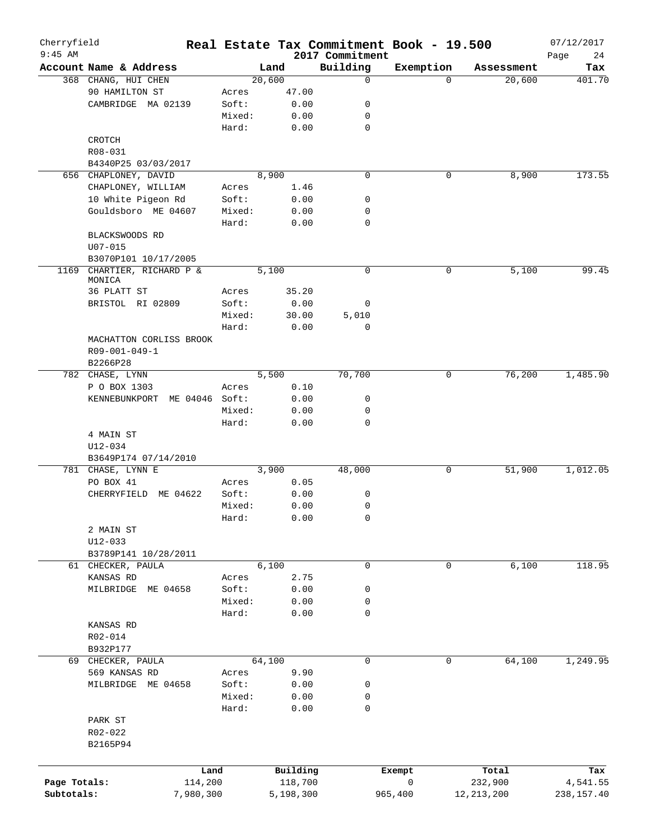| Cherryfield<br>$9:45$ AM |                                 |        |           |                             | Real Estate Tax Commitment Book - 19.500 |              | 07/12/2017        |
|--------------------------|---------------------------------|--------|-----------|-----------------------------|------------------------------------------|--------------|-------------------|
|                          | Account Name & Address          |        | Land      | 2017 Commitment<br>Building | Exemption                                | Assessment   | Page<br>24<br>Tax |
|                          | 368 CHANG, HUI CHEN             |        | 20,600    | 0                           | $\Omega$                                 | 20,600       | 401.70            |
|                          | 90 HAMILTON ST                  | Acres  | 47.00     |                             |                                          |              |                   |
|                          | CAMBRIDGE MA 02139              | Soft:  | 0.00      | 0                           |                                          |              |                   |
|                          |                                 | Mixed: | 0.00      | 0                           |                                          |              |                   |
|                          |                                 | Hard:  | 0.00      | $\mathbf 0$                 |                                          |              |                   |
|                          | CROTCH                          |        |           |                             |                                          |              |                   |
|                          | R08-031                         |        |           |                             |                                          |              |                   |
|                          | B4340P25 03/03/2017             |        |           |                             |                                          |              |                   |
|                          | 656 CHAPLONEY, DAVID            |        | 8,900     | $\mathbf 0$                 | 0                                        | 8,900        | 173.55            |
|                          | CHAPLONEY, WILLIAM              | Acres  | 1.46      |                             |                                          |              |                   |
|                          | 10 White Pigeon Rd              | Soft:  | 0.00      | 0                           |                                          |              |                   |
|                          | Gouldsboro ME 04607             | Mixed: | 0.00      | 0                           |                                          |              |                   |
|                          |                                 | Hard:  | 0.00      | $\mathbf 0$                 |                                          |              |                   |
|                          | BLACKSWOODS RD                  |        |           |                             |                                          |              |                   |
|                          | $U07 - 015$                     |        |           |                             |                                          |              |                   |
|                          | B3070P101 10/17/2005            |        |           |                             |                                          |              |                   |
| 1169                     | CHARTIER, RICHARD P &           |        | 5,100     | $\mathbf 0$                 | 0                                        | 5,100        | 99.45             |
|                          | MONICA                          |        |           |                             |                                          |              |                   |
|                          | 36 PLATT ST                     | Acres  | 35.20     |                             |                                          |              |                   |
|                          | BRISTOL RI 02809                | Soft:  | 0.00      | 0                           |                                          |              |                   |
|                          |                                 | Mixed: | 30.00     | 5,010                       |                                          |              |                   |
|                          |                                 | Hard:  | 0.00      | $\mathbf 0$                 |                                          |              |                   |
|                          | MACHATTON CORLISS BROOK         |        |           |                             |                                          |              |                   |
|                          | R09-001-049-1                   |        |           |                             |                                          |              |                   |
|                          | B2266P28                        |        |           |                             |                                          |              |                   |
|                          | 782 CHASE, LYNN                 |        | 5,500     | 70,700                      | 0                                        | 76,200       | 1,485.90          |
|                          | P O BOX 1303                    | Acres  | 0.10      |                             |                                          |              |                   |
|                          | ME 04046 Soft:<br>KENNEBUNKPORT |        | 0.00      | 0                           |                                          |              |                   |
|                          |                                 | Mixed: | 0.00      | 0                           |                                          |              |                   |
|                          |                                 | Hard:  | 0.00      | $\mathbf 0$                 |                                          |              |                   |
|                          | 4 MAIN ST                       |        |           |                             |                                          |              |                   |
|                          | U12-034                         |        |           |                             |                                          |              |                   |
|                          | B3649P174 07/14/2010            |        |           |                             |                                          |              |                   |
|                          | 781 CHASE, LYNN E               |        | 3,900     | 48,000                      | 0                                        | 51,900       | 1,012.05          |
|                          | PO BOX 41                       | Acres  | 0.05      |                             |                                          |              |                   |
|                          | CHERRYFIELD ME 04622            | Soft:  | 0.00      | 0                           |                                          |              |                   |
|                          |                                 | Mixed: | 0.00      | 0                           |                                          |              |                   |
|                          |                                 | Hard:  | 0.00      | 0                           |                                          |              |                   |
|                          | 2 MAIN ST                       |        |           |                             |                                          |              |                   |
|                          | U12-033                         |        |           |                             |                                          |              |                   |
|                          | B3789P141 10/28/2011            |        |           |                             |                                          |              |                   |
|                          | 61 CHECKER, PAULA               |        | 6,100     | $\mathbf 0$                 | $\mathbf 0$                              | 6,100        | 118.95            |
|                          | KANSAS RD                       | Acres  | 2.75      |                             |                                          |              |                   |
|                          | MILBRIDGE ME 04658              | Soft:  | 0.00      | 0                           |                                          |              |                   |
|                          |                                 | Mixed: | 0.00      | 0                           |                                          |              |                   |
|                          |                                 | Hard:  | 0.00      | 0                           |                                          |              |                   |
|                          | KANSAS RD                       |        |           |                             |                                          |              |                   |
|                          | R02-014                         |        |           |                             |                                          |              |                   |
|                          | B932P177                        |        |           |                             |                                          |              |                   |
|                          | 69 CHECKER, PAULA               |        | 64,100    | $\mathbf 0$                 | 0                                        | 64,100       | 1,249.95          |
|                          | 569 KANSAS RD                   | Acres  | 9.90      |                             |                                          |              |                   |
|                          | MILBRIDGE ME 04658              | Soft:  | 0.00      | 0                           |                                          |              |                   |
|                          |                                 | Mixed: | 0.00      | 0                           |                                          |              |                   |
|                          |                                 | Hard:  | 0.00      | $\mathbf 0$                 |                                          |              |                   |
|                          | PARK ST                         |        |           |                             |                                          |              |                   |
|                          | R02-022                         |        |           |                             |                                          |              |                   |
|                          | B2165P94                        |        |           |                             |                                          |              |                   |
|                          |                                 |        |           |                             |                                          |              |                   |
|                          | Land                            |        | Building  |                             | Exempt                                   | Total        | Tax               |
| Page Totals:             | 114,200                         |        | 118,700   |                             | 0                                        | 232,900      | 4,541.55          |
| Subtotals:               | 7,980,300                       |        | 5,198,300 |                             | 965,400                                  | 12, 213, 200 | 238, 157.40       |
|                          |                                 |        |           |                             |                                          |              |                   |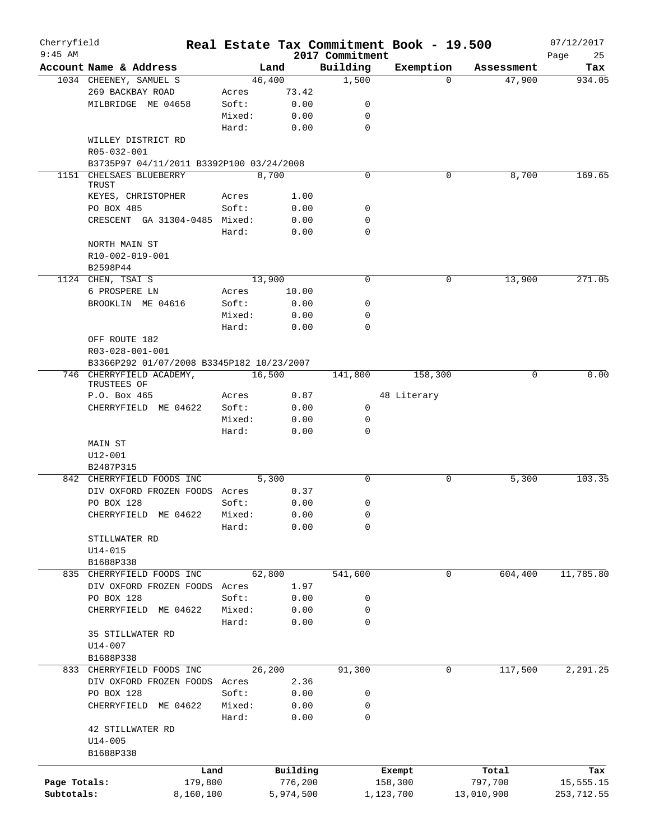| Cherryfield<br>$9:45$ AM |                                           |        |           |                             | Real Estate Tax Commitment Book - 19.500 |            | 07/12/2017        |
|--------------------------|-------------------------------------------|--------|-----------|-----------------------------|------------------------------------------|------------|-------------------|
|                          | Account Name & Address                    |        | Land      | 2017 Commitment<br>Building | Exemption                                | Assessment | Page<br>25<br>Tax |
|                          | 1034 CHEENEY, SAMUEL S                    |        | 46,400    | 1,500                       | $\Omega$                                 | 47,900     | 934.05            |
|                          | 269 BACKBAY ROAD                          | Acres  | 73.42     |                             |                                          |            |                   |
|                          | MILBRIDGE ME 04658                        | Soft:  | 0.00      | 0                           |                                          |            |                   |
|                          |                                           | Mixed: | 0.00      | 0                           |                                          |            |                   |
|                          |                                           | Hard:  | 0.00      | $\mathbf 0$                 |                                          |            |                   |
|                          | WILLEY DISTRICT RD<br>R05-032-001         |        |           |                             |                                          |            |                   |
|                          | B3735P97 04/11/2011 B3392P100 03/24/2008  |        |           |                             |                                          |            |                   |
|                          | 1151 CHELSAES BLUEBERRY                   |        | 8,700     | $\mathbf 0$                 | 0                                        | 8,700      | 169.65            |
|                          | TRUST<br>KEYES, CHRISTOPHER               | Acres  | 1.00      |                             |                                          |            |                   |
|                          | PO BOX 485                                | Soft:  | 0.00      | 0                           |                                          |            |                   |
|                          | CRESCENT GA 31304-0485 Mixed:             |        | 0.00      | 0                           |                                          |            |                   |
|                          |                                           | Hard:  | 0.00      | 0                           |                                          |            |                   |
|                          |                                           |        |           |                             |                                          |            |                   |
|                          | NORTH MAIN ST                             |        |           |                             |                                          |            |                   |
|                          | R10-002-019-001                           |        |           |                             |                                          |            |                   |
|                          | B2598P44                                  |        |           |                             |                                          |            |                   |
|                          | 1124 CHEN, TSAI S                         |        | 13,900    | 0                           | 0                                        | 13,900     | 271.05            |
|                          | 6 PROSPERE LN                             | Acres  | 10.00     |                             |                                          |            |                   |
|                          | BROOKLIN ME 04616                         | Soft:  | 0.00      | 0                           |                                          |            |                   |
|                          |                                           | Mixed: | 0.00      | 0                           |                                          |            |                   |
|                          |                                           | Hard:  | 0.00      | $\Omega$                    |                                          |            |                   |
|                          | OFF ROUTE 182                             |        |           |                             |                                          |            |                   |
|                          | R03-028-001-001                           |        |           |                             |                                          |            |                   |
|                          | B3366P292 01/07/2008 B3345P182 10/23/2007 |        |           |                             |                                          |            |                   |
|                          | 746 CHERRYFIELD ACADEMY,<br>TRUSTEES OF   |        | 16,500    | 141,800                     | 158,300                                  | $\Omega$   | 0.00              |
|                          | P.O. Box 465                              | Acres  | 0.87      |                             | 48 Literary                              |            |                   |
|                          | CHERRYFIELD ME 04622                      | Soft:  | 0.00      | $\mathsf{O}$                |                                          |            |                   |
|                          |                                           | Mixed: | 0.00      | 0                           |                                          |            |                   |
|                          |                                           | Hard:  | 0.00      | 0                           |                                          |            |                   |
|                          | MAIN ST                                   |        |           |                             |                                          |            |                   |
|                          | U12-001                                   |        |           |                             |                                          |            |                   |
|                          | B2487P315                                 |        |           |                             |                                          |            |                   |
|                          | 842 CHERRYFIELD FOODS INC                 |        | 5,300     | $\Omega$                    | 0                                        | 5,300      | 103.35            |
|                          | DIV OXFORD FROZEN FOODS Acres             |        | 0.37      |                             |                                          |            |                   |
|                          | PO BOX 128                                | Soft:  | 0.00      | 0                           |                                          |            |                   |
|                          | CHERRYFIELD ME 04622 Mixed:               |        | 0.00      | $\Omega$                    |                                          |            |                   |
|                          |                                           | Hard:  | 0.00      | 0                           |                                          |            |                   |
|                          | STILLWATER RD                             |        |           |                             |                                          |            |                   |
|                          | $U14 - 015$                               |        |           |                             |                                          |            |                   |
|                          | B1688P338                                 |        |           |                             |                                          |            |                   |
|                          | 835 CHERRYFIELD FOODS INC                 |        | 62,800    | 541,600                     | $\mathsf{O}$                             | 604,400    | 11,785.80         |
|                          | DIV OXFORD FROZEN FOODS Acres             |        | 1.97      |                             |                                          |            |                   |
|                          | PO BOX 128                                | Soft:  |           |                             |                                          |            |                   |
|                          |                                           |        | 0.00      | 0                           |                                          |            |                   |
|                          | CHERRYFIELD ME 04622                      | Mixed: | 0.00      | 0                           |                                          |            |                   |
|                          |                                           | Hard:  | 0.00      | $\mathbf 0$                 |                                          |            |                   |
|                          | 35 STILLWATER RD                          |        |           |                             |                                          |            |                   |
|                          | U14-007                                   |        |           |                             |                                          |            |                   |
|                          | B1688P338                                 |        |           |                             |                                          |            |                   |
|                          | 833 CHERRYFIELD FOODS INC                 |        | 26,200    | 91,300                      | 0                                        | 117,500    | 2,291.25          |
|                          | DIV OXFORD FROZEN FOODS Acres             |        | 2.36      |                             |                                          |            |                   |
|                          | PO BOX 128                                | Soft:  | 0.00      | 0                           |                                          |            |                   |
|                          | CHERRYFIELD ME 04622                      | Mixed: | 0.00      | 0                           |                                          |            |                   |
|                          |                                           | Hard:  | 0.00      | 0                           |                                          |            |                   |
|                          | 42 STILLWATER RD                          |        |           |                             |                                          |            |                   |
|                          | $U14 - 005$                               |        |           |                             |                                          |            |                   |
|                          | B1688P338                                 |        |           |                             |                                          |            |                   |
|                          |                                           | Land   | Building  |                             | Exempt                                   | Total      | Tax               |
| Page Totals:             | 179,800                                   |        | 776,200   |                             | 158,300                                  | 797,700    | 15,555.15         |
| Subtotals:               | 8,160,100                                 |        | 5,974,500 |                             | 1,123,700                                | 13,010,900 | 253,712.55        |
|                          |                                           |        |           |                             |                                          |            |                   |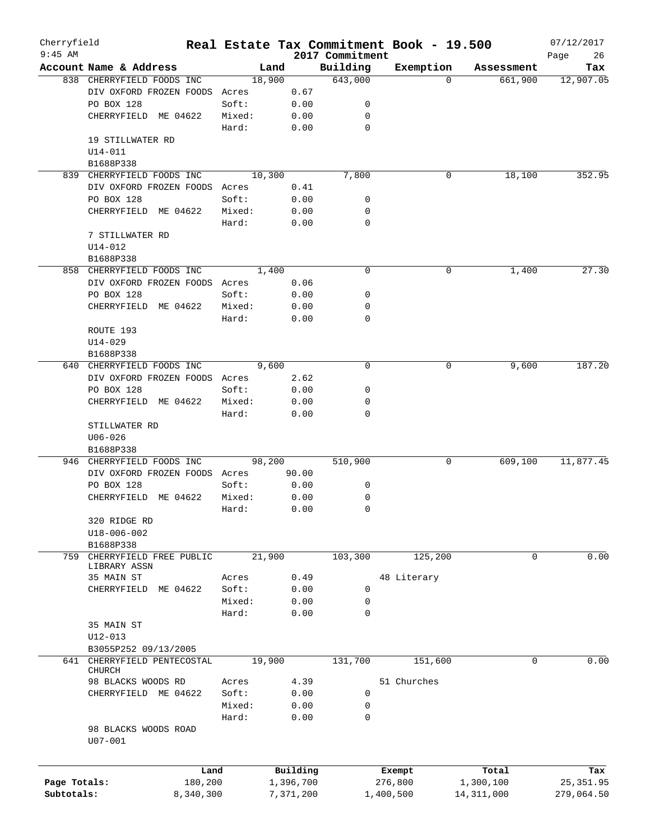| Cherryfield                |                                        |                      |        |        |                        |                             | Real Estate Tax Commitment Book - 19.500 |          |                           | 07/12/2017               |
|----------------------------|----------------------------------------|----------------------|--------|--------|------------------------|-----------------------------|------------------------------------------|----------|---------------------------|--------------------------|
| $9:45$ AM                  | Account Name & Address                 |                      |        | Land   |                        | 2017 Commitment<br>Building | Exemption                                |          | Assessment                | Page<br>26<br>Tax        |
|                            | 838 CHERRYFIELD FOODS INC              |                      |        | 18,900 |                        | 643,000                     |                                          | $\Omega$ | 661,900                   | 12,907.05                |
|                            | DIV OXFORD FROZEN FOODS Acres          |                      |        |        | 0.67                   |                             |                                          |          |                           |                          |
|                            | PO BOX 128                             |                      | Soft:  |        | 0.00                   | 0                           |                                          |          |                           |                          |
|                            | CHERRYFIELD ME 04622                   |                      | Mixed: |        | 0.00                   | 0                           |                                          |          |                           |                          |
|                            |                                        |                      | Hard:  |        | 0.00                   | $\mathbf 0$                 |                                          |          |                           |                          |
|                            | 19 STILLWATER RD                       |                      |        |        |                        |                             |                                          |          |                           |                          |
|                            | $U14 - 011$                            |                      |        |        |                        |                             |                                          |          |                           |                          |
|                            | B1688P338                              |                      |        |        |                        |                             |                                          |          |                           |                          |
|                            | 839 CHERRYFIELD FOODS INC              |                      |        | 10,300 |                        | 7,800                       |                                          | 0        | 18,100                    | 352.95                   |
|                            | DIV OXFORD FROZEN FOODS Acres          |                      |        |        | 0.41                   |                             |                                          |          |                           |                          |
|                            | PO BOX 128                             |                      | Soft:  |        | 0.00                   | 0                           |                                          |          |                           |                          |
|                            | CHERRYFIELD ME 04622                   |                      | Mixed: |        | 0.00                   | 0                           |                                          |          |                           |                          |
|                            |                                        |                      | Hard:  |        | 0.00                   | $\mathbf 0$                 |                                          |          |                           |                          |
|                            | 7 STILLWATER RD                        |                      |        |        |                        |                             |                                          |          |                           |                          |
|                            | $U14 - 012$                            |                      |        |        |                        |                             |                                          |          |                           |                          |
|                            | B1688P338                              |                      |        |        |                        |                             |                                          |          |                           |                          |
|                            | 858 CHERRYFIELD FOODS INC              |                      |        | 1,400  |                        | 0                           |                                          | 0        | 1,400                     | 27.30                    |
|                            | DIV OXFORD FROZEN FOODS Acres          |                      |        |        | 0.06                   |                             |                                          |          |                           |                          |
|                            | PO BOX 128                             |                      | Soft:  |        | 0.00                   | 0                           |                                          |          |                           |                          |
|                            | CHERRYFIELD ME 04622                   |                      | Mixed: |        | 0.00                   | 0                           |                                          |          |                           |                          |
|                            |                                        |                      | Hard:  |        | 0.00                   | 0                           |                                          |          |                           |                          |
|                            | ROUTE 193                              |                      |        |        |                        |                             |                                          |          |                           |                          |
|                            | $U14 - 029$                            |                      |        |        |                        |                             |                                          |          |                           |                          |
|                            | B1688P338                              |                      |        |        |                        |                             |                                          |          |                           |                          |
| 640                        | CHERRYFIELD FOODS INC                  |                      |        | 9,600  |                        | 0                           |                                          | 0        | 9,600                     | 187.20                   |
|                            | DIV OXFORD FROZEN FOODS Acres          |                      |        |        | 2.62                   |                             |                                          |          |                           |                          |
|                            | PO BOX 128                             |                      | Soft:  |        | 0.00                   | 0                           |                                          |          |                           |                          |
|                            | CHERRYFIELD ME 04622                   |                      | Mixed: |        | 0.00                   | 0                           |                                          |          |                           |                          |
|                            |                                        |                      | Hard:  |        | 0.00                   | 0                           |                                          |          |                           |                          |
|                            | STILLWATER RD                          |                      |        |        |                        |                             |                                          |          |                           |                          |
|                            | $U06 - 026$                            |                      |        |        |                        |                             |                                          |          |                           |                          |
|                            | B1688P338<br>946 CHERRYFIELD FOODS INC |                      |        | 98,200 |                        | 510,900                     |                                          | 0        | 609,100                   | 11,877.45                |
|                            | DIV OXFORD FROZEN FOODS Acres          |                      |        |        | 90.00                  |                             |                                          |          |                           |                          |
|                            | PO BOX 128                             |                      | Soft:  |        | 0.00                   | 0                           |                                          |          |                           |                          |
|                            | ME 04622<br>CHERRYFIELD                |                      | Mixed: |        | 0.00                   | 0                           |                                          |          |                           |                          |
|                            |                                        |                      | Hard:  |        | 0.00                   | 0                           |                                          |          |                           |                          |
|                            | 320 RIDGE RD                           |                      |        |        |                        |                             |                                          |          |                           |                          |
|                            | U18-006-002                            |                      |        |        |                        |                             |                                          |          |                           |                          |
|                            | B1688P338                              |                      |        |        |                        |                             |                                          |          |                           |                          |
| 759                        | CHERRYFIELD FREE PUBLIC                |                      |        | 21,900 |                        | 103,300                     | 125,200                                  |          | 0                         | 0.00                     |
|                            | LIBRARY ASSN                           |                      |        |        |                        |                             |                                          |          |                           |                          |
|                            | 35 MAIN ST                             |                      | Acres  |        | 0.49                   |                             | 48 Literary                              |          |                           |                          |
|                            | CHERRYFIELD ME 04622                   |                      | Soft:  |        | 0.00                   | 0                           |                                          |          |                           |                          |
|                            |                                        |                      | Mixed: |        | 0.00                   | 0                           |                                          |          |                           |                          |
|                            |                                        |                      | Hard:  |        | 0.00                   | 0                           |                                          |          |                           |                          |
|                            | 35 MAIN ST                             |                      |        |        |                        |                             |                                          |          |                           |                          |
|                            | $U12 - 013$                            |                      |        |        |                        |                             |                                          |          |                           |                          |
|                            | B3055P252 09/13/2005                   |                      |        |        |                        |                             |                                          |          |                           |                          |
| 641                        | CHERRYFIELD PENTECOSTAL<br>CHURCH      |                      |        | 19,900 |                        | 131,700                     | 151,600                                  |          | 0                         | 0.00                     |
|                            | 98 BLACKS WOODS RD                     |                      | Acres  |        | 4.39                   |                             | 51 Churches                              |          |                           |                          |
|                            | CHERRYFIELD ME 04622                   |                      | Soft:  |        | 0.00                   | 0                           |                                          |          |                           |                          |
|                            |                                        |                      | Mixed: |        | 0.00                   | 0                           |                                          |          |                           |                          |
|                            |                                        |                      | Hard:  |        | 0.00                   | $\mathbf 0$                 |                                          |          |                           |                          |
|                            | 98 BLACKS WOODS ROAD                   |                      |        |        |                        |                             |                                          |          |                           |                          |
|                            | $U07 - 001$                            |                      |        |        |                        |                             |                                          |          |                           |                          |
|                            |                                        |                      |        |        |                        |                             |                                          |          |                           |                          |
|                            |                                        |                      |        |        |                        |                             |                                          |          |                           |                          |
|                            |                                        | Land                 |        |        | Building               |                             | Exempt                                   |          | Total                     | Tax                      |
| Page Totals:<br>Subtotals: |                                        | 180,200<br>8,340,300 |        |        | 1,396,700<br>7,371,200 |                             | 276,800<br>1,400,500                     |          | 1,300,100<br>14, 311, 000 | 25, 351.95<br>279,064.50 |
|                            |                                        |                      |        |        |                        |                             |                                          |          |                           |                          |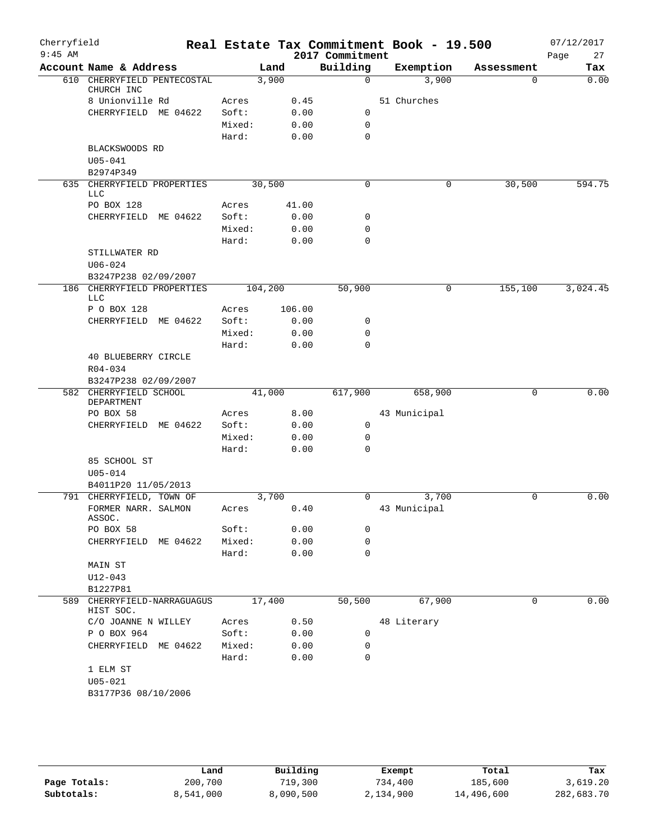| Cherryfield<br>$9:45$ AM |                                           |                |         |        | 2017 Commitment  | Real Estate Tax Commitment Book - 19.500 |             | 07/12/2017<br>27<br>Page |
|--------------------------|-------------------------------------------|----------------|---------|--------|------------------|------------------------------------------|-------------|--------------------------|
|                          | Account Name & Address                    |                | Land    |        | Building         | Exemption                                | Assessment  | Tax                      |
|                          | 610 CHERRYFIELD PENTECOSTAL<br>CHURCH INC |                | 3,900   |        | $\mathbf 0$      | 3,900                                    | 0           | 0.00                     |
|                          | 8 Unionville Rd                           | Acres          |         | 0.45   |                  | 51 Churches                              |             |                          |
|                          | CHERRYFIELD ME 04622                      | Soft:          |         | 0.00   | 0                |                                          |             |                          |
|                          |                                           | Mixed:         |         | 0.00   | $\mathbf 0$      |                                          |             |                          |
|                          |                                           | Hard:          |         | 0.00   | $\mathbf 0$      |                                          |             |                          |
|                          | BLACKSWOODS RD<br>$U05 - 041$             |                |         |        |                  |                                          |             |                          |
|                          | B2974P349                                 |                |         |        |                  |                                          |             |                          |
|                          | 635 CHERRYFIELD PROPERTIES                |                | 30,500  |        | 0                | 0                                        | 30,500      | 594.75                   |
|                          | <b>LLC</b><br>PO BOX 128                  | Acres          |         | 41.00  |                  |                                          |             |                          |
|                          | CHERRYFIELD ME 04622                      | Soft:          |         | 0.00   | 0                |                                          |             |                          |
|                          |                                           | Mixed:         |         | 0.00   | 0                |                                          |             |                          |
|                          |                                           | Hard:          |         | 0.00   | $\mathbf 0$      |                                          |             |                          |
|                          | STILLWATER RD                             |                |         |        |                  |                                          |             |                          |
|                          | $U06 - 024$                               |                |         |        |                  |                                          |             |                          |
|                          | B3247P238 02/09/2007                      |                |         |        |                  |                                          |             |                          |
|                          | 186 CHERRYFIELD PROPERTIES                |                | 104,200 |        | 50,900           | 0                                        | 155,100     | 3,024.45                 |
|                          | <b>LLC</b>                                |                |         |        |                  |                                          |             |                          |
|                          | P O BOX 128                               | Acres<br>Soft: |         | 106.00 |                  |                                          |             |                          |
|                          | CHERRYFIELD ME 04622                      |                |         | 0.00   | 0<br>$\mathbf 0$ |                                          |             |                          |
|                          |                                           | Mixed:         |         | 0.00   | 0                |                                          |             |                          |
|                          | <b>40 BLUEBERRY CIRCLE</b>                | Hard:          |         | 0.00   |                  |                                          |             |                          |
|                          | R04-034<br>B3247P238 02/09/2007           |                |         |        |                  |                                          |             |                          |
|                          | 582 CHERRYFIELD SCHOOL<br>DEPARTMENT      |                | 41,000  |        | 617,900          | 658,900                                  | 0           | 0.00                     |
|                          | PO BOX 58                                 | Acres          |         | 8.00   |                  | 43 Municipal                             |             |                          |
|                          | CHERRYFIELD ME 04622                      | Soft:          |         | 0.00   | 0                |                                          |             |                          |
|                          |                                           | Mixed:         |         | 0.00   | 0                |                                          |             |                          |
|                          |                                           | Hard:          |         | 0.00   | $\mathbf 0$      |                                          |             |                          |
|                          | 85 SCHOOL ST                              |                |         |        |                  |                                          |             |                          |
|                          | $U05 - 014$                               |                |         |        |                  |                                          |             |                          |
|                          | B4011P20 11/05/2013                       |                |         |        |                  |                                          |             |                          |
|                          | 791 CHERRYFIELD, TOWN OF                  |                | 3,700   |        | 0                | 3,700                                    | $\mathbf 0$ | 0.00                     |
|                          | FORMER NARR. SALMON<br>ASSOC.             | Acres          |         | 0.40   |                  | 43 Municipal                             |             |                          |
|                          | PO BOX 58                                 | Soft:          |         | 0.00   | 0                |                                          |             |                          |
|                          | CHERRYFIELD ME 04622                      | Mixed:         |         | 0.00   | 0                |                                          |             |                          |
|                          |                                           | Hard:          |         | 0.00   | $\mathbf 0$      |                                          |             |                          |
|                          | MAIN ST                                   |                |         |        |                  |                                          |             |                          |
|                          | U12-043                                   |                |         |        |                  |                                          |             |                          |
|                          | B1227P81                                  |                |         |        |                  |                                          |             |                          |
|                          | 589 CHERRYFIELD-NARRAGUAGUS<br>HIST SOC.  |                | 17,400  |        | 50,500           | 67,900                                   | 0           | 0.00                     |
|                          | C/O JOANNE N WILLEY                       | Acres          |         | 0.50   |                  | 48 Literary                              |             |                          |
|                          | P O BOX 964                               | Soft:          |         | 0.00   | 0                |                                          |             |                          |
|                          | CHERRYFIELD ME 04622                      | Mixed:         |         | 0.00   | 0                |                                          |             |                          |
|                          |                                           | Hard:          |         | 0.00   | 0                |                                          |             |                          |
|                          | 1 ELM ST                                  |                |         |        |                  |                                          |             |                          |
|                          | $U05 - 021$                               |                |         |        |                  |                                          |             |                          |
|                          | B3177P36 08/10/2006                       |                |         |        |                  |                                          |             |                          |
|                          |                                           |                |         |        |                  |                                          |             |                          |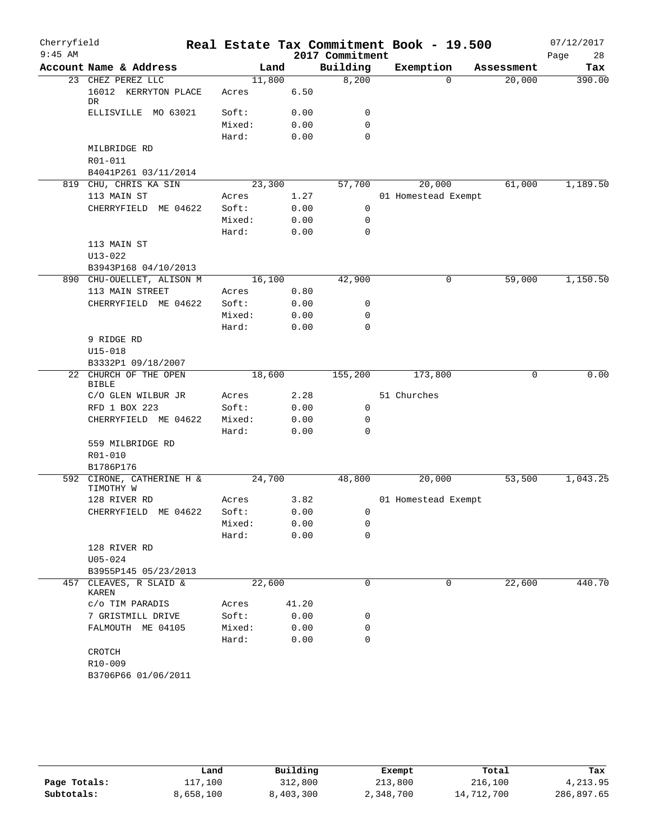| Cherryfield |                                                 |                 |       |                 | Real Estate Tax Commitment Book - 19.500 |            | 07/12/2017 |
|-------------|-------------------------------------------------|-----------------|-------|-----------------|------------------------------------------|------------|------------|
| $9:45$ AM   |                                                 |                 |       | 2017 Commitment |                                          |            | 28<br>Page |
|             | Account Name & Address                          |                 | Land  | Building        | Exemption                                | Assessment | Tax        |
|             | 23 CHEZ PEREZ LLC<br>16012 KERRYTON PLACE<br>DR | 11,800<br>Acres | 6.50  | 8,200           | $\Omega$                                 | 20,000     | 390.00     |
|             | ELLISVILLE MO 63021                             | Soft:           | 0.00  | 0               |                                          |            |            |
|             |                                                 | Mixed:          | 0.00  | $\mathbf 0$     |                                          |            |            |
|             |                                                 | Hard:           | 0.00  | $\mathbf 0$     |                                          |            |            |
|             | MILBRIDGE RD                                    |                 |       |                 |                                          |            |            |
|             | R01-011                                         |                 |       |                 |                                          |            |            |
|             | B4041P261 03/11/2014                            |                 |       |                 |                                          |            |            |
|             | 819 CHU, CHRIS KA SIN                           | 23,300          |       | 57,700          | 20,000                                   | 61,000     | 1,189.50   |
|             | 113 MAIN ST                                     | Acres           | 1.27  |                 | 01 Homestead Exempt                      |            |            |
|             | CHERRYFIELD ME 04622                            | Soft:           | 0.00  | $\mathbf 0$     |                                          |            |            |
|             |                                                 | Mixed:          | 0.00  | $\mathbf 0$     |                                          |            |            |
|             |                                                 | Hard:           | 0.00  | 0               |                                          |            |            |
|             | 113 MAIN ST                                     |                 |       |                 |                                          |            |            |
|             | U13-022                                         |                 |       |                 |                                          |            |            |
|             | B3943P168 04/10/2013                            |                 |       |                 |                                          |            |            |
|             | 890 CHU-OUELLET, ALISON M                       | 16,100          |       | 42,900          | 0                                        | 59,000     | 1,150.50   |
|             | 113 MAIN STREET                                 | Acres           | 0.80  |                 |                                          |            |            |
|             | CHERRYFIELD ME 04622                            | Soft:           | 0.00  | 0               |                                          |            |            |
|             |                                                 | Mixed:          | 0.00  | $\mathbf 0$     |                                          |            |            |
|             |                                                 | Hard:           | 0.00  | $\mathbf 0$     |                                          |            |            |
|             | 9 RIDGE RD                                      |                 |       |                 |                                          |            |            |
|             | U15-018                                         |                 |       |                 |                                          |            |            |
|             | B3332P1 09/18/2007                              |                 |       |                 |                                          |            |            |
|             | 22 CHURCH OF THE OPEN<br><b>BIBLE</b>           | 18,600          |       | 155,200         | 173,800                                  | 0          | 0.00       |
|             | C/O GLEN WILBUR JR                              | Acres           | 2.28  |                 | 51 Churches                              |            |            |
|             | RFD 1 BOX 223                                   | Soft:           | 0.00  | 0               |                                          |            |            |
|             | CHERRYFIELD ME 04622                            | Mixed:          | 0.00  | 0               |                                          |            |            |
|             |                                                 | Hard:           | 0.00  | 0               |                                          |            |            |
|             | 559 MILBRIDGE RD                                |                 |       |                 |                                          |            |            |
|             | R01-010                                         |                 |       |                 |                                          |            |            |
|             | B1786P176                                       |                 |       |                 |                                          |            |            |
|             | 592 CIRONE, CATHERINE H &<br>TIMOTHY W          | 24,700          |       | 48,800          | 20,000                                   | 53,500     | 1,043.25   |
|             | 128 RIVER RD                                    | Acres           | 3.82  |                 | 01 Homestead Exempt                      |            |            |
|             | CHERRYFIELD ME 04622                            | Soft:           | 0.00  | 0               |                                          |            |            |
|             |                                                 | Mixed:          | 0.00  | 0               |                                          |            |            |
|             |                                                 | Hard:           | 0.00  | 0               |                                          |            |            |
|             | 128 RIVER RD                                    |                 |       |                 |                                          |            |            |
|             | $U05 - 024$                                     |                 |       |                 |                                          |            |            |
|             | B3955P145 05/23/2013                            |                 |       |                 |                                          |            |            |
| 457         | CLEAVES, R SLAID &<br>KAREN                     | 22,600          |       | 0               | 0                                        | 22,600     | 440.70     |
|             | c/o TIM PARADIS                                 | Acres           | 41.20 |                 |                                          |            |            |
|             | 7 GRISTMILL DRIVE                               | Soft:           | 0.00  | 0               |                                          |            |            |
|             | FALMOUTH ME 04105                               | Mixed:          | 0.00  | 0               |                                          |            |            |
|             |                                                 | Hard:           | 0.00  | 0               |                                          |            |            |
|             | CROTCH                                          |                 |       |                 |                                          |            |            |
|             | R10-009                                         |                 |       |                 |                                          |            |            |
|             | B3706P66 01/06/2011                             |                 |       |                 |                                          |            |            |
|             |                                                 |                 |       |                 |                                          |            |            |

|              | Land      | Building  | Exempt    | Total      | Tax        |
|--------------|-----------|-----------|-----------|------------|------------|
| Page Totals: | 117,100   | 312,800   | 213,800   | 216,100    | 4,213.95   |
| Subtotals:   | 8,658,100 | 8,403,300 | 2,348,700 | 14,712,700 | 286,897.65 |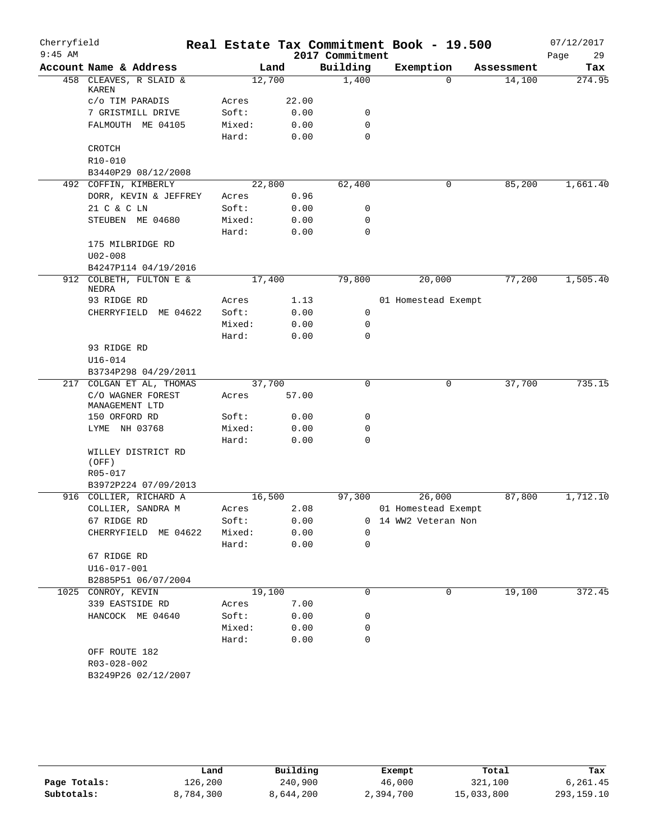| Cherryfield |                                                |        |       |                 | Real Estate Tax Commitment Book - 19.500 |            | 07/12/2017 |
|-------------|------------------------------------------------|--------|-------|-----------------|------------------------------------------|------------|------------|
| $9:45$ AM   |                                                |        |       | 2017 Commitment |                                          |            | 29<br>Page |
|             | Account Name & Address                         |        | Land  | Building        | Exemption                                | Assessment | Tax        |
|             | 458 CLEAVES, R SLAID &<br>KAREN                | 12,700 |       | 1,400           | $\Omega$                                 | 14,100     | 274.95     |
|             | c/o TIM PARADIS                                | Acres  | 22.00 |                 |                                          |            |            |
|             | 7 GRISTMILL DRIVE                              | Soft:  | 0.00  | 0               |                                          |            |            |
|             | FALMOUTH ME 04105                              | Mixed: | 0.00  | 0               |                                          |            |            |
|             |                                                | Hard:  | 0.00  | $\mathbf 0$     |                                          |            |            |
|             | CROTCH                                         |        |       |                 |                                          |            |            |
|             | R10-010                                        |        |       |                 |                                          |            |            |
|             | B3440P29 08/12/2008                            |        |       |                 |                                          |            |            |
|             | 492 COFFIN, KIMBERLY                           | 22,800 |       | 62,400          | 0                                        | 85,200     | 1,661.40   |
|             | DORR, KEVIN & JEFFREY                          | Acres  | 0.96  |                 |                                          |            |            |
|             | 21 C & C LN                                    | Soft:  | 0.00  | 0               |                                          |            |            |
|             | STEUBEN ME 04680                               | Mixed: | 0.00  | 0               |                                          |            |            |
|             |                                                | Hard:  | 0.00  | 0               |                                          |            |            |
|             | 175 MILBRIDGE RD                               |        |       |                 |                                          |            |            |
|             | $U02 - 008$                                    |        |       |                 |                                          |            |            |
|             | B4247P114 04/19/2016                           |        |       |                 |                                          |            |            |
|             | 912 COLBETH, FULTON E &<br>NEDRA               | 17,400 |       | 79,800          | 20,000                                   | 77,200     | 1,505.40   |
|             | 93 RIDGE RD                                    | Acres  | 1.13  |                 | 01 Homestead Exempt                      |            |            |
|             | CHERRYFIELD ME 04622                           | Soft:  | 0.00  | 0               |                                          |            |            |
|             |                                                | Mixed: | 0.00  | 0               |                                          |            |            |
|             |                                                | Hard:  | 0.00  | $\Omega$        |                                          |            |            |
|             | 93 RIDGE RD                                    |        |       |                 |                                          |            |            |
|             | $U16 - 014$                                    |        |       |                 |                                          |            |            |
|             | B3734P298 04/29/2011                           |        |       |                 |                                          |            |            |
| 217         | COLGAN ET AL, THOMAS                           | 37,700 |       | 0               | 0                                        | 37,700     | 735.15     |
|             | C/O WAGNER FOREST<br>MANAGEMENT LTD            | Acres  | 57.00 |                 |                                          |            |            |
|             | 150 ORFORD RD                                  | Soft:  | 0.00  | 0               |                                          |            |            |
|             | LYME NH 03768                                  | Mixed: | 0.00  | 0               |                                          |            |            |
|             |                                                | Hard:  | 0.00  | 0               |                                          |            |            |
|             | WILLEY DISTRICT RD                             |        |       |                 |                                          |            |            |
|             | (OFF)                                          |        |       |                 |                                          |            |            |
|             | R05-017                                        |        |       |                 |                                          |            |            |
|             | B3972P224 07/09/2013<br>916 COLLIER, RICHARD A | 16,500 |       | 97,300          | 26,000                                   | 87,800     | 1,712.10   |
|             | COLLIER, SANDRA M                              | Acres  | 2.08  |                 | 01 Homestead Exempt                      |            |            |
|             | 67 RIDGE RD                                    | Soft:  | 0.00  |                 | 0 14 WW2 Veteran Non                     |            |            |
|             | CHERRYFIELD<br>ME 04622                        | Mixed: | 0.00  | $\Omega$        |                                          |            |            |
|             |                                                | Hard:  | 0.00  | 0               |                                          |            |            |
|             | 67 RIDGE RD                                    |        |       |                 |                                          |            |            |
|             | U16-017-001                                    |        |       |                 |                                          |            |            |
|             | B2885P51 06/07/2004                            |        |       |                 |                                          |            |            |
|             | 1025 CONROY, KEVIN                             | 19,100 |       | 0               | 0                                        | 19,100     | 372.45     |
|             | 339 EASTSIDE RD                                | Acres  | 7.00  |                 |                                          |            |            |
|             | HANCOCK ME 04640                               | Soft:  | 0.00  | 0               |                                          |            |            |
|             |                                                | Mixed: | 0.00  | 0               |                                          |            |            |
|             |                                                | Hard:  | 0.00  | 0               |                                          |            |            |
|             | OFF ROUTE 182                                  |        |       |                 |                                          |            |            |
|             | R03-028-002                                    |        |       |                 |                                          |            |            |
|             | B3249P26 02/12/2007                            |        |       |                 |                                          |            |            |
|             |                                                |        |       |                 |                                          |            |            |

|              | Land      | Building  | Exempt    | Total      | Tax          |
|--------------|-----------|-----------|-----------|------------|--------------|
| Page Totals: | 126,200   | 240,900   | 46,000    | 321,100    | 6.261.45     |
| Subtotals:   | 8,784,300 | 8,644,200 | 2,394,700 | 15,033,800 | 293, 159. 10 |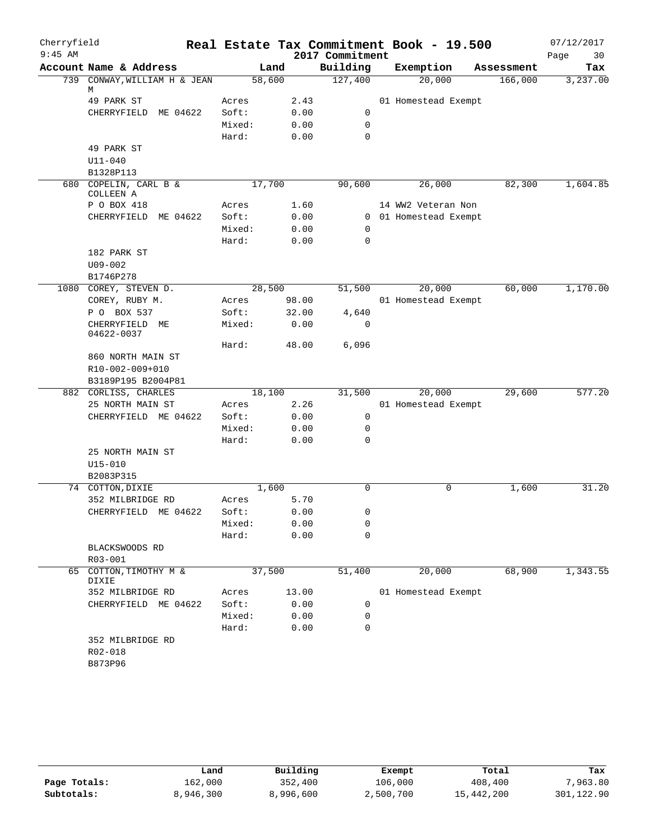| Cherryfield |                                    |                |              |                 | Real Estate Tax Commitment Book - 19.500 |            | 07/12/2017 |
|-------------|------------------------------------|----------------|--------------|-----------------|------------------------------------------|------------|------------|
| $9:45$ AM   |                                    |                |              | 2017 Commitment |                                          |            | Page<br>30 |
|             | Account Name & Address             | Land           |              | Building        | Exemption                                | Assessment | Tax        |
|             | 739 CONWAY, WILLIAM H & JEAN<br>М  | 58,600         |              | 127,400         | 20,000                                   | 166,000    | 3,237.00   |
|             | 49 PARK ST                         | Acres          | 2.43         |                 | 01 Homestead Exempt                      |            |            |
|             | CHERRYFIELD<br>ME 04622            | Soft:          | 0.00         | 0               |                                          |            |            |
|             |                                    | Mixed:         | 0.00         | 0               |                                          |            |            |
|             |                                    | Hard:          | 0.00         | $\mathbf 0$     |                                          |            |            |
|             | 49 PARK ST                         |                |              |                 |                                          |            |            |
|             | $U11 - 040$                        |                |              |                 |                                          |            |            |
|             | B1328P113                          |                |              |                 |                                          |            |            |
|             | 680 COPELIN, CARL B &<br>COLLEEN A | 17,700         |              | 90,600          | 26,000                                   | 82,300     | 1,604.85   |
|             | P O BOX 418                        | Acres          | 1.60         |                 | 14 WW2 Veteran Non                       |            |            |
|             | CHERRYFIELD<br>ME 04622            | Soft:          | 0.00         |                 | 0 01 Homestead Exempt                    |            |            |
|             |                                    | Mixed:         | 0.00         | 0               |                                          |            |            |
|             |                                    | Hard:          | 0.00         | 0               |                                          |            |            |
|             | 182 PARK ST                        |                |              |                 |                                          |            |            |
|             | $U09 - 002$                        |                |              |                 |                                          |            |            |
|             | B1746P278                          |                |              |                 |                                          |            |            |
| 1080        | COREY, STEVEN D.                   | 28,500         |              | 51,500          | 20,000                                   | 60,000     | 1,170.00   |
|             | COREY, RUBY M.                     | Acres          | 98.00        |                 | 01 Homestead Exempt                      |            |            |
|             | P O BOX 537                        | Soft:          | 32.00        | 4,640           |                                          |            |            |
|             | CHERRYFIELD ME<br>04622-0037       | Mixed:         | 0.00         | $\mathbf 0$     |                                          |            |            |
|             |                                    | Hard:          | 48.00        | 6,096           |                                          |            |            |
|             | 860 NORTH MAIN ST                  |                |              |                 |                                          |            |            |
|             | R10-002-009+010                    |                |              |                 |                                          |            |            |
|             | B3189P195 B2004P81                 |                |              |                 |                                          |            |            |
|             | 882 CORLISS, CHARLES               | 18,100         |              | 31,500          | 20,000                                   | 29,600     | 577.20     |
|             | 25 NORTH MAIN ST                   | Acres          | 2.26         |                 | 01 Homestead Exempt                      |            |            |
|             | CHERRYFIELD ME 04622               | Soft:          | 0.00         | 0               |                                          |            |            |
|             |                                    | Mixed:         | 0.00         | 0               |                                          |            |            |
|             |                                    | Hard:          | 0.00         | 0               |                                          |            |            |
|             | 25 NORTH MAIN ST                   |                |              |                 |                                          |            |            |
|             | $U15 - 010$                        |                |              |                 |                                          |            |            |
|             | B2083P315                          |                |              |                 |                                          |            | 31.20      |
|             | 74 COTTON, DIXIE                   | 1,600          |              | $\Omega$        | 0                                        | 1,600      |            |
|             | 352 MILBRIDGE RD                   | Acres<br>Soft: | 5.70         | $\Omega$        |                                          |            |            |
|             | CHERRYFIELD ME 04622               | Mixed:         | 0.00         | 0               |                                          |            |            |
|             |                                    | Hard:          | 0.00<br>0.00 | 0               |                                          |            |            |
|             | BLACKSWOODS RD                     |                |              |                 |                                          |            |            |
|             | $R03 - 001$                        |                |              |                 |                                          |            |            |
|             | 65 COTTON, TIMOTHY M &             | 37,500         |              | 51,400          | 20,000                                   | 68,900     | 1,343.55   |
|             | DIXIE                              |                |              |                 |                                          |            |            |
|             | 352 MILBRIDGE RD                   | Acres          | 13.00        |                 | 01 Homestead Exempt                      |            |            |
|             | CHERRYFIELD ME 04622               | Soft:          | 0.00         | 0               |                                          |            |            |
|             |                                    | Mixed:         | 0.00         | 0               |                                          |            |            |
|             |                                    | Hard:          | 0.00         | $\mathbf 0$     |                                          |            |            |
|             | 352 MILBRIDGE RD                   |                |              |                 |                                          |            |            |
|             | R02-018                            |                |              |                 |                                          |            |            |
|             | B873P96                            |                |              |                 |                                          |            |            |

|              | Land      | Building  | Exempt    | Total      | Tax        |
|--------------|-----------|-----------|-----------|------------|------------|
| Page Totals: | 162,000   | 352,400   | 106,000   | 408,400    | 7,963.80   |
| Subtotals:   | 8,946,300 | 8,996,600 | 2,500,700 | 15,442,200 | 301,122.90 |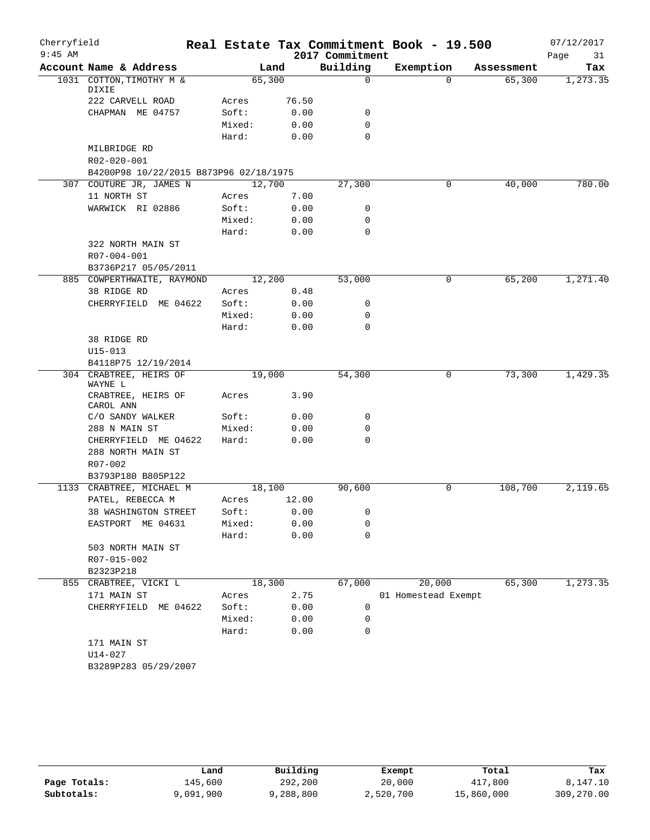| Cherryfield |                                        |        |       | Real Estate Tax Commitment Book - 19.500 |                     |            | 07/12/2017 |
|-------------|----------------------------------------|--------|-------|------------------------------------------|---------------------|------------|------------|
| $9:45$ AM   |                                        |        |       | 2017 Commitment                          |                     |            | Page<br>31 |
|             | Account Name & Address                 |        | Land  | Building                                 | Exemption           | Assessment | Tax        |
|             | 1031 COTTON, TIMOTHY M &<br>DIXIE      | 65,300 |       | $\mathbf 0$                              | $\Omega$            | 65,300     | 1,273.35   |
|             | 222 CARVELL ROAD                       | Acres  | 76.50 |                                          |                     |            |            |
|             | CHAPMAN ME 04757                       | Soft:  | 0.00  | 0                                        |                     |            |            |
|             |                                        | Mixed: | 0.00  | $\mathbf 0$                              |                     |            |            |
|             |                                        | Hard:  | 0.00  | $\mathbf 0$                              |                     |            |            |
|             | MILBRIDGE RD                           |        |       |                                          |                     |            |            |
|             | R02-020-001                            |        |       |                                          |                     |            |            |
|             | B4200P98 10/22/2015 B873P96 02/18/1975 |        |       |                                          |                     |            |            |
|             | 307 COUTURE JR, JAMES N                | 12,700 |       | 27,300                                   | 0                   | 40,000     | 780.00     |
|             | 11 NORTH ST                            | Acres  | 7.00  |                                          |                     |            |            |
|             | WARWICK RI 02886                       | Soft:  | 0.00  | $\mathbf 0$                              |                     |            |            |
|             |                                        | Mixed: | 0.00  | $\mathbf 0$                              |                     |            |            |
|             |                                        | Hard:  | 0.00  | $\mathbf 0$                              |                     |            |            |
|             | 322 NORTH MAIN ST                      |        |       |                                          |                     |            |            |
|             | R07-004-001                            |        |       |                                          |                     |            |            |
|             | B3736P217 05/05/2011                   |        |       |                                          |                     |            |            |
|             | 885 COWPERTHWAITE, RAYMOND             | 12,200 |       | 53,000                                   | 0                   | 65,200     | 1,271.40   |
|             | 38 RIDGE RD                            | Acres  | 0.48  |                                          |                     |            |            |
|             | CHERRYFIELD ME 04622                   | Soft:  | 0.00  | 0                                        |                     |            |            |
|             |                                        | Mixed: | 0.00  | $\mathbf 0$                              |                     |            |            |
|             |                                        | Hard:  | 0.00  | $\mathbf 0$                              |                     |            |            |
|             | 38 RIDGE RD                            |        |       |                                          |                     |            |            |
|             | $U15 - 013$                            |        |       |                                          |                     |            |            |
|             | B4118P75 12/19/2014                    |        |       |                                          |                     |            |            |
|             | 304 CRABTREE, HEIRS OF<br>WAYNE L      | 19,000 |       | 54,300                                   | 0                   | 73,300     | 1,429.35   |
|             | CRABTREE, HEIRS OF<br>CAROL ANN        | Acres  | 3.90  |                                          |                     |            |            |
|             | C/O SANDY WALKER                       | Soft:  | 0.00  | 0                                        |                     |            |            |
|             | 288 N MAIN ST                          | Mixed: | 0.00  | $\mathbf 0$                              |                     |            |            |
|             | CHERRYFIELD ME 04622                   | Hard:  | 0.00  | $\mathbf 0$                              |                     |            |            |
|             | 288 NORTH MAIN ST                      |        |       |                                          |                     |            |            |
|             | $R07 - 002$                            |        |       |                                          |                     |            |            |
|             | B3793P180 B805P122                     |        |       |                                          |                     |            |            |
|             | 1133 CRABTREE, MICHAEL M               | 18,100 |       | 90,600                                   | 0                   | 108,700    | 2,119.65   |
|             | PATEL, REBECCA M                       | Acres  | 12.00 |                                          |                     |            |            |
|             | 38 WASHINGTON STREET                   | Soft:  | 0.00  | 0                                        |                     |            |            |
|             | EASTPORT<br>ME 04631                   | Mixed: | 0.00  | 0                                        |                     |            |            |
|             |                                        | Hard:  | 0.00  | 0                                        |                     |            |            |
|             | 503 NORTH MAIN ST                      |        |       |                                          |                     |            |            |
|             | R07-015-002                            |        |       |                                          |                     |            |            |
|             | B2323P218                              |        |       |                                          |                     |            |            |
|             | 855 CRABTREE, VICKI L                  | 18,300 |       | 67,000                                   | 20,000              | 65,300     | 1, 273.35  |
|             | 171 MAIN ST                            | Acres  | 2.75  |                                          | 01 Homestead Exempt |            |            |
|             | CHERRYFIELD<br>ME 04622                | Soft:  | 0.00  | 0                                        |                     |            |            |
|             |                                        | Mixed: | 0.00  | 0                                        |                     |            |            |
|             |                                        | Hard:  | 0.00  | 0                                        |                     |            |            |
|             | 171 MAIN ST                            |        |       |                                          |                     |            |            |
|             | U14-027                                |        |       |                                          |                     |            |            |
|             | B3289P283 05/29/2007                   |        |       |                                          |                     |            |            |
|             |                                        |        |       |                                          |                     |            |            |

|              | Land      | Building  | Exempt    | Total      | Tax        |
|--------------|-----------|-----------|-----------|------------|------------|
| Page Totals: | 145,600   | 292,200   | 20,000    | 417,800    | 8,147.10   |
| Subtotals:   | 9,091,900 | 9,288,800 | 2,520,700 | 15,860,000 | 309,270.00 |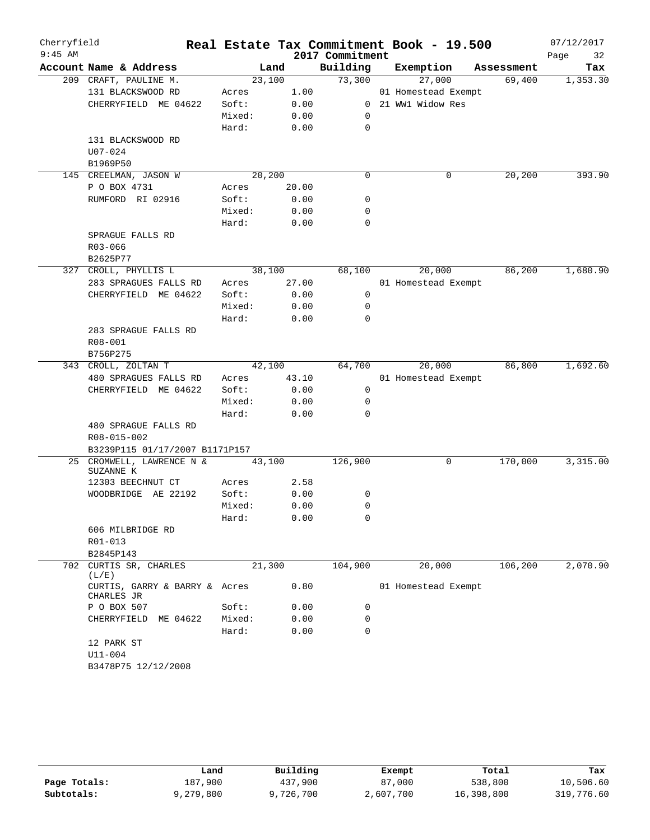| $9:45$ AM<br>2017 Commitment<br>32<br>Page<br>Building<br>Account Name & Address<br>Exemption<br>Land<br>Assessment<br>Tax<br>73,300<br>23,100<br>27,000<br>69,400<br>1,353.30<br>209 CRAFT, PAULINE M.<br>131 BLACKSWOOD RD<br>1.00<br>01 Homestead Exempt<br>Acres<br>Soft:<br>0.00<br>0 21 WW1 Widow Res<br>CHERRYFIELD ME 04622<br>Mixed:<br>0.00<br>0<br>$\mathbf 0$<br>Hard:<br>0.00<br>131 BLACKSWOOD RD<br>$U07 - 024$<br>B1969P50<br>20, 200<br>20,200<br>$\mathbf 0$<br>393.90<br>145 CREELMAN, JASON W<br>0<br>P O BOX 4731<br>20.00<br>Acres<br>RUMFORD RI 02916<br>Soft:<br>0.00<br>0<br>Mixed:<br>0.00<br>0<br>Hard:<br>0.00<br>0<br>SPRAGUE FALLS RD<br>R03-066<br>B2625P77<br>86,200<br>1,680.90<br>327 CROLL, PHYLLIS L<br>38,100<br>68,100<br>20,000<br>283 SPRAGUES FALLS RD<br>27.00<br>01 Homestead Exempt<br>Acres<br>CHERRYFIELD ME 04622<br>Soft:<br>0.00<br>0<br>Mixed:<br>0.00<br>0<br>Hard:<br>0.00<br>0<br>283 SPRAGUE FALLS RD<br>R08-001<br>B756P275<br>20,000<br>1,692.60<br>42,100<br>64,700<br>86,800<br>343 CROLL, ZOLTAN T<br>480 SPRAGUES FALLS RD<br>43.10<br>01 Homestead Exempt<br>Acres<br>CHERRYFIELD ME 04622<br>Soft:<br>0.00<br>0<br>Mixed:<br>0.00<br>0<br>Hard:<br>0.00<br>0<br>480 SPRAGUE FALLS RD<br>R08-015-002<br>B3239P115 01/17/2007 B1171P157<br>3,315.00<br>25 CROMWELL, LAWRENCE N &<br>170,000<br>43,100<br>126,900<br>0<br>SUZANNE K<br>12303 BEECHNUT CT<br>2.58<br>Acres |
|--------------------------------------------------------------------------------------------------------------------------------------------------------------------------------------------------------------------------------------------------------------------------------------------------------------------------------------------------------------------------------------------------------------------------------------------------------------------------------------------------------------------------------------------------------------------------------------------------------------------------------------------------------------------------------------------------------------------------------------------------------------------------------------------------------------------------------------------------------------------------------------------------------------------------------------------------------------------------------------------------------------------------------------------------------------------------------------------------------------------------------------------------------------------------------------------------------------------------------------------------------------------------------------------------------------------------------------------------------------------------------------------------------------------------------------|
|                                                                                                                                                                                                                                                                                                                                                                                                                                                                                                                                                                                                                                                                                                                                                                                                                                                                                                                                                                                                                                                                                                                                                                                                                                                                                                                                                                                                                                      |
|                                                                                                                                                                                                                                                                                                                                                                                                                                                                                                                                                                                                                                                                                                                                                                                                                                                                                                                                                                                                                                                                                                                                                                                                                                                                                                                                                                                                                                      |
|                                                                                                                                                                                                                                                                                                                                                                                                                                                                                                                                                                                                                                                                                                                                                                                                                                                                                                                                                                                                                                                                                                                                                                                                                                                                                                                                                                                                                                      |
|                                                                                                                                                                                                                                                                                                                                                                                                                                                                                                                                                                                                                                                                                                                                                                                                                                                                                                                                                                                                                                                                                                                                                                                                                                                                                                                                                                                                                                      |
|                                                                                                                                                                                                                                                                                                                                                                                                                                                                                                                                                                                                                                                                                                                                                                                                                                                                                                                                                                                                                                                                                                                                                                                                                                                                                                                                                                                                                                      |
|                                                                                                                                                                                                                                                                                                                                                                                                                                                                                                                                                                                                                                                                                                                                                                                                                                                                                                                                                                                                                                                                                                                                                                                                                                                                                                                                                                                                                                      |
|                                                                                                                                                                                                                                                                                                                                                                                                                                                                                                                                                                                                                                                                                                                                                                                                                                                                                                                                                                                                                                                                                                                                                                                                                                                                                                                                                                                                                                      |
|                                                                                                                                                                                                                                                                                                                                                                                                                                                                                                                                                                                                                                                                                                                                                                                                                                                                                                                                                                                                                                                                                                                                                                                                                                                                                                                                                                                                                                      |
|                                                                                                                                                                                                                                                                                                                                                                                                                                                                                                                                                                                                                                                                                                                                                                                                                                                                                                                                                                                                                                                                                                                                                                                                                                                                                                                                                                                                                                      |
|                                                                                                                                                                                                                                                                                                                                                                                                                                                                                                                                                                                                                                                                                                                                                                                                                                                                                                                                                                                                                                                                                                                                                                                                                                                                                                                                                                                                                                      |
|                                                                                                                                                                                                                                                                                                                                                                                                                                                                                                                                                                                                                                                                                                                                                                                                                                                                                                                                                                                                                                                                                                                                                                                                                                                                                                                                                                                                                                      |
|                                                                                                                                                                                                                                                                                                                                                                                                                                                                                                                                                                                                                                                                                                                                                                                                                                                                                                                                                                                                                                                                                                                                                                                                                                                                                                                                                                                                                                      |
|                                                                                                                                                                                                                                                                                                                                                                                                                                                                                                                                                                                                                                                                                                                                                                                                                                                                                                                                                                                                                                                                                                                                                                                                                                                                                                                                                                                                                                      |
|                                                                                                                                                                                                                                                                                                                                                                                                                                                                                                                                                                                                                                                                                                                                                                                                                                                                                                                                                                                                                                                                                                                                                                                                                                                                                                                                                                                                                                      |
|                                                                                                                                                                                                                                                                                                                                                                                                                                                                                                                                                                                                                                                                                                                                                                                                                                                                                                                                                                                                                                                                                                                                                                                                                                                                                                                                                                                                                                      |
|                                                                                                                                                                                                                                                                                                                                                                                                                                                                                                                                                                                                                                                                                                                                                                                                                                                                                                                                                                                                                                                                                                                                                                                                                                                                                                                                                                                                                                      |
|                                                                                                                                                                                                                                                                                                                                                                                                                                                                                                                                                                                                                                                                                                                                                                                                                                                                                                                                                                                                                                                                                                                                                                                                                                                                                                                                                                                                                                      |
|                                                                                                                                                                                                                                                                                                                                                                                                                                                                                                                                                                                                                                                                                                                                                                                                                                                                                                                                                                                                                                                                                                                                                                                                                                                                                                                                                                                                                                      |
|                                                                                                                                                                                                                                                                                                                                                                                                                                                                                                                                                                                                                                                                                                                                                                                                                                                                                                                                                                                                                                                                                                                                                                                                                                                                                                                                                                                                                                      |
|                                                                                                                                                                                                                                                                                                                                                                                                                                                                                                                                                                                                                                                                                                                                                                                                                                                                                                                                                                                                                                                                                                                                                                                                                                                                                                                                                                                                                                      |
|                                                                                                                                                                                                                                                                                                                                                                                                                                                                                                                                                                                                                                                                                                                                                                                                                                                                                                                                                                                                                                                                                                                                                                                                                                                                                                                                                                                                                                      |
|                                                                                                                                                                                                                                                                                                                                                                                                                                                                                                                                                                                                                                                                                                                                                                                                                                                                                                                                                                                                                                                                                                                                                                                                                                                                                                                                                                                                                                      |
|                                                                                                                                                                                                                                                                                                                                                                                                                                                                                                                                                                                                                                                                                                                                                                                                                                                                                                                                                                                                                                                                                                                                                                                                                                                                                                                                                                                                                                      |
|                                                                                                                                                                                                                                                                                                                                                                                                                                                                                                                                                                                                                                                                                                                                                                                                                                                                                                                                                                                                                                                                                                                                                                                                                                                                                                                                                                                                                                      |
|                                                                                                                                                                                                                                                                                                                                                                                                                                                                                                                                                                                                                                                                                                                                                                                                                                                                                                                                                                                                                                                                                                                                                                                                                                                                                                                                                                                                                                      |
|                                                                                                                                                                                                                                                                                                                                                                                                                                                                                                                                                                                                                                                                                                                                                                                                                                                                                                                                                                                                                                                                                                                                                                                                                                                                                                                                                                                                                                      |
|                                                                                                                                                                                                                                                                                                                                                                                                                                                                                                                                                                                                                                                                                                                                                                                                                                                                                                                                                                                                                                                                                                                                                                                                                                                                                                                                                                                                                                      |
|                                                                                                                                                                                                                                                                                                                                                                                                                                                                                                                                                                                                                                                                                                                                                                                                                                                                                                                                                                                                                                                                                                                                                                                                                                                                                                                                                                                                                                      |
|                                                                                                                                                                                                                                                                                                                                                                                                                                                                                                                                                                                                                                                                                                                                                                                                                                                                                                                                                                                                                                                                                                                                                                                                                                                                                                                                                                                                                                      |
|                                                                                                                                                                                                                                                                                                                                                                                                                                                                                                                                                                                                                                                                                                                                                                                                                                                                                                                                                                                                                                                                                                                                                                                                                                                                                                                                                                                                                                      |
|                                                                                                                                                                                                                                                                                                                                                                                                                                                                                                                                                                                                                                                                                                                                                                                                                                                                                                                                                                                                                                                                                                                                                                                                                                                                                                                                                                                                                                      |
|                                                                                                                                                                                                                                                                                                                                                                                                                                                                                                                                                                                                                                                                                                                                                                                                                                                                                                                                                                                                                                                                                                                                                                                                                                                                                                                                                                                                                                      |
|                                                                                                                                                                                                                                                                                                                                                                                                                                                                                                                                                                                                                                                                                                                                                                                                                                                                                                                                                                                                                                                                                                                                                                                                                                                                                                                                                                                                                                      |
|                                                                                                                                                                                                                                                                                                                                                                                                                                                                                                                                                                                                                                                                                                                                                                                                                                                                                                                                                                                                                                                                                                                                                                                                                                                                                                                                                                                                                                      |
|                                                                                                                                                                                                                                                                                                                                                                                                                                                                                                                                                                                                                                                                                                                                                                                                                                                                                                                                                                                                                                                                                                                                                                                                                                                                                                                                                                                                                                      |
|                                                                                                                                                                                                                                                                                                                                                                                                                                                                                                                                                                                                                                                                                                                                                                                                                                                                                                                                                                                                                                                                                                                                                                                                                                                                                                                                                                                                                                      |
| WOODBRIDGE AE 22192<br>Soft:<br>0.00<br>0                                                                                                                                                                                                                                                                                                                                                                                                                                                                                                                                                                                                                                                                                                                                                                                                                                                                                                                                                                                                                                                                                                                                                                                                                                                                                                                                                                                            |
| Mixed:<br>0.00<br>0                                                                                                                                                                                                                                                                                                                                                                                                                                                                                                                                                                                                                                                                                                                                                                                                                                                                                                                                                                                                                                                                                                                                                                                                                                                                                                                                                                                                                  |
| 0.00<br>0<br>Hard:<br>606 MILBRIDGE RD                                                                                                                                                                                                                                                                                                                                                                                                                                                                                                                                                                                                                                                                                                                                                                                                                                                                                                                                                                                                                                                                                                                                                                                                                                                                                                                                                                                               |
| R01-013                                                                                                                                                                                                                                                                                                                                                                                                                                                                                                                                                                                                                                                                                                                                                                                                                                                                                                                                                                                                                                                                                                                                                                                                                                                                                                                                                                                                                              |
| B2845P143                                                                                                                                                                                                                                                                                                                                                                                                                                                                                                                                                                                                                                                                                                                                                                                                                                                                                                                                                                                                                                                                                                                                                                                                                                                                                                                                                                                                                            |
| 702 CURTIS SR, CHARLES<br>21,300<br>104,900<br>20,000<br>106,200<br>2,070.90                                                                                                                                                                                                                                                                                                                                                                                                                                                                                                                                                                                                                                                                                                                                                                                                                                                                                                                                                                                                                                                                                                                                                                                                                                                                                                                                                         |
| (L/E)                                                                                                                                                                                                                                                                                                                                                                                                                                                                                                                                                                                                                                                                                                                                                                                                                                                                                                                                                                                                                                                                                                                                                                                                                                                                                                                                                                                                                                |
| 0.80<br>01 Homestead Exempt<br>CURTIS, GARRY & BARRY & Acres<br>CHARLES JR                                                                                                                                                                                                                                                                                                                                                                                                                                                                                                                                                                                                                                                                                                                                                                                                                                                                                                                                                                                                                                                                                                                                                                                                                                                                                                                                                           |
| 0.00<br>P O BOX 507<br>Soft:<br>0                                                                                                                                                                                                                                                                                                                                                                                                                                                                                                                                                                                                                                                                                                                                                                                                                                                                                                                                                                                                                                                                                                                                                                                                                                                                                                                                                                                                    |
| CHERRYFIELD ME 04622<br>Mixed:<br>0.00<br>0                                                                                                                                                                                                                                                                                                                                                                                                                                                                                                                                                                                                                                                                                                                                                                                                                                                                                                                                                                                                                                                                                                                                                                                                                                                                                                                                                                                          |
| $\mathbf 0$<br>Hard:<br>0.00                                                                                                                                                                                                                                                                                                                                                                                                                                                                                                                                                                                                                                                                                                                                                                                                                                                                                                                                                                                                                                                                                                                                                                                                                                                                                                                                                                                                         |
| 12 PARK ST                                                                                                                                                                                                                                                                                                                                                                                                                                                                                                                                                                                                                                                                                                                                                                                                                                                                                                                                                                                                                                                                                                                                                                                                                                                                                                                                                                                                                           |
| U11-004                                                                                                                                                                                                                                                                                                                                                                                                                                                                                                                                                                                                                                                                                                                                                                                                                                                                                                                                                                                                                                                                                                                                                                                                                                                                                                                                                                                                                              |
| B3478P75 12/12/2008                                                                                                                                                                                                                                                                                                                                                                                                                                                                                                                                                                                                                                                                                                                                                                                                                                                                                                                                                                                                                                                                                                                                                                                                                                                                                                                                                                                                                  |

|              | Land      | Building  | Exempt    | Total      | Tax        |
|--------------|-----------|-----------|-----------|------------|------------|
| Page Totals: | 187,900   | 437,900   | 87,000    | 538,800    | 10,506.60  |
| Subtotals:   | 9,279,800 | 9,726,700 | 2,607,700 | 16,398,800 | 319,776.60 |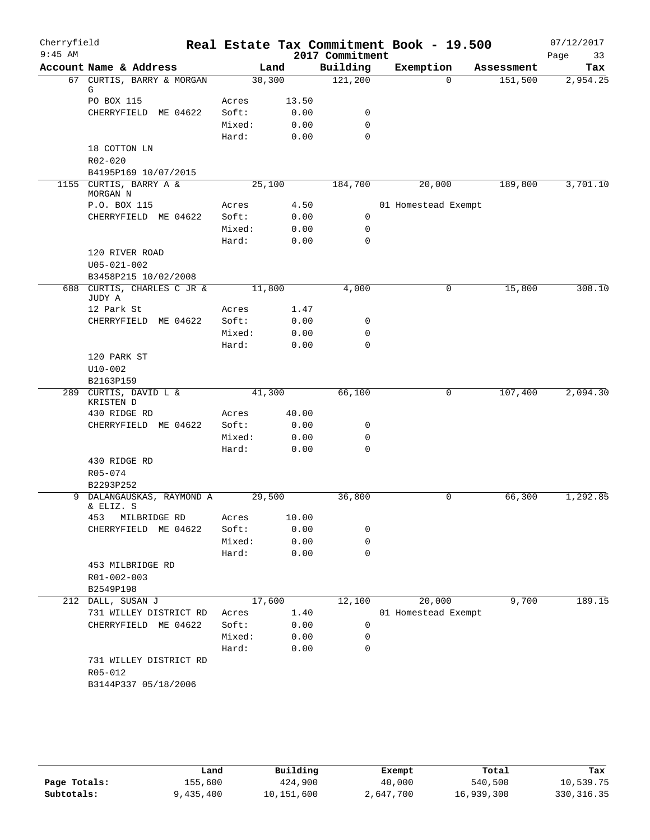| Cherryfield |                                    |                 |       |                 | Real Estate Tax Commitment Book - 19.500 |            | 07/12/2017 |
|-------------|------------------------------------|-----------------|-------|-----------------|------------------------------------------|------------|------------|
| $9:45$ AM   |                                    |                 |       | 2017 Commitment |                                          |            | Page<br>33 |
|             | Account Name & Address             |                 | Land  | Building        | Exemption                                | Assessment | Tax        |
|             | 67 CURTIS, BARRY & MORGAN<br>G     | 30,300          |       | 121,200         | $\Omega$                                 | 151,500    | 2,954.25   |
|             | PO BOX 115                         | Acres           | 13.50 |                 |                                          |            |            |
|             | CHERRYFIELD ME 04622               | Soft:           | 0.00  | 0               |                                          |            |            |
|             |                                    | Mixed:          | 0.00  | $\mathbf 0$     |                                          |            |            |
|             |                                    | Hard:           | 0.00  | $\mathbf 0$     |                                          |            |            |
|             | 18 COTTON LN                       |                 |       |                 |                                          |            |            |
|             | $R02 - 020$                        |                 |       |                 |                                          |            |            |
|             | B4195P169 10/07/2015               |                 |       |                 |                                          |            |            |
|             | 1155 CURTIS, BARRY A &<br>MORGAN N | 25,100          |       | 184,700         | 20,000                                   | 189,800    | 3,701.10   |
|             | P.O. BOX 115                       | Acres           | 4.50  |                 | 01 Homestead Exempt                      |            |            |
|             | CHERRYFIELD ME 04622               | Soft:           | 0.00  | 0               |                                          |            |            |
|             |                                    | Mixed:          | 0.00  | 0               |                                          |            |            |
|             |                                    | Hard:           | 0.00  | $\mathbf 0$     |                                          |            |            |
|             | 120 RIVER ROAD                     |                 |       |                 |                                          |            |            |
|             | $U05 - 021 - 002$                  |                 |       |                 |                                          |            |            |
|             | B3458P215 10/02/2008               |                 |       |                 |                                          |            |            |
| 688         | CURTIS, CHARLES C JR &<br>JUDY A   | 11,800          |       | 4,000           | 0                                        | 15,800     | 308.10     |
|             | 12 Park St                         | Acres           | 1.47  |                 |                                          |            |            |
|             | CHERRYFIELD ME 04622               | Soft:           | 0.00  | 0               |                                          |            |            |
|             |                                    | Mixed:          | 0.00  | $\mathbf 0$     |                                          |            |            |
|             | 120 PARK ST                        | Hard:           | 0.00  | $\mathbf 0$     |                                          |            |            |
|             | $U10-002$                          |                 |       |                 |                                          |            |            |
|             | B2163P159                          |                 |       |                 |                                          |            |            |
|             | 289 CURTIS, DAVID L &              | 41,300          |       | 66,100          | 0                                        | 107,400    | 2,094.30   |
|             | KRISTEN D                          |                 |       |                 |                                          |            |            |
|             | 430 RIDGE RD                       | Acres           | 40.00 |                 |                                          |            |            |
|             | CHERRYFIELD ME 04622               | Soft:           | 0.00  | 0               |                                          |            |            |
|             |                                    | Mixed:<br>Hard: | 0.00  | 0               |                                          |            |            |
|             | 430 RIDGE RD                       |                 | 0.00  | $\mathbf 0$     |                                          |            |            |
|             | R05-074                            |                 |       |                 |                                          |            |            |
|             | B2293P252                          |                 |       |                 |                                          |            |            |
|             | 9 DALANGAUSKAS, RAYMOND A          | 29,500          |       | 36,800          | 0                                        | 66,300     | 1,292.85   |
|             | & ELIZ. S                          |                 |       |                 |                                          |            |            |
|             | 453<br>MILBRIDGE RD                | Acres           | 10.00 |                 |                                          |            |            |
|             | CHERRYFIELD ME 04622               | Soft:           | 0.00  | 0               |                                          |            |            |
|             |                                    | Mixed:          | 0.00  | $\mathbf 0$     |                                          |            |            |
|             | 453 MILBRIDGE RD                   | Hard:           | 0.00  | $\mathbf 0$     |                                          |            |            |
|             | R01-002-003                        |                 |       |                 |                                          |            |            |
|             | B2549P198                          |                 |       |                 |                                          |            |            |
| 212         | DALL, SUSAN J                      | 17,600          |       | 12,100          | 20,000                                   | 9,700      | 189.15     |
|             | 731 WILLEY DISTRICT RD             | Acres           | 1.40  |                 | 01 Homestead Exempt                      |            |            |
|             | CHERRYFIELD ME 04622               | Soft:           | 0.00  | 0               |                                          |            |            |
|             |                                    | Mixed:          | 0.00  | 0               |                                          |            |            |
|             |                                    | Hard:           | 0.00  | $\mathbf 0$     |                                          |            |            |
|             | 731 WILLEY DISTRICT RD             |                 |       |                 |                                          |            |            |
|             | R05-012                            |                 |       |                 |                                          |            |            |
|             | B3144P337 05/18/2006               |                 |       |                 |                                          |            |            |
|             |                                    |                 |       |                 |                                          |            |            |

|              | Land      | Building   | Exempt    | Total      | Tax         |
|--------------|-----------|------------|-----------|------------|-------------|
| Page Totals: | 155,600   | 424,900    | 40,000    | 540,500    | 10,539.75   |
| Subtotals:   | 9,435,400 | 10,151,600 | 2,647,700 | 16,939,300 | 330, 316.35 |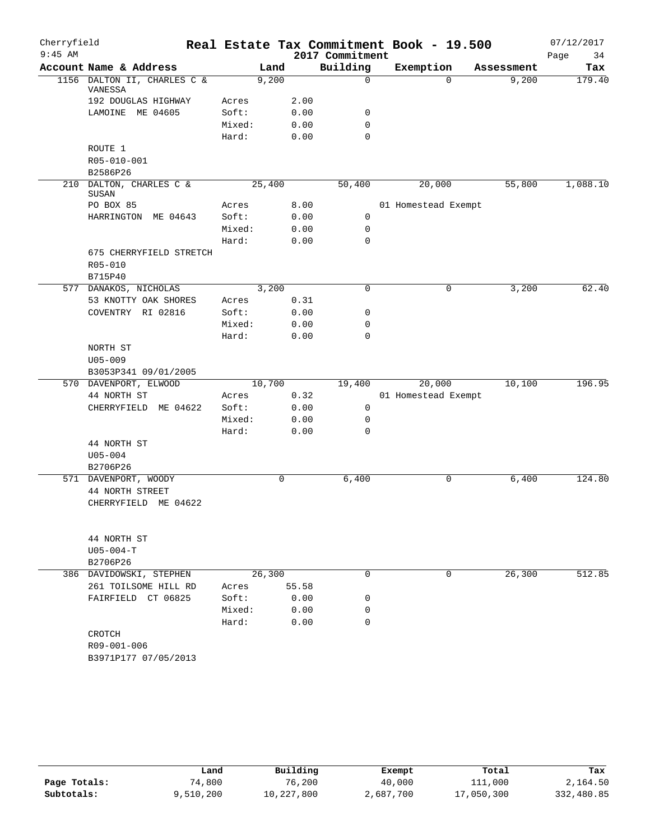| Cherryfield |                                         |        |        |       |                 | Real Estate Tax Commitment Book - 19.500 |            | 07/12/2017 |
|-------------|-----------------------------------------|--------|--------|-------|-----------------|------------------------------------------|------------|------------|
| $9:45$ AM   |                                         |        |        |       | 2017 Commitment |                                          |            | 34<br>Page |
|             | Account Name & Address                  |        | Land   |       | Building        | Exemption                                | Assessment | Tax        |
|             | 1156 DALTON II, CHARLES C &<br>VANESSA  |        | 9,200  |       | 0               | $\Omega$                                 | 9,200      | 179.40     |
|             | 192 DOUGLAS HIGHWAY                     | Acres  |        | 2.00  |                 |                                          |            |            |
|             | LAMOINE ME 04605                        | Soft:  |        | 0.00  | 0               |                                          |            |            |
|             |                                         | Mixed: |        | 0.00  | $\mathbf 0$     |                                          |            |            |
|             |                                         | Hard:  |        | 0.00  | $\mathbf 0$     |                                          |            |            |
|             | ROUTE 1                                 |        |        |       |                 |                                          |            |            |
|             | R05-010-001                             |        |        |       |                 |                                          |            |            |
|             | B2586P26                                |        |        |       |                 |                                          |            |            |
|             | 210 DALTON, CHARLES C &<br>SUSAN        |        | 25,400 |       | 50,400          | 20,000                                   | 55,800     | 1,088.10   |
|             | PO BOX 85                               | Acres  |        | 8.00  |                 | 01 Homestead Exempt                      |            |            |
|             | HARRINGTON ME 04643                     | Soft:  |        | 0.00  | 0               |                                          |            |            |
|             |                                         | Mixed: |        | 0.00  | 0               |                                          |            |            |
|             |                                         | Hard:  |        | 0.00  | $\mathbf 0$     |                                          |            |            |
|             | 675 CHERRYFIELD STRETCH                 |        |        |       |                 |                                          |            |            |
|             | R05-010<br>B715P40                      |        |        |       |                 |                                          |            |            |
|             | 577 DANAKOS, NICHOLAS                   |        | 3,200  |       | $\mathbf 0$     | 0                                        | 3,200      | 62.40      |
|             | 53 KNOTTY OAK SHORES                    | Acres  |        | 0.31  |                 |                                          |            |            |
|             | COVENTRY RI 02816                       | Soft:  |        | 0.00  | 0               |                                          |            |            |
|             |                                         | Mixed: |        | 0.00  | 0               |                                          |            |            |
|             |                                         | Hard:  |        | 0.00  | $\mathbf 0$     |                                          |            |            |
|             | NORTH ST                                |        |        |       |                 |                                          |            |            |
|             | $U05 - 009$                             |        |        |       |                 |                                          |            |            |
|             | B3053P341 09/01/2005                    |        |        |       |                 |                                          |            |            |
|             | 570 DAVENPORT, ELWOOD                   |        | 10,700 |       | 19,400          | 20,000                                   | 10,100     | 196.95     |
|             | 44 NORTH ST                             | Acres  |        | 0.32  |                 | 01 Homestead Exempt                      |            |            |
|             | CHERRYFIELD<br>ME 04622                 | Soft:  |        | 0.00  | 0               |                                          |            |            |
|             |                                         | Mixed: |        | 0.00  | 0               |                                          |            |            |
|             |                                         | Hard:  |        | 0.00  | $\mathbf 0$     |                                          |            |            |
|             | 44 NORTH ST                             |        |        |       |                 |                                          |            |            |
|             | $U05 - 004$                             |        |        |       |                 |                                          |            |            |
|             | B2706P26                                |        |        |       |                 |                                          |            |            |
|             | 571 DAVENPORT, WOODY                    |        |        | 0     | 6,400           | 0                                        | 6,400      | 124.80     |
|             | 44 NORTH STREET<br>CHERRYFIELD ME 04622 |        |        |       |                 |                                          |            |            |
|             |                                         |        |        |       |                 |                                          |            |            |
|             | 44 NORTH ST                             |        |        |       |                 |                                          |            |            |
|             | $U05 - 004 - T$                         |        |        |       |                 |                                          |            |            |
|             | B2706P26                                |        |        |       |                 |                                          |            |            |
|             | 386 DAVIDOWSKI, STEPHEN                 |        | 26,300 |       | 0               | 0                                        | 26,300     | 512.85     |
|             | 261 TOILSOME HILL RD                    | Acres  |        | 55.58 |                 |                                          |            |            |
|             | FAIRFIELD CT 06825                      | Soft:  |        | 0.00  | 0               |                                          |            |            |
|             |                                         | Mixed: |        | 0.00  | 0               |                                          |            |            |
|             |                                         | Hard:  |        | 0.00  | $\mathbf 0$     |                                          |            |            |
|             | CROTCH                                  |        |        |       |                 |                                          |            |            |
|             | R09-001-006                             |        |        |       |                 |                                          |            |            |
|             | B3971P177 07/05/2013                    |        |        |       |                 |                                          |            |            |

|              | Land      | Building   | Exempt    | Total      | Tax        |
|--------------|-----------|------------|-----------|------------|------------|
| Page Totals: | 74,800    | 76,200     | 40,000    | 111,000    | 2,164.50   |
| Subtotals:   | 9,510,200 | 10,227,800 | 2,687,700 | 17,050,300 | 332,480.85 |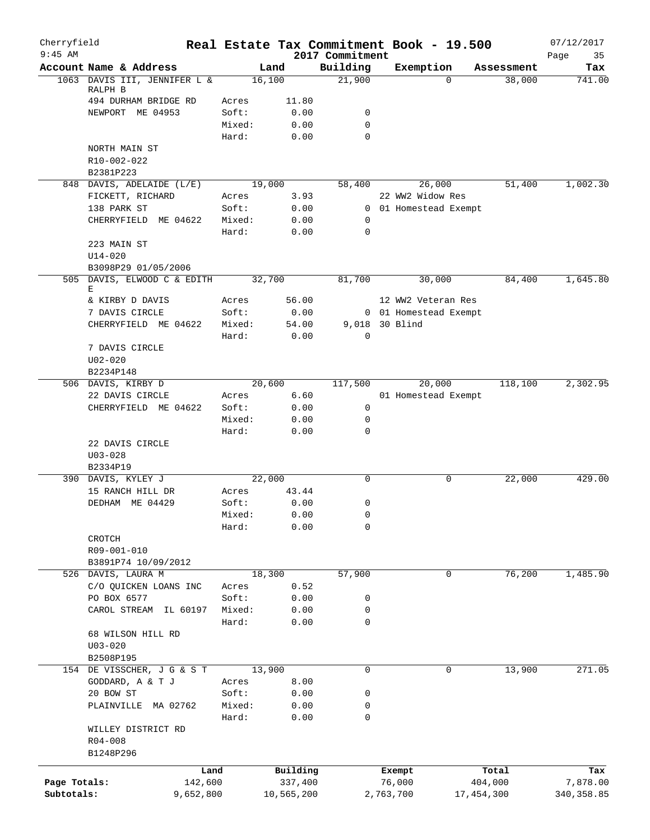| Cherryfield<br>$9:45$ AM |                                  |           |                 |              | 2017 Commitment | Real Estate Tax Commitment Book - 19.500 |            | 07/12/2017<br>35 |
|--------------------------|----------------------------------|-----------|-----------------|--------------|-----------------|------------------------------------------|------------|------------------|
|                          | Account Name & Address           |           |                 | Land         | Building        | Exemption                                | Assessment | Page<br>Tax      |
|                          | 1063 DAVIS III, JENNIFER L &     |           |                 | 16,100       | 21,900          | $\Omega$                                 | 38,000     | 741.00           |
|                          | RALPH B                          |           |                 |              |                 |                                          |            |                  |
|                          | 494 DURHAM BRIDGE RD             |           | Acres           | 11.80        |                 |                                          |            |                  |
|                          | NEWPORT ME 04953                 |           | Soft:<br>Mixed: | 0.00<br>0.00 | 0<br>0          |                                          |            |                  |
|                          |                                  |           | Hard:           | 0.00         | $\Omega$        |                                          |            |                  |
|                          | NORTH MAIN ST                    |           |                 |              |                 |                                          |            |                  |
|                          | R10-002-022                      |           |                 |              |                 |                                          |            |                  |
|                          | B2381P223                        |           |                 |              |                 |                                          |            |                  |
|                          | 848 DAVIS, ADELAIDE (L/E)        |           |                 | 19,000       | 58,400          | 26,000                                   | 51,400     | 1,002.30         |
|                          | FICKETT, RICHARD                 |           | Acres           | 3.93         |                 | 22 WW2 Widow Res                         |            |                  |
|                          | 138 PARK ST                      |           | Soft:           | 0.00         |                 | 0 01 Homestead Exempt                    |            |                  |
|                          | CHERRYFIELD ME 04622             |           | Mixed:          | 0.00         | 0               |                                          |            |                  |
|                          |                                  |           | Hard:           | 0.00         | 0               |                                          |            |                  |
|                          | 223 MAIN ST                      |           |                 |              |                 |                                          |            |                  |
|                          | U14-020                          |           |                 |              |                 |                                          |            |                  |
|                          | B3098P29 01/05/2006              |           |                 |              |                 |                                          |            |                  |
|                          | 505 DAVIS, ELWOOD C & EDITH<br>E |           |                 | 32,700       | 81,700          | 30,000                                   | 84,400     | 1,645.80         |
|                          | & KIRBY D DAVIS                  |           | Acres           | 56.00        |                 | 12 WW2 Veteran Res                       |            |                  |
|                          | 7 DAVIS CIRCLE                   |           | Soft:           | 0.00         |                 | 0 01 Homestead Exempt                    |            |                  |
|                          | CHERRYFIELD ME 04622             |           | Mixed:          | 54.00        |                 | 9,018 30 Blind                           |            |                  |
|                          |                                  |           | Hard:           | 0.00         | $\mathbf 0$     |                                          |            |                  |
|                          | 7 DAVIS CIRCLE                   |           |                 |              |                 |                                          |            |                  |
|                          | $U02 - 020$                      |           |                 |              |                 |                                          |            |                  |
|                          | B2234P148                        |           |                 |              |                 |                                          |            |                  |
|                          | 506 DAVIS, KIRBY D               |           |                 | 20,600       | 117,500         | 20,000                                   | 118,100    | 2,302.95         |
|                          | 22 DAVIS CIRCLE                  |           | Acres           | 6.60         |                 | 01 Homestead Exempt                      |            |                  |
|                          | CHERRYFIELD ME 04622             |           | Soft:           | 0.00         | 0               |                                          |            |                  |
|                          |                                  |           | Mixed:          | 0.00         | 0               |                                          |            |                  |
|                          |                                  |           | Hard:           | 0.00         | 0               |                                          |            |                  |
|                          | 22 DAVIS CIRCLE                  |           |                 |              |                 |                                          |            |                  |
|                          | $U03 - 028$<br>B2334P19          |           |                 |              |                 |                                          |            |                  |
|                          | 390 DAVIS, KYLEY J               |           |                 | 22,000       | $\Omega$        | 0                                        | 22,000     | 429.00           |
|                          | 15 RANCH HILL DR                 |           | Acres           | 43.44        |                 |                                          |            |                  |
|                          | DEDHAM ME 04429                  |           | Soft:           | 0.00         | 0               |                                          |            |                  |
|                          |                                  |           | Mixed:          | 0.00         | 0               |                                          |            |                  |
|                          |                                  |           | Hard:           | 0.00         | 0               |                                          |            |                  |
|                          | CROTCH                           |           |                 |              |                 |                                          |            |                  |
|                          | R09-001-010                      |           |                 |              |                 |                                          |            |                  |
|                          | B3891P74 10/09/2012              |           |                 |              |                 |                                          |            |                  |
|                          | 526 DAVIS, LAURA M               |           |                 | 18,300       | 57,900          | 0                                        | 76,200     | 1,485.90         |
|                          | C/O QUICKEN LOANS INC            |           | Acres           | 0.52         |                 |                                          |            |                  |
|                          | PO BOX 6577                      |           | Soft:           | 0.00         | 0               |                                          |            |                  |
|                          | CAROL STREAM                     | IL 60197  | Mixed:          | 0.00         | 0               |                                          |            |                  |
|                          | 68 WILSON HILL RD                |           | Hard:           | 0.00         | 0               |                                          |            |                  |
|                          | $U03 - 020$                      |           |                 |              |                 |                                          |            |                  |
|                          | B2508P195                        |           |                 |              |                 |                                          |            |                  |
|                          | 154 DE VISSCHER, J G & S T       |           |                 | 13,900       | 0               | 0                                        | 13,900     | 271.05           |
|                          | GODDARD, A & T J                 |           | Acres           | 8.00         |                 |                                          |            |                  |
|                          | 20 BOW ST                        |           | Soft:           | 0.00         | 0               |                                          |            |                  |
|                          | PLAINVILLE MA 02762              |           | Mixed:          | 0.00         | 0               |                                          |            |                  |
|                          |                                  |           | Hard:           | 0.00         | 0               |                                          |            |                  |
|                          | WILLEY DISTRICT RD               |           |                 |              |                 |                                          |            |                  |
|                          | $R04 - 008$                      |           |                 |              |                 |                                          |            |                  |
|                          | B1248P296                        |           |                 |              |                 |                                          |            |                  |
|                          |                                  | Land      |                 | Building     |                 | Exempt                                   | Total      | Tax              |
| Page Totals:             |                                  | 142,600   |                 | 337,400      |                 | 76,000                                   | 404,000    | 7,878.00         |
| Subtotals:               |                                  | 9,652,800 |                 | 10,565,200   |                 | 2,763,700<br>17,454,300                  |            | 340, 358.85      |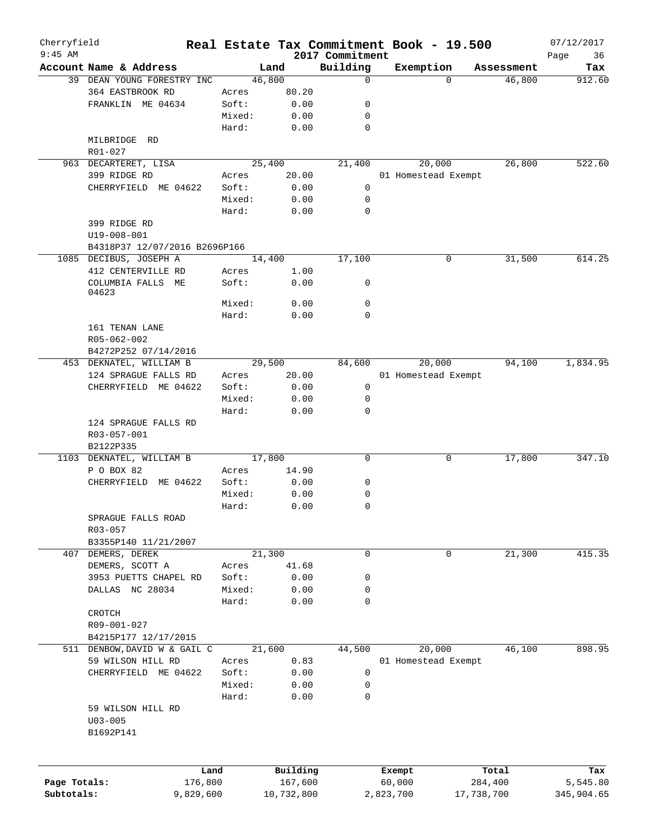| Cherryfield<br>$9:45$ AM |                                                  |        |            | 2017 Commitment | Real Estate Tax Commitment Book - 19.500 |                    | 07/12/2017<br>36 |
|--------------------------|--------------------------------------------------|--------|------------|-----------------|------------------------------------------|--------------------|------------------|
|                          | Account Name & Address                           |        | Land       | Building        | Exemption                                | Assessment         | Page<br>Tax      |
|                          | 39 DEAN YOUNG FORESTRY INC                       |        | 46,800     | 0               |                                          | 46,800<br>$\Omega$ | 912.60           |
|                          | 364 EASTBROOK RD                                 | Acres  | 80.20      |                 |                                          |                    |                  |
|                          | FRANKLIN ME 04634                                | Soft:  | 0.00       | 0               |                                          |                    |                  |
|                          |                                                  | Mixed: | 0.00       | 0               |                                          |                    |                  |
|                          |                                                  | Hard:  | 0.00       | 0               |                                          |                    |                  |
|                          | MILBRIDGE RD                                     |        |            |                 |                                          |                    |                  |
|                          | R01-027                                          |        |            |                 |                                          |                    |                  |
|                          | 963 DECARTERET, LISA                             |        | 25,400     | 21,400          | 20,000                                   | 26,800             | 522.60           |
|                          | 399 RIDGE RD                                     | Acres  | 20.00      |                 | 01 Homestead Exempt                      |                    |                  |
|                          | CHERRYFIELD ME 04622                             | Soft:  | 0.00       | 0               |                                          |                    |                  |
|                          |                                                  | Mixed: |            | 0               |                                          |                    |                  |
|                          |                                                  |        | 0.00       |                 |                                          |                    |                  |
|                          |                                                  | Hard:  | 0.00       | 0               |                                          |                    |                  |
|                          | 399 RIDGE RD                                     |        |            |                 |                                          |                    |                  |
|                          | U19-008-001                                      |        |            |                 |                                          |                    |                  |
|                          | B4318P37 12/07/2016 B2696P166                    |        |            |                 |                                          |                    |                  |
|                          | 1085 DECIBUS, JOSEPH A                           |        | 14,400     | 17,100          | $\mathbf 0$                              | 31,500             | 614.25           |
|                          | 412 CENTERVILLE RD                               | Acres  | 1.00       |                 |                                          |                    |                  |
|                          | COLUMBIA FALLS ME                                | Soft:  | 0.00       | 0               |                                          |                    |                  |
|                          | 04623                                            |        |            |                 |                                          |                    |                  |
|                          |                                                  | Mixed: | 0.00       | 0               |                                          |                    |                  |
|                          |                                                  | Hard:  | 0.00       | $\Omega$        |                                          |                    |                  |
|                          | 161 TENAN LANE                                   |        |            |                 |                                          |                    |                  |
|                          | R05-062-002                                      |        |            |                 |                                          |                    |                  |
|                          | B4272P252 07/14/2016                             |        |            |                 |                                          |                    |                  |
|                          | 453 DEKNATEL, WILLIAM B                          |        | 29,500     | 84,600          | 20,000                                   | 94,100             | 1,834.95         |
|                          | 124 SPRAGUE FALLS RD                             | Acres  | 20.00      |                 | 01 Homestead Exempt                      |                    |                  |
|                          | CHERRYFIELD ME 04622                             | Soft:  | 0.00       | 0               |                                          |                    |                  |
|                          |                                                  | Mixed: | 0.00       | 0               |                                          |                    |                  |
|                          |                                                  | Hard:  | 0.00       | 0               |                                          |                    |                  |
|                          | 124 SPRAGUE FALLS RD<br>R03-057-001<br>B2122P335 |        |            |                 |                                          |                    |                  |
|                          | 1103 DEKNATEL, WILLIAM B                         |        | 17,800     | 0               |                                          | 17,800<br>0        | 347.10           |
|                          | P O BOX 82                                       | Acres  | 14.90      |                 |                                          |                    |                  |
|                          | CHERRYFIELD ME 04622                             | Soft:  | 0.00       | 0               |                                          |                    |                  |
|                          |                                                  | Mixed: | 0.00       | 0               |                                          |                    |                  |
|                          |                                                  | Hard:  | 0.00       | 0               |                                          |                    |                  |
|                          |                                                  |        |            |                 |                                          |                    |                  |
|                          | SPRAGUE FALLS ROAD                               |        |            |                 |                                          |                    |                  |
|                          | R03-057                                          |        |            |                 |                                          |                    |                  |
|                          | B3355P140 11/21/2007                             |        |            |                 |                                          |                    |                  |
|                          | 407 DEMERS, DEREK                                |        | 21,300     | 0               |                                          | 0<br>21,300        | 415.35           |
|                          | DEMERS, SCOTT A                                  | Acres  | 41.68      |                 |                                          |                    |                  |
|                          | 3953 PUETTS CHAPEL RD                            | Soft:  | 0.00       | 0               |                                          |                    |                  |
|                          | DALLAS NC 28034                                  | Mixed: | 0.00       | 0               |                                          |                    |                  |
|                          |                                                  | Hard:  | 0.00       | 0               |                                          |                    |                  |
|                          | CROTCH                                           |        |            |                 |                                          |                    |                  |
|                          | R09-001-027                                      |        |            |                 |                                          |                    |                  |
|                          | B4215P177 12/17/2015                             |        |            |                 |                                          |                    |                  |
|                          | 511 DENBOW, DAVID W & GAIL C                     |        | 21,600     | 44,500          | 20,000                                   | 46,100             | 898.95           |
|                          | 59 WILSON HILL RD                                | Acres  | 0.83       |                 | 01 Homestead Exempt                      |                    |                  |
|                          | CHERRYFIELD ME 04622                             | Soft:  | 0.00       | 0               |                                          |                    |                  |
|                          |                                                  | Mixed: | 0.00       | 0               |                                          |                    |                  |
|                          |                                                  | Hard:  | 0.00       | 0               |                                          |                    |                  |
|                          | 59 WILSON HILL RD                                |        |            |                 |                                          |                    |                  |
|                          | $U03 - 005$                                      |        |            |                 |                                          |                    |                  |
|                          | B1692P141                                        |        |            |                 |                                          |                    |                  |
|                          |                                                  |        |            |                 |                                          |                    |                  |
|                          |                                                  |        |            |                 |                                          |                    |                  |
|                          | Land                                             |        | Building   |                 | Exempt                                   | Total              | Tax              |
| Page Totals:             | 176,800                                          |        | 167,600    |                 | 60,000                                   | 284,400            | 5,545.80         |
| Subtotals:               | 9,829,600                                        |        | 10,732,800 |                 | 2,823,700                                | 17,738,700         | 345,904.65       |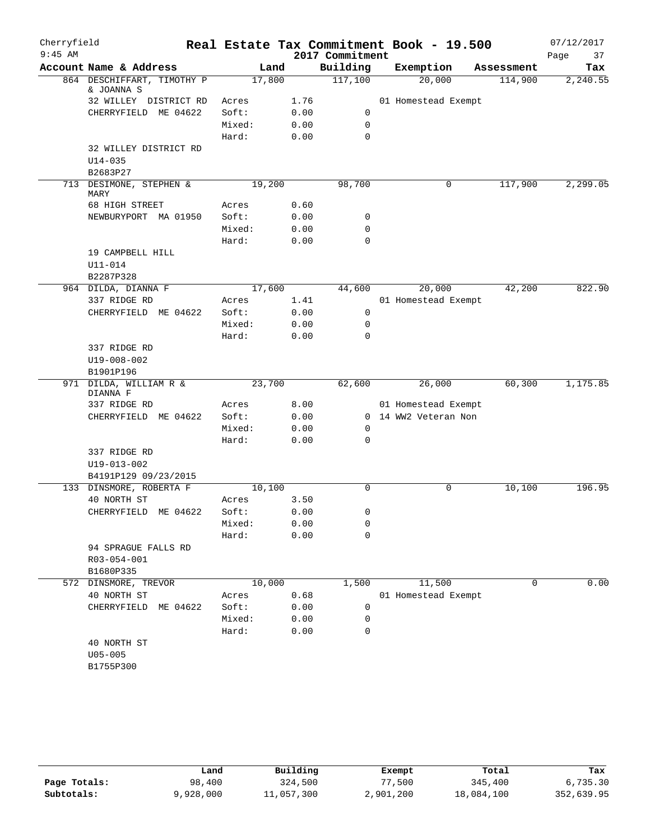| Cherryfield<br>$9:45$ AM |                                          |        |      | 2017 Commitment | Real Estate Tax Commitment Book - 19.500 |            | 07/12/2017<br>37<br>Page |
|--------------------------|------------------------------------------|--------|------|-----------------|------------------------------------------|------------|--------------------------|
|                          | Account Name & Address                   |        | Land | Building        | Exemption                                | Assessment | Tax                      |
|                          | 864 DESCHIFFART, TIMOTHY P<br>& JOANNA S | 17,800 |      | 117,100         | 20,000                                   | 114,900    | 2,240.55                 |
|                          | 32 WILLEY DISTRICT RD                    | Acres  | 1.76 |                 | 01 Homestead Exempt                      |            |                          |
|                          | CHERRYFIELD ME 04622                     | Soft:  | 0.00 | 0               |                                          |            |                          |
|                          |                                          | Mixed: | 0.00 | 0               |                                          |            |                          |
|                          |                                          | Hard:  | 0.00 | 0               |                                          |            |                          |
|                          | 32 WILLEY DISTRICT RD                    |        |      |                 |                                          |            |                          |
|                          | $U14 - 035$                              |        |      |                 |                                          |            |                          |
|                          | B2683P27                                 |        |      |                 |                                          |            |                          |
|                          | 713 DESIMONE, STEPHEN &<br>MARY          | 19,200 |      | 98,700          | 0                                        | 117,900    | 2,299.05                 |
|                          | 68 HIGH STREET                           | Acres  | 0.60 |                 |                                          |            |                          |
|                          | NEWBURYPORT MA 01950                     | Soft:  | 0.00 | 0               |                                          |            |                          |
|                          |                                          | Mixed: | 0.00 | 0               |                                          |            |                          |
|                          |                                          | Hard:  | 0.00 | $\Omega$        |                                          |            |                          |
|                          | 19 CAMPBELL HILL                         |        |      |                 |                                          |            |                          |
|                          | $U11 - 014$                              |        |      |                 |                                          |            |                          |
|                          | B2287P328                                |        |      |                 |                                          |            |                          |
|                          | 964 DILDA, DIANNA F                      | 17,600 |      | 44,600          | 20,000                                   | 42,200     | 822.90                   |
|                          | 337 RIDGE RD                             | Acres  | 1.41 |                 | 01 Homestead Exempt                      |            |                          |
|                          | CHERRYFIELD ME 04622                     | Soft:  | 0.00 | 0               |                                          |            |                          |
|                          |                                          | Mixed: | 0.00 | 0               |                                          |            |                          |
|                          |                                          | Hard:  | 0.00 | $\Omega$        |                                          |            |                          |
|                          | 337 RIDGE RD                             |        |      |                 |                                          |            |                          |
|                          | U19-008-002                              |        |      |                 |                                          |            |                          |
|                          | B1901P196                                |        |      |                 |                                          |            |                          |
|                          | 971 DILDA, WILLIAM R &                   | 23,700 |      | 62,600          | 26,000                                   | 60,300     | 1,175.85                 |
|                          | DIANNA F                                 |        |      |                 |                                          |            |                          |
|                          | 337 RIDGE RD                             | Acres  | 8.00 |                 | 01 Homestead Exempt                      |            |                          |
|                          | CHERRYFIELD ME 04622                     | Soft:  | 0.00 |                 | 0 14 WW2 Veteran Non                     |            |                          |
|                          |                                          | Mixed: | 0.00 | 0               |                                          |            |                          |
|                          |                                          | Hard:  | 0.00 | 0               |                                          |            |                          |
|                          | 337 RIDGE RD                             |        |      |                 |                                          |            |                          |
|                          | U19-013-002                              |        |      |                 |                                          |            |                          |
|                          | B4191P129 09/23/2015                     |        |      |                 |                                          |            |                          |
|                          | 133 DINSMORE, ROBERTA F                  | 10,100 |      | 0               | 0                                        | 10,100     | 196.95                   |
|                          | 40 NORTH ST                              | Acres  | 3.50 |                 |                                          |            |                          |
|                          | CHERRYFIELD ME 04622                     | Soft:  | 0.00 | 0               |                                          |            |                          |
|                          |                                          | Mixed: | 0.00 | 0               |                                          |            |                          |
|                          | 94 SPRAGUE FALLS RD                      | Hard:  | 0.00 | 0               |                                          |            |                          |
|                          |                                          |        |      |                 |                                          |            |                          |
|                          | R03-054-001<br>B1680P335                 |        |      |                 |                                          |            |                          |
| 572                      | DINSMORE, TREVOR                         | 10,000 |      | 1,500           | 11,500                                   | 0          | 0.00                     |
|                          | 40 NORTH ST                              | Acres  | 0.68 |                 | 01 Homestead Exempt                      |            |                          |
|                          | CHERRYFIELD<br>ME 04622                  | Soft:  | 0.00 | 0               |                                          |            |                          |
|                          |                                          | Mixed: | 0.00 | 0               |                                          |            |                          |
|                          |                                          | Hard:  | 0.00 | 0               |                                          |            |                          |
|                          | 40 NORTH ST                              |        |      |                 |                                          |            |                          |
|                          | $U05 - 005$                              |        |      |                 |                                          |            |                          |
|                          | B1755P300                                |        |      |                 |                                          |            |                          |
|                          |                                          |        |      |                 |                                          |            |                          |

|              | Land      | Building   | Exempt    | Total      | Tax        |
|--------------|-----------|------------|-----------|------------|------------|
| Page Totals: | 98,400    | 324,500    | 77,500    | 345,400    | 6,735.30   |
| Subtotals:   | 9,928,000 | 11,057,300 | 2,901,200 | 18,084,100 | 352,639.95 |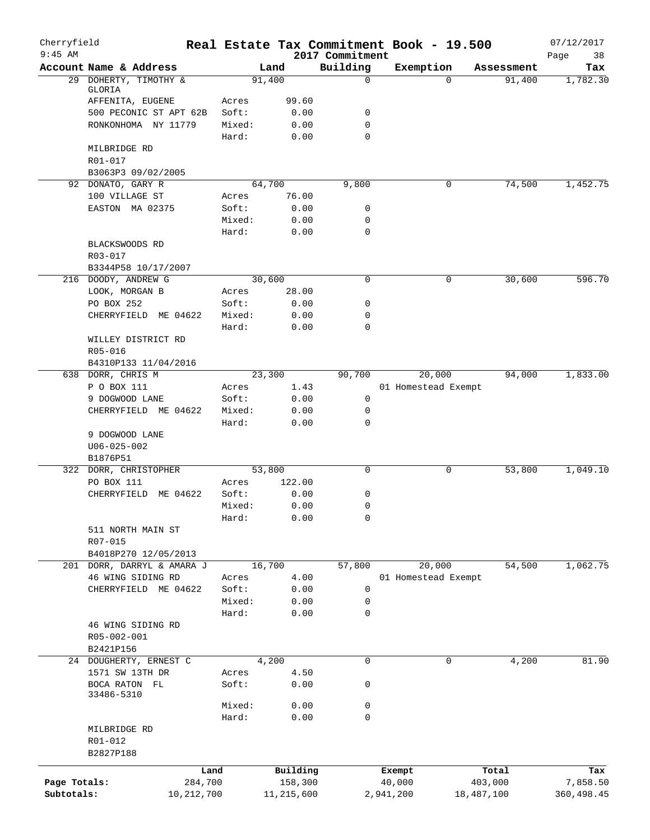| Cherryfield<br>$9:45$ AM |                                               |                 | Real Estate Tax Commitment Book - 19.500 |                             |           |                     |            | 07/12/2017        |
|--------------------------|-----------------------------------------------|-----------------|------------------------------------------|-----------------------------|-----------|---------------------|------------|-------------------|
|                          | Account Name & Address                        |                 | Land                                     | 2017 Commitment<br>Building | Exemption |                     | Assessment | Page<br>38<br>Tax |
|                          | 29 DOHERTY, TIMOTHY &                         |                 | 91,400                                   | 0                           |           | $\Omega$            | 91,400     | 1,782.30          |
|                          | GLORIA                                        |                 |                                          |                             |           |                     |            |                   |
|                          | AFFENITA, EUGENE                              | Acres           | 99.60                                    |                             |           |                     |            |                   |
|                          | 500 PECONIC ST APT 62B<br>RONKONHOMA NY 11779 | Soft:<br>Mixed: | 0.00<br>0.00                             | 0<br>$\mathbf 0$            |           |                     |            |                   |
|                          |                                               | Hard:           | 0.00                                     | 0                           |           |                     |            |                   |
|                          | MILBRIDGE RD                                  |                 |                                          |                             |           |                     |            |                   |
|                          | R01-017                                       |                 |                                          |                             |           |                     |            |                   |
|                          | B3063P3 09/02/2005                            |                 |                                          |                             |           |                     |            |                   |
|                          | 92 DONATO, GARY R                             |                 | 64,700                                   | 9,800                       |           | 0                   | 74,500     | 1,452.75          |
|                          | 100 VILLAGE ST                                | Acres           | 76.00                                    |                             |           |                     |            |                   |
|                          | EASTON MA 02375                               | Soft:           | 0.00                                     | 0                           |           |                     |            |                   |
|                          |                                               | Mixed:          | 0.00                                     | 0                           |           |                     |            |                   |
|                          |                                               | Hard:           | 0.00                                     | 0                           |           |                     |            |                   |
|                          | BLACKSWOODS RD                                |                 |                                          |                             |           |                     |            |                   |
|                          | R03-017                                       |                 |                                          |                             |           |                     |            |                   |
|                          | B3344P58 10/17/2007                           |                 |                                          |                             |           |                     |            |                   |
|                          | 216 DOODY, ANDREW G                           |                 | 30,600                                   | $\mathbf 0$                 |           | 0                   | 30,600     | 596.70            |
|                          | LOOK, MORGAN B<br>PO BOX 252                  | Acres<br>Soft:  | 28.00<br>0.00                            | 0                           |           |                     |            |                   |
|                          | CHERRYFIELD ME 04622                          | Mixed:          | 0.00                                     | 0                           |           |                     |            |                   |
|                          |                                               | Hard:           | 0.00                                     | 0                           |           |                     |            |                   |
|                          | WILLEY DISTRICT RD                            |                 |                                          |                             |           |                     |            |                   |
|                          | R05-016                                       |                 |                                          |                             |           |                     |            |                   |
|                          | B4310P133 11/04/2016                          |                 |                                          |                             |           |                     |            |                   |
|                          | 638 DORR, CHRIS M                             |                 | 23,300                                   | 90,700                      |           | 20,000              | 94,000     | 1,833.00          |
|                          | P O BOX 111                                   | Acres           | 1.43                                     |                             |           | 01 Homestead Exempt |            |                   |
|                          | 9 DOGWOOD LANE                                | Soft:           | 0.00                                     | 0                           |           |                     |            |                   |
|                          | CHERRYFIELD ME 04622                          | Mixed:          | 0.00                                     | 0                           |           |                     |            |                   |
|                          |                                               | Hard:           | 0.00                                     | 0                           |           |                     |            |                   |
|                          | 9 DOGWOOD LANE                                |                 |                                          |                             |           |                     |            |                   |
|                          | $U06 - 025 - 002$<br>B1876P51                 |                 |                                          |                             |           |                     |            |                   |
|                          | 322 DORR, CHRISTOPHER                         |                 | 53,800                                   | 0                           |           | 0                   | 53,800     | 1,049.10          |
|                          | PO BOX 111                                    | Acres           | 122.00                                   |                             |           |                     |            |                   |
|                          | CHERRYFIELD ME 04622                          | Soft:           | 0.00                                     | 0                           |           |                     |            |                   |
|                          |                                               | Mixed:          | 0.00                                     | 0                           |           |                     |            |                   |
|                          |                                               | Hard:           | 0.00                                     | 0                           |           |                     |            |                   |
|                          | 511 NORTH MAIN ST                             |                 |                                          |                             |           |                     |            |                   |
|                          | R07-015                                       |                 |                                          |                             |           |                     |            |                   |
|                          | B4018P270 12/05/2013                          |                 |                                          |                             |           |                     |            |                   |
|                          | 201 DORR, DARRYL & AMARA J                    |                 | 16,700                                   | 57,800                      |           | 20,000              | 54,500     | 1,062.75          |
|                          | 46 WING SIDING RD                             | Acres           | 4.00                                     |                             |           | 01 Homestead Exempt |            |                   |
|                          | CHERRYFIELD ME 04622                          | Soft:           | 0.00                                     | 0                           |           |                     |            |                   |
|                          |                                               | Mixed:          | 0.00                                     | 0                           |           |                     |            |                   |
|                          | 46 WING SIDING RD                             | Hard:           | 0.00                                     | 0                           |           |                     |            |                   |
|                          | R05-002-001                                   |                 |                                          |                             |           |                     |            |                   |
|                          | B2421P156                                     |                 |                                          |                             |           |                     |            |                   |
|                          | 24 DOUGHERTY, ERNEST C                        |                 | 4,200                                    | $\mathbf 0$                 |           | 0                   | 4,200      | 81.90             |
|                          | 1571 SW 13TH DR                               | Acres           | 4.50                                     |                             |           |                     |            |                   |
|                          | BOCA RATON FL                                 | Soft:           | 0.00                                     | 0                           |           |                     |            |                   |
|                          | 33486-5310                                    |                 |                                          |                             |           |                     |            |                   |
|                          |                                               | Mixed:          | 0.00                                     | 0                           |           |                     |            |                   |
|                          |                                               | Hard:           | 0.00                                     | $\mathbf 0$                 |           |                     |            |                   |
|                          | MILBRIDGE RD                                  |                 |                                          |                             |           |                     |            |                   |
|                          | R01-012<br>B2827P188                          |                 |                                          |                             |           |                     |            |                   |
|                          |                                               |                 |                                          |                             |           |                     |            |                   |
|                          |                                               | Land            | Building                                 |                             | Exempt    |                     | Total      | Tax               |
| Page Totals:             | 284,700                                       |                 | 158,300                                  |                             | 40,000    |                     | 403,000    | 7,858.50          |
| Subtotals:               | 10, 212, 700                                  |                 | 11,215,600                               |                             | 2,941,200 | 18,487,100          |            | 360,498.45        |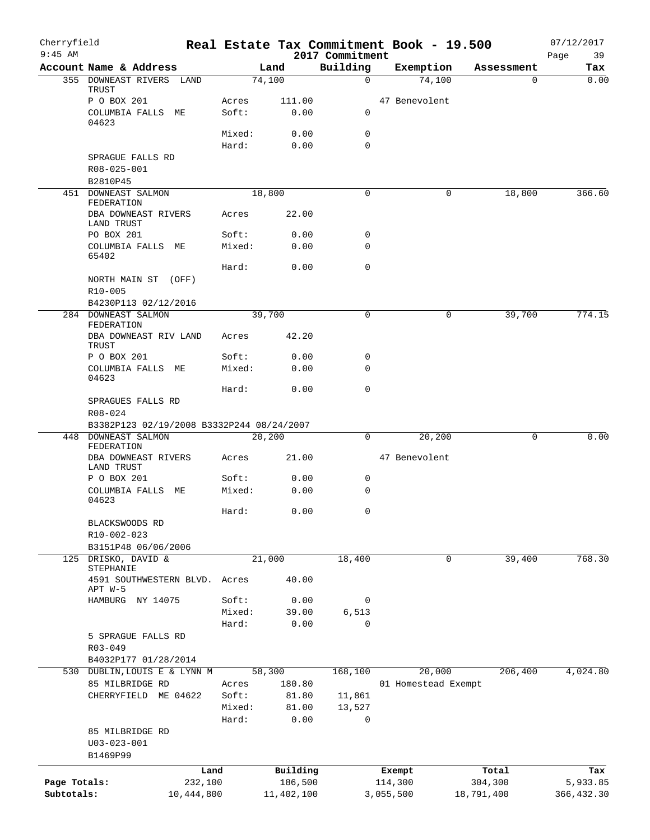| Cherryfield<br>$9:45$ AM |                                                      |                 |                | 2017 Commitment  |           | Real Estate Tax Commitment Book - 19.500 |            | 07/12/2017        |
|--------------------------|------------------------------------------------------|-----------------|----------------|------------------|-----------|------------------------------------------|------------|-------------------|
|                          | Account Name & Address                               |                 | Land           | Building         |           | Exemption                                | Assessment | 39<br>Page<br>Tax |
|                          | 355 DOWNEAST RIVERS LAND                             |                 | 74,100         | $\mathbf 0$      |           | 74,100                                   | 0          | 0.00              |
|                          | TRUST                                                |                 |                |                  |           |                                          |            |                   |
|                          | P O BOX 201<br>COLUMBIA FALLS ME                     | Acres<br>Soft:  | 111.00<br>0.00 | 0                |           | 47 Benevolent                            |            |                   |
|                          | 04623                                                |                 |                |                  |           |                                          |            |                   |
|                          |                                                      | Mixed:          | 0.00           | $\mathsf{O}$     |           |                                          |            |                   |
|                          |                                                      | Hard:           | 0.00           | $\mathbf 0$      |           |                                          |            |                   |
|                          | SPRAGUE FALLS RD                                     |                 |                |                  |           |                                          |            |                   |
|                          | R08-025-001<br>B2810P45                              |                 |                |                  |           |                                          |            |                   |
|                          | 451 DOWNEAST SALMON                                  |                 | 18,800         | 0                |           | 0                                        | 18,800     | 366.60            |
|                          | FEDERATION                                           |                 |                |                  |           |                                          |            |                   |
|                          | DBA DOWNEAST RIVERS<br>LAND TRUST                    | Acres           | 22.00          |                  |           |                                          |            |                   |
|                          | PO BOX 201                                           | Soft:           | 0.00           | 0                |           |                                          |            |                   |
|                          | COLUMBIA FALLS ME                                    | Mixed:          | 0.00           | $\mathbf 0$      |           |                                          |            |                   |
|                          | 65402                                                |                 |                | $\mathbf 0$      |           |                                          |            |                   |
|                          | NORTH MAIN ST (OFF)                                  | Hard:           | 0.00           |                  |           |                                          |            |                   |
|                          | R10-005                                              |                 |                |                  |           |                                          |            |                   |
|                          | B4230P113 02/12/2016                                 |                 |                |                  |           |                                          |            |                   |
|                          | 284 DOWNEAST SALMON                                  |                 | 39,700         | $\mathbf 0$      |           | 0                                        | 39,700     | 774.15            |
|                          | FEDERATION<br>DBA DOWNEAST RIV LAND                  | Acres           | 42.20          |                  |           |                                          |            |                   |
|                          | TRUST                                                |                 |                |                  |           |                                          |            |                   |
|                          | P O BOX 201                                          | Soft:           | 0.00           | 0                |           |                                          |            |                   |
|                          | COLUMBIA FALLS ME<br>04623                           | Mixed:          | 0.00           | $\mathbf 0$      |           |                                          |            |                   |
|                          |                                                      | Hard:           | 0.00           | $\mathbf 0$      |           |                                          |            |                   |
|                          | SPRAGUES FALLS RD                                    |                 |                |                  |           |                                          |            |                   |
|                          | R08-024                                              |                 |                |                  |           |                                          |            |                   |
|                          | B3382P123 02/19/2008 B3332P244 08/24/2007            |                 |                |                  |           |                                          |            |                   |
| 448                      | DOWNEAST SALMON<br>FEDERATION                        |                 | 20,200         | 0                |           | 20,200                                   | 0          | 0.00              |
|                          | DBA DOWNEAST RIVERS                                  | Acres           | 21.00          |                  |           | 47 Benevolent                            |            |                   |
|                          | LAND TRUST                                           |                 |                |                  |           |                                          |            |                   |
|                          | P O BOX 201<br>COLUMBIA FALLS ME                     | Soft:<br>Mixed: | 0.00<br>0.00   | 0<br>$\mathbf 0$ |           |                                          |            |                   |
|                          | 04623                                                |                 |                |                  |           |                                          |            |                   |
|                          |                                                      | Hard:           | 0.00           | $\mathbf 0$      |           |                                          |            |                   |
|                          | BLACKSWOODS RD                                       |                 |                |                  |           |                                          |            |                   |
|                          | R10-002-023<br>B3151P48 06/06/2006                   |                 |                |                  |           |                                          |            |                   |
| 125                      | DRISKO, DAVID &                                      |                 | 21,000         | 18,400           |           | $\mathbf 0$                              | 39,400     | 768.30            |
|                          | STEPHANIE                                            |                 |                |                  |           |                                          |            |                   |
|                          | 4591 SOUTHWESTERN BLVD. Acres                        |                 | 40.00          |                  |           |                                          |            |                   |
|                          | APT W-5<br>HAMBURG NY 14075                          | Soft:           | 0.00           | 0                |           |                                          |            |                   |
|                          |                                                      | Mixed:          | 39.00          | 6,513            |           |                                          |            |                   |
|                          |                                                      | Hard:           | 0.00           | $\mathbf 0$      |           |                                          |            |                   |
|                          | 5 SPRAGUE FALLS RD                                   |                 |                |                  |           |                                          |            |                   |
|                          | R03-049                                              |                 |                |                  |           |                                          |            |                   |
|                          | B4032P177 01/28/2014<br>530 DUBLIN, LOUIS E & LYNN M |                 | 58,300         | 168,100          |           | 20,000                                   | 206,400    | 4,024.80          |
|                          | 85 MILBRIDGE RD                                      | Acres           | 180.80         |                  |           | 01 Homestead Exempt                      |            |                   |
|                          | CHERRYFIELD ME 04622                                 | Soft:           | 81.80          | 11,861           |           |                                          |            |                   |
|                          |                                                      | Mixed:          | 81.00          | 13,527           |           |                                          |            |                   |
|                          |                                                      | Hard:           | 0.00           | 0                |           |                                          |            |                   |
|                          | 85 MILBRIDGE RD                                      |                 |                |                  |           |                                          |            |                   |
|                          | $U03 - 023 - 001$<br>B1469P99                        |                 |                |                  |           |                                          |            |                   |
|                          |                                                      | Land            | Building       |                  |           | Exempt                                   | Total      | Tax               |
| Page Totals:             | 232,100                                              |                 | 186,500        |                  | 114,300   |                                          | 304,300    | 5,933.85          |
| Subtotals:               | 10,444,800                                           |                 | 11,402,100     |                  | 3,055,500 |                                          | 18,791,400 | 366, 432.30       |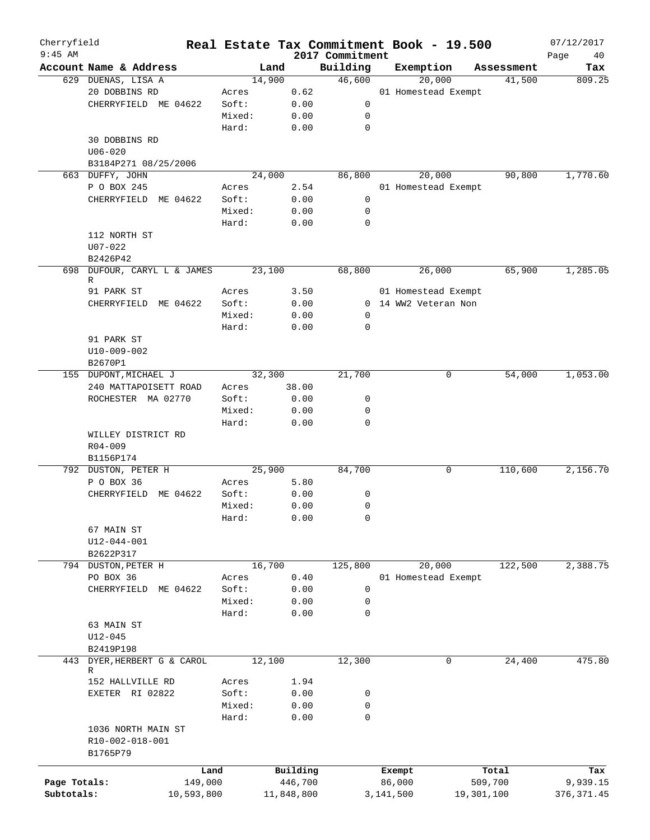| Cherryfield<br>$9:45$ AM |                                         |            |        |            | 2017 Commitment | Real Estate Tax Commitment Book - 19.500 |            | 07/12/2017<br>Page<br>40 |
|--------------------------|-----------------------------------------|------------|--------|------------|-----------------|------------------------------------------|------------|--------------------------|
|                          | Account Name & Address                  |            | Land   |            | Building        | Exemption                                | Assessment | Tax                      |
|                          | 629 DUENAS, LISA A                      |            | 14,900 |            | 46,600          | 20,000                                   | 41,500     | 809.25                   |
|                          | 20 DOBBINS RD                           |            | Acres  | 0.62       |                 | 01 Homestead Exempt                      |            |                          |
|                          | CHERRYFIELD ME 04622                    |            | Soft:  | 0.00       | 0               |                                          |            |                          |
|                          |                                         |            | Mixed: | 0.00       | 0               |                                          |            |                          |
|                          |                                         |            | Hard:  | 0.00       | $\mathbf 0$     |                                          |            |                          |
|                          | 30 DOBBINS RD                           |            |        |            |                 |                                          |            |                          |
|                          | $U06 - 020$                             |            |        |            |                 |                                          |            |                          |
|                          | B3184P271 08/25/2006                    |            |        |            |                 |                                          |            |                          |
|                          | 663 DUFFY, JOHN                         |            | 24,000 |            | 86,800          | 20,000                                   | 90,800     | 1,770.60                 |
|                          | P O BOX 245                             |            | Acres  | 2.54       |                 | 01 Homestead Exempt                      |            |                          |
|                          | CHERRYFIELD ME 04622                    |            | Soft:  | 0.00       | 0               |                                          |            |                          |
|                          |                                         |            | Mixed: | 0.00       | 0               |                                          |            |                          |
|                          |                                         |            | Hard:  | 0.00       | 0               |                                          |            |                          |
|                          | 112 NORTH ST                            |            |        |            |                 |                                          |            |                          |
|                          | $U07 - 022$                             |            |        |            |                 |                                          |            |                          |
|                          |                                         |            |        |            |                 |                                          |            |                          |
|                          | B2426P42<br>698 DUFOUR, CARYL L & JAMES |            | 23,100 |            | 68,800          | 26,000                                   | 65,900     | 1,285.05                 |
|                          | R                                       |            |        |            |                 |                                          |            |                          |
|                          | 91 PARK ST                              |            | Acres  | 3.50       |                 | 01 Homestead Exempt                      |            |                          |
|                          | CHERRYFIELD ME 04622                    |            | Soft:  | 0.00       |                 | 0 14 WW2 Veteran Non                     |            |                          |
|                          |                                         |            | Mixed: | 0.00       | 0               |                                          |            |                          |
|                          |                                         |            | Hard:  | 0.00       | 0               |                                          |            |                          |
|                          | 91 PARK ST                              |            |        |            |                 |                                          |            |                          |
|                          | U10-009-002                             |            |        |            |                 |                                          |            |                          |
|                          | B2670P1                                 |            |        |            |                 |                                          |            |                          |
|                          | 155 DUPONT, MICHAEL J                   |            | 32,300 |            | 21,700          | 0                                        | 54,000     | 1,053.00                 |
|                          | 240 MATTAPOISETT ROAD                   |            | Acres  | 38.00      |                 |                                          |            |                          |
|                          | ROCHESTER MA 02770                      |            | Soft:  | 0.00       | 0               |                                          |            |                          |
|                          |                                         |            | Mixed: | 0.00       | 0               |                                          |            |                          |
|                          |                                         |            | Hard:  | 0.00       | 0               |                                          |            |                          |
|                          | WILLEY DISTRICT RD                      |            |        |            |                 |                                          |            |                          |
|                          | $R04 - 009$                             |            |        |            |                 |                                          |            |                          |
|                          | B1156P174                               |            |        |            |                 |                                          |            |                          |
|                          | 792 DUSTON, PETER H                     |            | 25,900 |            | 84,700          | 0                                        | 110,600    | 2,156.70                 |
|                          | P O BOX 36                              |            | Acres  | 5.80       |                 |                                          |            |                          |
|                          | CHERRYFIELD ME 04622                    |            | Soft:  | 0.00       | 0               |                                          |            |                          |
|                          |                                         |            | Mixed: | 0.00       | 0               |                                          |            |                          |
|                          |                                         |            | Hard:  | 0.00       | 0               |                                          |            |                          |
|                          | 67 MAIN ST                              |            |        |            |                 |                                          |            |                          |
|                          | U12-044-001                             |            |        |            |                 |                                          |            |                          |
|                          | B2622P317                               |            |        |            |                 |                                          |            |                          |
|                          | 794 DUSTON, PETER H                     |            | 16,700 |            | 125,800         | 20,000                                   | 122,500    | 2,388.75                 |
|                          | PO BOX 36                               |            | Acres  | 0.40       |                 | 01 Homestead Exempt                      |            |                          |
|                          | CHERRYFIELD ME 04622                    |            | Soft:  | 0.00       | $\mathbf 0$     |                                          |            |                          |
|                          |                                         |            | Mixed: | 0.00       | 0               |                                          |            |                          |
|                          |                                         |            | Hard:  | 0.00       | 0               |                                          |            |                          |
|                          | 63 MAIN ST                              |            |        |            |                 |                                          |            |                          |
|                          |                                         |            |        |            |                 |                                          |            |                          |
|                          | $U12 - 045$                             |            |        |            |                 |                                          |            |                          |
|                          | B2419P198                               |            |        |            |                 |                                          |            |                          |
| 443                      | DYER, HERBERT G & CAROL<br>R            |            | 12,100 |            | 12,300          | 0                                        | 24,400     | 475.80                   |
|                          | 152 HALLVILLE RD                        |            | Acres  | 1.94       |                 |                                          |            |                          |
|                          | EXETER RI 02822                         |            | Soft:  | 0.00       | 0               |                                          |            |                          |
|                          |                                         |            | Mixed: | 0.00       | 0               |                                          |            |                          |
|                          |                                         |            | Hard:  | 0.00       | $\mathbf 0$     |                                          |            |                          |
|                          | 1036 NORTH MAIN ST                      |            |        |            |                 |                                          |            |                          |
|                          | R10-002-018-001                         |            |        |            |                 |                                          |            |                          |
|                          | B1765P79                                |            |        |            |                 |                                          |            |                          |
|                          |                                         |            |        |            |                 |                                          |            |                          |
|                          |                                         | Land       |        | Building   |                 | Exempt                                   | Total      | Tax                      |
| Page Totals:             |                                         | 149,000    |        | 446,700    |                 | 86,000                                   | 509,700    | 9,939.15                 |
| Subtotals:               |                                         | 10,593,800 |        | 11,848,800 |                 | 3,141,500                                | 19,301,100 | 376, 371.45              |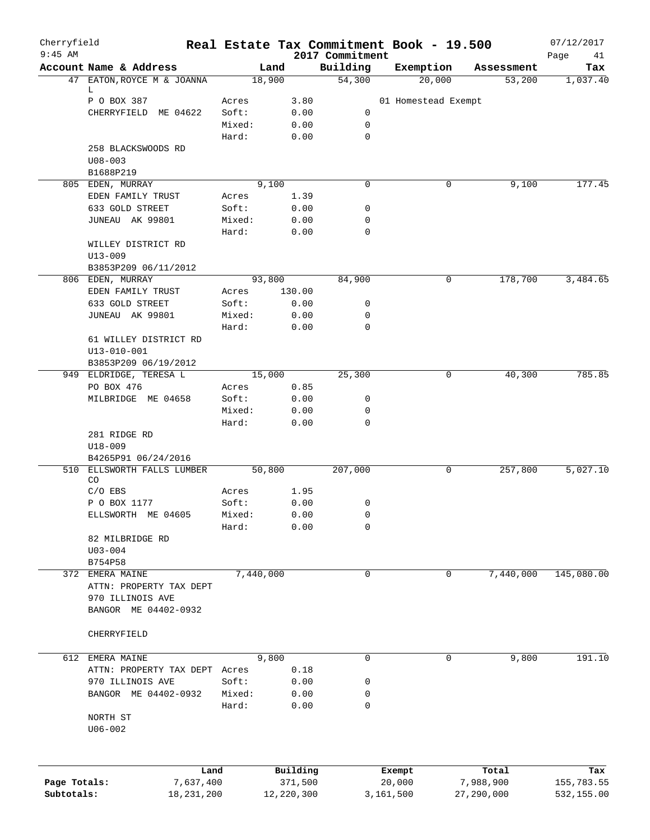| Cherryfield<br>$9:45$ AM |                                       | Real Estate Tax Commitment Book - 19.500 |              |                             |                     |   |            | 07/12/2017        |
|--------------------------|---------------------------------------|------------------------------------------|--------------|-----------------------------|---------------------|---|------------|-------------------|
|                          | Account Name & Address                | Land                                     |              | 2017 Commitment<br>Building | Exemption           |   | Assessment | Page<br>41<br>Tax |
|                          | 47 EATON, ROYCE M & JOANNA            | 18,900                                   |              | 54,300                      | 20,000              |   | 53,200     | 1,037.40          |
|                          | L.                                    |                                          |              |                             |                     |   |            |                   |
|                          | P O BOX 387                           | Acres                                    | 3.80         |                             | 01 Homestead Exempt |   |            |                   |
|                          | CHERRYFIELD<br>ME 04622               | Soft:                                    | 0.00         | 0                           |                     |   |            |                   |
|                          |                                       | Mixed:                                   | 0.00         | 0                           |                     |   |            |                   |
|                          |                                       | Hard:                                    | 0.00         | $\mathbf 0$                 |                     |   |            |                   |
|                          | 258 BLACKSWOODS RD                    |                                          |              |                             |                     |   |            |                   |
|                          | $U08 - 003$                           |                                          |              |                             |                     |   |            |                   |
|                          | B1688P219                             |                                          |              |                             |                     |   |            |                   |
|                          | 805 EDEN, MURRAY                      | 9,100                                    |              | 0                           |                     | 0 | 9,100      | 177.45            |
|                          | EDEN FAMILY TRUST                     | Acres                                    | 1.39         |                             |                     |   |            |                   |
|                          | 633 GOLD STREET                       | Soft:                                    | 0.00         | 0                           |                     |   |            |                   |
|                          | JUNEAU AK 99801                       | Mixed:                                   | 0.00         | 0                           |                     |   |            |                   |
|                          |                                       | Hard:                                    | 0.00         | 0                           |                     |   |            |                   |
|                          | WILLEY DISTRICT RD                    |                                          |              |                             |                     |   |            |                   |
|                          | $U13 - 009$                           |                                          |              |                             |                     |   |            |                   |
|                          | B3853P209 06/11/2012                  | 93,800                                   |              | 84,900                      |                     | 0 | 178,700    | 3,484.65          |
|                          | 806 EDEN, MURRAY<br>EDEN FAMILY TRUST |                                          | 130.00       |                             |                     |   |            |                   |
|                          | 633 GOLD STREET                       | Acres                                    |              |                             |                     |   |            |                   |
|                          |                                       | Soft:                                    | 0.00<br>0.00 | 0                           |                     |   |            |                   |
|                          | JUNEAU AK 99801                       | Mixed:<br>Hard:                          | 0.00         | 0<br>0                      |                     |   |            |                   |
|                          | 61 WILLEY DISTRICT RD                 |                                          |              |                             |                     |   |            |                   |
|                          | $U13 - 010 - 001$                     |                                          |              |                             |                     |   |            |                   |
|                          | B3853P209 06/19/2012                  |                                          |              |                             |                     |   |            |                   |
|                          | 949 ELDRIDGE, TERESA L                | 15,000                                   |              | 25,300                      |                     | 0 | 40,300     | 785.85            |
|                          | PO BOX 476                            | Acres                                    | 0.85         |                             |                     |   |            |                   |
|                          | MILBRIDGE ME 04658                    | Soft:                                    | 0.00         | 0                           |                     |   |            |                   |
|                          |                                       | Mixed:                                   | 0.00         | 0                           |                     |   |            |                   |
|                          |                                       | Hard:                                    | 0.00         | 0                           |                     |   |            |                   |
|                          | 281 RIDGE RD                          |                                          |              |                             |                     |   |            |                   |
|                          | U18-009                               |                                          |              |                             |                     |   |            |                   |
|                          | B4265P91 06/24/2016                   |                                          |              |                             |                     |   |            |                   |
| 510                      | ELLSWORTH FALLS LUMBER                | 50,800                                   |              | 207,000                     |                     | 0 | 257,800    | 5,027.10          |
|                          | CO                                    |                                          |              |                             |                     |   |            |                   |
|                          | $C/O$ EBS                             | Acres                                    | 1.95         |                             |                     |   |            |                   |
|                          | P O BOX 1177                          | Soft:                                    | 0.00         | 0                           |                     |   |            |                   |
|                          | ELLSWORTH ME 04605                    | Mixed:                                   | 0.00         | $\mathbf 0$                 |                     |   |            |                   |
|                          |                                       | Hard:                                    | 0.00         | 0                           |                     |   |            |                   |
|                          | 82 MILBRIDGE RD                       |                                          |              |                             |                     |   |            |                   |
|                          | $U03 - 004$                           |                                          |              |                             |                     |   |            |                   |
|                          | B754P58                               |                                          |              |                             |                     |   |            |                   |
|                          | 372 EMERA MAINE                       | 7,440,000                                |              | 0                           |                     | 0 | 7,440,000  | 145,080.00        |
|                          | ATTN: PROPERTY TAX DEPT               |                                          |              |                             |                     |   |            |                   |
|                          | 970 ILLINOIS AVE                      |                                          |              |                             |                     |   |            |                   |
|                          | BANGOR ME 04402-0932                  |                                          |              |                             |                     |   |            |                   |
|                          |                                       |                                          |              |                             |                     |   |            |                   |
|                          | CHERRYFIELD                           |                                          |              |                             |                     |   |            |                   |
|                          |                                       |                                          |              |                             |                     |   |            |                   |
|                          | 612 EMERA MAINE                       | 9,800                                    |              | 0                           |                     | 0 | 9,800      | 191.10            |
|                          | ATTN: PROPERTY TAX DEPT Acres         |                                          | 0.18         |                             |                     |   |            |                   |
|                          | 970 ILLINOIS AVE                      | Soft:                                    | 0.00         | 0                           |                     |   |            |                   |
|                          | BANGOR ME 04402-0932                  | Mixed:                                   | 0.00         | 0                           |                     |   |            |                   |
|                          |                                       | Hard:                                    | 0.00         | 0                           |                     |   |            |                   |
|                          | NORTH ST                              |                                          |              |                             |                     |   |            |                   |
|                          | $U06 - 002$                           |                                          |              |                             |                     |   |            |                   |
|                          |                                       |                                          |              |                             |                     |   |            |                   |
|                          |                                       |                                          |              |                             |                     |   |            |                   |
|                          | Land                                  |                                          | Building     |                             | Exempt              |   | Total      | Tax               |
| Page Totals:             | 7,637,400                             |                                          | 371,500      |                             | 20,000              |   | 7,988,900  | 155,783.55        |
| Subtotals:               | 18,231,200                            |                                          | 12,220,300   |                             | 3,161,500           |   | 27,290,000 | 532,155.00        |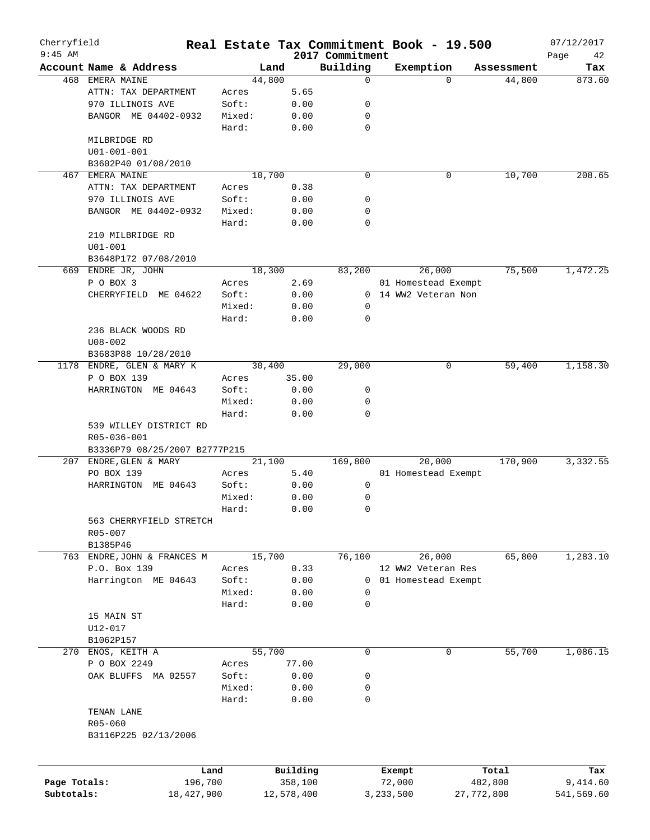| Cherryfield<br>$9:45$ AM |                               |                 |        |                     |                             | Real Estate Tax Commitment Book - 19.500 |                  | 07/12/2017        |
|--------------------------|-------------------------------|-----------------|--------|---------------------|-----------------------------|------------------------------------------|------------------|-------------------|
|                          | Account Name & Address        |                 |        | Land                | 2017 Commitment<br>Building | Exemption                                | Assessment       | Page<br>42<br>Tax |
|                          | 468 EMERA MAINE               |                 | 44,800 |                     | 0                           | $\Omega$                                 | 44,800           | 873.60            |
|                          | ATTN: TAX DEPARTMENT          |                 | Acres  | 5.65                |                             |                                          |                  |                   |
|                          | 970 ILLINOIS AVE              |                 | Soft:  | 0.00                | 0                           |                                          |                  |                   |
|                          |                               |                 |        |                     |                             |                                          |                  |                   |
|                          | BANGOR ME 04402-0932          |                 | Mixed: | 0.00                | 0                           |                                          |                  |                   |
|                          |                               |                 | Hard:  | 0.00                | $\mathbf 0$                 |                                          |                  |                   |
|                          | MILBRIDGE RD                  |                 |        |                     |                             |                                          |                  |                   |
|                          | $U01 - 001 - 001$             |                 |        |                     |                             |                                          |                  |                   |
|                          | B3602P40 01/08/2010           |                 |        |                     |                             |                                          |                  |                   |
| 467                      | EMERA MAINE                   |                 | 10,700 |                     | $\mathbf 0$                 | 0                                        | 10,700           | 208.65            |
|                          | ATTN: TAX DEPARTMENT          |                 | Acres  | 0.38                |                             |                                          |                  |                   |
|                          | 970 ILLINOIS AVE              |                 | Soft:  | 0.00                | 0                           |                                          |                  |                   |
|                          | BANGOR ME 04402-0932          |                 | Mixed: | 0.00                | 0                           |                                          |                  |                   |
|                          |                               |                 | Hard:  | 0.00                | $\mathbf 0$                 |                                          |                  |                   |
|                          | 210 MILBRIDGE RD              |                 |        |                     |                             |                                          |                  |                   |
|                          | $U01 - 001$                   |                 |        |                     |                             |                                          |                  |                   |
|                          | B3648P172 07/08/2010          |                 |        |                     |                             |                                          |                  |                   |
|                          | 669 ENDRE JR, JOHN            |                 | 18,300 |                     | 83,200                      | 26,000                                   | 75,500           | 1,472.25          |
|                          | P O BOX 3                     |                 | Acres  | 2.69                |                             | 01 Homestead Exempt                      |                  |                   |
|                          | CHERRYFIELD ME 04622          |                 | Soft:  | 0.00                |                             | 0 14 WW2 Veteran Non                     |                  |                   |
|                          |                               |                 | Mixed: | 0.00                | 0                           |                                          |                  |                   |
|                          |                               |                 | Hard:  | 0.00                | 0                           |                                          |                  |                   |
|                          | 236 BLACK WOODS RD            |                 |        |                     |                             |                                          |                  |                   |
|                          | $U08 - 002$                   |                 |        |                     |                             |                                          |                  |                   |
|                          | B3683P88 10/28/2010           |                 |        |                     |                             |                                          |                  |                   |
| 1178                     | ENDRE, GLEN & MARY K          |                 | 30,400 |                     | 29,000                      | 0                                        | 59,400           | 1,158.30          |
|                          | P O BOX 139                   |                 | Acres  | 35.00               |                             |                                          |                  |                   |
|                          | HARRINGTON ME 04643           |                 | Soft:  | 0.00                | 0                           |                                          |                  |                   |
|                          |                               |                 | Mixed: | 0.00                | 0                           |                                          |                  |                   |
|                          |                               |                 | Hard:  | 0.00                | $\Omega$                    |                                          |                  |                   |
|                          | 539 WILLEY DISTRICT RD        |                 |        |                     |                             |                                          |                  |                   |
|                          | R05-036-001                   |                 |        |                     |                             |                                          |                  |                   |
|                          | B3336P79 08/25/2007 B2777P215 |                 |        |                     |                             |                                          |                  |                   |
| 207                      | ENDRE, GLEN & MARY            |                 | 21,100 |                     | 169,800                     | 20,000                                   | 170,900          | 3,332.55          |
|                          | PO BOX 139                    |                 | Acres  | 5.40                |                             | 01 Homestead Exempt                      |                  |                   |
|                          | HARRINGTON ME 04643           |                 | Soft:  | 0.00                | 0                           |                                          |                  |                   |
|                          |                               |                 | Mixed: | 0.00                | 0                           |                                          |                  |                   |
|                          |                               |                 | Hard:  | 0.00                | 0                           |                                          |                  |                   |
|                          | 563 CHERRYFIELD STRETCH       |                 |        |                     |                             |                                          |                  |                   |
|                          |                               |                 |        |                     |                             |                                          |                  |                   |
|                          | R05-007                       |                 |        |                     |                             |                                          |                  |                   |
|                          | B1385P46                      |                 |        |                     |                             |                                          |                  |                   |
|                          | 763 ENDRE, JOHN & FRANCES M   |                 |        | 15,700              | 76,100                      | 26,000                                   | 65,800           | 1,283.10          |
|                          | P.O. Box 139                  |                 | Acres  | 0.33                |                             | 12 WW2 Veteran Res                       |                  |                   |
|                          | Harrington ME 04643           |                 | Soft:  | 0.00                |                             | 0 01 Homestead Exempt                    |                  |                   |
|                          |                               |                 | Mixed: | 0.00                | 0                           |                                          |                  |                   |
|                          |                               |                 | Hard:  | 0.00                | 0                           |                                          |                  |                   |
|                          | 15 MAIN ST                    |                 |        |                     |                             |                                          |                  |                   |
|                          | U12-017                       |                 |        |                     |                             |                                          |                  |                   |
|                          | B1062P157                     |                 |        |                     |                             |                                          |                  |                   |
|                          | 270 ENOS, KEITH A             |                 | 55,700 |                     | 0                           | 0                                        | 55,700           | 1,086.15          |
|                          | P O BOX 2249                  |                 | Acres  | 77.00               |                             |                                          |                  |                   |
|                          | OAK BLUFFS MA 02557           |                 | Soft:  | 0.00                | 0                           |                                          |                  |                   |
|                          |                               |                 | Mixed: | 0.00                | 0                           |                                          |                  |                   |
|                          |                               |                 | Hard:  | 0.00                | 0                           |                                          |                  |                   |
|                          | TENAN LANE                    |                 |        |                     |                             |                                          |                  |                   |
|                          | $R05 - 060$                   |                 |        |                     |                             |                                          |                  |                   |
|                          | B3116P225 02/13/2006          |                 |        |                     |                             |                                          |                  |                   |
|                          |                               |                 |        |                     |                             |                                          |                  |                   |
|                          |                               |                 |        |                     |                             |                                          |                  |                   |
| Page Totals:             |                               | Land<br>196,700 |        | Building<br>358,100 |                             | Exempt<br>72,000                         | Total<br>482,800 | Tax<br>9,414.60   |
| Subtotals:               |                               | 18,427,900      |        | 12,578,400          |                             | 3,233,500                                | 27,772,800       | 541,569.60        |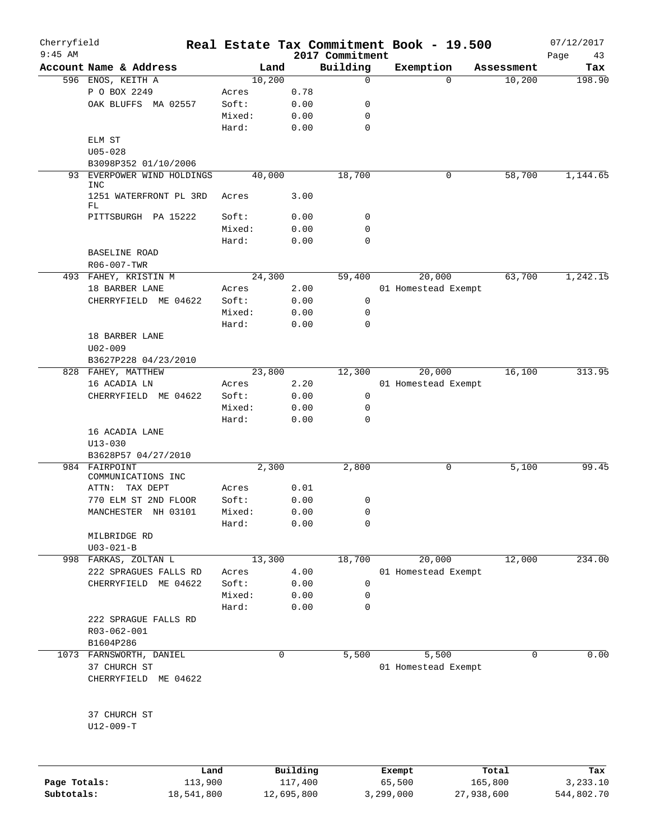|                                          |             |      | 2017 Commitment |                     |            | Page<br>43 |
|------------------------------------------|-------------|------|-----------------|---------------------|------------|------------|
| Account Name & Address                   | Land        |      | Building        | Exemption           | Assessment | Tax        |
| 596 ENOS, KEITH A                        | 10,200      |      | 0               | $\Omega$            | 10,200     | 198.90     |
| P O BOX 2249                             | Acres       | 0.78 |                 |                     |            |            |
| OAK BLUFFS MA 02557                      | Soft:       | 0.00 | 0               |                     |            |            |
|                                          | Mixed:      | 0.00 | 0               |                     |            |            |
|                                          | Hard:       | 0.00 | $\mathbf 0$     |                     |            |            |
| ELM ST                                   |             |      |                 |                     |            |            |
| $U05 - 028$                              |             |      |                 |                     |            |            |
| B3098P352 01/10/2006                     |             |      |                 |                     |            |            |
| 93 EVERPOWER WIND HOLDINGS<br><b>INC</b> | 40,000      |      | 18,700          | 0                   | 58,700     | 1,144.65   |
| 1251 WATERFRONT PL 3RD<br>FL             | Acres       | 3.00 |                 |                     |            |            |
| PITTSBURGH PA 15222                      | Soft:       | 0.00 | 0               |                     |            |            |
|                                          | Mixed:      | 0.00 | 0               |                     |            |            |
|                                          | Hard:       | 0.00 | 0               |                     |            |            |
| <b>BASELINE ROAD</b>                     |             |      |                 |                     |            |            |
| R06-007-TWR                              |             |      |                 |                     |            |            |
| 493 FAHEY, KRISTIN M                     | 24,300      |      | 59,400          | 20,000              | 63,700     | 1,242.15   |
| 18 BARBER LANE                           | Acres       | 2.00 |                 | 01 Homestead Exempt |            |            |
| CHERRYFIELD ME 04622                     | Soft:       | 0.00 | 0               |                     |            |            |
|                                          | Mixed:      | 0.00 | 0               |                     |            |            |
|                                          | Hard:       | 0.00 | $\Omega$        |                     |            |            |
| 18 BARBER LANE                           |             |      |                 |                     |            |            |
| $U02 - 009$                              |             |      |                 |                     |            |            |
| B3627P228 04/23/2010                     |             |      |                 |                     |            |            |
|                                          | 23,800      |      |                 |                     |            | 313.95     |
| 828 FAHEY, MATTHEW                       |             |      | 12,300          | 20,000              | 16,100     |            |
| 16 ACADIA LN                             | Acres       | 2.20 |                 | 01 Homestead Exempt |            |            |
| CHERRYFIELD ME 04622                     | Soft:       | 0.00 | 0               |                     |            |            |
|                                          | Mixed:      | 0.00 | 0               |                     |            |            |
|                                          | Hard:       | 0.00 | $\mathbf 0$     |                     |            |            |
| 16 ACADIA LANE                           |             |      |                 |                     |            |            |
| $U13 - 030$                              |             |      |                 |                     |            |            |
| B3628P57 04/27/2010                      |             |      |                 |                     |            |            |
| 984 FAIRPOINT                            | 2,300       |      | 2,800           | 0                   | 5,100      | 99.45      |
| COMMUNICATIONS INC<br>ATTN:<br>TAX DEPT  | Acres       | 0.01 |                 |                     |            |            |
| 770 ELM ST 2ND FLOOR                     |             |      |                 |                     |            |            |
|                                          | Soft:       | 0.00 | 0               |                     |            |            |
| MANCHESTER NH 03101                      | Mixed:      | 0.00 | 0               |                     |            |            |
|                                          | Hard:       | 0.00 | 0               |                     |            |            |
| MILBRIDGE RD                             |             |      |                 |                     |            |            |
| $U03 - 021 - B$                          |             |      |                 |                     |            |            |
| 998 FARKAS, ZOLTAN L                     | 13,300      |      | 18,700          | 20,000              | 12,000     | 234.00     |
| 222 SPRAGUES FALLS RD                    | Acres       | 4.00 |                 | 01 Homestead Exempt |            |            |
| CHERRYFIELD ME 04622                     | Soft:       | 0.00 | 0               |                     |            |            |
|                                          | Mixed:      | 0.00 | 0               |                     |            |            |
|                                          | Hard:       | 0.00 | 0               |                     |            |            |
| 222 SPRAGUE FALLS RD                     |             |      |                 |                     |            |            |
| R03-062-001                              |             |      |                 |                     |            |            |
| B1604P286                                |             |      |                 |                     |            |            |
| 1073 FARNSWORTH, DANIEL                  | $\mathbf 0$ |      | 5,500           | 5,500               | 0          | 0.00       |
| 37 CHURCH ST                             |             |      |                 | 01 Homestead Exempt |            |            |
| CHERRYFIELD ME 04622                     |             |      |                 |                     |            |            |
|                                          |             |      |                 |                     |            |            |
|                                          |             |      |                 |                     |            |            |
| 37 CHURCH ST<br>$U12-009-T$              |             |      |                 |                     |            |            |

|              | Land       | Building   | Exempt    | Total      | Tax        |
|--------------|------------|------------|-----------|------------|------------|
| Page Totals: | ⊥13,900    | 117,400    | 65,500    | 165,800    | 3,233.10   |
| Subtotals:   | 18,541,800 | 12,695,800 | 3,299,000 | 27,938,600 | 544,802.70 |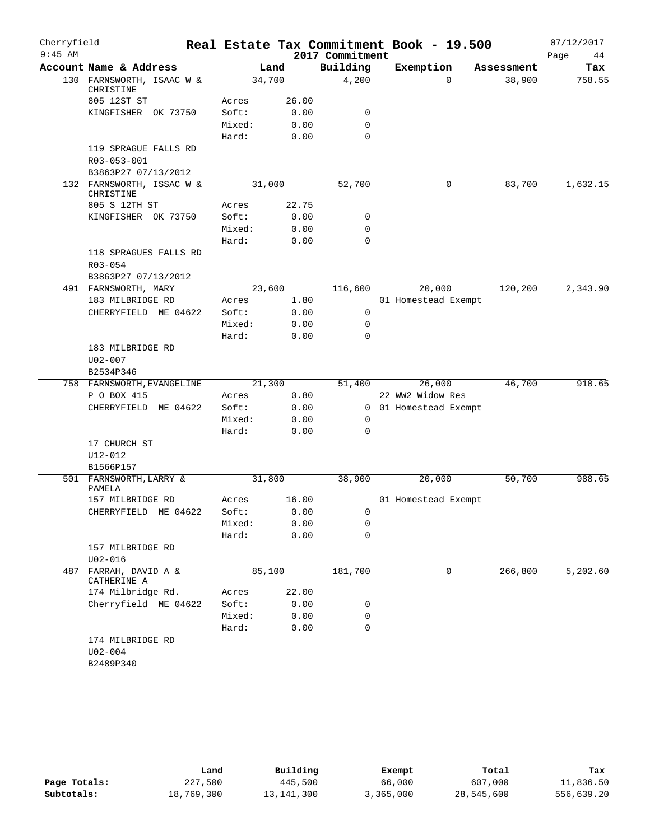| Cherryfield |                                              |        |       |                 | Real Estate Tax Commitment Book - 19.500 |            | 07/12/2017 |
|-------------|----------------------------------------------|--------|-------|-----------------|------------------------------------------|------------|------------|
| $9:45$ AM   |                                              |        |       | 2017 Commitment |                                          |            | Page<br>44 |
|             | Account Name & Address                       |        | Land  | Building        | Exemption                                | Assessment | Tax        |
|             | 130 FARNSWORTH, ISAAC W &<br>CHRISTINE       | 34,700 |       | 4,200           | $\Omega$                                 | 38,900     | 758.55     |
|             | 805 12ST ST                                  | Acres  | 26.00 |                 |                                          |            |            |
|             | KINGFISHER OK 73750                          | Soft:  | 0.00  | 0               |                                          |            |            |
|             |                                              | Mixed: | 0.00  | 0               |                                          |            |            |
|             |                                              | Hard:  | 0.00  | $\mathbf 0$     |                                          |            |            |
|             | 119 SPRAGUE FALLS RD                         |        |       |                 |                                          |            |            |
|             | R03-053-001                                  |        |       |                 |                                          |            |            |
|             | B3863P27 07/13/2012                          |        |       |                 |                                          |            |            |
|             | 132 FARNSWORTH, ISSAC W &<br>CHRISTINE       | 31,000 |       | 52,700          | 0                                        | 83,700     | 1,632.15   |
|             | 805 S 12TH ST                                | Acres  | 22.75 |                 |                                          |            |            |
|             | KINGFISHER OK 73750                          | Soft:  | 0.00  | 0               |                                          |            |            |
|             |                                              | Mixed: | 0.00  | 0               |                                          |            |            |
|             |                                              | Hard:  | 0.00  | 0               |                                          |            |            |
|             | 118 SPRAGUES FALLS RD                        |        |       |                 |                                          |            |            |
|             | R03-054                                      |        |       |                 |                                          |            |            |
|             | B3863P27 07/13/2012                          |        |       |                 |                                          |            |            |
|             | 491 FARNSWORTH, MARY                         | 23,600 |       | 116,600         | 20,000                                   | 120,200    | 2,343.90   |
|             | 183 MILBRIDGE RD                             | Acres  | 1.80  |                 | 01 Homestead Exempt                      |            |            |
|             | CHERRYFIELD ME 04622                         | Soft:  | 0.00  | 0               |                                          |            |            |
|             |                                              | Mixed: | 0.00  | 0               |                                          |            |            |
|             |                                              | Hard:  | 0.00  | 0               |                                          |            |            |
|             | 183 MILBRIDGE RD                             |        |       |                 |                                          |            |            |
|             | $U02 - 007$                                  |        |       |                 |                                          |            |            |
|             | B2534P346                                    |        |       |                 |                                          |            |            |
|             | 758 FARNSWORTH, EVANGELINE                   | 21,300 |       | 51,400          | 26,000                                   | 46,700     | 910.65     |
|             | P O BOX 415                                  | Acres  | 0.80  |                 | 22 WW2 Widow Res                         |            |            |
|             | CHERRYFIELD ME 04622                         | Soft:  | 0.00  |                 | 0 01 Homestead Exempt                    |            |            |
|             |                                              | Mixed: | 0.00  | 0               |                                          |            |            |
|             |                                              | Hard:  | 0.00  | 0               |                                          |            |            |
|             | 17 CHURCH ST                                 |        |       |                 |                                          |            |            |
|             | U12-012                                      |        |       |                 |                                          |            |            |
|             | B1566P157                                    |        |       |                 |                                          |            |            |
|             | 501 FARNSWORTH, LARRY &<br>PAMELA            | 31,800 |       | 38,900          | 20,000                                   | 50,700     | 988.65     |
|             | 157 MILBRIDGE RD                             | Acres  | 16.00 |                 | 01 Homestead Exempt                      |            |            |
|             | CHERRYFIELD ME 04622                         | Soft:  | 0.00  | 0               |                                          |            |            |
|             |                                              | Mixed: | 0.00  | 0               |                                          |            |            |
|             |                                              | Hard:  | 0.00  | $\mathbf 0$     |                                          |            |            |
|             | 157 MILBRIDGE RD<br>$U02 - 016$              |        |       |                 |                                          |            |            |
| 487         | FARRAH, DAVID A &<br>CATHERINE A             | 85,100 |       | 181,700         | 0                                        | 266,800    | 5,202.60   |
|             | 174 Milbridge Rd.                            | Acres  | 22.00 |                 |                                          |            |            |
|             | Cherryfield ME 04622                         | Soft:  | 0.00  | 0               |                                          |            |            |
|             |                                              | Mixed: | 0.00  | 0               |                                          |            |            |
|             |                                              | Hard:  | 0.00  | $\mathbf 0$     |                                          |            |            |
|             | 174 MILBRIDGE RD<br>$U02 - 004$<br>B2489P340 |        |       |                 |                                          |            |            |
|             |                                              |        |       |                 |                                          |            |            |

|              | Land       | Building     | Exempt    | Total      | Tax        |
|--------------|------------|--------------|-----------|------------|------------|
| Page Totals: | 227,500    | 445,500      | 66,000    | 607,000    | 11,836.50  |
| Subtotals:   | 18,769,300 | 13, 141, 300 | 3,365,000 | 28,545,600 | 556,639.20 |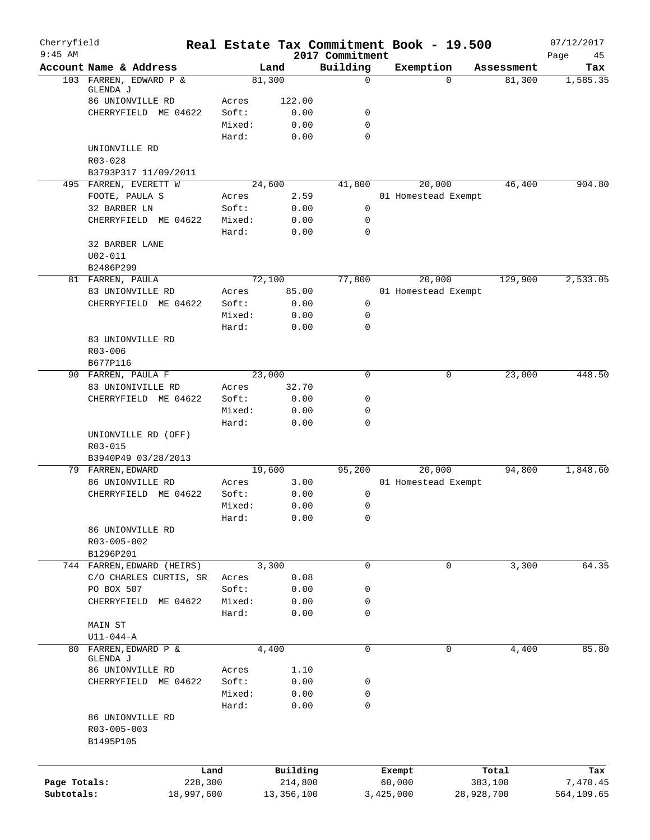| Cherryfield<br>$9:45$ AM   |                                      |                       |                       |                             | Real Estate Tax Commitment Book - 19.500 |            | 07/12/2017             |
|----------------------------|--------------------------------------|-----------------------|-----------------------|-----------------------------|------------------------------------------|------------|------------------------|
|                            | Account Name & Address               |                       | Land                  | 2017 Commitment<br>Building | Exemption                                | Assessment | Page<br>45<br>Tax      |
|                            | 103 FARREN, EDWARD P &               |                       | 81,300                | $\mathbf 0$                 | $\Omega$                                 | 81,300     | 1,585.35               |
|                            | GLENDA J                             |                       |                       |                             |                                          |            |                        |
|                            | 86 UNIONVILLE RD                     | Acres                 | 122.00                |                             |                                          |            |                        |
|                            | CHERRYFIELD ME 04622                 | Soft:<br>Mixed:       | 0.00<br>0.00          | 0<br>$\mathbf 0$            |                                          |            |                        |
|                            |                                      | Hard:                 | 0.00                  | $\Omega$                    |                                          |            |                        |
|                            | UNIONVILLE RD                        |                       |                       |                             |                                          |            |                        |
|                            | $R03 - 028$                          |                       |                       |                             |                                          |            |                        |
|                            | B3793P317 11/09/2011                 |                       |                       |                             |                                          |            |                        |
|                            | 495 FARREN, EVERETT W                |                       | 24,600                | 41,800                      | 20,000                                   | 46,400     | 904.80                 |
|                            | FOOTE, PAULA S                       | Acres                 | 2.59                  |                             | 01 Homestead Exempt                      |            |                        |
|                            | 32 BARBER LN                         | Soft:                 | 0.00                  | 0                           |                                          |            |                        |
|                            | CHERRYFIELD ME 04622                 | Mixed:                | 0.00                  | $\mathbf 0$                 |                                          |            |                        |
|                            |                                      | Hard:                 | 0.00                  | $\mathbf 0$                 |                                          |            |                        |
|                            | 32 BARBER LANE                       |                       |                       |                             |                                          |            |                        |
|                            | $U02 - 011$                          |                       |                       |                             |                                          |            |                        |
|                            | B2486P299                            |                       |                       |                             |                                          |            |                        |
|                            | 81 FARREN, PAULA<br>83 UNIONVILLE RD | Acres                 | 72,100<br>85.00       | 77,800                      | 20,000<br>01 Homestead Exempt            | 129,900    | 2,533.05               |
|                            | CHERRYFIELD ME 04622                 | Soft:                 | 0.00                  | $\mathbf 0$                 |                                          |            |                        |
|                            |                                      | Mixed:                | 0.00                  | $\mathbf 0$                 |                                          |            |                        |
|                            |                                      | Hard:                 | 0.00                  | $\mathbf 0$                 |                                          |            |                        |
|                            | 83 UNIONVILLE RD                     |                       |                       |                             |                                          |            |                        |
|                            | $R03 - 006$                          |                       |                       |                             |                                          |            |                        |
|                            | B677P116                             |                       |                       |                             |                                          |            |                        |
|                            | 90 FARREN, PAULA F                   |                       | 23,000                | 0                           | 0                                        | 23,000     | 448.50                 |
|                            | 83 UNIONIVILLE RD                    | Acres                 | 32.70                 |                             |                                          |            |                        |
|                            | CHERRYFIELD ME 04622                 | Soft:                 | 0.00                  | 0                           |                                          |            |                        |
|                            |                                      | Mixed:                | 0.00                  | $\mathbf 0$                 |                                          |            |                        |
|                            |                                      | Hard:                 | 0.00                  | $\mathbf 0$                 |                                          |            |                        |
|                            | UNIONVILLE RD (OFF)                  |                       |                       |                             |                                          |            |                        |
|                            | R03-015<br>B3940P49 03/28/2013       |                       |                       |                             |                                          |            |                        |
|                            | 79 FARREN, EDWARD                    |                       | 19,600                | 95,200                      | 20,000                                   | 94,800     | 1,848.60               |
|                            | 86 UNIONVILLE RD                     | Acres                 | 3.00                  |                             | 01 Homestead Exempt                      |            |                        |
|                            | CHERRYFIELD ME 04622                 | Soft:                 | 0.00                  | 0                           |                                          |            |                        |
|                            |                                      | Mixed:                | 0.00                  | 0                           |                                          |            |                        |
|                            |                                      | Hard:                 | 0.00                  | 0                           |                                          |            |                        |
|                            | 86 UNIONVILLE RD                     |                       |                       |                             |                                          |            |                        |
|                            | R03-005-002                          |                       |                       |                             |                                          |            |                        |
|                            | B1296P201                            |                       |                       |                             |                                          |            |                        |
|                            | 744 FARREN, EDWARD (HEIRS)           |                       | 3,300                 | $\mathbf 0$                 | 0                                        | 3,300      | 64.35                  |
|                            | C/O CHARLES CURTIS, SR               | Acres                 | 0.08                  |                             |                                          |            |                        |
|                            | PO BOX 507<br>CHERRYFIELD ME 04622   | Soft:<br>Mixed:       | 0.00<br>0.00          | 0<br>0                      |                                          |            |                        |
|                            |                                      | Hard:                 | 0.00                  | $\mathbf 0$                 |                                          |            |                        |
|                            | MAIN ST                              |                       |                       |                             |                                          |            |                        |
|                            | $U11-044-A$                          |                       |                       |                             |                                          |            |                        |
|                            | 80 FARREN, EDWARD P &                |                       | 4,400                 | $\mathbf 0$                 | 0                                        | 4,400      | 85.80                  |
|                            | GLENDA J                             |                       |                       |                             |                                          |            |                        |
|                            | 86 UNIONVILLE RD                     | Acres                 | 1.10                  |                             |                                          |            |                        |
|                            | CHERRYFIELD ME 04622                 | Soft:                 | 0.00                  | 0                           |                                          |            |                        |
|                            |                                      | Mixed:                | 0.00                  | $\mathbf 0$                 |                                          |            |                        |
|                            |                                      | Hard:                 | 0.00                  | $\mathbf 0$                 |                                          |            |                        |
|                            | 86 UNIONVILLE RD<br>R03-005-003      |                       |                       |                             |                                          |            |                        |
|                            | B1495P105                            |                       |                       |                             |                                          |            |                        |
|                            |                                      |                       |                       |                             |                                          |            |                        |
|                            |                                      |                       |                       |                             |                                          |            |                        |
|                            |                                      | Land                  | Building              |                             | Exempt                                   | Total      | Tax                    |
| Page Totals:<br>Subtotals: |                                      | 228,300<br>18,997,600 | 214,800<br>13,356,100 |                             | 60,000<br>3,425,000<br>28,928,700        | 383,100    | 7,470.45<br>564,109.65 |
|                            |                                      |                       |                       |                             |                                          |            |                        |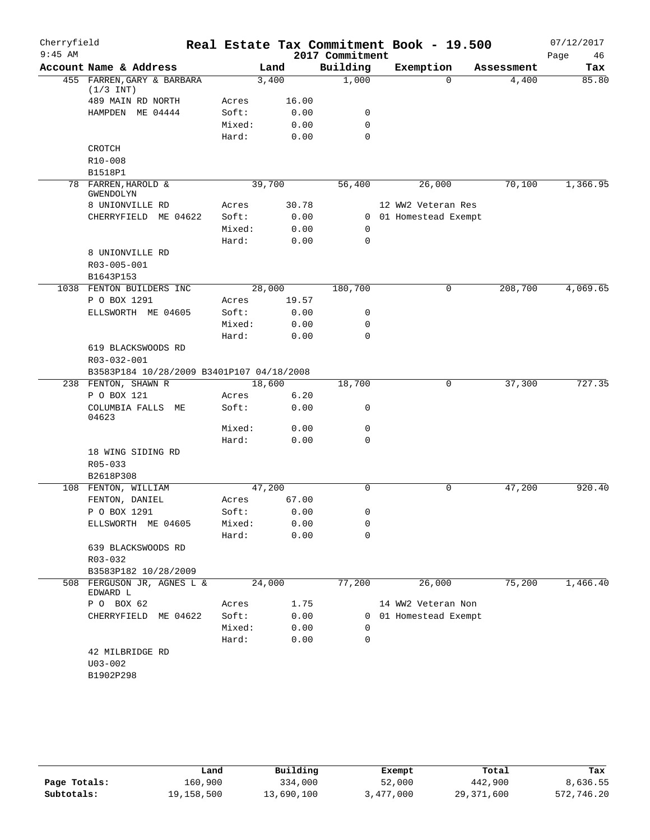| Cherryfield |                                           |        |        |                 | Real Estate Tax Commitment Book - 19.500 |            | 07/12/2017 |
|-------------|-------------------------------------------|--------|--------|-----------------|------------------------------------------|------------|------------|
| $9:45$ AM   |                                           |        |        | 2017 Commitment |                                          |            | 46<br>Page |
|             | Account Name & Address                    |        | Land   | Building        | Exemption                                | Assessment | Tax        |
|             | 455 FARREN, GARY & BARBARA<br>$(1/3$ INT) |        | 3,400  | 1,000           | $\Omega$                                 | 4,400      | 85.80      |
|             | 489 MAIN RD NORTH                         | Acres  | 16.00  |                 |                                          |            |            |
|             | HAMPDEN ME 04444                          | Soft:  | 0.00   | 0               |                                          |            |            |
|             |                                           | Mixed: | 0.00   | 0               |                                          |            |            |
|             |                                           | Hard:  | 0.00   | $\Omega$        |                                          |            |            |
|             | CROTCH                                    |        |        |                 |                                          |            |            |
|             | R10-008                                   |        |        |                 |                                          |            |            |
|             | B1518P1                                   |        |        |                 |                                          |            |            |
|             | 78 FARREN, HAROLD &<br>GWENDOLYN          |        | 39,700 | 56,400          | 26,000                                   | 70,100     | 1,366.95   |
|             | 8 UNIONVILLE RD                           | Acres  | 30.78  |                 | 12 WW2 Veteran Res                       |            |            |
|             | CHERRYFIELD ME 04622                      | Soft:  | 0.00   |                 | 0 01 Homestead Exempt                    |            |            |
|             |                                           | Mixed: | 0.00   | 0               |                                          |            |            |
|             |                                           | Hard:  | 0.00   | 0               |                                          |            |            |
|             | 8 UNIONVILLE RD                           |        |        |                 |                                          |            |            |
|             | R03-005-001                               |        |        |                 |                                          |            |            |
|             | B1643P153                                 |        |        |                 |                                          |            |            |
|             | 1038 FENTON BUILDERS INC                  |        | 28,000 | 180,700         | 0                                        | 208,700    | 4,069.65   |
|             | P O BOX 1291                              | Acres  | 19.57  |                 |                                          |            |            |
|             | ELLSWORTH ME 04605                        | Soft:  | 0.00   | 0               |                                          |            |            |
|             |                                           | Mixed: | 0.00   | 0               |                                          |            |            |
|             |                                           | Hard:  | 0.00   | 0               |                                          |            |            |
|             | 619 BLACKSWOODS RD                        |        |        |                 |                                          |            |            |
|             | R03-032-001                               |        |        |                 |                                          |            |            |
|             | B3583P184 10/28/2009 B3401P107 04/18/2008 |        |        |                 |                                          |            | 727.35     |
|             | 238 FENTON, SHAWN R                       |        | 18,600 | 18,700          | 0                                        | 37,300     |            |
|             | P O BOX 121                               | Acres  | 6.20   |                 |                                          |            |            |
|             | COLUMBIA FALLS ME<br>04623                | Soft:  | 0.00   | 0               |                                          |            |            |
|             |                                           | Mixed: | 0.00   | 0               |                                          |            |            |
|             |                                           | Hard:  | 0.00   | 0               |                                          |            |            |
|             | 18 WING SIDING RD                         |        |        |                 |                                          |            |            |
|             | $R05 - 033$<br>B2618P308                  |        |        |                 |                                          |            |            |
|             | 108 FENTON, WILLIAM                       |        | 47,200 | $\Omega$        | 0                                        | 47,200     | 920.40     |
|             | FENTON, DANIEL                            | Acres  | 67.00  |                 |                                          |            |            |
|             | P O BOX 1291                              | Soft:  | 0.00   | 0               |                                          |            |            |
|             | ELLSWORTH ME 04605                        | Mixed: | 0.00   | 0               |                                          |            |            |
|             |                                           | Hard:  | 0.00   | 0               |                                          |            |            |
|             | 639 BLACKSWOODS RD                        |        |        |                 |                                          |            |            |
|             | R03-032                                   |        |        |                 |                                          |            |            |
|             | B3583P182 10/28/2009                      |        |        |                 |                                          |            |            |
|             | 508 FERGUSON JR, AGNES L &<br>EDWARD L    |        | 24,000 | 77,200          | 26,000                                   | 75,200     | 1,466.40   |
|             | P 0 BOX 62                                | Acres  | 1.75   |                 | 14 WW2 Veteran Non                       |            |            |
|             | CHERRYFIELD ME 04622                      | Soft:  | 0.00   |                 | 0 01 Homestead Exempt                    |            |            |
|             |                                           | Mixed: | 0.00   | 0               |                                          |            |            |
|             |                                           | Hard:  | 0.00   | $\mathbf 0$     |                                          |            |            |
|             | 42 MILBRIDGE RD                           |        |        |                 |                                          |            |            |
|             | $U03 - 002$                               |        |        |                 |                                          |            |            |
|             | B1902P298                                 |        |        |                 |                                          |            |            |
|             |                                           |        |        |                 |                                          |            |            |

|              | Land       | Building   | Exempt    | Total        | Tax        |
|--------------|------------|------------|-----------|--------------|------------|
| Page Totals: | 160.900    | 334,000    | 52,000    | 442,900      | 8,636.55   |
| Subtotals:   | 19,158,500 | 13,690,100 | 3,477,000 | 29, 371, 600 | 572,746.20 |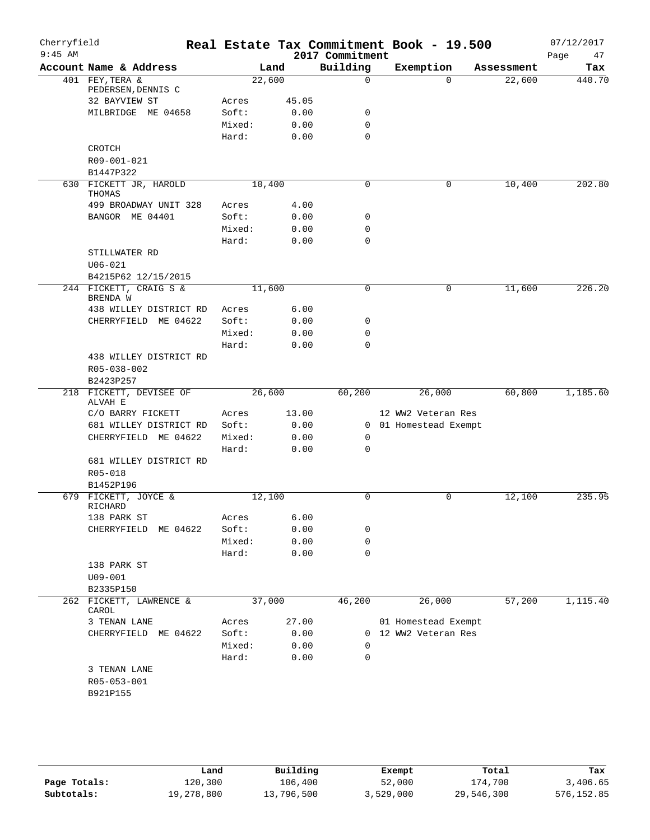| Cherryfield<br>$9:45$ AM |                                    |        |        | 2017 Commitment         | Real Estate Tax Commitment Book - 19.500 |            | 07/12/2017<br>47<br>Page |
|--------------------------|------------------------------------|--------|--------|-------------------------|------------------------------------------|------------|--------------------------|
|                          | Account Name & Address             |        | Land   | Building                | Exemption                                | Assessment | Tax                      |
|                          | 401 FEY, TERA &                    |        | 22,600 | $\mathbf 0$             | $\Omega$                                 | 22,600     | 440.70                   |
|                          | PEDERSEN, DENNIS C                 |        |        |                         |                                          |            |                          |
|                          | 32 BAYVIEW ST                      | Acres  | 45.05  |                         |                                          |            |                          |
|                          | MILBRIDGE ME 04658                 | Soft:  | 0.00   | 0                       |                                          |            |                          |
|                          |                                    | Mixed: | 0.00   | $\mathbf 0$<br>$\Omega$ |                                          |            |                          |
|                          | <b>CROTCH</b>                      | Hard:  | 0.00   |                         |                                          |            |                          |
|                          | R09-001-021                        |        |        |                         |                                          |            |                          |
|                          | B1447P322                          |        |        |                         |                                          |            |                          |
|                          | 630 FICKETT JR, HAROLD             |        | 10,400 | $\Omega$                | 0                                        | 10,400     | 202.80                   |
|                          | THOMAS                             |        |        |                         |                                          |            |                          |
|                          | 499 BROADWAY UNIT 328              | Acres  | 4.00   |                         |                                          |            |                          |
|                          | BANGOR ME 04401                    | Soft:  | 0.00   | 0                       |                                          |            |                          |
|                          |                                    | Mixed: | 0.00   | 0                       |                                          |            |                          |
|                          |                                    | Hard:  | 0.00   | $\mathbf 0$             |                                          |            |                          |
|                          | STILLWATER RD                      |        |        |                         |                                          |            |                          |
|                          | $U06 - 021$                        |        |        |                         |                                          |            |                          |
|                          | B4215P62 12/15/2015                |        |        |                         |                                          |            |                          |
|                          | 244 FICKETT, CRAIG S &             |        | 11,600 | $\mathbf 0$             | 0                                        | 11,600     | 226.20                   |
|                          | BRENDA W<br>438 WILLEY DISTRICT RD | Acres  | 6.00   |                         |                                          |            |                          |
|                          | CHERRYFIELD ME 04622               | Soft:  | 0.00   | 0                       |                                          |            |                          |
|                          |                                    | Mixed: | 0.00   | 0                       |                                          |            |                          |
|                          |                                    | Hard:  | 0.00   | $\mathbf 0$             |                                          |            |                          |
|                          | 438 WILLEY DISTRICT RD             |        |        |                         |                                          |            |                          |
|                          | R05-038-002                        |        |        |                         |                                          |            |                          |
|                          | B2423P257                          |        |        |                         |                                          |            |                          |
|                          | 218 FICKETT, DEVISEE OF            |        | 26,600 | 60,200                  | 26,000                                   | 60,800     | 1,185.60                 |
|                          | ALVAH E<br>C/O BARRY FICKETT       | Acres  | 13.00  |                         | 12 WW2 Veteran Res                       |            |                          |
|                          | 681 WILLEY DISTRICT RD             | Soft:  | 0.00   |                         | 0 01 Homestead Exempt                    |            |                          |
|                          | CHERRYFIELD ME 04622               | Mixed: | 0.00   | 0                       |                                          |            |                          |
|                          |                                    | Hard:  | 0.00   | $\mathbf 0$             |                                          |            |                          |
|                          | 681 WILLEY DISTRICT RD             |        |        |                         |                                          |            |                          |
|                          | R05-018                            |        |        |                         |                                          |            |                          |
|                          | B1452P196                          |        |        |                         |                                          |            |                          |
|                          | 679 FICKETT, JOYCE &               |        | 12,100 | $\mathbf 0$             | 0                                        | 12,100     | 235.95                   |
|                          | RICHARD                            |        |        |                         |                                          |            |                          |
|                          | 138 PARK ST                        | Acres  | 6.00   |                         |                                          |            |                          |
|                          | CHERRYFIELD<br>ME 04622            | Soft:  | 0.00   | 0                       |                                          |            |                          |
|                          |                                    | Mixed: | 0.00   | 0                       |                                          |            |                          |
|                          |                                    | Hard:  | 0.00   | $\mathbf 0$             |                                          |            |                          |
|                          | 138 PARK ST                        |        |        |                         |                                          |            |                          |
|                          | $U09 - 001$                        |        |        |                         |                                          |            |                          |
|                          | B2335P150                          |        |        |                         |                                          |            |                          |
|                          | 262 FICKETT, LAWRENCE &<br>CAROL   |        | 37,000 | 46,200                  | 26,000                                   | 57,200     | 1,115.40                 |
|                          | 3 TENAN LANE                       | Acres  | 27.00  |                         | 01 Homestead Exempt                      |            |                          |
|                          | CHERRYFIELD ME 04622               | Soft:  | 0.00   | $\Omega$                | 12 WW2 Veteran Res                       |            |                          |
|                          |                                    | Mixed: | 0.00   | $\Omega$                |                                          |            |                          |
|                          |                                    | Hard:  | 0.00   | 0                       |                                          |            |                          |
|                          | 3 TENAN LANE                       |        |        |                         |                                          |            |                          |
|                          | R05-053-001                        |        |        |                         |                                          |            |                          |
|                          | B921P155                           |        |        |                         |                                          |            |                          |
|                          |                                    |        |        |                         |                                          |            |                          |
|                          |                                    |        |        |                         |                                          |            |                          |

**Page Totals:** 120,300 106,400 52,000 174,700 3,406.65<br>**576,152.85** 576,152.85 500 13,796,500 3,529,000 29,546,300 576,152.85 **Subtotals:** 19,278,800 13,796,500 3,529,000 29,546,300 576,152.85 **Land Building Exempt Total Tax**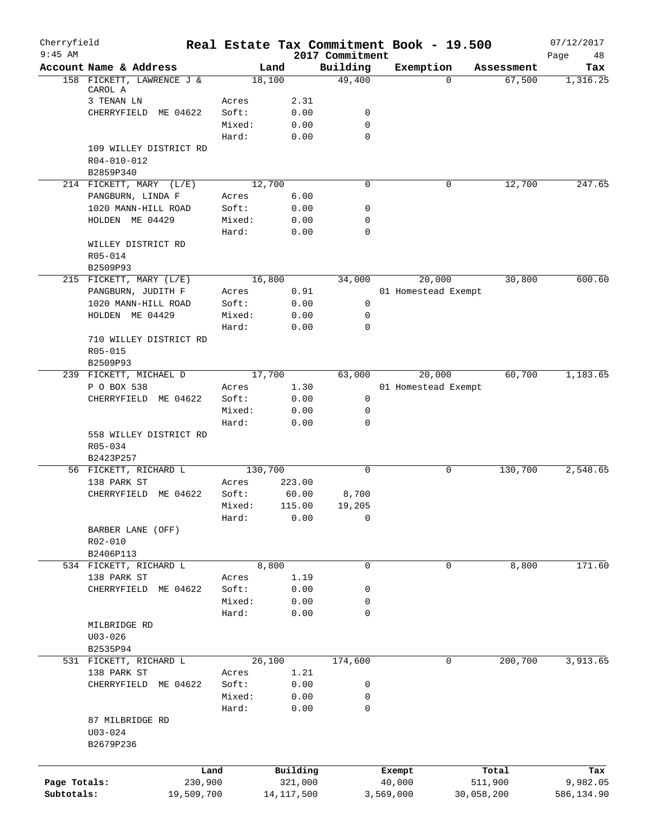| Cherryfield<br>$9:45$ AM |                                           |                 |              | 2017 Commitment  |           | Real Estate Tax Commitment Book - 19.500 |            | 07/12/2017<br>Page<br>48 |
|--------------------------|-------------------------------------------|-----------------|--------------|------------------|-----------|------------------------------------------|------------|--------------------------|
|                          | Account Name & Address                    |                 | Land         | Building         |           | Exemption                                | Assessment | Tax                      |
|                          | 158 FICKETT, LAWRENCE J &                 |                 | 18,100       | 49,400           |           | $\Omega$                                 | 67,500     | 1,316.25                 |
|                          | CAROL A                                   |                 |              |                  |           |                                          |            |                          |
|                          | 3 TENAN LN                                | Acres           | 2.31         |                  |           |                                          |            |                          |
|                          | CHERRYFIELD ME 04622                      | Soft:           | 0.00         | 0<br>$\mathbf 0$ |           |                                          |            |                          |
|                          |                                           | Mixed:<br>Hard: | 0.00<br>0.00 | 0                |           |                                          |            |                          |
|                          | 109 WILLEY DISTRICT RD                    |                 |              |                  |           |                                          |            |                          |
|                          | R04-010-012                               |                 |              |                  |           |                                          |            |                          |
|                          | B2859P340                                 |                 |              |                  |           |                                          |            |                          |
|                          | 214 FICKETT, MARY (L/E)                   |                 | 12,700       | 0                |           | 0                                        | 12,700     | 247.65                   |
|                          | PANGBURN, LINDA F                         | Acres           | 6.00         |                  |           |                                          |            |                          |
|                          | 1020 MANN-HILL ROAD                       | Soft:           | 0.00         | 0                |           |                                          |            |                          |
|                          | HOLDEN ME 04429                           | Mixed:          | 0.00         | 0                |           |                                          |            |                          |
|                          |                                           | Hard:           | 0.00         | 0                |           |                                          |            |                          |
|                          | WILLEY DISTRICT RD                        |                 |              |                  |           |                                          |            |                          |
|                          | R05-014                                   |                 |              |                  |           |                                          |            |                          |
|                          | B2509P93                                  |                 |              |                  |           |                                          |            |                          |
|                          | 215 FICKETT, MARY (L/E)                   |                 | 16,800       | 34,000           |           | 20,000                                   | 30,800     | 600.60                   |
|                          | PANGBURN, JUDITH F<br>1020 MANN-HILL ROAD | Acres<br>Soft:  | 0.91<br>0.00 | $\mathbf 0$      |           | 01 Homestead Exempt                      |            |                          |
|                          | HOLDEN ME 04429                           | Mixed:          | 0.00         | 0                |           |                                          |            |                          |
|                          |                                           | Hard:           | 0.00         | 0                |           |                                          |            |                          |
|                          | 710 WILLEY DISTRICT RD                    |                 |              |                  |           |                                          |            |                          |
|                          | R05-015                                   |                 |              |                  |           |                                          |            |                          |
|                          | B2509P93                                  |                 |              |                  |           |                                          |            |                          |
|                          | 239 FICKETT, MICHAEL D                    |                 | 17,700       | 63,000           |           | 20,000                                   | 60,700     | 1,183.65                 |
|                          | P O BOX 538                               | Acres           | 1.30         |                  |           | 01 Homestead Exempt                      |            |                          |
|                          | ME 04622<br>CHERRYFIELD                   | Soft:           | 0.00         | 0                |           |                                          |            |                          |
|                          |                                           | Mixed:          | 0.00         | 0                |           |                                          |            |                          |
|                          |                                           | Hard:           | 0.00         | 0                |           |                                          |            |                          |
|                          | 558 WILLEY DISTRICT RD                    |                 |              |                  |           |                                          |            |                          |
|                          | R05-034                                   |                 |              |                  |           |                                          |            |                          |
|                          | B2423P257<br>56 FICKETT, RICHARD L        |                 | 130,700      | $\mathbf 0$      |           | 0                                        | 130,700    | 2,548.65                 |
|                          | 138 PARK ST                               | Acres           | 223.00       |                  |           |                                          |            |                          |
|                          | CHERRYFIELD<br>ME 04622                   | Soft:           | 60.00        | 8,700            |           |                                          |            |                          |
|                          |                                           | Mixed:          | 115.00       | 19,205           |           |                                          |            |                          |
|                          |                                           | Hard:           | 0.00         | 0                |           |                                          |            |                          |
|                          | BARBER LANE (OFF)                         |                 |              |                  |           |                                          |            |                          |
|                          | R02-010                                   |                 |              |                  |           |                                          |            |                          |
|                          | B2406P113                                 |                 |              |                  |           |                                          |            |                          |
|                          | 534 FICKETT, RICHARD L                    |                 | 8,800        | $\mathbf 0$      |           | 0                                        | 8,800      | 171.60                   |
|                          | 138 PARK ST                               | Acres           | 1.19         |                  |           |                                          |            |                          |
|                          | CHERRYFIELD<br>ME 04622                   | Soft:           | 0.00         | 0                |           |                                          |            |                          |
|                          |                                           | Mixed:          | 0.00         | 0<br>0           |           |                                          |            |                          |
|                          | MILBRIDGE RD                              | Hard:           | 0.00         |                  |           |                                          |            |                          |
|                          | $U03 - 026$                               |                 |              |                  |           |                                          |            |                          |
|                          | B2535P94                                  |                 |              |                  |           |                                          |            |                          |
|                          | 531 FICKETT, RICHARD L                    |                 | 26,100       | 174,600          |           | $\mathbf 0$                              | 200,700    | 3,913.65                 |
|                          | 138 PARK ST                               | Acres           | 1.21         |                  |           |                                          |            |                          |
|                          | CHERRYFIELD<br>ME 04622                   | Soft:           | 0.00         | 0                |           |                                          |            |                          |
|                          |                                           | Mixed:          | 0.00         | 0                |           |                                          |            |                          |
|                          |                                           | Hard:           | 0.00         | 0                |           |                                          |            |                          |
|                          | 87 MILBRIDGE RD                           |                 |              |                  |           |                                          |            |                          |
|                          | $U03 - 024$                               |                 |              |                  |           |                                          |            |                          |
|                          | B2679P236                                 |                 |              |                  |           |                                          |            |                          |
|                          |                                           |                 |              |                  |           |                                          |            |                          |
|                          |                                           | Land            | Building     |                  |           | Exempt                                   | Total      | Tax                      |
| Page Totals:             |                                           | 230,900         | 321,000      |                  |           | 40,000                                   | 511,900    | 9,982.05                 |
| Subtotals:               | 19,509,700                                |                 | 14, 117, 500 |                  | 3,569,000 | 30,058,200                               |            | 586,134.90               |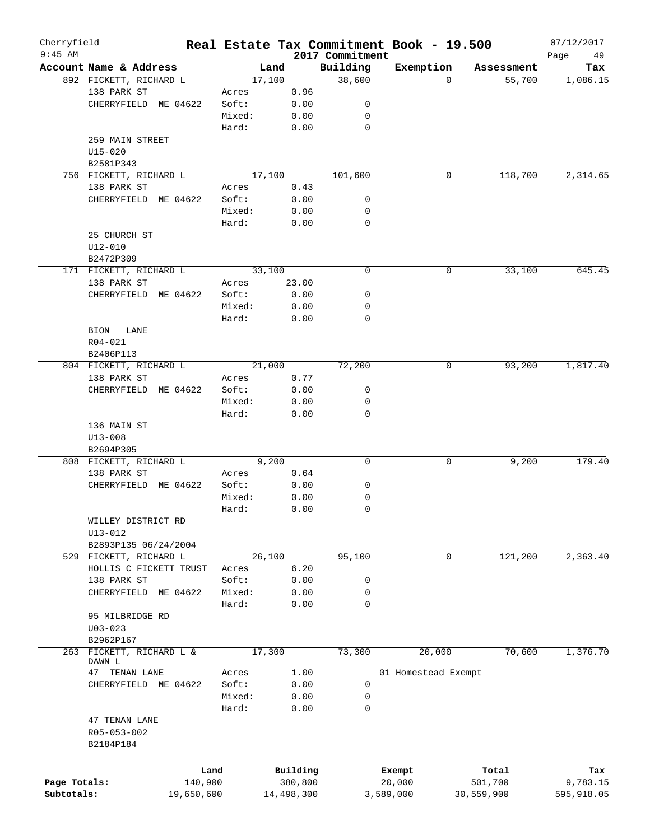| Cherryfield<br>$9:45$ AM |                          |         |        |            | 2017 Commitment | Real Estate Tax Commitment Book - 19.500 |            | 07/12/2017<br>Page<br>49 |
|--------------------------|--------------------------|---------|--------|------------|-----------------|------------------------------------------|------------|--------------------------|
|                          | Account Name & Address   |         | Land   |            | Building        | Exemption                                | Assessment | Tax                      |
|                          | 892 FICKETT, RICHARD L   |         | 17,100 |            | 38,600          | $\Omega$                                 | 55,700     | 1,086.15                 |
|                          | 138 PARK ST              | Acres   |        | 0.96       |                 |                                          |            |                          |
|                          | CHERRYFIELD ME 04622     | Soft:   |        | 0.00       | 0               |                                          |            |                          |
|                          |                          | Mixed:  |        | 0.00       | 0               |                                          |            |                          |
|                          |                          | Hard:   |        | 0.00       | 0               |                                          |            |                          |
|                          | 259 MAIN STREET          |         |        |            |                 |                                          |            |                          |
|                          | U15-020                  |         |        |            |                 |                                          |            |                          |
|                          | B2581P343                |         |        |            |                 |                                          |            |                          |
|                          | 756 FICKETT, RICHARD L   |         | 17,100 |            | 101,600         | 0                                        | 118,700    | 2,314.65                 |
|                          |                          |         |        |            |                 |                                          |            |                          |
|                          | 138 PARK ST              | Acres   |        | 0.43       |                 |                                          |            |                          |
|                          | CHERRYFIELD ME 04622     | Soft:   |        | 0.00       | 0               |                                          |            |                          |
|                          |                          | Mixed:  |        | 0.00       | 0               |                                          |            |                          |
|                          |                          | Hard:   |        | 0.00       | 0               |                                          |            |                          |
|                          | 25 CHURCH ST             |         |        |            |                 |                                          |            |                          |
|                          | $U12 - 010$              |         |        |            |                 |                                          |            |                          |
|                          | B2472P309                |         |        |            |                 |                                          |            |                          |
|                          | 171 FICKETT, RICHARD L   |         | 33,100 |            | 0               | 0                                        | 33,100     | 645.45                   |
|                          | 138 PARK ST              | Acres   |        | 23.00      |                 |                                          |            |                          |
|                          | CHERRYFIELD ME 04622     | Soft:   |        | 0.00       | 0               |                                          |            |                          |
|                          |                          | Mixed:  |        | 0.00       | 0               |                                          |            |                          |
|                          |                          | Hard:   |        | 0.00       | $\mathbf 0$     |                                          |            |                          |
|                          | BION<br>LANE             |         |        |            |                 |                                          |            |                          |
|                          | $R04 - 021$              |         |        |            |                 |                                          |            |                          |
|                          | B2406P113                |         |        |            |                 |                                          |            |                          |
|                          | 804 FICKETT, RICHARD L   |         | 21,000 |            | 72,200          | 0                                        | 93,200     | 1,817.40                 |
|                          | 138 PARK ST              | Acres   |        | 0.77       |                 |                                          |            |                          |
|                          | CHERRYFIELD ME 04622     | Soft:   |        | 0.00       | 0               |                                          |            |                          |
|                          |                          | Mixed:  |        | 0.00       | 0               |                                          |            |                          |
|                          |                          |         |        |            | $\mathbf 0$     |                                          |            |                          |
|                          |                          | Hard:   |        | 0.00       |                 |                                          |            |                          |
|                          | 136 MAIN ST              |         |        |            |                 |                                          |            |                          |
|                          | $U13 - 008$              |         |        |            |                 |                                          |            |                          |
|                          | B2694P305                |         |        |            |                 |                                          |            |                          |
|                          | 808 FICKETT, RICHARD L   |         | 9,200  |            | 0               | 0                                        | 9,200      | 179.40                   |
|                          | 138 PARK ST              | Acres   |        | 0.64       |                 |                                          |            |                          |
|                          | ME 04622<br>CHERRYFIELD  | Soft:   |        | 0.00       | 0               |                                          |            |                          |
|                          |                          | Mixed:  |        | 0.00       | 0               |                                          |            |                          |
|                          |                          | Hard:   |        | 0.00       | 0               |                                          |            |                          |
|                          | WILLEY DISTRICT RD       |         |        |            |                 |                                          |            |                          |
|                          | $U13 - 012$              |         |        |            |                 |                                          |            |                          |
|                          | B2893P135 06/24/2004     |         |        |            |                 |                                          |            |                          |
|                          | 529 FICKETT, RICHARD L   |         | 26,100 |            | 95,100          | 0                                        | 121,200    | 2,363.40                 |
|                          | HOLLIS C FICKETT TRUST   | Acres   |        | 6.20       |                 |                                          |            |                          |
|                          | 138 PARK ST              | Soft:   |        | 0.00       | 0               |                                          |            |                          |
|                          | CHERRYFIELD<br>ME 04622  | Mixed:  |        | 0.00       | 0               |                                          |            |                          |
|                          |                          | Hard:   |        | 0.00       | 0               |                                          |            |                          |
|                          | 95 MILBRIDGE RD          |         |        |            |                 |                                          |            |                          |
|                          | $U03 - 023$              |         |        |            |                 |                                          |            |                          |
|                          | B2962P167                |         |        |            |                 |                                          |            |                          |
|                          | 263 FICKETT, RICHARD L & |         |        |            |                 |                                          | 70,600     |                          |
|                          | DAWN L                   |         | 17,300 |            | 73,300          | 20,000                                   |            | 1,376.70                 |
|                          | 47 TENAN LANE            | Acres   |        | 1.00       |                 | 01 Homestead Exempt                      |            |                          |
|                          | CHERRYFIELD<br>ME 04622  | Soft:   |        | 0.00       | 0               |                                          |            |                          |
|                          |                          | Mixed:  |        | 0.00       | 0               |                                          |            |                          |
|                          |                          | Hard:   |        |            | 0               |                                          |            |                          |
|                          |                          |         |        | 0.00       |                 |                                          |            |                          |
|                          | 47 TENAN LANE            |         |        |            |                 |                                          |            |                          |
|                          | R05-053-002              |         |        |            |                 |                                          |            |                          |
|                          | B2184P184                |         |        |            |                 |                                          |            |                          |
|                          |                          |         |        |            |                 |                                          |            |                          |
|                          |                          | Land    |        | Building   |                 | Exempt                                   | Total      | Tax                      |
| Page Totals:             |                          | 140,900 |        | 380,800    |                 | 20,000                                   | 501,700    | 9,783.15                 |
| Subtotals:               | 19,650,600               |         |        | 14,498,300 |                 | 3,589,000                                | 30,559,900 | 595,918.05               |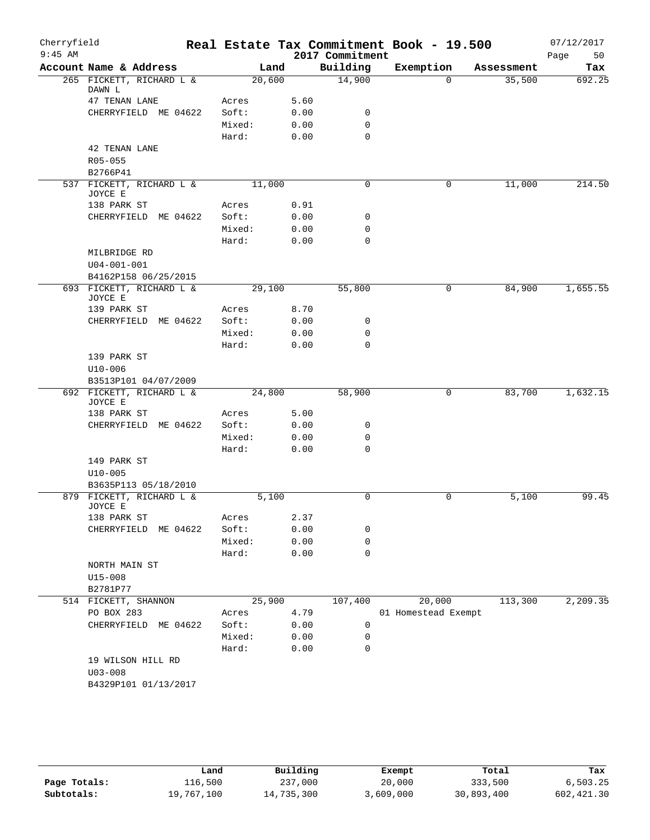| Cherryfield<br>$9:45$ AM |                                     |        |      | 2017 Commitment | Real Estate Tax Commitment Book - 19.500 |                    | 07/12/2017<br>50<br>Page |
|--------------------------|-------------------------------------|--------|------|-----------------|------------------------------------------|--------------------|--------------------------|
|                          | Account Name & Address              |        | Land | Building        | Exemption                                | Assessment         | Tax                      |
|                          | 265 FICKETT, RICHARD L &<br>DAWN L  | 20,600 |      | 14,900          |                                          | 35,500<br>$\Omega$ | 692.25                   |
|                          | 47 TENAN LANE                       | Acres  | 5.60 |                 |                                          |                    |                          |
|                          | CHERRYFIELD ME 04622                | Soft:  | 0.00 | 0               |                                          |                    |                          |
|                          |                                     | Mixed: | 0.00 | $\mathbf 0$     |                                          |                    |                          |
|                          |                                     | Hard:  | 0.00 | $\mathbf 0$     |                                          |                    |                          |
|                          | 42 TENAN LANE                       |        |      |                 |                                          |                    |                          |
|                          | R05-055                             |        |      |                 |                                          |                    |                          |
|                          | B2766P41                            |        |      |                 |                                          |                    |                          |
|                          | 537 FICKETT, RICHARD L &            | 11,000 |      | $\mathbf 0$     |                                          | 0<br>11,000        | 214.50                   |
|                          | JOYCE E<br>138 PARK ST              | Acres  | 0.91 |                 |                                          |                    |                          |
|                          | CHERRYFIELD ME 04622                | Soft:  | 0.00 | 0               |                                          |                    |                          |
|                          |                                     | Mixed: | 0.00 | 0               |                                          |                    |                          |
|                          |                                     | Hard:  | 0.00 | $\mathbf 0$     |                                          |                    |                          |
|                          | MILBRIDGE RD                        |        |      |                 |                                          |                    |                          |
|                          | $U04 - 001 - 001$                   |        |      |                 |                                          |                    |                          |
|                          | B4162P158 06/25/2015                |        |      |                 |                                          |                    |                          |
|                          | 693 FICKETT, RICHARD L &<br>JOYCE E | 29,100 |      | 55,800          | $\mathbf 0$                              | 84,900             | 1,655.55                 |
|                          | 139 PARK ST                         | Acres  | 8.70 |                 |                                          |                    |                          |
|                          | CHERRYFIELD ME 04622                | Soft:  | 0.00 | 0               |                                          |                    |                          |
|                          |                                     | Mixed: | 0.00 | 0               |                                          |                    |                          |
|                          |                                     | Hard:  | 0.00 | 0               |                                          |                    |                          |
|                          | 139 PARK ST                         |        |      |                 |                                          |                    |                          |
|                          | $U10 - 006$                         |        |      |                 |                                          |                    |                          |
|                          | B3513P101 04/07/2009                |        |      |                 |                                          |                    |                          |
|                          | 692 FICKETT, RICHARD L &            | 24,800 |      | 58,900          |                                          | 0<br>83,700        | 1,632.15                 |
|                          | JOYCE E<br>138 PARK ST              | Acres  | 5.00 |                 |                                          |                    |                          |
|                          | CHERRYFIELD ME 04622                | Soft:  | 0.00 | 0               |                                          |                    |                          |
|                          |                                     | Mixed: | 0.00 | $\mathbf 0$     |                                          |                    |                          |
|                          |                                     | Hard:  | 0.00 | $\mathbf 0$     |                                          |                    |                          |
|                          | 149 PARK ST                         |        |      |                 |                                          |                    |                          |
|                          | $U10 - 005$                         |        |      |                 |                                          |                    |                          |
|                          | B3635P113 05/18/2010                |        |      |                 |                                          |                    |                          |
|                          | 879 FICKETT, RICHARD L &<br>JOYCE E | 5,100  |      | $\mathbf 0$     |                                          | 0<br>5,100         | 99.45                    |
|                          | 138 PARK ST                         | Acres  | 2.37 |                 |                                          |                    |                          |
|                          | CHERRYFIELD ME 04622                | Soft:  | 0.00 | 0               |                                          |                    |                          |
|                          |                                     | Mixed: | 0.00 | 0               |                                          |                    |                          |
|                          |                                     | Hard:  | 0.00 | $\mathbf 0$     |                                          |                    |                          |
|                          | NORTH MAIN ST                       |        |      |                 |                                          |                    |                          |
|                          | $U15 - 008$                         |        |      |                 |                                          |                    |                          |
|                          | B2781P77                            |        |      |                 |                                          |                    |                          |
|                          | 514 FICKETT, SHANNON                | 25,900 |      | 107,400         | 20,000                                   | 113,300            | 2,209.35                 |
|                          | PO BOX 283                          | Acres  | 4.79 |                 | 01 Homestead Exempt                      |                    |                          |
|                          | CHERRYFIELD ME 04622                | Soft:  | 0.00 | 0               |                                          |                    |                          |
|                          |                                     | Mixed: | 0.00 | 0               |                                          |                    |                          |
|                          |                                     | Hard:  | 0.00 | $\mathbf 0$     |                                          |                    |                          |
|                          | 19 WILSON HILL RD<br>$U03 - 008$    |        |      |                 |                                          |                    |                          |
|                          | B4329P101 01/13/2017                |        |      |                 |                                          |                    |                          |
|                          |                                     |        |      |                 |                                          |                    |                          |
|                          |                                     |        |      |                 |                                          |                    |                          |

|              | Land       | Building   | Exempt    | Total      | Tax        |
|--------------|------------|------------|-----------|------------|------------|
| Page Totals: | 116,500    | 237,000    | 20,000    | 333,500    | 6,503.25   |
| Subtotals:   | 19,767,100 | 14,735,300 | 3,609,000 | 30,893,400 | 602,421.30 |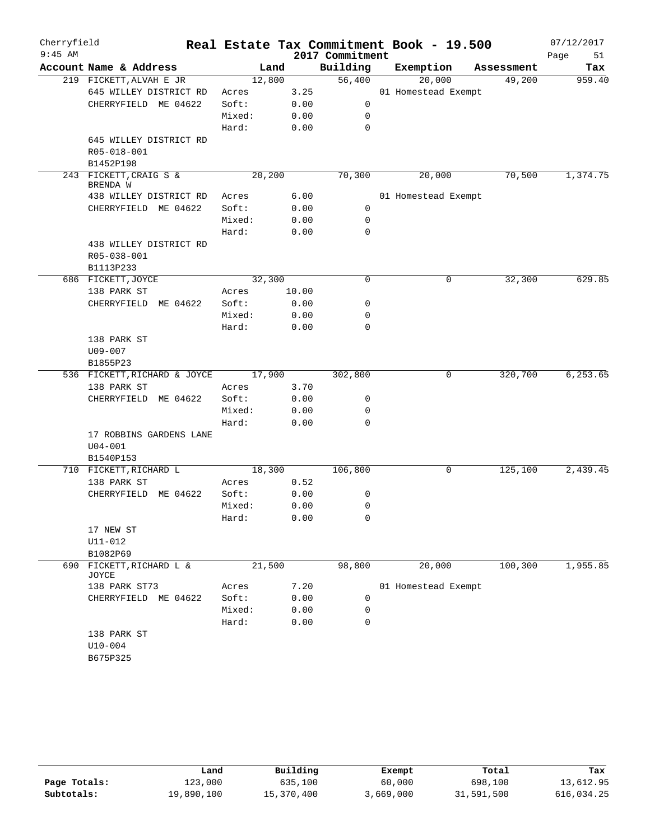| Account Name & Address | 219 FICKETT, ALVAH E JR      |        | Land  | Building    | Exemption           | Assessment | Tax      |
|------------------------|------------------------------|--------|-------|-------------|---------------------|------------|----------|
|                        |                              |        |       |             |                     |            |          |
|                        |                              | 12,800 |       | 56,400      | 20,000              | 49,200     | 959.40   |
|                        | 645 WILLEY DISTRICT RD       | Acres  | 3.25  |             | 01 Homestead Exempt |            |          |
|                        | CHERRYFIELD ME 04622         | Soft:  | 0.00  | 0           |                     |            |          |
|                        |                              | Mixed: | 0.00  | 0           |                     |            |          |
|                        |                              | Hard:  | 0.00  | 0           |                     |            |          |
|                        | 645 WILLEY DISTRICT RD       |        |       |             |                     |            |          |
|                        | R05-018-001                  |        |       |             |                     |            |          |
|                        | B1452P198                    |        |       |             |                     |            |          |
|                        | 243 FICKETT, CRAIG S &       | 20,200 |       | 70,300      | 20,000              | 70,500     | 1,374.75 |
| BRENDA W               |                              |        |       |             |                     |            |          |
|                        | 438 WILLEY DISTRICT RD       | Acres  | 6.00  |             | 01 Homestead Exempt |            |          |
|                        | CHERRYFIELD ME 04622         | Soft:  | 0.00  | 0           |                     |            |          |
|                        |                              | Mixed: | 0.00  | 0           |                     |            |          |
|                        |                              | Hard:  | 0.00  | 0           |                     |            |          |
|                        | 438 WILLEY DISTRICT RD       |        |       |             |                     |            |          |
|                        | R05-038-001                  |        |       |             |                     |            |          |
|                        | B1113P233                    |        |       |             |                     |            |          |
| 686 FICKETT, JOYCE     |                              | 32,300 |       | 0           | 0                   | 32,300     | 629.85   |
|                        | 138 PARK ST                  | Acres  | 10.00 |             |                     |            |          |
|                        | CHERRYFIELD ME 04622         | Soft:  | 0.00  | 0           |                     |            |          |
|                        |                              | Mixed: | 0.00  | 0           |                     |            |          |
|                        |                              | Hard:  | 0.00  | 0           |                     |            |          |
|                        | 138 PARK ST                  |        |       |             |                     |            |          |
| $U09 - 007$            |                              |        |       |             |                     |            |          |
| B1855P23               |                              |        |       |             |                     |            |          |
|                        | 536 FICKETT, RICHARD & JOYCE | 17,900 |       | 302,800     | 0                   | 320,700    | 6,253.65 |
|                        | 138 PARK ST                  | Acres  | 3.70  |             |                     |            |          |
|                        | CHERRYFIELD<br>ME 04622      | Soft:  | 0.00  | 0           |                     |            |          |
|                        |                              | Mixed: | 0.00  | 0           |                     |            |          |
|                        |                              | Hard:  | 0.00  | 0           |                     |            |          |
|                        | 17 ROBBINS GARDENS LANE      |        |       |             |                     |            |          |
| $U04 - 001$            |                              |        |       |             |                     |            |          |
|                        | B1540P153                    |        |       |             |                     |            |          |
|                        | 710 FICKETT, RICHARD L       | 18,300 |       | 106,800     | 0                   | 125,100    | 2,439.45 |
|                        | 138 PARK ST                  | Acres  | 0.52  |             |                     |            |          |
|                        | CHERRYFIELD ME 04622         | Soft:  | 0.00  | 0           |                     |            |          |
|                        |                              | Mixed: | 0.00  | $\mathbf 0$ |                     |            |          |
|                        |                              | Hard:  | 0.00  | 0           |                     |            |          |
|                        | 17 NEW ST                    |        |       |             |                     |            |          |
| U11-012                |                              |        |       |             |                     |            |          |
| B1082P69               |                              |        |       |             |                     |            |          |
| 690<br>JOYCE           | FICKETT, RICHARD L &         | 21,500 |       | 98,800      | 20,000              | 100, 300   | 1,955.85 |
|                        | 138 PARK ST73                | Acres  | 7.20  |             | 01 Homestead Exempt |            |          |
|                        | CHERRYFIELD ME 04622         | Soft:  | 0.00  | 0           |                     |            |          |
|                        |                              | Mixed: | 0.00  | 0           |                     |            |          |
|                        |                              | Hard:  | 0.00  | $\mathbf 0$ |                     |            |          |
|                        |                              |        |       |             |                     |            |          |
| 138 PARK ST            |                              |        |       |             |                     |            |          |
| $U10 - 004$            |                              |        |       |             |                     |            |          |

|              | Land       | Building   | Exempt    | Total      | Tax        |
|--------------|------------|------------|-----------|------------|------------|
| Page Totals: | 123,000    | 635,100    | 60,000    | 698,100    | 13,612.95  |
| Subtotals:   | 19,890,100 | 15,370,400 | 3,669,000 | 31,591,500 | 616,034.25 |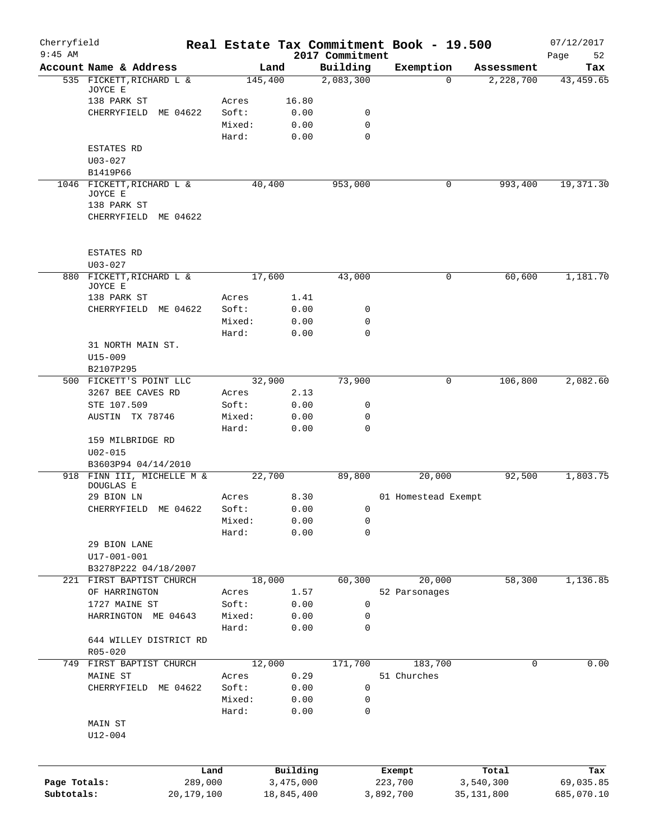| Cherryfield<br>$9:45$ AM |                                       |                 |              | Real Estate Tax Commitment Book - 19.500<br>2017 Commitment |               |                     |            | 07/12/2017<br>52<br>Page |
|--------------------------|---------------------------------------|-----------------|--------------|-------------------------------------------------------------|---------------|---------------------|------------|--------------------------|
|                          | Account Name & Address                |                 | Land         | Building                                                    |               | Exemption           | Assessment | Tax                      |
|                          | 535 FICKETT, RICHARD L &              |                 | 145,400      | 2,083,300                                                   |               | $\Omega$            | 2,228,700  | 43, 459.65               |
|                          | JOYCE E                               |                 |              |                                                             |               |                     |            |                          |
|                          | 138 PARK ST                           | Acres           | 16.80        |                                                             |               |                     |            |                          |
|                          | CHERRYFIELD ME 04622                  | Soft:           | 0.00         | 0                                                           |               |                     |            |                          |
|                          |                                       | Mixed:          | 0.00         | 0                                                           |               |                     |            |                          |
|                          |                                       | Hard:           | 0.00         | $\mathbf 0$                                                 |               |                     |            |                          |
|                          | ESTATES RD                            |                 |              |                                                             |               |                     |            |                          |
|                          | $U03 - 027$                           |                 |              |                                                             |               |                     |            |                          |
|                          | B1419P66<br>1046 FICKETT, RICHARD L & |                 | 40,400       | 953,000                                                     |               | 0                   | 993,400    | 19,371.30                |
|                          | JOYCE E                               |                 |              |                                                             |               |                     |            |                          |
|                          | 138 PARK ST                           |                 |              |                                                             |               |                     |            |                          |
|                          | CHERRYFIELD ME 04622                  |                 |              |                                                             |               |                     |            |                          |
|                          |                                       |                 |              |                                                             |               |                     |            |                          |
|                          | <b>ESTATES RD</b>                     |                 |              |                                                             |               |                     |            |                          |
|                          | $U03 - 027$                           |                 |              |                                                             |               |                     |            |                          |
| 880                      | FICKETT, RICHARD L &                  |                 | 17,600       | 43,000                                                      |               | 0                   | 60,600     | 1,181.70                 |
|                          | JOYCE E                               |                 |              |                                                             |               |                     |            |                          |
|                          | 138 PARK ST                           | Acres           | 1.41         |                                                             |               |                     |            |                          |
|                          | CHERRYFIELD ME 04622                  | Soft:           | 0.00         | 0                                                           |               |                     |            |                          |
|                          |                                       | Mixed:          | 0.00         | 0                                                           |               |                     |            |                          |
|                          |                                       | Hard:           | 0.00         | 0                                                           |               |                     |            |                          |
|                          | 31 NORTH MAIN ST.                     |                 |              |                                                             |               |                     |            |                          |
|                          | U15-009                               |                 |              |                                                             |               |                     |            |                          |
|                          | B2107P295                             |                 |              |                                                             |               |                     |            |                          |
|                          | 500 FICKETT'S POINT LLC               |                 | 32,900       | 73,900                                                      |               | 0                   | 106,800    | 2,082.60                 |
|                          | 3267 BEE CAVES RD                     | Acres<br>Soft:  | 2.13         | 0                                                           |               |                     |            |                          |
|                          | STE 107.509<br>AUSTIN TX 78746        | Mixed:          | 0.00<br>0.00 | 0                                                           |               |                     |            |                          |
|                          |                                       | Hard:           | 0.00         | 0                                                           |               |                     |            |                          |
|                          | 159 MILBRIDGE RD                      |                 |              |                                                             |               |                     |            |                          |
|                          | $U02 - 015$                           |                 |              |                                                             |               |                     |            |                          |
|                          | B3603P94 04/14/2010                   |                 |              |                                                             |               |                     |            |                          |
|                          | 918 FINN III, MICHELLE M &            |                 | 22,700       | 89,800                                                      |               | 20,000              | 92,500     | 1,803.75                 |
|                          | DOUGLAS E                             |                 |              |                                                             |               |                     |            |                          |
|                          | 29 BION LN                            | Acres           | 8.30         |                                                             |               | 01 Homestead Exempt |            |                          |
|                          | ME 04622<br>CHERRYFIELD               | Soft:           | 0.00         | 0                                                           |               |                     |            |                          |
|                          |                                       | Mixed:          | 0.00         | 0                                                           |               |                     |            |                          |
|                          |                                       | Hard:           | 0.00         | 0                                                           |               |                     |            |                          |
|                          | 29 BION LANE                          |                 |              |                                                             |               |                     |            |                          |
|                          | $U17 - 001 - 001$                     |                 |              |                                                             |               |                     |            |                          |
|                          | B3278P222 04/18/2007                  |                 |              |                                                             |               |                     |            |                          |
|                          | 221 FIRST BAPTIST CHURCH              |                 | 18,000       | 60,300                                                      |               | 20,000              | 58,300     | 1,136.85                 |
|                          | OF HARRINGTON                         | Acres           | 1.57         |                                                             | 52 Parsonages |                     |            |                          |
|                          | 1727 MAINE ST                         | Soft:           | 0.00         | 0                                                           |               |                     |            |                          |
|                          | HARRINGTON ME 04643                   | Mixed:          | 0.00         | 0                                                           |               |                     |            |                          |
|                          |                                       | Hard:           | 0.00         | 0                                                           |               |                     |            |                          |
|                          | 644 WILLEY DISTRICT RD                |                 |              |                                                             |               |                     |            |                          |
|                          | $R05 - 020$                           |                 |              |                                                             |               |                     |            |                          |
|                          | 749 FIRST BAPTIST CHURCH              |                 | 12,000       | 171,700                                                     |               | 183,700             | 0          | 0.00                     |
|                          | MAINE ST                              | Acres           | 0.29         |                                                             | 51 Churches   |                     |            |                          |
|                          | CHERRYFIELD ME 04622                  | Soft:           | 0.00         | 0                                                           |               |                     |            |                          |
|                          |                                       | Mixed:<br>Hard: | 0.00<br>0.00 | 0<br>0                                                      |               |                     |            |                          |
|                          | MAIN ST                               |                 |              |                                                             |               |                     |            |                          |
|                          | $U12 - 004$                           |                 |              |                                                             |               |                     |            |                          |
|                          |                                       |                 |              |                                                             |               |                     |            |                          |
|                          |                                       | Land            | Building     |                                                             | Exempt        |                     | Total      | Tax                      |
| Page Totals:             | 289,000                               |                 | 3,475,000    |                                                             | 223,700       |                     | 3,540,300  | 69,035.85                |
| Subtotals:               | 20,179,100                            |                 | 18,845,400   |                                                             | 3,892,700     |                     | 35,131,800 | 685,070.10               |
|                          |                                       |                 |              |                                                             |               |                     |            |                          |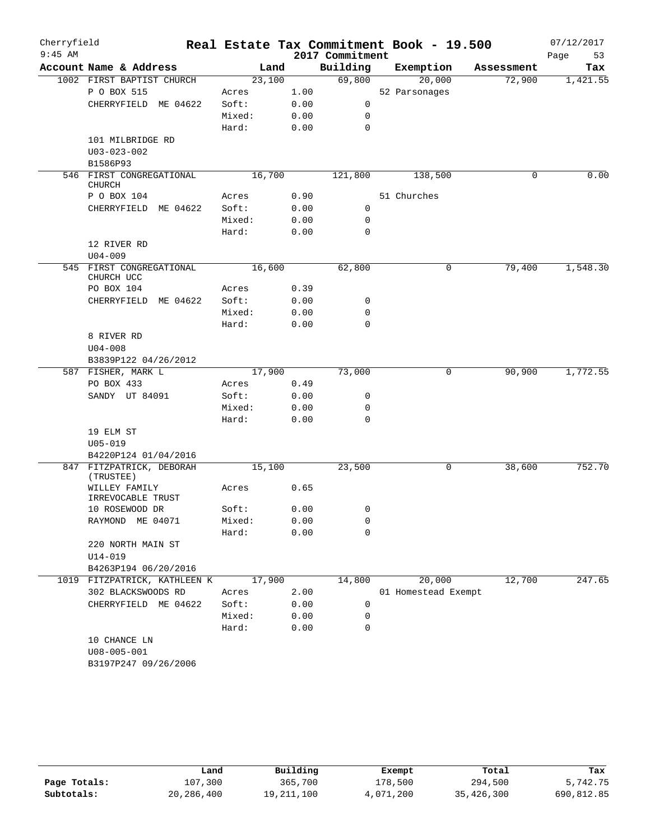| Cherryfield<br>$9:45$ AM |                                        |        |      | 2017 Commitment | Real Estate Tax Commitment Book - 19.500 |            | 07/12/2017<br>Page<br>53 |
|--------------------------|----------------------------------------|--------|------|-----------------|------------------------------------------|------------|--------------------------|
|                          | Account Name & Address                 | Land   |      | Building        | Exemption                                | Assessment | Tax                      |
|                          | 1002 FIRST BAPTIST CHURCH              | 23,100 |      | 69,800          | 20,000                                   | 72,900     | 1,421.55                 |
|                          | P O BOX 515                            | Acres  | 1.00 |                 | 52 Parsonages                            |            |                          |
|                          | CHERRYFIELD ME 04622                   | Soft:  | 0.00 | 0               |                                          |            |                          |
|                          |                                        | Mixed: | 0.00 | 0               |                                          |            |                          |
|                          |                                        | Hard:  | 0.00 | $\mathbf 0$     |                                          |            |                          |
|                          | 101 MILBRIDGE RD                       |        |      |                 |                                          |            |                          |
|                          | $U03 - 023 - 002$                      |        |      |                 |                                          |            |                          |
|                          | B1586P93                               |        |      |                 |                                          |            |                          |
|                          | 546 FIRST CONGREGATIONAL               | 16,700 |      | 121,800         | 138,500                                  | 0          | 0.00                     |
|                          | <b>CHURCH</b>                          |        |      |                 |                                          |            |                          |
|                          | P O BOX 104                            | Acres  | 0.90 |                 | 51 Churches                              |            |                          |
|                          | CHERRYFIELD<br>ME 04622                | Soft:  | 0.00 | $\mathbf 0$     |                                          |            |                          |
|                          |                                        | Mixed: | 0.00 | 0               |                                          |            |                          |
|                          |                                        | Hard:  | 0.00 | $\mathbf 0$     |                                          |            |                          |
|                          | 12 RIVER RD                            |        |      |                 |                                          |            |                          |
|                          | $U04 - 009$                            |        |      |                 |                                          |            |                          |
|                          | 545 FIRST CONGREGATIONAL<br>CHURCH UCC | 16,600 |      | 62,800          | 0                                        | 79,400     | 1,548.30                 |
|                          | PO BOX 104                             | Acres  | 0.39 |                 |                                          |            |                          |
|                          | CHERRYFIELD ME 04622                   | Soft:  | 0.00 | 0               |                                          |            |                          |
|                          |                                        | Mixed: | 0.00 | 0               |                                          |            |                          |
|                          |                                        | Hard:  | 0.00 | $\mathbf 0$     |                                          |            |                          |
|                          | 8 RIVER RD                             |        |      |                 |                                          |            |                          |
|                          | $U04 - 008$                            |        |      |                 |                                          |            |                          |
|                          | B3839P122 04/26/2012                   |        |      |                 |                                          |            |                          |
|                          | 587 FISHER, MARK L                     | 17,900 |      | 73,000          | 0                                        | 90,900     | 1,772.55                 |
|                          | PO BOX 433                             | Acres  | 0.49 |                 |                                          |            |                          |
|                          | SANDY UT 84091                         | Soft:  | 0.00 | 0               |                                          |            |                          |
|                          |                                        | Mixed: | 0.00 | 0               |                                          |            |                          |
|                          |                                        | Hard:  | 0.00 | $\mathbf 0$     |                                          |            |                          |
|                          | 19 ELM ST                              |        |      |                 |                                          |            |                          |
|                          | $U05 - 019$                            |        |      |                 |                                          |            |                          |
|                          | B4220P124 01/04/2016                   |        |      |                 |                                          |            |                          |
|                          | 847 FITZPATRICK, DEBORAH<br>(TRUSTEE)  | 15,100 |      | 23,500          | 0                                        | 38,600     | 752.70                   |
|                          | WILLEY FAMILY<br>IRREVOCABLE TRUST     | Acres  | 0.65 |                 |                                          |            |                          |
|                          | 10 ROSEWOOD DR                         | Soft:  | 0.00 | 0               |                                          |            |                          |
|                          | RAYMOND<br>ME 04071                    | Mixed: | 0.00 | 0               |                                          |            |                          |
|                          |                                        | Hard:  | 0.00 | $\mathbf 0$     |                                          |            |                          |
|                          | 220 NORTH MAIN ST<br>$U14 - 019$       |        |      |                 |                                          |            |                          |
|                          | B4263P194 06/20/2016                   |        |      |                 |                                          |            |                          |
|                          | 1019 FITZPATRICK, KATHLEEN K           | 17,900 |      | 14,800          | 20,000                                   | 12,700     | 247.65                   |
|                          | 302 BLACKSWOODS RD                     | Acres  | 2.00 |                 | 01 Homestead Exempt                      |            |                          |
|                          | CHERRYFIELD ME 04622                   | Soft:  | 0.00 | 0               |                                          |            |                          |
|                          |                                        | Mixed: | 0.00 | 0               |                                          |            |                          |
|                          |                                        | Hard:  | 0.00 | $\mathbf 0$     |                                          |            |                          |
|                          | 10 CHANCE LN                           |        |      |                 |                                          |            |                          |
|                          | $U08 - 005 - 001$                      |        |      |                 |                                          |            |                          |
|                          | B3197P247 09/26/2006                   |        |      |                 |                                          |            |                          |
|                          |                                        |        |      |                 |                                          |            |                          |

|              | Land       | Building   | Exempt    | Total      | Tax        |
|--------------|------------|------------|-----------|------------|------------|
| Page Totals: | 107,300    | 365,700    | 178,500   | 294,500    | 5,742.75   |
| Subtotals:   | 20,286,400 | 19,211,100 | 4,071,200 | 35,426,300 | 690,812.85 |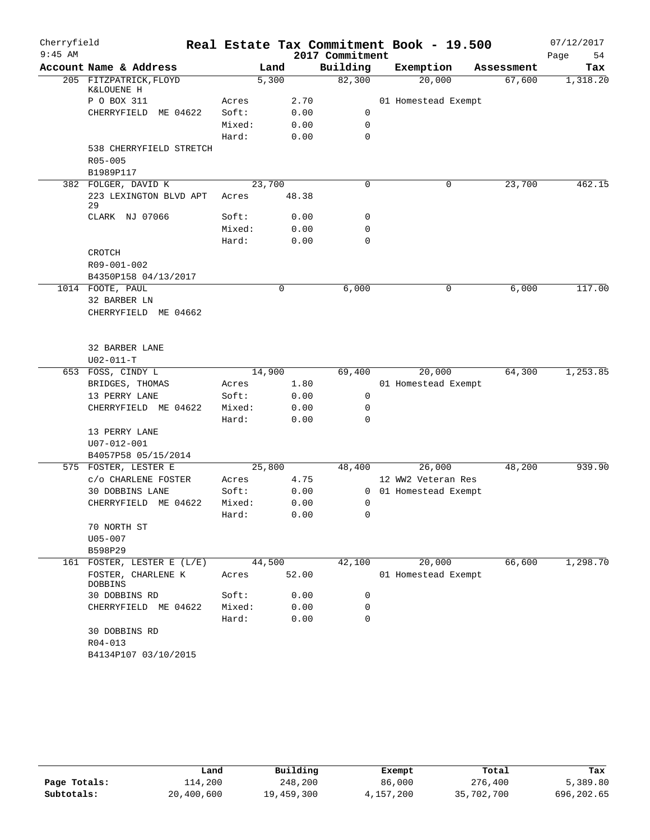| Cherryfield |                                      |        |        |       | Real Estate Tax Commitment Book - 19.500 |                     |            | 07/12/2017 |
|-------------|--------------------------------------|--------|--------|-------|------------------------------------------|---------------------|------------|------------|
| $9:45$ AM   |                                      |        |        |       | 2017 Commitment                          |                     |            | Page<br>54 |
|             | Account Name & Address               |        | Land   |       | Building                                 | Exemption           | Assessment | Tax        |
|             | 205 FITZPATRICK, FLOYD<br>K&LOUENE H |        | 5,300  |       | 82,300                                   | 20,000              | 67,600     | 1,318.20   |
|             | P O BOX 311                          | Acres  |        | 2.70  |                                          | 01 Homestead Exempt |            |            |
|             | CHERRYFIELD<br>ME 04622              | Soft:  |        | 0.00  | 0                                        |                     |            |            |
|             |                                      | Mixed: |        | 0.00  | $\mathbf 0$                              |                     |            |            |
|             |                                      | Hard:  |        | 0.00  | 0                                        |                     |            |            |
|             | 538 CHERRYFIELD STRETCH              |        |        |       |                                          |                     |            |            |
|             | R05-005                              |        |        |       |                                          |                     |            |            |
|             | B1989P117                            |        |        |       |                                          |                     |            |            |
|             | 382 FOLGER, DAVID K                  |        | 23,700 |       | 0                                        | 0                   | 23,700     | 462.15     |
|             | 223 LEXINGTON BLVD APT<br>29         | Acres  |        | 48.38 |                                          |                     |            |            |
|             | CLARK NJ 07066                       | Soft:  |        | 0.00  | 0                                        |                     |            |            |
|             |                                      | Mixed: |        | 0.00  | 0                                        |                     |            |            |
|             |                                      | Hard:  |        | 0.00  | $\mathbf 0$                              |                     |            |            |
|             | <b>CROTCH</b>                        |        |        |       |                                          |                     |            |            |
|             | R09-001-002                          |        |        |       |                                          |                     |            |            |
|             | B4350P158 04/13/2017                 |        |        |       |                                          |                     |            |            |
|             | 1014 FOOTE, PAUL                     |        | 0      |       | 6,000                                    | 0                   | 6,000      | 117.00     |
|             | 32 BARBER LN                         |        |        |       |                                          |                     |            |            |
|             | CHERRYFIELD ME 04662                 |        |        |       |                                          |                     |            |            |
|             | 32 BARBER LANE                       |        |        |       |                                          |                     |            |            |
|             | $U02 - 011 - T$                      |        |        |       |                                          |                     |            |            |
|             | 653 FOSS, CINDY L                    |        | 14,900 |       | 69,400                                   | 20,000              | 64,300     | 1,253.85   |
|             | BRIDGES, THOMAS                      | Acres  |        | 1.80  |                                          | 01 Homestead Exempt |            |            |
|             | 13 PERRY LANE                        | Soft:  |        | 0.00  | 0                                        |                     |            |            |
|             | CHERRYFIELD ME 04622                 | Mixed: |        | 0.00  | 0                                        |                     |            |            |
|             |                                      | Hard:  |        | 0.00  | $\mathbf 0$                              |                     |            |            |
|             | 13 PERRY LANE                        |        |        |       |                                          |                     |            |            |
|             | U07-012-001                          |        |        |       |                                          |                     |            |            |
|             | B4057P58 05/15/2014                  |        |        |       |                                          |                     |            |            |
|             | 575 FOSTER, LESTER E                 |        | 25,800 |       | 48,400                                   | 26,000              | 48,200     | 939.90     |
|             | C/O CHARLENE FOSTER                  | Acres  |        | 4.75  |                                          | 12 WW2 Veteran Res  |            |            |
|             | 30 DOBBINS LANE                      | Soft:  |        | 0.00  | $\overline{0}$                           | 01 Homestead Exempt |            |            |
|             | CHERRYFIELD ME 04622                 | Mixed: |        | 0.00  | 0                                        |                     |            |            |
|             |                                      | Hard:  |        | 0.00  | $\mathsf{O}$                             |                     |            |            |
|             | 70 NORTH ST                          |        |        |       |                                          |                     |            |            |
|             | $U05 - 007$                          |        |        |       |                                          |                     |            |            |
|             | B598P29                              |        |        |       |                                          |                     |            |            |
|             | 161 FOSTER, LESTER E (L/E)           |        | 44,500 |       | 42,100                                   | 20,000              | 66,600     | 1,298.70   |
|             | FOSTER, CHARLENE K<br>DOBBINS        | Acres  |        | 52.00 |                                          | 01 Homestead Exempt |            |            |
|             | 30 DOBBINS RD                        | Soft:  |        | 0.00  | 0                                        |                     |            |            |
|             | CHERRYFIELD ME 04622                 | Mixed: |        | 0.00  | 0                                        |                     |            |            |
|             |                                      | Hard:  |        | 0.00  | 0                                        |                     |            |            |
|             | 30 DOBBINS RD                        |        |        |       |                                          |                     |            |            |
|             | $R04 - 013$                          |        |        |       |                                          |                     |            |            |
|             | B4134P107 03/10/2015                 |        |        |       |                                          |                     |            |            |

|              | Land       | Building   | Exempt    | Total      | Tax        |
|--------------|------------|------------|-----------|------------|------------|
| Page Totals: | 114,200    | 248,200    | 86,000    | 276,400    | 5,389.80   |
| Subtotals:   | 20,400,600 | 19,459,300 | 4,157,200 | 35,702,700 | 696,202.65 |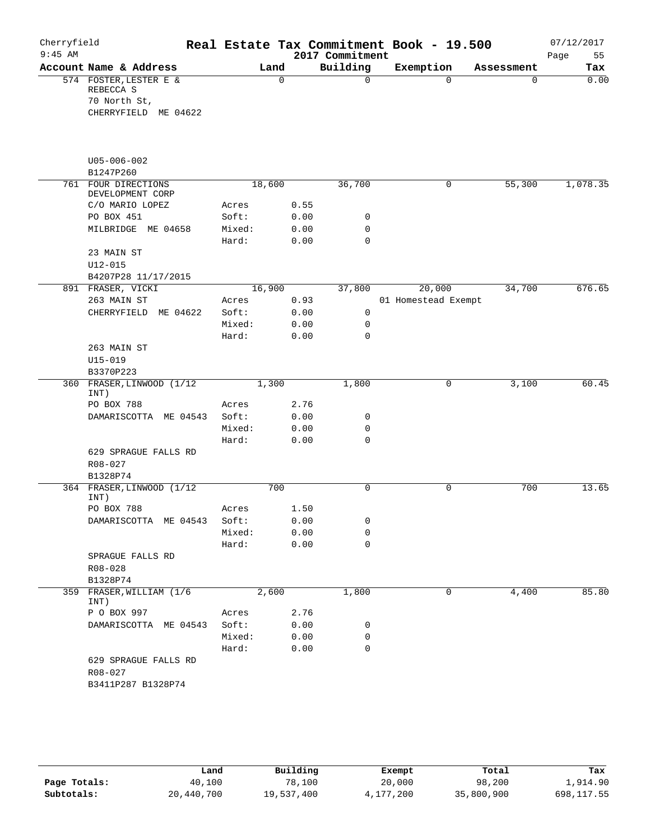| Cherryfield |                                  |        |          |                 | Real Estate Tax Commitment Book - 19.500 |            | 07/12/2017 |
|-------------|----------------------------------|--------|----------|-----------------|------------------------------------------|------------|------------|
| $9:45$ AM   |                                  |        |          | 2017 Commitment |                                          |            | Page<br>55 |
|             | Account Name & Address           |        | Land     | Building        | Exemption                                | Assessment | Tax        |
|             | 574 FOSTER, LESTER E &           |        | $\Omega$ | $\Omega$        | $\Omega$                                 | $\Omega$   | 0.00       |
|             | REBECCA S                        |        |          |                 |                                          |            |            |
|             | 70 North St,                     |        |          |                 |                                          |            |            |
|             | CHERRYFIELD ME 04622             |        |          |                 |                                          |            |            |
|             |                                  |        |          |                 |                                          |            |            |
|             | $U05 - 006 - 002$                |        |          |                 |                                          |            |            |
|             | B1247P260                        |        |          |                 |                                          |            |            |
|             | 761 FOUR DIRECTIONS              |        | 18,600   | 36,700          | 0                                        | 55,300     | 1,078.35   |
|             | DEVELOPMENT CORP                 |        |          |                 |                                          |            |            |
|             | C/O MARIO LOPEZ                  | Acres  | 0.55     |                 |                                          |            |            |
|             | PO BOX 451                       | Soft:  | 0.00     | 0               |                                          |            |            |
|             | MILBRIDGE ME 04658               | Mixed: | 0.00     | 0               |                                          |            |            |
|             |                                  | Hard:  | 0.00     | $\mathbf 0$     |                                          |            |            |
|             | 23 MAIN ST                       |        |          |                 |                                          |            |            |
|             | $U12 - 015$                      |        |          |                 |                                          |            |            |
|             | B4207P28 11/17/2015              |        |          |                 |                                          |            |            |
|             | 891 FRASER, VICKI                |        | 16,900   | 37,800          | 20,000                                   | 34,700     | 676.65     |
|             | 263 MAIN ST                      | Acres  | 0.93     |                 | 01 Homestead Exempt                      |            |            |
|             | CHERRYFIELD ME 04622             | Soft:  | 0.00     | $\mathbf 0$     |                                          |            |            |
|             |                                  | Mixed: | 0.00     | 0               |                                          |            |            |
|             |                                  | Hard:  | 0.00     | 0               |                                          |            |            |
|             | 263 MAIN ST                      |        |          |                 |                                          |            |            |
|             | $U15 - 019$                      |        |          |                 |                                          |            |            |
|             | B3370P223                        |        |          |                 |                                          |            |            |
|             | 360 FRASER, LINWOOD (1/12        |        | 1,300    | 1,800           | 0                                        | 3,100      | 60.45      |
|             | INT)<br>PO BOX 788               | Acres  | 2.76     |                 |                                          |            |            |
|             | DAMARISCOTTA ME 04543            | Soft:  | 0.00     | 0               |                                          |            |            |
|             |                                  | Mixed: | 0.00     | 0               |                                          |            |            |
|             |                                  | Hard:  | 0.00     | $\mathbf 0$     |                                          |            |            |
|             | 629 SPRAGUE FALLS RD             |        |          |                 |                                          |            |            |
|             | R08-027                          |        |          |                 |                                          |            |            |
|             | B1328P74                         |        |          |                 |                                          |            |            |
|             | 364 FRASER, LINWOOD (1/12        |        | 700      | $\mathbf 0$     | $\mathbf 0$                              | 700        | 13.65      |
|             | INT)                             |        |          |                 |                                          |            |            |
|             | PO BOX 788                       | Acres  | 1.50     |                 |                                          |            |            |
|             | DAMARISCOTTA ME 04543            | Soft:  | 0.00     | 0               |                                          |            |            |
|             |                                  | Mixed: | 0.00     | 0               |                                          |            |            |
|             |                                  | Hard:  | 0.00     | $\mathbf 0$     |                                          |            |            |
|             | SPRAGUE FALLS RD                 |        |          |                 |                                          |            |            |
|             | R08-028                          |        |          |                 |                                          |            |            |
|             | B1328P74                         |        |          |                 |                                          |            |            |
|             | 359 FRASER, WILLIAM (1/6<br>INT) |        | 2,600    | 1,800           | 0                                        | 4,400      | 85.80      |
|             | P O BOX 997                      | Acres  | 2.76     |                 |                                          |            |            |
|             | DAMARISCOTTA ME 04543            | Soft:  | 0.00     | 0               |                                          |            |            |
|             |                                  | Mixed: | 0.00     | 0               |                                          |            |            |
|             |                                  | Hard:  | 0.00     | 0               |                                          |            |            |
|             | 629 SPRAGUE FALLS RD             |        |          |                 |                                          |            |            |
|             | R08-027                          |        |          |                 |                                          |            |            |
|             | B3411P287 B1328P74               |        |          |                 |                                          |            |            |
|             |                                  |        |          |                 |                                          |            |            |

|              | Land       | Building   | Exempt    | Total      | Tax        |
|--------------|------------|------------|-----------|------------|------------|
| Page Totals: | 40,100     | 78,100     | 20,000    | 98,200     | 1,914.90   |
| Subtotals:   | 20,440,700 | 19,537,400 | 4,177,200 | 35,800,900 | 698,117.55 |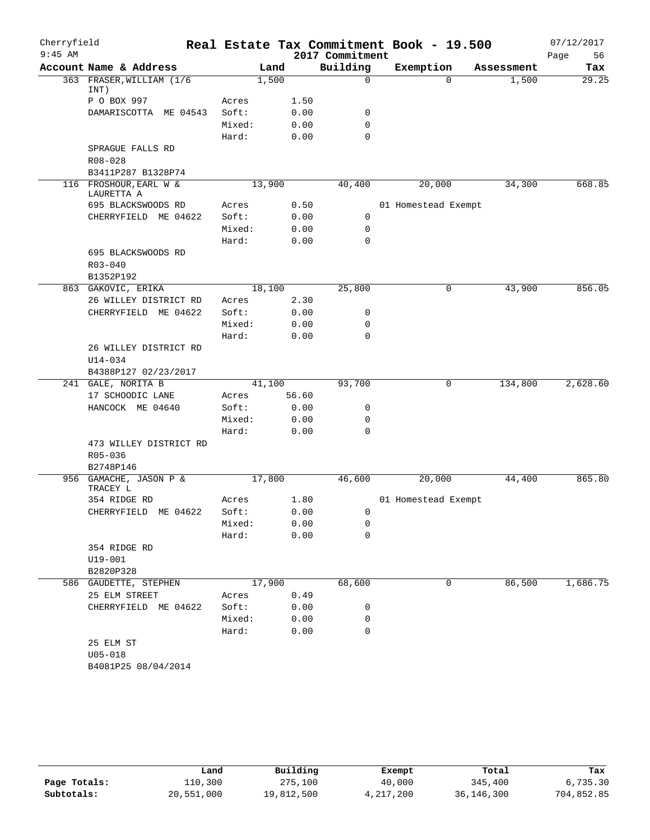| Cherryfield |                                      |        |        |       |                 | Real Estate Tax Commitment Book - 19.500 |            | 07/12/2017 |
|-------------|--------------------------------------|--------|--------|-------|-----------------|------------------------------------------|------------|------------|
| $9:45$ AM   |                                      |        |        |       | 2017 Commitment |                                          |            | 56<br>Page |
|             | Account Name & Address               |        | Land   |       | Building        | Exemption                                | Assessment | Tax        |
|             | 363 FRASER, WILLIAM (1/6)<br>INT)    |        | 1,500  |       | 0               | $\Omega$                                 | 1,500      | 29.25      |
|             | P O BOX 997                          | Acres  |        | 1.50  |                 |                                          |            |            |
|             | DAMARISCOTTA ME 04543                | Soft:  |        | 0.00  | 0               |                                          |            |            |
|             |                                      | Mixed: |        | 0.00  | $\mathbf 0$     |                                          |            |            |
|             |                                      | Hard:  |        | 0.00  | $\mathbf 0$     |                                          |            |            |
|             | SPRAGUE FALLS RD                     |        |        |       |                 |                                          |            |            |
|             | $R08 - 028$                          |        |        |       |                 |                                          |            |            |
|             | B3411P287 B1328P74                   |        |        |       |                 |                                          |            |            |
|             | 116 FROSHOUR, EARL W &<br>LAURETTA A |        | 13,900 |       | 40,400          | 20,000                                   | 34,300     | 668.85     |
|             | 695 BLACKSWOODS RD                   | Acres  |        | 0.50  |                 | 01 Homestead Exempt                      |            |            |
|             | CHERRYFIELD ME 04622                 | Soft:  |        | 0.00  | 0               |                                          |            |            |
|             |                                      | Mixed: |        | 0.00  | 0               |                                          |            |            |
|             |                                      | Hard:  |        | 0.00  | $\mathbf 0$     |                                          |            |            |
|             | 695 BLACKSWOODS RD<br>$R03 - 040$    |        |        |       |                 |                                          |            |            |
|             | B1352P192                            |        |        |       |                 |                                          |            |            |
|             | 863 GAKOVIC, ERIKA                   |        | 18,100 |       | 25,800          | 0                                        | 43,900     | 856.05     |
|             | 26 WILLEY DISTRICT RD                | Acres  |        | 2.30  |                 |                                          |            |            |
|             | CHERRYFIELD ME 04622                 | Soft:  |        | 0.00  | 0               |                                          |            |            |
|             |                                      | Mixed: |        | 0.00  | 0               |                                          |            |            |
|             |                                      | Hard:  |        | 0.00  | $\mathbf 0$     |                                          |            |            |
|             | 26 WILLEY DISTRICT RD                |        |        |       |                 |                                          |            |            |
|             | $U14 - 034$                          |        |        |       |                 |                                          |            |            |
|             | B4388P127 02/23/2017                 |        |        |       |                 |                                          |            |            |
|             | 241 GALE, NORITA B                   |        | 41,100 |       | 93,700          | 0                                        | 134,800    | 2,628.60   |
|             | 17 SCHOODIC LANE                     | Acres  |        | 56.60 |                 |                                          |            |            |
|             | HANCOCK ME 04640                     | Soft:  |        | 0.00  | 0               |                                          |            |            |
|             |                                      | Mixed: |        | 0.00  | 0               |                                          |            |            |
|             |                                      | Hard:  |        | 0.00  | $\mathbf 0$     |                                          |            |            |
|             | 473 WILLEY DISTRICT RD               |        |        |       |                 |                                          |            |            |
|             | R05-036                              |        |        |       |                 |                                          |            |            |
|             | B2748P146                            |        |        |       |                 |                                          |            |            |
|             | 956 GAMACHE, JASON P &<br>TRACEY L   |        | 17,800 |       | 46,600          | 20,000                                   | 44,400     | 865.80     |
|             | 354 RIDGE RD                         | Acres  |        | 1.80  |                 | 01 Homestead Exempt                      |            |            |
|             | CHERRYFIELD ME 04622                 | Soft:  |        | 0.00  | 0               |                                          |            |            |
|             |                                      | Mixed: |        | 0.00  | 0               |                                          |            |            |
|             |                                      | Hard:  |        | 0.00  | 0               |                                          |            |            |
|             | 354 RIDGE RD                         |        |        |       |                 |                                          |            |            |
|             | U19-001                              |        |        |       |                 |                                          |            |            |
|             | B2820P328                            |        |        |       |                 |                                          |            |            |
|             | 586 GAUDETTE, STEPHEN                |        | 17,900 |       | 68,600          | 0                                        | 86,500     | 1,686.75   |
|             | 25 ELM STREET                        | Acres  |        | 0.49  |                 |                                          |            |            |
|             | CHERRYFIELD ME 04622                 | Soft:  |        | 0.00  | 0               |                                          |            |            |
|             |                                      | Mixed: |        | 0.00  | 0               |                                          |            |            |
|             |                                      | Hard:  |        | 0.00  | 0               |                                          |            |            |
|             | 25 ELM ST                            |        |        |       |                 |                                          |            |            |
|             | $U05 - 018$                          |        |        |       |                 |                                          |            |            |
|             | B4081P25 08/04/2014                  |        |        |       |                 |                                          |            |            |
|             |                                      |        |        |       |                 |                                          |            |            |

|              | Land       | Building   | Exempt      | Total        | Tax        |
|--------------|------------|------------|-------------|--------------|------------|
| Page Totals: | 110,300    | 275,100    | 40,000      | 345,400      | 6,735.30   |
| Subtotals:   | 20,551,000 | 19,812,500 | 4, 217, 200 | 36, 146, 300 | 704,852.85 |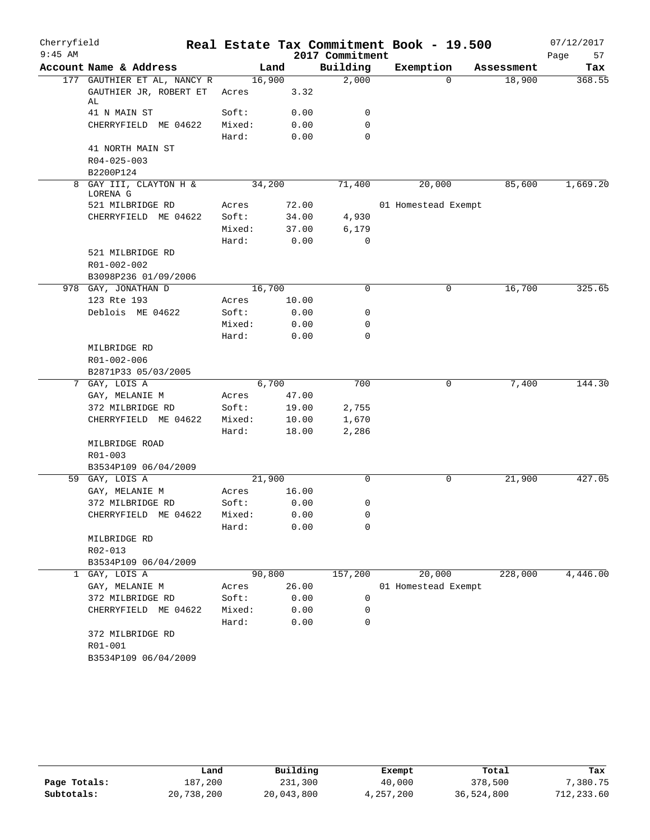| Cherryfield |                                                             |                 |       |                 | Real Estate Tax Commitment Book - 19.500 |            | 07/12/2017 |
|-------------|-------------------------------------------------------------|-----------------|-------|-----------------|------------------------------------------|------------|------------|
| $9:45$ AM   |                                                             |                 |       | 2017 Commitment |                                          |            | Page<br>57 |
|             | Account Name & Address                                      |                 | Land  | Building        | Exemption                                | Assessment | Tax        |
|             | 177 GAUTHIER ET AL, NANCY R<br>GAUTHIER JR, ROBERT ET<br>AL | 16,900<br>Acres | 3.32  | 2,000           | $\Omega$                                 | 18,900     | 368.55     |
|             | 41 N MAIN ST                                                | Soft:           | 0.00  | 0               |                                          |            |            |
|             | CHERRYFIELD ME 04622                                        | Mixed:          | 0.00  | 0               |                                          |            |            |
|             |                                                             | Hard:           | 0.00  | $\Omega$        |                                          |            |            |
|             | 41 NORTH MAIN ST<br>R04-025-003<br>B2200P124                |                 |       |                 |                                          |            |            |
|             | 8 GAY III, CLAYTON H &<br>LORENA G                          | 34,200          |       | 71,400          | 20,000                                   | 85,600     | 1,669.20   |
|             | 521 MILBRIDGE RD                                            | Acres           | 72.00 |                 | 01 Homestead Exempt                      |            |            |
|             | CHERRYFIELD ME 04622                                        | Soft:           | 34.00 | 4,930           |                                          |            |            |
|             |                                                             | Mixed:          | 37.00 | 6,179           |                                          |            |            |
|             |                                                             | Hard:           | 0.00  | 0               |                                          |            |            |
|             | 521 MILBRIDGE RD<br>R01-002-002                             |                 |       |                 |                                          |            |            |
|             | B3098P236 01/09/2006                                        |                 |       |                 |                                          |            |            |
|             | 978 GAY, JONATHAN D                                         | 16,700          |       | $\Omega$        | 0                                        | 16,700     | 325.65     |
|             | 123 Rte 193                                                 | Acres           | 10.00 |                 |                                          |            |            |
|             | Deblois ME 04622                                            | Soft:           | 0.00  | 0               |                                          |            |            |
|             |                                                             | Mixed:          | 0.00  | 0<br>$\Omega$   |                                          |            |            |
|             |                                                             | Hard:           | 0.00  |                 |                                          |            |            |
|             | MILBRIDGE RD<br>R01-002-006                                 |                 |       |                 |                                          |            |            |
|             | B2871P33 05/03/2005                                         |                 |       |                 |                                          |            |            |
| 7           | GAY, LOIS A                                                 | 6,700           |       | 700             | 0                                        | 7,400      | 144.30     |
|             | GAY, MELANIE M                                              | Acres           | 47.00 |                 |                                          |            |            |
|             | 372 MILBRIDGE RD                                            | Soft:           | 19.00 | 2,755           |                                          |            |            |
|             | CHERRYFIELD ME 04622                                        | Mixed:          | 10.00 | 1,670           |                                          |            |            |
|             |                                                             | Hard:           | 18.00 | 2,286           |                                          |            |            |
|             | MILBRIDGE ROAD                                              |                 |       |                 |                                          |            |            |
|             | R01-003                                                     |                 |       |                 |                                          |            |            |
|             | B3534P109 06/04/2009                                        |                 |       |                 |                                          |            |            |
|             | 59 GAY, LOIS A                                              | 21,900          |       | $\Omega$        | 0                                        | 21,900     | 427.05     |
|             | GAY, MELANIE M                                              | Acres           | 16.00 |                 |                                          |            |            |
|             | 372 MILBRIDGE RD                                            | Soft:           | 0.00  | 0               |                                          |            |            |
|             | CHERRYFIELD ME 04622                                        | Mixed:          | 0.00  | 0               |                                          |            |            |
|             |                                                             | Hard:           | 0.00  | 0               |                                          |            |            |
|             | MILBRIDGE RD                                                |                 |       |                 |                                          |            |            |
|             | R02-013                                                     |                 |       |                 |                                          |            |            |
|             | B3534P109 06/04/2009                                        |                 |       |                 |                                          |            |            |
|             | 1 GAY, LOIS A                                               | 90,800          |       | 157,200         | 20,000                                   | 228,000    | 4,446.00   |
|             | GAY, MELANIE M                                              | Acres           | 26.00 |                 | 01 Homestead Exempt                      |            |            |
|             | 372 MILBRIDGE RD                                            | Soft:           | 0.00  | 0               |                                          |            |            |
|             | CHERRYFIELD ME 04622                                        | Mixed:          | 0.00  | 0               |                                          |            |            |
|             |                                                             | Hard:           | 0.00  | $\Omega$        |                                          |            |            |
|             | 372 MILBRIDGE RD<br>R01-001<br>B3534P109 06/04/2009         |                 |       |                 |                                          |            |            |

|              | Land       | Building   | Exempt    | Total      | Tax        |
|--------------|------------|------------|-----------|------------|------------|
| Page Totals: | 187.200    | 231,300    | 40,000    | 378,500    | 7,380.75   |
| Subtotals:   | 20,738,200 | 20,043,800 | 4,257,200 | 36,524,800 | 712,233.60 |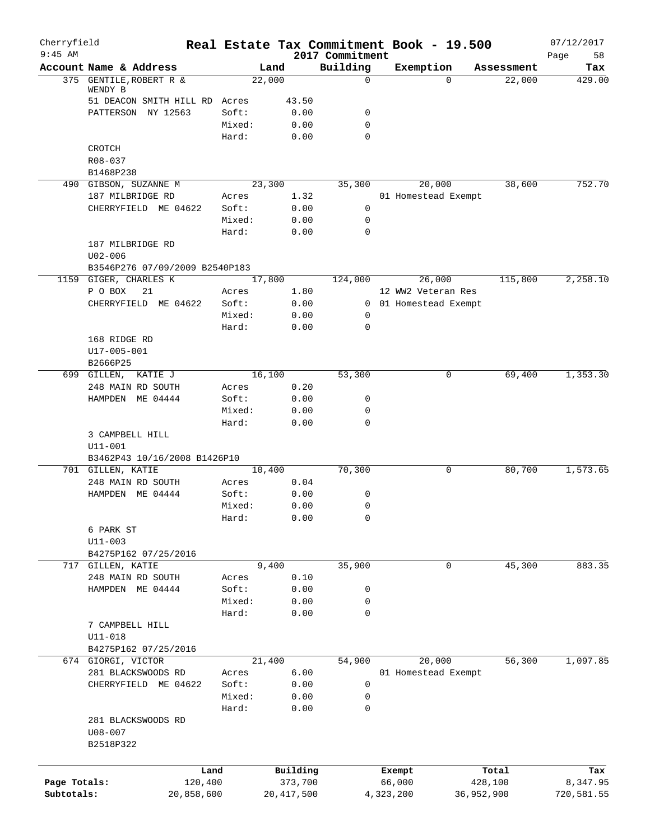| Cherryfield<br>$9:45$ AM |                                 |                 |              | 2017 Commitment         | Real Estate Tax Commitment Book - 19.500 |            | 07/12/2017        |
|--------------------------|---------------------------------|-----------------|--------------|-------------------------|------------------------------------------|------------|-------------------|
|                          | Account Name & Address          | Land            |              | Building                | Exemption                                | Assessment | 58<br>Page<br>Tax |
|                          | 375 GENTILE, ROBERT R &         | 22,000          |              | 0                       | $\Omega$                                 | 22,000     | 429.00            |
|                          | WENDY B                         |                 |              |                         |                                          |            |                   |
|                          | 51 DEACON SMITH HILL RD Acres   |                 | 43.50        |                         |                                          |            |                   |
|                          | PATTERSON NY 12563              | Soft:           | 0.00         | 0                       |                                          |            |                   |
|                          |                                 | Mixed:<br>Hard: | 0.00<br>0.00 | $\mathbf 0$<br>$\Omega$ |                                          |            |                   |
|                          | CROTCH                          |                 |              |                         |                                          |            |                   |
|                          | R08-037                         |                 |              |                         |                                          |            |                   |
|                          | B1468P238                       |                 |              |                         |                                          |            |                   |
|                          | 490 GIBSON, SUZANNE M           | 23,300          |              | 35,300                  | 20,000                                   | 38,600     | 752.70            |
|                          | 187 MILBRIDGE RD                | Acres           | 1.32         |                         | 01 Homestead Exempt                      |            |                   |
|                          | CHERRYFIELD ME 04622            | Soft:           | 0.00         | $\mathsf{O}$            |                                          |            |                   |
|                          |                                 | Mixed:          | 0.00         | 0                       |                                          |            |                   |
|                          |                                 | Hard:           | 0.00         | $\mathbf 0$             |                                          |            |                   |
|                          | 187 MILBRIDGE RD                |                 |              |                         |                                          |            |                   |
|                          | $U02 - 006$                     |                 |              |                         |                                          |            |                   |
|                          | B3546P276 07/09/2009 B2540P183  |                 |              |                         |                                          |            |                   |
|                          | 1159 GIGER, CHARLES K           | 17,800          |              | 124,000                 | 26,000                                   | 115,800    | 2,258.10          |
|                          | P O BOX<br>21                   | Acres           | 1.80         |                         | 12 WW2 Veteran Res                       |            |                   |
|                          | CHERRYFIELD ME 04622            | Soft:           | 0.00         |                         | 0 01 Homestead Exempt                    |            |                   |
|                          |                                 | Mixed:          | 0.00         | 0                       |                                          |            |                   |
|                          |                                 | Hard:           | 0.00         | 0                       |                                          |            |                   |
|                          | 168 RIDGE RD                    |                 |              |                         |                                          |            |                   |
|                          | U17-005-001                     |                 |              |                         |                                          |            |                   |
|                          | B2666P25<br>699 GILLEN, KATIE J | 16,100          |              | 53,300                  | 0                                        | 69,400     | 1,353.30          |
|                          | 248 MAIN RD SOUTH               | Acres           | 0.20         |                         |                                          |            |                   |
|                          | HAMPDEN ME 04444                | Soft:           | 0.00         | 0                       |                                          |            |                   |
|                          |                                 | Mixed:          | 0.00         | 0                       |                                          |            |                   |
|                          |                                 | Hard:           | 0.00         | 0                       |                                          |            |                   |
|                          | 3 CAMPBELL HILL                 |                 |              |                         |                                          |            |                   |
|                          | $U11 - 001$                     |                 |              |                         |                                          |            |                   |
|                          | B3462P43 10/16/2008 B1426P10    |                 |              |                         |                                          |            |                   |
|                          | 701 GILLEN, KATIE               | 10,400          |              | 70,300                  | 0                                        | 80,700     | 1,573.65          |
|                          | 248 MAIN RD SOUTH               | Acres           | 0.04         |                         |                                          |            |                   |
|                          | HAMPDEN ME 04444                | Soft:           | 0.00         | 0                       |                                          |            |                   |
|                          |                                 | Mixed:          | 0.00         | 0                       |                                          |            |                   |
|                          |                                 | Hard:           | 0.00         | 0                       |                                          |            |                   |
|                          | 6 PARK ST                       |                 |              |                         |                                          |            |                   |
|                          | $U11 - 003$                     |                 |              |                         |                                          |            |                   |
|                          | B4275P162 07/25/2016            |                 |              |                         |                                          |            |                   |
|                          | 717 GILLEN, KATIE               | 9,400           |              | 35,900                  | 0                                        | 45,300     | 883.35            |
|                          | 248 MAIN RD SOUTH               | Acres           | 0.10         |                         |                                          |            |                   |
|                          | HAMPDEN ME 04444                | Soft:           | 0.00<br>0.00 | 0                       |                                          |            |                   |
|                          |                                 | Mixed:<br>Hard: | 0.00         | 0<br>0                  |                                          |            |                   |
|                          | 7 CAMPBELL HILL                 |                 |              |                         |                                          |            |                   |
|                          | $U11 - 018$                     |                 |              |                         |                                          |            |                   |
|                          | B4275P162 07/25/2016            |                 |              |                         |                                          |            |                   |
|                          | 674 GIORGI, VICTOR              | 21,400          |              | 54,900                  | 20,000                                   | 56,300     | 1,097.85          |
|                          | 281 BLACKSWOODS RD              | Acres           | 6.00         |                         | 01 Homestead Exempt                      |            |                   |
|                          | CHERRYFIELD ME 04622            | Soft:           | 0.00         | $\mathsf{O}$            |                                          |            |                   |
|                          |                                 | Mixed:          | 0.00         | 0                       |                                          |            |                   |
|                          |                                 | Hard:           | 0.00         | 0                       |                                          |            |                   |
|                          | 281 BLACKSWOODS RD              |                 |              |                         |                                          |            |                   |
|                          | $U08 - 007$                     |                 |              |                         |                                          |            |                   |
|                          | B2518P322                       |                 |              |                         |                                          |            |                   |
|                          |                                 |                 |              |                         |                                          |            |                   |
|                          | Land                            |                 | Building     |                         | Exempt                                   | Total      | Tax               |
| Page Totals:             | 120,400                         |                 | 373,700      |                         | 66,000                                   | 428,100    | 8,347.95          |
| Subtotals:               | 20,858,600                      |                 | 20, 417, 500 |                         | 4,323,200<br>36,952,900                  |            | 720,581.55        |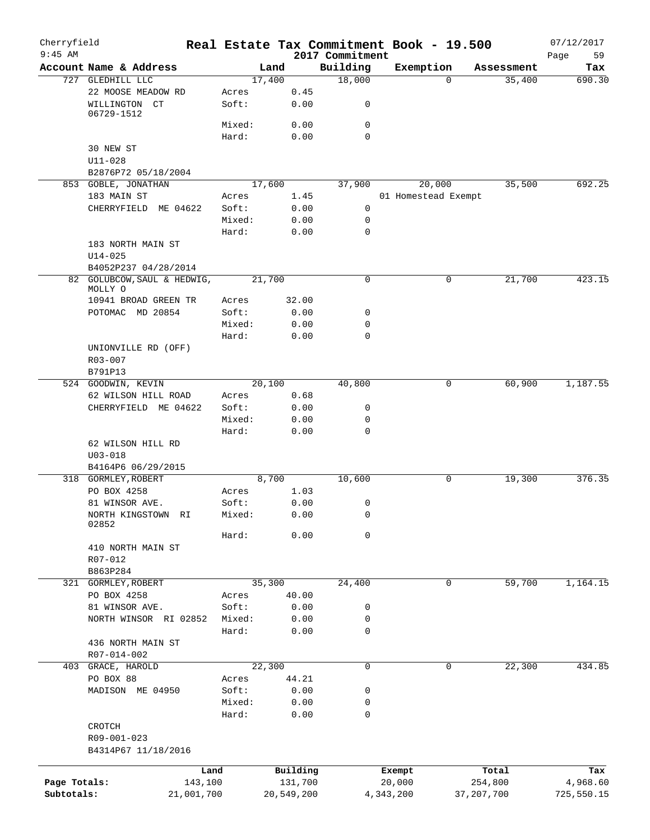| Cherryfield<br>$9:45$ AM |                                        |                 | Real Estate Tax Commitment Book - 19.500 | 2017 Commitment  |           |                     |              | 07/12/2017<br>Page<br>59 |
|--------------------------|----------------------------------------|-----------------|------------------------------------------|------------------|-----------|---------------------|--------------|--------------------------|
|                          | Account Name & Address                 |                 | Land                                     | Building         | Exemption |                     | Assessment   | Tax                      |
|                          | 727 GLEDHILL LLC                       |                 | 17,400                                   | 18,000           |           | $\Omega$            | 35,400       | 690.30                   |
|                          | 22 MOOSE MEADOW RD                     | Acres           | 0.45                                     |                  |           |                     |              |                          |
|                          | WILLINGTON CT<br>06729-1512            | Soft:           | 0.00                                     | 0                |           |                     |              |                          |
|                          |                                        | Mixed:          | 0.00                                     | $\mathbf 0$      |           |                     |              |                          |
|                          |                                        | Hard:           | 0.00                                     | $\mathbf 0$      |           |                     |              |                          |
|                          | 30 NEW ST                              |                 |                                          |                  |           |                     |              |                          |
|                          | $U11 - 028$                            |                 |                                          |                  |           |                     |              |                          |
|                          | B2876P72 05/18/2004                    |                 |                                          |                  |           |                     |              |                          |
|                          | 853 GOBLE, JONATHAN                    |                 | 17,600                                   | 37,900           |           | 20,000              | 35,500       | 692.25                   |
|                          | 183 MAIN ST                            | Acres           | 1.45                                     |                  |           | 01 Homestead Exempt |              |                          |
|                          | CHERRYFIELD<br>ME 04622                | Soft:           | 0.00                                     | 0                |           |                     |              |                          |
|                          |                                        | Mixed:          | 0.00                                     | $\mathbf 0$      |           |                     |              |                          |
|                          |                                        | Hard:           | 0.00                                     | $\mathbf 0$      |           |                     |              |                          |
|                          | 183 NORTH MAIN ST                      |                 |                                          |                  |           |                     |              |                          |
|                          | $U14 - 025$                            |                 |                                          |                  |           |                     |              |                          |
|                          | B4052P237 04/28/2014                   |                 |                                          |                  |           |                     |              |                          |
|                          | 82 GOLUBCOW, SAUL & HEDWIG,<br>MOLLY O |                 | 21,700                                   | $\mathbf 0$      |           | 0                   | 21,700       | 423.15                   |
|                          | 10941 BROAD GREEN TR                   | Acres           | 32.00                                    |                  |           |                     |              |                          |
|                          | POTOMAC MD 20854                       | Soft:           | 0.00                                     | 0                |           |                     |              |                          |
|                          |                                        | Mixed:          | 0.00                                     | $\mathbf 0$      |           |                     |              |                          |
|                          |                                        | Hard:           | 0.00                                     | $\Omega$         |           |                     |              |                          |
|                          | UNIONVILLE RD (OFF)                    |                 |                                          |                  |           |                     |              |                          |
|                          | R03-007                                |                 |                                          |                  |           |                     |              |                          |
|                          | B791P13                                |                 |                                          |                  |           |                     |              |                          |
|                          | 524 GOODWIN, KEVIN                     |                 | 20,100                                   | 40,800           |           | 0                   | 60,900       | 1,187.55                 |
|                          | 62 WILSON HILL ROAD                    | Acres           | 0.68                                     |                  |           |                     |              |                          |
|                          | CHERRYFIELD ME 04622                   | Soft:           | 0.00                                     | 0                |           |                     |              |                          |
|                          |                                        | Mixed:          | 0.00                                     | 0<br>$\mathbf 0$ |           |                     |              |                          |
|                          | 62 WILSON HILL RD                      | Hard:           | 0.00                                     |                  |           |                     |              |                          |
|                          | $U03 - 018$                            |                 |                                          |                  |           |                     |              |                          |
|                          | B4164P6 06/29/2015                     |                 |                                          |                  |           |                     |              |                          |
|                          | 318 GORMLEY, ROBERT                    |                 | 8,700                                    | 10,600           |           | 0                   | 19,300       | 376.35                   |
|                          | PO BOX 4258                            | Acres           | 1.03                                     |                  |           |                     |              |                          |
|                          | 81 WINSOR AVE.                         | Soft:           | 0.00                                     | 0                |           |                     |              |                          |
|                          | NORTH KINGSTOWN RI                     | Mixed:          | 0.00                                     | $\Omega$         |           |                     |              |                          |
|                          | 02852                                  |                 |                                          |                  |           |                     |              |                          |
|                          |                                        | Hard:           | 0.00                                     | 0                |           |                     |              |                          |
|                          | 410 NORTH MAIN ST                      |                 |                                          |                  |           |                     |              |                          |
|                          | R07-012<br>B863P284                    |                 |                                          |                  |           |                     |              |                          |
|                          | 321 GORMLEY, ROBERT                    |                 | 35,300                                   | 24,400           |           | 0                   | 59,700       | 1,164.15                 |
|                          | PO BOX 4258                            | Acres           | 40.00                                    |                  |           |                     |              |                          |
|                          | 81 WINSOR AVE.                         | Soft:           | 0.00                                     | 0                |           |                     |              |                          |
|                          | NORTH WINSOR RI 02852                  | Mixed:          | 0.00                                     | 0                |           |                     |              |                          |
|                          |                                        | Hard:           | 0.00                                     | 0                |           |                     |              |                          |
|                          | 436 NORTH MAIN ST                      |                 |                                          |                  |           |                     |              |                          |
|                          | R07-014-002                            |                 |                                          |                  |           |                     |              |                          |
| 403                      | GRACE, HAROLD                          |                 | 22,300                                   | 0                |           | 0                   | 22,300       | 434.85                   |
|                          | PO BOX 88                              | Acres           | 44.21                                    |                  |           |                     |              |                          |
|                          | MADISON ME 04950                       | Soft:           | 0.00                                     | 0                |           |                     |              |                          |
|                          |                                        | Mixed:<br>Hard: | 0.00<br>0.00                             | 0<br>0           |           |                     |              |                          |
|                          | CROTCH                                 |                 |                                          |                  |           |                     |              |                          |
|                          | R09-001-023                            |                 |                                          |                  |           |                     |              |                          |
|                          | B4314P67 11/18/2016                    |                 |                                          |                  |           |                     |              |                          |
|                          |                                        |                 |                                          |                  |           |                     |              |                          |
|                          |                                        | Land            | Building                                 |                  | Exempt    |                     | Total        | Tax                      |
| Page Totals:             | 143,100                                |                 | 131,700                                  |                  | 20,000    |                     | 254,800      | 4,968.60                 |
| Subtotals:               | 21,001,700                             |                 | 20,549,200                               |                  | 4,343,200 |                     | 37, 207, 700 | 725,550.15               |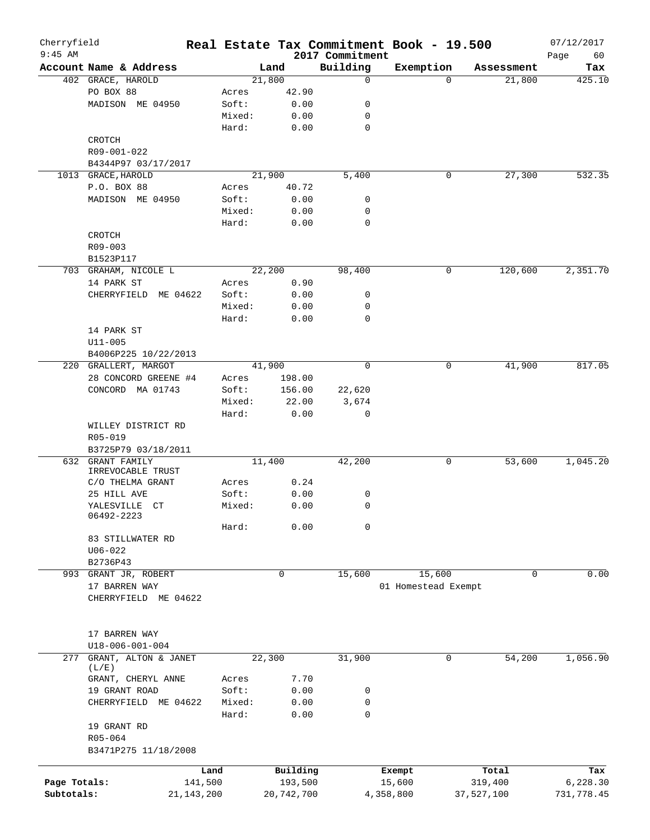| Cherryfield<br>$9:45$ AM |                                       |            |             | 2017 Commitment | Real Estate Tax Commitment Book - 19.500 |             | 07/12/2017        |
|--------------------------|---------------------------------------|------------|-------------|-----------------|------------------------------------------|-------------|-------------------|
|                          | Account Name & Address                |            | Land        | Building        | Exemption                                | Assessment  | Page<br>60<br>Tax |
|                          | 402 GRACE, HAROLD                     |            | 21,800      | 0               | $\Omega$                                 | 21,800      | 425.10            |
|                          | PO BOX 88                             | Acres      | 42.90       |                 |                                          |             |                   |
|                          | MADISON ME 04950                      | Soft:      | 0.00        | 0               |                                          |             |                   |
|                          |                                       | Mixed:     | 0.00        | 0               |                                          |             |                   |
|                          |                                       | Hard:      | 0.00        | $\mathbf 0$     |                                          |             |                   |
|                          | CROTCH                                |            |             |                 |                                          |             |                   |
|                          | R09-001-022                           |            |             |                 |                                          |             |                   |
|                          | B4344P97 03/17/2017                   |            |             |                 |                                          |             |                   |
|                          | 1013 GRACE, HAROLD                    |            | 21,900      | 5,400           | 0                                        | 27,300      | 532.35            |
|                          | P.O. BOX 88                           | Acres      | 40.72       |                 |                                          |             |                   |
|                          | MADISON ME 04950                      | Soft:      | 0.00        | 0               |                                          |             |                   |
|                          |                                       | Mixed:     | 0.00        | 0               |                                          |             |                   |
|                          |                                       | Hard:      | 0.00        | 0               |                                          |             |                   |
|                          |                                       |            |             |                 |                                          |             |                   |
|                          | CROTCH                                |            |             |                 |                                          |             |                   |
|                          | R09-003                               |            |             |                 |                                          |             |                   |
|                          | B1523P117                             |            |             |                 |                                          |             |                   |
|                          | 703 GRAHAM, NICOLE L                  |            | 22,200      | 98,400          | 0                                        | 120,600     | 2,351.70          |
|                          | 14 PARK ST                            | Acres      | 0.90        |                 |                                          |             |                   |
|                          | CHERRYFIELD<br>ME 04622               | Soft:      | 0.00        | 0               |                                          |             |                   |
|                          |                                       | Mixed:     | 0.00        | 0               |                                          |             |                   |
|                          |                                       | Hard:      | 0.00        | $\mathbf 0$     |                                          |             |                   |
|                          | 14 PARK ST                            |            |             |                 |                                          |             |                   |
|                          | $U11 - 005$                           |            |             |                 |                                          |             |                   |
|                          | B4006P225 10/22/2013                  |            |             |                 |                                          |             |                   |
|                          | 220 GRALLERT, MARGOT                  |            | 41,900      | $\mathbf 0$     | 0                                        | 41,900      | 817.05            |
|                          | 28 CONCORD GREENE #4                  | Acres      | 198.00      |                 |                                          |             |                   |
|                          | CONCORD MA 01743                      | Soft:      | 156.00      | 22,620          |                                          |             |                   |
|                          |                                       | Mixed:     | 22.00       | 3,674           |                                          |             |                   |
|                          |                                       | Hard:      | 0.00        | 0               |                                          |             |                   |
|                          | WILLEY DISTRICT RD                    |            |             |                 |                                          |             |                   |
|                          | R05-019                               |            |             |                 |                                          |             |                   |
|                          | B3725P79 03/18/2011                   |            |             |                 |                                          |             |                   |
|                          | 632 GRANT FAMILY                      |            | 11,400      | 42,200          | 0                                        | 53,600      | 1,045.20          |
|                          | IRREVOCABLE TRUST                     |            |             |                 |                                          |             |                   |
|                          | C/O THELMA GRANT                      | Acres      | 0.24        |                 |                                          |             |                   |
|                          | 25 HILL AVE                           | Soft:      | 0.00        | 0               |                                          |             |                   |
|                          | YALESVILLE CT<br>06492-2223           | Mixed:     | 0.00        | 0               |                                          |             |                   |
|                          |                                       | Hard:      | 0.00        | 0               |                                          |             |                   |
|                          | 83 STILLWATER RD                      |            |             |                 |                                          |             |                   |
|                          | $U06 - 022$                           |            |             |                 |                                          |             |                   |
|                          | B2736P43                              |            |             |                 |                                          |             |                   |
|                          | 993 GRANT JR, ROBERT                  |            | $\mathbf 0$ | 15,600          | 15,600                                   | $\mathbf 0$ | 0.00              |
|                          |                                       |            |             |                 | 01 Homestead Exempt                      |             |                   |
|                          | 17 BARREN WAY<br>CHERRYFIELD ME 04622 |            |             |                 |                                          |             |                   |
|                          |                                       |            |             |                 |                                          |             |                   |
|                          |                                       |            |             |                 |                                          |             |                   |
|                          |                                       |            |             |                 |                                          |             |                   |
|                          | 17 BARREN WAY                         |            |             |                 |                                          |             |                   |
|                          | U18-006-001-004                       |            |             |                 |                                          |             |                   |
| 277                      | GRANT, ALTON & JANET<br>(L/E)         |            | 22,300      | 31,900          | 0                                        | 54,200      | 1,056.90          |
|                          | GRANT, CHERYL ANNE                    | Acres      | 7.70        |                 |                                          |             |                   |
|                          | 19 GRANT ROAD                         | Soft:      | 0.00        | 0               |                                          |             |                   |
|                          | CHERRYFIELD ME 04622                  | Mixed:     | 0.00        | 0               |                                          |             |                   |
|                          |                                       | Hard:      | 0.00        | 0               |                                          |             |                   |
|                          | 19 GRANT RD                           |            |             |                 |                                          |             |                   |
|                          | R05-064                               |            |             |                 |                                          |             |                   |
|                          | B3471P275 11/18/2008                  |            |             |                 |                                          |             |                   |
|                          |                                       |            |             |                 |                                          |             |                   |
|                          |                                       | Land       | Building    |                 | Exempt                                   | Total       | Tax               |
| Page Totals:             |                                       | 141,500    | 193,500     |                 | 15,600                                   | 319,400     | 6,228.30          |
| Subtotals:               |                                       | 21,143,200 | 20,742,700  |                 | 4,358,800                                | 37,527,100  | 731,778.45        |
|                          |                                       |            |             |                 |                                          |             |                   |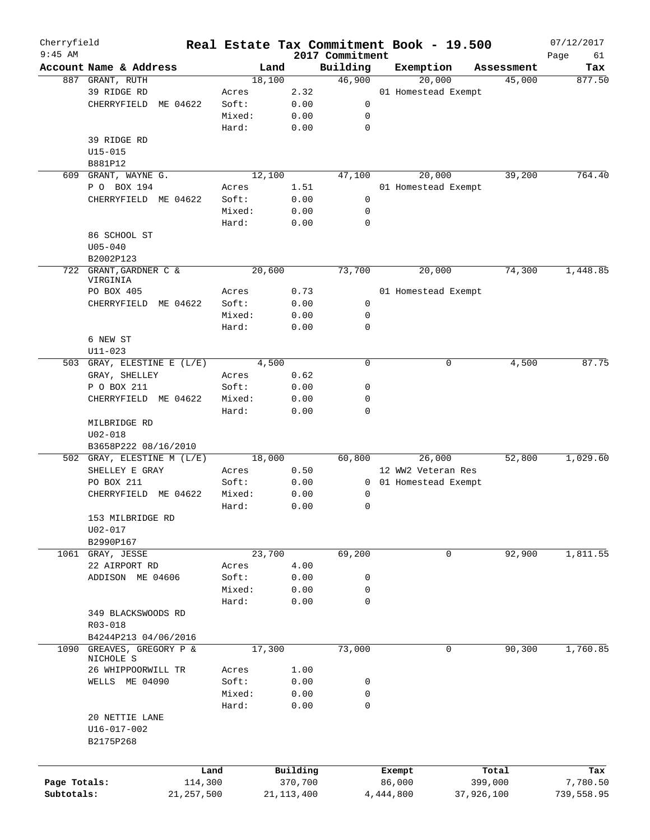| Cherryfield<br>$9:45$ AM |                                   |              |        |              | 2017 Commitment | Real Estate Tax Commitment Book - 19.500 |            | 07/12/2017<br>Page<br>61 |
|--------------------------|-----------------------------------|--------------|--------|--------------|-----------------|------------------------------------------|------------|--------------------------|
|                          | Account Name & Address            |              | Land   |              | Building        | Exemption                                | Assessment | Tax                      |
|                          | 887 GRANT, RUTH                   |              | 18,100 |              | 46,900          | 20,000                                   | 45,000     | 877.50                   |
|                          | 39 RIDGE RD                       |              | Acres  | 2.32         |                 | 01 Homestead Exempt                      |            |                          |
|                          | CHERRYFIELD<br>ME 04622           |              | Soft:  | 0.00         | 0               |                                          |            |                          |
|                          |                                   |              | Mixed: | 0.00         | 0               |                                          |            |                          |
|                          |                                   |              | Hard:  | 0.00         | 0               |                                          |            |                          |
|                          | 39 RIDGE RD                       |              |        |              |                 |                                          |            |                          |
|                          | $U15 - 015$                       |              |        |              |                 |                                          |            |                          |
|                          |                                   |              |        |              |                 |                                          |            |                          |
|                          | B881P12                           |              | 12,100 |              |                 |                                          |            |                          |
| 609                      | GRANT, WAYNE G.                   |              |        |              | 47,100          | 20,000                                   | 39,200     | 764.40                   |
|                          | P O BOX 194                       |              | Acres  | 1.51         |                 | 01 Homestead Exempt                      |            |                          |
|                          | CHERRYFIELD ME 04622              |              | Soft:  | 0.00         | 0               |                                          |            |                          |
|                          |                                   |              | Mixed: | 0.00         | 0               |                                          |            |                          |
|                          |                                   |              | Hard:  | 0.00         | 0               |                                          |            |                          |
|                          | 86 SCHOOL ST                      |              |        |              |                 |                                          |            |                          |
|                          | $U05 - 040$                       |              |        |              |                 |                                          |            |                          |
|                          | B2002P123                         |              |        |              |                 |                                          |            |                          |
|                          | 722 GRANT, GARDNER C &            |              | 20,600 |              | 73,700          | 20,000                                   | 74,300     | 1,448.85                 |
|                          | VIRGINIA                          |              |        |              |                 |                                          |            |                          |
|                          | PO BOX 405                        |              | Acres  | 0.73         |                 | 01 Homestead Exempt                      |            |                          |
|                          | CHERRYFIELD ME 04622              |              | Soft:  | 0.00         | 0               |                                          |            |                          |
|                          |                                   |              | Mixed: | 0.00         | 0               |                                          |            |                          |
|                          |                                   |              | Hard:  | 0.00         | 0               |                                          |            |                          |
|                          | 6 NEW ST                          |              |        |              |                 |                                          |            |                          |
|                          | $U11 - 023$                       |              |        |              |                 |                                          |            |                          |
|                          | 503 GRAY, ELESTINE E (L/E)        |              | 4,500  |              | $\mathbf 0$     | 0                                        | 4,500      | 87.75                    |
|                          | GRAY, SHELLEY                     |              | Acres  | 0.62         |                 |                                          |            |                          |
|                          | P O BOX 211                       |              | Soft:  | 0.00         | 0               |                                          |            |                          |
|                          | CHERRYFIELD ME 04622              |              | Mixed: | 0.00         | 0               |                                          |            |                          |
|                          |                                   |              | Hard:  | 0.00         | 0               |                                          |            |                          |
|                          | MILBRIDGE RD                      |              |        |              |                 |                                          |            |                          |
|                          | $U02 - 018$                       |              |        |              |                 |                                          |            |                          |
|                          | B3658P222 08/16/2010              |              |        |              |                 |                                          |            |                          |
|                          | 502 GRAY, ELESTINE M (L/E)        |              | 18,000 |              | 60,800          | 26,000                                   | 52,800     | 1,029.60                 |
|                          | SHELLEY E GRAY                    |              | Acres  | 0.50         |                 | 12 WW2 Veteran Res                       |            |                          |
|                          | PO BOX 211                        |              | Soft:  | 0.00         |                 | 0 01 Homestead Exempt                    |            |                          |
|                          | CHERRYFIELD ME 04622              |              | Mixed: | 0.00         | 0               |                                          |            |                          |
|                          |                                   |              | Hard:  | 0.00         | 0               |                                          |            |                          |
|                          | 153 MILBRIDGE RD                  |              |        |              |                 |                                          |            |                          |
|                          | U02-017                           |              |        |              |                 |                                          |            |                          |
|                          | B2990P167                         |              |        |              |                 |                                          |            |                          |
|                          |                                   |              | 23,700 |              |                 | 0                                        | 92,900     | 1,811.55                 |
|                          | 1061 GRAY, JESSE                  |              |        |              | 69,200          |                                          |            |                          |
|                          | 22 AIRPORT RD                     |              | Acres  | 4.00         |                 |                                          |            |                          |
|                          | ADDISON ME 04606                  |              | Soft:  | 0.00         | 0               |                                          |            |                          |
|                          |                                   |              | Mixed: | 0.00         | 0               |                                          |            |                          |
|                          |                                   |              | Hard:  | 0.00         | $\mathbf 0$     |                                          |            |                          |
|                          | 349 BLACKSWOODS RD                |              |        |              |                 |                                          |            |                          |
|                          | R03-018                           |              |        |              |                 |                                          |            |                          |
|                          | B4244P213 04/06/2016              |              |        |              |                 |                                          |            |                          |
| 1090                     | GREAVES, GREGORY P &<br>NICHOLE S |              | 17,300 |              | 73,000          | 0                                        | 90,300     | 1,760.85                 |
|                          | 26 WHIPPOORWILL TR                |              | Acres  | 1.00         |                 |                                          |            |                          |
|                          | WELLS ME 04090                    |              | Soft:  | 0.00         | 0               |                                          |            |                          |
|                          |                                   |              | Mixed: | 0.00         | 0               |                                          |            |                          |
|                          |                                   |              | Hard:  | 0.00         | 0               |                                          |            |                          |
|                          | 20 NETTIE LANE                    |              |        |              |                 |                                          |            |                          |
|                          | U16-017-002                       |              |        |              |                 |                                          |            |                          |
|                          | B2175P268                         |              |        |              |                 |                                          |            |                          |
|                          |                                   |              |        |              |                 |                                          |            |                          |
|                          |                                   |              |        |              |                 |                                          |            |                          |
|                          |                                   | Land         |        | Building     |                 | Exempt                                   | Total      | Tax                      |
| Page Totals:             |                                   | 114,300      |        | 370,700      |                 | 86,000                                   | 399,000    | 7,780.50                 |
| Subtotals:               |                                   | 21, 257, 500 |        | 21, 113, 400 |                 | 4,444,800                                | 37,926,100 | 739,558.95               |
|                          |                                   |              |        |              |                 |                                          |            |                          |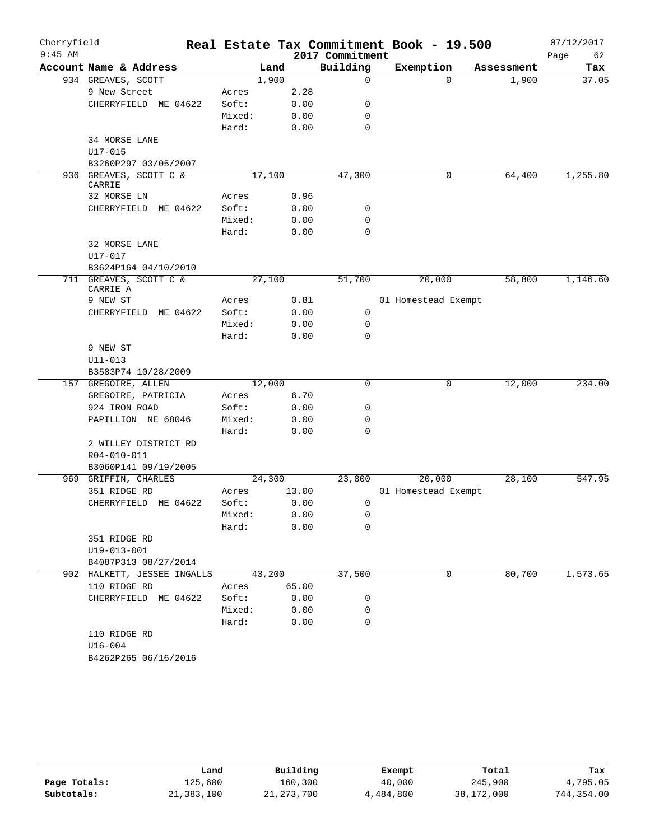| Cherryfield |                                     |        |        |       |                 | Real Estate Tax Commitment Book - 19.500 |            | 07/12/2017 |
|-------------|-------------------------------------|--------|--------|-------|-----------------|------------------------------------------|------------|------------|
| $9:45$ AM   |                                     |        |        |       | 2017 Commitment |                                          |            | Page<br>62 |
|             | Account Name & Address              |        | Land   |       | Building        | Exemption                                | Assessment | Tax        |
|             | 934 GREAVES, SCOTT                  |        | 1,900  |       | $\mathbf 0$     | $\Omega$                                 | 1,900      | 37.05      |
|             | 9 New Street                        | Acres  |        | 2.28  |                 |                                          |            |            |
|             | CHERRYFIELD ME 04622                | Soft:  |        | 0.00  | 0               |                                          |            |            |
|             |                                     | Mixed: |        | 0.00  | 0<br>0          |                                          |            |            |
|             | 34 MORSE LANE                       | Hard:  |        | 0.00  |                 |                                          |            |            |
|             | U17-015                             |        |        |       |                 |                                          |            |            |
|             | B3260P297 03/05/2007                |        |        |       |                 |                                          |            |            |
| 936         | GREAVES, SCOTT C &                  |        | 17,100 |       | 47,300          | 0                                        | 64,400     | 1,255.80   |
|             | CARRIE                              |        |        |       |                 |                                          |            |            |
|             | 32 MORSE LN                         | Acres  |        | 0.96  |                 |                                          |            |            |
|             | CHERRYFIELD<br>ME 04622             | Soft:  |        | 0.00  | 0               |                                          |            |            |
|             |                                     | Mixed: |        | 0.00  | $\mathbf 0$     |                                          |            |            |
|             |                                     | Hard:  |        | 0.00  | 0               |                                          |            |            |
|             | 32 MORSE LANE                       |        |        |       |                 |                                          |            |            |
|             | U17-017                             |        |        |       |                 |                                          |            |            |
|             | B3624P164 04/10/2010                |        |        |       |                 |                                          |            |            |
|             | 711 GREAVES, SCOTT C &              |        | 27,100 |       | 51,700          | 20,000                                   | 58,800     | 1,146.60   |
|             | CARRIE A                            |        |        |       |                 |                                          |            |            |
|             | 9 NEW ST                            | Acres  |        | 0.81  |                 | 01 Homestead Exempt                      |            |            |
|             | CHERRYFIELD ME 04622                | Soft:  |        | 0.00  | 0               |                                          |            |            |
|             |                                     | Mixed: |        | 0.00  | 0               |                                          |            |            |
|             |                                     | Hard:  |        | 0.00  | 0               |                                          |            |            |
|             | 9 NEW ST                            |        |        |       |                 |                                          |            |            |
|             | U11-013                             |        |        |       |                 |                                          |            |            |
|             | B3583P74 10/28/2009                 |        |        |       |                 |                                          |            |            |
|             | 157 GREGOIRE, ALLEN                 |        | 12,000 |       | 0               | 0                                        | 12,000     | 234.00     |
|             | GREGOIRE, PATRICIA                  | Acres  |        | 6.70  |                 |                                          |            |            |
|             | 924 IRON ROAD                       | Soft:  |        | 0.00  | 0               |                                          |            |            |
|             | PAPILLION NE 68046                  | Mixed: |        | 0.00  | 0               |                                          |            |            |
|             |                                     | Hard:  |        | 0.00  | $\mathbf 0$     |                                          |            |            |
|             | 2 WILLEY DISTRICT RD                |        |        |       |                 |                                          |            |            |
|             | R04-010-011<br>B3060P141 09/19/2005 |        |        |       |                 |                                          |            |            |
|             | 969 GRIFFIN, CHARLES                |        | 24,300 |       | 23,800          | 20,000                                   | 28,100     | 547.95     |
|             | 351 RIDGE RD                        | Acres  |        | 13.00 |                 | 01 Homestead Exempt                      |            |            |
|             | CHERRYFIELD ME 04622                | Soft:  |        | 0.00  | 0               |                                          |            |            |
|             |                                     | Mixed: |        | 0.00  | 0               |                                          |            |            |
|             |                                     | Hard:  |        | 0.00  | 0               |                                          |            |            |
|             | 351 RIDGE RD                        |        |        |       |                 |                                          |            |            |
|             | U19-013-001                         |        |        |       |                 |                                          |            |            |
|             | B4087P313 08/27/2014                |        |        |       |                 |                                          |            |            |
|             | 902 HALKETT, JESSEE INGALLS         |        | 43,200 |       | 37,500          | 0                                        | 80,700     | 1,573.65   |
|             | 110 RIDGE RD                        | Acres  |        | 65.00 |                 |                                          |            |            |
|             | CHERRYFIELD ME 04622                | Soft:  |        | 0.00  | 0               |                                          |            |            |
|             |                                     | Mixed: |        | 0.00  | $\mathbf 0$     |                                          |            |            |
|             |                                     | Hard:  |        | 0.00  | $\mathbf 0$     |                                          |            |            |
|             | 110 RIDGE RD                        |        |        |       |                 |                                          |            |            |
|             | $U16 - 004$                         |        |        |       |                 |                                          |            |            |
|             | B4262P265 06/16/2016                |        |        |       |                 |                                          |            |            |
|             |                                     |        |        |       |                 |                                          |            |            |

|              | Land       | Building     | Exempt    | Total      | Tax        |
|--------------|------------|--------------|-----------|------------|------------|
| Page Totals: | 125,600    | 160,300      | 40,000    | 245,900    | 4,795.05   |
| Subtotals:   | 21,383,100 | 21, 273, 700 | 4,484,800 | 38,172,000 | 744,354.00 |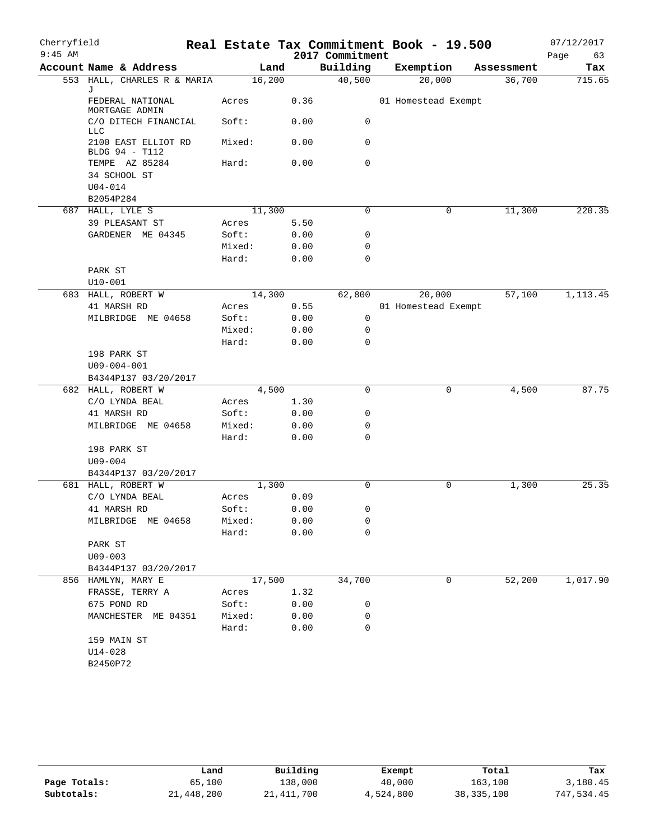| Cherryfield |                                               |        |        |      | Real Estate Tax Commitment Book - 19.500 |                     |   |            | 07/12/2017 |
|-------------|-----------------------------------------------|--------|--------|------|------------------------------------------|---------------------|---|------------|------------|
| $9:45$ AM   |                                               |        |        |      | 2017 Commitment                          |                     |   |            | 63<br>Page |
|             | Account Name & Address                        |        | Land   |      | Building                                 | Exemption           |   | Assessment | Tax        |
|             | 553 HALL, CHARLES R & MARIA<br>J              |        | 16,200 |      | 40,500                                   | 20,000              |   | 36,700     | 715.65     |
|             | FEDERAL NATIONAL<br>MORTGAGE ADMIN            | Acres  |        | 0.36 |                                          | 01 Homestead Exempt |   |            |            |
|             | C/O DITECH FINANCIAL<br>LLC                   | Soft:  |        | 0.00 | 0                                        |                     |   |            |            |
|             | 2100 EAST ELLIOT RD<br>BLDG 94 - T112         | Mixed: |        | 0.00 | 0                                        |                     |   |            |            |
|             | TEMPE AZ 85284<br>34 SCHOOL ST<br>$U04 - 014$ | Hard:  |        | 0.00 | $\mathbf 0$                              |                     |   |            |            |
|             | B2054P284                                     |        |        |      |                                          |                     |   |            |            |
|             | 687 HALL, LYLE S                              |        | 11,300 |      | 0                                        |                     | 0 | 11,300     | 220.35     |
|             | 39 PLEASANT ST                                | Acres  |        | 5.50 |                                          |                     |   |            |            |
|             | GARDENER ME 04345                             | Soft:  |        | 0.00 | 0                                        |                     |   |            |            |
|             |                                               | Mixed: |        | 0.00 | $\mathbf 0$                              |                     |   |            |            |
|             |                                               | Hard:  |        | 0.00 | $\mathbf 0$                              |                     |   |            |            |
|             | PARK ST                                       |        |        |      |                                          |                     |   |            |            |
|             | $U10 - 001$                                   |        |        |      |                                          |                     |   |            |            |
|             | 683 HALL, ROBERT W                            |        | 14,300 |      | 62,800                                   | 20,000              |   | 57,100     | 1,113.45   |
|             | 41 MARSH RD                                   | Acres  |        | 0.55 |                                          | 01 Homestead Exempt |   |            |            |
|             | MILBRIDGE ME 04658                            | Soft:  | 0.00   |      | 0                                        |                     |   |            |            |
|             |                                               | Mixed: |        | 0.00 | 0                                        |                     |   |            |            |
|             |                                               | Hard:  |        | 0.00 | 0                                        |                     |   |            |            |
|             | 198 PARK ST                                   |        |        |      |                                          |                     |   |            |            |
|             | $U09 - 004 - 001$                             |        |        |      |                                          |                     |   |            |            |
|             | B4344P137 03/20/2017                          |        |        |      |                                          |                     |   |            |            |
|             | 682 HALL, ROBERT W                            |        | 4,500  |      | 0                                        |                     | 0 | 4,500      | 87.75      |
|             | C/O LYNDA BEAL                                | Acres  | 1.30   |      |                                          |                     |   |            |            |
|             | 41 MARSH RD                                   | Soft:  |        | 0.00 | 0                                        |                     |   |            |            |
|             | MILBRIDGE ME 04658                            | Mixed: |        | 0.00 | 0                                        |                     |   |            |            |
|             |                                               | Hard:  |        | 0.00 | 0                                        |                     |   |            |            |
|             | 198 PARK ST                                   |        |        |      |                                          |                     |   |            |            |
|             | $U09 - 004$                                   |        |        |      |                                          |                     |   |            |            |
|             | B4344P137 03/20/2017                          |        |        |      |                                          |                     |   |            |            |
|             | 681 HALL, ROBERT W                            |        | 1,300  |      | 0                                        |                     | 0 | 1,300      | 25.35      |
|             | C/O LYNDA BEAL                                | Acres  |        | 0.09 |                                          |                     |   |            |            |
|             | 41 MARSH RD                                   | Soft:  |        | 0.00 | 0                                        |                     |   |            |            |
|             | MILBRIDGE ME 04658                            | Mixed: |        | 0.00 | 0                                        |                     |   |            |            |
|             |                                               | Hard:  |        | 0.00 | $\mathbf 0$                              |                     |   |            |            |
|             | PARK ST                                       |        |        |      |                                          |                     |   |            |            |
|             | $U09 - 003$                                   |        |        |      |                                          |                     |   |            |            |
|             | B4344P137 03/20/2017                          |        |        |      |                                          |                     |   |            |            |
|             | 856 HAMLYN, MARY E                            |        | 17,500 |      | 34,700                                   |                     | 0 | 52,200     | 1,017.90   |
|             | FRASSE, TERRY A                               | Acres  |        | 1.32 |                                          |                     |   |            |            |
|             | 675 POND RD                                   | Soft:  |        | 0.00 | 0                                        |                     |   |            |            |
|             | MANCHESTER ME 04351                           | Mixed: |        | 0.00 | 0                                        |                     |   |            |            |
|             |                                               | Hard:  |        | 0.00 | 0                                        |                     |   |            |            |
|             | 159 MAIN ST<br>$U14 - 028$<br>B2450P72        |        |        |      |                                          |                     |   |            |            |

|              | Land       | Building     | Exempt    | Total        | Tax        |
|--------------|------------|--------------|-----------|--------------|------------|
| Page Totals: | 65,100     | 138,000      | 40,000    | 163,100      | 3,180.45   |
| Subtotals:   | 21,448,200 | 21, 411, 700 | 4,524,800 | 38, 335, 100 | 747,534.45 |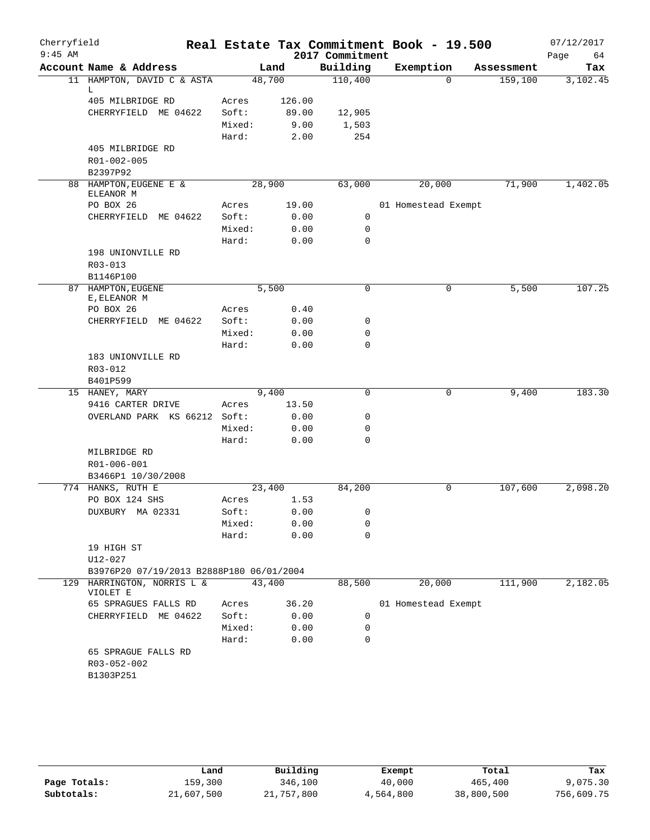| Cherryfield |                                          |        |        |                  | Real Estate Tax Commitment Book - 19.500 |            | 07/12/2017 |
|-------------|------------------------------------------|--------|--------|------------------|------------------------------------------|------------|------------|
| $9:45$ AM   |                                          |        |        | 2017 Commitment  |                                          |            | 64<br>Page |
|             | Account Name & Address                   |        | Land   | Building         | Exemption                                | Assessment | Tax        |
|             | 11 HAMPTON, DAVID C & ASTA<br>L.         | 48,700 |        | 110,400          | $\Omega$                                 | 159,100    | 3,102.45   |
|             | 405 MILBRIDGE RD                         | Acres  | 126.00 |                  |                                          |            |            |
|             | CHERRYFIELD ME 04622                     | Soft:  | 89.00  | 12,905           |                                          |            |            |
|             |                                          | Mixed: | 9.00   | 1,503            |                                          |            |            |
|             |                                          | Hard:  | 2.00   | 254              |                                          |            |            |
|             | 405 MILBRIDGE RD                         |        |        |                  |                                          |            |            |
|             | R01-002-005                              |        |        |                  |                                          |            |            |
|             | B2397P92                                 |        |        |                  |                                          |            |            |
|             | 88 HAMPTON, EUGENE E &                   | 28,900 |        | 63,000           | 20,000                                   | 71,900     | 1,402.05   |
|             | ELEANOR M                                |        |        |                  |                                          |            |            |
|             | PO BOX 26                                | Acres  | 19.00  |                  | 01 Homestead Exempt                      |            |            |
|             | CHERRYFIELD ME 04622                     | Soft:  | 0.00   | 0                |                                          |            |            |
|             |                                          | Mixed: | 0.00   | 0<br>$\mathbf 0$ |                                          |            |            |
|             | 198 UNIONVILLE RD                        | Hard:  | 0.00   |                  |                                          |            |            |
|             |                                          |        |        |                  |                                          |            |            |
|             | $R03 - 013$                              |        |        |                  |                                          |            |            |
| 87          | B1146P100                                |        |        | $\mathbf 0$      |                                          |            | 107.25     |
|             | HAMPTON, EUGENE<br>E, ELEANOR M          | 5,500  |        |                  | 0                                        | 5,500      |            |
|             | PO BOX 26                                | Acres  | 0.40   |                  |                                          |            |            |
|             | CHERRYFIELD ME 04622                     | Soft:  | 0.00   | 0                |                                          |            |            |
|             |                                          | Mixed: | 0.00   | $\mathbf 0$      |                                          |            |            |
|             |                                          | Hard:  | 0.00   | 0                |                                          |            |            |
|             | 183 UNIONVILLE RD                        |        |        |                  |                                          |            |            |
|             | R03-012                                  |        |        |                  |                                          |            |            |
|             | B401P599                                 |        |        |                  |                                          |            |            |
|             | 15 HANEY, MARY                           | 9,400  |        | $\mathbf 0$      | 0                                        | 9,400      | 183.30     |
|             | 9416 CARTER DRIVE                        | Acres  | 13.50  |                  |                                          |            |            |
|             | OVERLAND PARK KS 66212 Soft:             |        | 0.00   | 0                |                                          |            |            |
|             |                                          | Mixed: | 0.00   | 0                |                                          |            |            |
|             |                                          | Hard:  | 0.00   | 0                |                                          |            |            |
|             | MILBRIDGE RD                             |        |        |                  |                                          |            |            |
|             | R01-006-001                              |        |        |                  |                                          |            |            |
|             | B3466P1 10/30/2008                       |        |        |                  |                                          |            |            |
|             | 774 HANKS, RUTH E                        | 23,400 |        | 84,200           | 0                                        | 107,600    | 2,098.20   |
|             | PO BOX 124 SHS                           | Acres  | 1.53   |                  |                                          |            |            |
|             | DUXBURY MA 02331                         | Soft:  | 0.00   | 0                |                                          |            |            |
|             |                                          | Mixed: | 0.00   | 0                |                                          |            |            |
|             |                                          | Hard:  | 0.00   | 0                |                                          |            |            |
|             | 19 HIGH ST                               |        |        |                  |                                          |            |            |
|             | U12-027                                  |        |        |                  |                                          |            |            |
|             | B3976P20 07/19/2013 B2888P180 06/01/2004 |        |        |                  |                                          |            |            |
|             | 129 HARRINGTON, NORRIS L &<br>VIOLET E   | 43,400 |        | 88,500           | 20,000                                   | 111,900    | 2,182.05   |
|             | 65 SPRAGUES FALLS RD                     | Acres  | 36.20  |                  | 01 Homestead Exempt                      |            |            |
|             | CHERRYFIELD ME 04622                     | Soft:  | 0.00   | 0                |                                          |            |            |
|             |                                          | Mixed: | 0.00   | 0                |                                          |            |            |
|             |                                          | Hard:  | 0.00   | 0                |                                          |            |            |
|             | 65 SPRAGUE FALLS RD                      |        |        |                  |                                          |            |            |
|             | R03-052-002                              |        |        |                  |                                          |            |            |
|             | B1303P251                                |        |        |                  |                                          |            |            |
|             |                                          |        |        |                  |                                          |            |            |

|              | Land       | Building   | Exempt    | Total      | Tax        |
|--------------|------------|------------|-----------|------------|------------|
| Page Totals: | 159,300    | 346,100    | 40,000    | 465,400    | 9,075.30   |
| Subtotals:   | 21,607,500 | 21,757,800 | 4,564,800 | 38,800,500 | 756,609.75 |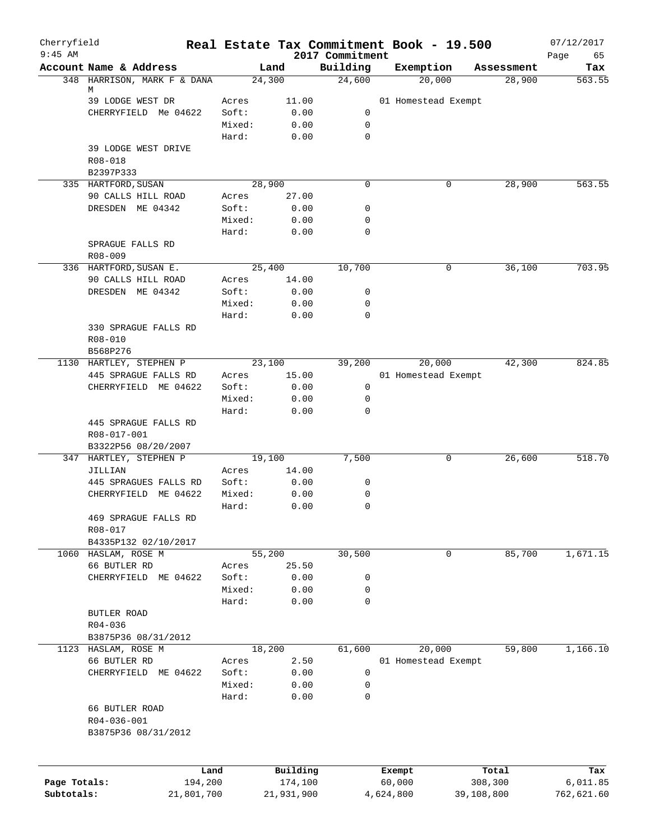| Cherryfield<br>$9:45$ AM |                             |                |               | 2017 Commitment | Real Estate Tax Commitment Book - 19.500 |            | 07/12/2017        |
|--------------------------|-----------------------------|----------------|---------------|-----------------|------------------------------------------|------------|-------------------|
|                          | Account Name & Address      | Land           |               | Building        | Exemption                                | Assessment | Page<br>65<br>Tax |
|                          | 348 HARRISON, MARK F & DANA | 24,300         |               | 24,600          | 20,000                                   | 28,900     | 563.55            |
|                          | М                           |                |               |                 |                                          |            |                   |
|                          | 39 LODGE WEST DR            | Acres<br>Soft: | 11.00<br>0.00 | 0               | 01 Homestead Exempt                      |            |                   |
|                          | CHERRYFIELD Me 04622        | Mixed:         | 0.00          | $\mathsf{O}$    |                                          |            |                   |
|                          |                             | Hard:          | 0.00          | 0               |                                          |            |                   |
|                          | 39 LODGE WEST DRIVE         |                |               |                 |                                          |            |                   |
|                          | R08-018                     |                |               |                 |                                          |            |                   |
|                          | B2397P333                   |                |               |                 |                                          |            |                   |
|                          | 335 HARTFORD, SUSAN         | 28,900         |               | 0               | 0                                        | 28,900     | 563.55            |
|                          | 90 CALLS HILL ROAD          | Acres          | 27.00         |                 |                                          |            |                   |
|                          | DRESDEN ME 04342            | Soft:          | 0.00          | 0               |                                          |            |                   |
|                          |                             | Mixed:         | 0.00          | 0               |                                          |            |                   |
|                          |                             | Hard:          | 0.00          | 0               |                                          |            |                   |
|                          | SPRAGUE FALLS RD            |                |               |                 |                                          |            |                   |
|                          | $R08 - 009$                 |                |               |                 |                                          |            |                   |
|                          | 336 HARTFORD, SUSAN E.      | 25,400         |               | 10,700          | 0                                        | 36,100     | 703.95            |
|                          | 90 CALLS HILL ROAD          | Acres          | 14.00         |                 |                                          |            |                   |
|                          | DRESDEN ME 04342            | Soft:          | 0.00          | 0               |                                          |            |                   |
|                          |                             | Mixed:         | 0.00          | 0               |                                          |            |                   |
|                          |                             | Hard:          | 0.00          | $\Omega$        |                                          |            |                   |
|                          | 330 SPRAGUE FALLS RD        |                |               |                 |                                          |            |                   |
|                          | $R08 - 010$                 |                |               |                 |                                          |            |                   |
|                          | B568P276                    |                |               |                 |                                          |            |                   |
|                          | 1130 HARTLEY, STEPHEN P     | 23,100         |               | 39,200          | 20,000                                   | 42,300     | 824.85            |
|                          | 445 SPRAGUE FALLS RD        | Acres          | 15.00         |                 | 01 Homestead Exempt                      |            |                   |
|                          | CHERRYFIELD ME 04622        | Soft:          | 0.00          | 0               |                                          |            |                   |
|                          |                             | Mixed:         | 0.00          | 0               |                                          |            |                   |
|                          | 445 SPRAGUE FALLS RD        | Hard:          | 0.00          | 0               |                                          |            |                   |
|                          | R08-017-001                 |                |               |                 |                                          |            |                   |
|                          | B3322P56 08/20/2007         |                |               |                 |                                          |            |                   |
|                          | 347 HARTLEY, STEPHEN P      | 19,100         |               | 7,500           | 0                                        | 26,600     | 518.70            |
|                          | JILLIAN                     | Acres          | 14.00         |                 |                                          |            |                   |
|                          | 445 SPRAGUES FALLS RD       | Soft:          | 0.00          | 0               |                                          |            |                   |
|                          | CHERRYFIELD ME 04622        | Mixed:         | 0.00          | 0               |                                          |            |                   |
|                          |                             | Hard:          | 0.00          | 0               |                                          |            |                   |
|                          | 469 SPRAGUE FALLS RD        |                |               |                 |                                          |            |                   |
|                          | R08-017                     |                |               |                 |                                          |            |                   |
|                          | B4335P132 02/10/2017        |                |               |                 |                                          |            |                   |
|                          | 1060 HASLAM, ROSE M         | 55,200         |               | 30,500          | 0                                        | 85,700     | 1,671.15          |
|                          | 66 BUTLER RD                | Acres          | 25.50         |                 |                                          |            |                   |
|                          | CHERRYFIELD ME 04622        | Soft:          | 0.00          | 0               |                                          |            |                   |
|                          |                             | Mixed:         | 0.00          | 0               |                                          |            |                   |
|                          |                             | Hard:          | 0.00          | 0               |                                          |            |                   |
|                          | BUTLER ROAD                 |                |               |                 |                                          |            |                   |
|                          | $R04 - 036$                 |                |               |                 |                                          |            |                   |
|                          | B3875P36 08/31/2012         |                |               |                 |                                          |            |                   |
|                          | 1123 HASLAM, ROSE M         | 18,200         |               | 61,600          | 20,000                                   | 59,800     | 1,166.10          |
|                          | 66 BUTLER RD                | Acres          | 2.50          |                 | 01 Homestead Exempt                      |            |                   |
|                          | CHERRYFIELD ME 04622        | Soft:          | 0.00          | $\mathsf{O}$    |                                          |            |                   |
|                          |                             | Mixed:         | 0.00          | 0               |                                          |            |                   |
|                          | 66 BUTLER ROAD              | Hard:          | 0.00          | 0               |                                          |            |                   |
|                          | R04-036-001                 |                |               |                 |                                          |            |                   |
|                          | B3875P36 08/31/2012         |                |               |                 |                                          |            |                   |
|                          |                             |                |               |                 |                                          |            |                   |
|                          |                             |                |               |                 |                                          |            |                   |
|                          | Land                        |                | Building      |                 | Exempt                                   | Total      | Tax               |
| Page Totals:             | 194,200                     |                | 174,100       |                 | 60,000                                   | 308,300    | 6,011.85          |
| Subtotals:               | 21,801,700                  |                | 21,931,900    |                 | 4,624,800                                | 39,108,800 | 762,621.60        |
|                          |                             |                |               |                 |                                          |            |                   |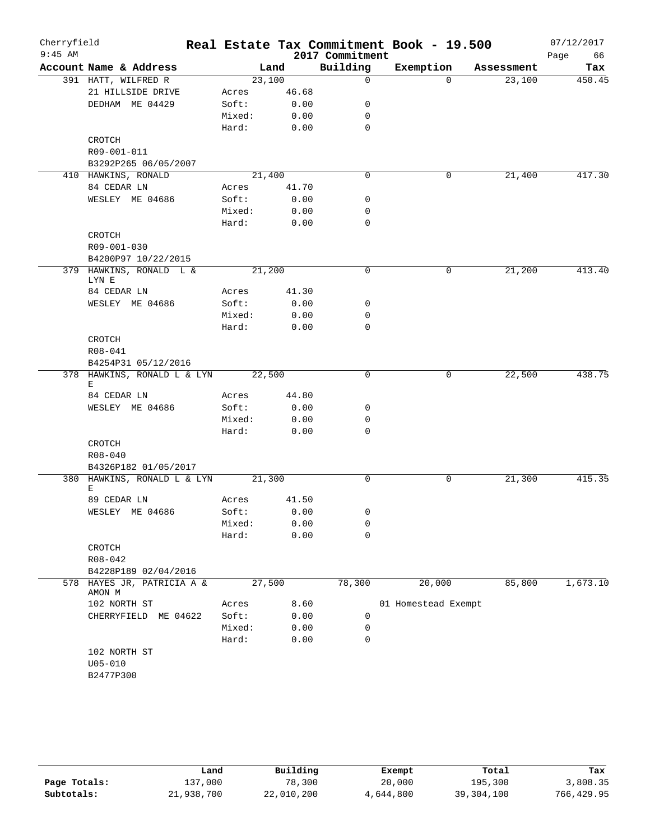| Cherryfield<br>$9:45$ AM |                                                |        |        | 2017 Commitment | Real Estate Tax Commitment Book - 19.500 |            | 07/12/2017<br>Page<br>66 |
|--------------------------|------------------------------------------------|--------|--------|-----------------|------------------------------------------|------------|--------------------------|
|                          | Account Name & Address                         |        | Land   | Building        | Exemption                                | Assessment | Tax                      |
|                          | 391 HATT, WILFRED R                            |        | 23,100 | $\mathbf 0$     | $\Omega$                                 | 23,100     | 450.45                   |
|                          | 21 HILLSIDE DRIVE                              | Acres  | 46.68  |                 |                                          |            |                          |
|                          | DEDHAM ME 04429                                | Soft:  | 0.00   | 0               |                                          |            |                          |
|                          |                                                | Mixed: | 0.00   | 0               |                                          |            |                          |
|                          |                                                | Hard:  | 0.00   | $\mathbf 0$     |                                          |            |                          |
|                          | CROTCH                                         |        |        |                 |                                          |            |                          |
|                          | R09-001-011                                    |        |        |                 |                                          |            |                          |
|                          | B3292P265 06/05/2007                           |        |        |                 |                                          |            |                          |
|                          | 410 HAWKINS, RONALD                            |        | 21,400 | $\mathbf 0$     | 0                                        | 21,400     | 417.30                   |
|                          | 84 CEDAR LN                                    | Acres  | 41.70  |                 |                                          |            |                          |
|                          | WESLEY ME 04686                                | Soft:  | 0.00   | 0               |                                          |            |                          |
|                          |                                                | Mixed: | 0.00   | 0               |                                          |            |                          |
|                          |                                                | Hard:  | 0.00   | $\mathbf 0$     |                                          |            |                          |
|                          | CROTCH                                         |        |        |                 |                                          |            |                          |
|                          | R09-001-030                                    |        |        |                 |                                          |            |                          |
|                          | B4200P97 10/22/2015<br>379 HAWKINS, RONALD L & |        | 21,200 | 0               | 0                                        | 21,200     | 413.40                   |
|                          | LYN E                                          |        |        |                 |                                          |            |                          |
|                          | 84 CEDAR LN                                    | Acres  | 41.30  |                 |                                          |            |                          |
|                          | WESLEY ME 04686                                | Soft:  | 0.00   | 0               |                                          |            |                          |
|                          |                                                | Mixed: | 0.00   | 0               |                                          |            |                          |
|                          |                                                | Hard:  | 0.00   | $\mathbf 0$     |                                          |            |                          |
|                          | CROTCH                                         |        |        |                 |                                          |            |                          |
|                          | R08-041                                        |        |        |                 |                                          |            |                          |
|                          | B4254P31 05/12/2016                            |        |        |                 |                                          |            |                          |
|                          | 378 HAWKINS, RONALD L & LYN                    |        | 22,500 | 0               | $\mathbf 0$                              | 22,500     | 438.75                   |
|                          | Е                                              |        |        |                 |                                          |            |                          |
|                          | 84 CEDAR LN                                    | Acres  | 44.80  |                 |                                          |            |                          |
|                          | WESLEY ME 04686                                | Soft:  | 0.00   | 0               |                                          |            |                          |
|                          |                                                | Mixed: | 0.00   | 0               |                                          |            |                          |
|                          |                                                | Hard:  | 0.00   | $\mathbf 0$     |                                          |            |                          |
|                          | CROTCH                                         |        |        |                 |                                          |            |                          |
|                          | $R08 - 040$                                    |        |        |                 |                                          |            |                          |
|                          | B4326P182 01/05/2017                           |        |        |                 |                                          |            |                          |
|                          | 380 HAWKINS, RONALD L & LYN<br>Е               |        | 21,300 | 0               | 0                                        | 21,300     | 415.35                   |
|                          | 89 CEDAR LN                                    | Acres  | 41.50  |                 |                                          |            |                          |
|                          | WESLEY ME 04686                                | Soft:  | 0.00   | 0               |                                          |            |                          |
|                          |                                                | Mixed: | 0.00   | 0               |                                          |            |                          |
|                          |                                                | Hard:  | 0.00   | $\mathbf 0$     |                                          |            |                          |
|                          | CROTCH                                         |        |        |                 |                                          |            |                          |
|                          | R08-042                                        |        |        |                 |                                          |            |                          |
|                          | B4228P189 02/04/2016                           |        |        |                 |                                          |            |                          |
| 578                      | HAYES JR, PATRICIA A &<br>AMON M               |        | 27,500 | 78,300          | 20,000                                   | 85,800     | 1,673.10                 |
|                          | 102 NORTH ST                                   | Acres  | 8.60   |                 | 01 Homestead Exempt                      |            |                          |
|                          | CHERRYFIELD ME 04622                           | Soft:  | 0.00   | 0               |                                          |            |                          |
|                          |                                                | Mixed: | 0.00   | 0               |                                          |            |                          |
|                          |                                                | Hard:  | 0.00   | 0               |                                          |            |                          |
|                          | 102 NORTH ST                                   |        |        |                 |                                          |            |                          |
|                          | $U05 - 010$                                    |        |        |                 |                                          |            |                          |
|                          | B2477P300                                      |        |        |                 |                                          |            |                          |
|                          |                                                |        |        |                 |                                          |            |                          |

|              | Land       | Building   | Exempt    | Total        | Tax        |
|--------------|------------|------------|-----------|--------------|------------|
| Page Totals: | 137,000    | 78,300     | 20,000    | 195,300      | 3,808.35   |
| Subtotals:   | 21,938,700 | 22,010,200 | 4,644,800 | 39, 304, 100 | 766,429.95 |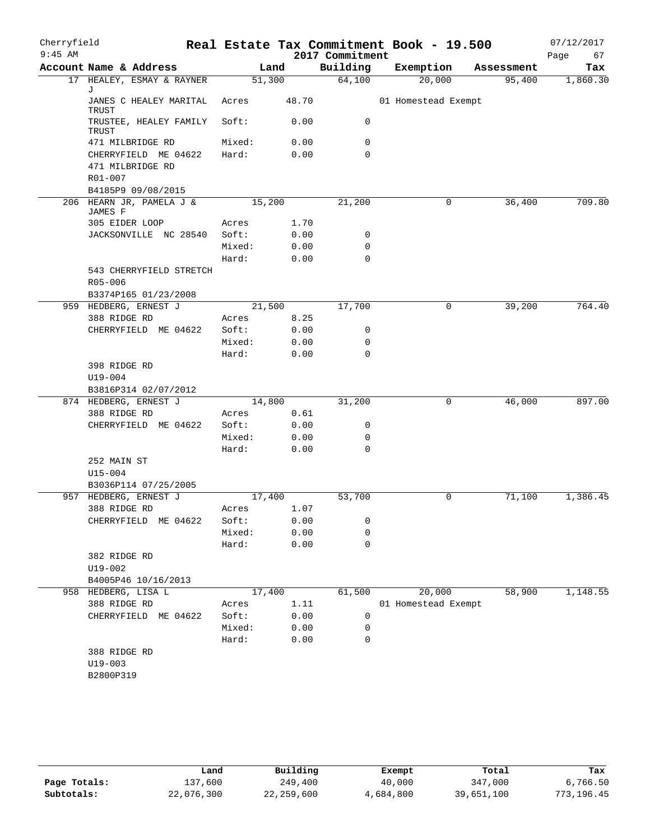| Cherryfield |                                                     |                 |              |                 | Real Estate Tax Commitment Book - 19.500 |            | 07/12/2017 |
|-------------|-----------------------------------------------------|-----------------|--------------|-----------------|------------------------------------------|------------|------------|
| $9:45$ AM   |                                                     |                 |              | 2017 Commitment |                                          |            | Page<br>67 |
|             | Account Name & Address                              |                 | Land         | Building        | Exemption                                | Assessment | Tax        |
|             | 17 HEALEY, ESMAY & RAYNER<br>J                      | 51,300          |              | 64,100          | 20,000                                   | 95,400     | 1,860.30   |
|             | JANES C HEALEY MARITAL<br>TRUST                     | Acres           | 48.70        |                 | 01 Homestead Exempt                      |            |            |
|             | TRUSTEE, HEALEY FAMILY<br>TRUST                     | Soft:           | 0.00         | 0               |                                          |            |            |
|             | 471 MILBRIDGE RD                                    | Mixed:          | 0.00         | 0               |                                          |            |            |
|             | CHERRYFIELD ME 04622<br>471 MILBRIDGE RD<br>R01-007 | Hard:           | 0.00         | $\mathbf 0$     |                                          |            |            |
|             | B4185P9 09/08/2015                                  |                 |              |                 |                                          |            |            |
|             | 206 HEARN JR, PAMELA J &<br>JAMES F                 | 15,200          |              | 21,200          | 0                                        | 36,400     | 709.80     |
|             | 305 EIDER LOOP                                      | Acres           | 1.70         |                 |                                          |            |            |
|             | JACKSONVILLE NC 28540                               | Soft:           | 0.00         | 0               |                                          |            |            |
|             |                                                     | Mixed:          | 0.00         | 0               |                                          |            |            |
|             |                                                     | Hard:           | 0.00         | 0               |                                          |            |            |
|             | 543 CHERRYFIELD STRETCH<br>R05-006                  |                 |              |                 |                                          |            |            |
|             | B3374P165 01/23/2008                                |                 |              |                 |                                          |            |            |
|             | 959 HEDBERG, ERNEST J                               | 21,500          |              | 17,700          | 0                                        | 39,200     | 764.40     |
|             | 388 RIDGE RD                                        | Acres           | 8.25         |                 |                                          |            |            |
|             | CHERRYFIELD ME 04622                                | Soft:<br>Mixed: | 0.00         | 0<br>0          |                                          |            |            |
|             |                                                     | Hard:           | 0.00<br>0.00 | 0               |                                          |            |            |
|             | 398 RIDGE RD                                        |                 |              |                 |                                          |            |            |
|             | U19-004                                             |                 |              |                 |                                          |            |            |
|             | B3816P314 02/07/2012                                |                 |              |                 |                                          |            |            |
|             | 874 HEDBERG, ERNEST J                               | 14,800          |              | 31,200          | 0                                        | 46,000     | 897.00     |
|             | 388 RIDGE RD                                        | Acres           | 0.61         |                 |                                          |            |            |
|             | CHERRYFIELD ME 04622                                | Soft:           | 0.00         | 0               |                                          |            |            |
|             |                                                     | Mixed:          | 0.00         | 0               |                                          |            |            |
|             |                                                     | Hard:           | 0.00         | 0               |                                          |            |            |
|             | 252 MAIN ST<br>$U15 - 004$                          |                 |              |                 |                                          |            |            |
|             | B3036P114 07/25/2005                                |                 |              |                 |                                          |            |            |
|             | 957 HEDBERG, ERNEST J                               | 17,400          |              | 53,700          | 0                                        | 71,100     | 1,386.45   |
|             | 388 RIDGE RD                                        | Acres           | 1.07         |                 |                                          |            |            |
|             | CHERRYFIELD ME 04622                                | Soft:           | 0.00         | 0               |                                          |            |            |
|             |                                                     | Mixed:          | 0.00         | 0               |                                          |            |            |
|             | 382 RIDGE RD                                        | Hard:           | 0.00         | 0               |                                          |            |            |
|             | $U19 - 002$                                         |                 |              |                 |                                          |            |            |
|             | B4005P46 10/16/2013<br>958 HEDBERG, LISA L          | 17,400          |              | 61,500          | 20,000                                   | 58,900     | 1,148.55   |
|             | 388 RIDGE RD                                        | Acres           | 1.11         |                 | 01 Homestead Exempt                      |            |            |
|             | CHERRYFIELD ME 04622                                | Soft:           | 0.00         | 0               |                                          |            |            |
|             |                                                     | Mixed:          | 0.00         | 0               |                                          |            |            |
|             |                                                     | Hard:           | 0.00         | 0               |                                          |            |            |
|             | 388 RIDGE RD                                        |                 |              |                 |                                          |            |            |
|             | $U19 - 003$                                         |                 |              |                 |                                          |            |            |
|             | B2800P319                                           |                 |              |                 |                                          |            |            |
|             |                                                     |                 |              |                 |                                          |            |            |

|              | Land       | Building   | Exempt    | Total      | Tax        |
|--------------|------------|------------|-----------|------------|------------|
| Page Totals: | 137,600    | 249,400    | 40,000    | 347,000    | 6,766.50   |
| Subtotals:   | 22,076,300 | 22,259,600 | 4,684,800 | 39,651,100 | 773,196.45 |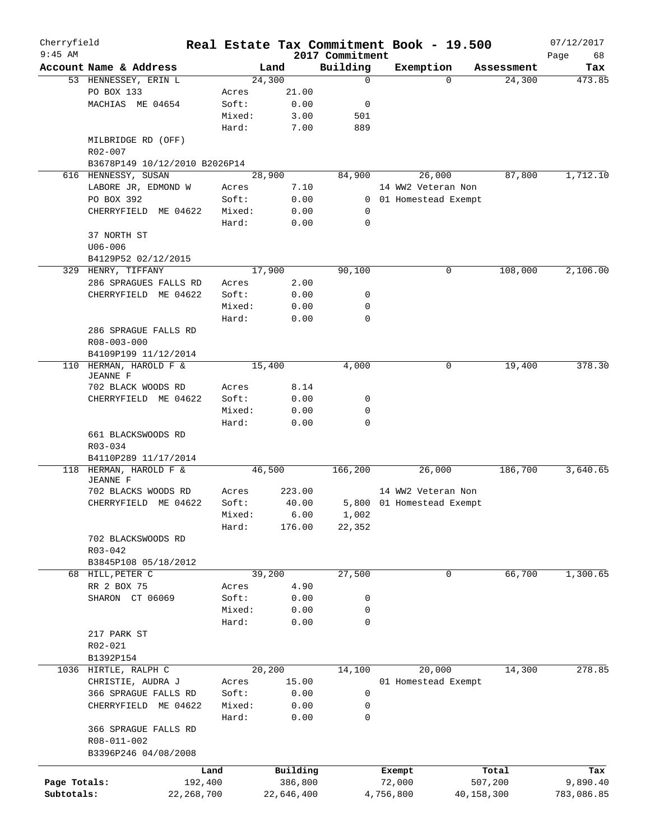| Cherryfield<br>$9:45$ AM |                                           |         |            | 2017 Commitment | Real Estate Tax Commitment Book - 19.500 |            | 07/12/2017<br>Page<br>68 |
|--------------------------|-------------------------------------------|---------|------------|-----------------|------------------------------------------|------------|--------------------------|
|                          | Account Name & Address                    |         | Land       | Building        | Exemption                                | Assessment | Tax                      |
|                          | 53 HENNESSEY, ERIN L                      |         | 24,300     | 0               | $\Omega$                                 | 24,300     | 473.85                   |
|                          | PO BOX 133                                | Acres   | 21.00      |                 |                                          |            |                          |
|                          | MACHIAS ME 04654                          | Soft:   | 0.00       | 0               |                                          |            |                          |
|                          |                                           | Mixed:  | 3.00       | 501             |                                          |            |                          |
|                          |                                           |         |            |                 |                                          |            |                          |
|                          | MILBRIDGE RD (OFF)                        | Hard:   | 7.00       | 889             |                                          |            |                          |
|                          | R02-007                                   |         |            |                 |                                          |            |                          |
|                          | B3678P149 10/12/2010 B2026P14             |         |            |                 |                                          |            |                          |
|                          | 616 HENNESSY, SUSAN                       |         | 28,900     | 84,900          | 26,000                                   | 87,800     | 1,712.10                 |
|                          | LABORE JR, EDMOND W                       | Acres   | 7.10       |                 | 14 WW2 Veteran Non                       |            |                          |
|                          | PO BOX 392                                | Soft:   | 0.00       | $\mathbf{0}$    | 01 Homestead Exempt                      |            |                          |
|                          | CHERRYFIELD ME 04622                      | Mixed:  | 0.00       | 0               |                                          |            |                          |
|                          |                                           | Hard:   | 0.00       | $\mathbf 0$     |                                          |            |                          |
|                          |                                           |         |            |                 |                                          |            |                          |
|                          | 37 NORTH ST                               |         |            |                 |                                          |            |                          |
|                          | $U06 - 006$                               |         |            |                 |                                          |            |                          |
|                          | B4129P52 02/12/2015                       |         |            |                 |                                          |            |                          |
|                          | 329 HENRY, TIFFANY                        |         | 17,900     | 90,100          | 0                                        | 108,000    | 2,106.00                 |
|                          | 286 SPRAGUES FALLS RD                     | Acres   | 2.00       |                 |                                          |            |                          |
|                          | CHERRYFIELD ME 04622                      | Soft:   | 0.00       | 0               |                                          |            |                          |
|                          |                                           | Mixed:  | 0.00       | 0               |                                          |            |                          |
|                          |                                           | Hard:   | 0.00       | 0               |                                          |            |                          |
|                          | 286 SPRAGUE FALLS RD                      |         |            |                 |                                          |            |                          |
|                          | R08-003-000                               |         |            |                 |                                          |            |                          |
|                          |                                           |         |            |                 |                                          |            |                          |
|                          | B4109P199 11/12/2014                      |         |            |                 |                                          |            |                          |
|                          | 110 HERMAN, HAROLD F &<br><b>JEANNE F</b> |         | 15,400     | 4,000           | 0                                        | 19,400     | 378.30                   |
|                          |                                           |         |            |                 |                                          |            |                          |
|                          | 702 BLACK WOODS RD                        | Acres   | 8.14       |                 |                                          |            |                          |
|                          | CHERRYFIELD ME 04622                      | Soft:   | 0.00       | 0               |                                          |            |                          |
|                          |                                           | Mixed:  | 0.00       | 0               |                                          |            |                          |
|                          |                                           | Hard:   | 0.00       | 0               |                                          |            |                          |
|                          | 661 BLACKSWOODS RD                        |         |            |                 |                                          |            |                          |
|                          | R03-034                                   |         |            |                 |                                          |            |                          |
|                          | B4110P289 11/17/2014                      |         |            |                 |                                          |            |                          |
| 118                      | HERMAN, HAROLD F &                        |         | 46,500     | 166,200         | 26,000                                   | 186,700    | 3,640.65                 |
|                          | <b>JEANNE F</b>                           |         |            |                 |                                          |            |                          |
|                          | 702 BLACKS WOODS RD                       | Acres   | 223.00     |                 | 14 WW2 Veteran Non                       |            |                          |
|                          | CHERRYFIELD ME 04622                      | Soft:   | 40.00      |                 | 5,800 01 Homestead Exempt                |            |                          |
|                          |                                           | Mixed:  | 6.00       | 1,002           |                                          |            |                          |
|                          |                                           | Hard:   | 176.00     | 22,352          |                                          |            |                          |
|                          | 702 BLACKSWOODS RD                        |         |            |                 |                                          |            |                          |
|                          | $R03 - 042$                               |         |            |                 |                                          |            |                          |
|                          |                                           |         |            |                 |                                          |            |                          |
|                          | B3845P108 05/18/2012                      |         |            |                 |                                          |            |                          |
|                          | 68 HILL, PETER C                          |         | 39,200     | 27,500          | 0                                        | 66,700     | 1,300.65                 |
|                          | RR 2 BOX 75                               | Acres   | 4.90       |                 |                                          |            |                          |
|                          | SHARON CT 06069                           | Soft:   | 0.00       | 0               |                                          |            |                          |
|                          |                                           | Mixed:  | 0.00       | 0               |                                          |            |                          |
|                          |                                           | Hard:   | 0.00       | 0               |                                          |            |                          |
|                          | 217 PARK ST                               |         |            |                 |                                          |            |                          |
|                          | R02-021                                   |         |            |                 |                                          |            |                          |
|                          | B1392P154                                 |         |            |                 |                                          |            |                          |
|                          |                                           |         |            |                 |                                          |            | 278.85                   |
|                          | 1036 HIRTLE, RALPH C                      |         | 20,200     | 14,100          | 20,000                                   | 14,300     |                          |
|                          | CHRISTIE, AUDRA J                         | Acres   | 15.00      |                 | 01 Homestead Exempt                      |            |                          |
|                          | 366 SPRAGUE FALLS RD                      | Soft:   | 0.00       | 0               |                                          |            |                          |
|                          | CHERRYFIELD ME 04622                      | Mixed:  | 0.00       | 0               |                                          |            |                          |
|                          |                                           | Hard:   | 0.00       | 0               |                                          |            |                          |
|                          | 366 SPRAGUE FALLS RD                      |         |            |                 |                                          |            |                          |
|                          | R08-011-002                               |         |            |                 |                                          |            |                          |
|                          | B3396P246 04/08/2008                      |         |            |                 |                                          |            |                          |
|                          |                                           |         |            |                 |                                          |            |                          |
|                          |                                           | Land    | Building   |                 | Exempt                                   | Total      | Tax                      |
| Page Totals:             |                                           | 192,400 | 386,800    |                 | 72,000                                   | 507,200    | 9,890.40                 |
| Subtotals:               | 22, 268, 700                              |         | 22,646,400 |                 | 4,756,800                                | 40,158,300 | 783,086.85               |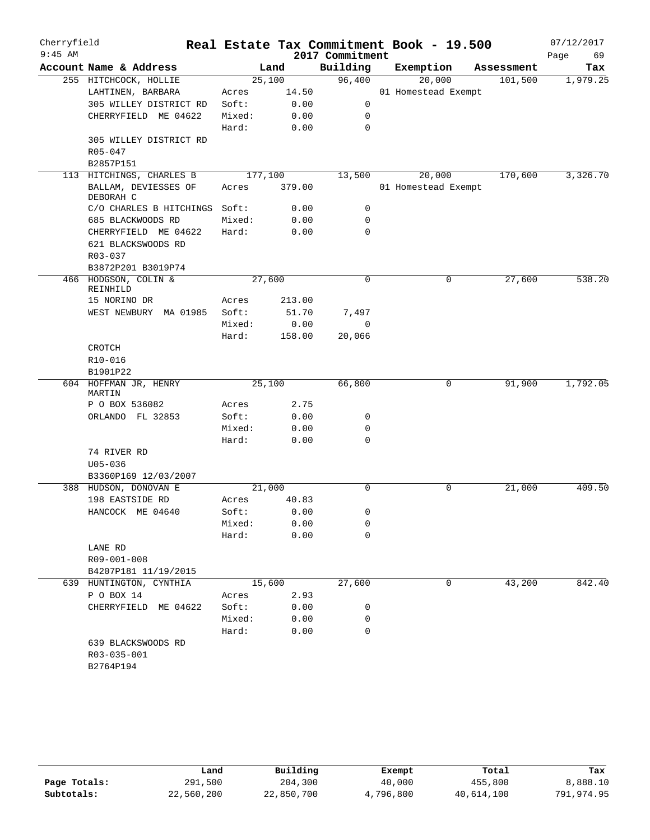| Cherryfield<br>$9:45$ AM |                                   |                 |              | 2017 Commitment | Real Estate Tax Commitment Book - 19.500 |            | 07/12/2017<br>Page<br>69 |
|--------------------------|-----------------------------------|-----------------|--------------|-----------------|------------------------------------------|------------|--------------------------|
|                          | Account Name & Address            |                 | Land         | Building        | Exemption                                | Assessment | Tax                      |
|                          | 255 HITCHCOCK, HOLLIE             | 25,100          |              | 96,400          | 20,000                                   | 101,500    | 1,979.25                 |
|                          | LAHTINEN, BARBARA                 | Acres           | 14.50        |                 | 01 Homestead Exempt                      |            |                          |
|                          | 305 WILLEY DISTRICT RD            | Soft:           | 0.00         | 0               |                                          |            |                          |
|                          | CHERRYFIELD ME 04622              | Mixed:          | 0.00         | 0               |                                          |            |                          |
|                          |                                   | Hard:           | 0.00         | $\mathbf 0$     |                                          |            |                          |
|                          | 305 WILLEY DISTRICT RD            |                 |              |                 |                                          |            |                          |
|                          | $R05 - 047$                       |                 |              |                 |                                          |            |                          |
|                          | B2857P151                         |                 |              |                 |                                          |            |                          |
|                          | 113 HITCHINGS, CHARLES B          | 177,100         |              | 13,500          | 20,000                                   | 170,600    | 3,326.70                 |
|                          | BALLAM, DEVIESSES OF<br>DEBORAH C | Acres           | 379.00       |                 | 01 Homestead Exempt                      |            |                          |
|                          | C/O CHARLES B HITCHINGS           | Soft:           | 0.00         | 0               |                                          |            |                          |
|                          | 685 BLACKWOODS RD                 | Mixed:          | 0.00         | 0               |                                          |            |                          |
|                          | CHERRYFIELD ME 04622              | Hard:           | 0.00         | 0               |                                          |            |                          |
|                          | 621 BLACKSWOODS RD                |                 |              |                 |                                          |            |                          |
|                          | R03-037                           |                 |              |                 |                                          |            |                          |
|                          | B3872P201 B3019P74                |                 |              |                 |                                          |            |                          |
|                          | 466 HODGSON, COLIN &<br>REINHILD  | 27,600          |              | 0               | 0                                        | 27,600     | 538.20                   |
|                          | 15 NORINO DR                      | Acres           | 213.00       |                 |                                          |            |                          |
|                          | WEST NEWBURY MA 01985             | Soft:           | 51.70        | 7,497           |                                          |            |                          |
|                          |                                   | Mixed:          | 0.00         | $\mathbf 0$     |                                          |            |                          |
|                          |                                   | Hard:           | 158.00       | 20,066          |                                          |            |                          |
|                          | CROTCH                            |                 |              |                 |                                          |            |                          |
|                          | R10-016                           |                 |              |                 |                                          |            |                          |
|                          | B1901P22                          |                 |              |                 |                                          |            |                          |
|                          | 604 HOFFMAN JR, HENRY<br>MARTIN   | 25,100          |              | 66,800          | $\mathbf 0$                              | 91,900     | 1,792.05                 |
|                          | P O BOX 536082                    | Acres           | 2.75         |                 |                                          |            |                          |
|                          | ORLANDO FL 32853                  | Soft:           | 0.00         | 0               |                                          |            |                          |
|                          |                                   | Mixed:          | 0.00         | 0               |                                          |            |                          |
|                          |                                   | Hard:           | 0.00         | $\mathbf 0$     |                                          |            |                          |
|                          | 74 RIVER RD                       |                 |              |                 |                                          |            |                          |
|                          | $U05 - 036$                       |                 |              |                 |                                          |            |                          |
|                          | B3360P169 12/03/2007              |                 |              |                 |                                          |            |                          |
| 388                      | HUDSON, DONOVAN E                 | 21,000          |              | 0               | 0                                        | 21,000     | 409.50                   |
|                          | 198 EASTSIDE RD                   | Acres           | 40.83        |                 |                                          |            |                          |
|                          | HANCOCK ME 04640                  | Soft:           | 0.00         | 0               |                                          |            |                          |
|                          |                                   | Mixed:          | 0.00         | 0               |                                          |            |                          |
|                          |                                   | Hard:           | 0.00         | 0               |                                          |            |                          |
|                          | LANE RD                           |                 |              |                 |                                          |            |                          |
|                          | R09-001-008                       |                 |              |                 |                                          |            |                          |
|                          | B4207P181 11/19/2015              |                 |              |                 |                                          |            | 842.40                   |
|                          | 639 HUNTINGTON, CYNTHIA           | 15,600          |              | 27,600          | 0                                        | 43,200     |                          |
|                          | P O BOX 14                        | Acres           | 2.93         |                 |                                          |            |                          |
|                          | CHERRYFIELD ME 04622              | Soft:<br>Mixed: | 0.00<br>0.00 | 0<br>0          |                                          |            |                          |
|                          |                                   | Hard:           | 0.00         | $\mathbf 0$     |                                          |            |                          |
|                          |                                   |                 |              |                 |                                          |            |                          |
|                          | 639 BLACKSWOODS RD<br>R03-035-001 |                 |              |                 |                                          |            |                          |
|                          | B2764P194                         |                 |              |                 |                                          |            |                          |
|                          |                                   |                 |              |                 |                                          |            |                          |

|              | Land       | Building   | Exempt    | Total      | Tax        |
|--------------|------------|------------|-----------|------------|------------|
| Page Totals: | 291,500    | 204,300    | 40,000    | 455,800    | 8,888.10   |
| Subtotals:   | 22,560,200 | 22,850,700 | 4,796,800 | 40,614,100 | 791,974.95 |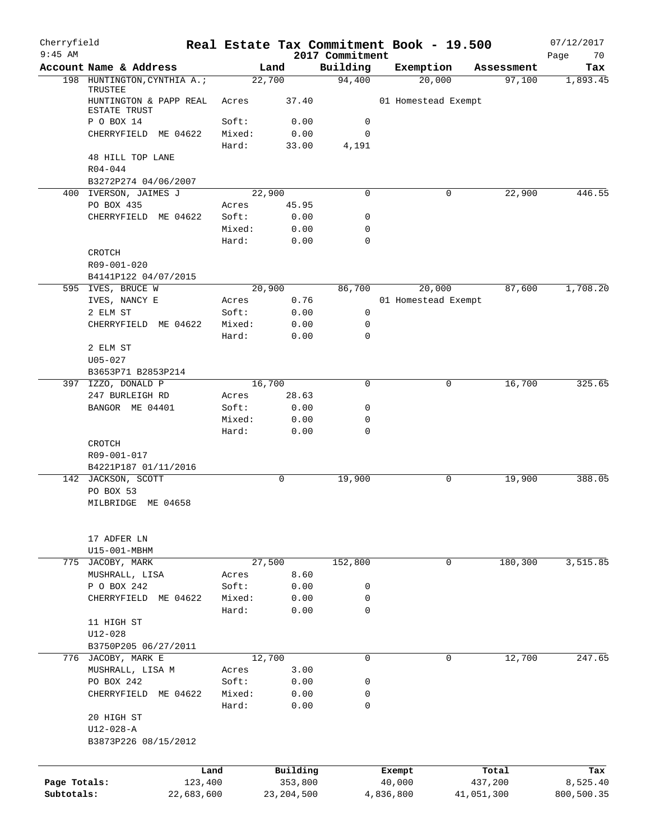| Cherryfield<br>$9:45$ AM   |                                                   |                 |                         | 2017 Commitment | Real Estate Tax Commitment Book - 19.500 |   |                       | 07/12/2017             |
|----------------------------|---------------------------------------------------|-----------------|-------------------------|-----------------|------------------------------------------|---|-----------------------|------------------------|
|                            | Account Name & Address                            |                 | Land                    | Building        | Exemption                                |   | Assessment            | Page<br>70<br>Tax      |
|                            | 198 HUNTINGTON, CYNTHIA A.;                       |                 | 22,700                  | 94,400          | 20,000                                   |   | 97,100                | 1,893.45               |
|                            | TRUSTEE<br>HUNTINGTON & PAPP REAL<br>ESTATE TRUST | Acres           | 37.40                   |                 | 01 Homestead Exempt                      |   |                       |                        |
|                            | P O BOX 14                                        | Soft:           | 0.00                    | 0               |                                          |   |                       |                        |
|                            | CHERRYFIELD ME 04622                              | Mixed:          | 0.00                    | $\mathbf 0$     |                                          |   |                       |                        |
|                            |                                                   | Hard:           | 33.00                   | 4,191           |                                          |   |                       |                        |
|                            | 48 HILL TOP LANE                                  |                 |                         |                 |                                          |   |                       |                        |
|                            | $R04 - 044$                                       |                 |                         |                 |                                          |   |                       |                        |
|                            | B3272P274 04/06/2007<br>400 IVERSON, JAIMES J     |                 | 22,900                  | 0               |                                          | 0 | 22,900                | 446.55                 |
|                            | PO BOX 435                                        | Acres           | 45.95                   |                 |                                          |   |                       |                        |
|                            | CHERRYFIELD ME 04622                              | Soft:           | 0.00                    | 0               |                                          |   |                       |                        |
|                            |                                                   | Mixed:          | 0.00                    | 0               |                                          |   |                       |                        |
|                            |                                                   | Hard:           | 0.00                    | 0               |                                          |   |                       |                        |
|                            | <b>CROTCH</b>                                     |                 |                         |                 |                                          |   |                       |                        |
|                            | R09-001-020                                       |                 |                         |                 |                                          |   |                       |                        |
|                            | B4141P122 04/07/2015                              |                 | 20,900                  | 86,700          | 20,000                                   |   | 87,600                | 1,708.20               |
|                            | 595 IVES, BRUCE W<br>IVES, NANCY E                | Acres           | 0.76                    |                 | 01 Homestead Exempt                      |   |                       |                        |
|                            | 2 ELM ST                                          | Soft:           | 0.00                    | 0               |                                          |   |                       |                        |
|                            | CHERRYFIELD ME 04622                              | Mixed:          | 0.00                    | $\mathsf{O}$    |                                          |   |                       |                        |
|                            |                                                   | Hard:           | 0.00                    | $\Omega$        |                                          |   |                       |                        |
|                            | 2 ELM ST                                          |                 |                         |                 |                                          |   |                       |                        |
|                            | $U05 - 027$                                       |                 |                         |                 |                                          |   |                       |                        |
|                            | B3653P71 B2853P214                                |                 |                         |                 |                                          |   |                       |                        |
|                            | 397 IZZO, DONALD P<br>247 BURLEIGH RD             | Acres           | 16,700<br>28.63         | 0               |                                          | 0 | 16,700                | 325.65                 |
|                            | BANGOR ME 04401                                   | Soft:           | 0.00                    | 0               |                                          |   |                       |                        |
|                            |                                                   | Mixed:          | 0.00                    | 0               |                                          |   |                       |                        |
|                            |                                                   | Hard:           | 0.00                    | 0               |                                          |   |                       |                        |
|                            | CROTCH                                            |                 |                         |                 |                                          |   |                       |                        |
|                            | R09-001-017                                       |                 |                         |                 |                                          |   |                       |                        |
|                            | B4221P187 01/11/2016                              |                 |                         |                 |                                          |   |                       |                        |
|                            | 142 JACKSON, SCOTT<br>PO BOX 53                   |                 | 0                       | 19,900          |                                          | 0 | 19,900                | 388.05                 |
|                            | MILBRIDGE ME 04658                                |                 |                         |                 |                                          |   |                       |                        |
|                            |                                                   |                 |                         |                 |                                          |   |                       |                        |
|                            | 17 ADFER LN                                       |                 |                         |                 |                                          |   |                       |                        |
|                            | U15-001-MBHM                                      |                 |                         |                 |                                          |   |                       |                        |
|                            | 775 JACOBY, MARK                                  |                 | 27,500                  | 152,800         |                                          | 0 | 180,300               | 3,515.85               |
|                            | MUSHRALL, LISA<br>P O BOX 242                     | Acres<br>Soft:  | 8.60<br>0.00            | 0               |                                          |   |                       |                        |
|                            | CHERRYFIELD ME 04622                              | Mixed:          | 0.00                    | 0               |                                          |   |                       |                        |
|                            |                                                   | Hard:           | 0.00                    | 0               |                                          |   |                       |                        |
|                            | 11 HIGH ST                                        |                 |                         |                 |                                          |   |                       |                        |
|                            | $U12 - 028$                                       |                 |                         |                 |                                          |   |                       |                        |
|                            | B3750P205 06/27/2011                              |                 |                         |                 |                                          |   |                       |                        |
|                            | 776 JACOBY, MARK E                                |                 | 12,700                  | 0               |                                          | 0 | 12,700                | 247.65                 |
|                            | MUSHRALL, LISA M                                  | Acres           | 3.00                    |                 |                                          |   |                       |                        |
|                            | PO BOX 242<br>CHERRYFIELD<br>ME 04622             | Soft:<br>Mixed: | 0.00<br>0.00            | 0<br>0          |                                          |   |                       |                        |
|                            |                                                   | Hard:           | 0.00                    | 0               |                                          |   |                       |                        |
|                            | 20 HIGH ST                                        |                 |                         |                 |                                          |   |                       |                        |
|                            | $U12 - 028 - A$                                   |                 |                         |                 |                                          |   |                       |                        |
|                            | B3873P226 08/15/2012                              |                 |                         |                 |                                          |   |                       |                        |
|                            |                                                   |                 |                         |                 |                                          |   |                       |                        |
|                            | Land                                              |                 | Building                |                 | Exempt                                   |   | Total                 | Tax                    |
| Page Totals:<br>Subtotals: | 123,400<br>22,683,600                             |                 | 353,800<br>23, 204, 500 |                 | 40,000<br>4,836,800                      |   | 437,200<br>41,051,300 | 8,525.40<br>800,500.35 |
|                            |                                                   |                 |                         |                 |                                          |   |                       |                        |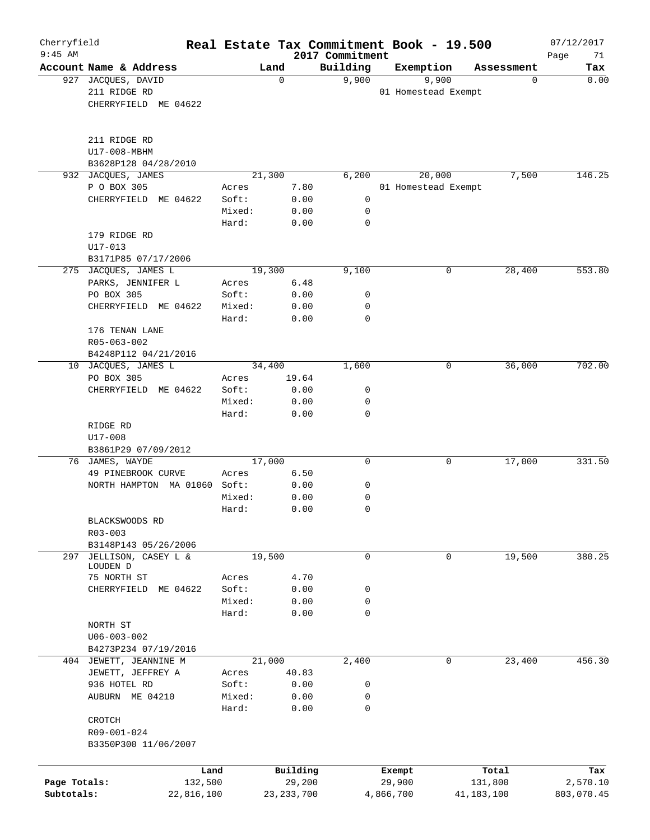| Cherryfield<br>$9:45$ AM |                                        |        |              |          | 2017 Commitment |           | Real Estate Tax Commitment Book - 19.500 |            | 07/12/2017        |
|--------------------------|----------------------------------------|--------|--------------|----------|-----------------|-----------|------------------------------------------|------------|-------------------|
|                          | Account Name & Address                 |        | Land         |          | Building        | Exemption |                                          | Assessment | Page<br>71<br>Tax |
|                          | 927 JACQUES, DAVID                     |        | $\mathbf 0$  |          | 9,900           |           | 9,900                                    | 0          | 0.00              |
|                          | 211 RIDGE RD                           |        |              |          |                 |           | 01 Homestead Exempt                      |            |                   |
|                          | CHERRYFIELD ME 04622                   |        |              |          |                 |           |                                          |            |                   |
|                          |                                        |        |              |          |                 |           |                                          |            |                   |
|                          | 211 RIDGE RD                           |        |              |          |                 |           |                                          |            |                   |
|                          | U17-008-MBHM                           |        |              |          |                 |           |                                          |            |                   |
|                          | B3628P128 04/28/2010                   |        |              |          |                 |           |                                          |            |                   |
| 932                      | JACQUES, JAMES                         |        | 21,300       |          | 6,200           |           | 20,000                                   | 7,500      | 146.25            |
|                          | P O BOX 305                            | Acres  |              | 7.80     |                 |           | 01 Homestead Exempt                      |            |                   |
|                          | CHERRYFIELD ME 04622                   | Soft:  |              | 0.00     | 0               |           |                                          |            |                   |
|                          |                                        | Mixed: |              | 0.00     | 0               |           |                                          |            |                   |
|                          |                                        | Hard:  |              | 0.00     | $\mathbf 0$     |           |                                          |            |                   |
|                          | 179 RIDGE RD                           |        |              |          |                 |           |                                          |            |                   |
|                          | $U17 - 013$                            |        |              |          |                 |           |                                          |            |                   |
|                          | B3171P85 07/17/2006                    |        |              |          |                 |           |                                          |            |                   |
|                          | 275 JACQUES, JAMES L                   |        | 19,300       |          | 9,100           |           | 0                                        | 28,400     | 553.80            |
|                          | PARKS, JENNIFER L                      | Acres  |              | 6.48     |                 |           |                                          |            |                   |
|                          | PO BOX 305                             | Soft:  |              | 0.00     | 0               |           |                                          |            |                   |
|                          | CHERRYFIELD ME 04622                   | Mixed: |              | 0.00     | 0               |           |                                          |            |                   |
|                          |                                        | Hard:  |              | 0.00     | $\mathbf 0$     |           |                                          |            |                   |
|                          | 176 TENAN LANE                         |        |              |          |                 |           |                                          |            |                   |
|                          | R05-063-002                            |        |              |          |                 |           |                                          |            |                   |
|                          | B4248P112 04/21/2016                   |        |              |          |                 |           |                                          |            |                   |
| 10                       | JACQUES, JAMES L                       |        | 34,400       |          | 1,600           |           | 0                                        | 36,000     | 702.00            |
|                          | PO BOX 305                             | Acres  |              | 19.64    |                 |           |                                          |            |                   |
|                          | CHERRYFIELD ME 04622                   | Soft:  |              | 0.00     | 0               |           |                                          |            |                   |
|                          |                                        | Mixed: |              |          | 0               |           |                                          |            |                   |
|                          |                                        | Hard:  |              | 0.00     | $\mathbf 0$     |           |                                          |            |                   |
|                          |                                        |        |              | 0.00     |                 |           |                                          |            |                   |
|                          | RIDGE RD                               |        |              |          |                 |           |                                          |            |                   |
|                          | U17-008                                |        |              |          |                 |           |                                          |            |                   |
|                          | B3861P29 07/09/2012<br>76 JAMES, WAYDE |        | 17,000       |          | $\mathbf 0$     |           | 0                                        | 17,000     | 331.50            |
|                          | 49 PINEBROOK CURVE                     | Acres  |              | 6.50     |                 |           |                                          |            |                   |
|                          | NORTH HAMPTON MA 01060                 | Soft:  |              | 0.00     | 0               |           |                                          |            |                   |
|                          |                                        | Mixed: |              | 0.00     | 0               |           |                                          |            |                   |
|                          |                                        | Hard:  |              | 0.00     | $\mathbf 0$     |           |                                          |            |                   |
|                          |                                        |        |              |          |                 |           |                                          |            |                   |
|                          | BLACKSWOODS RD                         |        |              |          |                 |           |                                          |            |                   |
|                          | $R03 - 003$                            |        |              |          |                 |           |                                          |            |                   |
|                          | B3148P143 05/26/2006                   |        |              |          |                 |           |                                          |            | 380.25            |
| 297                      | JELLISON, CASEY L &<br>LOUDEN D        |        | 19,500       |          | 0               |           | 0                                        | 19,500     |                   |
|                          | 75 NORTH ST                            | Acres  |              | 4.70     |                 |           |                                          |            |                   |
|                          | CHERRYFIELD<br>ME 04622                | Soft:  |              | 0.00     | 0               |           |                                          |            |                   |
|                          |                                        | Mixed: |              | 0.00     | 0               |           |                                          |            |                   |
|                          |                                        | Hard:  |              | 0.00     | $\mathbf 0$     |           |                                          |            |                   |
|                          | NORTH ST                               |        |              |          |                 |           |                                          |            |                   |
|                          | $U06 - 003 - 002$                      |        |              |          |                 |           |                                          |            |                   |
|                          | B4273P234 07/19/2016                   |        |              |          |                 |           |                                          |            |                   |
|                          | 404 JEWETT, JEANNINE M                 |        | 21,000       |          | 2,400           |           | 0                                        | 23,400     | 456.30            |
|                          | JEWETT, JEFFREY A                      | Acres  |              | 40.83    |                 |           |                                          |            |                   |
|                          | 936 HOTEL RD                           | Soft:  |              | 0.00     | 0               |           |                                          |            |                   |
|                          | AUBURN ME 04210                        | Mixed: |              | 0.00     | 0               |           |                                          |            |                   |
|                          |                                        | Hard:  |              | 0.00     | 0               |           |                                          |            |                   |
|                          | CROTCH                                 |        |              |          |                 |           |                                          |            |                   |
|                          | R09-001-024                            |        |              |          |                 |           |                                          |            |                   |
|                          | B3350P300 11/06/2007                   |        |              |          |                 |           |                                          |            |                   |
|                          |                                        |        |              |          |                 |           |                                          |            |                   |
|                          | Land                                   |        |              | Building |                 | Exempt    |                                          | Total      | Tax               |
| Page Totals:             | 132,500                                |        |              | 29,200   |                 | 29,900    |                                          | 131,800    | 2,570.10          |
| Subtotals:               | 22,816,100                             |        | 23, 233, 700 |          |                 | 4,866,700 |                                          | 41,183,100 | 803,070.45        |
|                          |                                        |        |              |          |                 |           |                                          |            |                   |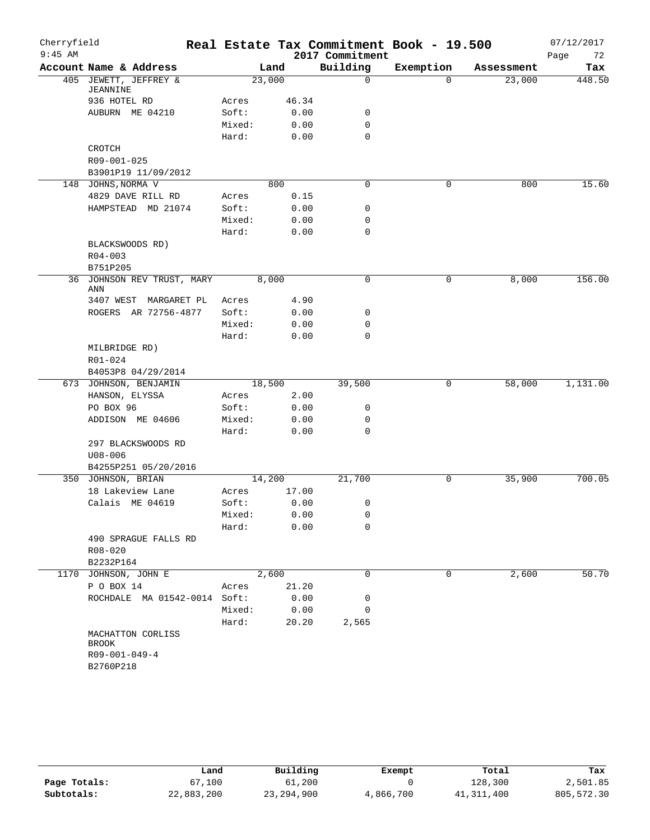| Cherryfield<br>$9:45$ AM |                                   |        |       | 2017 Commitment | Real Estate Tax Commitment Book - 19.500 |            | 07/12/2017<br>Page<br>72 |
|--------------------------|-----------------------------------|--------|-------|-----------------|------------------------------------------|------------|--------------------------|
|                          | Account Name & Address            |        | Land  | Building        | Exemption                                | Assessment | Tax                      |
|                          | 405 JEWETT, JEFFREY &<br>JEANNINE | 23,000 |       | $\mathbf 0$     | $\Omega$                                 | 23,000     | 448.50                   |
|                          | 936 HOTEL RD                      | Acres  | 46.34 |                 |                                          |            |                          |
|                          | AUBURN ME 04210                   | Soft:  | 0.00  | 0               |                                          |            |                          |
|                          |                                   | Mixed: | 0.00  | 0               |                                          |            |                          |
|                          |                                   | Hard:  | 0.00  | $\mathbf 0$     |                                          |            |                          |
|                          | CROTCH                            |        |       |                 |                                          |            |                          |
|                          | R09-001-025                       |        |       |                 |                                          |            |                          |
|                          | B3901P19 11/09/2012               |        |       |                 |                                          |            |                          |
|                          | 148 JOHNS, NORMA V                |        | 800   | 0               | 0                                        | 800        | 15.60                    |
|                          | 4829 DAVE RILL RD                 | Acres  | 0.15  |                 |                                          |            |                          |
|                          | HAMPSTEAD MD 21074                | Soft:  | 0.00  | $\mathbf 0$     |                                          |            |                          |
|                          |                                   | Mixed: | 0.00  | 0               |                                          |            |                          |
|                          |                                   | Hard:  | 0.00  | $\mathbf 0$     |                                          |            |                          |
|                          | BLACKSWOODS RD)                   |        |       |                 |                                          |            |                          |
|                          | $R04 - 003$                       |        |       |                 |                                          |            |                          |
|                          | B751P205                          |        |       |                 |                                          |            |                          |
|                          | 36 JOHNSON REV TRUST, MARY<br>ANN |        | 8,000 | $\mathbf 0$     | 0                                        | 8,000      | 156.00                   |
|                          | 3407 WEST MARGARET PL             | Acres  | 4.90  |                 |                                          |            |                          |
|                          | ROGERS AR 72756-4877              | Soft:  | 0.00  | 0               |                                          |            |                          |
|                          |                                   | Mixed: | 0.00  | 0               |                                          |            |                          |
|                          |                                   | Hard:  | 0.00  | $\mathbf 0$     |                                          |            |                          |
|                          | MILBRIDGE RD)                     |        |       |                 |                                          |            |                          |
|                          | R01-024                           |        |       |                 |                                          |            |                          |
|                          | B4053P8 04/29/2014                |        |       |                 |                                          |            |                          |
|                          | 673 JOHNSON, BENJAMIN             | 18,500 |       | 39,500          | 0                                        | 58,000     | 1,131.00                 |
|                          | HANSON, ELYSSA                    | Acres  | 2.00  |                 |                                          |            |                          |
|                          | PO BOX 96                         | Soft:  | 0.00  | 0               |                                          |            |                          |
|                          | ADDISON ME 04606                  | Mixed: | 0.00  | 0               |                                          |            |                          |
|                          |                                   | Hard:  | 0.00  | $\mathbf 0$     |                                          |            |                          |
|                          | 297 BLACKSWOODS RD                |        |       |                 |                                          |            |                          |
|                          | $U08 - 006$                       |        |       |                 |                                          |            |                          |
|                          | B4255P251 05/20/2016              |        |       |                 |                                          |            |                          |
|                          | 350 JOHNSON, BRIAN                | 14,200 |       | 21,700          | 0                                        | 35,900     | 700.05                   |
|                          | 18 Lakeview Lane                  | Acres  | 17.00 |                 |                                          |            |                          |
|                          | Calais ME 04619                   | Soft:  | 0.00  | 0               |                                          |            |                          |
|                          |                                   | Mixed: | 0.00  | 0               |                                          |            |                          |
|                          |                                   | Hard:  | 0.00  | 0               |                                          |            |                          |
|                          | 490 SPRAGUE FALLS RD              |        |       |                 |                                          |            |                          |
|                          | R08-020                           |        |       |                 |                                          |            |                          |
|                          | B2232P164                         |        |       |                 |                                          |            |                          |
|                          | 1170 JOHNSON, JOHN E              |        | 2,600 | 0               | 0                                        | 2,600      | 50.70                    |
|                          | P O BOX 14                        | Acres  | 21.20 |                 |                                          |            |                          |
|                          | ROCHDALE MA 01542-0014 Soft:      |        | 0.00  | 0               |                                          |            |                          |
|                          |                                   | Mixed: | 0.00  | 0               |                                          |            |                          |
|                          |                                   | Hard:  | 20.20 | 2,565           |                                          |            |                          |
|                          | MACHATTON CORLISS                 |        |       |                 |                                          |            |                          |
|                          | BROOK                             |        |       |                 |                                          |            |                          |
|                          | R09-001-049-4                     |        |       |                 |                                          |            |                          |
|                          | B2760P218                         |        |       |                 |                                          |            |                          |
|                          |                                   |        |       |                 |                                          |            |                          |

|              | Land       | Building     | Exempt    | Total        | Tax        |
|--------------|------------|--------------|-----------|--------------|------------|
| Page Totals: | 67,100     | 61,200       |           | 128,300      | 2,501.85   |
| Subtotals:   | 22,883,200 | 23, 294, 900 | 4,866,700 | 41, 311, 400 | 805,572.30 |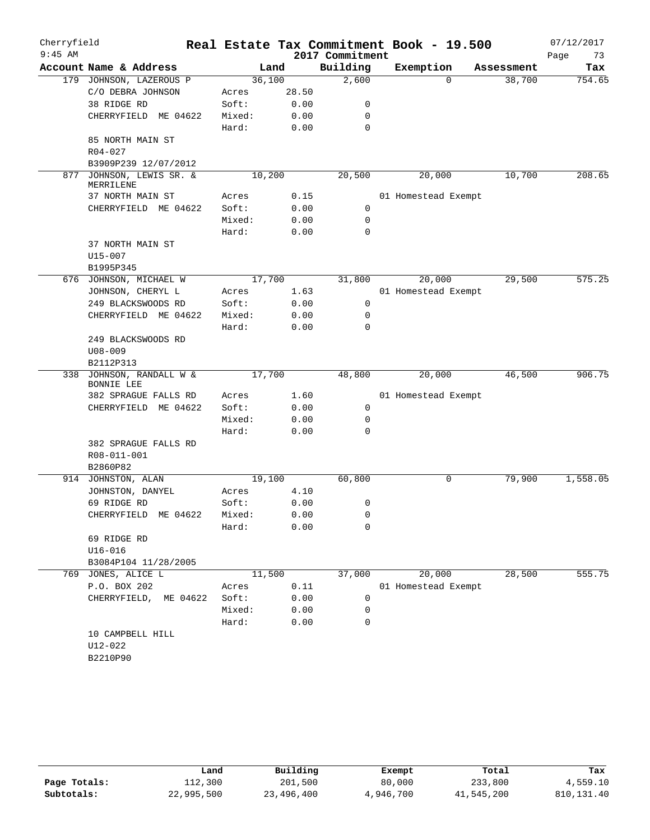| Cherryfield<br>$9:45$ AM |                                           |        |        | 2017 Commitment | Real Estate Tax Commitment Book - 19.500 |            | 07/12/2017<br>Page<br>73 |
|--------------------------|-------------------------------------------|--------|--------|-----------------|------------------------------------------|------------|--------------------------|
|                          | Account Name & Address                    |        | Land   | Building        | Exemption                                | Assessment | Tax                      |
|                          | 179 JOHNSON, LAZEROUS P                   |        | 36,100 | 2,600           | $\Omega$                                 | 38,700     | 754.65                   |
|                          | C/O DEBRA JOHNSON                         | Acres  | 28.50  |                 |                                          |            |                          |
|                          | 38 RIDGE RD                               | Soft:  | 0.00   | 0               |                                          |            |                          |
|                          | CHERRYFIELD ME 04622                      | Mixed: | 0.00   | 0               |                                          |            |                          |
|                          |                                           | Hard:  | 0.00   | 0               |                                          |            |                          |
|                          | 85 NORTH MAIN ST                          |        |        |                 |                                          |            |                          |
|                          | $R04 - 027$                               |        |        |                 |                                          |            |                          |
|                          | B3909P239 12/07/2012                      |        |        |                 |                                          |            |                          |
| 877                      | JOHNSON, LEWIS SR. &<br>MERRILENE         |        | 10,200 | 20,500          | 20,000                                   | 10,700     | 208.65                   |
|                          | 37 NORTH MAIN ST                          | Acres  | 0.15   |                 | 01 Homestead Exempt                      |            |                          |
|                          | CHERRYFIELD ME 04622                      | Soft:  | 0.00   | $\mathbf 0$     |                                          |            |                          |
|                          |                                           | Mixed: | 0.00   | 0               |                                          |            |                          |
|                          |                                           | Hard:  | 0.00   | 0               |                                          |            |                          |
|                          | 37 NORTH MAIN ST                          |        |        |                 |                                          |            |                          |
|                          | $U15 - 007$                               |        |        |                 |                                          |            |                          |
|                          | B1995P345                                 |        |        |                 |                                          |            |                          |
|                          | 676 JOHNSON, MICHAEL W                    | 17,700 |        | 31,800          | 20,000                                   | 29,500     | 575.25                   |
|                          | JOHNSON, CHERYL L                         | Acres  | 1.63   |                 | 01 Homestead Exempt                      |            |                          |
|                          | 249 BLACKSWOODS RD                        | Soft:  | 0.00   | 0               |                                          |            |                          |
|                          | CHERRYFIELD ME 04622                      | Mixed: | 0.00   | 0               |                                          |            |                          |
|                          |                                           | Hard:  | 0.00   | $\Omega$        |                                          |            |                          |
|                          | 249 BLACKSWOODS RD                        |        |        |                 |                                          |            |                          |
|                          | $U08 - 009$                               |        |        |                 |                                          |            |                          |
|                          | B2112P313                                 |        |        |                 |                                          |            |                          |
| 338                      | JOHNSON, RANDALL W &<br><b>BONNIE LEE</b> | 17,700 |        | 48,800          | 20,000                                   | 46,500     | 906.75                   |
|                          | 382 SPRAGUE FALLS RD                      | Acres  | 1.60   |                 | 01 Homestead Exempt                      |            |                          |
|                          | CHERRYFIELD ME 04622                      | Soft:  | 0.00   | 0               |                                          |            |                          |
|                          |                                           | Mixed: | 0.00   | 0               |                                          |            |                          |
|                          |                                           | Hard:  | 0.00   | 0               |                                          |            |                          |
|                          | 382 SPRAGUE FALLS RD                      |        |        |                 |                                          |            |                          |
|                          | R08-011-001                               |        |        |                 |                                          |            |                          |
|                          | B2860P82                                  |        |        |                 |                                          |            |                          |
|                          | 914 JOHNSTON, ALAN                        |        | 19,100 | 60,800          | 0                                        | 79,900     | 1,558.05                 |
|                          | JOHNSTON, DANYEL                          | Acres  | 4.10   |                 |                                          |            |                          |
|                          | 69 RIDGE RD                               | Soft:  | 0.00   | 0               |                                          |            |                          |
|                          | CHERRYFIELD ME 04622                      | Mixed: | 0.00   | 0               |                                          |            |                          |
|                          |                                           | Hard:  | 0.00   | 0               |                                          |            |                          |
|                          | 69 RIDGE RD                               |        |        |                 |                                          |            |                          |
|                          | $U16 - 016$                               |        |        |                 |                                          |            |                          |
|                          | B3084P104 11/28/2005                      |        |        |                 |                                          |            |                          |
|                          | 769 JONES, ALICE L                        |        | 11,500 | 37,000          | 20,000                                   | 28,500     | 555.75                   |
|                          | P.O. BOX 202                              | Acres  | 0.11   |                 | 01 Homestead Exempt                      |            |                          |
|                          | CHERRYFIELD, ME 04622                     | Soft:  | 0.00   | 0               |                                          |            |                          |
|                          |                                           | Mixed: | 0.00   | 0               |                                          |            |                          |
|                          |                                           | Hard:  | 0.00   | 0               |                                          |            |                          |
|                          | 10 CAMPBELL HILL                          |        |        |                 |                                          |            |                          |
|                          | $U12 - 022$                               |        |        |                 |                                          |            |                          |
|                          | B2210P90                                  |        |        |                 |                                          |            |                          |
|                          |                                           |        |        |                 |                                          |            |                          |

|              | Land       | Building   | Exempt    | Total      | Tax        |
|--------------|------------|------------|-----------|------------|------------|
| Page Totals: | 112,300    | 201,500    | 80,000    | 233,800    | 4,559.10   |
| Subtotals:   | 22,995,500 | 23,496,400 | 4,946,700 | 41,545,200 | 810,131.40 |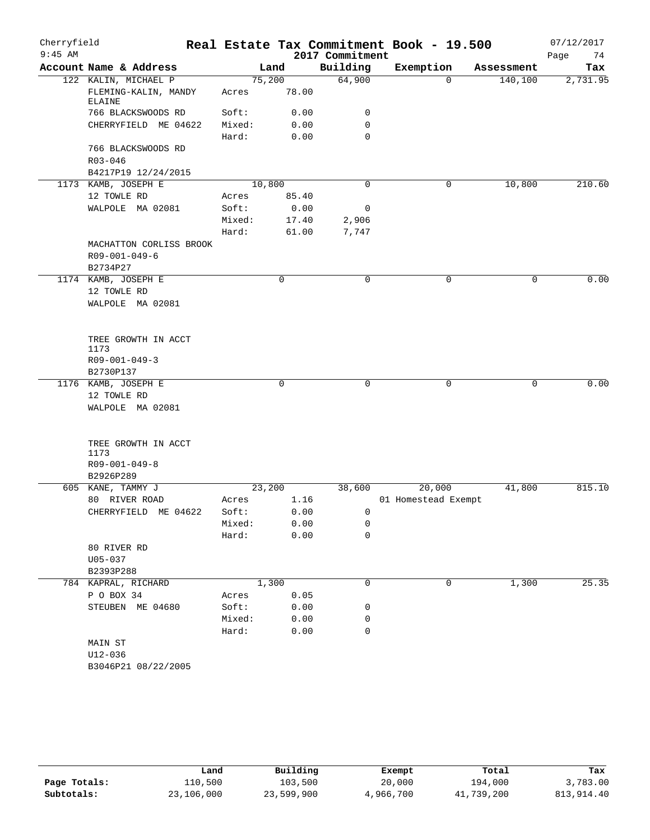| Cherryfield |                                |        |              |                 | Real Estate Tax Commitment Book - 19.500 |            | 07/12/2017 |
|-------------|--------------------------------|--------|--------------|-----------------|------------------------------------------|------------|------------|
| $9:45$ AM   |                                |        |              | 2017 Commitment |                                          |            | Page<br>74 |
|             | Account Name & Address         |        | Land         | Building        | Exemption                                | Assessment | Tax        |
|             | 122 KALIN, MICHAEL P           | 75,200 |              | 64,900          | $\mathbf 0$                              | 140,100    | 2,731.95   |
|             | FLEMING-KALIN, MANDY<br>ELAINE | Acres  | 78.00        |                 |                                          |            |            |
|             | 766 BLACKSWOODS RD             | Soft:  | 0.00         | 0               |                                          |            |            |
|             | CHERRYFIELD ME 04622           | Mixed: | 0.00         | $\mathbf 0$     |                                          |            |            |
|             |                                | Hard:  | 0.00         | $\mathbf 0$     |                                          |            |            |
|             | 766 BLACKSWOODS RD             |        |              |                 |                                          |            |            |
|             | $R03 - 046$                    |        |              |                 |                                          |            |            |
|             | B4217P19 12/24/2015            |        |              |                 |                                          |            |            |
|             | 1173 KAMB, JOSEPH E            | 10,800 |              | $\Omega$        | 0                                        | 10,800     | 210.60     |
|             | 12 TOWLE RD                    | Acres  | 85.40        |                 |                                          |            |            |
|             | WALPOLE MA 02081               | Soft:  | 0.00         | 0               |                                          |            |            |
|             |                                | Mixed: | 17.40        | 2,906           |                                          |            |            |
|             |                                | Hard:  | 61.00        | 7,747           |                                          |            |            |
|             | MACHATTON CORLISS BROOK        |        |              |                 |                                          |            |            |
|             | R09-001-049-6                  |        |              |                 |                                          |            |            |
|             | B2734P27                       |        |              |                 |                                          |            |            |
|             | 1174 KAMB, JOSEPH E            |        | 0            | $\mathbf 0$     | $\mathbf 0$                              | 0          | 0.00       |
|             | 12 TOWLE RD                    |        |              |                 |                                          |            |            |
|             | WALPOLE MA 02081               |        |              |                 |                                          |            |            |
|             |                                |        |              |                 |                                          |            |            |
|             | TREE GROWTH IN ACCT            |        |              |                 |                                          |            |            |
|             | 1173                           |        |              |                 |                                          |            |            |
|             | $R09 - 001 - 049 - 3$          |        |              |                 |                                          |            |            |
|             | B2730P137                      |        |              |                 |                                          |            |            |
|             | 1176 KAMB, JOSEPH E            |        | $\mathsf{O}$ | 0               | $\mathbf 0$                              | 0          | 0.00       |
|             | 12 TOWLE RD                    |        |              |                 |                                          |            |            |
|             | WALPOLE MA 02081               |        |              |                 |                                          |            |            |
|             | TREE GROWTH IN ACCT            |        |              |                 |                                          |            |            |
|             | 1173                           |        |              |                 |                                          |            |            |
|             | R09-001-049-8                  |        |              |                 |                                          |            |            |
|             | B2926P289                      |        |              |                 |                                          |            |            |
|             | 605 KANE, TAMMY J              | 23,200 |              | 38,600          | 20,000                                   | 41,800     | 815.10     |
|             | 80 RIVER ROAD                  | Acres  | 1.16         |                 | 01 Homestead Exempt                      |            |            |
|             | CHERRYFIELD ME 04622           | Soft:  | 0.00         | 0               |                                          |            |            |
|             |                                | Mixed: | 0.00         | 0               |                                          |            |            |
|             |                                | Hard:  | 0.00         | $\mathbf 0$     |                                          |            |            |
|             | 80 RIVER RD                    |        |              |                 |                                          |            |            |
|             | $U05 - 037$                    |        |              |                 |                                          |            |            |
|             | B2393P288                      |        |              |                 |                                          |            |            |
|             | 784 KAPRAL, RICHARD            |        | 1,300        | 0               | 0                                        | 1,300      | 25.35      |
|             | P O BOX 34                     | Acres  | 0.05         |                 |                                          |            |            |
|             | STEUBEN ME 04680               | Soft:  | 0.00         | 0               |                                          |            |            |
|             |                                | Mixed: | 0.00         | 0               |                                          |            |            |
|             |                                | Hard:  | 0.00         | 0               |                                          |            |            |
|             | MAIN ST                        |        |              |                 |                                          |            |            |
|             | $U12 - 036$                    |        |              |                 |                                          |            |            |
|             | B3046P21 08/22/2005            |        |              |                 |                                          |            |            |

|              | Land       | Building   | Exempt    | Total      | Tax        |
|--------------|------------|------------|-----------|------------|------------|
| Page Totals: | 110,500    | 103,500    | 20,000    | 194,000    | 3,783.00   |
| Subtotals:   | 23,106,000 | 23,599,900 | 4,966,700 | 41,739,200 | 813,914.40 |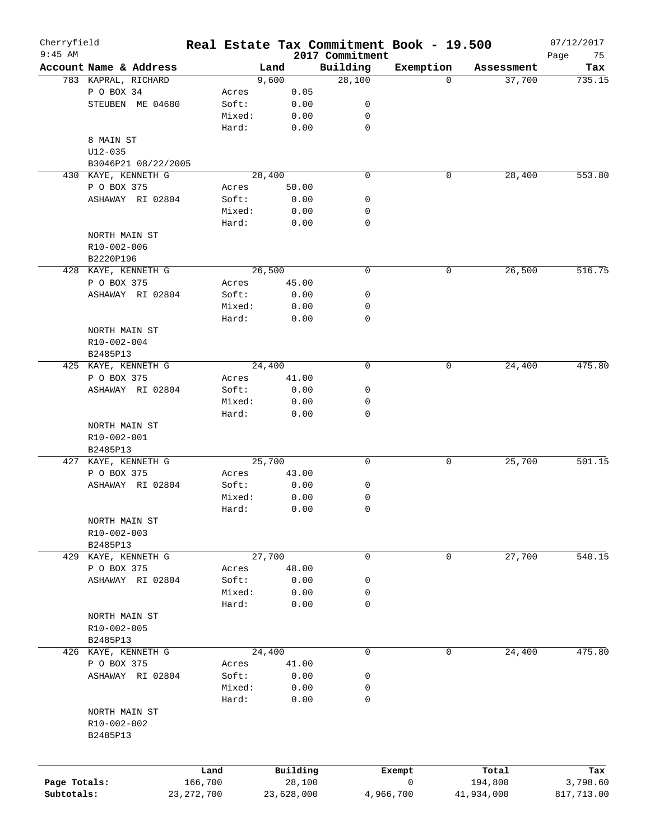| Cherryfield<br>$9:45$ AM |                                          |                 |              |                             | Real Estate Tax Commitment Book - 19.500 |            | 07/12/2017        |
|--------------------------|------------------------------------------|-----------------|--------------|-----------------------------|------------------------------------------|------------|-------------------|
|                          | Account Name & Address                   |                 | Land         | 2017 Commitment<br>Building | Exemption                                | Assessment | Page<br>75<br>Tax |
|                          | 783 KAPRAL, RICHARD                      |                 | 9,600        | 28,100                      | $\Omega$                                 | 37,700     | 735.15            |
|                          | P O BOX 34                               | Acres           | 0.05         |                             |                                          |            |                   |
|                          | STEUBEN ME 04680                         | Soft:           | 0.00         | 0                           |                                          |            |                   |
|                          |                                          | Mixed:          | 0.00         | 0                           |                                          |            |                   |
|                          |                                          | Hard:           | 0.00         | $\mathbf 0$                 |                                          |            |                   |
|                          | 8 MAIN ST                                |                 |              |                             |                                          |            |                   |
|                          | $U12 - 035$                              |                 |              |                             |                                          |            |                   |
|                          |                                          |                 |              |                             |                                          |            |                   |
|                          | B3046P21 08/22/2005                      |                 | 28,400       | $\mathbf 0$                 |                                          |            | 553.80            |
|                          | 430 KAYE, KENNETH G                      |                 |              |                             | 0                                        | 28,400     |                   |
|                          | P O BOX 375                              | Acres           | 50.00        |                             |                                          |            |                   |
|                          | ASHAWAY RI 02804                         | Soft:           | 0.00         | 0                           |                                          |            |                   |
|                          |                                          | Mixed:          | 0.00         | 0                           |                                          |            |                   |
|                          |                                          | Hard:           | 0.00         | 0                           |                                          |            |                   |
|                          | NORTH MAIN ST                            |                 |              |                             |                                          |            |                   |
|                          | R10-002-006                              |                 |              |                             |                                          |            |                   |
|                          | B2220P196                                |                 |              |                             |                                          |            |                   |
|                          | 428 KAYE, KENNETH G                      |                 | 26,500       | 0                           | 0                                        | 26,500     | 516.75            |
|                          | P O BOX 375                              | Acres           | 45.00        |                             |                                          |            |                   |
|                          | ASHAWAY RI 02804                         | Soft:           | 0.00         | 0                           |                                          |            |                   |
|                          |                                          | Mixed:          | 0.00         | 0                           |                                          |            |                   |
|                          |                                          | Hard:           | 0.00         | 0                           |                                          |            |                   |
|                          | NORTH MAIN ST                            |                 |              |                             |                                          |            |                   |
|                          | R10-002-004                              |                 |              |                             |                                          |            |                   |
|                          | B2485P13                                 |                 |              |                             |                                          |            |                   |
|                          | 425 KAYE, KENNETH G                      |                 | 24,400       | $\mathbf 0$                 | 0                                        | 24,400     | 475.80            |
|                          | P O BOX 375                              | Acres           | 41.00        |                             |                                          |            |                   |
|                          | ASHAWAY RI 02804                         | Soft:           | 0.00         | 0                           |                                          |            |                   |
|                          |                                          | Mixed:          | 0.00         | 0                           |                                          |            |                   |
|                          |                                          | Hard:           | 0.00         | $\mathbf 0$                 |                                          |            |                   |
|                          | NORTH MAIN ST<br>R10-002-001<br>B2485P13 |                 |              |                             |                                          |            |                   |
|                          | 427 KAYE, KENNETH G                      |                 | 25,700       | 0                           | 0                                        | 25,700     | 501.15            |
|                          | P O BOX 375                              | Acres           | 43.00        |                             |                                          |            |                   |
|                          | ASHAWAY RI 02804                         | Soft:           | 0.00         | 0                           |                                          |            |                   |
|                          |                                          | Mixed:          | 0.00         | 0                           |                                          |            |                   |
|                          |                                          | Hard:           | 0.00         | 0                           |                                          |            |                   |
|                          | NORTH MAIN ST<br>R10-002-003<br>B2485P13 |                 |              |                             |                                          |            |                   |
|                          | 429 KAYE, KENNETH G                      |                 | 27,700       | 0                           | 0                                        | 27,700     | 540.15            |
|                          | P O BOX 375                              | Acres           | 48.00        |                             |                                          |            |                   |
|                          | ASHAWAY RI 02804                         | Soft:           | 0.00         | 0                           |                                          |            |                   |
|                          |                                          | Mixed:          | 0.00         | 0                           |                                          |            |                   |
|                          |                                          | Hard:           | 0.00         | 0                           |                                          |            |                   |
|                          | NORTH MAIN ST<br>R10-002-005<br>B2485P13 |                 |              |                             |                                          |            |                   |
|                          | 426 KAYE, KENNETH G                      |                 | 24,400       | 0                           | 0                                        | 24,400     | 475.80            |
|                          |                                          |                 |              |                             |                                          |            |                   |
|                          | P O BOX 375                              | Acres           | 41.00        |                             |                                          |            |                   |
|                          | ASHAWAY RI 02804                         | Soft:           | 0.00         | 0                           |                                          |            |                   |
|                          |                                          | Mixed:<br>Hard: | 0.00<br>0.00 | 0<br>0                      |                                          |            |                   |
|                          | NORTH MAIN ST<br>R10-002-002<br>B2485P13 |                 |              |                             |                                          |            |                   |
|                          |                                          | Land            | Building     |                             | Exempt                                   | Total      | Tax               |
| Page Totals:             |                                          | 166,700         | 28,100       |                             | 0                                        | 194,800    | 3,798.60          |
| Subtotals:               |                                          | 23, 272, 700    | 23,628,000   |                             | 4,966,700                                | 41,934,000 | 817,713.00        |
|                          |                                          |                 |              |                             |                                          |            |                   |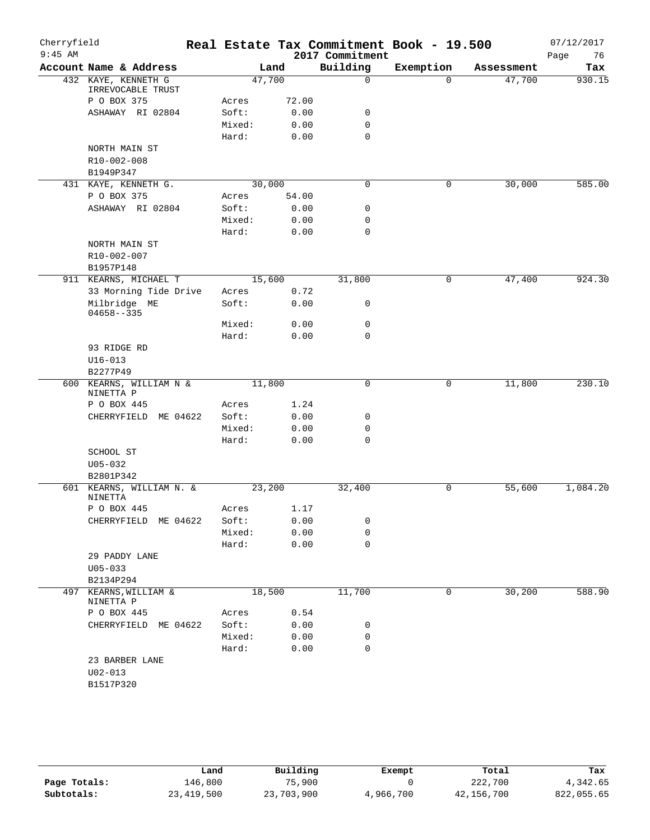| Cherryfield |                                          |        |       | Real Estate Tax Commitment Book - 19.500 |           |            | 07/12/2017 |
|-------------|------------------------------------------|--------|-------|------------------------------------------|-----------|------------|------------|
| $9:45$ AM   |                                          |        |       | 2017 Commitment                          |           |            | 76<br>Page |
|             | Account Name & Address                   | Land   |       | Building                                 | Exemption | Assessment | Tax        |
|             | 432 KAYE, KENNETH G<br>IRREVOCABLE TRUST | 47,700 |       | $\mathsf{O}$                             | $\Omega$  | 47,700     | 930.15     |
|             | P O BOX 375                              | Acres  | 72.00 |                                          |           |            |            |
|             | ASHAWAY RI 02804                         | Soft:  | 0.00  | 0                                        |           |            |            |
|             |                                          | Mixed: | 0.00  | $\mathbf 0$                              |           |            |            |
|             |                                          | Hard:  | 0.00  | $\mathbf 0$                              |           |            |            |
|             | NORTH MAIN ST                            |        |       |                                          |           |            |            |
|             | R10-002-008                              |        |       |                                          |           |            |            |
|             | B1949P347                                |        |       |                                          |           |            |            |
|             | 431 KAYE, KENNETH G.                     | 30,000 |       | $\mathbf 0$                              | 0         | 30,000     | 585.00     |
|             | P O BOX 375                              | Acres  | 54.00 |                                          |           |            |            |
|             | ASHAWAY RI 02804                         | Soft:  | 0.00  | 0                                        |           |            |            |
|             |                                          | Mixed: | 0.00  | $\mathbf 0$                              |           |            |            |
|             |                                          | Hard:  | 0.00  | $\mathbf 0$                              |           |            |            |
|             | NORTH MAIN ST                            |        |       |                                          |           |            |            |
|             | R10-002-007                              |        |       |                                          |           |            |            |
|             | B1957P148                                |        |       |                                          |           |            |            |
|             | 911 KEARNS, MICHAEL T                    | 15,600 |       | 31,800                                   | 0         | 47,400     | 924.30     |
|             | 33 Morning Tide Drive                    | Acres  | 0.72  |                                          |           |            |            |
|             | Milbridge ME<br>$04658 - -335$           | Soft:  | 0.00  | 0                                        |           |            |            |
|             |                                          | Mixed: | 0.00  | 0                                        |           |            |            |
|             |                                          | Hard:  | 0.00  | $\mathbf 0$                              |           |            |            |
|             | 93 RIDGE RD                              |        |       |                                          |           |            |            |
|             | $U16 - 013$                              |        |       |                                          |           |            |            |
|             | B2277P49                                 |        |       |                                          |           |            |            |
|             | 600 KEARNS, WILLIAM N &                  | 11,800 |       | 0                                        | 0         | 11,800     | 230.10     |
|             | NINETTA P<br>P O BOX 445                 | Acres  | 1.24  |                                          |           |            |            |
|             | CHERRYFIELD ME 04622                     | Soft:  | 0.00  | 0                                        |           |            |            |
|             |                                          | Mixed: | 0.00  | 0                                        |           |            |            |
|             |                                          | Hard:  | 0.00  | 0                                        |           |            |            |
|             | SCHOOL ST                                |        |       |                                          |           |            |            |
|             | $U05 - 032$                              |        |       |                                          |           |            |            |
|             | B2801P342                                |        |       |                                          |           |            |            |
|             | 601 KEARNS, WILLIAM N. &                 | 23,200 |       | 32,400                                   | 0         | 55,600     | 1,084.20   |
|             | NINETTA                                  |        |       |                                          |           |            |            |
|             | P O BOX 445                              | Acres  | 1.17  |                                          |           |            |            |
|             | CHERRYFIELD ME 04622                     | Soft:  | 0.00  | 0                                        |           |            |            |
|             |                                          | Mixed: | 0.00  | 0                                        |           |            |            |
|             |                                          | Hard:  | 0.00  | $\mathbf 0$                              |           |            |            |
|             | 29 PADDY LANE                            |        |       |                                          |           |            |            |
|             | $U05 - 033$                              |        |       |                                          |           |            |            |
|             | B2134P294                                |        |       |                                          |           |            |            |
| 497         | KEARNS, WILLIAM &<br>NINETTA P           | 18,500 |       | 11,700                                   | 0         | 30,200     | 588.90     |
|             | P O BOX 445                              | Acres  | 0.54  |                                          |           |            |            |
|             | CHERRYFIELD ME 04622                     | Soft:  | 0.00  | 0                                        |           |            |            |
|             |                                          | Mixed: | 0.00  | 0                                        |           |            |            |
|             |                                          | Hard:  | 0.00  | 0                                        |           |            |            |
|             | 23 BARBER LANE                           |        |       |                                          |           |            |            |
|             | $U02 - 013$                              |        |       |                                          |           |            |            |
|             | B1517P320                                |        |       |                                          |           |            |            |
|             |                                          |        |       |                                          |           |            |            |

|              | Land         | Building   | Exempt    | Total      | Tax        |
|--------------|--------------|------------|-----------|------------|------------|
| Page Totals: | 146,800      | 75,900     |           | 222,700    | 4,342.65   |
| Subtotals:   | 23, 419, 500 | 23,703,900 | 4,966,700 | 42,156,700 | 822,055.65 |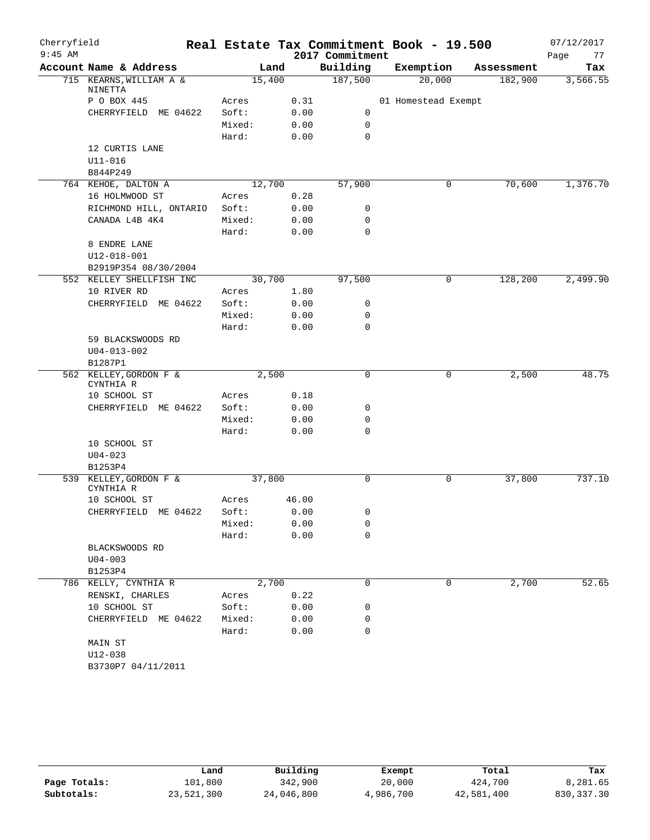| Cherryfield |                                     |        |       |                 | Real Estate Tax Commitment Book - 19.500 |            | 07/12/2017 |
|-------------|-------------------------------------|--------|-------|-----------------|------------------------------------------|------------|------------|
| $9:45$ AM   |                                     |        |       | 2017 Commitment |                                          |            | 77<br>Page |
|             | Account Name & Address              | Land   |       | Building        | Exemption                                | Assessment | Tax        |
|             | 715 KEARNS, WILLIAM A &<br>NINETTA  | 15,400 |       | 187,500         | 20,000                                   | 182,900    | 3,566.55   |
|             | P O BOX 445                         | Acres  | 0.31  |                 | 01 Homestead Exempt                      |            |            |
|             | CHERRYFIELD ME 04622                | Soft:  | 0.00  | 0               |                                          |            |            |
|             |                                     | Mixed: | 0.00  | 0               |                                          |            |            |
|             |                                     | Hard:  | 0.00  | $\mathbf 0$     |                                          |            |            |
|             | 12 CURTIS LANE                      |        |       |                 |                                          |            |            |
|             | $U11 - 016$                         |        |       |                 |                                          |            |            |
|             | B844P249                            |        |       |                 |                                          |            |            |
|             | 764 KEHOE, DALTON A                 | 12,700 |       | 57,900          | 0                                        | 70,600     | 1,376.70   |
|             | 16 HOLMWOOD ST                      | Acres  | 0.28  |                 |                                          |            |            |
|             | RICHMOND HILL, ONTARIO              | Soft:  | 0.00  | 0               |                                          |            |            |
|             | CANADA L4B 4K4                      | Mixed: | 0.00  | 0               |                                          |            |            |
|             |                                     | Hard:  | 0.00  | $\mathbf 0$     |                                          |            |            |
|             | 8 ENDRE LANE                        |        |       |                 |                                          |            |            |
|             | $U12 - 018 - 001$                   |        |       |                 |                                          |            |            |
|             | B2919P354 08/30/2004                |        |       |                 |                                          |            |            |
|             | 552 KELLEY SHELLFISH INC            | 30,700 |       | 97,500          | $\mathbf 0$                              | 128,200    | 2,499.90   |
|             | 10 RIVER RD                         | Acres  | 1.80  |                 |                                          |            |            |
|             | CHERRYFIELD ME 04622                | Soft:  | 0.00  | 0               |                                          |            |            |
|             |                                     | Mixed: | 0.00  | 0               |                                          |            |            |
|             |                                     | Hard:  | 0.00  | 0               |                                          |            |            |
|             | 59 BLACKSWOODS RD                   |        |       |                 |                                          |            |            |
|             | $U04 - 013 - 002$                   |        |       |                 |                                          |            |            |
|             | B1287P1                             |        |       |                 |                                          |            |            |
|             | 562 KELLEY, GORDON F &              |        | 2,500 |                 | 0                                        | 2,500      | 48.75      |
|             | CYNTHIA R                           |        |       |                 |                                          |            |            |
|             | 10 SCHOOL ST                        | Acres  | 0.18  |                 |                                          |            |            |
|             | CHERRYFIELD ME 04622                | Soft:  | 0.00  | 0               |                                          |            |            |
|             |                                     | Mixed: | 0.00  | 0               |                                          |            |            |
|             |                                     | Hard:  | 0.00  | 0               |                                          |            |            |
|             | 10 SCHOOL ST                        |        |       |                 |                                          |            |            |
|             | $U04 - 023$                         |        |       |                 |                                          |            |            |
|             | B1253P4                             |        |       |                 |                                          |            |            |
|             | 539 KELLEY, GORDON F &<br>CYNTHIA R | 37,800 |       | 0               | $\mathsf{O}$                             | 37,800     | 737.10     |
|             | 10 SCHOOL ST                        | Acres  | 46.00 |                 |                                          |            |            |
|             | CHERRYFIELD ME 04622                | Soft:  | 0.00  | 0               |                                          |            |            |
|             |                                     | Mixed: | 0.00  | 0               |                                          |            |            |
|             |                                     | Hard:  | 0.00  | 0               |                                          |            |            |
|             | BLACKSWOODS RD                      |        |       |                 |                                          |            |            |
|             | $U04 - 003$                         |        |       |                 |                                          |            |            |
|             | B1253P4                             |        |       |                 |                                          |            |            |
|             | 786 KELLY, CYNTHIA R                | 2,700  |       | 0               | 0                                        | 2,700      | 52.65      |
|             | RENSKI, CHARLES                     | Acres  | 0.22  |                 |                                          |            |            |
|             | 10 SCHOOL ST                        | Soft:  | 0.00  | 0               |                                          |            |            |
|             | CHERRYFIELD ME 04622                | Mixed: | 0.00  | 0               |                                          |            |            |
|             |                                     | Hard:  | 0.00  | $\mathbf 0$     |                                          |            |            |
|             | MAIN ST                             |        |       |                 |                                          |            |            |
|             | $U12 - 038$                         |        |       |                 |                                          |            |            |
|             | B3730P7 04/11/2011                  |        |       |                 |                                          |            |            |
|             |                                     |        |       |                 |                                          |            |            |

|              | Land       | Building   | Exempt    | Total      | Tax        |
|--------------|------------|------------|-----------|------------|------------|
| Page Totals: | 101,800    | 342,900    | 20,000    | 424,700    | 8,281.65   |
| Subtotals:   | 23,521,300 | 24,046,800 | 4,986,700 | 42,581,400 | 830,337.30 |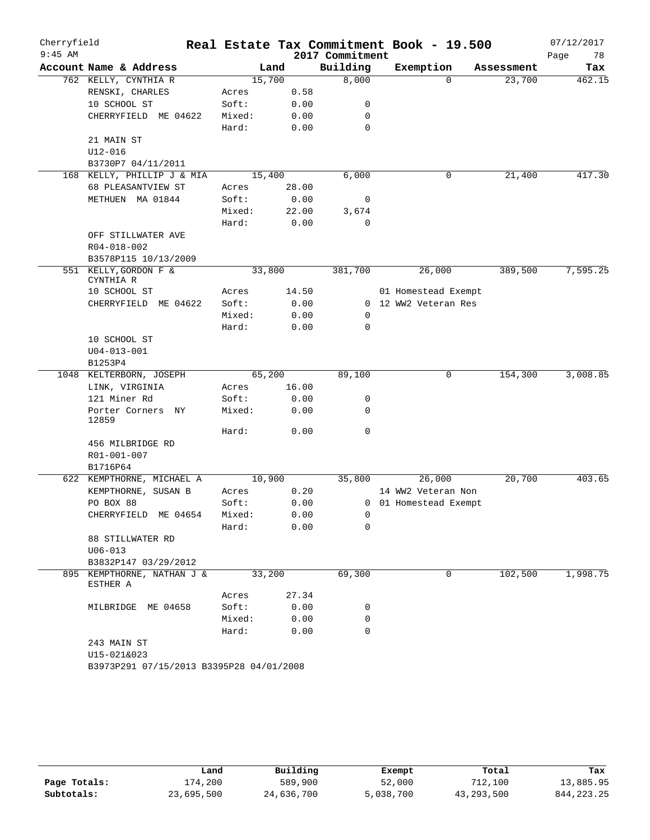| Cherryfield<br>$9:45$ AM |                                          |        |        |       | 2017 Commitment | Real Estate Tax Commitment Book - 19.500 |            | 07/12/2017<br>Page<br>78 |
|--------------------------|------------------------------------------|--------|--------|-------|-----------------|------------------------------------------|------------|--------------------------|
|                          | Account Name & Address                   |        | Land   |       | Building        | Exemption                                | Assessment | Tax                      |
|                          | 762 KELLY, CYNTHIA R                     |        | 15,700 |       | 8,000           | $\Omega$                                 | 23,700     | 462.15                   |
|                          | RENSKI, CHARLES                          | Acres  |        | 0.58  |                 |                                          |            |                          |
|                          | 10 SCHOOL ST                             | Soft:  |        | 0.00  | 0               |                                          |            |                          |
|                          | CHERRYFIELD ME 04622                     | Mixed: |        | 0.00  | 0               |                                          |            |                          |
|                          |                                          | Hard:  |        | 0.00  | $\mathbf 0$     |                                          |            |                          |
|                          | 21 MAIN ST                               |        |        |       |                 |                                          |            |                          |
|                          | U12-016                                  |        |        |       |                 |                                          |            |                          |
|                          | B3730P7 04/11/2011                       |        |        |       |                 |                                          |            |                          |
|                          | 168 KELLY, PHILLIP J & MIA               |        | 15,400 |       | 6,000           | 0                                        | 21,400     | 417.30                   |
|                          | 68 PLEASANTVIEW ST                       | Acres  |        | 28.00 |                 |                                          |            |                          |
|                          | METHUEN MA 01844                         | Soft:  |        | 0.00  | 0               |                                          |            |                          |
|                          |                                          | Mixed: |        | 22.00 | 3,674           |                                          |            |                          |
|                          |                                          | Hard:  |        | 0.00  | $\mathbf 0$     |                                          |            |                          |
|                          | OFF STILLWATER AVE                       |        |        |       |                 |                                          |            |                          |
|                          | R04-018-002                              |        |        |       |                 |                                          |            |                          |
|                          | B3578P115 10/13/2009                     |        |        |       |                 |                                          |            |                          |
|                          | 551 KELLY, GORDON F &<br>CYNTHIA R       |        | 33,800 |       | 381,700         | 26,000                                   | 389,500    | 7,595.25                 |
|                          | 10 SCHOOL ST                             | Acres  |        | 14.50 |                 | 01 Homestead Exempt                      |            |                          |
|                          | CHERRYFIELD ME 04622                     | Soft:  |        | 0.00  |                 | 0 12 WW2 Veteran Res                     |            |                          |
|                          |                                          | Mixed: |        | 0.00  | 0               |                                          |            |                          |
|                          |                                          | Hard:  |        | 0.00  | 0               |                                          |            |                          |
|                          | 10 SCHOOL ST                             |        |        |       |                 |                                          |            |                          |
|                          | $U04 - 013 - 001$                        |        |        |       |                 |                                          |            |                          |
|                          | B1253P4                                  |        |        |       |                 |                                          |            |                          |
|                          | 1048 KELTERBORN, JOSEPH                  |        | 65,200 |       | 89,100          | 0                                        | 154,300    | 3,008.85                 |
|                          | LINK, VIRGINIA                           | Acres  |        | 16.00 |                 |                                          |            |                          |
|                          | 121 Miner Rd                             | Soft:  |        | 0.00  | 0               |                                          |            |                          |
|                          | Porter Corners NY<br>12859               | Mixed: |        | 0.00  | 0               |                                          |            |                          |
|                          |                                          | Hard:  |        | 0.00  | $\mathbf 0$     |                                          |            |                          |
|                          | 456 MILBRIDGE RD                         |        |        |       |                 |                                          |            |                          |
|                          | R01-001-007                              |        |        |       |                 |                                          |            |                          |
|                          | B1716P64                                 |        |        |       |                 |                                          |            |                          |
|                          | 622 KEMPTHORNE, MICHAEL A                |        | 10,900 |       | 35,800          | 26,000                                   | 20,700     | 403.65                   |
|                          | KEMPTHORNE, SUSAN B                      | Acres  |        | 0.20  |                 | 14 WW2 Veteran Non                       |            |                          |
|                          | PO BOX 88                                | Soft:  |        | 0.00  |                 | 0 01 Homestead Exempt                    |            |                          |
|                          | CHERRYFIELD ME 04654                     | Mixed: |        | 0.00  | $\overline{0}$  |                                          |            |                          |
|                          |                                          | Hard:  |        | 0.00  | 0               |                                          |            |                          |
|                          | 88 STILLWATER RD                         |        |        |       |                 |                                          |            |                          |
|                          | $U06 - 013$                              |        |        |       |                 |                                          |            |                          |
|                          | B3832P147 03/29/2012                     |        |        |       |                 |                                          |            |                          |
|                          | 895 KEMPTHORNE, NATHAN J &<br>ESTHER A   |        | 33,200 |       | 69,300          | 0                                        | 102,500    | 1,998.75                 |
|                          |                                          | Acres  |        | 27.34 |                 |                                          |            |                          |
|                          | MILBRIDGE ME 04658                       | Soft:  |        | 0.00  | 0               |                                          |            |                          |
|                          |                                          | Mixed: |        | 0.00  | 0               |                                          |            |                          |
|                          |                                          | Hard:  |        | 0.00  | 0               |                                          |            |                          |
|                          | 243 MAIN ST                              |        |        |       |                 |                                          |            |                          |
|                          | U15-021&023                              |        |        |       |                 |                                          |            |                          |
|                          | B3973P291 07/15/2013 B3395P28 04/01/2008 |        |        |       |                 |                                          |            |                          |

|              | Land       | Building   | Exempt    | Total        | Tax          |
|--------------|------------|------------|-----------|--------------|--------------|
| Page Totals: | 174,200    | 589,900    | 52,000    | 712,100      | 13,885.95    |
| Subtotals:   | 23,695,500 | 24,636,700 | 5,038,700 | 43, 293, 500 | 844, 223, 25 |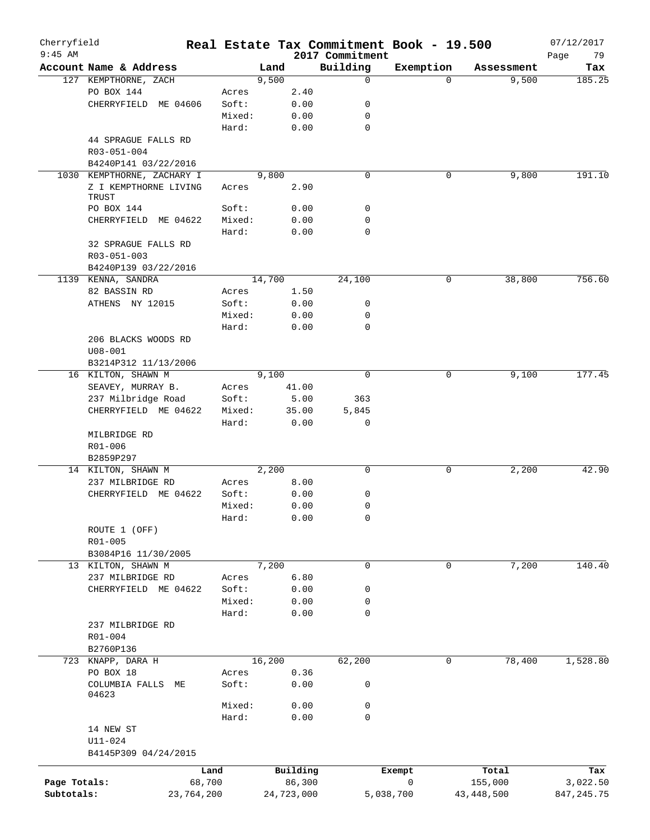| Cherryfield<br>$9:45$ AM |                            |            |        |        |            |                             | Real Estate Tax Commitment Book - 19.500 |            | 07/12/2017        |
|--------------------------|----------------------------|------------|--------|--------|------------|-----------------------------|------------------------------------------|------------|-------------------|
|                          | Account Name & Address     |            |        | Land   |            | 2017 Commitment<br>Building | Exemption                                | Assessment | Page<br>79<br>Tax |
|                          | 127 KEMPTHORNE, ZACH       |            |        | 9,500  |            | $\mathbf 0$                 | $\Omega$                                 | 9,500      | 185.25            |
|                          | PO BOX 144                 |            | Acres  |        | 2.40       |                             |                                          |            |                   |
|                          | CHERRYFIELD ME 04606       |            | Soft:  |        | 0.00       | 0                           |                                          |            |                   |
|                          |                            |            | Mixed: |        | 0.00       | 0                           |                                          |            |                   |
|                          |                            |            | Hard:  |        | 0.00       | $\mathbf 0$                 |                                          |            |                   |
|                          | 44 SPRAGUE FALLS RD        |            |        |        |            |                             |                                          |            |                   |
|                          | R03-051-004                |            |        |        |            |                             |                                          |            |                   |
|                          | B4240P141 03/22/2016       |            |        |        |            |                             |                                          |            |                   |
|                          | 1030 KEMPTHORNE, ZACHARY I |            |        | 9,800  |            | $\mathbf 0$                 | 0                                        | 9,800      | 191.10            |
|                          | Z I KEMPTHORNE LIVING      |            | Acres  |        | 2.90       |                             |                                          |            |                   |
|                          | TRUST                      |            |        |        |            |                             |                                          |            |                   |
|                          | PO BOX 144                 |            | Soft:  |        | 0.00       | 0                           |                                          |            |                   |
|                          | CHERRYFIELD ME 04622       |            | Mixed: |        | 0.00       | $\mathbf 0$                 |                                          |            |                   |
|                          |                            |            | Hard:  |        | 0.00       | $\mathbf 0$                 |                                          |            |                   |
|                          | 32 SPRAGUE FALLS RD        |            |        |        |            |                             |                                          |            |                   |
|                          | R03-051-003                |            |        |        |            |                             |                                          |            |                   |
|                          | B4240P139 03/22/2016       |            |        |        |            |                             |                                          |            |                   |
|                          | 1139 KENNA, SANDRA         |            |        | 14,700 |            | 24,100                      | 0                                        | 38,800     | 756.60            |
|                          | 82 BASSIN RD               |            | Acres  |        | 1.50       |                             |                                          |            |                   |
|                          | ATHENS NY 12015            |            | Soft:  |        | 0.00       | 0                           |                                          |            |                   |
|                          |                            |            | Mixed: |        | 0.00       | 0                           |                                          |            |                   |
|                          |                            |            | Hard:  |        | 0.00       | $\mathbf 0$                 |                                          |            |                   |
|                          | 206 BLACKS WOODS RD        |            |        |        |            |                             |                                          |            |                   |
|                          | $U08 - 001$                |            |        |        |            |                             |                                          |            |                   |
|                          | B3214P312 11/13/2006       |            |        |        |            |                             |                                          |            |                   |
|                          | 16 KILTON, SHAWN M         |            |        | 9,100  |            | $\mathbf 0$                 | 0                                        | 9,100      | 177.45            |
|                          | SEAVEY, MURRAY B.          |            | Acres  |        | 41.00      |                             |                                          |            |                   |
|                          | 237 Milbridge Road         |            | Soft:  |        | 5.00       | 363                         |                                          |            |                   |
|                          | CHERRYFIELD ME 04622       |            | Mixed: |        | 35.00      | 5,845                       |                                          |            |                   |
|                          |                            |            | Hard:  |        | 0.00       | 0                           |                                          |            |                   |
|                          | MILBRIDGE RD               |            |        |        |            |                             |                                          |            |                   |
|                          | R01-006                    |            |        |        |            |                             |                                          |            |                   |
|                          | B2859P297                  |            |        |        |            |                             |                                          |            |                   |
|                          | 14 KILTON, SHAWN M         |            |        | 2,200  |            | $\mathbf 0$                 | 0                                        | 2,200      | 42.90             |
|                          | 237 MILBRIDGE RD           |            | Acres  |        | 8.00       |                             |                                          |            |                   |
|                          | CHERRYFIELD ME 04622       |            | Soft:  |        | 0.00       | 0                           |                                          |            |                   |
|                          |                            |            | Mixed: |        | 0.00       | $\mathbf 0$                 |                                          |            |                   |
|                          |                            |            | Hard:  |        | 0.00       | 0                           |                                          |            |                   |
|                          | ROUTE 1 (OFF)              |            |        |        |            |                             |                                          |            |                   |
|                          | R01-005                    |            |        |        |            |                             |                                          |            |                   |
|                          | B3084P16 11/30/2005        |            |        |        |            |                             |                                          |            |                   |
|                          | 13 KILTON, SHAWN M         |            |        | 7,200  |            | $\mathbf 0$                 | 0                                        | 7,200      | 140.40            |
|                          | 237 MILBRIDGE RD           |            | Acres  |        | 6.80       |                             |                                          |            |                   |
|                          | CHERRYFIELD ME 04622       |            | Soft:  |        | 0.00       | 0                           |                                          |            |                   |
|                          |                            |            | Mixed: |        | 0.00       | 0                           |                                          |            |                   |
|                          |                            |            | Hard:  |        | 0.00       | $\mathbf 0$                 |                                          |            |                   |
|                          | 237 MILBRIDGE RD           |            |        |        |            |                             |                                          |            |                   |
|                          | R01-004                    |            |        |        |            |                             |                                          |            |                   |
|                          | B2760P136                  |            |        |        |            |                             |                                          |            |                   |
|                          | 723 KNAPP, DARA H          |            |        | 16,200 |            | 62,200                      | 0                                        | 78,400     | 1,528.80          |
|                          | PO BOX 18                  |            | Acres  |        | 0.36       |                             |                                          |            |                   |
|                          | COLUMBIA FALLS ME<br>04623 |            | Soft:  |        | 0.00       | 0                           |                                          |            |                   |
|                          |                            |            | Mixed: |        | 0.00       | 0                           |                                          |            |                   |
|                          |                            |            | Hard:  |        | 0.00       | $\mathbf 0$                 |                                          |            |                   |
|                          | 14 NEW ST                  |            |        |        |            |                             |                                          |            |                   |
|                          | U11-024                    |            |        |        |            |                             |                                          |            |                   |
|                          | B4145P309 04/24/2015       |            |        |        |            |                             |                                          |            |                   |
|                          |                            |            |        |        |            |                             |                                          |            |                   |
|                          |                            | Land       |        |        | Building   |                             | Exempt                                   | Total      | Tax               |
| Page Totals:             |                            | 68,700     |        |        | 86,300     |                             | 0                                        | 155,000    | 3,022.50          |
| Subtotals:               |                            | 23,764,200 |        |        | 24,723,000 |                             | 5,038,700                                | 43,448,500 | 847, 245. 75      |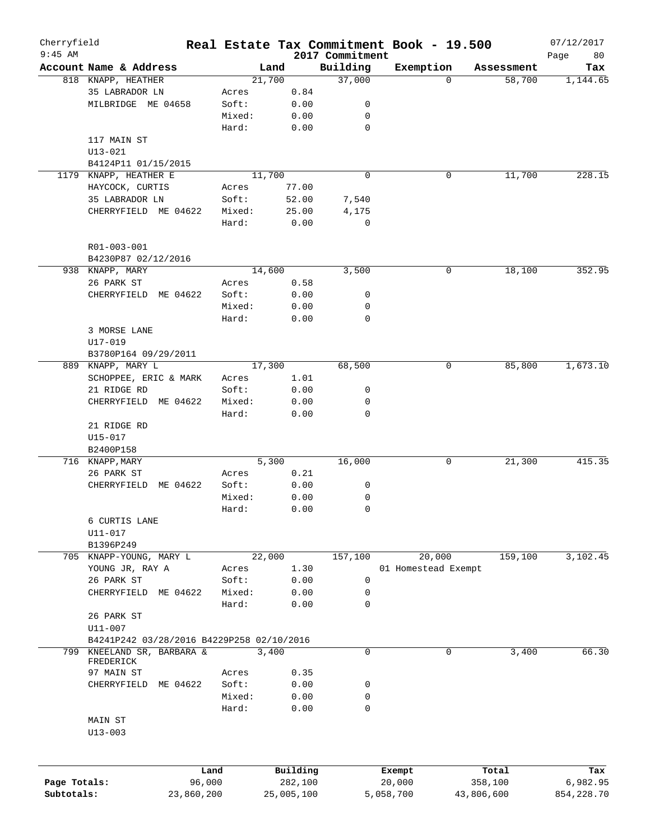| Cherryfield                |                                           |                |                |        |                     |                 | Real Estate Tax Commitment Book - 19.500 |             |                  | 07/12/2017      |
|----------------------------|-------------------------------------------|----------------|----------------|--------|---------------------|-----------------|------------------------------------------|-------------|------------------|-----------------|
| $9:45$ AM                  |                                           |                |                |        |                     | 2017 Commitment |                                          |             |                  | 80<br>Page      |
|                            | Account Name & Address                    |                |                | Land   |                     | Building        | Exemption                                | $\Omega$    | Assessment       | Tax             |
|                            | 818 KNAPP, HEATHER                        |                |                | 21,700 |                     | 37,000          |                                          |             | 58,700           | 1,144.65        |
|                            | 35 LABRADOR LN<br>MILBRIDGE ME 04658      |                | Acres<br>Soft: |        | 0.84                |                 |                                          |             |                  |                 |
|                            |                                           |                |                |        | 0.00                | 0               |                                          |             |                  |                 |
|                            |                                           |                | Mixed:         |        | 0.00                | 0               |                                          |             |                  |                 |
|                            |                                           |                | Hard:          |        | 0.00                | $\mathbf 0$     |                                          |             |                  |                 |
|                            | 117 MAIN ST                               |                |                |        |                     |                 |                                          |             |                  |                 |
|                            | $U13 - 021$                               |                |                |        |                     |                 |                                          |             |                  |                 |
|                            | B4124P11 01/15/2015                       |                |                |        |                     |                 |                                          |             |                  |                 |
|                            | 1179 KNAPP, HEATHER E                     |                |                | 11,700 |                     | $\mathbf 0$     |                                          | 0           | 11,700           | 228.15          |
|                            | HAYCOCK, CURTIS                           |                | Acres          |        | 77.00               |                 |                                          |             |                  |                 |
|                            | 35 LABRADOR LN                            |                | Soft:          |        | 52.00               | 7,540           |                                          |             |                  |                 |
|                            | CHERRYFIELD ME 04622                      |                | Mixed:         |        | 25.00               | 4,175           |                                          |             |                  |                 |
|                            |                                           |                | Hard:          |        | 0.00                | $\mathbf 0$     |                                          |             |                  |                 |
|                            | R01-003-001                               |                |                |        |                     |                 |                                          |             |                  |                 |
|                            | B4230P87 02/12/2016                       |                |                |        |                     |                 |                                          |             |                  |                 |
|                            | 938 KNAPP, MARY                           |                |                | 14,600 |                     | 3,500           |                                          | 0           | 18,100           | 352.95          |
|                            | 26 PARK ST                                |                | Acres          |        | 0.58                |                 |                                          |             |                  |                 |
|                            | CHERRYFIELD<br>ME 04622                   |                | Soft:          |        | 0.00                | 0               |                                          |             |                  |                 |
|                            |                                           |                | Mixed:         |        | 0.00                | 0               |                                          |             |                  |                 |
|                            |                                           |                | Hard:          |        | 0.00                | $\mathbf 0$     |                                          |             |                  |                 |
|                            | 3 MORSE LANE                              |                |                |        |                     |                 |                                          |             |                  |                 |
|                            | U17-019                                   |                |                |        |                     |                 |                                          |             |                  |                 |
|                            | B3780P164 09/29/2011                      |                |                |        |                     |                 |                                          |             |                  |                 |
| 889                        | KNAPP, MARY L                             |                |                | 17,300 |                     | 68,500          |                                          | 0           | 85,800           | 1,673.10        |
|                            | SCHOPPEE, ERIC & MARK                     |                | Acres          |        | 1.01                |                 |                                          |             |                  |                 |
|                            | 21 RIDGE RD                               |                | Soft:          |        | 0.00                | 0               |                                          |             |                  |                 |
|                            | CHERRYFIELD<br>ME 04622                   |                | Mixed:         |        | 0.00                | 0               |                                          |             |                  |                 |
|                            |                                           |                | Hard:          |        | 0.00                | $\mathbf 0$     |                                          |             |                  |                 |
|                            | 21 RIDGE RD                               |                |                |        |                     |                 |                                          |             |                  |                 |
|                            | $U15 - 017$                               |                |                |        |                     |                 |                                          |             |                  |                 |
|                            | B2400P158                                 |                |                |        |                     |                 |                                          |             |                  |                 |
|                            | 716 KNAPP, MARY                           |                |                | 5,300  |                     | 16,000          |                                          | 0           | 21,300           | 415.35          |
|                            | 26 PARK ST                                |                | Acres          |        | 0.21                |                 |                                          |             |                  |                 |
|                            | CHERRYFIELD                               | ME 04622       | Soft:          |        | 0.00                | 0               |                                          |             |                  |                 |
|                            |                                           |                | Mixed:         |        | 0.00                | 0               |                                          |             |                  |                 |
|                            |                                           |                | Hard:          |        | 0.00                | 0               |                                          |             |                  |                 |
|                            |                                           |                |                |        |                     |                 |                                          |             |                  |                 |
|                            | 6 CURTIS LANE                             |                |                |        |                     |                 |                                          |             |                  |                 |
|                            | U11-017                                   |                |                |        |                     |                 |                                          |             |                  |                 |
|                            | B1396P249                                 |                |                |        |                     |                 |                                          |             |                  |                 |
|                            | 705 KNAPP-YOUNG, MARY L                   |                |                | 22,000 |                     | 157,100         | 20,000                                   |             | 159,100          | 3,102.45        |
|                            | YOUNG JR, RAY A                           |                | Acres          |        | 1.30                |                 | 01 Homestead Exempt                      |             |                  |                 |
|                            | 26 PARK ST                                |                | Soft:          |        | 0.00                | 0               |                                          |             |                  |                 |
|                            | CHERRYFIELD ME 04622                      |                | Mixed:         |        | 0.00                | 0               |                                          |             |                  |                 |
|                            |                                           |                | Hard:          |        | 0.00                | 0               |                                          |             |                  |                 |
|                            | 26 PARK ST                                |                |                |        |                     |                 |                                          |             |                  |                 |
|                            | U11-007                                   |                |                |        |                     |                 |                                          |             |                  |                 |
|                            | B4241P242 03/28/2016 B4229P258 02/10/2016 |                |                |        |                     |                 |                                          |             |                  |                 |
| 799                        | KNEELAND SR, BARBARA &                    |                |                | 3,400  |                     | 0               |                                          | $\mathbf 0$ | 3,400            | 66.30           |
|                            | FREDERICK                                 |                |                |        |                     |                 |                                          |             |                  |                 |
|                            | 97 MAIN ST                                |                | Acres          |        | 0.35                |                 |                                          |             |                  |                 |
|                            | CHERRYFIELD ME 04622                      |                | Soft:          |        | 0.00                | 0               |                                          |             |                  |                 |
|                            |                                           |                | Mixed:         |        | 0.00                | 0               |                                          |             |                  |                 |
|                            |                                           |                | Hard:          |        | 0.00                | 0               |                                          |             |                  |                 |
|                            | MAIN ST                                   |                |                |        |                     |                 |                                          |             |                  |                 |
|                            | $U13 - 003$                               |                |                |        |                     |                 |                                          |             |                  |                 |
|                            |                                           |                |                |        |                     |                 |                                          |             |                  |                 |
|                            |                                           | Land<br>96,000 |                |        | Building<br>282,100 |                 | Exempt<br>20,000                         |             | Total<br>358,100 | Tax<br>6,982.95 |
| Page Totals:<br>Subtotals: |                                           |                |                |        |                     |                 |                                          |             |                  |                 |
|                            |                                           | 23,860,200     |                |        | 25,005,100          |                 | 5,058,700                                | 43,806,600  |                  | 854, 228.70     |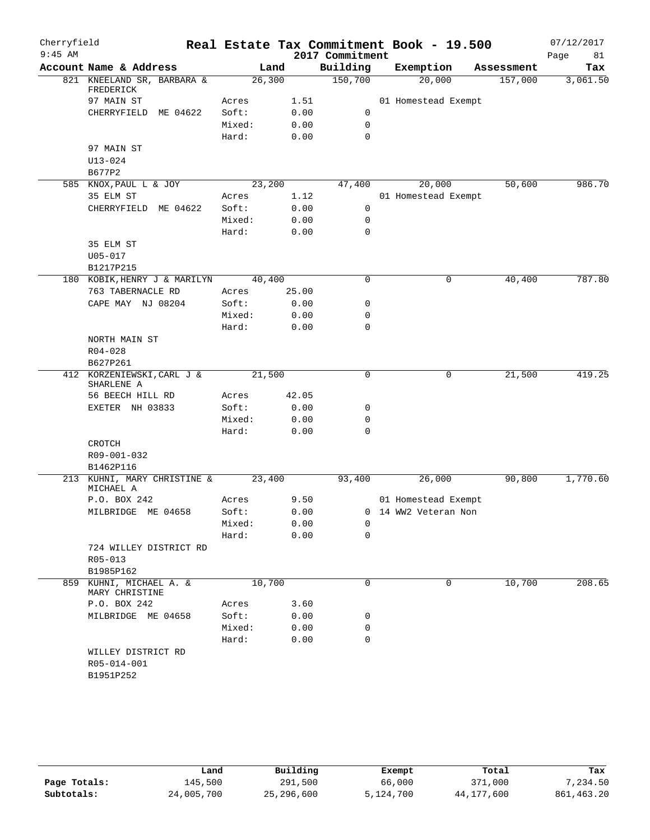| Cherryfield<br>$9:45$ AM |                                                   |                |                 | 2017 Commitment | Real Estate Tax Commitment Book - 19.500    |            | 07/12/2017<br>Page<br>81 |
|--------------------------|---------------------------------------------------|----------------|-----------------|-----------------|---------------------------------------------|------------|--------------------------|
|                          | Account Name & Address                            |                | Land            | Building        | Exemption                                   | Assessment | Tax                      |
|                          | 821 KNEELAND SR, BARBARA &<br>FREDERICK           |                | 26,300          | 150,700         | 20,000                                      | 157,000    | 3,061.50                 |
|                          | 97 MAIN ST                                        | Acres          | 1.51            |                 | 01 Homestead Exempt                         |            |                          |
|                          | CHERRYFIELD ME 04622                              | Soft:          | 0.00            | 0               |                                             |            |                          |
|                          |                                                   | Mixed:         | 0.00            | $\mathbf 0$     |                                             |            |                          |
|                          |                                                   | Hard:          | 0.00            | $\mathbf 0$     |                                             |            |                          |
|                          | 97 MAIN ST                                        |                |                 |                 |                                             |            |                          |
|                          | $U13 - 024$                                       |                |                 |                 |                                             |            |                          |
|                          | B677P2                                            |                |                 |                 |                                             |            |                          |
|                          | 585 KNOX, PAUL L & JOY                            |                | 23,200          | 47,400          | 20,000                                      | 50,600     | 986.70                   |
|                          | 35 ELM ST                                         | Acres          | 1.12            |                 | 01 Homestead Exempt                         |            |                          |
|                          | CHERRYFIELD ME 04622                              | Soft:          | 0.00            | $\mathbf 0$     |                                             |            |                          |
|                          |                                                   | Mixed:         | 0.00            | $\mathbf 0$     |                                             |            |                          |
|                          |                                                   | Hard:          | 0.00            | $\mathbf 0$     |                                             |            |                          |
|                          | 35 ELM ST                                         |                |                 |                 |                                             |            |                          |
|                          | $U05 - 017$                                       |                |                 |                 |                                             |            |                          |
|                          | B1217P215                                         |                |                 |                 |                                             |            |                          |
|                          | 180 KOBIK, HENRY J & MARILYN<br>763 TABERNACLE RD |                | 40,400<br>25.00 | $\mathsf{O}$    | 0                                           | 40,400     | 787.80                   |
|                          | CAPE MAY NJ 08204                                 | Acres<br>Soft: | 0.00            | 0               |                                             |            |                          |
|                          |                                                   | Mixed:         | 0.00            | $\mathbf 0$     |                                             |            |                          |
|                          |                                                   | Hard:          | 0.00            | 0               |                                             |            |                          |
|                          | NORTH MAIN ST                                     |                |                 |                 |                                             |            |                          |
|                          | $R04 - 028$                                       |                |                 |                 |                                             |            |                          |
|                          | B627P261                                          |                |                 |                 |                                             |            |                          |
|                          | 412 KORZENIEWSKI, CARL J &                        | 21,500         |                 | $\mathbf 0$     | 0                                           | 21,500     | 419.25                   |
|                          | SHARLENE A                                        |                |                 |                 |                                             |            |                          |
|                          | 56 BEECH HILL RD                                  | Acres          | 42.05           |                 |                                             |            |                          |
|                          | EXETER NH 03833                                   | Soft:          | 0.00            | 0               |                                             |            |                          |
|                          |                                                   | Mixed:         | 0.00            | 0               |                                             |            |                          |
|                          |                                                   | Hard:          | 0.00            | $\mathbf 0$     |                                             |            |                          |
|                          | CROTCH<br>R09-001-032                             |                |                 |                 |                                             |            |                          |
|                          | B1462P116                                         |                |                 |                 |                                             |            |                          |
|                          | 213 KUHNI, MARY CHRISTINE &                       | 23,400         |                 | 93,400          | 26,000                                      | 90,800     | 1,770.60                 |
|                          | MICHAEL A<br>P.O. BOX 242                         |                |                 |                 |                                             |            |                          |
|                          | MILBRIDGE ME 04658                                | Acres<br>Soft: | 9.50<br>0.00    |                 | 01 Homestead Exempt<br>0 14 WW2 Veteran Non |            |                          |
|                          |                                                   | Mixed:         | 0.00            | 0               |                                             |            |                          |
|                          |                                                   | Hard:          | 0.00            | 0               |                                             |            |                          |
|                          | 724 WILLEY DISTRICT RD                            |                |                 |                 |                                             |            |                          |
|                          | $R05 - 013$                                       |                |                 |                 |                                             |            |                          |
|                          | B1985P162                                         |                |                 |                 |                                             |            |                          |
| 859                      | KUHNI, MICHAEL A. &<br>MARY CHRISTINE             | 10,700         |                 | $\mathbf 0$     | 0                                           | 10,700     | 208.65                   |
|                          | P.O. BOX 242                                      | Acres          | 3.60            |                 |                                             |            |                          |
|                          | MILBRIDGE ME 04658                                | Soft:          | 0.00            | 0               |                                             |            |                          |
|                          |                                                   | Mixed:         | 0.00            | 0               |                                             |            |                          |
|                          |                                                   | Hard:          | 0.00            | $\mathbf 0$     |                                             |            |                          |
|                          | WILLEY DISTRICT RD                                |                |                 |                 |                                             |            |                          |
|                          | R05-014-001                                       |                |                 |                 |                                             |            |                          |
|                          | B1951P252                                         |                |                 |                 |                                             |            |                          |
|                          |                                                   |                |                 |                 |                                             |            |                          |

|              | Land       | Building   | Exempt    | Total      | Tax         |
|--------------|------------|------------|-----------|------------|-------------|
| Page Totals: | 145,500    | 291,500    | 66,000    | 371,000    | 7,234.50    |
| Subtotals:   | 24,005,700 | 25,296,600 | 5,124,700 | 44,177,600 | 861, 463.20 |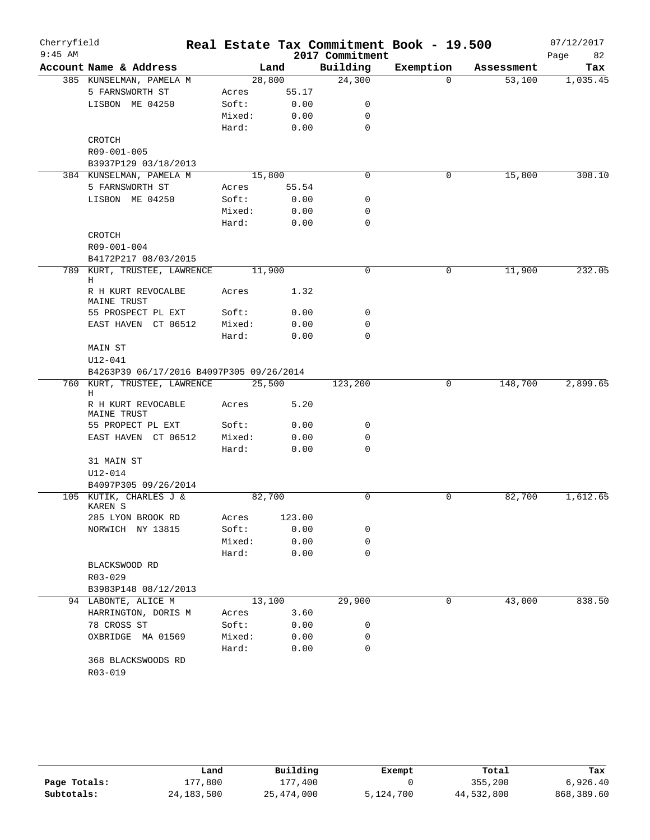| Cherryfield |                                          |        |        |                 | Real Estate Tax Commitment Book - 19.500 |            | 07/12/2017 |
|-------------|------------------------------------------|--------|--------|-----------------|------------------------------------------|------------|------------|
| $9:45$ AM   |                                          |        |        | 2017 Commitment |                                          |            | 82<br>Page |
|             | Account Name & Address                   |        | Land   | Building        | Exemption                                | Assessment | Tax        |
|             | 385 KUNSELMAN, PAMELA M                  | 28,800 |        | 24,300          | $\Omega$                                 | 53,100     | 1,035.45   |
|             | 5 FARNSWORTH ST                          | Acres  | 55.17  |                 |                                          |            |            |
|             | LISBON ME 04250                          | Soft:  | 0.00   | 0               |                                          |            |            |
|             |                                          | Mixed: | 0.00   | 0               |                                          |            |            |
|             |                                          | Hard:  | 0.00   | $\mathbf 0$     |                                          |            |            |
|             | CROTCH                                   |        |        |                 |                                          |            |            |
|             | R09-001-005                              |        |        |                 |                                          |            |            |
|             | B3937P129 03/18/2013                     |        |        |                 |                                          |            |            |
|             | 384 KUNSELMAN, PAMELA M                  | 15,800 |        | $\mathbf 0$     | 0                                        | 15,800     | 308.10     |
|             | 5 FARNSWORTH ST                          | Acres  | 55.54  |                 |                                          |            |            |
|             | LISBON ME 04250                          | Soft:  | 0.00   | 0               |                                          |            |            |
|             |                                          | Mixed: | 0.00   | 0               |                                          |            |            |
|             |                                          | Hard:  | 0.00   | $\mathbf 0$     |                                          |            |            |
|             | CROTCH                                   |        |        |                 |                                          |            |            |
|             | R09-001-004                              |        |        |                 |                                          |            |            |
|             | B4172P217 08/03/2015                     |        |        | $\mathbf 0$     |                                          |            | 232.05     |
|             | 789 KURT, TRUSTEE, LAWRENCE<br>Н         | 11,900 |        |                 | 0                                        | 11,900     |            |
|             | R H KURT REVOCALBE                       | Acres  | 1.32   |                 |                                          |            |            |
|             | MAINE TRUST                              |        |        |                 |                                          |            |            |
|             | 55 PROSPECT PL EXT                       | Soft:  | 0.00   | 0               |                                          |            |            |
|             | EAST HAVEN CT 06512                      | Mixed: | 0.00   | 0               |                                          |            |            |
|             |                                          | Hard:  | 0.00   | $\mathbf 0$     |                                          |            |            |
|             | MAIN ST                                  |        |        |                 |                                          |            |            |
|             | $U12 - 041$                              |        |        |                 |                                          |            |            |
|             | B4263P39 06/17/2016 B4097P305 09/26/2014 |        |        |                 |                                          |            |            |
|             | 760 KURT, TRUSTEE, LAWRENCE              | 25,500 |        | 123,200         | 0                                        | 148,700    | 2,899.65   |
|             | Н                                        |        |        |                 |                                          |            |            |
|             | R H KURT REVOCABLE<br>MAINE TRUST        | Acres  | 5.20   |                 |                                          |            |            |
|             | 55 PROPECT PL EXT                        | Soft:  | 0.00   | $\mathsf{O}$    |                                          |            |            |
|             | EAST HAVEN CT 06512                      | Mixed: | 0.00   | 0               |                                          |            |            |
|             |                                          | Hard:  | 0.00   | $\mathbf 0$     |                                          |            |            |
|             | 31 MAIN ST                               |        |        |                 |                                          |            |            |
|             | U12-014                                  |        |        |                 |                                          |            |            |
|             | B4097P305 09/26/2014                     |        |        |                 |                                          |            |            |
|             | 105 KUTIK, CHARLES J &                   | 82,700 |        | $\mathbf 0$     | 0                                        | 82,700     | 1,612.65   |
|             | KAREN S                                  |        |        |                 |                                          |            |            |
|             | 285 LYON BROOK RD                        | Acres  | 123.00 |                 |                                          |            |            |
|             | NORWICH NY 13815                         | Soft:  | 0.00   | 0               |                                          |            |            |
|             |                                          | Mixed: | 0.00   | 0               |                                          |            |            |
|             |                                          | Hard:  | 0.00   | $\mathbf 0$     |                                          |            |            |
|             | BLACKSWOOD RD                            |        |        |                 |                                          |            |            |
|             | R03-029                                  |        |        |                 |                                          |            |            |
|             | B3983P148 08/12/2013                     |        |        |                 |                                          |            |            |
|             | 94 LABONTE, ALICE M                      | 13,100 |        | 29,900          | 0                                        | 43,000     | 838.50     |
|             | HARRINGTON, DORIS M                      | Acres  | 3.60   |                 |                                          |            |            |
|             | 78 CROSS ST                              | Soft:  | 0.00   | 0               |                                          |            |            |
|             | OXBRIDGE MA 01569                        | Mixed: | 0.00   | 0               |                                          |            |            |
|             |                                          | Hard:  | 0.00   | 0               |                                          |            |            |
|             | 368 BLACKSWOODS RD                       |        |        |                 |                                          |            |            |
|             | R03-019                                  |        |        |                 |                                          |            |            |

|              | Land         | Building   | Exempt    | Total      | Tax        |
|--------------|--------------|------------|-----------|------------|------------|
| Page Totals: | 177.800      | 177,400    |           | 355,200    | 6,926.40   |
| Subtotals:   | 24, 183, 500 | 25,474,000 | 5,124,700 | 44,532,800 | 868,389.60 |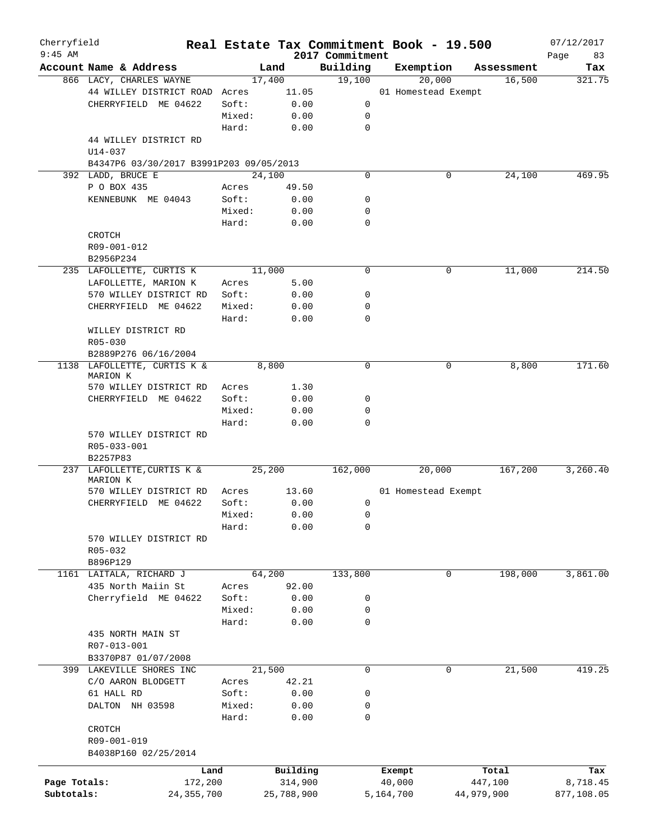| Cherryfield<br>$9:45$ AM |                                         |        | Real Estate Tax Commitment Book - 19.500 | 2017 Commitment |                     |        |            | 07/12/2017<br>Page<br>83 |
|--------------------------|-----------------------------------------|--------|------------------------------------------|-----------------|---------------------|--------|------------|--------------------------|
|                          | Account Name & Address                  |        | Land                                     | Building        | Exemption           |        | Assessment | Tax                      |
|                          | 866 LACY, CHARLES WAYNE                 |        | 17,400                                   | 19,100          |                     | 20,000 | 16,500     | 321.75                   |
|                          | 44 WILLEY DISTRICT ROAD Acres           |        | 11.05                                    |                 | 01 Homestead Exempt |        |            |                          |
|                          | CHERRYFIELD ME 04622                    | Soft:  | 0.00                                     | 0               |                     |        |            |                          |
|                          |                                         | Mixed: | 0.00                                     | 0               |                     |        |            |                          |
|                          |                                         | Hard:  | 0.00                                     | $\mathbf 0$     |                     |        |            |                          |
|                          | 44 WILLEY DISTRICT RD<br>$U14 - 037$    |        |                                          |                 |                     |        |            |                          |
|                          | B4347P6 03/30/2017 B3991P203 09/05/2013 |        |                                          |                 |                     |        |            |                          |
|                          | 392 LADD, BRUCE E                       |        | 24,100                                   | $\Omega$        |                     | 0      | 24,100     | 469.95                   |
|                          | P O BOX 435                             | Acres  | 49.50                                    |                 |                     |        |            |                          |
|                          | KENNEBUNK ME 04043                      | Soft:  | 0.00                                     | 0               |                     |        |            |                          |
|                          |                                         | Mixed: | 0.00                                     | 0               |                     |        |            |                          |
|                          |                                         | Hard:  | 0.00                                     | $\mathbf 0$     |                     |        |            |                          |
|                          | CROTCH                                  |        |                                          |                 |                     |        |            |                          |
|                          | R09-001-012                             |        |                                          |                 |                     |        |            |                          |
|                          |                                         |        |                                          |                 |                     |        |            |                          |
|                          | B2956P234                               |        |                                          |                 |                     |        |            |                          |
|                          | 235 LAFOLLETTE, CURTIS K                |        | 11,000                                   | $\mathbf 0$     |                     | 0      | 11,000     | 214.50                   |
|                          | LAFOLLETTE, MARION K                    | Acres  | 5.00                                     |                 |                     |        |            |                          |
|                          | 570 WILLEY DISTRICT RD                  | Soft:  | 0.00                                     | 0               |                     |        |            |                          |
|                          | CHERRYFIELD ME 04622                    | Mixed: | 0.00                                     | 0               |                     |        |            |                          |
|                          |                                         | Hard:  | 0.00                                     | $\mathbf 0$     |                     |        |            |                          |
|                          | WILLEY DISTRICT RD                      |        |                                          |                 |                     |        |            |                          |
|                          | $R05 - 030$                             |        |                                          |                 |                     |        |            |                          |
|                          | B2889P276 06/16/2004                    |        |                                          |                 |                     |        |            |                          |
|                          | 1138 LAFOLLETTE, CURTIS K &             |        | 8,800                                    | $\mathbf 0$     |                     | 0      | 8,800      | 171.60                   |
|                          | MARION K                                |        |                                          |                 |                     |        |            |                          |
|                          | 570 WILLEY DISTRICT RD                  | Acres  | 1.30                                     |                 |                     |        |            |                          |
|                          | CHERRYFIELD ME 04622                    | Soft:  | 0.00                                     | 0               |                     |        |            |                          |
|                          |                                         | Mixed: | 0.00                                     | 0               |                     |        |            |                          |
|                          |                                         | Hard:  | 0.00                                     | 0               |                     |        |            |                          |
|                          | 570 WILLEY DISTRICT RD                  |        |                                          |                 |                     |        |            |                          |
|                          | R05-033-001                             |        |                                          |                 |                     |        |            |                          |
|                          | B2257P83                                |        |                                          |                 |                     |        |            |                          |
|                          | 237 LAFOLLETTE, CURTIS K &              |        | 25,200                                   | 162,000         |                     | 20,000 | 167,200    | 3,260.40                 |
|                          | MARION K                                |        |                                          |                 |                     |        |            |                          |
|                          | 570 WILLEY DISTRICT RD                  | Acres  | 13.60                                    |                 | 01 Homestead Exempt |        |            |                          |
|                          | CHERRYFIELD ME 04622                    | Soft:  | 0.00                                     | 0               |                     |        |            |                          |
|                          |                                         | Mixed: | 0.00                                     | 0               |                     |        |            |                          |
|                          |                                         | Hard:  | 0.00                                     | 0               |                     |        |            |                          |
|                          | 570 WILLEY DISTRICT RD                  |        |                                          |                 |                     |        |            |                          |
|                          | R05-032                                 |        |                                          |                 |                     |        |            |                          |
|                          | B896P129                                |        |                                          |                 |                     |        |            |                          |
|                          | 1161 LAITALA, RICHARD J                 |        | 64,200                                   | 133,800         |                     | 0      | 198,000    | 3,861.00                 |
|                          | 435 North Maiin St                      | Acres  | 92.00                                    |                 |                     |        |            |                          |
|                          | Cherryfield ME 04622                    | Soft:  | 0.00                                     | 0               |                     |        |            |                          |
|                          |                                         | Mixed: | 0.00                                     | 0               |                     |        |            |                          |
|                          |                                         | Hard:  | 0.00                                     | 0               |                     |        |            |                          |
|                          | 435 NORTH MAIN ST                       |        |                                          |                 |                     |        |            |                          |
|                          | R07-013-001                             |        |                                          |                 |                     |        |            |                          |
|                          | B3370P87 01/07/2008                     |        |                                          |                 |                     |        |            |                          |
|                          | 399 LAKEVILLE SHORES INC                |        | 21,500                                   | 0               |                     | 0      | 21,500     | 419.25                   |
|                          | C/O AARON BLODGETT                      | Acres  | 42.21                                    |                 |                     |        |            |                          |
|                          | 61 HALL RD                              | Soft:  | 0.00                                     | 0               |                     |        |            |                          |
|                          | DALTON NH 03598                         | Mixed: | 0.00                                     | 0               |                     |        |            |                          |
|                          |                                         | Hard:  | 0.00                                     | 0               |                     |        |            |                          |
|                          | CROTCH                                  |        |                                          |                 |                     |        |            |                          |
|                          | R09-001-019                             |        |                                          |                 |                     |        |            |                          |
|                          |                                         |        |                                          |                 |                     |        |            |                          |
|                          | B4038P160 02/25/2014                    |        |                                          |                 |                     |        |            |                          |
|                          | Land                                    |        | Building                                 |                 | Exempt              |        | Total      | Tax                      |
| Page Totals:             | 172,200                                 |        | 314,900                                  |                 | 40,000              |        | 447,100    | 8,718.45                 |
| Subtotals:               | 24, 355, 700                            |        | 25,788,900                               |                 | 5,164,700           |        | 44,979,900 | 877,108.05               |
|                          |                                         |        |                                          |                 |                     |        |            |                          |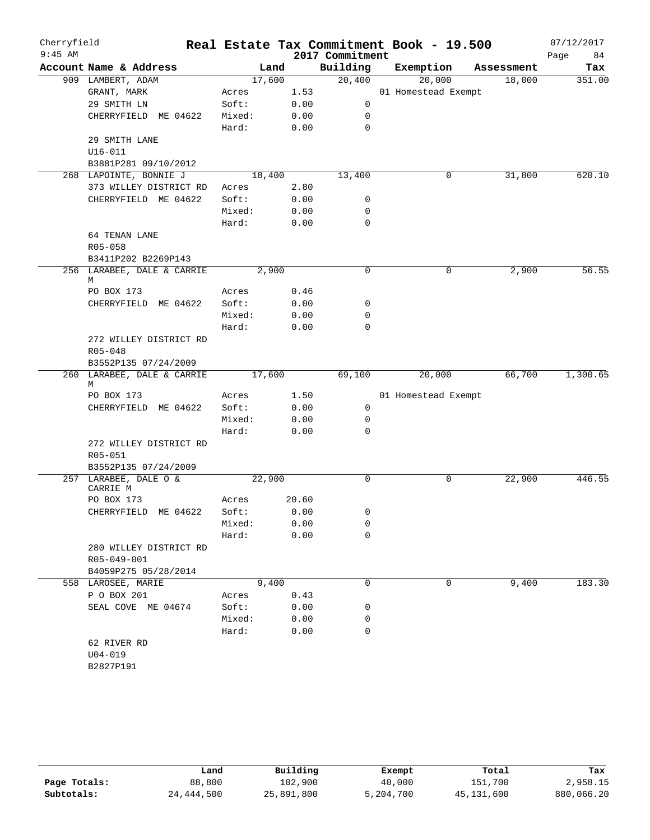| Cherryfield<br>$9:45$ AM |                            |        |        | 2017 Commitment | Real Estate Tax Commitment Book - 19.500 |            | 07/12/2017<br>84<br>Page |
|--------------------------|----------------------------|--------|--------|-----------------|------------------------------------------|------------|--------------------------|
|                          | Account Name & Address     |        | Land   | Building        | Exemption                                | Assessment | Tax                      |
|                          | 909 LAMBERT, ADAM          |        | 17,600 | 20,400          | 20,000                                   | 18,000     | 351.00                   |
|                          | GRANT, MARK                | Acres  | 1.53   |                 | 01 Homestead Exempt                      |            |                          |
|                          | 29 SMITH LN                | Soft:  | 0.00   | 0               |                                          |            |                          |
|                          | CHERRYFIELD ME 04622       | Mixed: | 0.00   | 0               |                                          |            |                          |
|                          |                            | Hard:  | 0.00   | $\mathbf 0$     |                                          |            |                          |
|                          | 29 SMITH LANE              |        |        |                 |                                          |            |                          |
|                          | $U16 - 011$                |        |        |                 |                                          |            |                          |
|                          | B3881P281 09/10/2012       |        |        |                 |                                          |            |                          |
|                          | 268 LAPOINTE, BONNIE J     |        | 18,400 | 13,400          | 0                                        | 31,800     | 620.10                   |
|                          | 373 WILLEY DISTRICT RD     | Acres  | 2.80   |                 |                                          |            |                          |
|                          | CHERRYFIELD ME 04622       | Soft:  | 0.00   | 0               |                                          |            |                          |
|                          |                            | Mixed: | 0.00   | 0               |                                          |            |                          |
|                          |                            | Hard:  | 0.00   | $\mathbf 0$     |                                          |            |                          |
|                          | 64 TENAN LANE              |        |        |                 |                                          |            |                          |
|                          | R05-058                    |        |        |                 |                                          |            |                          |
|                          | B3411P202 B2269P143        |        |        |                 |                                          |            |                          |
|                          | 256 LARABEE, DALE & CARRIE |        | 2,900  | 0               | 0                                        | 2,900      | 56.55                    |
|                          | М                          |        |        |                 |                                          |            |                          |
|                          | PO BOX 173                 | Acres  | 0.46   |                 |                                          |            |                          |
|                          | CHERRYFIELD ME 04622       | Soft:  | 0.00   | 0               |                                          |            |                          |
|                          |                            | Mixed: | 0.00   | 0               |                                          |            |                          |
|                          |                            | Hard:  | 0.00   | 0               |                                          |            |                          |
|                          | 272 WILLEY DISTRICT RD     |        |        |                 |                                          |            |                          |
|                          | R05-048                    |        |        |                 |                                          |            |                          |
|                          | B3552P135 07/24/2009       |        |        |                 |                                          |            |                          |
|                          | 260 LARABEE, DALE & CARRIE |        | 17,600 | 69,100          | 20,000                                   | 66,700     | 1,300.65                 |
|                          | М                          |        |        |                 |                                          |            |                          |
|                          | PO BOX 173                 | Acres  | 1.50   |                 | 01 Homestead Exempt                      |            |                          |
|                          | CHERRYFIELD ME 04622       | Soft:  | 0.00   | 0               |                                          |            |                          |
|                          |                            | Mixed: | 0.00   | 0               |                                          |            |                          |
|                          |                            | Hard:  | 0.00   | 0               |                                          |            |                          |
|                          | 272 WILLEY DISTRICT RD     |        |        |                 |                                          |            |                          |
|                          | R05-051                    |        |        |                 |                                          |            |                          |
|                          | B3552P135 07/24/2009       |        |        |                 |                                          |            |                          |
|                          | 257 LARABEE, DALE O &      |        | 22,900 | 0               | 0                                        | 22,900     | 446.55                   |
|                          | CARRIE M                   |        |        |                 |                                          |            |                          |
|                          | PO BOX 173                 | Acres  | 20.60  |                 |                                          |            |                          |
|                          | CHERRYFIELD ME 04622       | Soft:  | 0.00   | 0               |                                          |            |                          |
|                          |                            | Mixed: | 0.00   | 0               |                                          |            |                          |
|                          |                            | Hard:  | 0.00   | 0               |                                          |            |                          |
|                          | 280 WILLEY DISTRICT RD     |        |        |                 |                                          |            |                          |
|                          | R05-049-001                |        |        |                 |                                          |            |                          |
|                          | B4059P275 05/28/2014       |        |        |                 |                                          |            |                          |
|                          | 558 LAROSEE, MARIE         |        | 9,400  | 0               | 0                                        | 9,400      | 183.30                   |
|                          | P O BOX 201                | Acres  | 0.43   |                 |                                          |            |                          |
|                          | SEAL COVE ME 04674         | Soft:  | 0.00   | 0               |                                          |            |                          |
|                          |                            | Mixed: | 0.00   | 0               |                                          |            |                          |
|                          |                            | Hard:  | 0.00   | 0               |                                          |            |                          |
|                          | 62 RIVER RD                |        |        |                 |                                          |            |                          |
|                          | $U04 - 019$                |        |        |                 |                                          |            |                          |
|                          | B2827P191                  |        |        |                 |                                          |            |                          |
|                          |                            |        |        |                 |                                          |            |                          |

|              | Land       | Building   | Exempt    | Total        | Tax        |
|--------------|------------|------------|-----------|--------------|------------|
| Page Totals: | 88,800     | 102,900    | 40,000    | 151,700      | 2,958.15   |
| Subtotals:   | 24,444,500 | 25,891,800 | 5,204,700 | 45, 131, 600 | 880,066.20 |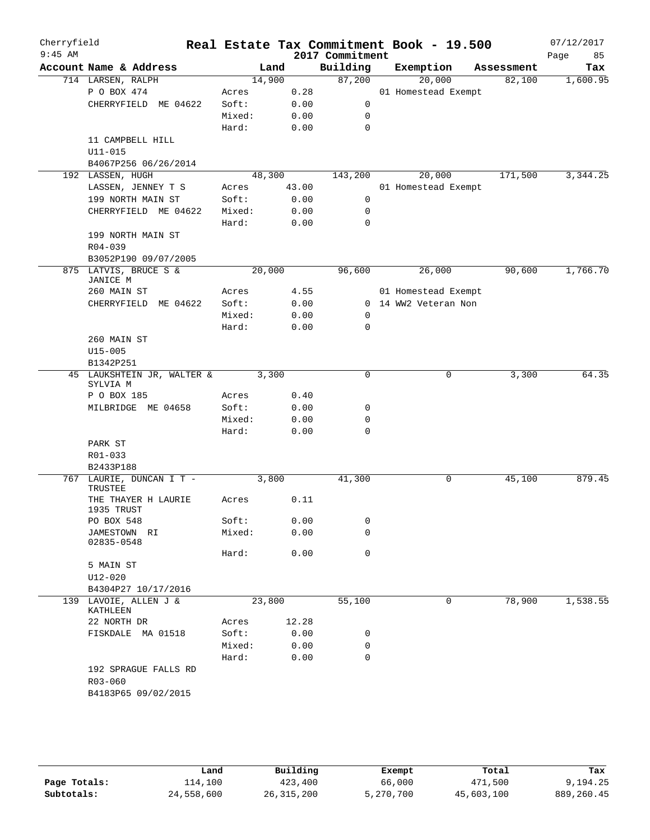| Cherryfield<br>$9:45$ AM |                         |                            |        |              | 2017 Commitment | Real Estate Tax Commitment Book - 19.500 |            | 07/12/2017<br>Page<br>85 |
|--------------------------|-------------------------|----------------------------|--------|--------------|-----------------|------------------------------------------|------------|--------------------------|
|                          | Account Name & Address  |                            |        | Land         | Building        | Exemption                                | Assessment | Tax                      |
|                          | 714 LARSEN, RALPH       |                            |        | 14,900       | 87,200          | 20,000                                   | 82,100     | 1,600.95                 |
|                          | P O BOX 474             |                            | Acres  | 0.28         |                 | 01 Homestead Exempt                      |            |                          |
|                          |                         | CHERRYFIELD ME 04622       | Soft:  | 0.00         | 0               |                                          |            |                          |
|                          |                         |                            | Mixed: | 0.00         | 0               |                                          |            |                          |
|                          |                         |                            | Hard:  | 0.00         | 0               |                                          |            |                          |
|                          |                         | 11 CAMPBELL HILL           |        |              |                 |                                          |            |                          |
|                          | $U11 - 015$             |                            |        |              |                 |                                          |            |                          |
|                          |                         | B4067P256 06/26/2014       |        |              |                 |                                          |            |                          |
|                          | 192 LASSEN, HUGH        |                            |        | 48,300       | 143,200         | 20,000                                   | 171,500    | 3,344.25                 |
|                          |                         | LASSEN, JENNEY T S         | Acres  | 43.00        |                 | 01 Homestead Exempt                      |            |                          |
|                          |                         | 199 NORTH MAIN ST          | Soft:  | 0.00         | 0               |                                          |            |                          |
|                          |                         | CHERRYFIELD ME 04622       | Mixed: | 0.00         | 0               |                                          |            |                          |
|                          |                         |                            | Hard:  | 0.00         | 0               |                                          |            |                          |
|                          |                         | 199 NORTH MAIN ST          |        |              |                 |                                          |            |                          |
|                          | $R04 - 039$             |                            |        |              |                 |                                          |            |                          |
|                          |                         | B3052P190 09/07/2005       |        |              |                 |                                          |            |                          |
|                          |                         | 875 LATVIS, BRUCE S &      |        | 20,000       | 96,600          | 26,000                                   | 90,600     | 1,766.70                 |
|                          | JANICE M<br>260 MAIN ST |                            | Acres  | 4.55         |                 | 01 Homestead Exempt                      |            |                          |
|                          |                         |                            | Soft:  |              |                 | 0 14 WW2 Veteran Non                     |            |                          |
|                          |                         | CHERRYFIELD ME 04622       | Mixed: | 0.00<br>0.00 | 0               |                                          |            |                          |
|                          |                         | Hard:                      | 0.00   | 0            |                 |                                          |            |                          |
|                          | 260 MAIN ST             |                            |        |              |                 |                                          |            |                          |
| $U15 - 005$<br>B1342P251 |                         |                            |        |              |                 |                                          |            |                          |
|                          |                         |                            |        |              |                 |                                          |            |                          |
|                          |                         | 45 LAUKSHTEIN JR, WALTER & |        | 3,300        | $\Omega$        | 0                                        | 3,300      | 64.35                    |
|                          | SYLVIA M                |                            |        |              |                 |                                          |            |                          |
|                          | P O BOX 185             |                            | Acres  | 0.40         |                 |                                          |            |                          |
|                          |                         | MILBRIDGE ME 04658         | Soft:  | 0.00         | 0               |                                          |            |                          |
|                          |                         |                            | Mixed: | 0.00         | 0               |                                          |            |                          |
|                          |                         |                            | Hard:  | 0.00         | 0               |                                          |            |                          |
|                          | PARK ST                 |                            |        |              |                 |                                          |            |                          |
|                          | R01-033                 |                            |        |              |                 |                                          |            |                          |
|                          | B2433P188               |                            |        |              |                 |                                          |            |                          |
|                          | TRUSTEE                 | 767 LAURIE, DUNCAN I T -   |        | 3,800        | 41,300          | 0                                        | 45,100     | 879.45                   |
|                          | 1935 TRUST              | THE THAYER H LAURIE        | Acres  | 0.11         |                 |                                          |            |                          |
|                          | PO BOX 548              |                            | Soft:  | 0.00         | 0               |                                          |            |                          |
|                          | JAMESTOWN RI            |                            | Mixed: | 0.00         | 0               |                                          |            |                          |
|                          | 02835-0548              |                            |        |              |                 |                                          |            |                          |
|                          |                         |                            | Hard:  | 0.00         | $\mathbf 0$     |                                          |            |                          |
|                          | 5 MAIN ST               |                            |        |              |                 |                                          |            |                          |
|                          | $U12 - 020$             |                            |        |              |                 |                                          |            |                          |
|                          |                         | B4304P27 10/17/2016        |        |              |                 |                                          |            |                          |
|                          |                         | 139 LAVOIE, ALLEN J &      |        | 23,800       | 55,100          | 0                                        | 78,900     | 1,538.55                 |
|                          | KATHLEEN                |                            |        |              |                 |                                          |            |                          |
|                          | 22 NORTH DR             |                            | Acres  | 12.28        |                 |                                          |            |                          |
|                          |                         | FISKDALE MA 01518          | Soft:  | 0.00         | 0               |                                          |            |                          |
|                          |                         |                            | Mixed: | 0.00         | 0               |                                          |            |                          |
|                          |                         |                            | Hard:  | 0.00         | 0               |                                          |            |                          |
|                          |                         | 192 SPRAGUE FALLS RD       |        |              |                 |                                          |            |                          |
|                          | $R03 - 060$             |                            |        |              |                 |                                          |            |                          |
|                          |                         | B4183P65 09/02/2015        |        |              |                 |                                          |            |                          |
|                          |                         |                            |        |              |                 |                                          |            |                          |

|              | Land       | Building     | Exempt    | Total      | Tax         |
|--------------|------------|--------------|-----------|------------|-------------|
| Page Totals: | 114,100    | 423,400      | 66,000    | 471,500    | 9,194.25    |
| Subtotals:   | 24,558,600 | 26, 315, 200 | 5,270,700 | 45,603,100 | 889, 260.45 |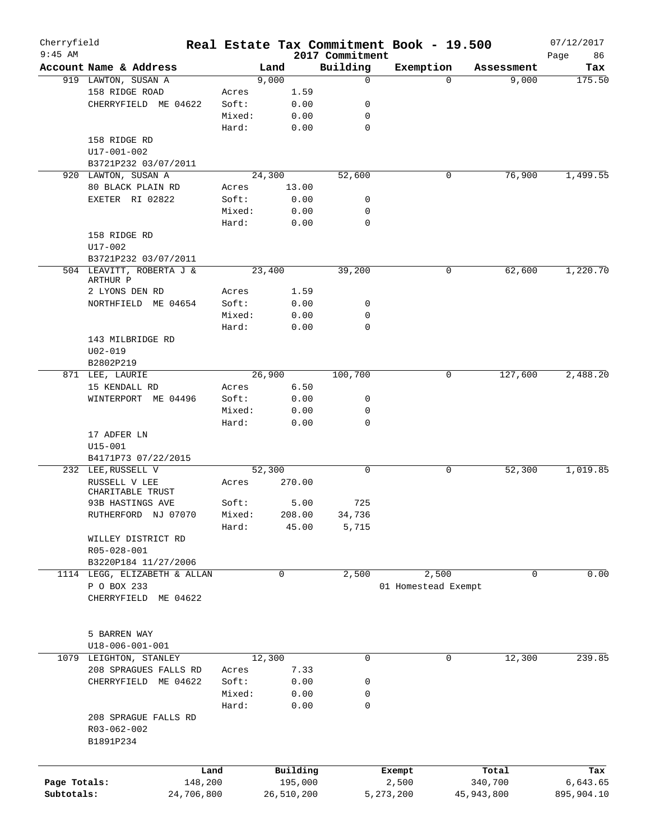| Cherryfield  |                                                  |            |            |         |                             | Real Estate Tax Commitment Book - 19.500 |              |            | 07/12/2017        |
|--------------|--------------------------------------------------|------------|------------|---------|-----------------------------|------------------------------------------|--------------|------------|-------------------|
| $9:45$ AM    | Account Name & Address                           |            | Land       |         | 2017 Commitment<br>Building | Exemption                                |              | Assessment | Page<br>86<br>Tax |
|              | 919 LAWTON, SUSAN A                              |            | 9,000      |         | $\mathbf 0$                 |                                          | $\Omega$     | 9,000      | 175.50            |
|              | 158 RIDGE ROAD                                   | Acres      |            | 1.59    |                             |                                          |              |            |                   |
|              | CHERRYFIELD ME 04622                             | Soft:      |            | 0.00    | 0                           |                                          |              |            |                   |
|              |                                                  | Mixed:     |            | 0.00    | 0                           |                                          |              |            |                   |
|              |                                                  | Hard:      |            | 0.00    | 0                           |                                          |              |            |                   |
|              | 158 RIDGE RD                                     |            |            |         |                             |                                          |              |            |                   |
|              | $U17 - 001 - 002$                                |            |            |         |                             |                                          |              |            |                   |
|              | B3721P232 03/07/2011                             |            |            |         |                             |                                          |              |            |                   |
|              | 920 LAWTON, SUSAN A                              |            | 24,300     |         | 52,600                      |                                          | 0            | 76,900     | 1,499.55          |
|              | 80 BLACK PLAIN RD                                | Acres      |            | 13.00   |                             |                                          |              |            |                   |
|              | EXETER RI 02822                                  | Soft:      |            | 0.00    | 0                           |                                          |              |            |                   |
|              |                                                  | Mixed:     |            | 0.00    | 0                           |                                          |              |            |                   |
|              |                                                  | Hard:      |            | 0.00    | $\mathbf 0$                 |                                          |              |            |                   |
|              | 158 RIDGE RD                                     |            |            |         |                             |                                          |              |            |                   |
|              | U17-002                                          |            |            |         |                             |                                          |              |            |                   |
|              |                                                  |            |            |         |                             |                                          |              |            |                   |
|              | B3721P232 03/07/2011<br>504 LEAVITT, ROBERTA J & |            | 23,400     |         |                             |                                          | 0            |            | 1,220.70          |
|              | ARTHUR P                                         |            |            |         | 39,200                      |                                          |              | 62,600     |                   |
|              | 2 LYONS DEN RD                                   | Acres      |            | 1.59    |                             |                                          |              |            |                   |
|              | NORTHFIELD ME 04654                              | Soft:      |            | 0.00    | 0                           |                                          |              |            |                   |
|              |                                                  | Mixed:     |            | 0.00    | $\mathbf 0$                 |                                          |              |            |                   |
|              |                                                  | Hard:      |            | 0.00    | 0                           |                                          |              |            |                   |
|              | 143 MILBRIDGE RD                                 |            |            |         |                             |                                          |              |            |                   |
|              | $U02 - 019$                                      |            |            |         |                             |                                          |              |            |                   |
|              | B2802P219                                        |            |            |         |                             |                                          |              |            |                   |
|              | 871 LEE, LAURIE                                  |            | 26,900     |         | 100,700                     |                                          | 0            | 127,600    | 2,488.20          |
|              | 15 KENDALL RD                                    | Acres      |            | 6.50    |                             |                                          |              |            |                   |
|              | ME 04496<br>WINTERPORT                           | Soft:      |            | 0.00    | 0                           |                                          |              |            |                   |
|              |                                                  | Mixed:     |            | 0.00    | 0                           |                                          |              |            |                   |
|              |                                                  | Hard:      |            | 0.00    | 0                           |                                          |              |            |                   |
|              | 17 ADFER LN                                      |            |            |         |                             |                                          |              |            |                   |
|              | $U15 - 001$                                      |            |            |         |                             |                                          |              |            |                   |
|              | B4171P73 07/22/2015                              |            |            |         |                             |                                          |              |            |                   |
|              | 232 LEE, RUSSELL V                               |            | 52,300     |         | 0                           |                                          | 0            | 52,300     | 1,019.85          |
|              | RUSSELL V LEE                                    | Acres      | 270.00     |         |                             |                                          |              |            |                   |
|              | CHARITABLE TRUST                                 |            |            |         |                             |                                          |              |            |                   |
|              | 93B HASTINGS AVE                                 | Soft:      |            | 5.00    | 725                         |                                          |              |            |                   |
|              | RUTHERFORD NJ 07070                              | Mixed:     | 208.00     |         | 34,736                      |                                          |              |            |                   |
|              |                                                  | Hard:      |            | 45.00   | 5,715                       |                                          |              |            |                   |
|              | WILLEY DISTRICT RD                               |            |            |         |                             |                                          |              |            |                   |
|              | R05-028-001                                      |            |            |         |                             |                                          |              |            |                   |
|              | B3220P184 11/27/2006                             |            |            |         |                             |                                          |              |            |                   |
|              | 1114 LEGG, ELIZABETH & ALLAN                     |            | 0          |         | 2,500                       | 2,500                                    |              | 0          | 0.00              |
|              | P O BOX 233                                      |            |            |         |                             | 01 Homestead Exempt                      |              |            |                   |
|              | CHERRYFIELD ME 04622                             |            |            |         |                             |                                          |              |            |                   |
|              |                                                  |            |            |         |                             |                                          |              |            |                   |
|              |                                                  |            |            |         |                             |                                          |              |            |                   |
|              | 5 BARREN WAY                                     |            |            |         |                             |                                          |              |            |                   |
|              | $U18 - 006 - 001 - 001$                          |            |            |         |                             |                                          |              |            |                   |
| 1079         | LEIGHTON, STANLEY                                |            | 12,300     |         | 0                           |                                          | 0            | 12,300     | 239.85            |
|              | 208 SPRAGUES FALLS RD                            | Acres      |            | 7.33    |                             |                                          |              |            |                   |
|              | CHERRYFIELD ME 04622                             | Soft:      |            | 0.00    | 0                           |                                          |              |            |                   |
|              |                                                  | Mixed:     |            | 0.00    | 0                           |                                          |              |            |                   |
|              |                                                  | Hard:      |            | 0.00    | 0                           |                                          |              |            |                   |
|              | 208 SPRAGUE FALLS RD                             |            |            |         |                             |                                          |              |            |                   |
|              | R03-062-002                                      |            |            |         |                             |                                          |              |            |                   |
|              | B1891P234                                        |            |            |         |                             |                                          |              |            |                   |
|              |                                                  |            |            |         |                             |                                          |              |            |                   |
|              |                                                  |            |            |         |                             |                                          |              |            |                   |
|              |                                                  | Land       | Building   |         |                             | Exempt                                   |              | Total      | Tax               |
| Page Totals: |                                                  | 148,200    |            | 195,000 |                             | 2,500                                    |              | 340,700    | 6,643.65          |
| Subtotals:   |                                                  | 24,706,800 | 26,510,200 |         |                             | 5,273,200                                | 45, 943, 800 |            | 895,904.10        |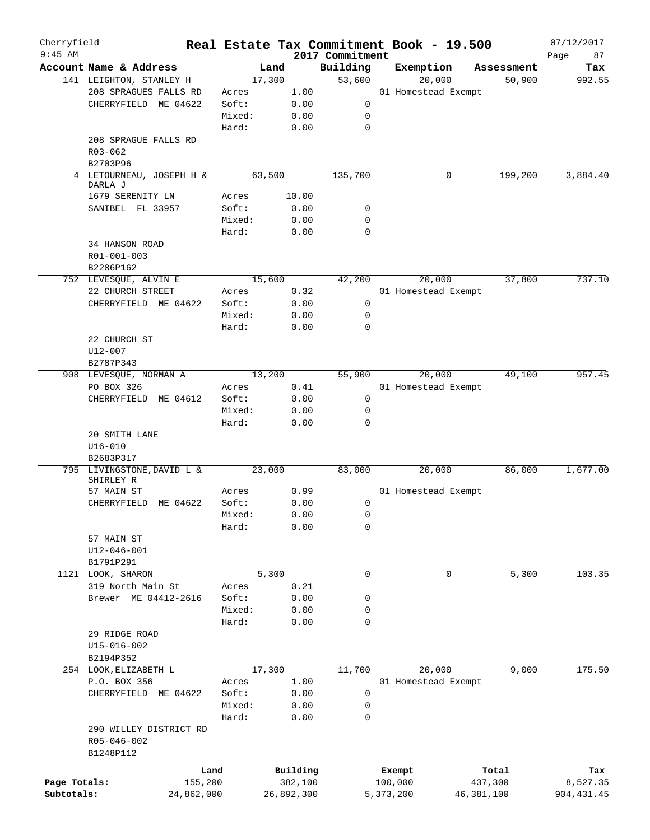| Cherryfield  |                                     |            |        |            |                             | Real Estate Tax Commitment Book - 19.500 |                      | 07/12/2017    |
|--------------|-------------------------------------|------------|--------|------------|-----------------------------|------------------------------------------|----------------------|---------------|
| $9:45$ AM    | Account Name & Address              |            | Land   |            | 2017 Commitment<br>Building | Exemption                                |                      | Page<br>87    |
|              | 141 LEIGHTON, STANLEY H             |            | 17,300 |            | 53,600                      | 20,000                                   | Assessment<br>50,900 | Tax<br>992.55 |
|              | 208 SPRAGUES FALLS RD               |            | Acres  | 1.00       |                             | 01 Homestead Exempt                      |                      |               |
|              | CHERRYFIELD ME 04622                |            | Soft:  | 0.00       | 0                           |                                          |                      |               |
|              |                                     |            | Mixed: |            | 0                           |                                          |                      |               |
|              |                                     |            |        | 0.00       |                             |                                          |                      |               |
|              |                                     |            | Hard:  | 0.00       | $\mathbf 0$                 |                                          |                      |               |
|              | 208 SPRAGUE FALLS RD                |            |        |            |                             |                                          |                      |               |
|              | R03-062                             |            |        |            |                             |                                          |                      |               |
|              | B2703P96                            |            |        |            |                             |                                          |                      |               |
|              | 4 LETOURNEAU, JOSEPH H &<br>DARLA J |            | 63,500 |            | 135,700                     | 0                                        | 199,200              | 3,884.40      |
|              | 1679 SERENITY LN                    |            | Acres  | 10.00      |                             |                                          |                      |               |
|              | SANIBEL FL 33957                    |            | Soft:  | 0.00       | 0                           |                                          |                      |               |
|              |                                     |            | Mixed: | 0.00       | 0                           |                                          |                      |               |
|              |                                     |            | Hard:  | 0.00       | 0                           |                                          |                      |               |
|              | 34 HANSON ROAD                      |            |        |            |                             |                                          |                      |               |
|              | R01-001-003                         |            |        |            |                             |                                          |                      |               |
|              | B2286P162                           |            |        |            |                             |                                          |                      |               |
|              |                                     |            | 15,600 |            |                             | 20,000                                   | 37,800               | 737.10        |
|              | 752 LEVESQUE, ALVIN E               |            |        |            | 42,200                      |                                          |                      |               |
|              | 22 CHURCH STREET                    |            | Acres  | 0.32       |                             | 01 Homestead Exempt                      |                      |               |
|              | CHERRYFIELD ME 04622                |            | Soft:  | 0.00       | 0                           |                                          |                      |               |
|              |                                     |            | Mixed: | 0.00       | 0                           |                                          |                      |               |
|              |                                     |            | Hard:  | 0.00       | 0                           |                                          |                      |               |
|              | 22 CHURCH ST                        |            |        |            |                             |                                          |                      |               |
|              | U12-007                             |            |        |            |                             |                                          |                      |               |
|              | B2787P343                           |            |        |            |                             |                                          |                      |               |
|              | 908 LEVESQUE, NORMAN A              |            | 13,200 |            | 55,900                      | 20,000                                   | 49,100               | 957.45        |
|              | PO BOX 326                          |            | Acres  | 0.41       |                             | 01 Homestead Exempt                      |                      |               |
|              | CHERRYFIELD ME 04612                |            | Soft:  | 0.00       | $\mathsf{O}$                |                                          |                      |               |
|              |                                     |            | Mixed: | 0.00       | 0                           |                                          |                      |               |
|              |                                     |            | Hard:  | 0.00       | 0                           |                                          |                      |               |
|              | 20 SMITH LANE                       |            |        |            |                             |                                          |                      |               |
|              | $U16 - 010$                         |            |        |            |                             |                                          |                      |               |
|              | B2683P317                           |            |        |            |                             |                                          |                      |               |
|              | 795 LIVINGSTONE, DAVID L &          |            | 23,000 |            | 83,000                      | 20,000                                   | 86,000               | 1,677.00      |
|              | SHIRLEY R                           |            |        |            |                             |                                          |                      |               |
|              | 57 MAIN ST                          |            | Acres  | 0.99       |                             | 01 Homestead Exempt                      |                      |               |
|              | CHERRYFIELD ME 04622                |            | Soft:  | 0.00       | 0                           |                                          |                      |               |
|              |                                     |            | Mixed: | 0.00       | $\mathbf{0}$                |                                          |                      |               |
|              |                                     |            | Hard:  | 0.00       | 0                           |                                          |                      |               |
|              | 57 MAIN ST                          |            |        |            |                             |                                          |                      |               |
|              | U12-046-001                         |            |        |            |                             |                                          |                      |               |
|              | B1791P291                           |            |        |            |                             |                                          |                      |               |
|              | 1121 LOOK, SHARON                   |            | 5,300  |            | $\mathbf 0$                 | $\mathbf 0$                              | 5,300                | 103.35        |
|              | 319 North Main St                   |            | Acres  | 0.21       |                             |                                          |                      |               |
|              | Brewer ME 04412-2616                |            | Soft:  | 0.00       | 0                           |                                          |                      |               |
|              |                                     |            | Mixed: | 0.00       | 0                           |                                          |                      |               |
|              |                                     |            | Hard:  | 0.00       | 0                           |                                          |                      |               |
|              | 29 RIDGE ROAD                       |            |        |            |                             |                                          |                      |               |
|              | $U15 - 016 - 002$                   |            |        |            |                             |                                          |                      |               |
|              | B2194P352                           |            |        |            |                             |                                          |                      |               |
|              | 254 LOOK, ELIZABETH L               |            | 17,300 |            | 11,700                      | 20,000                                   | 9,000                | 175.50        |
|              | P.O. BOX 356                        |            | Acres  | 1.00       |                             | 01 Homestead Exempt                      |                      |               |
|              | CHERRYFIELD ME 04622                |            | Soft:  | 0.00       | 0                           |                                          |                      |               |
|              |                                     |            | Mixed: | 0.00       | 0                           |                                          |                      |               |
|              |                                     |            | Hard:  | 0.00       | 0                           |                                          |                      |               |
|              | 290 WILLEY DISTRICT RD              |            |        |            |                             |                                          |                      |               |
|              | R05-046-002                         |            |        |            |                             |                                          |                      |               |
|              | B1248P112                           |            |        |            |                             |                                          |                      |               |
|              |                                     |            |        |            |                             |                                          |                      |               |
|              |                                     | Land       |        | Building   |                             | Exempt                                   | Total                | Tax           |
| Page Totals: |                                     | 155,200    |        | 382,100    |                             | 100,000                                  | 437,300              | 8,527.35      |
| Subtotals:   |                                     | 24,862,000 |        | 26,892,300 |                             | 5,373,200                                | 46, 381, 100         | 904, 431.45   |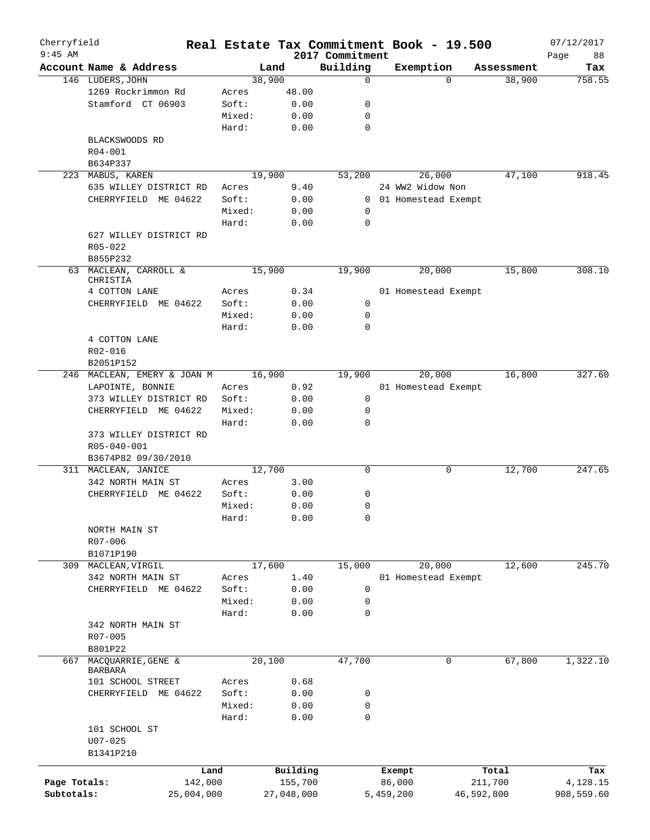| Cherryfield<br>$9:45$ AM |                             |        |            |                             |           | Real Estate Tax Commitment Book - 19.500 |            | 07/12/2017        |
|--------------------------|-----------------------------|--------|------------|-----------------------------|-----------|------------------------------------------|------------|-------------------|
|                          | Account Name & Address      |        | Land       | 2017 Commitment<br>Building |           | Exemption                                | Assessment | 88<br>Page<br>Tax |
|                          | 146 LUDERS, JOHN            |        | 38,900     | 0                           |           | $\Omega$                                 | 38,900     | 758.55            |
|                          | 1269 Rockrimmon Rd          | Acres  | 48.00      |                             |           |                                          |            |                   |
|                          | Stamford CT 06903           | Soft:  | 0.00       | 0                           |           |                                          |            |                   |
|                          |                             | Mixed: | 0.00       | 0                           |           |                                          |            |                   |
|                          |                             | Hard:  | 0.00       | 0                           |           |                                          |            |                   |
|                          | BLACKSWOODS RD              |        |            |                             |           |                                          |            |                   |
|                          | R04-001                     |        |            |                             |           |                                          |            |                   |
|                          | B634P337                    |        |            |                             |           |                                          |            |                   |
|                          | 223 MABUS, KAREN            |        | 19,900     | 53,200                      |           | 26,000                                   | 47,100     | 918.45            |
|                          |                             |        |            |                             |           | 24 WW2 Widow Non                         |            |                   |
|                          | 635 WILLEY DISTRICT RD      | Acres  | 9.40       |                             |           |                                          |            |                   |
|                          | CHERRYFIELD ME 04622        | Soft:  | 0.00       | $\mathbf{0}$                |           | 01 Homestead Exempt                      |            |                   |
|                          |                             | Mixed: | 0.00       | 0                           |           |                                          |            |                   |
|                          |                             | Hard:  | 0.00       | 0                           |           |                                          |            |                   |
|                          | 627 WILLEY DISTRICT RD      |        |            |                             |           |                                          |            |                   |
|                          | $R05 - 022$                 |        |            |                             |           |                                          |            |                   |
|                          | B855P232                    |        |            |                             |           |                                          |            |                   |
|                          | 63 MACLEAN, CARROLL &       |        | 15,900     | 19,900                      |           | 20,000                                   | 15,800     | 308.10            |
|                          | CHRISTIA                    |        |            |                             |           |                                          |            |                   |
|                          | 4 COTTON LANE               | Acres  | 0.34       |                             |           | 01 Homestead Exempt                      |            |                   |
|                          | CHERRYFIELD ME 04622        | Soft:  | 0.00       | 0                           |           |                                          |            |                   |
|                          |                             | Mixed: | 0.00       | 0                           |           |                                          |            |                   |
|                          |                             | Hard:  | 0.00       | $\Omega$                    |           |                                          |            |                   |
|                          | 4 COTTON LANE               |        |            |                             |           |                                          |            |                   |
|                          | $R02 - 016$                 |        |            |                             |           |                                          |            |                   |
|                          | B2051P152                   |        |            |                             |           |                                          |            |                   |
|                          | 246 MACLEAN, EMERY & JOAN M |        | 16,900     | 19,900                      |           | 20,000                                   | 16,800     | 327.60            |
|                          | LAPOINTE, BONNIE            | Acres  | 0.92       |                             |           | 01 Homestead Exempt                      |            |                   |
|                          | 373 WILLEY DISTRICT RD      | Soft:  | 0.00       | 0                           |           |                                          |            |                   |
|                          | CHERRYFIELD ME 04622        | Mixed: | 0.00       | 0                           |           |                                          |            |                   |
|                          |                             | Hard:  | 0.00       | 0                           |           |                                          |            |                   |
|                          | 373 WILLEY DISTRICT RD      |        |            |                             |           |                                          |            |                   |
|                          | R05-040-001                 |        |            |                             |           |                                          |            |                   |
|                          | B3674P82 09/30/2010         |        |            |                             |           |                                          |            |                   |
|                          | 311 MACLEAN, JANICE         |        | 12,700     | 0                           |           | 0                                        | 12,700     | 247.65            |
|                          | 342 NORTH MAIN ST           | Acres  | 3.00       |                             |           |                                          |            |                   |
|                          | CHERRYFIELD ME 04622        | Soft:  | 0.00       | 0                           |           |                                          |            |                   |
|                          |                             | Mixed: | 0.00       | 0                           |           |                                          |            |                   |
|                          |                             | Hard:  | 0.00       | 0                           |           |                                          |            |                   |
|                          | NORTH MAIN ST               |        |            |                             |           |                                          |            |                   |
|                          | R07-006                     |        |            |                             |           |                                          |            |                   |
|                          | B1071P190                   |        |            |                             |           |                                          |            |                   |
| 309                      | MACLEAN, VIRGIL             |        | 17,600     | 15,000                      |           | 20,000                                   | 12,600     | 245.70            |
|                          | 342 NORTH MAIN ST           | Acres  | 1.40       |                             |           | 01 Homestead Exempt                      |            |                   |
|                          | CHERRYFIELD ME 04622        | Soft:  | 0.00       | 0                           |           |                                          |            |                   |
|                          |                             | Mixed: | 0.00       | 0                           |           |                                          |            |                   |
|                          |                             | Hard:  | 0.00       | 0                           |           |                                          |            |                   |
|                          | 342 NORTH MAIN ST           |        |            |                             |           |                                          |            |                   |
|                          | R07-005                     |        |            |                             |           |                                          |            |                   |
|                          | B801P22                     |        |            |                             |           |                                          |            |                   |
| 667                      | MACQUARRIE, GENE &          |        | 20,100     | 47,700                      |           | 0                                        | 67,800     | 1,322.10          |
|                          | <b>BARBARA</b>              |        |            |                             |           |                                          |            |                   |
|                          | 101 SCHOOL STREET           | Acres  | 0.68       |                             |           |                                          |            |                   |
|                          | CHERRYFIELD ME 04622        | Soft:  | 0.00       | 0                           |           |                                          |            |                   |
|                          |                             | Mixed: | 0.00       | 0                           |           |                                          |            |                   |
|                          |                             | Hard:  | 0.00       | 0                           |           |                                          |            |                   |
|                          | 101 SCHOOL ST               |        |            |                             |           |                                          |            |                   |
|                          | $U07 - 025$                 |        |            |                             |           |                                          |            |                   |
|                          | B1341P210                   |        |            |                             |           |                                          |            |                   |
|                          |                             |        |            |                             |           |                                          |            |                   |
|                          | Land                        |        | Building   |                             | Exempt    |                                          | Total      | Tax               |
| Page Totals:             | 142,000                     |        | 155,700    |                             | 86,000    |                                          | 211,700    | 4,128.15          |
| Subtotals:               | 25,004,000                  |        | 27,048,000 |                             | 5,459,200 |                                          | 46,592,800 | 908,559.60        |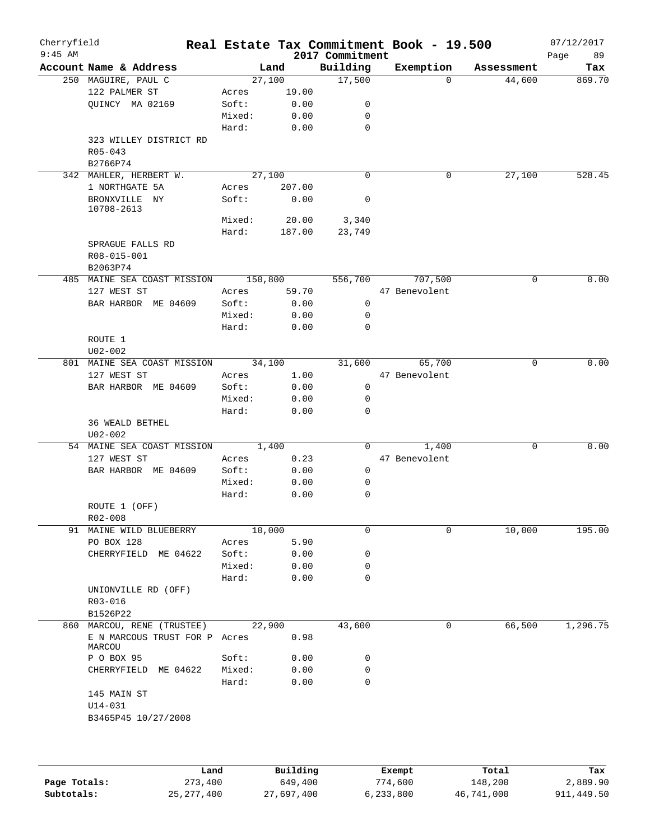| Cherryfield<br>$9:45$ AM |                                       |        |         | 2017 Commitment | Real Estate Tax Commitment Book - 19.500 |            | 07/12/2017<br>Page<br>89 |
|--------------------------|---------------------------------------|--------|---------|-----------------|------------------------------------------|------------|--------------------------|
|                          | Account Name & Address                |        | Land    | Building        | Exemption                                | Assessment | Tax                      |
|                          | 250 MAGUIRE, PAUL C                   |        | 27,100  | 17,500          | $\Omega$                                 | 44,600     | 869.70                   |
|                          | 122 PALMER ST                         | Acres  | 19.00   |                 |                                          |            |                          |
|                          | QUINCY MA 02169                       | Soft:  | 0.00    | 0               |                                          |            |                          |
|                          |                                       | Mixed: | 0.00    | 0               |                                          |            |                          |
|                          |                                       | Hard:  | 0.00    | $\mathbf 0$     |                                          |            |                          |
|                          | 323 WILLEY DISTRICT RD                |        |         |                 |                                          |            |                          |
|                          | R05-043<br>B2766P74                   |        |         |                 |                                          |            |                          |
|                          | 342 MAHLER, HERBERT W.                |        | 27,100  | $\Omega$        | 0                                        | 27,100     | 528.45                   |
|                          | 1 NORTHGATE 5A                        | Acres  | 207.00  |                 |                                          |            |                          |
|                          | BRONXVILLE NY<br>10708-2613           | Soft:  | 0.00    | 0               |                                          |            |                          |
|                          |                                       | Mixed: | 20.00   | 3,340           |                                          |            |                          |
|                          |                                       | Hard:  | 187.00  | 23,749          |                                          |            |                          |
|                          | SPRAGUE FALLS RD                      |        |         |                 |                                          |            |                          |
|                          | R08-015-001                           |        |         |                 |                                          |            |                          |
|                          | B2063P74                              |        |         |                 |                                          |            |                          |
|                          | 485 MAINE SEA COAST MISSION           |        | 150,800 | 556,700         | 707,500                                  | 0          | 0.00                     |
|                          | 127 WEST ST                           | Acres  | 59.70   |                 | 47 Benevolent                            |            |                          |
|                          | BAR HARBOR ME 04609                   | Soft:  | 0.00    | $\mathbf 0$     |                                          |            |                          |
|                          |                                       | Mixed: | 0.00    | 0               |                                          |            |                          |
|                          |                                       | Hard:  | 0.00    | 0               |                                          |            |                          |
|                          | ROUTE 1                               |        |         |                 |                                          |            |                          |
|                          |                                       |        |         |                 |                                          |            |                          |
|                          | $U02 - 002$                           |        |         |                 |                                          | $\Omega$   |                          |
|                          | 801 MAINE SEA COAST MISSION           |        | 34,100  | 31,600          | 65,700                                   |            | 0.00                     |
|                          | 127 WEST ST                           | Acres  | 1.00    |                 | 47 Benevolent                            |            |                          |
|                          | BAR HARBOR ME 04609                   | Soft:  | 0.00    | 0               |                                          |            |                          |
|                          |                                       | Mixed: | 0.00    | 0               |                                          |            |                          |
|                          |                                       | Hard:  | 0.00    | 0               |                                          |            |                          |
|                          | <b>36 WEALD BETHEL</b><br>$U02 - 002$ |        |         |                 |                                          |            |                          |
|                          | 54 MAINE SEA COAST MISSION            |        | 1,400   | $\overline{0}$  | 1,400                                    | 0          | 0.00                     |
|                          | 127 WEST ST                           | Acres  | 0.23    |                 | 47 Benevolent                            |            |                          |
|                          | BAR HARBOR ME 04609                   | Soft:  | 0.00    | $\mathsf{O}$    |                                          |            |                          |
|                          |                                       | Mixed: | 0.00    | 0               |                                          |            |                          |
|                          |                                       | Hard:  |         | 0               |                                          |            |                          |
|                          |                                       |        | 0.00    |                 |                                          |            |                          |
|                          | ROUTE 1 (OFF)<br>R02-008              |        |         |                 |                                          |            |                          |
|                          | 91 MAINE WILD BLUEBERRY               |        | 10,000  | 0               | 0                                        | 10,000     | 195.00                   |
|                          | PO BOX 128                            |        |         |                 |                                          |            |                          |
|                          |                                       | Acres  | 5.90    |                 |                                          |            |                          |
|                          | CHERRYFIELD ME 04622                  | Soft:  | 0.00    | 0               |                                          |            |                          |
|                          |                                       | Mixed: | 0.00    | 0               |                                          |            |                          |
|                          |                                       | Hard:  | 0.00    | 0               |                                          |            |                          |
|                          | UNIONVILLE RD (OFF)                   |        |         |                 |                                          |            |                          |
|                          | R03-016                               |        |         |                 |                                          |            |                          |
|                          | B1526P22                              |        |         |                 |                                          |            |                          |
|                          | 860 MARCOU, RENE (TRUSTEE)            |        | 22,900  | 43,600          | 0                                        | 66,500     | 1,296.75                 |
|                          | E N MARCOUS TRUST FOR P Acres         |        | 0.98    |                 |                                          |            |                          |
|                          | MARCOU<br>P O BOX 95                  | Soft:  | 0.00    | 0               |                                          |            |                          |
|                          |                                       |        |         | 0               |                                          |            |                          |
|                          | CHERRYFIELD ME 04622                  | Mixed: | 0.00    |                 |                                          |            |                          |
|                          |                                       | Hard:  | 0.00    | 0               |                                          |            |                          |
|                          | 145 MAIN ST                           |        |         |                 |                                          |            |                          |
|                          | $U14 - 031$                           |        |         |                 |                                          |            |                          |
|                          | B3465P45 10/27/2008                   |        |         |                 |                                          |            |                          |
|                          |                                       |        |         |                 |                                          |            |                          |
|                          |                                       |        |         |                 |                                          |            |                          |
|                          |                                       |        |         |                 |                                          |            |                          |

|              | ⊥and         | Building   | Exempt    | Total      | Tax        |
|--------------|--------------|------------|-----------|------------|------------|
| Page Totals: | 273,400      | 649,400    | 774,600   | 148,200    | 2,889.90   |
| Subtotals:   | 25, 277, 400 | 27,697,400 | 6,233,800 | 46,741,000 | 911,449.50 |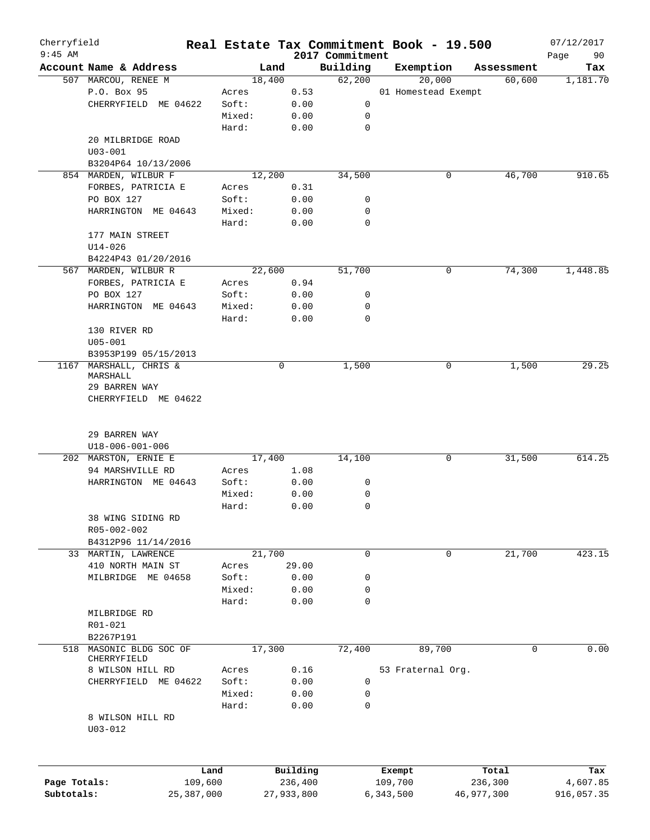| Cherryfield<br>$9:45$ AM |                        | Real Estate Tax Commitment Book - 19.500 |            |          |                             |           |                     |            | 07/12/2017        |
|--------------------------|------------------------|------------------------------------------|------------|----------|-----------------------------|-----------|---------------------|------------|-------------------|
|                          | Account Name & Address |                                          | Land       |          | 2017 Commitment<br>Building |           | Exemption           | Assessment | 90<br>Page<br>Tax |
|                          | 507 MARCOU, RENEE M    |                                          | 18,400     |          | 62,200                      |           | 20,000              | 60,600     | 1,181.70          |
|                          | P.O. Box 95            | Acres                                    |            | 0.53     |                             |           | 01 Homestead Exempt |            |                   |
|                          | CHERRYFIELD ME 04622   | Soft:                                    |            | 0.00     | 0                           |           |                     |            |                   |
|                          |                        | Mixed:                                   |            | 0.00     | 0                           |           |                     |            |                   |
|                          |                        | Hard:                                    |            | 0.00     | $\mathbf 0$                 |           |                     |            |                   |
|                          | 20 MILBRIDGE ROAD      |                                          |            |          |                             |           |                     |            |                   |
|                          | $U03 - 001$            |                                          |            |          |                             |           |                     |            |                   |
|                          | B3204P64 10/13/2006    |                                          |            |          |                             |           |                     |            |                   |
|                          | 854 MARDEN, WILBUR F   |                                          | 12,200     |          | 34,500                      |           | 0                   | 46,700     | 910.65            |
|                          | FORBES, PATRICIA E     | Acres                                    |            | 0.31     |                             |           |                     |            |                   |
|                          | PO BOX 127             | Soft:                                    |            | 0.00     | 0                           |           |                     |            |                   |
|                          | HARRINGTON ME 04643    | Mixed:                                   |            | 0.00     | 0                           |           |                     |            |                   |
|                          |                        | Hard:                                    |            | 0.00     | $\mathbf 0$                 |           |                     |            |                   |
|                          | 177 MAIN STREET        |                                          |            |          |                             |           |                     |            |                   |
|                          | $U14 - 026$            |                                          |            |          |                             |           |                     |            |                   |
|                          | B4224P43 01/20/2016    |                                          |            |          |                             |           |                     |            |                   |
|                          | 567 MARDEN, WILBUR R   |                                          | 22,600     |          | 51,700                      |           | 0                   | 74,300     | 1,448.85          |
|                          | FORBES, PATRICIA E     | Acres                                    |            | 0.94     |                             |           |                     |            |                   |
|                          | PO BOX 127             | Soft:                                    |            | 0.00     | 0                           |           |                     |            |                   |
|                          | HARRINGTON ME 04643    | Mixed:                                   |            | 0.00     | 0                           |           |                     |            |                   |
|                          |                        | Hard:                                    |            | 0.00     | $\mathbf 0$                 |           |                     |            |                   |
|                          | 130 RIVER RD           |                                          |            |          |                             |           |                     |            |                   |
|                          | $U05 - 001$            |                                          |            |          |                             |           |                     |            |                   |
|                          | B3953P199 05/15/2013   |                                          |            |          |                             |           |                     |            |                   |
| 1167                     | MARSHALL, CHRIS &      |                                          | 0          |          | 1,500                       |           | 0                   | 1,500      | 29.25             |
|                          | MARSHALL               |                                          |            |          |                             |           |                     |            |                   |
|                          | 29 BARREN WAY          |                                          |            |          |                             |           |                     |            |                   |
|                          | CHERRYFIELD ME 04622   |                                          |            |          |                             |           |                     |            |                   |
|                          | 29 BARREN WAY          |                                          |            |          |                             |           |                     |            |                   |
|                          | U18-006-001-006        |                                          |            |          |                             |           |                     |            |                   |
|                          | 202 MARSTON, ERNIE E   |                                          | 17,400     |          | 14,100                      |           | 0                   | 31,500     | 614.25            |
|                          | 94 MARSHVILLE RD       | Acres                                    |            | 1.08     |                             |           |                     |            |                   |
|                          | HARRINGTON ME 04643    | Soft:                                    |            | 0.00     | 0                           |           |                     |            |                   |
|                          |                        | Mixed:                                   |            | 0.00     | 0                           |           |                     |            |                   |
|                          |                        | Hard:                                    |            | 0.00     | $\mathbf 0$                 |           |                     |            |                   |
|                          | 38 WING SIDING RD      |                                          |            |          |                             |           |                     |            |                   |
|                          | R05-002-002            |                                          |            |          |                             |           |                     |            |                   |
|                          | B4312P96 11/14/2016    |                                          |            |          |                             |           |                     |            |                   |
|                          | 33 MARTIN, LAWRENCE    |                                          | 21,700     |          | 0                           |           | 0                   | 21,700     | 423.15            |
|                          | 410 NORTH MAIN ST      | Acres                                    |            | 29.00    |                             |           |                     |            |                   |
|                          | MILBRIDGE ME 04658     | Soft:                                    |            | 0.00     | 0                           |           |                     |            |                   |
|                          |                        | Mixed:                                   |            | 0.00     | 0                           |           |                     |            |                   |
|                          |                        | Hard:                                    |            | 0.00     | $\mathbf 0$                 |           |                     |            |                   |
|                          | MILBRIDGE RD           |                                          |            |          |                             |           |                     |            |                   |
|                          | R01-021                |                                          |            |          |                             |           |                     |            |                   |
|                          | B2267P191              |                                          |            |          |                             |           |                     |            |                   |
| 518                      | MASONIC BLDG SOC OF    |                                          | 17,300     |          | 72,400                      |           | 89,700              |            | 0.00<br>0         |
|                          | CHERRYFIELD            |                                          |            |          |                             |           |                     |            |                   |
|                          | 8 WILSON HILL RD       | Acres                                    |            | 0.16     | 0                           |           | 53 Fraternal Org.   |            |                   |
|                          | CHERRYFIELD ME 04622   | Soft:<br>Mixed:                          |            | 0.00     |                             |           |                     |            |                   |
|                          |                        | Hard:                                    |            | 0.00     | 0<br>$\mathbf 0$            |           |                     |            |                   |
|                          | 8 WILSON HILL RD       |                                          |            | 0.00     |                             |           |                     |            |                   |
|                          | $U03 - 012$            |                                          |            |          |                             |           |                     |            |                   |
|                          |                        |                                          |            |          |                             |           |                     |            |                   |
|                          |                        | Land                                     |            | Building |                             | Exempt    |                     | Total      | Tax               |
| Page Totals:             |                        | 109,600                                  |            | 236,400  |                             | 109,700   |                     | 236,300    | 4,607.85          |
| Subtotals:               |                        | 25,387,000                               | 27,933,800 |          |                             | 6,343,500 |                     | 46,977,300 | 916,057.35        |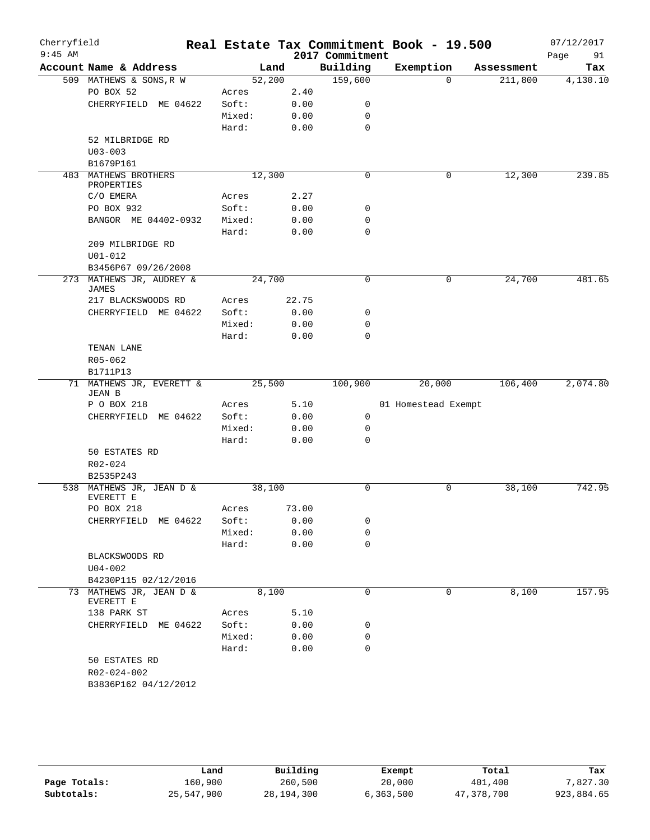| Cherryfield |                                          |                |        |              |                 | Real Estate Tax Commitment Book - 19.500 |          |            | 07/12/2017 |          |
|-------------|------------------------------------------|----------------|--------|--------------|-----------------|------------------------------------------|----------|------------|------------|----------|
| $9:45$ AM   |                                          |                |        |              | 2017 Commitment |                                          |          |            | Page       | 91       |
|             | Account Name & Address                   |                | Land   |              | Building        | Exemption                                |          | Assessment |            | Tax      |
|             | 509 MATHEWS & SONS, R W                  | 52,200         |        |              | 159,600         |                                          | $\Omega$ | 211,800    |            | 4,130.10 |
|             | PO BOX 52<br>CHERRYFIELD ME 04622        | Acres<br>Soft: |        | 2.40<br>0.00 | 0               |                                          |          |            |            |          |
|             |                                          | Mixed:         |        | 0.00         | 0               |                                          |          |            |            |          |
|             |                                          | Hard:          |        | 0.00         | $\mathbf 0$     |                                          |          |            |            |          |
|             | 52 MILBRIDGE RD                          |                |        |              |                 |                                          |          |            |            |          |
|             | $U03 - 003$                              |                |        |              |                 |                                          |          |            |            |          |
|             | B1679P161                                |                |        |              |                 |                                          |          |            |            |          |
|             | 483 MATHEWS BROTHERS                     | 12,300         |        |              | $\mathbf 0$     |                                          | 0        | 12,300     |            | 239.85   |
|             | PROPERTIES                               |                |        |              |                 |                                          |          |            |            |          |
|             | C/O EMERA                                | Acres          |        | 2.27         |                 |                                          |          |            |            |          |
|             | PO BOX 932                               | Soft:          |        | 0.00         | 0               |                                          |          |            |            |          |
|             | BANGOR ME 04402-0932                     | Mixed:         |        | 0.00         | 0               |                                          |          |            |            |          |
|             |                                          | Hard:          |        | 0.00         | $\mathbf 0$     |                                          |          |            |            |          |
|             | 209 MILBRIDGE RD                         |                |        |              |                 |                                          |          |            |            |          |
|             | $U01 - 012$                              |                |        |              |                 |                                          |          |            |            |          |
|             | B3456P67 09/26/2008                      |                |        |              |                 |                                          |          |            |            |          |
|             | 273 MATHEWS JR, AUDREY &<br><b>JAMES</b> | 24,700         |        |              | 0               |                                          | 0        | 24,700     |            | 481.65   |
|             | 217 BLACKSWOODS RD                       | Acres          |        | 22.75        |                 |                                          |          |            |            |          |
|             | CHERRYFIELD ME 04622                     | Soft:          |        | 0.00         | 0               |                                          |          |            |            |          |
|             |                                          | Mixed:         |        | 0.00         | 0               |                                          |          |            |            |          |
|             |                                          | Hard:          |        | 0.00         | $\mathbf 0$     |                                          |          |            |            |          |
|             | TENAN LANE                               |                |        |              |                 |                                          |          |            |            |          |
|             | R05-062                                  |                |        |              |                 |                                          |          |            |            |          |
|             | B1711P13                                 |                |        |              |                 |                                          |          |            |            |          |
|             | 71 MATHEWS JR, EVERETT &                 |                | 25,500 |              | 100,900         | 20,000                                   |          | 106,400    |            | 2,074.80 |
|             | JEAN B                                   |                |        |              |                 |                                          |          |            |            |          |
|             | P O BOX 218                              | Acres          |        | 5.10         |                 | 01 Homestead Exempt                      |          |            |            |          |
|             | CHERRYFIELD ME 04622                     | Soft:          |        | 0.00         | $\mathbf 0$     |                                          |          |            |            |          |
|             |                                          | Mixed:         |        | 0.00         | 0               |                                          |          |            |            |          |
|             |                                          | Hard:          |        | 0.00         | 0               |                                          |          |            |            |          |
|             | 50 ESTATES RD                            |                |        |              |                 |                                          |          |            |            |          |
|             | R02-024                                  |                |        |              |                 |                                          |          |            |            |          |
|             | B2535P243                                |                |        |              |                 |                                          |          |            |            |          |
|             | 538 MATHEWS JR, JEAN D &<br>EVERETT E    | 38,100         |        |              | $\mathbf 0$     |                                          | 0        | 38,100     |            | 742.95   |
|             | PO BOX 218                               | Acres          |        | 73.00        |                 |                                          |          |            |            |          |
|             | CHERRYFIELD ME 04622                     | Soft:          |        | 0.00         | 0               |                                          |          |            |            |          |
|             |                                          | Mixed:         |        | 0.00         | $\mathbf 0$     |                                          |          |            |            |          |
|             |                                          | Hard:          |        | 0.00         | $\mathbf 0$     |                                          |          |            |            |          |
|             | BLACKSWOODS RD                           |                |        |              |                 |                                          |          |            |            |          |
|             | $U04 - 002$                              |                |        |              |                 |                                          |          |            |            |          |
|             | B4230P115 02/12/2016                     |                |        |              |                 |                                          |          |            |            |          |
|             | 73 MATHEWS JR, JEAN D &                  |                | 8,100  |              | 0               |                                          | 0        | 8,100      |            | 157.95   |
|             | EVERETT E                                |                |        |              |                 |                                          |          |            |            |          |
|             | 138 PARK ST                              | Acres          |        | 5.10         |                 |                                          |          |            |            |          |
|             | CHERRYFIELD ME 04622                     | Soft:          |        | 0.00         | 0               |                                          |          |            |            |          |
|             |                                          | Mixed:         |        | 0.00         | 0               |                                          |          |            |            |          |
|             |                                          | Hard:          |        | 0.00         | $\mathbf 0$     |                                          |          |            |            |          |
|             | 50 ESTATES RD                            |                |        |              |                 |                                          |          |            |            |          |
|             | R02-024-002                              |                |        |              |                 |                                          |          |            |            |          |
|             | B3836P162 04/12/2012                     |                |        |              |                 |                                          |          |            |            |          |

|              | Land       | Building     | Exempt    | Total      | Tax        |
|--------------|------------|--------------|-----------|------------|------------|
| Page Totals: | 160,900    | 260,500      | 20,000    | 401,400    | 7,827.30   |
| Subtotals:   | 25,547,900 | 28, 194, 300 | 6,363,500 | 47,378,700 | 923,884.65 |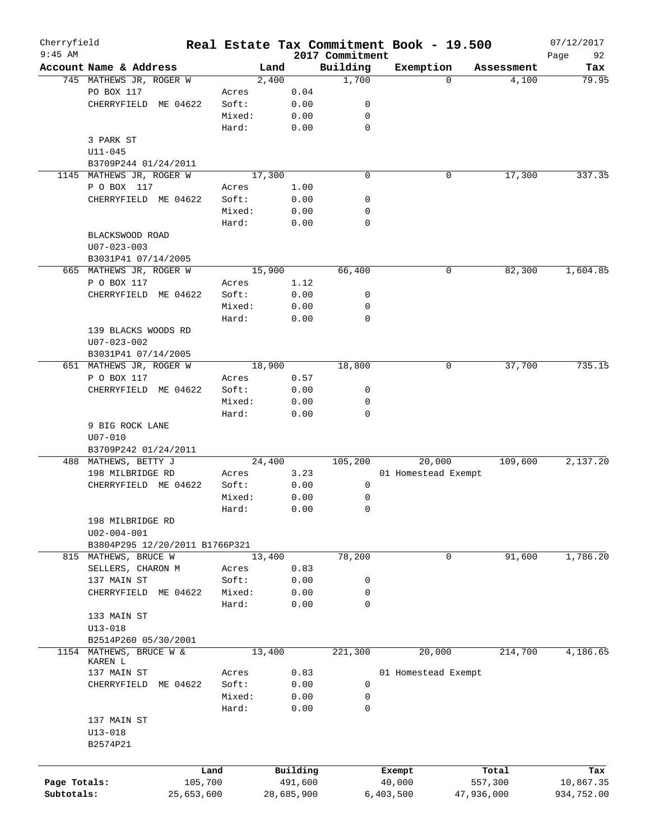| Cherryfield<br>$9:45$ AM |                                |            |        |        |            | 2017 Commitment  | Real Estate Tax Commitment Book - 19.500 |            |            | 07/12/2017<br>92 |
|--------------------------|--------------------------------|------------|--------|--------|------------|------------------|------------------------------------------|------------|------------|------------------|
|                          | Account Name & Address         |            |        | Land   |            | Building         | Exemption                                |            | Assessment | Page<br>Tax      |
|                          | 745 MATHEWS JR, ROGER W        |            |        | 2,400  |            | 1,700            |                                          | $\Omega$   | 4,100      | 79.95            |
|                          | PO BOX 117                     |            | Acres  |        | 0.04       |                  |                                          |            |            |                  |
|                          | CHERRYFIELD ME 04622           |            | Soft:  |        | 0.00       | 0                |                                          |            |            |                  |
|                          |                                |            | Mixed: |        | 0.00       | 0                |                                          |            |            |                  |
|                          |                                |            | Hard:  |        | 0.00       | $\mathbf 0$      |                                          |            |            |                  |
|                          | 3 PARK ST                      |            |        |        |            |                  |                                          |            |            |                  |
|                          | $U11 - 045$                    |            |        |        |            |                  |                                          |            |            |                  |
|                          | B3709P244 01/24/2011           |            |        |        |            |                  |                                          |            |            |                  |
|                          | 1145 MATHEWS JR, ROGER W       |            |        | 17,300 |            | $\mathbf 0$      |                                          | 0          | 17,300     | 337.35           |
|                          | P O BOX 117                    |            |        |        |            |                  |                                          |            |            |                  |
|                          |                                |            | Acres  |        | 1.00       | 0                |                                          |            |            |                  |
|                          | CHERRYFIELD ME 04622           |            | Soft:  |        | 0.00       |                  |                                          |            |            |                  |
|                          |                                |            | Mixed: |        | 0.00       | 0<br>$\mathbf 0$ |                                          |            |            |                  |
|                          |                                |            | Hard:  |        | 0.00       |                  |                                          |            |            |                  |
|                          | BLACKSWOOD ROAD                |            |        |        |            |                  |                                          |            |            |                  |
|                          | $U07 - 023 - 003$              |            |        |        |            |                  |                                          |            |            |                  |
|                          | B3031P41 07/14/2005            |            |        |        |            |                  |                                          |            |            |                  |
|                          | 665 MATHEWS JR, ROGER W        |            |        | 15,900 |            | 66,400           |                                          | 0          | 82,300     | 1,604.85         |
|                          | P O BOX 117                    |            | Acres  |        | 1.12       |                  |                                          |            |            |                  |
|                          | CHERRYFIELD                    | ME 04622   | Soft:  |        | 0.00       | 0                |                                          |            |            |                  |
|                          |                                |            | Mixed: |        | 0.00       | 0                |                                          |            |            |                  |
|                          |                                |            | Hard:  |        | 0.00       | $\mathbf 0$      |                                          |            |            |                  |
|                          | 139 BLACKS WOODS RD            |            |        |        |            |                  |                                          |            |            |                  |
|                          | $U07 - 023 - 002$              |            |        |        |            |                  |                                          |            |            |                  |
|                          | B3031P41 07/14/2005            |            |        |        |            |                  |                                          |            |            |                  |
|                          | 651 MATHEWS JR, ROGER W        |            |        | 18,900 |            | 18,800           |                                          | 0          | 37,700     | 735.15           |
|                          | P O BOX 117                    |            | Acres  |        | 0.57       |                  |                                          |            |            |                  |
|                          | CHERRYFIELD                    | ME 04622   | Soft:  |        | 0.00       | 0                |                                          |            |            |                  |
|                          |                                |            | Mixed: |        | 0.00       | 0                |                                          |            |            |                  |
|                          |                                |            | Hard:  |        | 0.00       | $\mathbf 0$      |                                          |            |            |                  |
|                          | 9 BIG ROCK LANE                |            |        |        |            |                  |                                          |            |            |                  |
|                          | $U07 - 010$                    |            |        |        |            |                  |                                          |            |            |                  |
|                          | B3709P242 01/24/2011           |            |        |        |            |                  |                                          |            |            |                  |
|                          | 488 MATHEWS, BETTY J           |            |        | 24,400 |            | 105,200          | 20,000                                   |            | 109,600    | 2,137.20         |
|                          | 198 MILBRIDGE RD               |            | Acres  |        | 3.23       |                  | 01 Homestead Exempt                      |            |            |                  |
|                          | CHERRYFIELD ME 04622           |            | Soft:  |        | 0.00       | 0                |                                          |            |            |                  |
|                          |                                |            | Mixed: |        | 0.00       | 0                |                                          |            |            |                  |
|                          |                                |            | Hard:  |        | 0.00       | 0                |                                          |            |            |                  |
|                          | 198 MILBRIDGE RD               |            |        |        |            |                  |                                          |            |            |                  |
|                          | $U02 - 004 - 001$              |            |        |        |            |                  |                                          |            |            |                  |
|                          | B3804P295 12/20/2011 B1766P321 |            |        |        |            |                  |                                          |            |            |                  |
|                          | 815 MATHEWS, BRUCE W           |            |        | 13,400 |            | 78,200           |                                          | 0          | 91,600     | 1,786.20         |
|                          | SELLERS, CHARON M              |            | Acres  |        | 0.83       |                  |                                          |            |            |                  |
|                          | 137 MAIN ST                    |            | Soft:  |        | 0.00       | 0                |                                          |            |            |                  |
|                          | CHERRYFIELD                    | ME 04622   | Mixed: |        | 0.00       | 0                |                                          |            |            |                  |
|                          |                                |            | Hard:  |        | 0.00       | 0                |                                          |            |            |                  |
|                          | 133 MAIN ST                    |            |        |        |            |                  |                                          |            |            |                  |
|                          | $U13 - 018$                    |            |        |        |            |                  |                                          |            |            |                  |
|                          | B2514P260 05/30/2001           |            |        |        |            |                  |                                          |            |            |                  |
|                          | 1154 MATHEWS, BRUCE W &        |            |        | 13,400 |            | 221,300          | 20,000                                   |            | 214,700    | 4,186.65         |
|                          | KAREN L                        |            |        |        |            |                  |                                          |            |            |                  |
|                          | 137 MAIN ST                    |            | Acres  |        | 0.83       |                  | 01 Homestead Exempt                      |            |            |                  |
|                          | CHERRYFIELD                    | ME 04622   | Soft:  |        | 0.00       | 0                |                                          |            |            |                  |
|                          |                                |            | Mixed: |        | 0.00       | 0                |                                          |            |            |                  |
|                          |                                |            | Hard:  |        | 0.00       | 0                |                                          |            |            |                  |
|                          | 137 MAIN ST                    |            |        |        |            |                  |                                          |            |            |                  |
|                          | $U13 - 018$                    |            |        |        |            |                  |                                          |            |            |                  |
|                          | B2574P21                       |            |        |        |            |                  |                                          |            |            |                  |
|                          |                                |            |        |        |            |                  |                                          |            |            |                  |
|                          |                                | Land       |        |        | Building   |                  | Exempt                                   |            | Total      | Tax              |
| Page Totals:             |                                | 105,700    |        |        | 491,600    |                  | 40,000                                   |            | 557,300    | 10,867.35        |
| Subtotals:               |                                | 25,653,600 |        |        | 28,685,900 |                  | 6,403,500                                | 47,936,000 |            | 934,752.00       |
|                          |                                |            |        |        |            |                  |                                          |            |            |                  |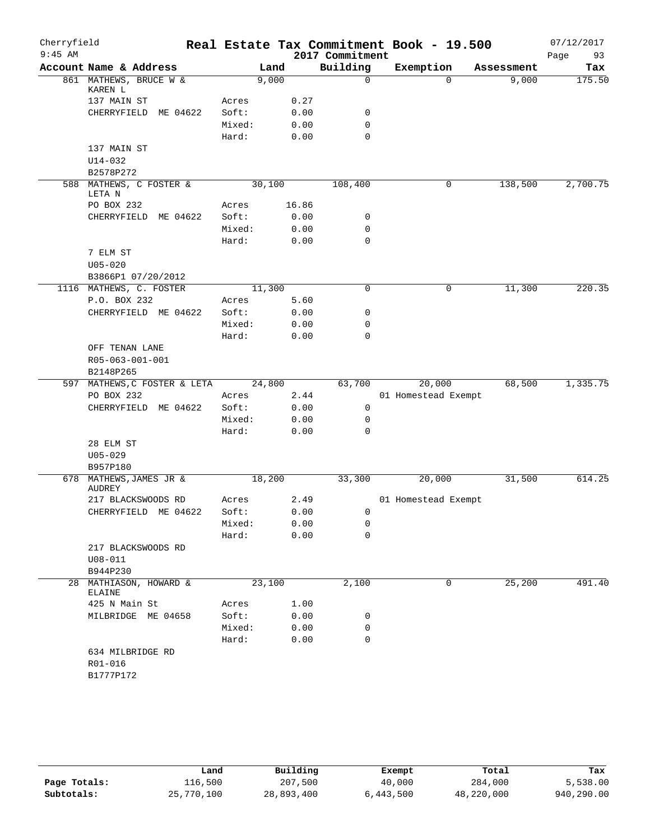| Cherryfield |                                           |        |        |       |                 | Real Estate Tax Commitment Book - 19.500 |            | 07/12/2017 |
|-------------|-------------------------------------------|--------|--------|-------|-----------------|------------------------------------------|------------|------------|
| $9:45$ AM   |                                           |        |        |       | 2017 Commitment |                                          |            | 93<br>Page |
|             | Account Name & Address                    |        | Land   |       | Building        | Exemption                                | Assessment | Tax        |
|             | 861 MATHEWS, BRUCE W &<br>KAREN L         |        | 9,000  |       | $\mathbf 0$     | $\Omega$                                 | 9,000      | 175.50     |
|             | 137 MAIN ST                               | Acres  |        | 0.27  |                 |                                          |            |            |
|             | CHERRYFIELD<br>ME 04622                   | Soft:  |        | 0.00  | 0               |                                          |            |            |
|             |                                           | Mixed: |        | 0.00  | $\mathbf 0$     |                                          |            |            |
|             |                                           | Hard:  |        | 0.00  | $\mathbf 0$     |                                          |            |            |
|             | 137 MAIN ST                               |        |        |       |                 |                                          |            |            |
|             | $U14 - 032$                               |        |        |       |                 |                                          |            |            |
|             | B2578P272                                 |        |        |       |                 |                                          |            |            |
|             | 588 MATHEWS, C FOSTER &<br>LETA N         |        | 30,100 |       | 108,400         | 0                                        | 138,500    | 2,700.75   |
|             | PO BOX 232                                | Acres  |        | 16.86 |                 |                                          |            |            |
|             | CHERRYFIELD<br>ME 04622                   | Soft:  |        | 0.00  | 0               |                                          |            |            |
|             |                                           | Mixed: |        | 0.00  | 0               |                                          |            |            |
|             |                                           | Hard:  |        | 0.00  | 0               |                                          |            |            |
|             | 7 ELM ST                                  |        |        |       |                 |                                          |            |            |
|             | $U05 - 020$                               |        |        |       |                 |                                          |            |            |
|             | B3866P1 07/20/2012                        |        |        |       |                 |                                          |            |            |
|             | 1116 MATHEWS, C. FOSTER                   |        | 11,300 |       | $\mathbf 0$     | 0                                        | 11,300     | 220.35     |
|             | P.O. BOX 232                              | Acres  |        | 5.60  |                 |                                          |            |            |
|             | CHERRYFIELD ME 04622                      | Soft:  |        | 0.00  | 0               |                                          |            |            |
|             |                                           | Mixed: |        | 0.00  | 0               |                                          |            |            |
|             |                                           | Hard:  |        | 0.00  | $\mathbf 0$     |                                          |            |            |
|             | OFF TENAN LANE                            |        |        |       |                 |                                          |            |            |
|             | R05-063-001-001                           |        |        |       |                 |                                          |            |            |
|             | B2148P265<br>597 MATHEWS, C FOSTER & LETA |        | 24,800 |       | 63,700          | 20,000                                   | 68,500     | 1,335.75   |
|             | PO BOX 232                                | Acres  |        | 2.44  |                 | 01 Homestead Exempt                      |            |            |
|             | CHERRYFIELD ME 04622                      | Soft:  |        | 0.00  | 0               |                                          |            |            |
|             |                                           | Mixed: |        | 0.00  | 0               |                                          |            |            |
|             |                                           | Hard:  |        | 0.00  | 0               |                                          |            |            |
|             | 28 ELM ST                                 |        |        |       |                 |                                          |            |            |
|             | $U05 - 029$                               |        |        |       |                 |                                          |            |            |
|             | B957P180                                  |        |        |       |                 |                                          |            |            |
|             | 678 MATHEWS, JAMES JR &                   |        | 18,200 |       | 33,300          | 20,000                                   | 31,500     | 614.25     |
|             | <b>AUDREY</b>                             |        |        |       |                 |                                          |            |            |
|             | 217 BLACKSWOODS RD                        | Acres  |        | 2.49  |                 | 01 Homestead Exempt                      |            |            |
|             | CHERRYFIELD ME 04622                      | Soft:  |        | 0.00  | $\mathbf{0}$    |                                          |            |            |
|             |                                           | Mixed: |        | 0.00  | 0               |                                          |            |            |
|             |                                           | Hard:  |        | 0.00  | 0               |                                          |            |            |
|             | 217 BLACKSWOODS RD                        |        |        |       |                 |                                          |            |            |
|             | $U08 - 011$                               |        |        |       |                 |                                          |            |            |
|             | B944P230                                  |        |        |       |                 |                                          |            |            |
| 28          | MATHIASON, HOWARD &<br>ELAINE             |        | 23,100 |       | 2,100           | 0                                        | 25,200     | 491.40     |
|             | 425 N Main St                             | Acres  |        | 1.00  |                 |                                          |            |            |
|             | MILBRIDGE ME 04658                        | Soft:  |        | 0.00  | 0               |                                          |            |            |
|             |                                           | Mixed: |        | 0.00  | 0               |                                          |            |            |
|             |                                           | Hard:  |        | 0.00  | 0               |                                          |            |            |
|             | 634 MILBRIDGE RD                          |        |        |       |                 |                                          |            |            |
|             | R01-016                                   |        |        |       |                 |                                          |            |            |
|             | B1777P172                                 |        |        |       |                 |                                          |            |            |
|             |                                           |        |        |       |                 |                                          |            |            |

|              | Land       | Building   | Exempt    | Total      | Tax        |
|--------------|------------|------------|-----------|------------|------------|
| Page Totals: | 116,500    | 207,500    | 40,000    | 284,000    | 5,538.00   |
| Subtotals:   | 25,770,100 | 28,893,400 | 6,443,500 | 48,220,000 | 940,290.00 |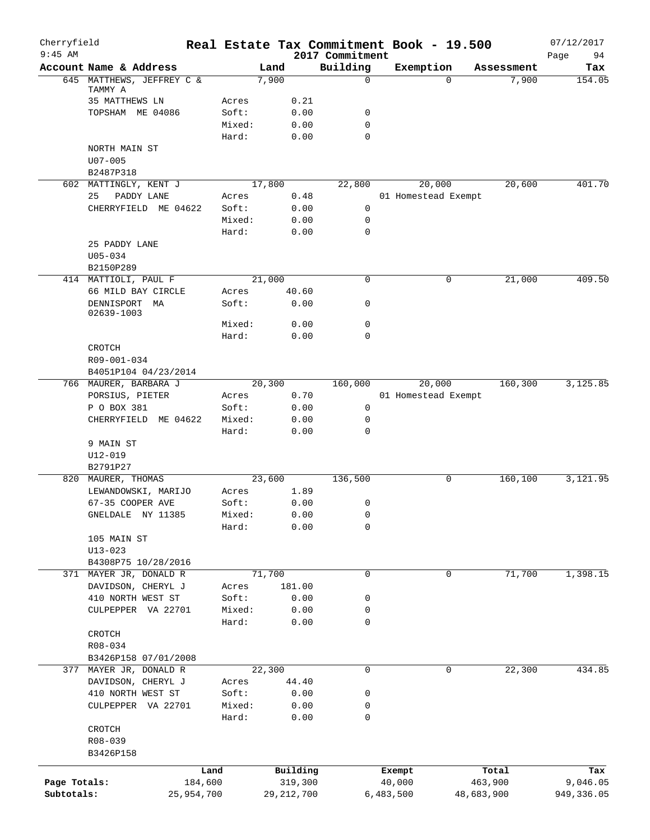| Cherryfield<br>$9:45$ AM |                                           |         |              | 2017 Commitment | Real Estate Tax Commitment Book - 19.500 |            | 07/12/2017        |
|--------------------------|-------------------------------------------|---------|--------------|-----------------|------------------------------------------|------------|-------------------|
|                          | Account Name & Address                    |         | Land         | Building        | Exemption                                | Assessment | 94<br>Page<br>Tax |
|                          | 645 MATTHEWS, JEFFREY C &                 |         | 7,900        | $\mathbf 0$     | $\Omega$                                 | 7,900      | 154.05            |
|                          | TAMMY A<br>35 MATTHEWS LN                 | Acres   | 0.21         |                 |                                          |            |                   |
|                          | TOPSHAM ME 04086                          | Soft:   | 0.00         | 0               |                                          |            |                   |
|                          |                                           | Mixed:  | 0.00         | 0               |                                          |            |                   |
|                          |                                           | Hard:   | 0.00         | 0               |                                          |            |                   |
|                          | NORTH MAIN ST                             |         |              |                 |                                          |            |                   |
|                          | $U07 - 005$                               |         |              |                 |                                          |            |                   |
|                          | B2487P318                                 |         |              |                 |                                          |            |                   |
|                          | 602 MATTINGLY, KENT J                     |         | 17,800       | 22,800          | 20,000                                   | 20,600     | 401.70            |
|                          | 25<br>PADDY LANE                          | Acres   | 0.48         |                 | 01 Homestead Exempt                      |            |                   |
|                          | CHERRYFIELD ME 04622                      | Soft:   | 0.00         | 0               |                                          |            |                   |
|                          |                                           | Mixed:  | 0.00         | $\mathbf 0$     |                                          |            |                   |
|                          |                                           | Hard:   | 0.00         | $\mathbf 0$     |                                          |            |                   |
|                          | 25 PADDY LANE                             |         |              |                 |                                          |            |                   |
|                          | $U05 - 034$                               |         |              |                 |                                          |            |                   |
|                          | B2150P289                                 |         |              |                 |                                          |            |                   |
|                          | 414 MATTIOLI, PAUL F                      |         | 21,000       | $\mathbf 0$     | 0                                        | 21,000     | 409.50            |
|                          | 66 MILD BAY CIRCLE                        | Acres   | 40.60        |                 |                                          |            |                   |
|                          | DENNISPORT<br>MA<br>02639-1003            | Soft:   | 0.00         | 0               |                                          |            |                   |
|                          |                                           | Mixed:  | 0.00         | 0               |                                          |            |                   |
|                          |                                           | Hard:   | 0.00         | $\mathbf 0$     |                                          |            |                   |
|                          | CROTCH                                    |         |              |                 |                                          |            |                   |
|                          | R09-001-034                               |         |              |                 |                                          |            |                   |
|                          | B4051P104 04/23/2014                      |         |              |                 |                                          |            |                   |
|                          | 766 MAURER, BARBARA J                     |         | 20,300       | 160,000         | 20,000                                   | 160,300    | 3,125.85          |
|                          | PORSIUS, PIETER                           | Acres   | 0.70         |                 | 01 Homestead Exempt                      |            |                   |
|                          | P O BOX 381                               | Soft:   | 0.00         | 0               |                                          |            |                   |
|                          | CHERRYFIELD ME 04622                      | Mixed:  | 0.00         | 0               |                                          |            |                   |
|                          |                                           | Hard:   | 0.00         | 0               |                                          |            |                   |
|                          | 9 MAIN ST                                 |         |              |                 |                                          |            |                   |
|                          | U12-019                                   |         |              |                 |                                          |            |                   |
|                          | B2791P27                                  |         |              |                 |                                          |            |                   |
|                          | 820 MAURER, THOMAS                        |         | 23,600       | 136,500         | 0                                        | 160,100    | 3,121.95          |
|                          | LEWANDOWSKI, MARIJO                       | Acres   | 1.89         |                 |                                          |            |                   |
|                          | 67-35 COOPER AVE                          | Soft:   | 0.00         | 0               |                                          |            |                   |
|                          | GNELDALE NY 11385                         | Mixed:  | 0.00         | 0               |                                          |            |                   |
|                          |                                           | Hard:   | 0.00         | 0               |                                          |            |                   |
|                          | 105 MAIN ST                               |         |              |                 |                                          |            |                   |
|                          | $U13 - 023$                               |         |              |                 |                                          |            |                   |
| 371                      | B4308P75 10/28/2016<br>MAYER JR, DONALD R |         | 71,700       | 0               | 0                                        | 71,700     | 1,398.15          |
|                          | DAVIDSON, CHERYL J                        | Acres   | 181.00       |                 |                                          |            |                   |
|                          | 410 NORTH WEST ST                         | Soft:   | 0.00         | 0               |                                          |            |                   |
|                          | CULPEPPER VA 22701                        | Mixed:  | 0.00         | 0               |                                          |            |                   |
|                          |                                           | Hard:   | 0.00         | 0               |                                          |            |                   |
|                          | CROTCH                                    |         |              |                 |                                          |            |                   |
|                          | R08-034                                   |         |              |                 |                                          |            |                   |
|                          | B3426P158 07/01/2008                      |         |              |                 |                                          |            |                   |
|                          | 377 MAYER JR, DONALD R                    |         | 22,300       | 0               | 0                                        | 22,300     | 434.85            |
|                          | DAVIDSON, CHERYL J                        | Acres   | 44.40        |                 |                                          |            |                   |
|                          | 410 NORTH WEST ST                         | Soft:   | 0.00         | 0               |                                          |            |                   |
|                          | CULPEPPER VA 22701                        | Mixed:  | 0.00         | 0               |                                          |            |                   |
|                          |                                           | Hard:   | 0.00         | 0               |                                          |            |                   |
|                          | CROTCH                                    |         |              |                 |                                          |            |                   |
|                          | R08-039                                   |         |              |                 |                                          |            |                   |
|                          | B3426P158                                 |         |              |                 |                                          |            |                   |
|                          |                                           | Land    | Building     |                 | Exempt                                   | Total      | Tax               |
| Page Totals:             |                                           | 184,600 | 319,300      |                 | 40,000                                   | 463,900    | 9,046.05          |
| Subtotals:               | 25,954,700                                |         | 29, 212, 700 |                 | 6,483,500                                | 48,683,900 | 949, 336.05       |
|                          |                                           |         |              |                 |                                          |            |                   |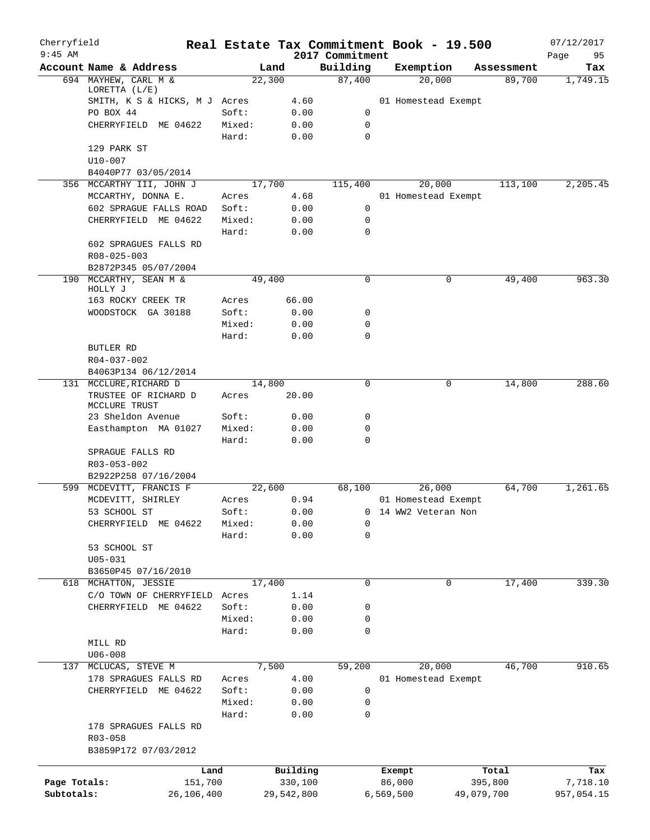| Cherryfield<br>$9:45$ AM |                                          |                 |              |                             | Real Estate Tax Commitment Book - 19.500 |            | 07/12/2017        |
|--------------------------|------------------------------------------|-----------------|--------------|-----------------------------|------------------------------------------|------------|-------------------|
|                          | Account Name & Address                   | Land            |              | 2017 Commitment<br>Building | Exemption                                | Assessment | 95<br>Page<br>Tax |
|                          | 694 MAYHEW, CARL M &                     | 22,300          |              | 87,400                      | 20,000                                   | 89,700     | 1,749.15          |
|                          | LORETTA (L/E)                            |                 |              |                             |                                          |            |                   |
|                          | SMITH, K S & HICKS, M J Acres            |                 | 4.60         |                             | 01 Homestead Exempt                      |            |                   |
|                          | PO BOX 44                                | Soft:           | 0.00         | $\mathbf 0$                 |                                          |            |                   |
|                          | CHERRYFIELD ME 04622                     | Mixed:<br>Hard: | 0.00<br>0.00 | $\mathbf 0$<br>$\mathbf 0$  |                                          |            |                   |
|                          | 129 PARK ST                              |                 |              |                             |                                          |            |                   |
|                          | U10-007                                  |                 |              |                             |                                          |            |                   |
|                          | B4040P77 03/05/2014                      |                 |              |                             |                                          |            |                   |
|                          | 356 MCCARTHY III, JOHN J                 | 17,700          |              | 115,400                     | 20,000                                   | 113,100    | 2,205.45          |
|                          | MCCARTHY, DONNA E.                       | Acres           | 4.68         |                             | 01 Homestead Exempt                      |            |                   |
|                          | 602 SPRAGUE FALLS ROAD                   | Soft:           | 0.00         | 0                           |                                          |            |                   |
|                          | CHERRYFIELD ME 04622                     | Mixed:<br>Hard: | 0.00<br>0.00 | $\mathbf 0$<br>$\mathbf 0$  |                                          |            |                   |
|                          | 602 SPRAGUES FALLS RD                    |                 |              |                             |                                          |            |                   |
|                          | R08-025-003                              |                 |              |                             |                                          |            |                   |
|                          | B2872P345 05/07/2004                     |                 |              |                             |                                          |            |                   |
| 190                      | MCCARTHY, SEAN M &<br>HOLLY J            | 49,400          |              | $\mathbf 0$                 | 0                                        | 49,400     | 963.30            |
|                          | 163 ROCKY CREEK TR                       | Acres           | 66.00        |                             |                                          |            |                   |
|                          | WOODSTOCK GA 30188                       | Soft:           | 0.00         | 0                           |                                          |            |                   |
|                          |                                          | Mixed:          | 0.00         | $\mathbf 0$                 |                                          |            |                   |
|                          |                                          | Hard:           | 0.00         | $\mathbf 0$                 |                                          |            |                   |
|                          | BUTLER RD                                |                 |              |                             |                                          |            |                   |
|                          | R04-037-002                              |                 |              |                             |                                          |            |                   |
|                          | B4063P134 06/12/2014                     |                 |              |                             |                                          |            |                   |
|                          | 131 MCCLURE, RICHARD D                   | 14,800          |              | $\mathbf 0$                 | 0                                        | 14,800     | 288.60            |
|                          | TRUSTEE OF RICHARD D<br>MCCLURE TRUST    | Acres           | 20.00        |                             |                                          |            |                   |
|                          | 23 Sheldon Avenue                        | Soft:           | 0.00         | 0                           |                                          |            |                   |
|                          | Easthampton MA 01027                     | Mixed:          | 0.00         | 0                           |                                          |            |                   |
|                          |                                          | Hard:           | 0.00         | 0                           |                                          |            |                   |
|                          | SPRAGUE FALLS RD                         |                 |              |                             |                                          |            |                   |
|                          | R03-053-002                              |                 |              |                             |                                          |            |                   |
| 599                      | B2922P258 07/16/2004                     |                 |              |                             |                                          | 64,700     | 1,261.65          |
|                          | MCDEVITT, FRANCIS F<br>MCDEVITT, SHIRLEY | 22,600<br>Acres | 0.94         | 68,100                      | 26,000<br>01 Homestead Exempt            |            |                   |
|                          | 53 SCHOOL ST                             | Soft:           | 0.00         |                             | 0 14 WW2 Veteran Non                     |            |                   |
|                          | CHERRYFIELD ME 04622                     | Mixed:          | 0.00         | 0                           |                                          |            |                   |
|                          |                                          | Hard:           | 0.00         | 0                           |                                          |            |                   |
|                          | 53 SCHOOL ST                             |                 |              |                             |                                          |            |                   |
|                          | $U05 - 031$                              |                 |              |                             |                                          |            |                   |
|                          | B3650P45 07/16/2010                      |                 |              |                             |                                          |            |                   |
|                          | 618 MCHATTON, JESSIE                     | 17,400          |              | $\mathbf 0$                 | $\mathbf 0$                              | 17,400     | 339.30            |
|                          | C/O TOWN OF CHERRYFIELD                  | Acres           | 1.14         |                             |                                          |            |                   |
|                          | CHERRYFIELD ME 04622                     | Soft:           | 0.00         | 0                           |                                          |            |                   |
|                          |                                          | Mixed:          | 0.00         | 0                           |                                          |            |                   |
|                          |                                          | Hard:           | 0.00         | 0                           |                                          |            |                   |
|                          | MILL RD                                  |                 |              |                             |                                          |            |                   |
|                          | $U06 - 008$                              |                 |              |                             |                                          |            |                   |
| 137                      | MCLUCAS, STEVE M                         | 7,500           |              | 59,200                      | 20,000                                   | 46,700     | 910.65            |
|                          | 178 SPRAGUES FALLS RD                    | Acres           | 4.00         |                             | 01 Homestead Exempt                      |            |                   |
|                          | CHERRYFIELD ME 04622                     | Soft:           | 0.00         | $\mathbf 0$                 |                                          |            |                   |
|                          |                                          | Mixed:          | 0.00         | 0                           |                                          |            |                   |
|                          |                                          | Hard:           | 0.00         | 0                           |                                          |            |                   |
|                          | 178 SPRAGUES FALLS RD                    |                 |              |                             |                                          |            |                   |
|                          | $R03 - 058$<br>B3859P172 07/03/2012      |                 |              |                             |                                          |            |                   |
|                          | Land                                     |                 | Building     |                             | Exempt                                   | Total      | Tax               |
| Page Totals:             | 151,700                                  |                 | 330,100      |                             | 86,000                                   | 395,800    | 7,718.10          |
| Subtotals:               | 26,106,400                               |                 | 29,542,800   |                             | 6,569,500<br>49,079,700                  |            | 957,054.15        |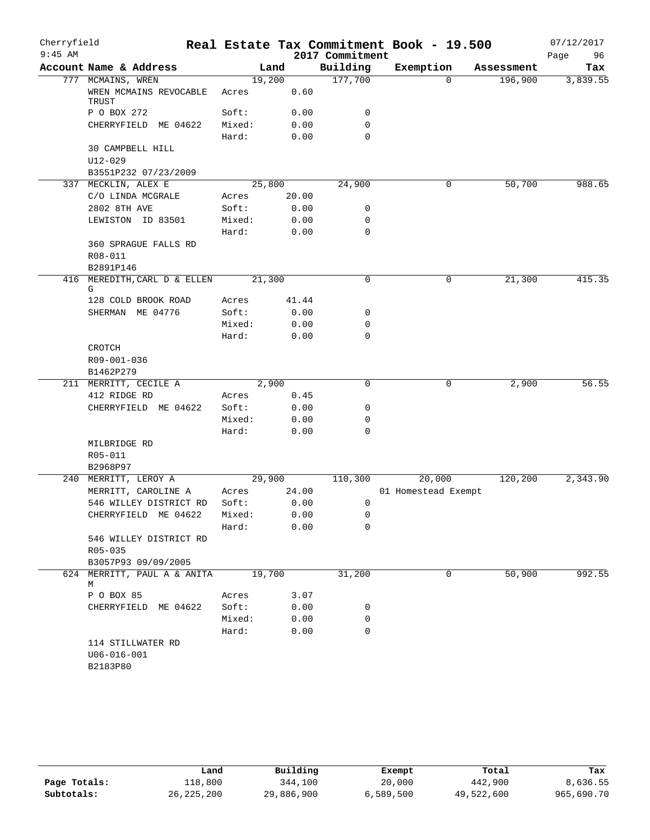| Cherryfield<br>$9:45$ AM |                                  |        |        | 2017 Commitment | Real Estate Tax Commitment Book - 19.500 |            | 07/12/2017<br>96<br>Page |
|--------------------------|----------------------------------|--------|--------|-----------------|------------------------------------------|------------|--------------------------|
|                          | Account Name & Address           |        | Land   | Building        | Exemption                                | Assessment | Tax                      |
|                          | 777 MCMAINS, WREN                |        | 19,200 | 177,700         | $\Omega$                                 | 196,900    | 3,839.55                 |
|                          | WREN MCMAINS REVOCABLE<br>TRUST  | Acres  | 0.60   |                 |                                          |            |                          |
|                          | P O BOX 272                      | Soft:  | 0.00   | 0               |                                          |            |                          |
|                          | CHERRYFIELD ME 04622             | Mixed: | 0.00   | $\mathbf 0$     |                                          |            |                          |
|                          |                                  | Hard:  | 0.00   | 0               |                                          |            |                          |
|                          | 30 CAMPBELL HILL                 |        |        |                 |                                          |            |                          |
|                          | $U12 - 029$                      |        |        |                 |                                          |            |                          |
|                          | B3551P232 07/23/2009             |        |        |                 |                                          |            |                          |
|                          | 337 MECKLIN, ALEX E              |        | 25,800 | 24,900          | 0                                        | 50,700     | 988.65                   |
|                          | C/O LINDA MCGRALE                | Acres  | 20.00  |                 |                                          |            |                          |
|                          | 2802 8TH AVE                     | Soft:  | 0.00   | 0               |                                          |            |                          |
|                          | LEWISTON ID 83501                | Mixed: | 0.00   | 0               |                                          |            |                          |
|                          |                                  | Hard:  | 0.00   | 0               |                                          |            |                          |
|                          | 360 SPRAGUE FALLS RD             |        |        |                 |                                          |            |                          |
|                          | R08-011                          |        |        |                 |                                          |            |                          |
|                          | B2891P146                        |        |        |                 |                                          |            |                          |
|                          | 416 MEREDITH, CARL D & ELLEN     |        | 21,300 | $\mathbf 0$     | 0                                        | 21,300     | 415.35                   |
|                          | G                                |        |        |                 |                                          |            |                          |
|                          | 128 COLD BROOK ROAD              | Acres  | 41.44  |                 |                                          |            |                          |
|                          | SHERMAN ME 04776                 | Soft:  | 0.00   | 0               |                                          |            |                          |
|                          |                                  | Mixed: | 0.00   | 0               |                                          |            |                          |
|                          |                                  | Hard:  | 0.00   | $\mathbf 0$     |                                          |            |                          |
|                          | CROTCH                           |        |        |                 |                                          |            |                          |
|                          | R09-001-036                      |        |        |                 |                                          |            |                          |
|                          | B1462P279                        |        |        |                 |                                          |            |                          |
|                          | 211 MERRITT, CECILE A            |        | 2,900  | 0               | 0                                        | 2,900      | 56.55                    |
|                          | 412 RIDGE RD                     | Acres  | 0.45   |                 |                                          |            |                          |
|                          | CHERRYFIELD ME 04622             | Soft:  | 0.00   | 0               |                                          |            |                          |
|                          |                                  | Mixed: | 0.00   | 0               |                                          |            |                          |
|                          |                                  | Hard:  | 0.00   | $\mathbf 0$     |                                          |            |                          |
|                          | MILBRIDGE RD                     |        |        |                 |                                          |            |                          |
|                          | R05-011                          |        |        |                 |                                          |            |                          |
|                          | B2968P97                         |        |        |                 |                                          |            |                          |
|                          | 240 MERRITT, LEROY A             |        | 29,900 | 110,300         | 20,000                                   | 120,200    | 2,343.90                 |
|                          | MERRITT, CAROLINE A              | Acres  | 24.00  |                 | 01 Homestead Exempt                      |            |                          |
|                          | 546 WILLEY DISTRICT RD           | Soft:  | 0.00   | 0               |                                          |            |                          |
|                          | CHERRYFIELD ME 04622             | Mixed: | 0.00   | 0               |                                          |            |                          |
|                          |                                  | Hard:  | 0.00   | 0               |                                          |            |                          |
|                          | 546 WILLEY DISTRICT RD           |        |        |                 |                                          |            |                          |
|                          | $R05 - 035$                      |        |        |                 |                                          |            |                          |
|                          | B3057P93 09/09/2005              |        |        |                 |                                          |            |                          |
|                          | 624 MERRITT, PAUL A & ANITA<br>М |        | 19,700 | 31,200          | 0                                        | 50,900     | 992.55                   |
|                          | P O BOX 85                       | Acres  | 3.07   |                 |                                          |            |                          |
|                          | CHERRYFIELD ME 04622             | Soft:  | 0.00   | 0               |                                          |            |                          |
|                          |                                  | Mixed: | 0.00   | 0               |                                          |            |                          |
|                          |                                  | Hard:  | 0.00   | 0               |                                          |            |                          |
|                          | 114 STILLWATER RD                |        |        |                 |                                          |            |                          |
|                          | $U06 - 016 - 001$                |        |        |                 |                                          |            |                          |
|                          | B2183P80                         |        |        |                 |                                          |            |                          |
|                          |                                  |        |        |                 |                                          |            |                          |

|              | Land         | Building   | Exempt    | Total      | Tax        |
|--------------|--------------|------------|-----------|------------|------------|
| Page Totals: | 118,800      | 344,100    | 20,000    | 442,900    | 8,636.55   |
| Subtotals:   | 26, 225, 200 | 29,886,900 | 6,589,500 | 49,522,600 | 965,690.70 |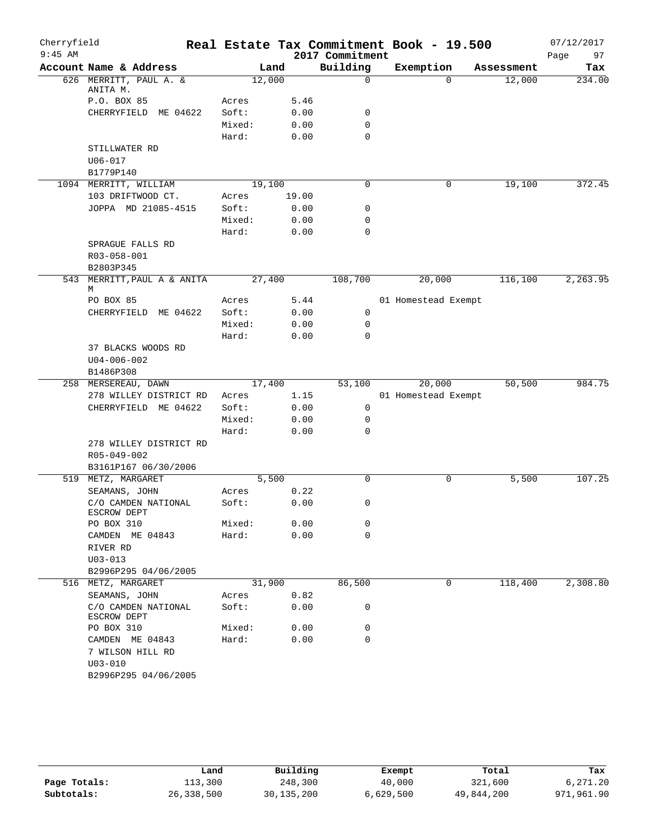| Cherryfield |                                    |        |        |                 | Real Estate Tax Commitment Book - 19.500 |            | 07/12/2017 |
|-------------|------------------------------------|--------|--------|-----------------|------------------------------------------|------------|------------|
| $9:45$ AM   |                                    |        |        | 2017 Commitment |                                          |            | 97<br>Page |
|             | Account Name & Address             |        | Land   | Building        | Exemption                                | Assessment | Tax        |
|             | 626 MERRITT, PAUL A. &<br>ANITA M. |        | 12,000 | $\mathbf 0$     | $\Omega$                                 | 12,000     | 234.00     |
|             | P.O. BOX 85                        | Acres  | 5.46   |                 |                                          |            |            |
|             | CHERRYFIELD ME 04622               | Soft:  | 0.00   | 0               |                                          |            |            |
|             |                                    | Mixed: | 0.00   | 0               |                                          |            |            |
|             |                                    | Hard:  | 0.00   | $\mathbf 0$     |                                          |            |            |
|             | STILLWATER RD                      |        |        |                 |                                          |            |            |
|             | $U06 - 017$                        |        |        |                 |                                          |            |            |
|             | B1779P140                          |        |        |                 |                                          |            |            |
|             | 1094 MERRITT, WILLIAM              |        | 19,100 | 0               | $\mathbf 0$                              | 19,100     | 372.45     |
|             | 103 DRIFTWOOD CT.                  | Acres  | 19.00  |                 |                                          |            |            |
|             | JOPPA MD 21085-4515                | Soft:  | 0.00   | 0               |                                          |            |            |
|             |                                    | Mixed: | 0.00   | $\mathbf 0$     |                                          |            |            |
|             |                                    | Hard:  | 0.00   | $\mathbf 0$     |                                          |            |            |
|             | SPRAGUE FALLS RD                   |        |        |                 |                                          |            |            |
|             | R03-058-001                        |        |        |                 |                                          |            |            |
|             | B2803P345                          |        |        |                 |                                          |            |            |
| 543         | MERRITT, PAUL A & ANITA<br>М       |        | 27,400 | 108,700         | 20,000                                   | 116,100    | 2,263.95   |
|             | PO BOX 85                          | Acres  | 5.44   |                 | 01 Homestead Exempt                      |            |            |
|             | CHERRYFIELD ME 04622               | Soft:  | 0.00   | 0               |                                          |            |            |
|             |                                    | Mixed: | 0.00   | 0               |                                          |            |            |
|             |                                    | Hard:  | 0.00   | 0               |                                          |            |            |
|             | 37 BLACKS WOODS RD                 |        |        |                 |                                          |            |            |
|             | $U04 - 006 - 002$                  |        |        |                 |                                          |            |            |
|             | B1486P308                          |        |        |                 |                                          |            |            |
|             | 258 MERSEREAU, DAWN                |        | 17,400 | 53,100          | 20,000                                   | 50,500     | 984.75     |
|             | 278 WILLEY DISTRICT RD             | Acres  | 1.15   |                 | 01 Homestead Exempt                      |            |            |
|             | CHERRYFIELD ME 04622               | Soft:  | 0.00   | 0               |                                          |            |            |
|             |                                    | Mixed: | 0.00   | 0               |                                          |            |            |
|             |                                    | Hard:  | 0.00   | $\mathbf 0$     |                                          |            |            |
|             | 278 WILLEY DISTRICT RD             |        |        |                 |                                          |            |            |
|             | R05-049-002                        |        |        |                 |                                          |            |            |
|             | B3161P167 06/30/2006               |        |        |                 |                                          |            |            |
| 519         | METZ, MARGARET                     |        | 5,500  | $\mathbf 0$     | 0                                        | 5,500      | 107.25     |
|             | SEAMANS, JOHN                      | Acres  | 0.22   |                 |                                          |            |            |
|             | C/O CAMDEN NATIONAL<br>ESCROW DEPT | Soft:  | 0.00   | 0               |                                          |            |            |
|             | PO BOX 310                         | Mixed: | 0.00   | 0               |                                          |            |            |
|             | CAMDEN ME 04843                    | Hard:  | 0.00   | 0               |                                          |            |            |
|             | RIVER RD                           |        |        |                 |                                          |            |            |
|             | $U03 - 013$                        |        |        |                 |                                          |            |            |
|             | B2996P295 04/06/2005               |        |        |                 |                                          |            |            |
|             | 516 METZ, MARGARET                 |        | 31,900 | 86,500          | 0                                        | 118,400    | 2,308.80   |
|             | SEAMANS, JOHN                      | Acres  | 0.82   |                 |                                          |            |            |
|             | C/O CAMDEN NATIONAL<br>ESCROW DEPT | Soft:  | 0.00   | 0               |                                          |            |            |
|             | PO BOX 310                         | Mixed: | 0.00   | 0               |                                          |            |            |
|             | CAMDEN ME 04843                    | Hard:  | 0.00   | 0               |                                          |            |            |
|             | 7 WILSON HILL RD                   |        |        |                 |                                          |            |            |
|             | $U03 - 010$                        |        |        |                 |                                          |            |            |
|             | B2996P295 04/06/2005               |        |        |                 |                                          |            |            |
|             |                                    |        |        |                 |                                          |            |            |

|              | Land       | Building     | Exempt    | Total      | Tax        |
|--------------|------------|--------------|-----------|------------|------------|
| Page Totals: | 113,300    | 248,300      | 40,000    | 321,600    | 6,271.20   |
| Subtotals:   | 26,338,500 | 30, 135, 200 | 6,629,500 | 49,844,200 | 971,961.90 |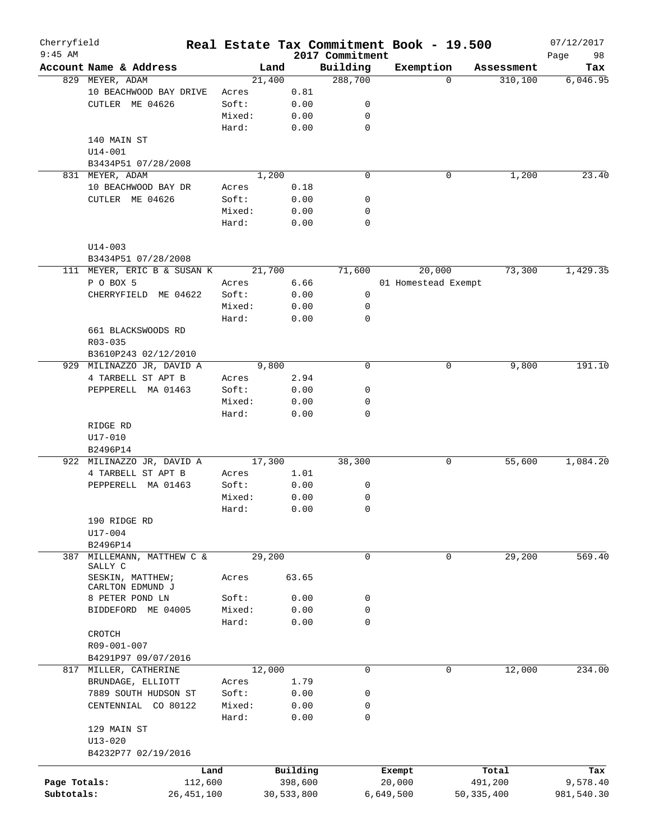| Cherryfield  |                                                    |            |                 |        |              |                             |           | Real Estate Tax Commitment Book - 19.500 |            | 07/12/2017        |
|--------------|----------------------------------------------------|------------|-----------------|--------|--------------|-----------------------------|-----------|------------------------------------------|------------|-------------------|
| $9:45$ AM    | Account Name & Address                             |            |                 | Land   |              | 2017 Commitment<br>Building | Exemption |                                          | Assessment | 98<br>Page<br>Tax |
|              | 829 MEYER, ADAM                                    |            |                 | 21,400 |              | 288,700                     |           | $\Omega$                                 | 310, 100   | 6,046.95          |
|              | 10 BEACHWOOD BAY DRIVE                             |            | Acres           |        | 0.81         |                             |           |                                          |            |                   |
|              | CUTLER ME 04626                                    |            | Soft:           |        | 0.00         | 0                           |           |                                          |            |                   |
|              |                                                    |            | Mixed:          |        | 0.00         | 0                           |           |                                          |            |                   |
|              |                                                    |            | Hard:           |        | 0.00         | $\mathbf 0$                 |           |                                          |            |                   |
|              |                                                    |            |                 |        |              |                             |           |                                          |            |                   |
|              | 140 MAIN ST                                        |            |                 |        |              |                             |           |                                          |            |                   |
|              | $U14 - 001$                                        |            |                 |        |              |                             |           |                                          |            |                   |
|              | B3434P51 07/28/2008                                |            |                 |        |              |                             |           |                                          |            |                   |
|              | 831 MEYER, ADAM                                    |            |                 | 1,200  |              | $\mathbf 0$                 |           | 0                                        | 1,200      | 23.40             |
|              | 10 BEACHWOOD BAY DR                                |            | Acres           |        | 0.18         |                             |           |                                          |            |                   |
|              | CUTLER ME 04626                                    |            | Soft:           |        | 0.00         | 0                           |           |                                          |            |                   |
|              |                                                    |            | Mixed:          |        | 0.00         | 0                           |           |                                          |            |                   |
|              |                                                    |            | Hard:           |        | 0.00         | $\mathbf 0$                 |           |                                          |            |                   |
|              | $U14 - 003$                                        |            |                 |        |              |                             |           |                                          |            |                   |
|              | B3434P51 07/28/2008<br>111 MEYER, ERIC B & SUSAN K |            |                 | 21,700 |              | 71,600                      |           | 20,000                                   | 73,300     | 1,429.35          |
|              | P O BOX 5                                          |            | Acres           |        | 6.66         |                             |           | 01 Homestead Exempt                      |            |                   |
|              | CHERRYFIELD ME 04622                               |            | Soft:           |        | 0.00         | 0                           |           |                                          |            |                   |
|              |                                                    |            | Mixed:          |        | 0.00         | 0                           |           |                                          |            |                   |
|              |                                                    |            |                 |        |              | $\mathbf 0$                 |           |                                          |            |                   |
|              |                                                    |            | Hard:           |        | 0.00         |                             |           |                                          |            |                   |
|              | 661 BLACKSWOODS RD                                 |            |                 |        |              |                             |           |                                          |            |                   |
|              | $R03 - 035$                                        |            |                 |        |              |                             |           |                                          |            |                   |
|              | B3610P243 02/12/2010                               |            |                 |        |              |                             |           |                                          |            |                   |
|              | 929 MILINAZZO JR, DAVID A                          |            |                 | 9,800  |              | $\mathbf 0$                 |           | 0                                        | 9,800      | 191.10            |
|              | 4 TARBELL ST APT B                                 |            | Acres           |        | 2.94         |                             |           |                                          |            |                   |
|              | PEPPERELL MA 01463                                 |            | Soft:           |        | 0.00         | 0                           |           |                                          |            |                   |
|              |                                                    |            | Mixed:          |        | 0.00         | 0                           |           |                                          |            |                   |
|              |                                                    |            | Hard:           |        | 0.00         | $\mathbf 0$                 |           |                                          |            |                   |
|              | RIDGE RD                                           |            |                 |        |              |                             |           |                                          |            |                   |
|              | U17-010                                            |            |                 |        |              |                             |           |                                          |            |                   |
|              | B2496P14                                           |            |                 |        |              |                             |           |                                          |            |                   |
|              | 922 MILINAZZO JR, DAVID A                          |            |                 | 17,300 |              | 38,300                      |           | 0                                        | 55,600     | 1,084.20          |
|              | 4 TARBELL ST APT B                                 |            | Acres           |        | 1.01         |                             |           |                                          |            |                   |
|              | PEPPERELL MA 01463                                 |            | Soft:           |        | 0.00         | 0                           |           |                                          |            |                   |
|              |                                                    |            | Mixed:          |        | 0.00         | 0                           |           |                                          |            |                   |
|              |                                                    |            | Hard:           |        | 0.00         | 0                           |           |                                          |            |                   |
|              | 190 RIDGE RD                                       |            |                 |        |              |                             |           |                                          |            |                   |
|              | U17-004                                            |            |                 |        |              |                             |           |                                          |            |                   |
|              | B2496P14                                           |            |                 |        |              |                             |           |                                          |            |                   |
| 387          | MILLEMANN, MATTHEW C &                             |            |                 | 29,200 |              | 0                           |           | 0                                        | 29,200     | 569.40            |
|              | SALLY C                                            |            |                 |        |              |                             |           |                                          |            |                   |
|              | SESKIN, MATTHEW;<br>CARLTON EDMUND J               |            | Acres           |        | 63.65        |                             |           |                                          |            |                   |
|              | 8 PETER POND LN                                    |            | Soft:           |        | 0.00         | 0                           |           |                                          |            |                   |
|              | BIDDEFORD ME 04005                                 |            | Mixed:          |        | 0.00         | $\mathbf 0$                 |           |                                          |            |                   |
|              |                                                    |            | Hard:           |        | 0.00         | $\mathbf 0$                 |           |                                          |            |                   |
|              | CROTCH                                             |            |                 |        |              |                             |           |                                          |            |                   |
|              | R09-001-007                                        |            |                 |        |              |                             |           |                                          |            |                   |
|              | B4291P97 09/07/2016                                |            |                 |        |              |                             |           |                                          |            |                   |
|              | 817 MILLER, CATHERINE                              |            |                 | 12,000 |              | 0                           |           | 0                                        | 12,000     | 234.00            |
|              | BRUNDAGE, ELLIOTT                                  |            | Acres           |        | 1.79         |                             |           |                                          |            |                   |
|              |                                                    |            |                 |        |              |                             |           |                                          |            |                   |
|              | 7889 SOUTH HUDSON ST<br>CENTENNIAL CO 80122        |            | Soft:<br>Mixed: |        | 0.00<br>0.00 | 0<br>0                      |           |                                          |            |                   |
|              |                                                    |            |                 |        |              |                             |           |                                          |            |                   |
|              |                                                    |            | Hard:           |        | 0.00         | $\mathbf 0$                 |           |                                          |            |                   |
|              | 129 MAIN ST                                        |            |                 |        |              |                             |           |                                          |            |                   |
|              | $U13 - 020$                                        |            |                 |        |              |                             |           |                                          |            |                   |
|              | B4232P77 02/19/2016                                |            |                 |        |              |                             |           |                                          |            |                   |
|              |                                                    | Land       |                 |        | Building     |                             | Exempt    |                                          | Total      | Tax               |
| Page Totals: |                                                    | 112,600    |                 |        | 398,600      |                             | 20,000    |                                          | 491,200    | 9,578.40          |
| Subtotals:   |                                                    | 26,451,100 |                 |        | 30,533,800   |                             | 6,649,500 |                                          | 50,335,400 | 981,540.30        |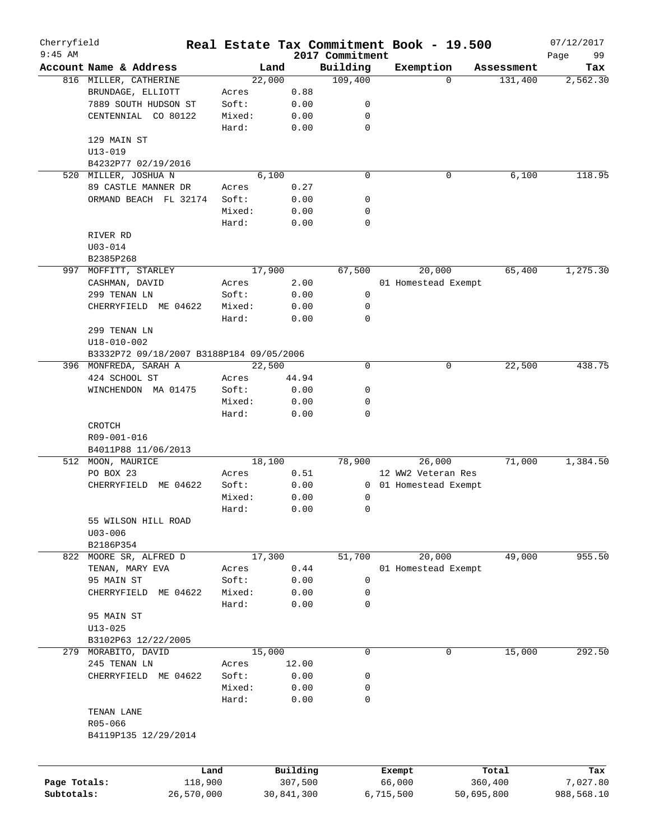| Cherryfield  |                                          |        |            |                             | Real Estate Tax Commitment Book - 19.500 |            | 07/12/2017        |
|--------------|------------------------------------------|--------|------------|-----------------------------|------------------------------------------|------------|-------------------|
| $9:45$ AM    | Account Name & Address                   | Land   |            | 2017 Commitment<br>Building | Exemption                                | Assessment | 99<br>Page<br>Tax |
|              | 816 MILLER, CATHERINE                    | 22,000 |            | 109,400                     | $\Omega$                                 | 131,400    | 2,562.30          |
|              | BRUNDAGE, ELLIOTT                        | Acres  | 0.88       |                             |                                          |            |                   |
|              | 7889 SOUTH HUDSON ST                     | Soft:  | 0.00       | 0                           |                                          |            |                   |
|              | CENTENNIAL CO 80122                      | Mixed: | 0.00       | 0                           |                                          |            |                   |
|              |                                          | Hard:  |            | $\mathbf 0$                 |                                          |            |                   |
|              |                                          |        | 0.00       |                             |                                          |            |                   |
|              | 129 MAIN ST                              |        |            |                             |                                          |            |                   |
|              | $U13 - 019$                              |        |            |                             |                                          |            |                   |
|              | B4232P77 02/19/2016                      |        |            |                             |                                          |            |                   |
|              | 520 MILLER, JOSHUA N                     | 6,100  |            | $\mathbf 0$                 | 0                                        | 6,100      | 118.95            |
|              | 89 CASTLE MANNER DR                      | Acres  | 0.27       |                             |                                          |            |                   |
|              | ORMAND BEACH FL 32174                    | Soft:  | 0.00       | 0                           |                                          |            |                   |
|              |                                          | Mixed: | 0.00       | 0                           |                                          |            |                   |
|              |                                          | Hard:  | 0.00       | $\mathbf 0$                 |                                          |            |                   |
|              | RIVER RD                                 |        |            |                             |                                          |            |                   |
|              | $U03 - 014$                              |        |            |                             |                                          |            |                   |
|              | B2385P268                                |        |            |                             |                                          |            |                   |
| 997          | MOFFITT, STARLEY                         | 17,900 |            | 67,500                      | 20,000                                   | 65,400     | 1, 275.30         |
|              | CASHMAN, DAVID                           | Acres  | 2.00       |                             | 01 Homestead Exempt                      |            |                   |
|              | 299 TENAN LN                             | Soft:  | 0.00       | 0                           |                                          |            |                   |
|              | CHERRYFIELD ME 04622                     | Mixed: | 0.00       | 0                           |                                          |            |                   |
|              |                                          | Hard:  | 0.00       | $\mathbf 0$                 |                                          |            |                   |
|              | 299 TENAN LN                             |        |            |                             |                                          |            |                   |
|              | $U18 - 010 - 002$                        |        |            |                             |                                          |            |                   |
|              | B3332P72 09/18/2007 B3188P184 09/05/2006 |        |            |                             |                                          |            |                   |
|              | 396 MONFREDA, SARAH A                    | 22,500 |            | 0                           | 0                                        | 22,500     | 438.75            |
|              | 424 SCHOOL ST                            | Acres  | 44.94      |                             |                                          |            |                   |
|              |                                          | Soft:  |            | 0                           |                                          |            |                   |
|              | WINCHENDON MA 01475                      |        | 0.00       |                             |                                          |            |                   |
|              |                                          | Mixed: | 0.00       | 0<br>$\mathbf 0$            |                                          |            |                   |
|              | CROTCH                                   | Hard:  | 0.00       |                             |                                          |            |                   |
|              | R09-001-016                              |        |            |                             |                                          |            |                   |
|              | B4011P88 11/06/2013                      |        |            |                             |                                          |            |                   |
|              | 512 MOON, MAURICE                        | 18,100 |            | 78,900                      | 26,000                                   | 71,000     | 1,384.50          |
|              | PO BOX 23                                | Acres  | 0.51       |                             | 12 WW2 Veteran Res                       |            |                   |
|              | CHERRYFIELD ME 04622                     | Soft:  | 0.00       | $\overline{0}$              | 01 Homestead Exempt                      |            |                   |
|              |                                          | Mixed: | 0.00       | 0                           |                                          |            |                   |
|              |                                          | Hard:  | 0.00       | 0                           |                                          |            |                   |
|              | 55 WILSON HILL ROAD                      |        |            |                             |                                          |            |                   |
|              | $U03 - 006$                              |        |            |                             |                                          |            |                   |
|              |                                          |        |            |                             |                                          |            |                   |
|              | B2186P354                                |        |            |                             |                                          |            |                   |
|              | 822 MOORE SR, ALFRED D                   | 17,300 |            | 51,700                      | 20,000                                   | 49,000     | 955.50            |
|              | TENAN, MARY EVA                          | Acres  | 0.44       |                             | 01 Homestead Exempt                      |            |                   |
|              | 95 MAIN ST                               | Soft:  | 0.00       | 0                           |                                          |            |                   |
|              | CHERRYFIELD<br>ME 04622                  | Mixed: | 0.00       | 0                           |                                          |            |                   |
|              |                                          | Hard:  | 0.00       | 0                           |                                          |            |                   |
|              | 95 MAIN ST                               |        |            |                             |                                          |            |                   |
|              | $U13 - 025$                              |        |            |                             |                                          |            |                   |
|              | B3102P63 12/22/2005                      |        |            |                             |                                          |            |                   |
|              | 279 MORABITO, DAVID                      | 15,000 |            | 0                           | 0                                        | 15,000     | 292.50            |
|              | 245 TENAN LN                             | Acres  | 12.00      |                             |                                          |            |                   |
|              | CHERRYFIELD ME 04622                     | Soft:  | 0.00       | 0                           |                                          |            |                   |
|              |                                          | Mixed: | 0.00       | 0                           |                                          |            |                   |
|              |                                          | Hard:  | 0.00       | 0                           |                                          |            |                   |
|              | TENAN LANE                               |        |            |                             |                                          |            |                   |
|              | R05-066                                  |        |            |                             |                                          |            |                   |
|              | B4119P135 12/29/2014                     |        |            |                             |                                          |            |                   |
|              |                                          |        |            |                             |                                          |            |                   |
|              |                                          | Land   | Building   |                             | Exempt                                   | Total      | Tax               |
| Page Totals: | 118,900                                  |        | 307,500    |                             | 66,000                                   | 360,400    | 7,027.80          |
| Subtotals:   | 26,570,000                               |        | 30,841,300 |                             | 50,695,800<br>6,715,500                  |            | 988,568.10        |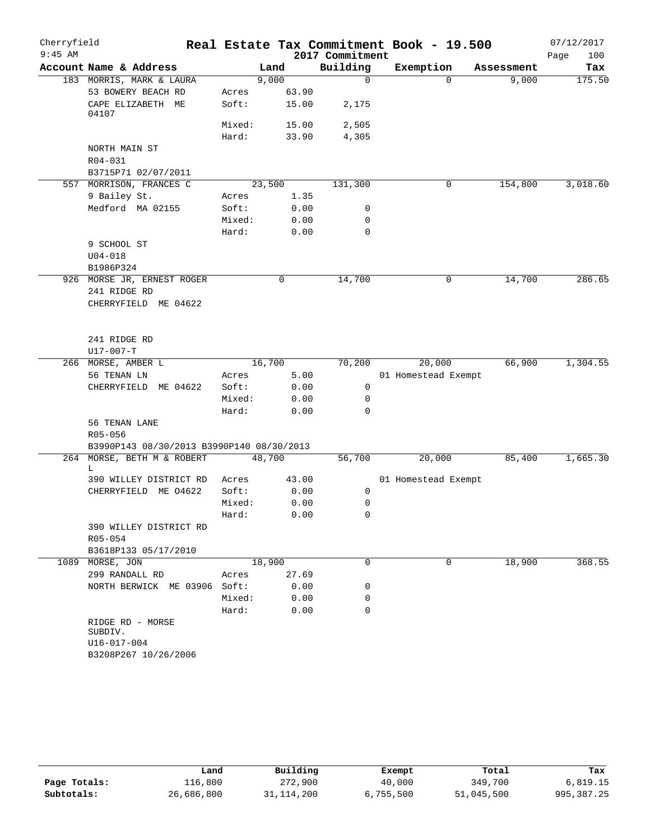| Cherryfield |                                                                    |                 |              |                 | Real Estate Tax Commitment Book - 19.500 |            | 07/12/2017  |
|-------------|--------------------------------------------------------------------|-----------------|--------------|-----------------|------------------------------------------|------------|-------------|
| $9:45$ AM   |                                                                    |                 |              | 2017 Commitment |                                          |            | Page<br>100 |
|             | Account Name & Address                                             |                 | Land         | Building        | Exemption                                | Assessment | Tax         |
|             | 183 MORRIS, MARK & LAURA                                           |                 | 9,000        | $\mathbf 0$     | $\Omega$                                 | 9,000      | 175.50      |
|             | 53 BOWERY BEACH RD                                                 | Acres           | 63.90        |                 |                                          |            |             |
|             | CAPE ELIZABETH ME<br>04107                                         | Soft:           | 15.00        | 2,175           |                                          |            |             |
|             |                                                                    | Mixed:          | 15.00        | 2,505           |                                          |            |             |
|             |                                                                    | Hard:           | 33.90        | 4,305           |                                          |            |             |
|             | NORTH MAIN ST<br>R04-031                                           |                 |              |                 |                                          |            |             |
|             | B3715P71 02/07/2011                                                |                 |              |                 |                                          |            |             |
|             | 557 MORRISON, FRANCES C                                            |                 | 23,500       | 131,300         | 0                                        | 154,800    | 3,018.60    |
|             | 9 Bailey St.                                                       | Acres           | 1.35         |                 |                                          |            |             |
|             | Medford MA 02155                                                   | Soft:           | 0.00         | 0               |                                          |            |             |
|             |                                                                    | Mixed:          | 0.00         | 0               |                                          |            |             |
|             |                                                                    | Hard:           | 0.00         | $\mathbf 0$     |                                          |            |             |
|             | 9 SCHOOL ST                                                        |                 |              |                 |                                          |            |             |
|             | $U04 - 018$                                                        |                 |              |                 |                                          |            |             |
|             | B1986P324                                                          |                 |              |                 |                                          |            |             |
|             | 926 MORSE JR, ERNEST ROGER<br>241 RIDGE RD<br>CHERRYFIELD ME 04622 |                 | 0            | 14,700          | 0                                        | 14,700     | 286.65      |
|             | 241 RIDGE RD<br>$U17 - 007 - T$                                    |                 |              |                 |                                          |            |             |
|             | 266 MORSE, AMBER L                                                 |                 | 16,700       | 70,200          | 20,000                                   | 66,900     | 1,304.55    |
|             | 56 TENAN LN                                                        | Acres           | 5.00         |                 | 01 Homestead Exempt                      |            |             |
|             | CHERRYFIELD ME 04622                                               | Soft:           | 0.00         | 0               |                                          |            |             |
|             |                                                                    | Mixed:          | 0.00         | $\mathbf 0$     |                                          |            |             |
|             |                                                                    | Hard:           | 0.00         | $\mathbf 0$     |                                          |            |             |
|             | 56 TENAN LANE<br>R05-056                                           |                 |              |                 |                                          |            |             |
|             | B3990P143 08/30/2013 B3990P140 08/30/2013                          |                 |              |                 |                                          |            |             |
|             | 264 MORSE, BETH M & ROBERT<br>L                                    |                 | 48,700       | 56,700          | 20,000                                   | 85,400     | 1,665.30    |
|             | 390 WILLEY DISTRICT RD                                             | Acres           | 43.00        |                 | 01 Homestead Exempt                      |            |             |
|             | CHERRYFIELD ME 04622                                               | Soft:           | 0.00         | 0               |                                          |            |             |
|             |                                                                    | Mixed:          | 0.00         | 0               |                                          |            |             |
|             |                                                                    | Hard:           | 0.00         | $\mathbf 0$     |                                          |            |             |
|             | 390 WILLEY DISTRICT RD<br>R05-054                                  |                 |              |                 |                                          |            |             |
|             | B3618P133 05/17/2010                                               |                 |              | 0               | 0                                        |            | 368.55      |
| 1089        | MORSE, JON                                                         |                 | 18,900       |                 |                                          | 18,900     |             |
|             | 299 RANDALL RD<br>NORTH BERWICK ME 03906 Soft:                     | Acres           | 27.69        | 0               |                                          |            |             |
|             |                                                                    |                 | 0.00         |                 |                                          |            |             |
|             |                                                                    | Mixed:<br>Hard: | 0.00<br>0.00 | 0<br>0          |                                          |            |             |
|             | RIDGE RD - MORSE<br>SUBDIV.<br>U16-017-004<br>B3208P267 10/26/2006 |                 |              |                 |                                          |            |             |

|              | Land       | Building     | Exempt    | Total      | Tax        |
|--------------|------------|--------------|-----------|------------|------------|
| Page Totals: | 116,800    | 272,900      | 40,000    | 349,700    | 6,819.15   |
| Subtotals:   | 26,686,800 | 31, 114, 200 | 6,755,500 | 51,045,500 | 995,387.25 |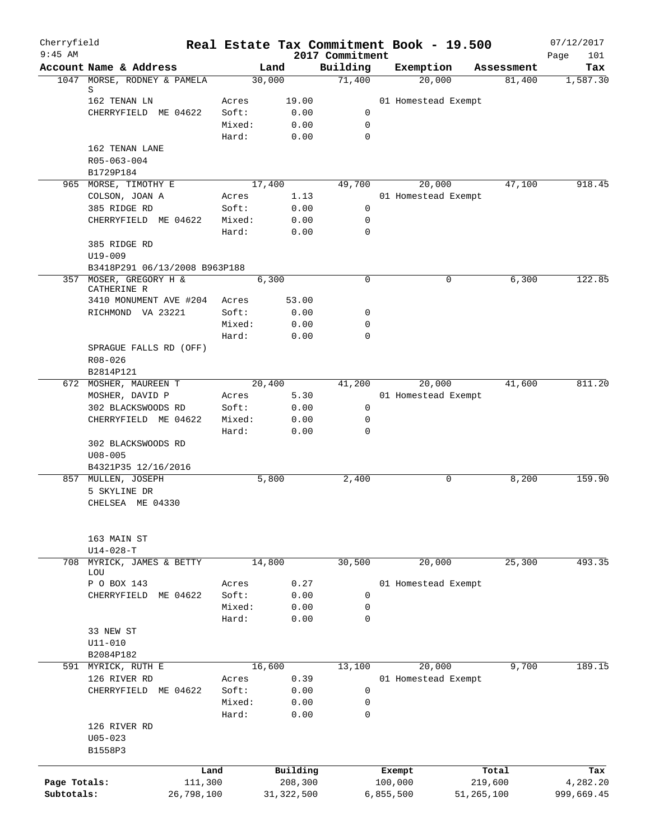| Cherryfield<br>$9:45$ AM |                                           |                 |               | 2017 Commitment | Real Estate Tax Commitment Book - 19.500 |            | 07/12/2017         |
|--------------------------|-------------------------------------------|-----------------|---------------|-----------------|------------------------------------------|------------|--------------------|
|                          | Account Name & Address                    |                 | Land          | Building        | Exemption                                | Assessment | Page<br>101<br>Tax |
|                          | 1047 MORSE, RODNEY & PAMELA               |                 | 30,000        | 71,400          | 20,000                                   | 81,400     | 1,587.30           |
|                          | S                                         |                 |               |                 |                                          |            |                    |
|                          | 162 TENAN LN<br>CHERRYFIELD ME 04622      | Acres<br>Soft:  | 19.00<br>0.00 | 0               | 01 Homestead Exempt                      |            |                    |
|                          |                                           | Mixed:          | 0.00          | $\mathbf 0$     |                                          |            |                    |
|                          |                                           | Hard:           | 0.00          | 0               |                                          |            |                    |
|                          | 162 TENAN LANE                            |                 |               |                 |                                          |            |                    |
|                          | R05-063-004                               |                 |               |                 |                                          |            |                    |
|                          | B1729P184                                 |                 |               |                 |                                          |            |                    |
|                          | 965 MORSE, TIMOTHY E                      |                 | 17,400        | 49,700          | 20,000                                   | 47,100     | 918.45             |
|                          | COLSON, JOAN A                            | Acres           | 1.13          |                 | 01 Homestead Exempt                      |            |                    |
|                          | 385 RIDGE RD                              | Soft:           | 0.00          | 0               |                                          |            |                    |
|                          | CHERRYFIELD ME 04622                      | Mixed:<br>Hard: | 0.00<br>0.00  | 0<br>0          |                                          |            |                    |
|                          | 385 RIDGE RD                              |                 |               |                 |                                          |            |                    |
|                          | U19-009                                   |                 |               |                 |                                          |            |                    |
|                          | B3418P291 06/13/2008 B963P188             |                 |               |                 |                                          |            |                    |
|                          | 357 MOSER, GREGORY H &<br>CATHERINE R     |                 | 6,300         | $\mathbf 0$     | 0                                        | 6,300      | 122.85             |
|                          | 3410 MONUMENT AVE #204                    | Acres           | 53.00         |                 |                                          |            |                    |
|                          | RICHMOND VA 23221                         | Soft:           | 0.00          | 0               |                                          |            |                    |
|                          |                                           | Mixed:          | 0.00          | 0               |                                          |            |                    |
|                          |                                           | Hard:           | 0.00          | $\Omega$        |                                          |            |                    |
|                          | SPRAGUE FALLS RD (OFF)                    |                 |               |                 |                                          |            |                    |
|                          | R08-026                                   |                 |               |                 |                                          |            |                    |
|                          | B2814P121                                 |                 |               |                 |                                          |            |                    |
|                          | 672 MOSHER, MAUREEN T                     |                 | 20,400        | 41,200          | 20,000                                   | 41,600     | 811.20             |
|                          | MOSHER, DAVID P                           | Acres           | 5.30          |                 | 01 Homestead Exempt                      |            |                    |
|                          | 302 BLACKSWOODS RD                        | Soft:           | 0.00          | 0               |                                          |            |                    |
|                          | CHERRYFIELD ME 04622                      | Mixed:          | 0.00          | 0               |                                          |            |                    |
|                          |                                           | Hard:           | 0.00          | 0               |                                          |            |                    |
|                          | 302 BLACKSWOODS RD                        |                 |               |                 |                                          |            |                    |
|                          | $U08 - 005$                               |                 |               |                 |                                          |            |                    |
|                          | B4321P35 12/16/2016<br>857 MULLEN, JOSEPH |                 | 5,800         | 2,400           | 0                                        | 8,200      | 159.90             |
|                          | 5 SKYLINE DR                              |                 |               |                 |                                          |            |                    |
|                          | CHELSEA ME 04330                          |                 |               |                 |                                          |            |                    |
|                          |                                           |                 |               |                 |                                          |            |                    |
|                          | 163 MAIN ST                               |                 |               |                 |                                          |            |                    |
|                          | $U14 - 028 - T$                           |                 |               |                 |                                          |            |                    |
|                          | 708 MYRICK, JAMES & BETTY<br>LOU          |                 | 14,800        | 30,500          | 20,000                                   | 25,300     | 493.35             |
|                          | P O BOX 143                               | Acres           | 0.27          |                 | 01 Homestead Exempt                      |            |                    |
|                          | CHERRYFIELD<br>ME 04622                   | Soft:           | 0.00          | 0               |                                          |            |                    |
|                          |                                           | Mixed:          | 0.00          | 0               |                                          |            |                    |
|                          |                                           | Hard:           | 0.00          | 0               |                                          |            |                    |
|                          | 33 NEW ST                                 |                 |               |                 |                                          |            |                    |
|                          | $U11 - 010$                               |                 |               |                 |                                          |            |                    |
|                          | B2084P182                                 |                 |               |                 |                                          |            |                    |
| 591                      | MYRICK, RUTH E                            |                 | 16,600        | 13,100          | 20,000                                   | 9,700      | 189.15             |
|                          | 126 RIVER RD                              | Acres           | 0.39          |                 | 01 Homestead Exempt                      |            |                    |
|                          | CHERRYFIELD ME 04622                      | Soft:<br>Mixed: | 0.00          | 0               |                                          |            |                    |
|                          |                                           | Hard:           | 0.00<br>0.00  | 0<br>0          |                                          |            |                    |
|                          | 126 RIVER RD                              |                 |               |                 |                                          |            |                    |
|                          | $U05 - 023$                               |                 |               |                 |                                          |            |                    |
|                          | B1558P3                                   |                 |               |                 |                                          |            |                    |
|                          |                                           | Land            | Building      |                 | Exempt                                   | Total      | Tax                |
| Page Totals:             | 111,300                                   |                 | 208,300       |                 | 100,000                                  | 219,600    | 4,282.20           |
| Subtotals:               | 26,798,100                                |                 | 31, 322, 500  |                 | 6,855,500                                | 51,265,100 | 999,669.45         |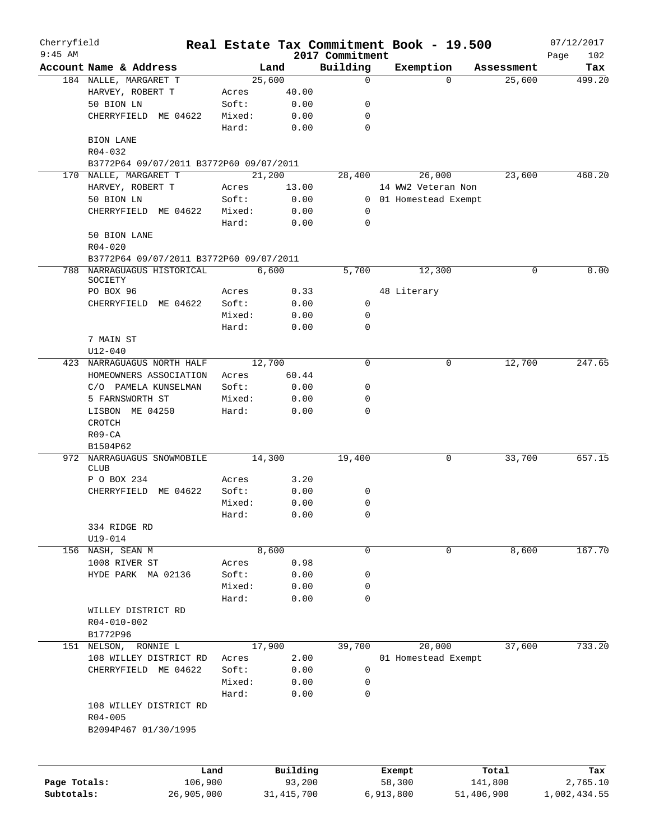| Cherryfield<br>$9:45$ AM |                                         |        |              | 2017 Commitment | Real Estate Tax Commitment Book - 19.500 |            | 07/12/2017         |
|--------------------------|-----------------------------------------|--------|--------------|-----------------|------------------------------------------|------------|--------------------|
|                          | Account Name & Address                  |        | Land         | Building        | Exemption                                | Assessment | Page<br>102<br>Tax |
|                          | 184 NALLE, MARGARET T                   |        | 25,600       | 0               | $\Omega$                                 | 25,600     | 499.20             |
|                          | HARVEY, ROBERT T                        | Acres  | 40.00        |                 |                                          |            |                    |
|                          | 50 BION LN                              | Soft:  | 0.00         | 0               |                                          |            |                    |
|                          | CHERRYFIELD ME 04622                    | Mixed: | 0.00         | 0               |                                          |            |                    |
|                          |                                         | Hard:  | 0.00         | 0               |                                          |            |                    |
|                          | BION LANE<br>R04-032                    |        |              |                 |                                          |            |                    |
|                          | B3772P64 09/07/2011 B3772P60 09/07/2011 |        |              |                 |                                          |            |                    |
|                          | 170 NALLE, MARGARET T                   |        | 21,200       | 28,400          | 26,000                                   | 23,600     | 460.20             |
|                          | HARVEY, ROBERT T                        | Acres  | 13.00        |                 | 14 WW2 Veteran Non                       |            |                    |
|                          | 50 BION LN                              | Soft:  | 0.00         |                 | 0 01 Homestead Exempt                    |            |                    |
|                          | CHERRYFIELD ME 04622                    | Mixed: | 0.00         | 0               |                                          |            |                    |
|                          |                                         | Hard:  | 0.00         | $\mathbf 0$     |                                          |            |                    |
|                          | 50 BION LANE                            |        |              |                 |                                          |            |                    |
|                          | $R04 - 020$                             |        |              |                 |                                          |            |                    |
|                          | B3772P64 09/07/2011 B3772P60 09/07/2011 |        |              |                 |                                          |            |                    |
|                          | 788 NARRAGUAGUS HISTORICAL              |        | 6,600        | 5,700           | 12,300                                   | 0          | 0.00               |
|                          | SOCIETY                                 |        |              |                 |                                          |            |                    |
|                          | PO BOX 96                               | Acres  | 0.33         |                 | 48 Literary                              |            |                    |
|                          | CHERRYFIELD ME 04622                    | Soft:  | 0.00         | 0               |                                          |            |                    |
|                          |                                         | Mixed: | 0.00         | 0               |                                          |            |                    |
|                          |                                         | Hard:  | 0.00         | $\mathbf 0$     |                                          |            |                    |
|                          | 7 MAIN ST                               |        |              |                 |                                          |            |                    |
|                          | $U12 - 040$                             |        |              |                 |                                          |            |                    |
|                          | 423 NARRAGUAGUS NORTH HALF              |        | 12,700       | $\Omega$        | 0                                        | 12,700     | 247.65             |
|                          | HOMEOWNERS ASSOCIATION                  | Acres  | 60.44        |                 |                                          |            |                    |
|                          | C/O PAMELA KUNSELMAN                    | Soft:  | 0.00         | 0               |                                          |            |                    |
|                          | 5 FARNSWORTH ST                         | Mixed: | 0.00         | 0               |                                          |            |                    |
|                          | LISBON ME 04250                         | Hard:  | 0.00         | 0               |                                          |            |                    |
|                          | <b>CROTCH</b>                           |        |              |                 |                                          |            |                    |
|                          | $R09 - CA$                              |        |              |                 |                                          |            |                    |
|                          | B1504P62                                |        |              |                 |                                          |            |                    |
| 972                      | NARRAGUAGUS SNOWMOBILE                  |        | 14,300       | 19,400          | 0                                        | 33,700     | 657.15             |
|                          | <b>CLUB</b>                             |        |              |                 |                                          |            |                    |
|                          | P O BOX 234                             | Acres  | 3.20         |                 |                                          |            |                    |
|                          | ME 04622<br>CHERRYFIELD                 | Soft:  | 0.00         | 0               |                                          |            |                    |
|                          |                                         | Mixed: | 0.00         | 0               |                                          |            |                    |
|                          |                                         | Hard:  | 0.00         | $\cap$          |                                          |            |                    |
|                          | 334 RIDGE RD                            |        |              |                 |                                          |            |                    |
|                          | $U19 - 014$                             |        |              |                 |                                          |            |                    |
|                          | 156 NASH, SEAN M                        |        | 8,600        | 0               | 0                                        | 8,600      | 167.70             |
|                          | 1008 RIVER ST                           | Acres  | 0.98         |                 |                                          |            |                    |
|                          | HYDE PARK MA 02136                      | Soft:  | 0.00         | 0               |                                          |            |                    |
|                          |                                         | Mixed: | 0.00         | 0               |                                          |            |                    |
|                          |                                         | Hard:  | 0.00         | 0               |                                          |            |                    |
|                          | WILLEY DISTRICT RD                      |        |              |                 |                                          |            |                    |
|                          | R04-010-002                             |        |              |                 |                                          |            |                    |
|                          | B1772P96                                |        |              |                 |                                          |            |                    |
|                          | 151 NELSON, RONNIE L                    |        | 17,900       | 39,700          | 20,000                                   | 37,600     | 733.20             |
|                          | 108 WILLEY DISTRICT RD                  | Acres  | 2.00         |                 | 01 Homestead Exempt                      |            |                    |
|                          | CHERRYFIELD ME 04622                    | Soft:  | 0.00         | 0               |                                          |            |                    |
|                          |                                         | Mixed: | 0.00         | 0               |                                          |            |                    |
|                          |                                         | Hard:  | 0.00         | 0               |                                          |            |                    |
|                          | 108 WILLEY DISTRICT RD                  |        |              |                 |                                          |            |                    |
|                          | $R04 - 005$                             |        |              |                 |                                          |            |                    |
|                          | B2094P467 01/30/1995                    |        |              |                 |                                          |            |                    |
|                          |                                         |        |              |                 |                                          |            |                    |
|                          |                                         | Land   | Building     |                 | Exempt                                   | Total      | Tax                |
| Page Totals:             | 106,900                                 |        | 93,200       |                 | 58,300                                   | 141,800    | 2,765.10           |
| Subtotals:               | 26,905,000                              |        | 31, 415, 700 |                 | 6,913,800                                | 51,406,900 | 1,002,434.55       |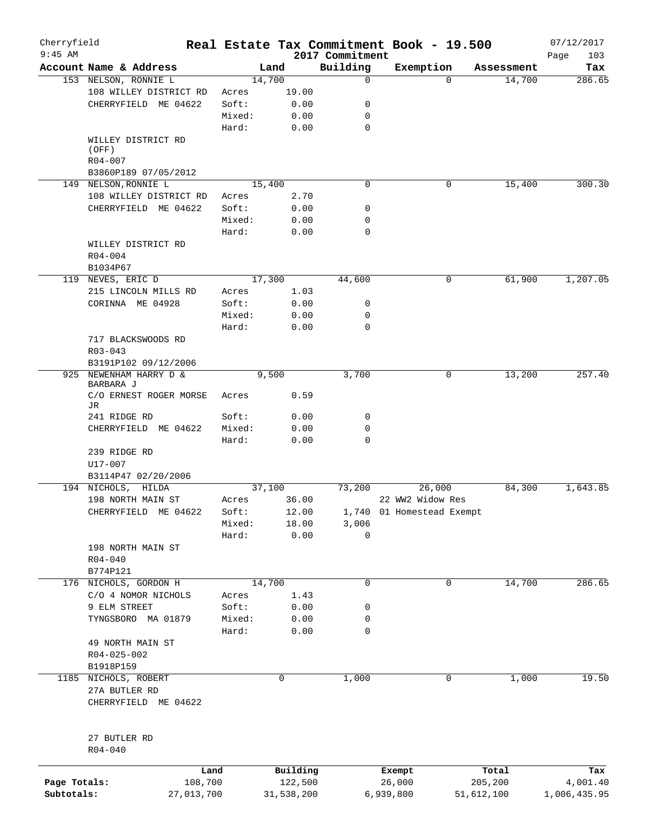| Cherryfield<br>$9:45$ AM |                                       |            |        |        |            |                             | Real Estate Tax Commitment Book - 19.500 |            |            | 07/12/2017         |
|--------------------------|---------------------------------------|------------|--------|--------|------------|-----------------------------|------------------------------------------|------------|------------|--------------------|
|                          | Account Name & Address                |            |        | Land   |            | 2017 Commitment<br>Building | Exemption                                |            | Assessment | Page<br>103<br>Tax |
|                          | 153 NELSON, RONNIE L                  |            |        | 14,700 |            | 0                           |                                          | $\Omega$   | 14,700     | 286.65             |
|                          | 108 WILLEY DISTRICT RD                |            | Acres  |        | 19.00      |                             |                                          |            |            |                    |
|                          | CHERRYFIELD ME 04622                  |            | Soft:  |        | 0.00       | 0                           |                                          |            |            |                    |
|                          |                                       |            | Mixed: |        | 0.00       | 0                           |                                          |            |            |                    |
|                          |                                       |            | Hard:  |        | 0.00       | $\mathbf 0$                 |                                          |            |            |                    |
|                          | WILLEY DISTRICT RD<br>(OFF)           |            |        |        |            |                             |                                          |            |            |                    |
|                          | $R04 - 007$                           |            |        |        |            |                             |                                          |            |            |                    |
|                          | B3860P189 07/05/2012                  |            |        |        |            |                             |                                          |            |            |                    |
|                          | 149 NELSON, RONNIE L                  |            |        | 15,400 |            | 0                           |                                          | 0          | 15,400     | 300.30             |
|                          | 108 WILLEY DISTRICT RD                |            | Acres  |        | 2.70       |                             |                                          |            |            |                    |
|                          | CHERRYFIELD ME 04622                  |            | Soft:  |        | 0.00       | 0                           |                                          |            |            |                    |
|                          |                                       |            | Mixed: |        | 0.00       | 0                           |                                          |            |            |                    |
|                          |                                       |            | Hard:  |        | 0.00       | 0                           |                                          |            |            |                    |
|                          | WILLEY DISTRICT RD                    |            |        |        |            |                             |                                          |            |            |                    |
|                          | $R04 - 004$                           |            |        |        |            |                             |                                          |            |            |                    |
|                          | B1034P67                              |            |        |        |            |                             |                                          |            |            |                    |
|                          |                                       |            |        | 17,300 |            | 44,600                      |                                          |            | 61,900     | 1,207.05           |
|                          | 119 NEVES, ERIC D                     |            |        |        |            |                             |                                          | 0          |            |                    |
|                          | 215 LINCOLN MILLS RD                  |            | Acres  |        | 1.03       |                             |                                          |            |            |                    |
|                          | CORINNA ME 04928                      |            | Soft:  |        | 0.00       | 0                           |                                          |            |            |                    |
|                          |                                       |            | Mixed: |        | 0.00       | 0                           |                                          |            |            |                    |
|                          |                                       |            | Hard:  |        | 0.00       | 0                           |                                          |            |            |                    |
|                          | 717 BLACKSWOODS RD                    |            |        |        |            |                             |                                          |            |            |                    |
|                          | $R03 - 043$                           |            |        |        |            |                             |                                          |            |            |                    |
|                          | B3191P102 09/12/2006                  |            |        |        |            |                             |                                          |            |            |                    |
|                          | 925 NEWENHAM HARRY D &<br>BARBARA J   |            |        | 9,500  |            | 3,700                       |                                          | 0          | 13,200     | 257.40             |
|                          | C/O ERNEST ROGER MORSE<br>JR          |            | Acres  |        | 0.59       |                             |                                          |            |            |                    |
|                          | 241 RIDGE RD                          |            | Soft:  |        | 0.00       | 0                           |                                          |            |            |                    |
|                          | CHERRYFIELD ME 04622                  |            | Mixed: |        | 0.00       | 0                           |                                          |            |            |                    |
|                          |                                       |            | Hard:  |        | 0.00       | $\mathbf 0$                 |                                          |            |            |                    |
|                          | 239 RIDGE RD                          |            |        |        |            |                             |                                          |            |            |                    |
|                          | U17-007                               |            |        |        |            |                             |                                          |            |            |                    |
|                          | B3114P47 02/20/2006                   |            |        |        |            |                             |                                          |            |            |                    |
|                          | 194 NICHOLS, HILDA                    |            |        | 37,100 |            | 73,200                      | 26,000                                   |            | 84,300     | 1,643.85           |
|                          | 198 NORTH MAIN ST                     |            | Acres  |        | 36.00      |                             | 22 WW2 Widow Res                         |            |            |                    |
|                          | CHERRYFIELD ME 04622                  |            | Soft:  |        | 12.00      |                             | 1,740 01 Homestead Exempt                |            |            |                    |
|                          |                                       |            | Mixed: |        | 18.00      | 3,006                       |                                          |            |            |                    |
|                          |                                       |            | Hard:  |        | 0.00       | 0                           |                                          |            |            |                    |
|                          | 198 NORTH MAIN ST                     |            |        |        |            |                             |                                          |            |            |                    |
|                          | R04-040                               |            |        |        |            |                             |                                          |            |            |                    |
|                          | B774P121                              |            |        |        |            |                             |                                          |            |            |                    |
|                          | 176 NICHOLS, GORDON H                 |            |        | 14,700 |            | 0                           |                                          | 0          | 14,700     | 286.65             |
|                          | C/O 4 NOMOR NICHOLS                   |            | Acres  |        | 1.43       |                             |                                          |            |            |                    |
|                          | 9 ELM STREET                          |            | Soft:  |        | 0.00       | 0                           |                                          |            |            |                    |
|                          | TYNGSBORO MA 01879                    |            | Mixed: |        | 0.00       | 0                           |                                          |            |            |                    |
|                          |                                       |            | Hard:  |        | 0.00       | 0                           |                                          |            |            |                    |
|                          | 49 NORTH MAIN ST                      |            |        |        |            |                             |                                          |            |            |                    |
|                          | R04-025-002                           |            |        |        |            |                             |                                          |            |            |                    |
|                          | B1918P159                             |            |        |        |            |                             |                                          |            |            |                    |
| 1185                     | NICHOLS, ROBERT                       |            |        | 0      |            | 1,000                       |                                          | 0          | 1,000      | 19.50              |
|                          | 27A BUTLER RD<br>CHERRYFIELD ME 04622 |            |        |        |            |                             |                                          |            |            |                    |
|                          |                                       |            |        |        |            |                             |                                          |            |            |                    |
|                          | 27 BUTLER RD<br>R04-040               |            |        |        |            |                             |                                          |            |            |                    |
|                          |                                       | Land       |        |        | Building   |                             | Exempt                                   |            | Total      | Tax                |
| Page Totals:             |                                       | 108,700    |        |        | 122,500    |                             | 26,000                                   |            | 205,200    | 4,001.40           |
| Subtotals:               |                                       | 27,013,700 |        |        | 31,538,200 |                             | 6,939,800                                | 51,612,100 |            | 1,006,435.95       |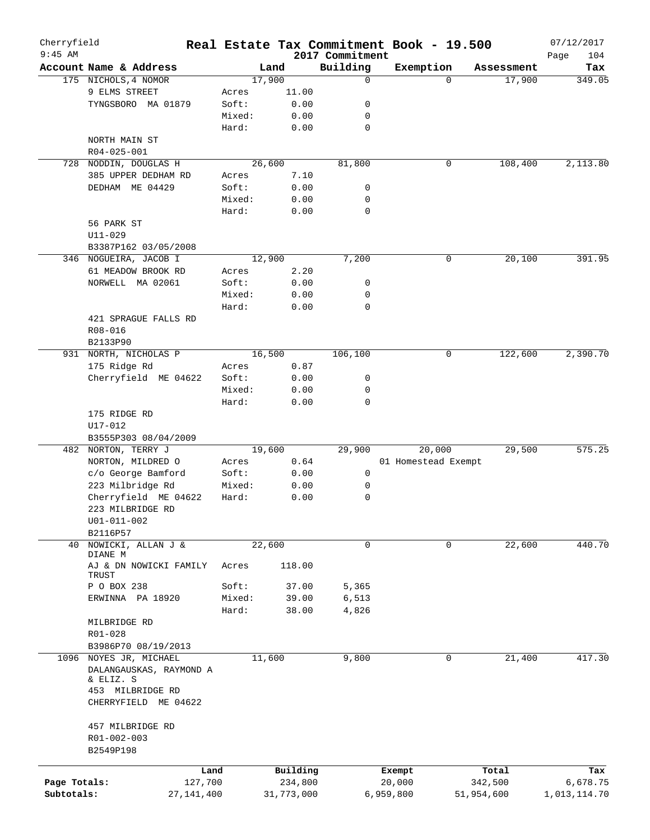| Cherryfield  |                                |              |        |            |                             | Real Estate Tax Commitment Book - 19.500 |            | 07/12/2017         |
|--------------|--------------------------------|--------------|--------|------------|-----------------------------|------------------------------------------|------------|--------------------|
| $9:45$ AM    | Account Name & Address         |              | Land   |            | 2017 Commitment<br>Building | Exemption                                | Assessment | 104<br>Page<br>Tax |
|              | 175 NICHOLS, 4 NOMOR           |              | 17,900 |            | 0                           | $\Omega$                                 | 17,900     | 349.05             |
|              | 9 ELMS STREET                  | Acres        |        | 11.00      |                             |                                          |            |                    |
|              | TYNGSBORO MA 01879             | Soft:        |        | 0.00       | 0                           |                                          |            |                    |
|              |                                |              | Mixed: | 0.00       | 0                           |                                          |            |                    |
|              |                                | Hard:        |        | 0.00       | $\mathbf 0$                 |                                          |            |                    |
|              | NORTH MAIN ST                  |              |        |            |                             |                                          |            |                    |
|              | R04-025-001                    |              |        |            |                             |                                          |            |                    |
|              | NODDIN, DOUGLAS H              |              | 26,600 |            |                             | 0                                        |            |                    |
| 728          |                                |              |        |            | 81,800                      |                                          | 108,400    | 2,113.80           |
|              | 385 UPPER DEDHAM RD            | Acres        |        | 7.10       |                             |                                          |            |                    |
|              | DEDHAM ME 04429                | Soft:        |        | 0.00       | 0                           |                                          |            |                    |
|              |                                |              | Mixed: | 0.00       | 0                           |                                          |            |                    |
|              |                                | Hard:        |        | 0.00       | 0                           |                                          |            |                    |
|              | 56 PARK ST                     |              |        |            |                             |                                          |            |                    |
|              | $U11 - 029$                    |              |        |            |                             |                                          |            |                    |
|              | B3387P162 03/05/2008           |              |        |            |                             |                                          |            |                    |
|              | 346 NOGUEIRA, JACOB I          |              | 12,900 |            | 7,200                       | $\mathsf{O}$                             | 20,100     | 391.95             |
|              | 61 MEADOW BROOK RD             | Acres        |        | 2.20       |                             |                                          |            |                    |
|              | NORWELL MA 02061               | Soft:        |        | 0.00       | 0                           |                                          |            |                    |
|              |                                |              | Mixed: | 0.00       | 0                           |                                          |            |                    |
|              |                                | Hard:        |        | 0.00       | 0                           |                                          |            |                    |
|              | 421 SPRAGUE FALLS RD           |              |        |            |                             |                                          |            |                    |
|              | R08-016                        |              |        |            |                             |                                          |            |                    |
|              | B2133P90                       |              |        |            |                             |                                          |            |                    |
|              | 931 NORTH, NICHOLAS P          |              | 16,500 |            | 106,100                     | 0                                        | 122,600    | 2,390.70           |
|              | 175 Ridge Rd                   | Acres        |        | 0.87       |                             |                                          |            |                    |
|              | Cherryfield ME 04622           | Soft:        |        | 0.00       | 0                           |                                          |            |                    |
|              |                                |              | Mixed: | 0.00       | 0                           |                                          |            |                    |
|              |                                | Hard:        |        | 0.00       | 0                           |                                          |            |                    |
|              | 175 RIDGE RD                   |              |        |            |                             |                                          |            |                    |
|              | U17-012                        |              |        |            |                             |                                          |            |                    |
|              | B3555P303 08/04/2009           |              |        |            |                             |                                          |            |                    |
| 482          | NORTON, TERRY J                |              | 19,600 |            | 29,900                      | 20,000                                   | 29,500     | 575.25             |
|              | NORTON, MILDRED O              | Acres        |        | 0.64       |                             | 01 Homestead Exempt                      |            |                    |
|              | c/o George Bamford             | Soft:        |        | 0.00       | 0                           |                                          |            |                    |
|              | 223 Milbridge Rd               |              | Mixed: | 0.00       | 0                           |                                          |            |                    |
|              | Cherryfield ME 04622           | Hard:        |        | 0.00       | 0                           |                                          |            |                    |
|              | 223 MILBRIDGE RD               |              |        |            |                             |                                          |            |                    |
|              |                                |              |        |            |                             |                                          |            |                    |
|              | $U01 - 011 - 002$              |              |        |            |                             |                                          |            |                    |
|              | B2116P57<br>NOWICKI, ALLAN J & |              |        |            | 0                           |                                          |            |                    |
| 40           | DIANE M                        |              | 22,600 |            |                             | 0                                        | 22,600     | 440.70             |
|              | AJ & DN NOWICKI FAMILY         | Acres        |        | 118.00     |                             |                                          |            |                    |
|              | TRUST                          |              |        |            |                             |                                          |            |                    |
|              | P O BOX 238                    | Soft:        |        | 37.00      | 5,365                       |                                          |            |                    |
|              | ERWINNA PA 18920               |              | Mixed: | 39.00      | 6,513                       |                                          |            |                    |
|              |                                | Hard:        |        | 38.00      | 4,826                       |                                          |            |                    |
|              | MILBRIDGE RD                   |              |        |            |                             |                                          |            |                    |
|              | R01-028                        |              |        |            |                             |                                          |            |                    |
|              | B3986P70 08/19/2013            |              |        |            |                             |                                          |            |                    |
|              | 1096 NOYES JR, MICHAEL         |              | 11,600 |            | 9,800                       | 0                                        | 21,400     | 417.30             |
|              | DALANGAUSKAS, RAYMOND A        |              |        |            |                             |                                          |            |                    |
|              | & ELIZ. S                      |              |        |            |                             |                                          |            |                    |
|              | 453 MILBRIDGE RD               |              |        |            |                             |                                          |            |                    |
|              | CHERRYFIELD ME 04622           |              |        |            |                             |                                          |            |                    |
|              |                                |              |        |            |                             |                                          |            |                    |
|              | 457 MILBRIDGE RD               |              |        |            |                             |                                          |            |                    |
|              | R01-002-003                    |              |        |            |                             |                                          |            |                    |
|              | B2549P198                      |              |        |            |                             |                                          |            |                    |
|              |                                |              |        |            |                             |                                          |            |                    |
|              |                                | Land         |        | Building   |                             | Exempt                                   | Total      | Tax                |
| Page Totals: |                                | 127,700      |        | 234,800    |                             | 20,000                                   | 342,500    | 6,678.75           |
| Subtotals:   |                                | 27, 141, 400 |        | 31,773,000 |                             | 6,959,800                                | 51,954,600 | 1,013,114.70       |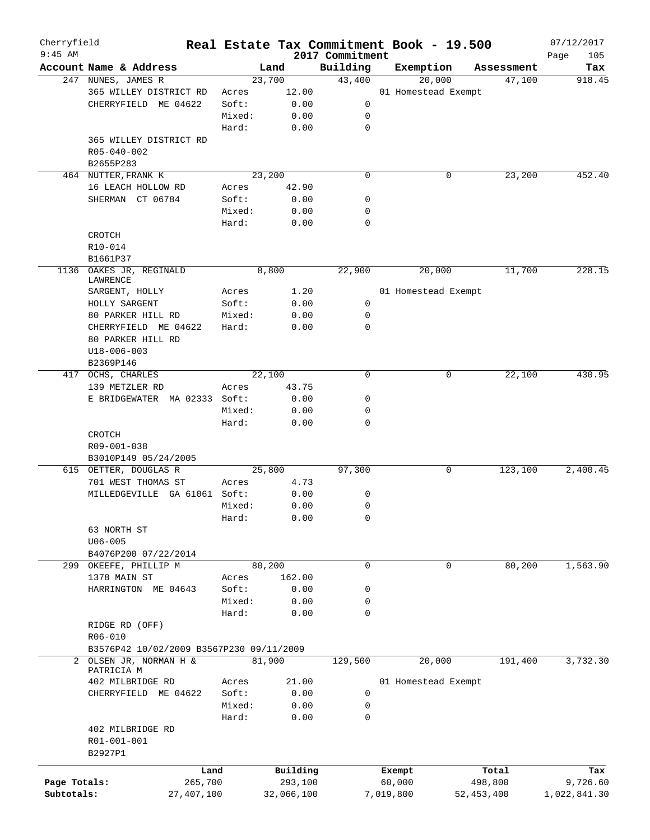| Cherryfield<br>$9:45$ AM |                                          |        | Real Estate Tax Commitment Book - 19.500 |                             |           |                     |            | 07/12/2017         |
|--------------------------|------------------------------------------|--------|------------------------------------------|-----------------------------|-----------|---------------------|------------|--------------------|
|                          | Account Name & Address                   |        | Land                                     | 2017 Commitment<br>Building | Exemption |                     | Assessment | Page<br>105<br>Tax |
|                          | 247 NUNES, JAMES R                       |        | 23,700                                   | 43,400                      |           | 20,000              | 47,100     | 918.45             |
|                          | 365 WILLEY DISTRICT RD                   | Acres  | 12.00                                    |                             |           | 01 Homestead Exempt |            |                    |
|                          | CHERRYFIELD ME 04622                     | Soft:  | 0.00                                     | 0                           |           |                     |            |                    |
|                          |                                          | Mixed: | 0.00                                     | 0                           |           |                     |            |                    |
|                          |                                          | Hard:  | 0.00                                     | $\mathbf 0$                 |           |                     |            |                    |
|                          | 365 WILLEY DISTRICT RD                   |        |                                          |                             |           |                     |            |                    |
|                          | R05-040-002                              |        |                                          |                             |           |                     |            |                    |
|                          | B2655P283                                |        |                                          |                             |           |                     |            |                    |
|                          | 464 NUTTER, FRANK K                      |        | 23,200                                   | $\mathbf 0$                 |           | 0                   | 23,200     | 452.40             |
|                          |                                          |        |                                          |                             |           |                     |            |                    |
|                          | 16 LEACH HOLLOW RD                       | Acres  | 42.90                                    |                             |           |                     |            |                    |
|                          | SHERMAN CT 06784                         | Soft:  | 0.00                                     | 0                           |           |                     |            |                    |
|                          |                                          | Mixed: | 0.00                                     | $\mathbf 0$                 |           |                     |            |                    |
|                          |                                          | Hard:  | 0.00                                     | $\mathbf 0$                 |           |                     |            |                    |
|                          | CROTCH                                   |        |                                          |                             |           |                     |            |                    |
|                          | R10-014                                  |        |                                          |                             |           |                     |            |                    |
|                          | B1661P37                                 |        |                                          |                             |           |                     |            |                    |
| 1136                     | OAKES JR, REGINALD                       |        | 8,800                                    | 22,900                      |           | 20,000              | 11,700     | 228.15             |
|                          | LAWRENCE                                 |        |                                          |                             |           |                     |            |                    |
|                          | SARGENT, HOLLY                           | Acres  | 1.20                                     |                             |           | 01 Homestead Exempt |            |                    |
|                          | HOLLY SARGENT                            | Soft:  | 0.00                                     | 0                           |           |                     |            |                    |
|                          | 80 PARKER HILL RD                        | Mixed: | 0.00                                     | 0                           |           |                     |            |                    |
|                          | CHERRYFIELD ME 04622                     | Hard:  | 0.00                                     | $\mathbf 0$                 |           |                     |            |                    |
|                          | 80 PARKER HILL RD                        |        |                                          |                             |           |                     |            |                    |
|                          | $U18 - 006 - 003$                        |        |                                          |                             |           |                     |            |                    |
|                          | B2369P146                                |        |                                          |                             |           |                     |            |                    |
|                          | 417 OCHS, CHARLES                        |        | 22,100                                   | $\mathbf 0$                 |           | 0                   | 22,100     | 430.95             |
|                          | 139 METZLER RD                           | Acres  | 43.75                                    |                             |           |                     |            |                    |
|                          | E BRIDGEWATER MA 02333 Soft:             |        | 0.00                                     | 0                           |           |                     |            |                    |
|                          |                                          | Mixed: | 0.00                                     | 0                           |           |                     |            |                    |
|                          |                                          | Hard:  | 0.00                                     | $\mathbf 0$                 |           |                     |            |                    |
|                          | CROTCH                                   |        |                                          |                             |           |                     |            |                    |
|                          | R09-001-038                              |        |                                          |                             |           |                     |            |                    |
|                          | B3010P149 05/24/2005                     |        |                                          |                             |           |                     |            |                    |
|                          | 615 OETTER, DOUGLAS R                    |        | 25,800                                   | 97,300                      |           | 0                   | 123,100    | 2,400.45           |
|                          | 701 WEST THOMAS ST                       | Acres  | 4.73                                     |                             |           |                     |            |                    |
|                          | MILLEDGEVILLE GA 61061 Soft:             |        | 0.00                                     | 0                           |           |                     |            |                    |
|                          |                                          | Mixed: | 0.00                                     | $\mathbf 0$                 |           |                     |            |                    |
|                          |                                          |        |                                          |                             |           |                     |            |                    |
|                          |                                          | Hard:  | 0.00                                     | 0                           |           |                     |            |                    |
|                          | 63 NORTH ST                              |        |                                          |                             |           |                     |            |                    |
|                          | $U06 - 005$                              |        |                                          |                             |           |                     |            |                    |
|                          | B4076P200 07/22/2014                     |        |                                          |                             |           |                     |            |                    |
|                          | 299 OKEEFE, PHILLIP M                    |        | 80,200                                   | $\mathbf 0$                 |           | 0                   | 80,200     | 1,563.90           |
|                          | 1378 MAIN ST                             | Acres  | 162.00                                   |                             |           |                     |            |                    |
|                          | HARRINGTON ME 04643                      | Soft:  | 0.00                                     | 0                           |           |                     |            |                    |
|                          |                                          | Mixed: | 0.00                                     | 0                           |           |                     |            |                    |
|                          |                                          | Hard:  | 0.00                                     | $\mathbf 0$                 |           |                     |            |                    |
|                          | RIDGE RD (OFF)                           |        |                                          |                             |           |                     |            |                    |
|                          | R06-010                                  |        |                                          |                             |           |                     |            |                    |
|                          | B3576P42 10/02/2009 B3567P230 09/11/2009 |        |                                          |                             |           |                     |            |                    |
|                          | 2 OLSEN JR, NORMAN H &                   |        | 81,900                                   | 129,500                     |           | 20,000              | 191,400    | 3,732.30           |
|                          | PATRICIA M                               |        |                                          |                             |           |                     |            |                    |
|                          | 402 MILBRIDGE RD                         | Acres  | 21.00                                    |                             |           | 01 Homestead Exempt |            |                    |
|                          | CHERRYFIELD ME 04622                     | Soft:  | 0.00                                     | 0                           |           |                     |            |                    |
|                          |                                          | Mixed: | 0.00                                     | 0                           |           |                     |            |                    |
|                          |                                          | Hard:  | 0.00                                     | $\mathbf 0$                 |           |                     |            |                    |
|                          | 402 MILBRIDGE RD                         |        |                                          |                             |           |                     |            |                    |
|                          | R01-001-001                              |        |                                          |                             |           |                     |            |                    |
|                          | B2927P1                                  |        |                                          |                             |           |                     |            |                    |
|                          |                                          |        |                                          |                             |           |                     |            |                    |
|                          | Land                                     |        | Building                                 |                             | Exempt    |                     | Total      | Tax                |
| Page Totals:             | 265,700                                  |        | 293,100                                  |                             | 60,000    |                     | 498,800    | 9,726.60           |
| Subtotals:               | 27, 407, 100                             |        | 32,066,100                               |                             | 7,019,800 |                     | 52,453,400 | 1,022,841.30       |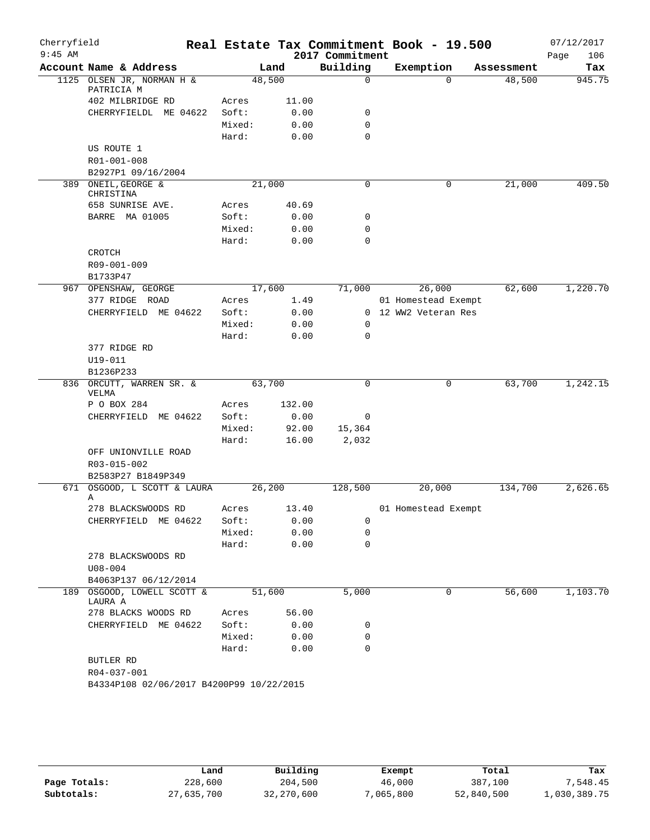| Cherryfield<br>$9:45$ AM |                                          |        |        | 2017 Commitment | Real Estate Tax Commitment Book - 19.500 |            | 07/12/2017<br>106<br>Page |
|--------------------------|------------------------------------------|--------|--------|-----------------|------------------------------------------|------------|---------------------------|
|                          | Account Name & Address                   |        | Land   | Building        | Exemption                                | Assessment | Tax                       |
|                          | 1125 OLSEN JR, NORMAN H &<br>PATRICIA M  | 48,500 |        | $\mathbf 0$     | $\Omega$                                 | 48,500     | 945.75                    |
|                          | 402 MILBRIDGE RD                         | Acres  | 11.00  |                 |                                          |            |                           |
|                          | CHERRYFIELDL ME 04622                    | Soft:  | 0.00   | 0               |                                          |            |                           |
|                          |                                          | Mixed: | 0.00   | $\mathbf 0$     |                                          |            |                           |
|                          |                                          | Hard:  | 0.00   | $\mathbf 0$     |                                          |            |                           |
|                          | US ROUTE 1                               |        |        |                 |                                          |            |                           |
|                          | R01-001-008                              |        |        |                 |                                          |            |                           |
|                          | B2927P1 09/16/2004                       |        |        |                 |                                          |            |                           |
|                          | 389 ONEIL, GEORGE &<br>CHRISTINA         | 21,000 |        | 0               | 0                                        | 21,000     | 409.50                    |
|                          | 658 SUNRISE AVE.                         | Acres  | 40.69  |                 |                                          |            |                           |
|                          | BARRE MA 01005                           | Soft:  | 0.00   | 0               |                                          |            |                           |
|                          |                                          | Mixed: | 0.00   | 0               |                                          |            |                           |
|                          |                                          | Hard:  | 0.00   | $\mathbf 0$     |                                          |            |                           |
|                          | CROTCH                                   |        |        |                 |                                          |            |                           |
|                          | R09-001-009                              |        |        |                 |                                          |            |                           |
|                          | B1733P47                                 |        |        |                 |                                          |            |                           |
|                          | 967 OPENSHAW, GEORGE                     | 17,600 |        | 71,000          | 26,000                                   | 62,600     | 1,220.70                  |
|                          | 377 RIDGE ROAD                           | Acres  | 1.49   |                 | 01 Homestead Exempt                      |            |                           |
|                          | CHERRYFIELD ME 04622                     | Soft:  | 0.00   |                 | 0 12 WW2 Veteran Res                     |            |                           |
|                          |                                          | Mixed: | 0.00   | 0               |                                          |            |                           |
|                          |                                          | Hard:  | 0.00   | 0               |                                          |            |                           |
|                          | 377 RIDGE RD                             |        |        |                 |                                          |            |                           |
|                          | $U19 - 011$                              |        |        |                 |                                          |            |                           |
|                          | B1236P233<br>836 ORCUTT, WARREN SR. &    | 63,700 |        | 0               | 0                                        | 63,700     | 1,242.15                  |
|                          | VELMA                                    |        |        |                 |                                          |            |                           |
|                          | P O BOX 284                              | Acres  | 132.00 |                 |                                          |            |                           |
|                          | CHERRYFIELD<br>ME 04622                  | Soft:  | 0.00   | 0               |                                          |            |                           |
|                          |                                          | Mixed: | 92.00  | 15,364          |                                          |            |                           |
|                          |                                          | Hard:  | 16.00  | 2,032           |                                          |            |                           |
|                          | OFF UNIONVILLE ROAD                      |        |        |                 |                                          |            |                           |
|                          | R03-015-002                              |        |        |                 |                                          |            |                           |
|                          | B2583P27 B1849P349                       |        |        |                 |                                          |            |                           |
| 671                      | OSGOOD, L SCOTT & LAURA<br>Α             | 26,200 |        | 128,500         | 20,000                                   | 134,700    | 2,626.65                  |
|                          | 278 BLACKSWOODS RD                       | Acres  | 13.40  |                 | 01 Homestead Exempt                      |            |                           |
|                          | CHERRYFIELD ME 04622                     | Soft:  | 0.00   | 0               |                                          |            |                           |
|                          |                                          | Mixed: | 0.00   | 0               |                                          |            |                           |
|                          |                                          | Hard:  | 0.00   | $\mathbf 0$     |                                          |            |                           |
|                          | 278 BLACKSWOODS RD                       |        |        |                 |                                          |            |                           |
|                          | $U08 - 004$                              |        |        |                 |                                          |            |                           |
|                          | B4063P137 06/12/2014                     |        |        |                 |                                          |            |                           |
|                          | 189 OSGOOD, LOWELL SCOTT &<br>LAURA A    | 51,600 |        | 5,000           | 0                                        | 56,600     | 1,103.70                  |
|                          | 278 BLACKS WOODS RD                      | Acres  | 56.00  |                 |                                          |            |                           |
|                          | CHERRYFIELD ME 04622                     | Soft:  | 0.00   | 0               |                                          |            |                           |
|                          |                                          | Mixed: | 0.00   | 0               |                                          |            |                           |
|                          |                                          | Hard:  | 0.00   | $\mathbf 0$     |                                          |            |                           |
|                          | BUTLER RD                                |        |        |                 |                                          |            |                           |
|                          | R04-037-001                              |        |        |                 |                                          |            |                           |
|                          | B4334P108 02/06/2017 B4200P99 10/22/2015 |        |        |                 |                                          |            |                           |

|              | Land       | Building   | Exempt   | Total      | Tax          |
|--------------|------------|------------|----------|------------|--------------|
| Page Totals: | 228,600    | 204,500    | 46,000   | 387,100    | 7.548.45     |
| Subtotals:   | 27,635,700 | 32,270,600 | ,065,800 | 52,840,500 | 1,030,389.75 |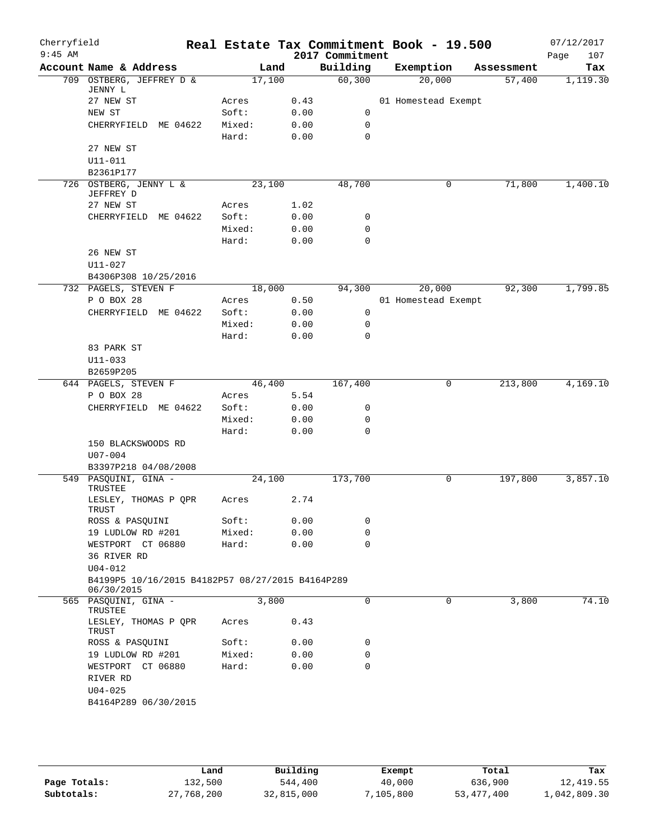|                                                  |                      | Land            |      | 2017 Commitment |                                        |                     |            | Page<br>107 |
|--------------------------------------------------|----------------------|-----------------|------|-----------------|----------------------------------------|---------------------|------------|-------------|
| Account Name & Address                           |                      |                 |      | Building        |                                        | Exemption           | Assessment | Tax         |
| 709 OSTBERG, JEFFREY D &                         |                      | 17,100          |      | 60, 300         |                                        | 20,000              | 57,400     | 1,119.30    |
|                                                  | Acres                |                 | 0.43 |                 |                                        | 01 Homestead Exempt |            |             |
|                                                  | Soft:                |                 | 0.00 | 0               |                                        |                     |            |             |
| CHERRYFIELD ME 04622                             | Mixed:               |                 | 0.00 | 0               |                                        |                     |            |             |
|                                                  | Hard:                |                 | 0.00 | $\mathbf 0$     |                                        |                     |            |             |
|                                                  |                      |                 |      |                 |                                        |                     |            |             |
|                                                  |                      |                 |      |                 |                                        |                     |            |             |
|                                                  |                      |                 |      |                 |                                        |                     |            |             |
| 726 OSTBERG, JENNY L &                           |                      | 23,100          |      | 48,700          |                                        | 0                   | 71,800     | 1,400.10    |
|                                                  | Acres                |                 | 1.02 |                 |                                        |                     |            |             |
| CHERRYFIELD ME 04622                             | Soft:                |                 | 0.00 | 0               |                                        |                     |            |             |
|                                                  | Mixed:               |                 | 0.00 | 0               |                                        |                     |            |             |
|                                                  | Hard:                |                 | 0.00 | $\mathbf 0$     |                                        |                     |            |             |
|                                                  |                      |                 |      |                 |                                        |                     |            |             |
| B4306P308 10/25/2016                             |                      |                 |      |                 |                                        |                     |            |             |
| 732 PAGELS, STEVEN F                             |                      | 18,000          |      | 94,300          |                                        | 20,000              | 92,300     | 1,799.85    |
|                                                  | Acres                |                 | 0.50 |                 |                                        | 01 Homestead Exempt |            |             |
| CHERRYFIELD ME 04622                             | Soft:                |                 | 0.00 | 0               |                                        |                     |            |             |
|                                                  | Mixed:               |                 | 0.00 | 0               |                                        |                     |            |             |
|                                                  | Hard:                |                 | 0.00 | $\mathbf 0$     |                                        |                     |            |             |
|                                                  |                      |                 |      |                 |                                        |                     |            |             |
|                                                  |                      |                 |      |                 |                                        |                     |            |             |
|                                                  |                      |                 |      |                 |                                        |                     |            |             |
| 644 PAGELS, STEVEN F                             |                      | 46,400          |      | 167,400         |                                        | 0                   | 213,800    | 4,169.10    |
|                                                  | Acres                |                 | 5.54 |                 |                                        |                     |            |             |
| CHERRYFIELD ME 04622                             | Soft:                |                 | 0.00 | 0               |                                        |                     |            |             |
|                                                  | Mixed:               |                 | 0.00 | 0               |                                        |                     |            |             |
|                                                  | Hard:                |                 | 0.00 | $\mathbf 0$     |                                        |                     |            |             |
| 150 BLACKSWOODS RD                               |                      |                 |      |                 |                                        |                     |            |             |
| B3397P218 04/08/2008                             |                      |                 |      |                 |                                        |                     |            |             |
| 549 PASQUINI, GINA -                             |                      | 24,100          |      | 173,700         |                                        | 0                   | 197,800    | 3,857.10    |
| LESLEY, THOMAS P QPR                             | Acres                |                 | 2.74 |                 |                                        |                     |            |             |
| ROSS & PASQUINI                                  | Soft:                |                 | 0.00 | 0               |                                        |                     |            |             |
| 19 LUDLOW RD #201                                | Mixed:               |                 | 0.00 | 0               |                                        |                     |            |             |
| WESTPORT CT 06880                                | Hard:                |                 | 0.00 | 0               |                                        |                     |            |             |
|                                                  |                      |                 |      |                 |                                        |                     |            |             |
|                                                  |                      |                 |      |                 |                                        |                     |            |             |
| B4199P5 10/16/2015 B4182P57 08/27/2015 B4164P289 |                      |                 |      |                 |                                        |                     |            |             |
| 565 PASQUINI, GINA -                             |                      | 3,800           |      | $\mathbf 0$     |                                        | 0                   | 3,800      | 74.10       |
| LESLEY, THOMAS P QPR                             | Acres                |                 |      |                 |                                        |                     |            |             |
| ROSS & PASQUINI                                  | Soft:                |                 |      | 0               |                                        |                     |            |             |
| 19 LUDLOW RD #201                                |                      |                 |      |                 |                                        |                     |            |             |
| WESTPORT CT 06880                                |                      |                 |      |                 |                                        |                     |            |             |
|                                                  |                      |                 |      |                 |                                        |                     |            |             |
|                                                  |                      |                 |      |                 |                                        |                     |            |             |
|                                                  |                      |                 |      |                 |                                        |                     |            |             |
|                                                  | B4164P289 06/30/2015 | Mixed:<br>Hard: |      |                 | 0.43<br>0.00<br>0<br>0.00<br>0<br>0.00 |                     |            |             |

|              | Land       | Building   | Exempt    | Total        | Tax          |
|--------------|------------|------------|-----------|--------------|--------------|
| Page Totals: | 132,500    | 544,400    | 40,000    | 636,900      | 12,419.55    |
| Subtotals:   | 27,768,200 | 32,815,000 | 7,105,800 | 53, 477, 400 | 1,042,809.30 |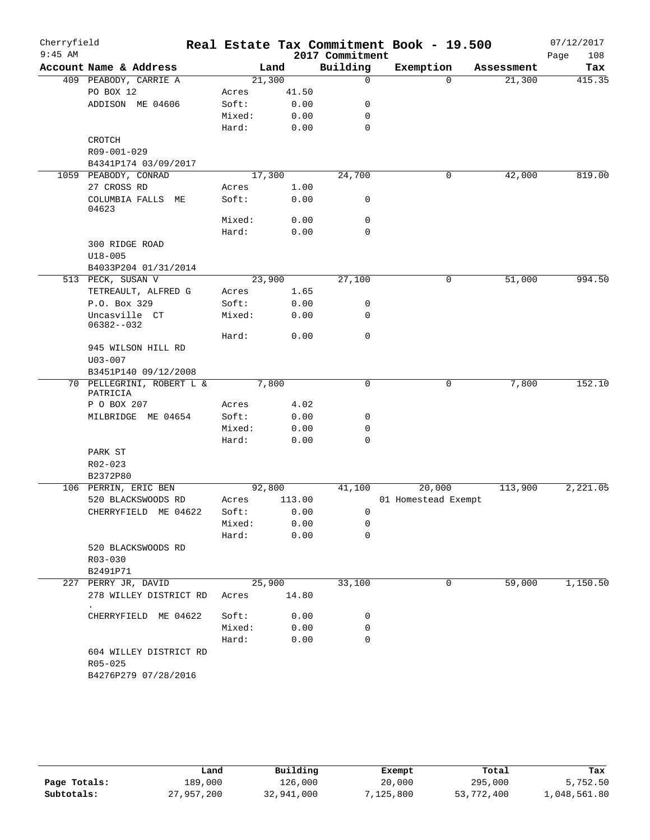| Cherryfield<br>$9:45$ AM |                            |        |        | 2017 Commitment | Real Estate Tax Commitment Book - 19.500 |            | 07/12/2017<br>108<br>Page |
|--------------------------|----------------------------|--------|--------|-----------------|------------------------------------------|------------|---------------------------|
|                          | Account Name & Address     |        | Land   | Building        | Exemption                                | Assessment | Tax                       |
|                          | 409 PEABODY, CARRIE A      | 21,300 |        | $\mathbf 0$     | $\mathbf 0$                              | 21,300     | 415.35                    |
|                          | PO BOX 12                  | Acres  | 41.50  |                 |                                          |            |                           |
|                          | ADDISON ME 04606           | Soft:  | 0.00   | 0               |                                          |            |                           |
|                          |                            | Mixed: | 0.00   | 0               |                                          |            |                           |
|                          |                            | Hard:  | 0.00   | $\mathbf 0$     |                                          |            |                           |
|                          | CROTCH                     |        |        |                 |                                          |            |                           |
|                          | R09-001-029                |        |        |                 |                                          |            |                           |
|                          | B4341P174 03/09/2017       |        |        |                 |                                          |            |                           |
|                          | 1059 PEABODY, CONRAD       | 17,300 |        | 24,700          | 0                                        | 42,000     | 819.00                    |
|                          | 27 CROSS RD                | Acres  | 1.00   |                 |                                          |            |                           |
|                          | COLUMBIA FALLS ME<br>04623 | Soft:  | 0.00   | 0               |                                          |            |                           |
|                          |                            | Mixed: | 0.00   | 0               |                                          |            |                           |
|                          |                            | Hard:  | 0.00   | $\mathbf 0$     |                                          |            |                           |
|                          | 300 RIDGE ROAD             |        |        |                 |                                          |            |                           |
|                          | $U18 - 005$                |        |        |                 |                                          |            |                           |
|                          | B4033P204 01/31/2014       |        |        |                 |                                          |            |                           |
|                          | 513 PECK, SUSAN V          | 23,900 |        | 27,100          | 0                                        | 51,000     | 994.50                    |
|                          | TETREAULT, ALFRED G        | Acres  | 1.65   |                 |                                          |            |                           |
|                          | P.O. Box 329               | Soft:  | 0.00   | 0               |                                          |            |                           |
|                          | Uncasville CT              | Mixed: | 0.00   | 0               |                                          |            |                           |
|                          | $06382 - -032$             |        |        |                 |                                          |            |                           |
|                          |                            | Hard:  | 0.00   | 0               |                                          |            |                           |
|                          | 945 WILSON HILL RD         |        |        |                 |                                          |            |                           |
|                          | $U03 - 007$                |        |        |                 |                                          |            |                           |
|                          | B3451P140 09/12/2008       |        |        |                 |                                          |            |                           |
|                          | 70 PELLEGRINI, ROBERT L &  |        | 7,800  | 0               | 0                                        | 7,800      | 152.10                    |
|                          | PATRICIA<br>P O BOX 207    | Acres  | 4.02   |                 |                                          |            |                           |
|                          | MILBRIDGE ME 04654         | Soft:  | 0.00   | 0               |                                          |            |                           |
|                          |                            | Mixed: | 0.00   | 0               |                                          |            |                           |
|                          |                            | Hard:  | 0.00   | $\mathbf 0$     |                                          |            |                           |
|                          | PARK ST                    |        |        |                 |                                          |            |                           |
|                          | R02-023                    |        |        |                 |                                          |            |                           |
|                          | B2372P80                   |        |        |                 |                                          |            |                           |
|                          | 106 PERRIN, ERIC BEN       | 92,800 |        | 41,100          | 20,000                                   | 113,900    | 2,221.05                  |
|                          | 520 BLACKSWOODS RD         | Acres  | 113.00 |                 | 01 Homestead Exempt                      |            |                           |
|                          | CHERRYFIELD ME 04622       | Soft:  | 0.00   | 0               |                                          |            |                           |
|                          |                            | Mixed: | 0.00   | 0               |                                          |            |                           |
|                          |                            | Hard:  | 0.00   | 0               |                                          |            |                           |
|                          | 520 BLACKSWOODS RD         |        |        |                 |                                          |            |                           |
|                          | R03-030                    |        |        |                 |                                          |            |                           |
|                          | B2491P71                   |        |        |                 |                                          |            |                           |
|                          | 227 PERRY JR, DAVID        | 25,900 |        | 33,100          | 0                                        | 59,000     | 1,150.50                  |
|                          | 278 WILLEY DISTRICT RD     | Acres  | 14.80  |                 |                                          |            |                           |
|                          |                            |        |        |                 |                                          |            |                           |
|                          | CHERRYFIELD ME 04622       | Soft:  | 0.00   | 0               |                                          |            |                           |
|                          |                            | Mixed: | 0.00   | 0               |                                          |            |                           |
|                          |                            | Hard:  | 0.00   | 0               |                                          |            |                           |
|                          | 604 WILLEY DISTRICT RD     |        |        |                 |                                          |            |                           |
|                          | R05-025                    |        |        |                 |                                          |            |                           |
|                          | B4276P279 07/28/2016       |        |        |                 |                                          |            |                           |
|                          |                            |        |        |                 |                                          |            |                           |

|              | Land       | Building   | Exempt    | Total      | Tax          |
|--------------|------------|------------|-----------|------------|--------------|
| Page Totals: | 189,000    | 126,000    | 20,000    | 295,000    | 5,752.50     |
| Subtotals:   | 27,957,200 | 32,941,000 | 7,125,800 | 53,772,400 | 1,048,561.80 |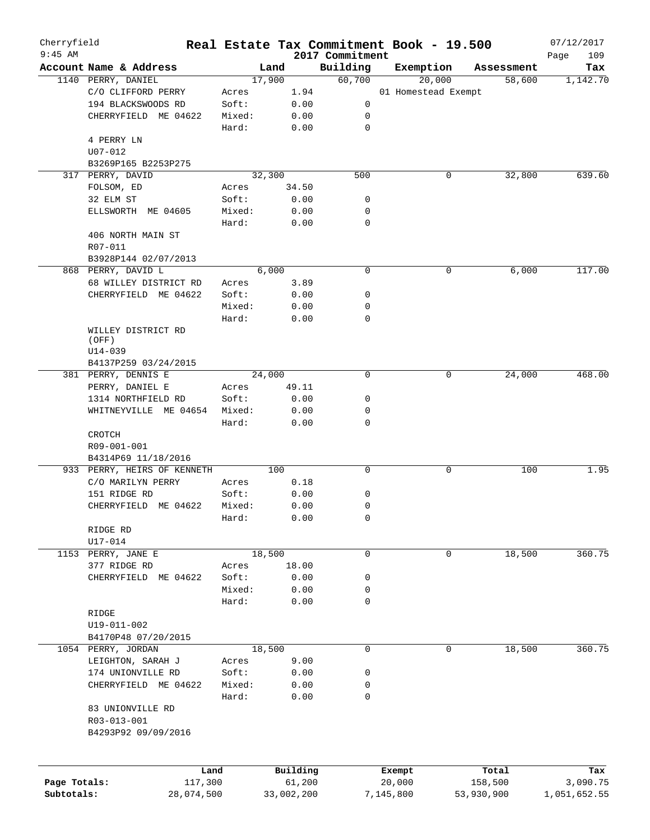| Cherryfield  |                             |        |        |            |                             | Real Estate Tax Commitment Book - 19.500 |            | 07/12/2017         |
|--------------|-----------------------------|--------|--------|------------|-----------------------------|------------------------------------------|------------|--------------------|
| $9:45$ AM    | Account Name & Address      |        | Land   |            | 2017 Commitment<br>Building | Exemption                                | Assessment | Page<br>109<br>Tax |
|              | 1140 PERRY, DANIEL          |        | 17,900 |            | 60,700                      | 20,000                                   | 58,600     | 1,142.70           |
|              | C/O CLIFFORD PERRY          | Acres  |        | 1.94       |                             | 01 Homestead Exempt                      |            |                    |
|              | 194 BLACKSWOODS RD          | Soft:  |        | 0.00       | 0                           |                                          |            |                    |
|              | CHERRYFIELD ME 04622        | Mixed: |        | 0.00       | 0                           |                                          |            |                    |
|              |                             |        |        |            | $\mathbf 0$                 |                                          |            |                    |
|              |                             | Hard:  |        | 0.00       |                             |                                          |            |                    |
|              | 4 PERRY LN                  |        |        |            |                             |                                          |            |                    |
|              | $U07 - 012$                 |        |        |            |                             |                                          |            |                    |
|              | B3269P165 B2253P275         |        |        |            |                             |                                          |            |                    |
|              | 317 PERRY, DAVID            |        | 32,300 |            | 500                         | 0                                        | 32,800     | 639.60             |
|              | FOLSOM, ED                  | Acres  |        | 34.50      |                             |                                          |            |                    |
|              | 32 ELM ST                   | Soft:  |        | 0.00       | 0                           |                                          |            |                    |
|              | ELLSWORTH ME 04605          | Mixed: |        | 0.00       | 0                           |                                          |            |                    |
|              |                             | Hard:  |        | 0.00       | $\mathbf 0$                 |                                          |            |                    |
|              | 406 NORTH MAIN ST           |        |        |            |                             |                                          |            |                    |
|              | R07-011                     |        |        |            |                             |                                          |            |                    |
|              | B3928P144 02/07/2013        |        |        |            |                             |                                          |            |                    |
|              | 868 PERRY, DAVID L          |        | 6,000  |            | $\mathbf 0$                 | 0                                        | 6,000      | 117.00             |
|              | 68 WILLEY DISTRICT RD       | Acres  |        | 3.89       |                             |                                          |            |                    |
|              | CHERRYFIELD ME 04622        | Soft:  |        | 0.00       | 0                           |                                          |            |                    |
|              |                             | Mixed: |        | 0.00       | 0                           |                                          |            |                    |
|              |                             | Hard:  |        | 0.00       | $\mathbf 0$                 |                                          |            |                    |
|              | WILLEY DISTRICT RD          |        |        |            |                             |                                          |            |                    |
|              | (OFF)                       |        |        |            |                             |                                          |            |                    |
|              | U14-039                     |        |        |            |                             |                                          |            |                    |
|              | B4137P259 03/24/2015        |        |        |            |                             |                                          |            |                    |
|              | 381 PERRY, DENNIS E         |        | 24,000 |            | $\mathbf 0$                 | 0                                        | 24,000     | 468.00             |
|              | PERRY, DANIEL E             | Acres  |        | 49.11      |                             |                                          |            |                    |
|              | 1314 NORTHFIELD RD          | Soft:  |        | 0.00       | 0                           |                                          |            |                    |
|              | WHITNEYVILLE<br>ME 04654    | Mixed: |        | 0.00       | 0                           |                                          |            |                    |
|              |                             | Hard:  |        | 0.00       | $\mathbf 0$                 |                                          |            |                    |
|              | CROTCH                      |        |        |            |                             |                                          |            |                    |
|              | R09-001-001                 |        |        |            |                             |                                          |            |                    |
|              | B4314P69 11/18/2016         |        |        |            |                             |                                          |            |                    |
|              | 933 PERRY, HEIRS OF KENNETH |        | 100    |            | $\mathsf{O}$                | 0                                        | 100        | 1.95               |
|              | C/O MARILYN PERRY           | Acres  |        | 0.18       |                             |                                          |            |                    |
|              | 151 RIDGE RD                | Soft:  |        | 0.00       | 0                           |                                          |            |                    |
|              | CHERRYFIELD ME 04622        | Mixed: |        | 0.00       | 0                           |                                          |            |                    |
|              |                             | Hard:  |        | 0.00       | 0                           |                                          |            |                    |
|              | RIDGE RD                    |        |        |            |                             |                                          |            |                    |
|              |                             |        |        |            |                             |                                          |            |                    |
|              | U17-014                     |        |        |            |                             |                                          |            |                    |
|              | 1153 PERRY, JANE E          |        | 18,500 |            | $\mathbf 0$                 | 0                                        | 18,500     | 360.75             |
|              | 377 RIDGE RD                | Acres  |        | 18.00      |                             |                                          |            |                    |
|              | CHERRYFIELD ME 04622        | Soft:  |        | 0.00       | 0                           |                                          |            |                    |
|              |                             | Mixed: |        | 0.00       | 0                           |                                          |            |                    |
|              |                             | Hard:  |        | 0.00       | $\mathbf 0$                 |                                          |            |                    |
|              | RIDGE                       |        |        |            |                             |                                          |            |                    |
|              | U19-011-002                 |        |        |            |                             |                                          |            |                    |
|              | B4170P48 07/20/2015         |        |        |            |                             |                                          |            |                    |
|              | 1054 PERRY, JORDAN          |        | 18,500 |            | $\mathbf 0$                 | 0                                        | 18,500     | 360.75             |
|              | LEIGHTON, SARAH J           | Acres  |        | 9.00       |                             |                                          |            |                    |
|              | 174 UNIONVILLE RD           | Soft:  |        | 0.00       | 0                           |                                          |            |                    |
|              | CHERRYFIELD ME 04622        | Mixed: |        | 0.00       | 0                           |                                          |            |                    |
|              |                             | Hard:  |        | 0.00       | 0                           |                                          |            |                    |
|              | 83 UNIONVILLE RD            |        |        |            |                             |                                          |            |                    |
|              | R03-013-001                 |        |        |            |                             |                                          |            |                    |
|              | B4293P92 09/09/2016         |        |        |            |                             |                                          |            |                    |
|              |                             |        |        |            |                             |                                          |            |                    |
|              | Land                        |        |        | Building   |                             | Exempt                                   | Total      | Tax                |
| Page Totals: | 117,300                     |        |        | 61,200     |                             | 20,000                                   | 158,500    | 3,090.75           |
| Subtotals:   | 28,074,500                  |        |        | 33,002,200 |                             | 7,145,800                                | 53,930,900 | 1,051,652.55       |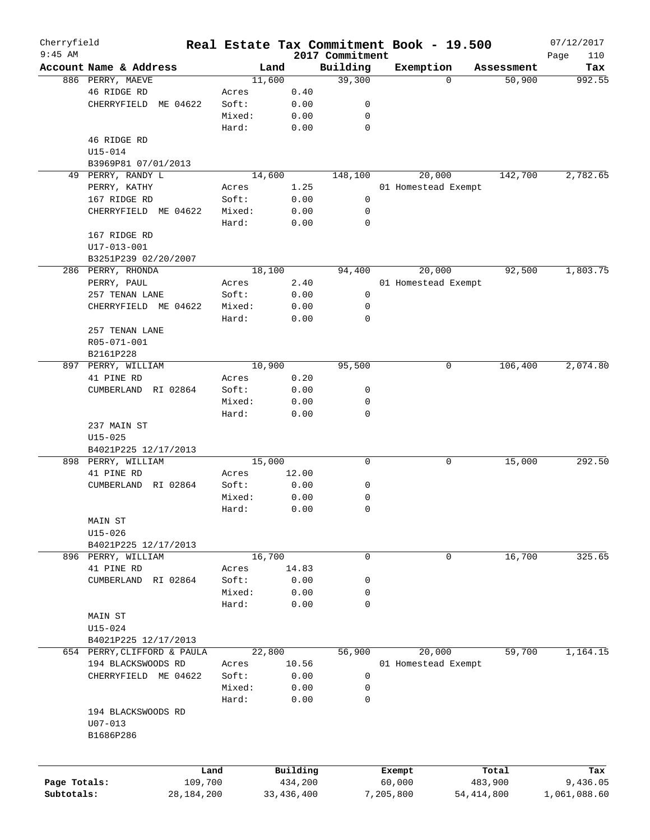| Cherryfield<br>$9:45$ AM |                             |        |              |                             | Real Estate Tax Commitment Book - 19.500 |            | 07/12/2017         |
|--------------------------|-----------------------------|--------|--------------|-----------------------------|------------------------------------------|------------|--------------------|
|                          | Account Name & Address      | Land   |              | 2017 Commitment<br>Building | Exemption                                | Assessment | Page<br>110<br>Tax |
|                          | 886 PERRY, MAEVE            | 11,600 |              | 39,300                      | $\Omega$                                 | 50,900     | 992.55             |
|                          | 46 RIDGE RD                 | Acres  | 0.40         |                             |                                          |            |                    |
|                          | CHERRYFIELD<br>ME 04622     | Soft:  | 0.00         | 0                           |                                          |            |                    |
|                          |                             | Mixed: | 0.00         | 0                           |                                          |            |                    |
|                          |                             | Hard:  | 0.00         | $\mathbf 0$                 |                                          |            |                    |
|                          | 46 RIDGE RD                 |        |              |                             |                                          |            |                    |
|                          | $U15 - 014$                 |        |              |                             |                                          |            |                    |
|                          | B3969P81 07/01/2013         |        |              |                             |                                          |            |                    |
|                          | 49 PERRY, RANDY L           | 14,600 |              | 148,100                     | 20,000                                   | 142,700    | 2,782.65           |
|                          | PERRY, KATHY                | Acres  | 1.25         |                             |                                          |            |                    |
|                          |                             |        |              |                             | 01 Homestead Exempt                      |            |                    |
|                          | 167 RIDGE RD                | Soft:  | 0.00         | 0                           |                                          |            |                    |
|                          | CHERRYFIELD ME 04622        | Mixed: | 0.00         | 0                           |                                          |            |                    |
|                          |                             | Hard:  | 0.00         | $\mathbf 0$                 |                                          |            |                    |
|                          | 167 RIDGE RD                |        |              |                             |                                          |            |                    |
|                          | $U17 - 013 - 001$           |        |              |                             |                                          |            |                    |
|                          | B3251P239 02/20/2007        |        |              |                             |                                          |            |                    |
|                          | 286 PERRY, RHONDA           | 18,100 |              | 94,400                      | 20,000                                   | 92,500     | 1,803.75           |
|                          | PERRY, PAUL                 | Acres  | 2.40         |                             | 01 Homestead Exempt                      |            |                    |
|                          | 257 TENAN LANE              | Soft:  | 0.00         | 0                           |                                          |            |                    |
|                          | CHERRYFIELD ME 04622        | Mixed: | 0.00         | 0                           |                                          |            |                    |
|                          |                             | Hard:  | 0.00         | $\mathbf 0$                 |                                          |            |                    |
|                          | 257 TENAN LANE              |        |              |                             |                                          |            |                    |
|                          | R05-071-001                 |        |              |                             |                                          |            |                    |
|                          | B2161P228                   |        |              |                             |                                          |            |                    |
| 897                      | PERRY, WILLIAM              | 10,900 |              | 95,500                      | 0                                        | 106,400    | 2,074.80           |
|                          | 41 PINE RD                  | Acres  | 0.20         |                             |                                          |            |                    |
|                          | RI 02864<br>CUMBERLAND      | Soft:  | 0.00         | 0                           |                                          |            |                    |
|                          |                             | Mixed: | 0.00         | 0                           |                                          |            |                    |
|                          |                             | Hard:  | 0.00         | $\mathbf 0$                 |                                          |            |                    |
|                          | 237 MAIN ST                 |        |              |                             |                                          |            |                    |
|                          | $U15 - 025$                 |        |              |                             |                                          |            |                    |
|                          | B4021P225 12/17/2013        |        |              |                             |                                          |            |                    |
|                          | 898 PERRY, WILLIAM          | 15,000 |              | 0                           | 0                                        | 15,000     | 292.50             |
|                          | 41 PINE RD                  | Acres  | 12.00        |                             |                                          |            |                    |
|                          | RI 02864<br>CUMBERLAND      | Soft:  | 0.00         | 0                           |                                          |            |                    |
|                          |                             |        |              |                             |                                          |            |                    |
|                          |                             | Mixed: | 0.00         | 0                           |                                          |            |                    |
|                          |                             | Hard:  | 0.00         | 0                           |                                          |            |                    |
|                          | MAIN ST                     |        |              |                             |                                          |            |                    |
|                          | $U15 - 026$                 |        |              |                             |                                          |            |                    |
|                          | B4021P225 12/17/2013        |        |              |                             |                                          |            |                    |
|                          | 896 PERRY, WILLIAM          | 16,700 |              | 0                           | 0                                        | 16,700     | 325.65             |
|                          | 41 PINE RD                  | Acres  | 14.83        |                             |                                          |            |                    |
|                          | CUMBERLAND<br>RI 02864      | Soft:  | 0.00         | 0                           |                                          |            |                    |
|                          |                             | Mixed: | 0.00         | 0                           |                                          |            |                    |
|                          |                             | Hard:  | 0.00         | 0                           |                                          |            |                    |
|                          | MAIN ST                     |        |              |                             |                                          |            |                    |
|                          | $U15 - 024$                 |        |              |                             |                                          |            |                    |
|                          | B4021P225 12/17/2013        |        |              |                             |                                          |            |                    |
|                          | 654 PERRY, CLIFFORD & PAULA | 22,800 |              | 56,900                      | 20,000                                   | 59,700     | 1,164.15           |
|                          | 194 BLACKSWOODS RD          | Acres  | 10.56        |                             | 01 Homestead Exempt                      |            |                    |
|                          | CHERRYFIELD ME 04622        | Soft:  | 0.00         | 0                           |                                          |            |                    |
|                          |                             | Mixed: | 0.00         | 0                           |                                          |            |                    |
|                          |                             | Hard:  |              | 0                           |                                          |            |                    |
|                          |                             |        | 0.00         |                             |                                          |            |                    |
|                          | 194 BLACKSWOODS RD          |        |              |                             |                                          |            |                    |
|                          | $U07 - 013$                 |        |              |                             |                                          |            |                    |
|                          | B1686P286                   |        |              |                             |                                          |            |                    |
|                          |                             |        |              |                             |                                          |            |                    |
|                          |                             |        |              |                             |                                          |            |                    |
|                          |                             | Land   | Building     |                             | Exempt                                   | Total      | Tax                |
| Page Totals:             | 109,700                     |        | 434,200      |                             | 60,000                                   | 483,900    | 9,436.05           |
| Subtotals:               | 28, 184, 200                |        | 33, 436, 400 |                             | 7,205,800                                | 54,414,800 | 1,061,088.60       |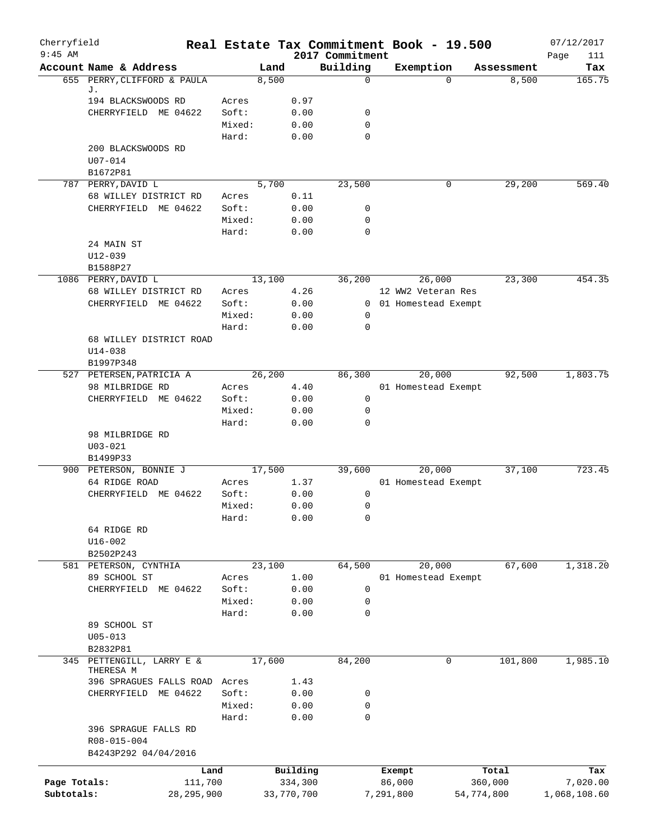| Cherryfield<br>$9:45$ AM |                                             |                 |              | 2017 Commitment  | Real Estate Tax Commitment Book - 19.500 |            | 07/12/2017         |
|--------------------------|---------------------------------------------|-----------------|--------------|------------------|------------------------------------------|------------|--------------------|
|                          | Account Name & Address                      | Land            |              | Building         | Exemption                                | Assessment | Page<br>111<br>Tax |
|                          | 655 PERRY, CLIFFORD & PAULA                 | 8,500           |              | $\Omega$         | 0                                        | 8,500      | 165.75             |
|                          | J.                                          |                 |              |                  |                                          |            |                    |
|                          | 194 BLACKSWOODS RD                          | Acres           | 0.97         |                  |                                          |            |                    |
|                          | CHERRYFIELD ME 04622                        | Soft:           | 0.00<br>0.00 | 0<br>$\mathbf 0$ |                                          |            |                    |
|                          |                                             | Mixed:<br>Hard: | 0.00         | $\Omega$         |                                          |            |                    |
|                          | 200 BLACKSWOODS RD                          |                 |              |                  |                                          |            |                    |
|                          | $U07 - 014$                                 |                 |              |                  |                                          |            |                    |
|                          | B1672P81                                    |                 |              |                  |                                          |            |                    |
|                          | 787 PERRY, DAVID L                          | 5,700           |              | 23,500           | 0                                        | 29,200     | 569.40             |
|                          | 68 WILLEY DISTRICT RD                       | Acres           | 0.11         |                  |                                          |            |                    |
|                          | CHERRYFIELD ME 04622                        | Soft:           | 0.00         | 0                |                                          |            |                    |
|                          |                                             | Mixed:          | 0.00         | $\mathbf 0$      |                                          |            |                    |
|                          |                                             | Hard:           | 0.00         | 0                |                                          |            |                    |
|                          | 24 MAIN ST                                  |                 |              |                  |                                          |            |                    |
|                          | $U12 - 039$                                 |                 |              |                  |                                          |            |                    |
|                          | B1588P27                                    |                 |              |                  |                                          |            |                    |
|                          | 1086 PERRY, DAVID L                         | 13,100          |              | 36,200           | 26,000                                   | 23,300     | 454.35             |
|                          | 68 WILLEY DISTRICT RD                       | Acres           | 4.26         |                  | 12 WW2 Veteran Res                       |            |                    |
|                          | CHERRYFIELD ME 04622                        | Soft:           | 0.00         |                  | 0 01 Homestead Exempt                    |            |                    |
|                          |                                             | Mixed:          | 0.00         | 0                |                                          |            |                    |
|                          |                                             | Hard:           | 0.00         | 0                |                                          |            |                    |
|                          | 68 WILLEY DISTRICT ROAD                     |                 |              |                  |                                          |            |                    |
|                          | $U14 - 038$                                 |                 |              |                  |                                          |            |                    |
|                          | B1997P348                                   |                 |              | 86,300           | 20,000                                   | 92,500     | 1,803.75           |
|                          | 527 PETERSEN, PATRICIA A<br>98 MILBRIDGE RD | 26,200          | 4.40         |                  | 01 Homestead Exempt                      |            |                    |
|                          | ME 04622<br>CHERRYFIELD                     | Acres<br>Soft:  | 0.00         | $\mathsf{O}$     |                                          |            |                    |
|                          |                                             | Mixed:          | 0.00         | 0                |                                          |            |                    |
|                          |                                             | Hard:           | 0.00         | 0                |                                          |            |                    |
|                          | 98 MILBRIDGE RD                             |                 |              |                  |                                          |            |                    |
|                          | $U03 - 021$                                 |                 |              |                  |                                          |            |                    |
|                          | B1499P33                                    |                 |              |                  |                                          |            |                    |
|                          | 900 PETERSON, BONNIE J                      | 17,500          |              | 39,600           | 20,000                                   | 37,100     | 723.45             |
|                          | 64 RIDGE ROAD                               | Acres           | 1.37         |                  | 01 Homestead Exempt                      |            |                    |
|                          | CHERRYFIELD ME 04622                        | Soft:           | 0.00         | 0                |                                          |            |                    |
|                          |                                             | Mixed:          | 0.00         | 0                |                                          |            |                    |
|                          |                                             | Hard:           | 0.00         | 0                |                                          |            |                    |
|                          | 64 RIDGE RD                                 |                 |              |                  |                                          |            |                    |
|                          | $U16 - 002$                                 |                 |              |                  |                                          |            |                    |
|                          | B2502P243                                   |                 |              |                  |                                          |            |                    |
|                          | 581 PETERSON, CYNTHIA                       | 23,100          |              | 64,500           | 20,000                                   | 67,600     | 1,318.20           |
|                          | 89 SCHOOL ST                                | Acres           | 1.00         |                  | 01 Homestead Exempt                      |            |                    |
|                          | CHERRYFIELD ME 04622                        | Soft:           | 0.00         | 0                |                                          |            |                    |
|                          |                                             | Mixed:          | 0.00         | 0                |                                          |            |                    |
|                          |                                             | Hard:           | 0.00         | 0                |                                          |            |                    |
|                          | 89 SCHOOL ST                                |                 |              |                  |                                          |            |                    |
|                          | $U05 - 013$<br>B2832P81                     |                 |              |                  |                                          |            |                    |
| 345                      | PETTENGILL, LARRY E &                       | 17,600          |              | 84,200           | $\mathbf 0$                              | 101,800    | 1,985.10           |
|                          | THERESA M                                   |                 |              |                  |                                          |            |                    |
|                          | 396 SPRAGUES FALLS ROAD Acres               |                 | 1.43         |                  |                                          |            |                    |
|                          | CHERRYFIELD ME 04622                        | Soft:           | 0.00         | 0                |                                          |            |                    |
|                          |                                             | Mixed:          | 0.00         | 0                |                                          |            |                    |
|                          |                                             | Hard:           | 0.00         | $\mathbf 0$      |                                          |            |                    |
|                          | 396 SPRAGUE FALLS RD                        |                 |              |                  |                                          |            |                    |
|                          | R08-015-004                                 |                 |              |                  |                                          |            |                    |
|                          | B4243P292 04/04/2016                        |                 |              |                  |                                          |            |                    |
|                          | Land                                        |                 | Building     |                  | Exempt                                   | Total      | Tax                |
| Page Totals:             | 111,700                                     |                 | 334,300      |                  | 86,000                                   | 360,000    | 7,020.00           |
| Subtotals:               | 28, 295, 900                                |                 | 33,770,700   |                  | 7,291,800<br>54,774,800                  |            | 1,068,108.60       |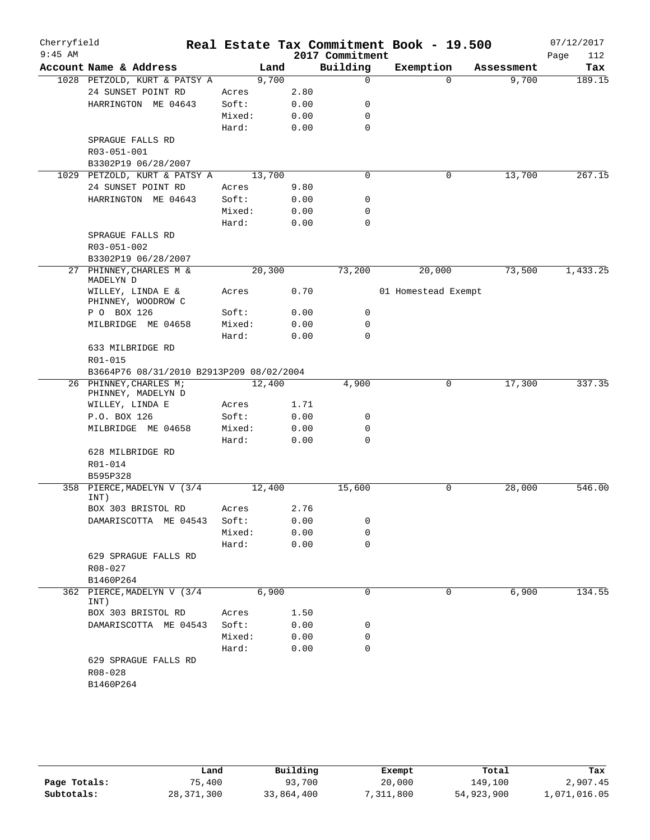| Cherryfield<br>$9:45$ AM |                                              |        |       | 2017 Commitment | Real Estate Tax Commitment Book - 19.500 |            | 07/12/2017<br>Page<br>112 |
|--------------------------|----------------------------------------------|--------|-------|-----------------|------------------------------------------|------------|---------------------------|
|                          | Account Name & Address                       |        | Land  | Building        | Exemption                                | Assessment | Tax                       |
|                          | 1028 PETZOLD, KURT & PATSY A                 |        | 9,700 |                 | $\mathbf 0$<br>$\Omega$                  | 9,700      | 189.15                    |
|                          | 24 SUNSET POINT RD                           | Acres  | 2.80  |                 |                                          |            |                           |
|                          | HARRINGTON ME 04643                          | Soft:  | 0.00  |                 | 0                                        |            |                           |
|                          |                                              | Mixed: | 0.00  |                 | 0                                        |            |                           |
|                          |                                              | Hard:  | 0.00  |                 | $\mathbf 0$                              |            |                           |
|                          | SPRAGUE FALLS RD                             |        |       |                 |                                          |            |                           |
|                          | R03-051-001                                  |        |       |                 |                                          |            |                           |
|                          | B3302P19 06/28/2007                          |        |       |                 |                                          |            |                           |
|                          | 1029 PETZOLD, KURT & PATSY A                 | 13,700 |       |                 | $\mathbf 0$<br>0                         | 13,700     | 267.15                    |
|                          | 24 SUNSET POINT RD                           | Acres  | 9.80  |                 |                                          |            |                           |
|                          | HARRINGTON ME 04643                          | Soft:  | 0.00  |                 | 0                                        |            |                           |
|                          |                                              | Mixed: | 0.00  |                 | 0                                        |            |                           |
|                          |                                              | Hard:  | 0.00  |                 | 0                                        |            |                           |
|                          | SPRAGUE FALLS RD                             |        |       |                 |                                          |            |                           |
|                          | R03-051-002                                  |        |       |                 |                                          |            |                           |
|                          | B3302P19 06/28/2007                          |        |       |                 |                                          |            |                           |
| 27                       | PHINNEY, CHARLES M &<br>MADELYN D            | 20,300 |       | 73,200          | 20,000                                   | 73,500     | 1,433.25                  |
|                          | WILLEY, LINDA E &<br>PHINNEY, WOODROW C      | Acres  | 0.70  |                 | 01 Homestead Exempt                      |            |                           |
|                          | P O BOX 126                                  | Soft:  | 0.00  |                 | $\mathbf 0$                              |            |                           |
|                          | MILBRIDGE ME 04658                           | Mixed: | 0.00  |                 | 0                                        |            |                           |
|                          |                                              | Hard:  | 0.00  |                 | $\Omega$                                 |            |                           |
|                          | 633 MILBRIDGE RD                             |        |       |                 |                                          |            |                           |
|                          | R01-015                                      |        |       |                 |                                          |            |                           |
|                          | B3664P76 08/31/2010 B2913P209 08/02/2004     |        |       |                 |                                          |            |                           |
|                          | 26 PHINNEY, CHARLES M;<br>PHINNEY, MADELYN D | 12,400 |       | 4,900           | 0                                        | 17,300     | 337.35                    |
|                          | WILLEY, LINDA E                              | Acres  | 1.71  |                 |                                          |            |                           |
|                          | P.O. BOX 126                                 | Soft:  | 0.00  |                 | 0                                        |            |                           |
|                          | MILBRIDGE ME 04658                           | Mixed: | 0.00  |                 | 0                                        |            |                           |
|                          |                                              | Hard:  | 0.00  |                 | 0                                        |            |                           |
|                          | 628 MILBRIDGE RD                             |        |       |                 |                                          |            |                           |
|                          | R01-014                                      |        |       |                 |                                          |            |                           |
|                          | B595P328                                     |        |       |                 |                                          |            |                           |
| 358                      | PIERCE, MADELYN V (3/4<br>INT)               | 12,400 |       | 15,600          | $\mathbf 0$                              | 28,000     | 546.00                    |
|                          | BOX 303 BRISTOL RD                           | Acres  | 2.76  |                 |                                          |            |                           |
|                          | DAMARISCOTTA ME 04543                        | Soft:  | 0.00  |                 | 0                                        |            |                           |
|                          |                                              | Mixed: | 0.00  |                 | $\mathbf 0$                              |            |                           |
|                          |                                              | Hard:  | 0.00  |                 | $\mathbf 0$                              |            |                           |
|                          | 629 SPRAGUE FALLS RD                         |        |       |                 |                                          |            |                           |
|                          | R08-027                                      |        |       |                 |                                          |            |                           |
|                          | B1460P264                                    |        |       |                 |                                          |            |                           |
|                          | 362 PIERCE, MADELYN V (3/4<br>INT)           |        | 6,900 |                 | 0<br>0                                   | 6,900      | 134.55                    |
|                          | BOX 303 BRISTOL RD                           | Acres  | 1.50  |                 |                                          |            |                           |
|                          | DAMARISCOTTA ME 04543                        | Soft:  | 0.00  |                 | 0                                        |            |                           |
|                          |                                              | Mixed: | 0.00  |                 | 0                                        |            |                           |
|                          |                                              | Hard:  | 0.00  |                 | $\mathbf 0$                              |            |                           |
|                          | 629 SPRAGUE FALLS RD                         |        |       |                 |                                          |            |                           |
|                          | R08-028                                      |        |       |                 |                                          |            |                           |
|                          | B1460P264                                    |        |       |                 |                                          |            |                           |
|                          |                                              |        |       |                 |                                          |            |                           |

|              | Land         | Building   | Exempt     | Total      | Tax          |
|--------------|--------------|------------|------------|------------|--------------|
| Page Totals: | 75,400       | 93,700     | 20,000     | 149,100    | 2,907.45     |
| Subtotals:   | 28, 371, 300 | 33,864,400 | , 311, 800 | 54,923,900 | 1,071,016.05 |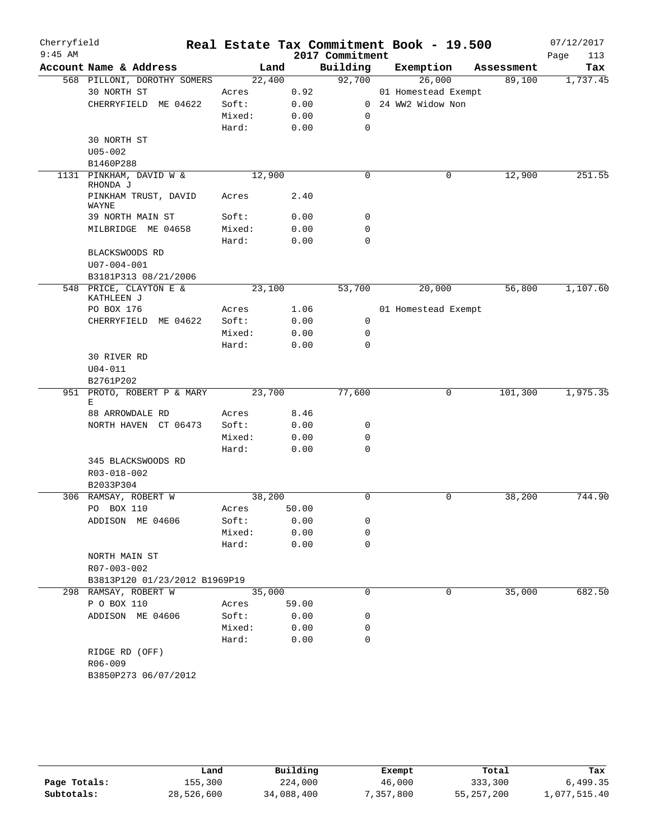| Cherryfield<br>$9:45$ AM |                                      |        |       | 2017 Commitment | Real Estate Tax Commitment Book - 19.500 |            | 07/12/2017<br>113<br>Page |
|--------------------------|--------------------------------------|--------|-------|-----------------|------------------------------------------|------------|---------------------------|
|                          | Account Name & Address               | Land   |       | Building        | Exemption                                | Assessment | Tax                       |
|                          | 568 PILLONI, DOROTHY SOMERS          | 22,400 |       | 92,700          | 26,000                                   | 89,100     | 1,737.45                  |
|                          | 30 NORTH ST                          | Acres  | 0.92  |                 | 01 Homestead Exempt                      |            |                           |
|                          | CHERRYFIELD ME 04622                 | Soft:  | 0.00  |                 | 0 24 WW2 Widow Non                       |            |                           |
|                          |                                      | Mixed: | 0.00  | 0               |                                          |            |                           |
|                          |                                      | Hard:  | 0.00  | $\mathbf 0$     |                                          |            |                           |
|                          | 30 NORTH ST                          |        |       |                 |                                          |            |                           |
|                          | $U05 - 002$                          |        |       |                 |                                          |            |                           |
|                          | B1460P288                            |        |       |                 |                                          |            |                           |
|                          | 1131 PINKHAM, DAVID W &<br>RHONDA J  | 12,900 |       | $\mathbf 0$     | 0                                        | 12,900     | 251.55                    |
|                          | PINKHAM TRUST, DAVID<br>WAYNE        | Acres  | 2.40  |                 |                                          |            |                           |
|                          | 39 NORTH MAIN ST                     | Soft:  | 0.00  | 0               |                                          |            |                           |
|                          | MILBRIDGE ME 04658                   | Mixed: | 0.00  | 0               |                                          |            |                           |
|                          |                                      | Hard:  | 0.00  | $\mathbf 0$     |                                          |            |                           |
|                          | BLACKSWOODS RD                       |        |       |                 |                                          |            |                           |
|                          | $U07 - 004 - 001$                    |        |       |                 |                                          |            |                           |
|                          | B3181P313 08/21/2006                 |        |       |                 |                                          |            |                           |
|                          | 548 PRICE, CLAYTON E &<br>KATHLEEN J | 23,100 |       | 53,700          | 20,000                                   | 56,800     | 1,107.60                  |
|                          | PO BOX 176                           | Acres  | 1.06  |                 | 01 Homestead Exempt                      |            |                           |
|                          | CHERRYFIELD ME 04622                 | Soft:  | 0.00  | $\mathbf 0$     |                                          |            |                           |
|                          |                                      | Mixed: | 0.00  | $\mathbf 0$     |                                          |            |                           |
|                          |                                      | Hard:  | 0.00  | 0               |                                          |            |                           |
|                          | 30 RIVER RD                          |        |       |                 |                                          |            |                           |
|                          | $U04 - 011$                          |        |       |                 |                                          |            |                           |
|                          | B2761P202                            |        |       |                 |                                          |            |                           |
| 951                      | PROTO, ROBERT P & MARY<br>Ε          | 23,700 |       | 77,600          | 0                                        | 101,300    | 1,975.35                  |
|                          | 88 ARROWDALE RD                      | Acres  | 8.46  |                 |                                          |            |                           |
|                          | NORTH HAVEN CT 06473                 | Soft:  | 0.00  | 0               |                                          |            |                           |
|                          |                                      | Mixed: | 0.00  | 0               |                                          |            |                           |
|                          |                                      | Hard:  | 0.00  | $\mathbf 0$     |                                          |            |                           |
|                          | 345 BLACKSWOODS RD<br>R03-018-002    |        |       |                 |                                          |            |                           |
|                          | B2033P304                            |        |       |                 |                                          |            |                           |
|                          | 306 RAMSAY, ROBERT W                 | 38,200 |       | 0               | 0                                        | 38,200     | 744.90                    |
|                          | PO BOX 110                           | Acres  | 50.00 |                 |                                          |            |                           |
|                          | ADDISON ME 04606                     | Soft:  | 0.00  | 0               |                                          |            |                           |
|                          |                                      | Mixed: | 0.00  | 0               |                                          |            |                           |
|                          |                                      | Hard:  | 0.00  | $\mathbf 0$     |                                          |            |                           |
|                          | NORTH MAIN ST                        |        |       |                 |                                          |            |                           |
|                          | R07-003-002                          |        |       |                 |                                          |            |                           |
|                          | B3813P120 01/23/2012 B1969P19        |        |       |                 |                                          |            |                           |
|                          | 298 RAMSAY, ROBERT W                 | 35,000 |       | 0               | 0                                        | 35,000     | 682.50                    |
|                          | P O BOX 110                          | Acres  | 59.00 |                 |                                          |            |                           |
|                          | ADDISON ME 04606                     | Soft:  | 0.00  | 0               |                                          |            |                           |
|                          |                                      | Mixed: | 0.00  | 0               |                                          |            |                           |
|                          |                                      | Hard:  | 0.00  | 0               |                                          |            |                           |
|                          | RIDGE RD (OFF)                       |        |       |                 |                                          |            |                           |
|                          | R06-009                              |        |       |                 |                                          |            |                           |
|                          | B3850P273 06/07/2012                 |        |       |                 |                                          |            |                           |
|                          |                                      |        |       |                 |                                          |            |                           |
|                          |                                      |        |       |                 |                                          |            |                           |

|              | Land       | Building   | Exempt    | Total        | Tax          |
|--------------|------------|------------|-----------|--------------|--------------|
| Page Totals: | 155,300    | 224,000    | 46,000    | 333,300      | 6,499.35     |
| Subtotals:   | 28,526,600 | 34,088,400 | 7,357,800 | 55, 257, 200 | 1,077,515.40 |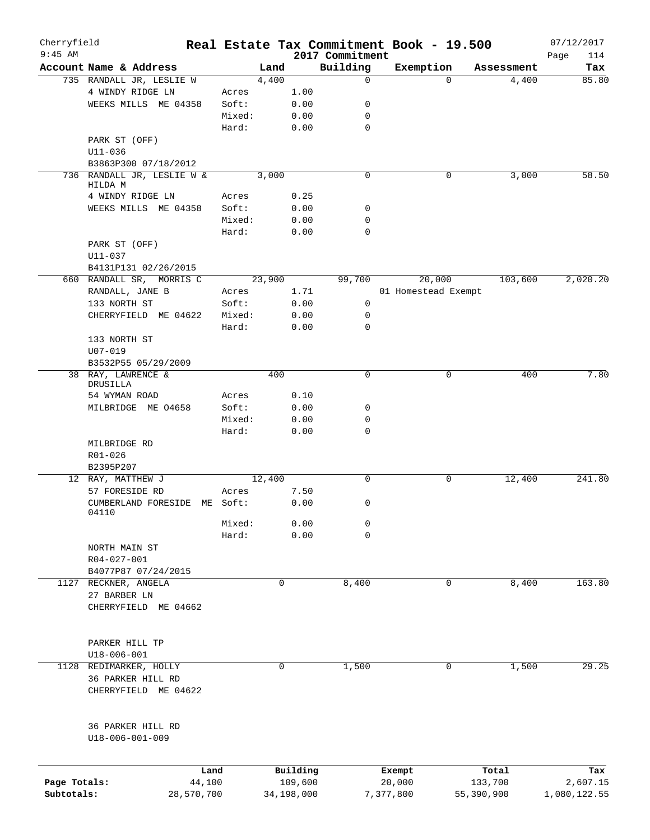| Cherryfield<br>$9:45$ AM |                                       |          |        |            | 2017 Commitment | Real Estate Tax Commitment Book - 19.500 |          |            | 07/12/2017         |
|--------------------------|---------------------------------------|----------|--------|------------|-----------------|------------------------------------------|----------|------------|--------------------|
|                          | Account Name & Address                |          | Land   |            | Building        | Exemption                                |          | Assessment | Page<br>114<br>Tax |
|                          | 735 RANDALL JR, LESLIE W              |          | 4,400  |            | 0               |                                          | $\Omega$ | 4,400      | 85.80              |
|                          | 4 WINDY RIDGE LN                      | Acres    |        | 1.00       |                 |                                          |          |            |                    |
|                          | WEEKS MILLS ME 04358                  | Soft:    |        | 0.00       | 0               |                                          |          |            |                    |
|                          |                                       | Mixed:   |        | 0.00       | 0               |                                          |          |            |                    |
|                          |                                       | Hard:    |        | 0.00       | $\mathbf 0$     |                                          |          |            |                    |
|                          |                                       |          |        |            |                 |                                          |          |            |                    |
|                          | PARK ST (OFF)                         |          |        |            |                 |                                          |          |            |                    |
|                          | $U11 - 036$                           |          |        |            |                 |                                          |          |            |                    |
|                          | B3863P300 07/18/2012                  |          |        |            |                 |                                          |          |            |                    |
|                          | 736 RANDALL JR, LESLIE W &<br>HILDA M |          | 3,000  |            | $\mathbf 0$     |                                          | 0        | 3,000      | 58.50              |
|                          | 4 WINDY RIDGE LN                      | Acres    |        | 0.25       |                 |                                          |          |            |                    |
|                          | WEEKS MILLS ME 04358                  | Soft:    |        | 0.00       | 0               |                                          |          |            |                    |
|                          |                                       | Mixed:   |        | 0.00       | 0               |                                          |          |            |                    |
|                          |                                       | Hard:    |        | 0.00       | 0               |                                          |          |            |                    |
|                          |                                       |          |        |            |                 |                                          |          |            |                    |
|                          | PARK ST (OFF)                         |          |        |            |                 |                                          |          |            |                    |
|                          | U11-037                               |          |        |            |                 |                                          |          |            |                    |
|                          | B4131P131 02/26/2015                  |          |        |            |                 |                                          |          |            |                    |
|                          | 660 RANDALL SR, MORRIS C              |          | 23,900 |            | 99,700          | 20,000                                   |          | 103,600    | 2,020.20           |
|                          | RANDALL, JANE B                       | Acres    |        | 1.71       |                 | 01 Homestead Exempt                      |          |            |                    |
|                          | 133 NORTH ST                          | Soft:    |        | 0.00       | 0               |                                          |          |            |                    |
|                          | CHERRYFIELD ME 04622                  | Mixed:   |        | 0.00       | 0               |                                          |          |            |                    |
|                          |                                       | Hard:    |        | 0.00       | 0               |                                          |          |            |                    |
|                          | 133 NORTH ST                          |          |        |            |                 |                                          |          |            |                    |
|                          | $U07 - 019$                           |          |        |            |                 |                                          |          |            |                    |
|                          | B3532P55 05/29/2009                   |          |        |            |                 |                                          |          |            |                    |
|                          | 38 RAY, LAWRENCE &                    |          | 400    |            | $\mathbf 0$     |                                          | 0        | 400        | 7.80               |
|                          | DRUSILLA                              |          |        |            |                 |                                          |          |            |                    |
|                          | 54 WYMAN ROAD                         | Acres    |        | 0.10       |                 |                                          |          |            |                    |
|                          | MILBRIDGE ME 04658                    | Soft:    |        | 0.00       | $\mathbf 0$     |                                          |          |            |                    |
|                          |                                       | Mixed:   |        | 0.00       | 0               |                                          |          |            |                    |
|                          |                                       | Hard:    |        | 0.00       | $\mathbf 0$     |                                          |          |            |                    |
|                          | MILBRIDGE RD                          |          |        |            |                 |                                          |          |            |                    |
|                          | R01-026                               |          |        |            |                 |                                          |          |            |                    |
|                          | B2395P207                             |          |        |            |                 |                                          |          |            |                    |
|                          | 12 RAY, MATTHEW J                     |          | 12,400 |            | $\mathbf 0$     |                                          | 0        | 12,400     | 241.80             |
|                          | 57 FORESIDE RD                        | Acres    |        | 7.50       |                 |                                          |          |            |                    |
|                          | CUMBERLAND FORESIDE                   | ME Soft: |        | 0.00       | 0               |                                          |          |            |                    |
|                          | 04110                                 |          |        |            |                 |                                          |          |            |                    |
|                          |                                       | Mixed:   |        | 0.00       | 0               |                                          |          |            |                    |
|                          |                                       | Hard:    |        | 0.00       | 0               |                                          |          |            |                    |
|                          | NORTH MAIN ST                         |          |        |            |                 |                                          |          |            |                    |
|                          | R04-027-001                           |          |        |            |                 |                                          |          |            |                    |
|                          | B4077P87 07/24/2015                   |          |        |            |                 |                                          |          |            |                    |
| 1127                     | RECKNER, ANGELA                       |          | 0      |            | 8,400           |                                          | 0        | 8,400      | 163.80             |
|                          | 27 BARBER LN                          |          |        |            |                 |                                          |          |            |                    |
|                          | CHERRYFIELD ME 04662                  |          |        |            |                 |                                          |          |            |                    |
|                          |                                       |          |        |            |                 |                                          |          |            |                    |
|                          |                                       |          |        |            |                 |                                          |          |            |                    |
|                          | PARKER HILL TP                        |          |        |            |                 |                                          |          |            |                    |
|                          | $U18 - 006 - 001$                     |          |        |            |                 |                                          |          |            |                    |
| 1128                     | REDIMARKER, HOLLY                     |          | 0      |            | 1,500           |                                          | 0        | 1,500      | 29.25              |
|                          | 36 PARKER HILL RD                     |          |        |            |                 |                                          |          |            |                    |
|                          | CHERRYFIELD ME 04622                  |          |        |            |                 |                                          |          |            |                    |
|                          |                                       |          |        |            |                 |                                          |          |            |                    |
|                          |                                       |          |        |            |                 |                                          |          |            |                    |
|                          |                                       |          |        |            |                 |                                          |          |            |                    |
|                          | 36 PARKER HILL RD<br>U18-006-001-009  |          |        |            |                 |                                          |          |            |                    |
|                          |                                       |          |        |            |                 |                                          |          |            |                    |
|                          |                                       |          |        |            |                 |                                          |          |            |                    |
|                          | Land                                  |          |        | Building   |                 | Exempt                                   |          | Total      | Tax                |
| Page Totals:             | 44,100                                |          |        | 109,600    |                 | 20,000                                   |          | 133,700    | 2,607.15           |
| Subtotals:               | 28,570,700                            |          |        | 34,198,000 |                 | 7,377,800                                |          | 55,390,900 | 1,080,122.55       |
|                          |                                       |          |        |            |                 |                                          |          |            |                    |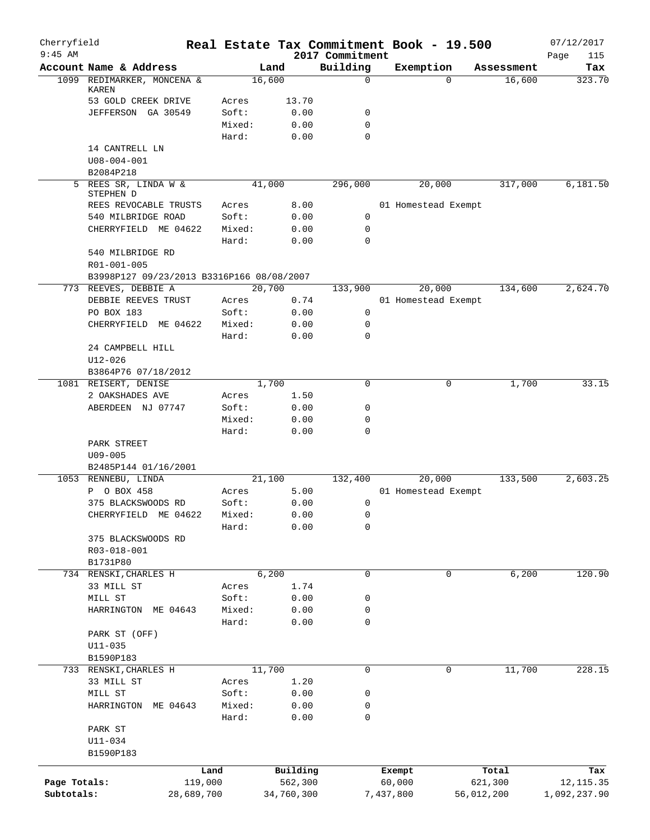| Cherryfield  |                                           |            |                |               |                             |           | Real Estate Tax Commitment Book - 19.500 |            | 07/12/2017         |
|--------------|-------------------------------------------|------------|----------------|---------------|-----------------------------|-----------|------------------------------------------|------------|--------------------|
| $9:45$ AM    | Account Name & Address                    |            |                | Land          | 2017 Commitment<br>Building |           | Exemption                                | Assessment | Page<br>115<br>Tax |
|              | 1099 REDIMARKER, MONCENA &                |            |                | 16,600        | $\mathbf 0$                 |           | $\Omega$                                 | 16,600     | 323.70             |
|              | <b>KAREN</b>                              |            |                |               |                             |           |                                          |            |                    |
|              | 53 GOLD CREEK DRIVE                       |            | Acres<br>Soft: | 13.70<br>0.00 | $\mathbf 0$                 |           |                                          |            |                    |
|              | JEFFERSON GA 30549                        |            | Mixed:         | 0.00          | $\mathbf 0$                 |           |                                          |            |                    |
|              |                                           |            | Hard:          | 0.00          | $\Omega$                    |           |                                          |            |                    |
|              | 14 CANTRELL LN                            |            |                |               |                             |           |                                          |            |                    |
|              | $U08 - 004 - 001$                         |            |                |               |                             |           |                                          |            |                    |
|              | B2084P218<br>5 REES SR, LINDA W &         |            |                | 41,000        |                             |           |                                          |            |                    |
|              | STEPHEN D                                 |            |                |               | 296,000                     |           | 20,000                                   | 317,000    | 6,181.50           |
|              | REES REVOCABLE TRUSTS                     |            | Acres          | 8.00          |                             |           | 01 Homestead Exempt                      |            |                    |
|              | 540 MILBRIDGE ROAD                        |            | Soft:          | 0.00          | 0                           |           |                                          |            |                    |
|              | CHERRYFIELD ME 04622                      |            | Mixed:         | 0.00          | 0                           |           |                                          |            |                    |
|              |                                           |            | Hard:          | 0.00          | $\mathbf 0$                 |           |                                          |            |                    |
|              | 540 MILBRIDGE RD<br>R01-001-005           |            |                |               |                             |           |                                          |            |                    |
|              | B3998P127 09/23/2013 B3316P166 08/08/2007 |            |                |               |                             |           |                                          |            |                    |
|              | 773 REEVES, DEBBIE A                      |            |                | 20,700        | 133,900                     |           | 20,000                                   | 134,600    | 2,624.70           |
|              | DEBBIE REEVES TRUST                       |            | Acres          | 0.74          |                             |           | 01 Homestead Exempt                      |            |                    |
|              | PO BOX 183                                |            | Soft:          | 0.00          | 0                           |           |                                          |            |                    |
|              | CHERRYFIELD ME 04622                      |            | Mixed:         | 0.00          | 0                           |           |                                          |            |                    |
|              |                                           |            | Hard:          | 0.00          | $\Omega$                    |           |                                          |            |                    |
|              | 24 CAMPBELL HILL                          |            |                |               |                             |           |                                          |            |                    |
|              | $U12 - 026$                               |            |                |               |                             |           |                                          |            |                    |
|              | B3864P76 07/18/2012                       |            |                |               |                             |           |                                          |            |                    |
|              | 1081 REISERT, DENISE                      |            |                | 1,700         | $\mathbf 0$                 |           | 0                                        | 1,700      | 33.15              |
|              | 2 OAKSHADES AVE                           |            | Acres          | 1.50          |                             |           |                                          |            |                    |
|              | ABERDEEN NJ 07747                         |            | Soft:          | 0.00          | 0                           |           |                                          |            |                    |
|              |                                           |            | Mixed:         | 0.00          | 0                           |           |                                          |            |                    |
|              |                                           |            | Hard:          | 0.00          | $\mathbf 0$                 |           |                                          |            |                    |
|              | PARK STREET                               |            |                |               |                             |           |                                          |            |                    |
|              | $U09 - 005$                               |            |                |               |                             |           |                                          |            |                    |
|              | B2485P144 01/16/2001                      |            |                |               |                             |           |                                          |            |                    |
|              | 1053 RENNEBU, LINDA                       |            |                | 21,100        | 132,400                     |           | 20,000                                   | 133,500    | 2,603.25           |
|              | P 0 BOX 458                               |            | Acres          | 5.00          |                             |           | 01 Homestead Exempt                      |            |                    |
|              | 375 BLACKSWOODS RD                        |            | Soft:          | 0.00          | 0                           |           |                                          |            |                    |
|              | CHERRYFIELD ME 04622                      |            | Mixed:         | 0.00          | 0                           |           |                                          |            |                    |
|              | 375 BLACKSWOODS RD                        |            | Hard:          | 0.00          | 0                           |           |                                          |            |                    |
|              | R03-018-001                               |            |                |               |                             |           |                                          |            |                    |
|              | B1731P80                                  |            |                |               |                             |           |                                          |            |                    |
|              | 734 RENSKI, CHARLES H                     |            |                | 6,200         | 0                           |           | 0                                        | 6,200      | 120.90             |
|              | 33 MILL ST                                |            | Acres          | 1.74          |                             |           |                                          |            |                    |
|              | MILL ST                                   |            | Soft:          | 0.00          | 0                           |           |                                          |            |                    |
|              | HARRINGTON ME 04643                       |            | Mixed:         | 0.00          | 0                           |           |                                          |            |                    |
|              |                                           |            | Hard:          | 0.00          | $\mathbf 0$                 |           |                                          |            |                    |
|              | PARK ST (OFF)                             |            |                |               |                             |           |                                          |            |                    |
|              | $U11 - 035$                               |            |                |               |                             |           |                                          |            |                    |
|              | B1590P183                                 |            |                |               |                             |           |                                          |            |                    |
|              | 733 RENSKI, CHARLES H                     |            |                | 11,700        | 0                           |           | 0                                        | 11,700     | 228.15             |
|              | 33 MILL ST                                |            | Acres          | 1.20          |                             |           |                                          |            |                    |
|              | MILL ST                                   |            | Soft:          | 0.00          | 0                           |           |                                          |            |                    |
|              | HARRINGTON<br>ME 04643                    |            | Mixed:         | 0.00          | 0                           |           |                                          |            |                    |
|              |                                           |            | Hard:          | 0.00          | 0                           |           |                                          |            |                    |
|              | PARK ST                                   |            |                |               |                             |           |                                          |            |                    |
|              | $U11 - 034$                               |            |                |               |                             |           |                                          |            |                    |
|              | B1590P183                                 |            |                |               |                             |           |                                          |            |                    |
|              |                                           | Land       |                | Building      |                             |           | Exempt                                   | Total      | Tax                |
| Page Totals: |                                           | 119,000    |                | 562,300       |                             |           | 60,000                                   | 621,300    | 12, 115.35         |
| Subtotals:   |                                           | 28,689,700 |                | 34,760,300    |                             | 7,437,800 |                                          | 56,012,200 | 1,092,237.90       |
|              |                                           |            |                |               |                             |           |                                          |            |                    |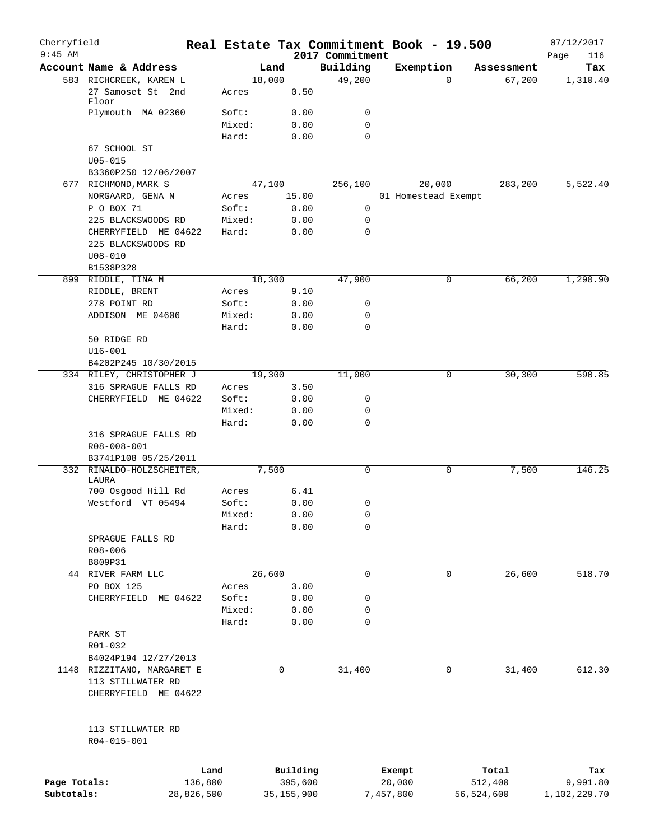| Cherryfield  |                                           |         |              |                             |           | Real Estate Tax Commitment Book - 19.500 |            | 07/12/2017         |
|--------------|-------------------------------------------|---------|--------------|-----------------------------|-----------|------------------------------------------|------------|--------------------|
| $9:45$ AM    | Account Name & Address                    |         | Land         | 2017 Commitment<br>Building |           | Exemption                                | Assessment | Page<br>116<br>Tax |
|              | 583 RICHCREEK, KAREN L                    |         | 18,000       | 49,200                      |           | 0                                        | 67,200     | 1,310.40           |
|              | 27 Samoset St 2nd<br>Floor                | Acres   | 0.50         |                             |           |                                          |            |                    |
|              | Plymouth MA 02360                         | Soft:   | 0.00         | 0                           |           |                                          |            |                    |
|              |                                           | Mixed:  | 0.00         | 0                           |           |                                          |            |                    |
|              |                                           | Hard:   | 0.00         | 0                           |           |                                          |            |                    |
|              | 67 SCHOOL ST                              |         |              |                             |           |                                          |            |                    |
|              | $U05 - 015$                               |         |              |                             |           |                                          |            |                    |
|              | B3360P250 12/06/2007                      |         |              |                             |           |                                          |            |                    |
|              | 677 RICHMOND, MARK S                      |         | 47,100       | 256,100                     |           | 20,000                                   | 283,200    | 5,522.40           |
|              | NORGAARD, GENA N                          | Acres   | 15.00        |                             |           | 01 Homestead Exempt                      |            |                    |
|              | P O BOX 71                                | Soft:   | 0.00         | 0                           |           |                                          |            |                    |
|              | 225 BLACKSWOODS RD                        | Mixed:  | 0.00         | 0                           |           |                                          |            |                    |
|              | CHERRYFIELD ME 04622                      | Hard:   | 0.00         | 0                           |           |                                          |            |                    |
|              | 225 BLACKSWOODS RD                        |         |              |                             |           |                                          |            |                    |
|              | $U08 - 010$                               |         |              |                             |           |                                          |            |                    |
|              | B1538P328                                 |         |              |                             |           |                                          |            |                    |
| 899          | RIDDLE, TINA M                            |         | 18,300       | 47,900                      |           | 0                                        | 66,200     | 1,290.90           |
|              | RIDDLE, BRENT                             | Acres   | 9.10         |                             |           |                                          |            |                    |
|              | 278 POINT RD                              | Soft:   | 0.00         | 0                           |           |                                          |            |                    |
|              | ADDISON ME 04606                          | Mixed:  | 0.00         | 0                           |           |                                          |            |                    |
|              |                                           | Hard:   | 0.00         | 0                           |           |                                          |            |                    |
|              | 50 RIDGE RD                               |         |              |                             |           |                                          |            |                    |
|              | $U16 - 001$                               |         |              |                             |           |                                          |            |                    |
|              | B4202P245 10/30/2015                      |         |              |                             |           |                                          |            |                    |
|              | 334 RILEY, CHRISTOPHER J                  |         | 19,300       | 11,000                      |           | 0                                        | 30,300     | 590.85             |
|              | 316 SPRAGUE FALLS RD                      | Acres   | 3.50         |                             |           |                                          |            |                    |
|              | CHERRYFIELD ME 04622                      | Soft:   | 0.00         | 0                           |           |                                          |            |                    |
|              |                                           | Mixed:  | 0.00         | 0                           |           |                                          |            |                    |
|              |                                           | Hard:   | 0.00         | 0                           |           |                                          |            |                    |
|              | 316 SPRAGUE FALLS RD<br>R08-008-001       |         |              |                             |           |                                          |            |                    |
|              | B3741P108 05/25/2011                      |         | 7,500        | 0                           |           | 0                                        | 7,500      | 146.25             |
|              | 332 RINALDO-HOLZSCHEITER,<br>LAURA        |         |              |                             |           |                                          |            |                    |
|              | 700 Osgood Hill Rd                        | Acres   | 6.41         |                             |           |                                          |            |                    |
|              | Westford VT 05494                         | Soft:   | 0.00         | 0                           |           |                                          |            |                    |
|              |                                           | Mixed:  | 0.00         | 0                           |           |                                          |            |                    |
|              |                                           | Hard:   | 0.00         | 0                           |           |                                          |            |                    |
|              | SPRAGUE FALLS RD                          |         |              |                             |           |                                          |            |                    |
|              | R08-006                                   |         |              |                             |           |                                          |            |                    |
|              | B809P31                                   |         |              |                             |           |                                          |            |                    |
|              | 44 RIVER FARM LLC                         |         | 26,600       | $\mathbf 0$                 |           | $\mathbf 0$                              | 26,600     | 518.70             |
|              | PO BOX 125                                | Acres   | 3.00         |                             |           |                                          |            |                    |
|              | CHERRYFIELD ME 04622                      | Soft:   | 0.00         | 0                           |           |                                          |            |                    |
|              |                                           | Mixed:  | 0.00         | 0                           |           |                                          |            |                    |
|              |                                           | Hard:   | 0.00         | 0                           |           |                                          |            |                    |
|              | PARK ST                                   |         |              |                             |           |                                          |            |                    |
|              | R01-032                                   |         |              |                             |           |                                          |            |                    |
|              | B4024P194 12/27/2013                      |         |              |                             |           |                                          |            |                    |
|              | 1148 RIZZITANO, MARGARET E                |         | 0            | 31,400                      |           | 0                                        | 31,400     | 612.30             |
|              | 113 STILLWATER RD<br>CHERRYFIELD ME 04622 |         |              |                             |           |                                          |            |                    |
|              | 113 STILLWATER RD<br>R04-015-001          |         |              |                             |           |                                          |            |                    |
|              |                                           |         |              |                             |           |                                          |            |                    |
|              |                                           | Land    | Building     |                             | Exempt    |                                          | Total      | Tax                |
| Page Totals: |                                           | 136,800 | 395,600      |                             | 20,000    |                                          | 512,400    | 9,991.80           |
| Subtotals:   | 28,826,500                                |         | 35, 155, 900 |                             | 7,457,800 |                                          | 56,524,600 | 1,102,229.70       |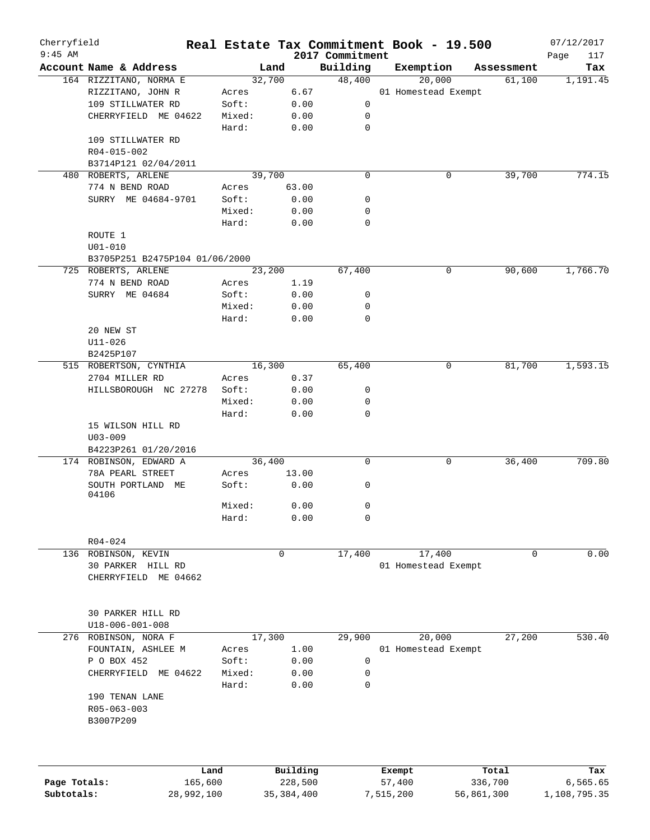| Cherryfield<br>$9:45$ AM |                                  |        |        |              | Real Estate Tax Commitment Book - 19.500 |           |                     |            |        | 07/12/2017         |
|--------------------------|----------------------------------|--------|--------|--------------|------------------------------------------|-----------|---------------------|------------|--------|--------------------|
|                          | Account Name & Address           |        | Land   |              | 2017 Commitment<br>Building              |           | Exemption           |            |        | Page<br>117<br>Tax |
|                          | 164 RIZZITANO, NORMA E           |        | 32,700 |              | 48,400                                   |           | 20,000              | Assessment | 61,100 |                    |
|                          |                                  |        |        |              |                                          |           |                     |            |        | 1,191.45           |
|                          | RIZZITANO, JOHN R                | Acres  |        | 6.67         |                                          |           | 01 Homestead Exempt |            |        |                    |
|                          | 109 STILLWATER RD                | Soft:  |        | 0.00         | 0                                        |           |                     |            |        |                    |
|                          | CHERRYFIELD ME 04622             | Mixed: |        | 0.00         | 0                                        |           |                     |            |        |                    |
|                          |                                  | Hard:  |        | 0.00         | 0                                        |           |                     |            |        |                    |
|                          | 109 STILLWATER RD                |        |        |              |                                          |           |                     |            |        |                    |
|                          | R04-015-002                      |        |        |              |                                          |           |                     |            |        |                    |
|                          | B3714P121 02/04/2011             |        |        |              |                                          |           |                     |            |        |                    |
|                          | 480 ROBERTS, ARLENE              |        | 39,700 |              | 0                                        |           | 0                   |            | 39,700 | 774.15             |
|                          | 774 N BEND ROAD                  | Acres  |        | 63.00        |                                          |           |                     |            |        |                    |
|                          | SURRY ME 04684-9701              | Soft:  |        | 0.00         | 0                                        |           |                     |            |        |                    |
|                          |                                  | Mixed: |        | 0.00         | 0                                        |           |                     |            |        |                    |
|                          |                                  | Hard:  |        | 0.00         | 0                                        |           |                     |            |        |                    |
|                          | ROUTE 1                          |        |        |              |                                          |           |                     |            |        |                    |
|                          | $U01 - 010$                      |        |        |              |                                          |           |                     |            |        |                    |
|                          | B3705P251 B2475P104 01/06/2000   |        |        |              |                                          |           |                     |            |        |                    |
|                          | 725 ROBERTS, ARLENE              |        | 23,200 |              | 67,400                                   |           | 0                   |            | 90,600 | 1,766.70           |
|                          | 774 N BEND ROAD                  | Acres  |        | 1.19         |                                          |           |                     |            |        |                    |
|                          | SURRY ME 04684                   | Soft:  |        | 0.00         | 0                                        |           |                     |            |        |                    |
|                          |                                  | Mixed: |        | 0.00         | 0                                        |           |                     |            |        |                    |
|                          |                                  | Hard:  |        | 0.00         | $\mathbf 0$                              |           |                     |            |        |                    |
|                          | 20 NEW ST                        |        |        |              |                                          |           |                     |            |        |                    |
|                          | $U11 - 026$                      |        |        |              |                                          |           |                     |            |        |                    |
|                          | B2425P107                        |        |        |              |                                          |           |                     |            |        |                    |
|                          | 515 ROBERTSON, CYNTHIA           |        | 16,300 |              | 65,400                                   |           | 0                   |            | 81,700 | 1,593.15           |
|                          | 2704 MILLER RD                   | Acres  |        | 0.37         |                                          |           |                     |            |        |                    |
|                          | HILLSBOROUGH NC 27278            | Soft:  |        | 0.00         | 0                                        |           |                     |            |        |                    |
|                          |                                  | Mixed: |        | 0.00         | 0                                        |           |                     |            |        |                    |
|                          |                                  | Hard:  |        | 0.00         | $\mathbf 0$                              |           |                     |            |        |                    |
|                          | 15 WILSON HILL RD<br>$U03 - 009$ |        |        |              |                                          |           |                     |            |        |                    |
|                          | B4223P261 01/20/2016             |        |        |              |                                          |           |                     |            |        |                    |
|                          | 174 ROBINSON, EDWARD A           |        | 36,400 |              | 0                                        |           | 0                   |            | 36,400 | 709.80             |
|                          | 78A PEARL STREET                 | Acres  |        | 13.00        |                                          |           |                     |            |        |                    |
|                          | SOUTH PORTLAND ME<br>04106       | Soft:  |        | 0.00         | 0                                        |           |                     |            |        |                    |
|                          |                                  | Mixed: |        | 0.00         | 0                                        |           |                     |            |        |                    |
|                          |                                  | Hard:  |        | 0.00         | 0                                        |           |                     |            |        |                    |
|                          |                                  |        |        |              |                                          |           |                     |            |        |                    |
|                          | $R04 - 024$                      |        |        |              |                                          |           |                     |            |        |                    |
|                          | 136 ROBINSON, KEVIN              |        | 0      |              | 17,400                                   |           | 17,400              |            | 0      | 0.00               |
|                          | 30 PARKER HILL RD                |        |        |              |                                          |           | 01 Homestead Exempt |            |        |                    |
|                          | CHERRYFIELD ME 04662             |        |        |              |                                          |           |                     |            |        |                    |
|                          | 30 PARKER HILL RD                |        |        |              |                                          |           |                     |            |        |                    |
|                          | $U18 - 006 - 001 - 008$          |        |        |              |                                          |           |                     |            |        |                    |
|                          | 276 ROBINSON, NORA F             |        | 17,300 |              | 29,900                                   |           | 20,000              |            | 27,200 | 530.40             |
|                          | FOUNTAIN, ASHLEE M               | Acres  |        | 1.00         |                                          |           | 01 Homestead Exempt |            |        |                    |
|                          | P O BOX 452                      | Soft:  |        | 0.00         | 0                                        |           |                     |            |        |                    |
|                          | CHERRYFIELD<br>ME 04622          | Mixed: |        | 0.00         | 0                                        |           |                     |            |        |                    |
|                          |                                  | Hard:  |        | 0.00         | 0                                        |           |                     |            |        |                    |
|                          | 190 TENAN LANE                   |        |        |              |                                          |           |                     |            |        |                    |
|                          | R05-063-003                      |        |        |              |                                          |           |                     |            |        |                    |
|                          | B3007P209                        |        |        |              |                                          |           |                     |            |        |                    |
|                          |                                  |        |        |              |                                          |           |                     |            |        |                    |
|                          |                                  | Land   |        | Building     |                                          | Exempt    |                     | Total      |        | Tax                |
| Page Totals:             | 165,600                          |        |        | 228,500      |                                          | 57,400    |                     | 336,700    |        | 6,565.65           |
| Subtotals:               | 28,992,100                       |        |        | 35, 384, 400 |                                          | 7,515,200 |                     | 56,861,300 |        | 1,108,795.35       |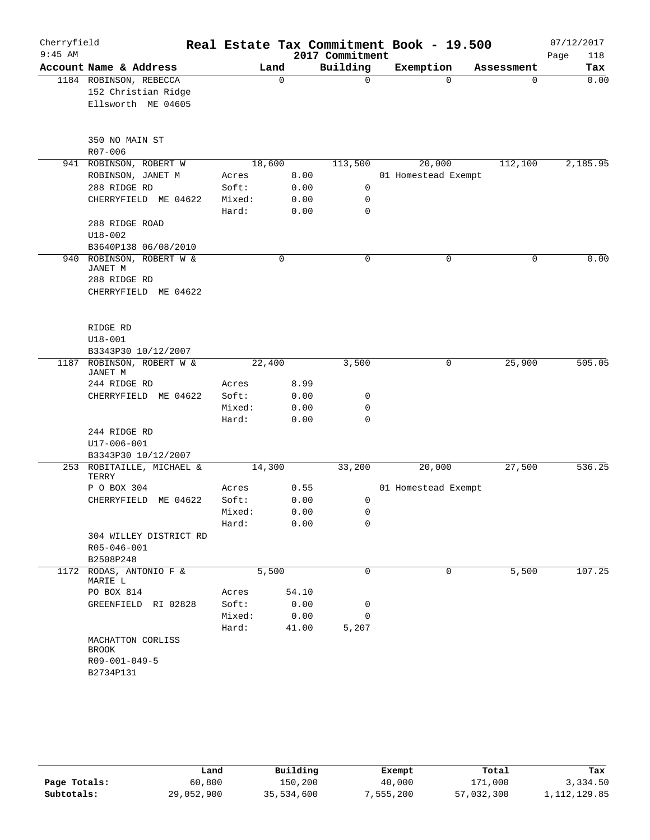| Cherryfield |                                                  |                 |              |                 | Real Estate Tax Commitment Book - 19.500 |            | 07/12/2017  |
|-------------|--------------------------------------------------|-----------------|--------------|-----------------|------------------------------------------|------------|-------------|
| $9:45$ AM   |                                                  |                 |              | 2017 Commitment |                                          |            | Page<br>118 |
|             | Account Name & Address                           |                 | Land         | Building        | Exemption                                | Assessment | Tax         |
|             | 1184 ROBINSON, REBECCA                           |                 | $\mathbf 0$  | 0               | $\Omega$                                 | 0          | 0.00        |
|             | 152 Christian Ridge                              |                 |              |                 |                                          |            |             |
|             | Ellsworth ME 04605                               |                 |              |                 |                                          |            |             |
|             | 350 NO MAIN ST                                   |                 |              |                 |                                          |            |             |
|             | $R07 - 006$                                      |                 |              |                 |                                          |            |             |
|             | 941 ROBINSON, ROBERT W                           |                 | 18,600       | 113,500         | 20,000                                   | 112,100    | 2,185.95    |
|             | ROBINSON, JANET M                                | Acres           | 8.00         |                 | 01 Homestead Exempt                      |            |             |
|             | 288 RIDGE RD                                     | Soft:           | 0.00         | 0               |                                          |            |             |
|             | CHERRYFIELD ME 04622                             | Mixed:<br>Hard: | 0.00<br>0.00 | 0<br>0          |                                          |            |             |
|             | 288 RIDGE ROAD                                   |                 |              |                 |                                          |            |             |
|             | $U18 - 002$                                      |                 |              |                 |                                          |            |             |
|             | B3640P138 06/08/2010                             |                 |              |                 |                                          |            |             |
|             | 940 ROBINSON, ROBERT W &<br>JANET M              |                 | 0            | 0               | 0                                        | $\Omega$   | 0.00        |
|             | 288 RIDGE RD                                     |                 |              |                 |                                          |            |             |
|             | CHERRYFIELD ME 04622                             |                 |              |                 |                                          |            |             |
|             |                                                  |                 |              |                 |                                          |            |             |
|             | RIDGE RD                                         |                 |              |                 |                                          |            |             |
|             | $U18 - 001$                                      |                 |              |                 |                                          |            |             |
|             | B3343P30 10/12/2007                              |                 |              |                 |                                          |            |             |
|             | 1187 ROBINSON, ROBERT W &<br>JANET M             |                 | 22,400       | 3,500           | 0                                        | 25,900     | 505.05      |
|             | 244 RIDGE RD                                     | Acres           | 8.99         |                 |                                          |            |             |
|             | CHERRYFIELD ME 04622                             | Soft:           | 0.00         | 0               |                                          |            |             |
|             |                                                  | Mixed:          | 0.00         | 0               |                                          |            |             |
|             |                                                  | Hard:           | 0.00         | 0               |                                          |            |             |
|             | 244 RIDGE RD                                     |                 |              |                 |                                          |            |             |
|             | U17-006-001                                      |                 |              |                 |                                          |            |             |
|             | B3343P30 10/12/2007<br>253 ROBITAILLE, MICHAEL & |                 | 14,300       | 33,200          | 20,000                                   | 27,500     | 536.25      |
|             | TERRY                                            |                 |              |                 |                                          |            |             |
|             | P O BOX 304                                      | Acres           | 0.55         |                 | 01 Homestead Exempt                      |            |             |
|             | CHERRYFIELD<br>ME 04622                          | Soft:           | 0.00         | 0               |                                          |            |             |
|             |                                                  | Mixed:          | 0.00         | 0               |                                          |            |             |
|             |                                                  | Hard:           | 0.00         | 0               |                                          |            |             |
|             | 304 WILLEY DISTRICT RD<br>R05-046-001            |                 |              |                 |                                          |            |             |
|             | B2508P248                                        |                 |              |                 |                                          |            |             |
|             | 1172 RODAS, ANTONIO F &<br>MARIE L               |                 | 5,500        | 0               | $\Omega$                                 | 5,500      | 107.25      |
|             | PO BOX 814                                       | Acres           | 54.10        |                 |                                          |            |             |
|             | GREENFIELD RI 02828                              | Soft:           | 0.00         | 0               |                                          |            |             |
|             |                                                  | Mixed:          | 0.00         | 0               |                                          |            |             |
|             |                                                  | Hard:           | 41.00        | 5,207           |                                          |            |             |
|             | MACHATTON CORLISS<br><b>BROOK</b>                |                 |              |                 |                                          |            |             |
|             | R09-001-049-5                                    |                 |              |                 |                                          |            |             |
|             | B2734P131                                        |                 |              |                 |                                          |            |             |

|              | Land       | Building   | Exempt    | Total      | Tax            |
|--------------|------------|------------|-----------|------------|----------------|
| Page Totals: | 60,800     | 150,200    | 40,000    | 171,000    | 3,334.50       |
| Subtotals:   | 29,052,900 | 35,534,600 | 7,555,200 | 57,032,300 | 1, 112, 129.85 |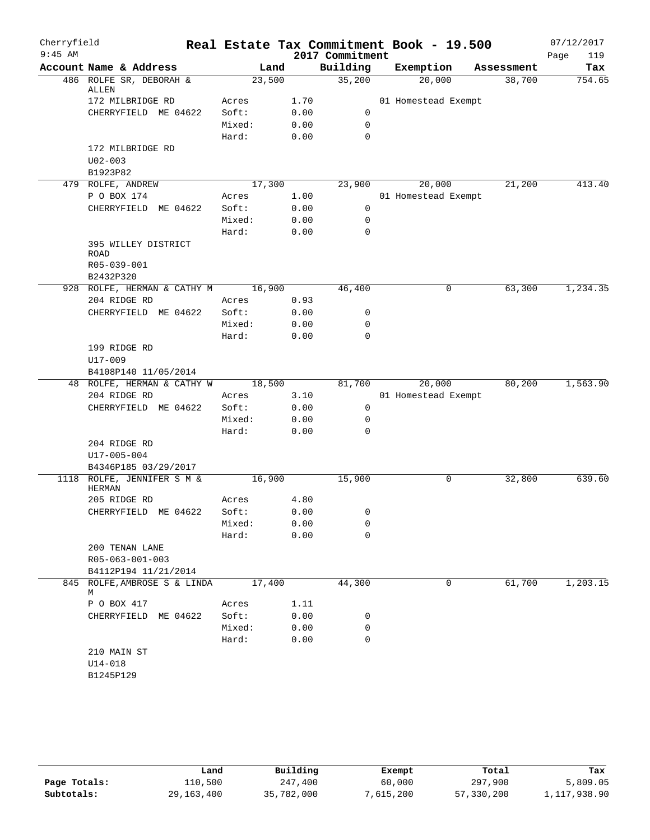| Cherryfield |                                            |                |              |                 | Real Estate Tax Commitment Book - 19.500 |   |            | 07/12/2017  |
|-------------|--------------------------------------------|----------------|--------------|-----------------|------------------------------------------|---|------------|-------------|
| $9:45$ AM   |                                            |                |              | 2017 Commitment |                                          |   |            | 119<br>Page |
|             | Account Name & Address                     |                | Land         | Building        | Exemption                                |   | Assessment | Tax         |
|             | 486 ROLFE SR, DEBORAH &<br>ALLEN           |                | 23,500       | 35,200          | 20,000                                   |   | 38,700     | 754.65      |
|             | 172 MILBRIDGE RD                           | Acres          | 1.70         |                 | 01 Homestead Exempt                      |   |            |             |
|             | CHERRYFIELD ME 04622                       | Soft:          | 0.00         | 0               |                                          |   |            |             |
|             |                                            | Mixed:         | 0.00         | $\mathbf 0$     |                                          |   |            |             |
|             |                                            | Hard:          | 0.00         | $\mathbf 0$     |                                          |   |            |             |
|             | 172 MILBRIDGE RD                           |                |              |                 |                                          |   |            |             |
|             | $U02 - 003$                                |                |              |                 |                                          |   |            |             |
|             | B1923P82                                   |                |              |                 |                                          |   |            |             |
|             | 479 ROLFE, ANDREW                          |                | 17,300       | 23,900          | 20,000                                   |   | 21,200     | 413.40      |
|             | P O BOX 174                                | Acres          | 1.00         |                 | 01 Homestead Exempt                      |   |            |             |
|             | CHERRYFIELD ME 04622                       | Soft:          | 0.00         | 0               |                                          |   |            |             |
|             |                                            | Mixed:         | 0.00         | $\mathbf 0$     |                                          |   |            |             |
|             |                                            | Hard:          | 0.00         | $\mathbf 0$     |                                          |   |            |             |
|             | 395 WILLEY DISTRICT                        |                |              |                 |                                          |   |            |             |
|             | ROAD                                       |                |              |                 |                                          |   |            |             |
|             | R05-039-001                                |                |              |                 |                                          |   |            |             |
|             | B2432P320                                  |                |              |                 |                                          |   |            |             |
|             | 928 ROLFE, HERMAN & CATHY M                |                | 16,900       | 46,400          |                                          | 0 | 63,300     | 1,234.35    |
|             | 204 RIDGE RD                               | Acres          | 0.93         |                 |                                          |   |            |             |
|             | CHERRYFIELD ME 04622                       | Soft:          | 0.00         | 0               |                                          |   |            |             |
|             |                                            | Mixed:         | 0.00         | 0               |                                          |   |            |             |
|             |                                            | Hard:          | 0.00         | $\mathbf 0$     |                                          |   |            |             |
|             | 199 RIDGE RD                               |                |              |                 |                                          |   |            |             |
|             | $U17 - 009$                                |                |              |                 |                                          |   |            |             |
|             | B4108P140 11/05/2014                       |                | 18,500       |                 | 20,000                                   |   | 80,200     | 1,563.90    |
|             | 48 ROLFE, HERMAN & CATHY W<br>204 RIDGE RD | Acres          | 3.10         | 81,700          | 01 Homestead Exempt                      |   |            |             |
|             | CHERRYFIELD ME 04622                       | Soft:          | 0.00         | 0               |                                          |   |            |             |
|             |                                            | Mixed:         | 0.00         | 0               |                                          |   |            |             |
|             |                                            | Hard:          | 0.00         | $\mathbf 0$     |                                          |   |            |             |
|             | 204 RIDGE RD                               |                |              |                 |                                          |   |            |             |
|             | U17-005-004                                |                |              |                 |                                          |   |            |             |
|             | B4346P185 03/29/2017                       |                |              |                 |                                          |   |            |             |
|             | 1118 ROLFE, JENNIFER S M &                 |                | 16,900       | 15,900          |                                          | 0 | 32,800     | 639.60      |
|             | <b>HERMAN</b>                              |                |              |                 |                                          |   |            |             |
|             | 205 RIDGE RD                               | Acres          | 4.80         |                 |                                          |   |            |             |
|             | CHERRYFIELD ME 04622                       | Soft:          | 0.00         | 0               |                                          |   |            |             |
|             |                                            | Mixed:         | 0.00         | 0               |                                          |   |            |             |
|             |                                            | Hard:          | 0.00         | 0               |                                          |   |            |             |
|             | 200 TENAN LANE                             |                |              |                 |                                          |   |            |             |
|             | R05-063-001-003                            |                |              |                 |                                          |   |            |             |
|             | B4112P194 11/21/2014                       |                |              |                 |                                          |   |            |             |
|             | 845 ROLFE, AMBROSE S & LINDA               |                | 17,400       | 44,300          |                                          | 0 | 61,700     | 1,203.15    |
|             | M                                          |                | 1.11         |                 |                                          |   |            |             |
|             | P O BOX 417                                | Acres<br>Soft: |              |                 |                                          |   |            |             |
|             | CHERRYFIELD ME 04622                       | Mixed:         | 0.00<br>0.00 | 0<br>0          |                                          |   |            |             |
|             |                                            | Hard:          | 0.00         | $\mathbf 0$     |                                          |   |            |             |
|             | 210 MAIN ST                                |                |              |                 |                                          |   |            |             |
|             | U14-018                                    |                |              |                 |                                          |   |            |             |
|             | B1245P129                                  |                |              |                 |                                          |   |            |             |
|             |                                            |                |              |                 |                                          |   |            |             |

|              | Land         | Building   | Exempt    | Total      | Tax          |
|--------------|--------------|------------|-----------|------------|--------------|
| Page Totals: | 110,500      | 247,400    | 60,000    | 297,900    | 5,809.05     |
| Subtotals:   | 29, 163, 400 | 35,782,000 | 7,615,200 | 57,330,200 | 1,117,938.90 |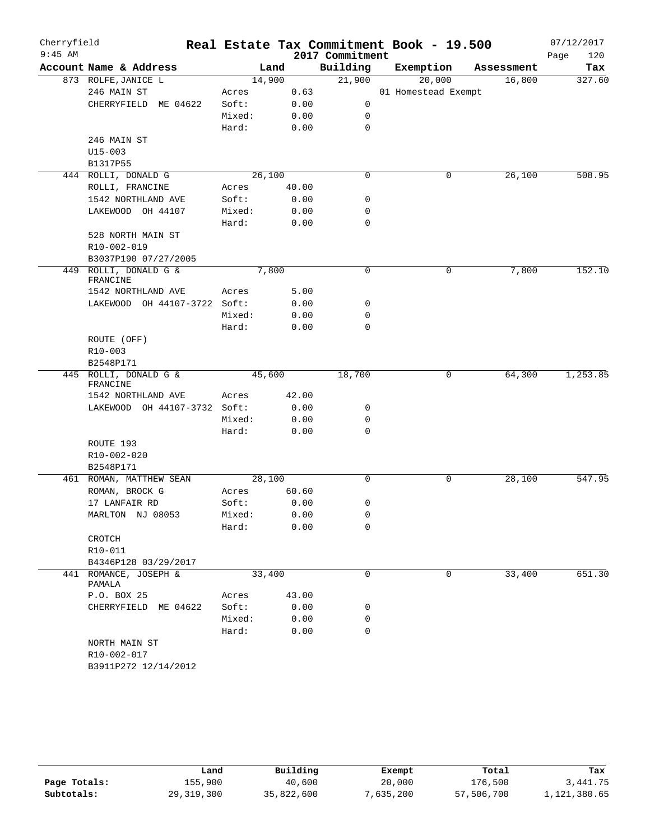| Cherryfield<br>$9:45$ AM |                                   |        |        | 2017 Commitment | Real Estate Tax Commitment Book - 19.500 |            | 07/12/2017<br>120<br>Page |
|--------------------------|-----------------------------------|--------|--------|-----------------|------------------------------------------|------------|---------------------------|
|                          | Account Name & Address            |        | Land   | Building        | Exemption                                | Assessment | Tax                       |
|                          | 873 ROLFE, JANICE L               |        | 14,900 | 21,900          | 20,000                                   | 16,800     | 327.60                    |
|                          | 246 MAIN ST                       | Acres  | 0.63   |                 | 01 Homestead Exempt                      |            |                           |
|                          | CHERRYFIELD ME 04622              | Soft:  | 0.00   | 0               |                                          |            |                           |
|                          |                                   | Mixed: | 0.00   | 0               |                                          |            |                           |
|                          |                                   | Hard:  | 0.00   | 0               |                                          |            |                           |
|                          | 246 MAIN ST                       |        |        |                 |                                          |            |                           |
|                          | $U15 - 003$                       |        |        |                 |                                          |            |                           |
|                          | B1317P55                          |        |        |                 |                                          |            |                           |
|                          | 444 ROLLI, DONALD G               |        | 26,100 | $\mathbf 0$     | 0                                        | 26,100     | 508.95                    |
|                          | ROLLI, FRANCINE                   | Acres  | 40.00  |                 |                                          |            |                           |
|                          | 1542 NORTHLAND AVE                | Soft:  | 0.00   | 0               |                                          |            |                           |
|                          | LAKEWOOD OH 44107                 | Mixed: | 0.00   | 0               |                                          |            |                           |
|                          |                                   | Hard:  | 0.00   | $\mathbf 0$     |                                          |            |                           |
|                          | 528 NORTH MAIN ST                 |        |        |                 |                                          |            |                           |
|                          | R10-002-019                       |        |        |                 |                                          |            |                           |
|                          | B3037P190 07/27/2005              |        |        |                 |                                          |            |                           |
| 449                      | ROLLI, DONALD G &<br>FRANCINE     |        | 7,800  | $\mathbf 0$     | 0                                        | 7,800      | 152.10                    |
|                          | 1542 NORTHLAND AVE                | Acres  | 5.00   |                 |                                          |            |                           |
|                          | LAKEWOOD OH 44107-3722 Soft:      |        | 0.00   | 0               |                                          |            |                           |
|                          |                                   | Mixed: | 0.00   | 0               |                                          |            |                           |
|                          |                                   | Hard:  | 0.00   | 0               |                                          |            |                           |
|                          | ROUTE (OFF)                       |        |        |                 |                                          |            |                           |
|                          | $R10 - 003$                       |        |        |                 |                                          |            |                           |
|                          | B2548P171                         |        |        |                 |                                          |            |                           |
|                          | 445 ROLLI, DONALD G &<br>FRANCINE |        | 45,600 | 18,700          | 0                                        | 64,300     | 1,253.85                  |
|                          | 1542 NORTHLAND AVE                | Acres  | 42.00  |                 |                                          |            |                           |
|                          | LAKEWOOD OH 44107-3732 Soft:      |        | 0.00   | 0               |                                          |            |                           |
|                          |                                   | Mixed: | 0.00   | 0               |                                          |            |                           |
|                          |                                   | Hard:  | 0.00   | $\mathbf 0$     |                                          |            |                           |
|                          | ROUTE 193                         |        |        |                 |                                          |            |                           |
|                          | R10-002-020                       |        |        |                 |                                          |            |                           |
|                          | B2548P171                         |        |        |                 |                                          |            |                           |
|                          | 461 ROMAN, MATTHEW SEAN           |        | 28,100 | 0               | 0                                        | 28,100     | 547.95                    |
|                          | ROMAN, BROCK G                    | Acres  | 60.60  |                 |                                          |            |                           |
|                          | 17 LANFAIR RD                     | Soft:  | 0.00   | 0               |                                          |            |                           |
|                          | MARLTON NJ 08053                  | Mixed: | 0.00   | 0               |                                          |            |                           |
|                          |                                   | Hard:  | 0.00   | 0               |                                          |            |                           |
|                          | CROTCH                            |        |        |                 |                                          |            |                           |
|                          | R10-011                           |        |        |                 |                                          |            |                           |
|                          | B4346P128 03/29/2017              |        |        |                 |                                          |            |                           |
|                          | 441 ROMANCE, JOSEPH &             |        | 33,400 | 0               | 0                                        | 33,400     | 651.30                    |
|                          | PAMALA                            |        |        |                 |                                          |            |                           |
|                          | P.O. BOX 25                       | Acres  | 43.00  |                 |                                          |            |                           |
|                          | CHERRYFIELD ME 04622              | Soft:  | 0.00   | 0               |                                          |            |                           |
|                          |                                   | Mixed: | 0.00   | 0               |                                          |            |                           |
|                          |                                   | Hard:  | 0.00   | 0               |                                          |            |                           |
|                          | NORTH MAIN ST                     |        |        |                 |                                          |            |                           |
|                          | R10-002-017                       |        |        |                 |                                          |            |                           |
|                          | B3911P272 12/14/2012              |        |        |                 |                                          |            |                           |

|              | Land         | Building   | Exempt    | Total      | Tax          |
|--------------|--------------|------------|-----------|------------|--------------|
| Page Totals: | 155,900      | 40,600     | 20,000    | 176,500    | 3,441.75     |
| Subtotals:   | 29, 319, 300 | 35,822,600 | 7,635,200 | 57,506,700 | 1,121,380.65 |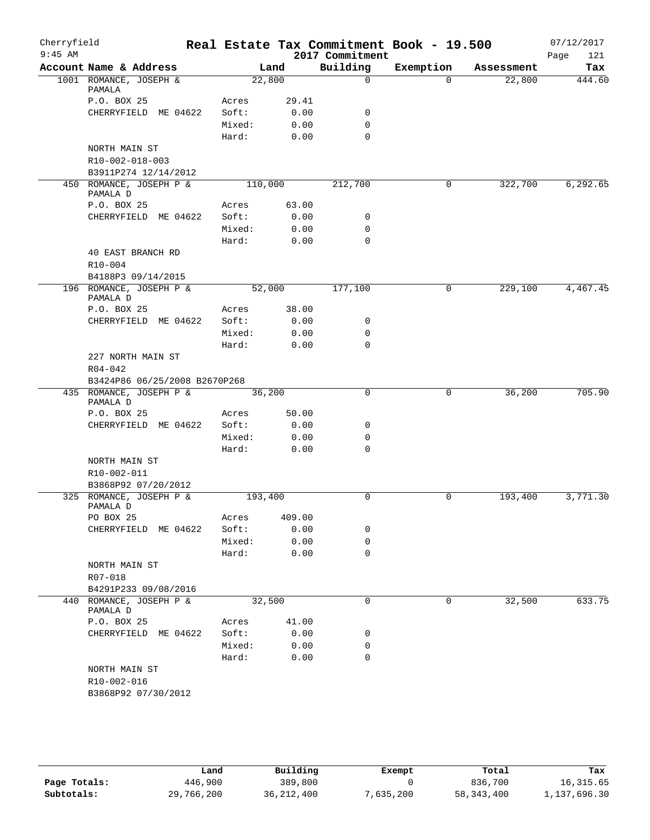| Cherryfield<br>$9:45$ AM |                                     |                 |              | 2017 Commitment | Real Estate Tax Commitment Book - 19.500 |            | 07/12/2017<br>121<br>Page |
|--------------------------|-------------------------------------|-----------------|--------------|-----------------|------------------------------------------|------------|---------------------------|
|                          | Account Name & Address              |                 | Land         | Building        | Exemption                                | Assessment | Tax                       |
|                          | 1001 ROMANCE, JOSEPH &<br>PAMALA    | 22,800          |              | $\mathbf 0$     | $\Omega$                                 | 22,800     | 444.60                    |
|                          | P.O. BOX 25                         | Acres           | 29.41        |                 |                                          |            |                           |
|                          | CHERRYFIELD ME 04622                | Soft:           | 0.00         | 0               |                                          |            |                           |
|                          |                                     | Mixed:          | 0.00         | $\mathbf 0$     |                                          |            |                           |
|                          |                                     | Hard:           | 0.00         | $\Omega$        |                                          |            |                           |
|                          | NORTH MAIN ST                       |                 |              |                 |                                          |            |                           |
|                          | R10-002-018-003                     |                 |              |                 |                                          |            |                           |
|                          | B3911P274 12/14/2012                |                 |              |                 |                                          |            |                           |
|                          | 450 ROMANCE, JOSEPH P &<br>PAMALA D | 110,000         |              | 212,700         | 0                                        | 322,700    | 6,292.65                  |
|                          | P.O. BOX 25                         | Acres           | 63.00        |                 |                                          |            |                           |
|                          | CHERRYFIELD ME 04622                | Soft:<br>Mixed: | 0.00<br>0.00 | 0<br>0          |                                          |            |                           |
|                          |                                     | Hard:           | 0.00         | $\mathbf 0$     |                                          |            |                           |
|                          | 40 EAST BRANCH RD                   |                 |              |                 |                                          |            |                           |
|                          | $R10 - 004$                         |                 |              |                 |                                          |            |                           |
|                          | B4188P3 09/14/2015                  |                 |              |                 |                                          |            |                           |
|                          | 196 ROMANCE, JOSEPH P &<br>PAMALA D | 52,000          |              | 177,100         | 0                                        | 229,100    | 4,467.45                  |
|                          | P.O. BOX 25                         | Acres           | 38.00        |                 |                                          |            |                           |
|                          | CHERRYFIELD ME 04622                | Soft:           | 0.00         | 0               |                                          |            |                           |
|                          |                                     | Mixed:          | 0.00         | $\mathbf 0$     |                                          |            |                           |
|                          |                                     | Hard:           | 0.00         | $\Omega$        |                                          |            |                           |
|                          | 227 NORTH MAIN ST                   |                 |              |                 |                                          |            |                           |
|                          | $R04 - 042$                         |                 |              |                 |                                          |            |                           |
|                          | B3424P86 06/25/2008 B2670P268       |                 |              |                 |                                          |            |                           |
|                          | 435 ROMANCE, JOSEPH P &<br>PAMALA D | 36,200          |              | 0               | 0                                        | 36,200     | 705.90                    |
|                          | P.O. BOX 25                         | Acres           | 50.00        |                 |                                          |            |                           |
|                          | CHERRYFIELD ME 04622                | Soft:           | 0.00         | 0               |                                          |            |                           |
|                          |                                     | Mixed:          | 0.00         | $\mathbf 0$     |                                          |            |                           |
|                          |                                     | Hard:           | 0.00         | $\Omega$        |                                          |            |                           |
|                          | NORTH MAIN ST                       |                 |              |                 |                                          |            |                           |
|                          | R10-002-011<br>B3868P92 07/20/2012  |                 |              |                 |                                          |            |                           |
|                          | 325 ROMANCE, JOSEPH P &             | 193,400         |              | 0               | $\mathbf 0$                              | 193,400    | 3,771.30                  |
|                          | PAMALA D                            |                 |              |                 |                                          |            |                           |
|                          | PO BOX 25                           | Acres           | 409.00       |                 |                                          |            |                           |
|                          | CHERRYFIELD ME 04622                | Soft:           | 0.00         | 0               |                                          |            |                           |
|                          |                                     | Mixed:          | 0.00         | 0               |                                          |            |                           |
|                          |                                     | Hard:           | 0.00         | $\mathbf 0$     |                                          |            |                           |
|                          | NORTH MAIN ST                       |                 |              |                 |                                          |            |                           |
|                          | R07-018                             |                 |              |                 |                                          |            |                           |
|                          | B4291P233 09/08/2016                |                 |              |                 |                                          |            |                           |
|                          | 440 ROMANCE, JOSEPH P &<br>PAMALA D | 32,500          |              | $\mathbf 0$     | 0                                        | 32,500     | 633.75                    |
|                          | P.O. BOX 25                         | Acres           | 41.00        |                 |                                          |            |                           |
|                          | CHERRYFIELD ME 04622                | Soft:           | 0.00         | 0               |                                          |            |                           |
|                          |                                     | Mixed:          | 0.00         | 0               |                                          |            |                           |
|                          |                                     | Hard:           | 0.00         | $\mathbf 0$     |                                          |            |                           |
|                          | NORTH MAIN ST<br>R10-002-016        |                 |              |                 |                                          |            |                           |
|                          | B3868P92 07/30/2012                 |                 |              |                 |                                          |            |                           |
|                          |                                     |                 |              |                 |                                          |            |                           |

|              | Land       | Building     | Exempt    | Total        | Tax          |
|--------------|------------|--------------|-----------|--------------|--------------|
| Page Totals: | 446,900    | 389,800      |           | 836,700      | 16,315.65    |
| Subtotals:   | 29,766,200 | 36, 212, 400 | 7,635,200 | 58, 343, 400 | 1,137,696.30 |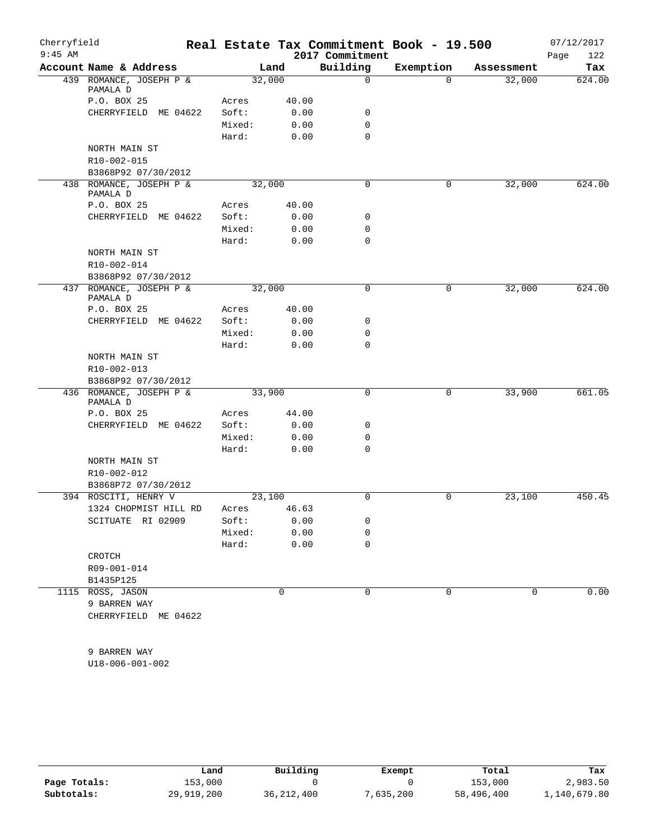| Cherryfield<br>$9:45$ AM |                                     |        |             | 2017 Commitment | Real Estate Tax Commitment Book - 19.500 |            | 07/12/2017<br>122 |
|--------------------------|-------------------------------------|--------|-------------|-----------------|------------------------------------------|------------|-------------------|
|                          | Account Name & Address              |        | Land        | Building        | Exemption                                | Assessment | Page<br>Tax       |
|                          | 439 ROMANCE, JOSEPH P &             |        | 32,000      | $\mathsf{O}$    | $\Omega$                                 | 32,000     | 624.00            |
|                          | PAMALA D                            |        |             |                 |                                          |            |                   |
|                          | P.O. BOX 25                         | Acres  | 40.00       |                 |                                          |            |                   |
|                          | CHERRYFIELD ME 04622                | Soft:  | 0.00        | 0               |                                          |            |                   |
|                          |                                     | Mixed: | 0.00        | $\mathbf 0$     |                                          |            |                   |
|                          |                                     | Hard:  | 0.00        | $\mathbf 0$     |                                          |            |                   |
|                          | NORTH MAIN ST                       |        |             |                 |                                          |            |                   |
|                          | R10-002-015                         |        |             |                 |                                          |            |                   |
|                          | B3868P92 07/30/2012                 |        |             |                 |                                          |            |                   |
|                          | 438 ROMANCE, JOSEPH P &<br>PAMALA D |        | 32,000      | $\mathbf 0$     | $\mathbf 0$                              | 32,000     | 624.00            |
|                          | P.O. BOX 25                         | Acres  | 40.00       |                 |                                          |            |                   |
|                          | CHERRYFIELD ME 04622                | Soft:  | 0.00        | 0               |                                          |            |                   |
|                          |                                     | Mixed: | 0.00        | 0               |                                          |            |                   |
|                          |                                     | Hard:  | 0.00        | $\Omega$        |                                          |            |                   |
|                          | NORTH MAIN ST                       |        |             |                 |                                          |            |                   |
|                          | R10-002-014                         |        |             |                 |                                          |            |                   |
|                          | B3868P92 07/30/2012                 |        |             |                 |                                          |            |                   |
|                          | 437 ROMANCE, JOSEPH P &<br>PAMALA D |        | 32,000      | 0               | 0                                        | 32,000     | 624.00            |
|                          | P.O. BOX 25                         | Acres  | 40.00       |                 |                                          |            |                   |
|                          | CHERRYFIELD ME 04622                | Soft:  | 0.00        | 0               |                                          |            |                   |
|                          |                                     | Mixed: | 0.00        | 0               |                                          |            |                   |
|                          |                                     | Hard:  | 0.00        | $\mathbf 0$     |                                          |            |                   |
|                          | NORTH MAIN ST                       |        |             |                 |                                          |            |                   |
|                          | R10-002-013                         |        |             |                 |                                          |            |                   |
|                          | B3868P92 07/30/2012                 |        |             |                 |                                          |            |                   |
|                          | 436 ROMANCE, JOSEPH P &<br>PAMALA D |        | 33,900      | 0               | 0                                        | 33,900     | 661.05            |
|                          | P.O. BOX 25                         | Acres  | 44.00       |                 |                                          |            |                   |
|                          | CHERRYFIELD ME 04622                | Soft:  | 0.00        | 0               |                                          |            |                   |
|                          |                                     | Mixed: | 0.00        | 0               |                                          |            |                   |
|                          |                                     | Hard:  | 0.00        | $\mathbf 0$     |                                          |            |                   |
|                          | NORTH MAIN ST                       |        |             |                 |                                          |            |                   |
|                          | R10-002-012                         |        |             |                 |                                          |            |                   |
|                          | B3868P72 07/30/2012                 |        |             |                 |                                          |            |                   |
|                          | 394 ROSCITI, HENRY V                |        | 23,100      | 0               | $\mathsf{O}$                             | 23,100     | 450.45            |
|                          | 1324 CHOPMIST HILL RD               | Acres  | 46.63       |                 |                                          |            |                   |
|                          | SCITUATE RI 02909                   | Soft:  | 0.00        | 0               |                                          |            |                   |
|                          |                                     | Mixed: | 0.00        | $\mathbf 0$     |                                          |            |                   |
|                          |                                     | Hard:  | 0.00        | $\mathbf 0$     |                                          |            |                   |
|                          | CROTCH                              |        |             |                 |                                          |            |                   |
|                          | R09-001-014                         |        |             |                 |                                          |            |                   |
|                          | B1435P125                           |        |             |                 |                                          |            |                   |
|                          | 1115 ROSS, JASON                    |        | $\mathbf 0$ | 0               | 0                                        | 0          | 0.00              |
|                          | 9 BARREN WAY                        |        |             |                 |                                          |            |                   |
|                          | CHERRYFIELD ME 04622                |        |             |                 |                                          |            |                   |
|                          |                                     |        |             |                 |                                          |            |                   |
|                          |                                     |        |             |                 |                                          |            |                   |
|                          | 9 BARREN WAY                        |        |             |                 |                                          |            |                   |
|                          | U18-006-001-002                     |        |             |                 |                                          |            |                   |

|              | Land       | Building     | Exempt    | Total      | Tax          |
|--------------|------------|--------------|-----------|------------|--------------|
| Page Totals: | 153,000    |              |           | 153,000    | 2,983.50     |
| Subtotals:   | 29,919,200 | 36, 212, 400 | 7,635,200 | 58,496,400 | 1,140,679.80 |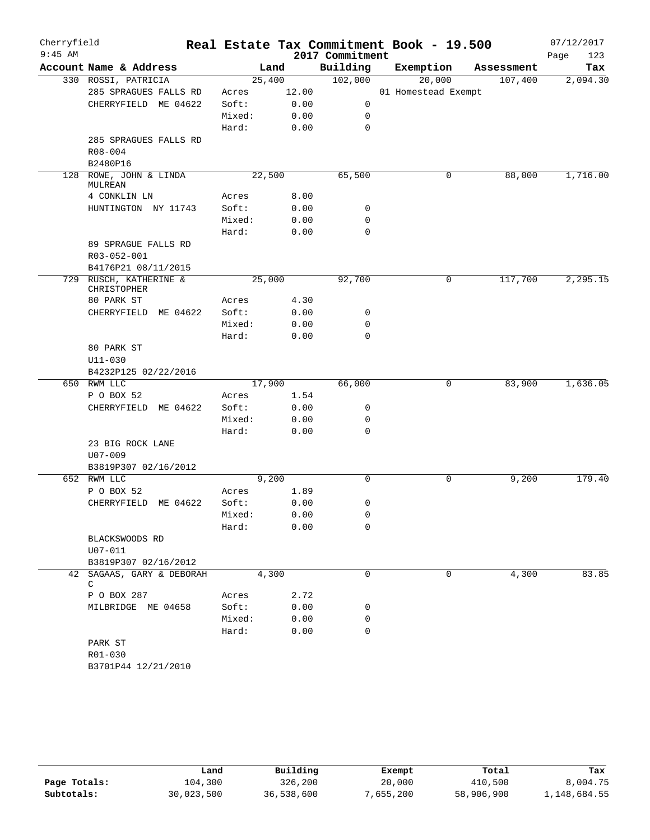| Cherryfield<br>$9:45$ AM |                                           |        |       | 2017 Commitment | Real Estate Tax Commitment Book - 19.500 |            | 07/12/2017<br>Page<br>123 |
|--------------------------|-------------------------------------------|--------|-------|-----------------|------------------------------------------|------------|---------------------------|
|                          | Account Name & Address                    |        | Land  | Building        | Exemption                                | Assessment | Tax                       |
|                          | 330 ROSSI, PATRICIA                       | 25,400 |       | 102,000         | 20,000                                   | 107,400    | 2,094.30                  |
|                          | 285 SPRAGUES FALLS RD                     | Acres  | 12.00 |                 | 01 Homestead Exempt                      |            |                           |
|                          | CHERRYFIELD ME 04622                      | Soft:  | 0.00  | 0               |                                          |            |                           |
|                          |                                           | Mixed: | 0.00  | 0               |                                          |            |                           |
|                          |                                           | Hard:  | 0.00  | 0               |                                          |            |                           |
|                          | 285 SPRAGUES FALLS RD                     |        |       |                 |                                          |            |                           |
|                          | $R08 - 004$                               |        |       |                 |                                          |            |                           |
|                          | B2480P16                                  |        |       |                 |                                          |            |                           |
|                          | 128 ROWE, JOHN & LINDA                    | 22,500 |       | 65,500          | 0                                        | 88,000     | 1,716.00                  |
|                          | MULREAN                                   |        |       |                 |                                          |            |                           |
|                          | 4 CONKLIN LN                              | Acres  | 8.00  |                 |                                          |            |                           |
|                          | HUNTINGTON NY 11743                       | Soft:  | 0.00  | 0               |                                          |            |                           |
|                          |                                           | Mixed: | 0.00  | 0               |                                          |            |                           |
|                          |                                           | Hard:  | 0.00  | 0               |                                          |            |                           |
|                          | 89 SPRAGUE FALLS RD                       |        |       |                 |                                          |            |                           |
|                          | R03-052-001                               |        |       |                 |                                          |            |                           |
| 729                      | B4176P21 08/11/2015<br>RUSCH, KATHERINE & |        |       |                 |                                          |            |                           |
|                          | CHRISTOPHER                               | 25,000 |       | 92,700          | 0                                        | 117,700    | 2,295.15                  |
|                          | 80 PARK ST                                | Acres  | 4.30  |                 |                                          |            |                           |
|                          | CHERRYFIELD ME 04622                      | Soft:  | 0.00  | 0               |                                          |            |                           |
|                          |                                           | Mixed: | 0.00  | 0               |                                          |            |                           |
|                          |                                           | Hard:  | 0.00  | 0               |                                          |            |                           |
|                          | 80 PARK ST                                |        |       |                 |                                          |            |                           |
|                          | $U11 - 030$                               |        |       |                 |                                          |            |                           |
|                          | B4232P125 02/22/2016                      |        |       |                 |                                          |            |                           |
|                          | 650 RWM LLC                               | 17,900 |       | 66,000          | 0                                        | 83,900     | 1,636.05                  |
|                          | P O BOX 52                                | Acres  | 1.54  |                 |                                          |            |                           |
|                          | CHERRYFIELD ME 04622                      | Soft:  | 0.00  | 0               |                                          |            |                           |
|                          |                                           | Mixed: | 0.00  | 0               |                                          |            |                           |
|                          |                                           | Hard:  | 0.00  | $\mathbf 0$     |                                          |            |                           |
|                          | 23 BIG ROCK LANE                          |        |       |                 |                                          |            |                           |
|                          | $U07 - 009$                               |        |       |                 |                                          |            |                           |
|                          | B3819P307 02/16/2012                      |        |       |                 |                                          |            |                           |
|                          | 652 RWM LLC                               |        | 9,200 | 0               | $\mathbf 0$                              | 9,200      | 179.40                    |
|                          | P O BOX 52                                | Acres  | 1.89  |                 |                                          |            |                           |
|                          | CHERRYFIELD ME 04622                      | Soft:  | 0.00  | 0               |                                          |            |                           |
|                          |                                           | Mixed: | 0.00  | 0               |                                          |            |                           |
|                          |                                           | Hard:  | 0.00  | 0               |                                          |            |                           |
|                          | BLACKSWOODS RD                            |        |       |                 |                                          |            |                           |
|                          | U07-011                                   |        |       |                 |                                          |            |                           |
|                          | B3819P307 02/16/2012                      |        |       |                 |                                          |            |                           |
|                          | 42 SAGAAS, GARY & DEBORAH<br>$\mathsf{C}$ |        | 4,300 | 0               | $\mathbf 0$                              | 4,300      | 83.85                     |
|                          | P O BOX 287                               | Acres  | 2.72  |                 |                                          |            |                           |
|                          | MILBRIDGE ME 04658                        | Soft:  | 0.00  | 0               |                                          |            |                           |
|                          |                                           | Mixed: | 0.00  | 0               |                                          |            |                           |
|                          |                                           | Hard:  | 0.00  | 0               |                                          |            |                           |
|                          | PARK ST                                   |        |       |                 |                                          |            |                           |
|                          | R01-030                                   |        |       |                 |                                          |            |                           |
|                          | B3701P44 12/21/2010                       |        |       |                 |                                          |            |                           |
|                          |                                           |        |       |                 |                                          |            |                           |

|              | Land       | Building   | Exempt   | Total      | Tax          |
|--------------|------------|------------|----------|------------|--------------|
| Page Totals: | 104,300    | 326,200    | 20,000   | 410,500    | 8,004.75     |
| Subtotals:   | 30,023,500 | 36,538,600 | .655.200 | 58,906,900 | 1,148,684.55 |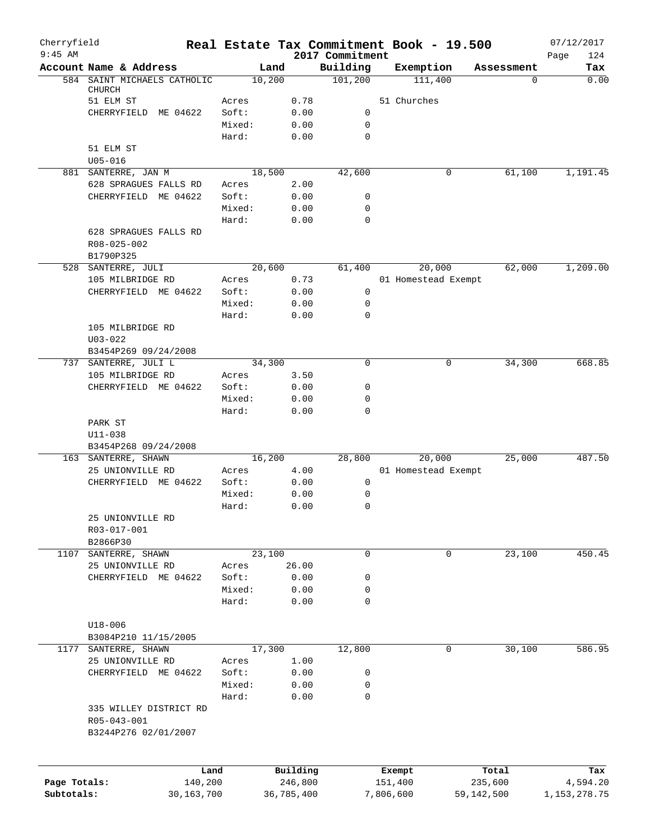| Cherryfield<br>$9:45$ AM |                                             |        |            | 2017 Commitment | Real Estate Tax Commitment Book - 19.500 |            | 07/12/2017<br>124<br>Page |
|--------------------------|---------------------------------------------|--------|------------|-----------------|------------------------------------------|------------|---------------------------|
|                          | Account Name & Address                      | Land   |            | Building        | Exemption                                | Assessment | Tax                       |
|                          | 584 SAINT MICHAELS CATHOLIC                 | 10,200 |            | 101, 200        | 111,400                                  | 0          | 0.00                      |
|                          | <b>CHURCH</b><br>51 ELM ST                  | Acres  | 0.78       |                 | 51 Churches                              |            |                           |
|                          | CHERRYFIELD ME 04622                        | Soft:  | 0.00       | 0               |                                          |            |                           |
|                          |                                             | Mixed: | 0.00       | 0               |                                          |            |                           |
|                          |                                             | Hard:  | 0.00       | 0               |                                          |            |                           |
|                          | 51 ELM ST                                   |        |            |                 |                                          |            |                           |
|                          | $U05 - 016$                                 |        |            |                 |                                          |            |                           |
|                          | 881 SANTERRE, JAN M                         | 18,500 |            | 42,600          | 0                                        | 61,100     | 1,191.45                  |
|                          | 628 SPRAGUES FALLS RD                       | Acres  | 2.00       |                 |                                          |            |                           |
|                          | CHERRYFIELD ME 04622                        | Soft:  | 0.00       | 0               |                                          |            |                           |
|                          |                                             | Mixed: | 0.00       | 0               |                                          |            |                           |
|                          |                                             | Hard:  | 0.00       | $\mathbf 0$     |                                          |            |                           |
|                          | 628 SPRAGUES FALLS RD                       |        |            |                 |                                          |            |                           |
|                          | R08-025-002<br>B1790P325                    |        |            |                 |                                          |            |                           |
|                          | 528 SANTERRE, JULI                          | 20,600 |            | 61,400          | 20,000                                   | 62,000     | 1,209.00                  |
|                          | 105 MILBRIDGE RD                            | Acres  | 0.73       |                 | 01 Homestead Exempt                      |            |                           |
|                          | CHERRYFIELD ME 04622                        | Soft:  | 0.00       | 0               |                                          |            |                           |
|                          |                                             | Mixed: | 0.00       | 0               |                                          |            |                           |
|                          |                                             | Hard:  | 0.00       | 0               |                                          |            |                           |
|                          | 105 MILBRIDGE RD                            |        |            |                 |                                          |            |                           |
|                          | $U03 - 022$                                 |        |            |                 |                                          |            |                           |
|                          | B3454P269 09/24/2008                        |        |            |                 |                                          |            |                           |
|                          | 737 SANTERRE, JULI L                        | 34,300 |            | $\mathbf 0$     | $\mathbf 0$                              | 34,300     | 668.85                    |
|                          | 105 MILBRIDGE RD                            | Acres  | 3.50       |                 |                                          |            |                           |
|                          | CHERRYFIELD ME 04622                        | Soft:  | 0.00       | 0               |                                          |            |                           |
|                          |                                             | Mixed: | 0.00       | 0               |                                          |            |                           |
|                          |                                             | Hard:  | 0.00       | 0               |                                          |            |                           |
|                          | PARK ST                                     |        |            |                 |                                          |            |                           |
|                          | $U11 - 038$                                 |        |            |                 |                                          |            |                           |
|                          | B3454P268 09/24/2008<br>163 SANTERRE, SHAWN | 16,200 |            | 28,800          | 20,000                                   | 25,000     | 487.50                    |
|                          | 25 UNIONVILLE RD                            | Acres  | 4.00       |                 | 01 Homestead Exempt                      |            |                           |
|                          | CHERRYFIELD ME 04622                        | Soft:  | 0.00       | $\mathbf 0$     |                                          |            |                           |
|                          |                                             | Mixed: | 0.00       | 0               |                                          |            |                           |
|                          |                                             | Hard:  | 0.00       | 0               |                                          |            |                           |
|                          | 25 UNIONVILLE RD                            |        |            |                 |                                          |            |                           |
|                          | R03-017-001                                 |        |            |                 |                                          |            |                           |
|                          | B2866P30                                    |        |            |                 |                                          |            |                           |
| 1107                     | SANTERRE, SHAWN                             | 23,100 |            | 0               | 0                                        | 23,100     | 450.45                    |
|                          | 25 UNIONVILLE RD                            | Acres  | 26.00      |                 |                                          |            |                           |
|                          | CHERRYFIELD ME 04622                        | Soft:  | 0.00       | 0               |                                          |            |                           |
|                          |                                             | Mixed: | 0.00       | 0               |                                          |            |                           |
|                          |                                             | Hard:  | 0.00       | 0               |                                          |            |                           |
|                          |                                             |        |            |                 |                                          |            |                           |
|                          | $U18 - 006$<br>B3084P210 11/15/2005         |        |            |                 |                                          |            |                           |
|                          | 1177 SANTERRE, SHAWN                        | 17,300 |            | 12,800          | 0                                        | 30,100     | 586.95                    |
|                          | 25 UNIONVILLE RD                            | Acres  | 1.00       |                 |                                          |            |                           |
|                          | CHERRYFIELD ME 04622                        | Soft:  | 0.00       | 0               |                                          |            |                           |
|                          |                                             | Mixed: | 0.00       | 0               |                                          |            |                           |
|                          |                                             | Hard:  | 0.00       | 0               |                                          |            |                           |
|                          | 335 WILLEY DISTRICT RD                      |        |            |                 |                                          |            |                           |
|                          | R05-043-001                                 |        |            |                 |                                          |            |                           |
|                          | B3244P276 02/01/2007                        |        |            |                 |                                          |            |                           |
|                          |                                             |        |            |                 |                                          |            |                           |
|                          | Land                                        |        | Building   |                 | Exempt                                   | Total      | Tax                       |
| Page Totals:             | 140,200                                     |        | 246,800    |                 | 151,400                                  | 235,600    | 4,594.20                  |
| Subtotals:               | 30,163,700                                  |        | 36,785,400 |                 | 7,806,600                                | 59,142,500 | 1,153,278.75              |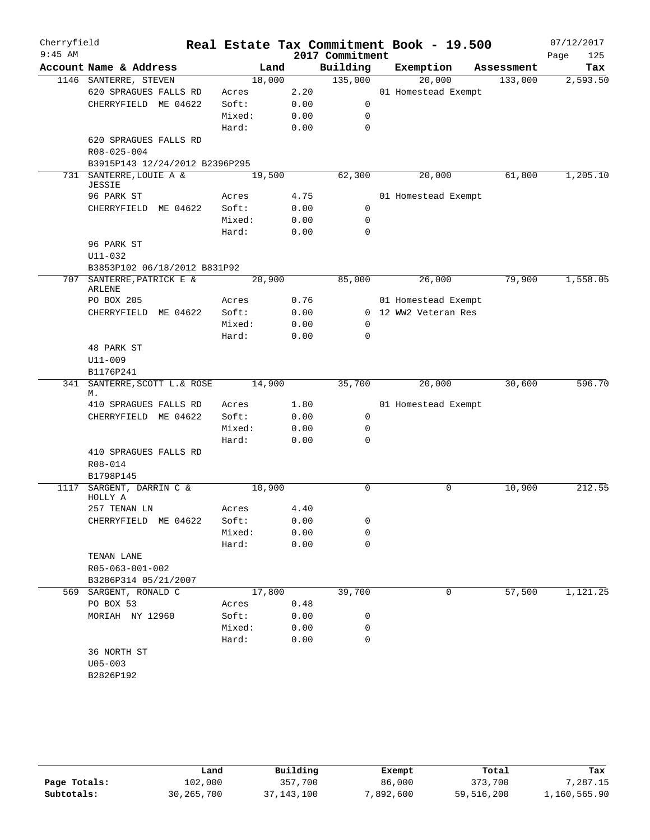| Cherryfield<br>$9:45$ AM |                                            |        |      | 2017 Commitment | Real Estate Tax Commitment Book - 19.500 |            | 07/12/2017<br>125<br>Page |
|--------------------------|--------------------------------------------|--------|------|-----------------|------------------------------------------|------------|---------------------------|
|                          | Account Name & Address                     | Land   |      | Building        | Exemption                                | Assessment | Tax                       |
|                          | 1146 SANTERRE, STEVEN                      | 18,000 |      | 135,000         | 20,000                                   | 133,000    | 2,593.50                  |
|                          | 620 SPRAGUES FALLS RD                      | Acres  | 2.20 |                 | 01 Homestead Exempt                      |            |                           |
|                          | CHERRYFIELD ME 04622                       | Soft:  | 0.00 | 0               |                                          |            |                           |
|                          |                                            | Mixed: | 0.00 | 0               |                                          |            |                           |
|                          |                                            | Hard:  | 0.00 | $\mathbf 0$     |                                          |            |                           |
|                          | 620 SPRAGUES FALLS RD                      |        |      |                 |                                          |            |                           |
|                          | R08-025-004                                |        |      |                 |                                          |            |                           |
|                          | B3915P143 12/24/2012 B2396P295             |        |      |                 |                                          |            |                           |
| 731                      | SANTERRE, LOUIE A &<br><b>JESSIE</b>       | 19,500 |      | 62,300          | 20,000                                   | 61,800     | 1,205.10                  |
|                          | 96 PARK ST                                 | Acres  | 4.75 |                 | 01 Homestead Exempt                      |            |                           |
|                          | CHERRYFIELD ME 04622                       | Soft:  | 0.00 | $\mathbf 0$     |                                          |            |                           |
|                          |                                            | Mixed: | 0.00 | 0               |                                          |            |                           |
|                          |                                            | Hard:  | 0.00 | $\mathbf 0$     |                                          |            |                           |
|                          | 96 PARK ST                                 |        |      |                 |                                          |            |                           |
|                          | U11-032                                    |        |      |                 |                                          |            |                           |
|                          | B3853P102 06/18/2012 B831P92               |        |      |                 |                                          |            |                           |
|                          | 707 SANTERRE, PATRICK E &<br><b>ARLENE</b> | 20,900 |      | 85,000          | 26,000                                   | 79,900     | 1,558.05                  |
|                          | PO BOX 205                                 | Acres  | 0.76 |                 | 01 Homestead Exempt                      |            |                           |
|                          | CHERRYFIELD ME 04622                       | Soft:  | 0.00 |                 | 0 12 WW2 Veteran Res                     |            |                           |
|                          |                                            | Mixed: | 0.00 | 0               |                                          |            |                           |
|                          |                                            | Hard:  | 0.00 | $\Omega$        |                                          |            |                           |
|                          | 48 PARK ST                                 |        |      |                 |                                          |            |                           |
|                          | $U11 - 009$                                |        |      |                 |                                          |            |                           |
|                          | B1176P241                                  |        |      |                 |                                          |            |                           |
| 341                      | SANTERRE, SCOTT L.& ROSE                   | 14,900 |      | 35,700          | 20,000                                   | 30,600     | 596.70                    |
|                          | М.                                         |        |      |                 |                                          |            |                           |
|                          | 410 SPRAGUES FALLS RD                      | Acres  | 1.80 |                 | 01 Homestead Exempt                      |            |                           |
|                          | CHERRYFIELD ME 04622                       | Soft:  | 0.00 | 0               |                                          |            |                           |
|                          |                                            | Mixed: | 0.00 | 0               |                                          |            |                           |
|                          |                                            | Hard:  | 0.00 | $\mathbf 0$     |                                          |            |                           |
|                          | 410 SPRAGUES FALLS RD                      |        |      |                 |                                          |            |                           |
|                          | R08-014                                    |        |      |                 |                                          |            |                           |
| 1117                     | B1798P145<br>SARGENT, DARRIN C &           | 10,900 |      | 0               | 0                                        | 10,900     | 212.55                    |
|                          | HOLLY A                                    |        |      |                 |                                          |            |                           |
|                          | 257 TENAN LN                               | Acres  | 4.40 |                 |                                          |            |                           |
|                          | CHERRYFIELD ME 04622                       | Soft:  | 0.00 | 0               |                                          |            |                           |
|                          |                                            | Mixed: | 0.00 | 0               |                                          |            |                           |
|                          |                                            | Hard:  | 0.00 | 0               |                                          |            |                           |
|                          | TENAN LANE                                 |        |      |                 |                                          |            |                           |
|                          | R05-063-001-002                            |        |      |                 |                                          |            |                           |
|                          | B3286P314 05/21/2007                       |        |      |                 |                                          |            |                           |
|                          | 569 SARGENT, RONALD C                      | 17,800 |      | 39,700          | 0                                        | 57,500     | 1,121.25                  |
|                          | PO BOX 53                                  | Acres  | 0.48 |                 |                                          |            |                           |
|                          | MORIAH NY 12960                            | Soft:  | 0.00 | 0               |                                          |            |                           |
|                          |                                            | Mixed: | 0.00 | 0               |                                          |            |                           |
|                          |                                            | Hard:  | 0.00 | $\mathbf 0$     |                                          |            |                           |
|                          | 36 NORTH ST                                |        |      |                 |                                          |            |                           |
|                          | $U05 - 003$                                |        |      |                 |                                          |            |                           |
|                          | B2826P192                                  |        |      |                 |                                          |            |                           |
|                          |                                            |        |      |                 |                                          |            |                           |

|              | Land         | Building     | Exempt    | Total      | Tax          |
|--------------|--------------|--------------|-----------|------------|--------------|
| Page Totals: | 102,000      | 357,700      | 86,000    | 373,700    | 7,287.15     |
| Subtotals:   | 30, 265, 700 | 37, 143, 100 | 7,892,600 | 59,516,200 | 1,160,565.90 |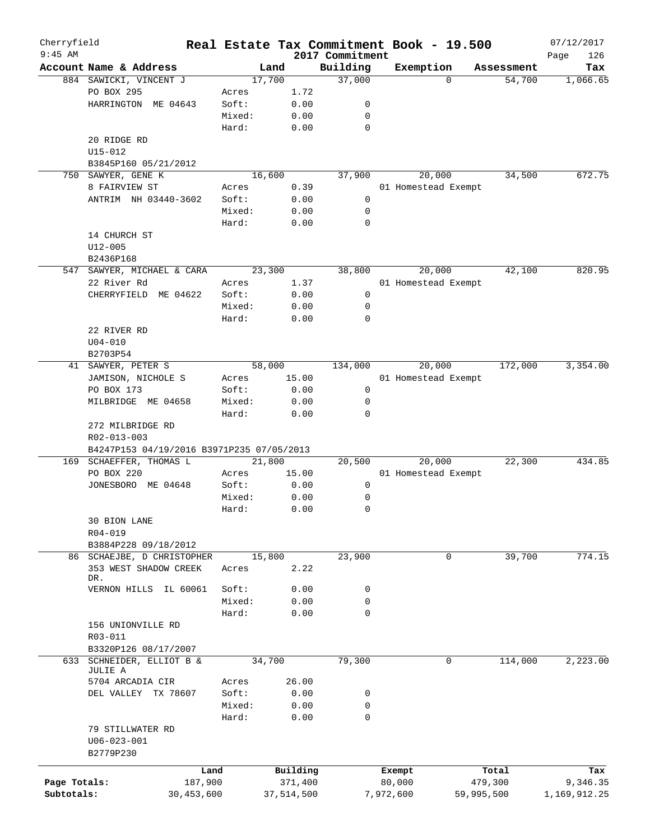| Cherryfield<br>$9:45$ AM |                                           | Real Estate Tax Commitment Book - 19.500 |            | 2017 Commitment |                     |          |            | 07/12/2017<br>126<br>Page |
|--------------------------|-------------------------------------------|------------------------------------------|------------|-----------------|---------------------|----------|------------|---------------------------|
|                          | Account Name & Address                    | Land                                     |            | Building        | Exemption           |          | Assessment | Tax                       |
|                          | 884 SAWICKI, VINCENT J                    | 17,700                                   |            | 37,000          |                     | $\Omega$ | 54,700     | 1,066.65                  |
|                          | PO BOX 295                                | Acres                                    | 1.72       |                 |                     |          |            |                           |
|                          | HARRINGTON ME 04643                       | Soft:                                    | 0.00       | 0               |                     |          |            |                           |
|                          |                                           | Mixed:                                   | 0.00       | 0               |                     |          |            |                           |
|                          |                                           |                                          |            |                 |                     |          |            |                           |
|                          |                                           | Hard:                                    | 0.00       | 0               |                     |          |            |                           |
|                          | 20 RIDGE RD                               |                                          |            |                 |                     |          |            |                           |
|                          | U15-012                                   |                                          |            |                 |                     |          |            |                           |
|                          | B3845P160 05/21/2012                      |                                          |            |                 |                     |          |            |                           |
|                          | 750 SAWYER, GENE K                        | 16,600                                   |            | 37,900          |                     | 20,000   | 34,500     | 672.75                    |
|                          | 8 FAIRVIEW ST                             | Acres                                    | 0.39       |                 | 01 Homestead Exempt |          |            |                           |
|                          | ANTRIM NH 03440-3602                      | Soft:                                    | 0.00       | 0               |                     |          |            |                           |
|                          |                                           | Mixed:                                   | 0.00       | 0               |                     |          |            |                           |
|                          |                                           | Hard:                                    | 0.00       | 0               |                     |          |            |                           |
|                          | 14 CHURCH ST                              |                                          |            |                 |                     |          |            |                           |
|                          | $U12 - 005$                               |                                          |            |                 |                     |          |            |                           |
|                          | B2436P168                                 |                                          |            |                 |                     |          |            |                           |
|                          |                                           |                                          |            |                 |                     |          |            |                           |
|                          | 547 SAWYER, MICHAEL & CARA                | 23,300                                   |            | 38,800          |                     | 20,000   | 42,100     | 820.95                    |
|                          | 22 River Rd                               | Acres                                    | 1.37       |                 | 01 Homestead Exempt |          |            |                           |
|                          | ME 04622<br>CHERRYFIELD                   | Soft:                                    | 0.00       | 0               |                     |          |            |                           |
|                          |                                           | Mixed:                                   | 0.00       | 0               |                     |          |            |                           |
|                          |                                           | Hard:                                    | 0.00       | $\mathbf 0$     |                     |          |            |                           |
|                          | 22 RIVER RD                               |                                          |            |                 |                     |          |            |                           |
|                          | $U04 - 010$                               |                                          |            |                 |                     |          |            |                           |
|                          | B2703P54                                  |                                          |            |                 |                     |          |            |                           |
| 41                       | SAWYER, PETER S                           | 58,000                                   |            | 134,000         |                     | 20,000   | 172,000    | 3,354.00                  |
|                          | JAMISON, NICHOLE S                        | Acres                                    | 15.00      |                 | 01 Homestead Exempt |          |            |                           |
|                          |                                           |                                          |            |                 |                     |          |            |                           |
|                          | PO BOX 173                                | Soft:                                    | 0.00       | 0               |                     |          |            |                           |
|                          | MILBRIDGE ME 04658                        | Mixed:                                   | 0.00       | 0               |                     |          |            |                           |
|                          | 272 MILBRIDGE RD                          | Hard:                                    | 0.00       | $\Omega$        |                     |          |            |                           |
|                          | R02-013-003                               |                                          |            |                 |                     |          |            |                           |
|                          | B4247P153 04/19/2016 B3971P235 07/05/2013 |                                          |            |                 |                     |          |            |                           |
|                          | 169 SCHAEFFER, THOMAS L                   | 21,800                                   |            | 20,500          |                     | 20,000   | 22,300     | 434.85                    |
|                          | PO BOX 220                                | Acres                                    | 15.00      |                 | 01 Homestead Exempt |          |            |                           |
|                          | JONESBORO ME 04648                        | Soft:                                    | 0.00       | 0               |                     |          |            |                           |
|                          |                                           | Mixed:                                   | 0.00       | 0               |                     |          |            |                           |
|                          |                                           | Hard:                                    | 0.00       | 0               |                     |          |            |                           |
|                          | 30 BION LANE                              |                                          |            |                 |                     |          |            |                           |
|                          | $R04 - 019$                               |                                          |            |                 |                     |          |            |                           |
|                          |                                           |                                          |            |                 |                     |          |            |                           |
|                          | B3884P228 09/18/2012                      |                                          |            |                 |                     |          |            |                           |
|                          | 86 SCHAEJBE, D CHRISTOPHER                | 15,800                                   |            | 23,900          |                     | 0        | 39,700     | 774.15                    |
|                          | 353 WEST SHADOW CREEK                     | Acres                                    | 2.22       |                 |                     |          |            |                           |
|                          | DR.                                       |                                          |            |                 |                     |          |            |                           |
|                          | VERNON HILLS<br>IL 60061                  | Soft:                                    | 0.00       | 0               |                     |          |            |                           |
|                          |                                           | Mixed:                                   | 0.00       | 0               |                     |          |            |                           |
|                          |                                           | Hard:                                    | 0.00       | 0               |                     |          |            |                           |
|                          | 156 UNIONVILLE RD                         |                                          |            |                 |                     |          |            |                           |
|                          | $R03 - 011$                               |                                          |            |                 |                     |          |            |                           |
|                          | B3320P126 08/17/2007                      |                                          |            |                 |                     |          |            |                           |
| 633                      | SCHNEIDER, ELLIOT B &<br>JULIE A          | 34,700                                   |            | 79,300          |                     | 0        | 114,000    | 2,223.00                  |
|                          | 5704 ARCADIA CIR                          | Acres                                    | 26.00      |                 |                     |          |            |                           |
|                          | DEL VALLEY TX 78607                       | Soft:                                    | 0.00       | 0               |                     |          |            |                           |
|                          |                                           | Mixed:                                   | 0.00       | 0               |                     |          |            |                           |
|                          |                                           | Hard:                                    | 0.00       | 0               |                     |          |            |                           |
|                          | 79 STILLWATER RD                          |                                          |            |                 |                     |          |            |                           |
|                          | $U06 - 023 - 001$                         |                                          |            |                 |                     |          |            |                           |
|                          |                                           |                                          |            |                 |                     |          |            |                           |
|                          | B2779P230                                 |                                          |            |                 |                     |          |            |                           |
|                          | Land                                      |                                          | Building   |                 | Exempt              |          | Total      | Tax                       |
| Page Totals:             | 187,900                                   |                                          | 371,400    |                 | 80,000              |          | 479,300    | 9,346.35                  |
| Subtotals:               | 30,453,600                                |                                          | 37,514,500 |                 | 7,972,600           |          | 59,995,500 | 1,169,912.25              |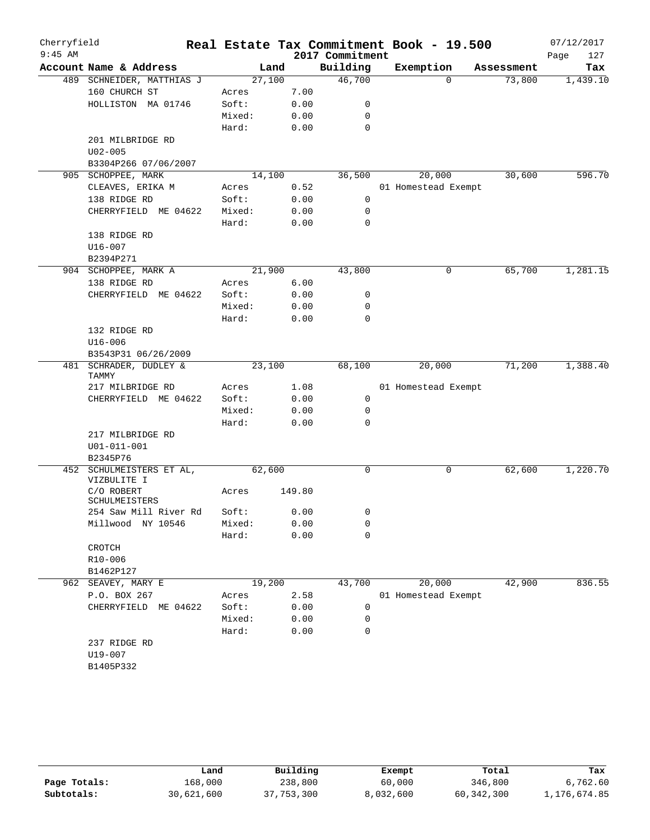| Cherryfield |                                         |        |        |                 | Real Estate Tax Commitment Book - 19.500 |            | 07/12/2017  |
|-------------|-----------------------------------------|--------|--------|-----------------|------------------------------------------|------------|-------------|
| $9:45$ AM   |                                         |        |        | 2017 Commitment |                                          |            | Page<br>127 |
|             | Account Name & Address                  |        | Land   | Building        | Exemption                                | Assessment | Tax         |
|             | 489 SCHNEIDER, MATTHIAS J               | 27,100 |        | 46,700          | $\Omega$                                 | 73,800     | 1,439.10    |
|             | 160 CHURCH ST                           | Acres  | 7.00   |                 |                                          |            |             |
|             | HOLLISTON MA 01746                      | Soft:  | 0.00   | 0               |                                          |            |             |
|             |                                         | Mixed: | 0.00   | 0               |                                          |            |             |
|             |                                         | Hard:  | 0.00   | 0               |                                          |            |             |
|             | 201 MILBRIDGE RD                        |        |        |                 |                                          |            |             |
|             | $U02 - 005$                             |        |        |                 |                                          |            |             |
|             | B3304P266 07/06/2007                    |        |        |                 |                                          |            |             |
|             | 905 SCHOPPEE, MARK                      | 14,100 |        | 36,500          | 20,000                                   | 30,600     | 596.70      |
|             | CLEAVES, ERIKA M                        | Acres  | 0.52   |                 | 01 Homestead Exempt                      |            |             |
|             | 138 RIDGE RD                            | Soft:  | 0.00   | 0               |                                          |            |             |
|             | CHERRYFIELD ME 04622                    | Mixed: | 0.00   | 0               |                                          |            |             |
|             |                                         | Hard:  | 0.00   | 0               |                                          |            |             |
|             | 138 RIDGE RD                            |        |        |                 |                                          |            |             |
|             | $U16 - 007$                             |        |        |                 |                                          |            |             |
|             | B2394P271                               |        |        |                 |                                          |            |             |
|             | 904 SCHOPPEE, MARK A                    | 21,900 |        | 43,800          | 0                                        | 65,700     | 1,281.15    |
|             | 138 RIDGE RD                            | Acres  | 6.00   |                 |                                          |            |             |
|             | CHERRYFIELD ME 04622                    | Soft:  | 0.00   | 0               |                                          |            |             |
|             |                                         | Mixed: | 0.00   | 0               |                                          |            |             |
|             |                                         | Hard:  | 0.00   | 0               |                                          |            |             |
|             | 132 RIDGE RD                            |        |        |                 |                                          |            |             |
|             | U16-006                                 |        |        |                 |                                          |            |             |
|             | B3543P31 06/26/2009                     |        |        |                 |                                          |            |             |
| 481         | SCHRADER, DUDLEY &                      | 23,100 |        | 68,100          | 20,000                                   | 71,200     | 1,388.40    |
|             | <b>TAMMY</b>                            |        |        |                 |                                          |            |             |
|             | 217 MILBRIDGE RD                        | Acres  | 1.08   |                 | 01 Homestead Exempt                      |            |             |
|             | CHERRYFIELD ME 04622                    | Soft:  | 0.00   | 0               |                                          |            |             |
|             |                                         | Mixed: | 0.00   | 0               |                                          |            |             |
|             |                                         | Hard:  | 0.00   | 0               |                                          |            |             |
|             | 217 MILBRIDGE RD                        |        |        |                 |                                          |            |             |
|             | $U01 - 011 - 001$                       |        |        |                 |                                          |            |             |
|             | B2345P76                                |        |        |                 |                                          |            |             |
|             | 452 SCHULMEISTERS ET AL,<br>VIZBULITE I | 62,600 |        | 0               | 0                                        | 62,600     | 1,220.70    |
|             | C/O ROBERT<br>SCHULMEISTERS             | Acres  | 149.80 |                 |                                          |            |             |
|             | 254 Saw Mill River Rd                   | Soft:  | 0.00   | 0               |                                          |            |             |
|             | Millwood NY 10546                       | Mixed: | 0.00   | 0               |                                          |            |             |
|             | CROTCH                                  | Hard:  | 0.00   | $\mathbf 0$     |                                          |            |             |
|             | $R10 - 006$                             |        |        |                 |                                          |            |             |
|             | B1462P127                               |        |        |                 |                                          |            |             |
|             | 962 SEAVEY, MARY E                      | 19,200 |        | 43,700          | 20,000                                   | 42,900     | 836.55      |
|             | P.O. BOX 267                            | Acres  | 2.58   |                 | 01 Homestead Exempt                      |            |             |
|             | CHERRYFIELD<br>ME 04622                 | Soft:  | 0.00   | 0               |                                          |            |             |
|             |                                         | Mixed: | 0.00   | 0               |                                          |            |             |
|             |                                         | Hard:  | 0.00   | 0               |                                          |            |             |
|             | 237 RIDGE RD                            |        |        |                 |                                          |            |             |
|             | U19-007                                 |        |        |                 |                                          |            |             |
|             | B1405P332                               |        |        |                 |                                          |            |             |
|             |                                         |        |        |                 |                                          |            |             |

|              | Land       | Building   | Exempt    | Total        | Tax          |
|--------------|------------|------------|-----------|--------------|--------------|
| Page Totals: | 168,000    | 238,800    | 60,000    | 346,800      | 6,762.60     |
| Subtotals:   | 30,621,600 | 37,753,300 | 8,032,600 | 60, 342, 300 | 1,176,674.85 |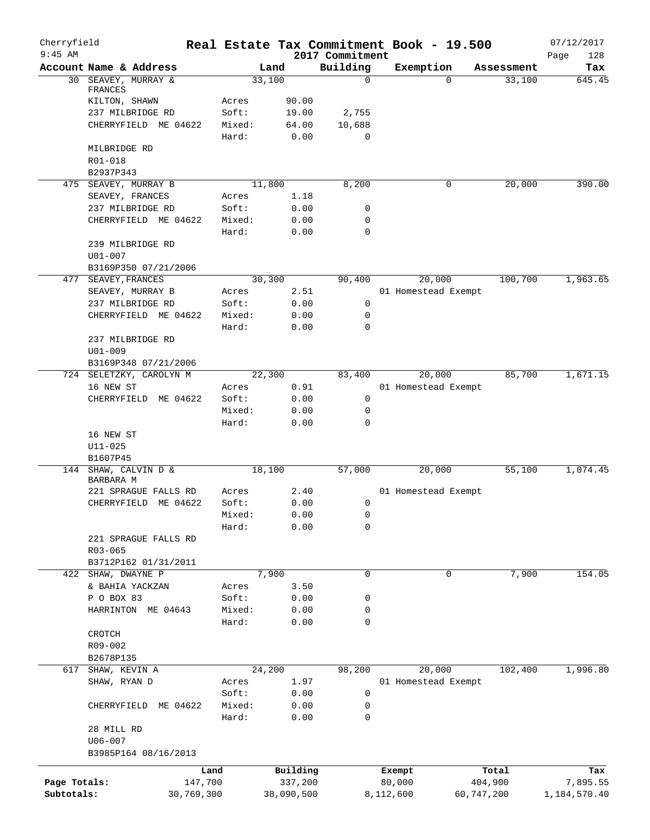| Cherryfield<br>$9:45$ AM |                          |            |        |            |                             |                  | Real Estate Tax Commitment Book - 19.500 |            |            | 07/12/2017         |
|--------------------------|--------------------------|------------|--------|------------|-----------------------------|------------------|------------------------------------------|------------|------------|--------------------|
|                          | Account Name & Address   |            |        | Land       | 2017 Commitment<br>Building |                  | Exemption                                |            | Assessment | Page<br>128<br>Tax |
| 30                       | SEAVEY, MURRAY &         |            |        | 33,100     |                             | $\mathbf 0$      |                                          | $\Omega$   | 33,100     | 645.45             |
|                          | FRANCES                  |            |        |            |                             |                  |                                          |            |            |                    |
|                          | KILTON, SHAWN            |            | Acres  | 90.00      |                             |                  |                                          |            |            |                    |
|                          | 237 MILBRIDGE RD         |            | Soft:  | 19.00      | 2,755                       |                  |                                          |            |            |                    |
|                          | CHERRYFIELD ME 04622     |            | Mixed: | 64.00      | 10,688                      |                  |                                          |            |            |                    |
|                          |                          |            | Hard:  | 0.00       |                             | $\mathbf 0$      |                                          |            |            |                    |
|                          | MILBRIDGE RD             |            |        |            |                             |                  |                                          |            |            |                    |
|                          | R01-018<br>B2937P343     |            |        |            |                             |                  |                                          |            |            |                    |
|                          | 475 SEAVEY, MURRAY B     |            |        | 11,800     | 8,200                       |                  |                                          | 0          | 20,000     | 390.00             |
|                          | SEAVEY, FRANCES          |            | Acres  | 1.18       |                             |                  |                                          |            |            |                    |
|                          | 237 MILBRIDGE RD         |            | Soft:  | 0.00       |                             | 0                |                                          |            |            |                    |
|                          | CHERRYFIELD ME 04622     |            | Mixed: | 0.00       |                             | $\mathbf 0$      |                                          |            |            |                    |
|                          |                          |            | Hard:  | 0.00       |                             | $\mathbf 0$      |                                          |            |            |                    |
|                          | 239 MILBRIDGE RD         |            |        |            |                             |                  |                                          |            |            |                    |
|                          | $U01 - 007$              |            |        |            |                             |                  |                                          |            |            |                    |
|                          | B3169P350 07/21/2006     |            |        |            |                             |                  |                                          |            |            |                    |
| 477                      | SEAVEY, FRANCES          |            |        | 30,300     | 90,400                      |                  | 20,000                                   |            | 100,700    | 1,963.65           |
|                          | SEAVEY, MURRAY B         |            | Acres  | 2.51       |                             |                  | 01 Homestead Exempt                      |            |            |                    |
|                          | 237 MILBRIDGE RD         |            | Soft:  | 0.00       |                             | 0                |                                          |            |            |                    |
|                          | CHERRYFIELD ME 04622     |            | Mixed: | 0.00       |                             | $\mathbf 0$      |                                          |            |            |                    |
|                          |                          |            | Hard:  | 0.00       |                             | $\mathbf 0$      |                                          |            |            |                    |
|                          | 237 MILBRIDGE RD         |            |        |            |                             |                  |                                          |            |            |                    |
|                          | $U01 - 009$              |            |        |            |                             |                  |                                          |            |            |                    |
|                          | B3169P348 07/21/2006     |            |        |            |                             |                  |                                          |            |            |                    |
|                          | 724 SELETZKY, CAROLYN M  |            |        | 22,300     | 83,400                      |                  | 20,000                                   |            | 85,700     | 1,671.15           |
|                          | 16 NEW ST                |            | Acres  | 0.91       |                             |                  | 01 Homestead Exempt                      |            |            |                    |
|                          | CHERRYFIELD ME 04622     |            | Soft:  | 0.00       |                             | $\mathbf 0$      |                                          |            |            |                    |
|                          |                          |            | Mixed: | 0.00       |                             | $\mathbf 0$      |                                          |            |            |                    |
|                          |                          |            | Hard:  | 0.00       |                             | $\mathbf 0$      |                                          |            |            |                    |
|                          | 16 NEW ST<br>$U11 - 025$ |            |        |            |                             |                  |                                          |            |            |                    |
|                          | B1607P45                 |            |        |            |                             |                  |                                          |            |            |                    |
| 144                      | SHAW, CALVIN D &         |            |        | 18,100     | 57,000                      |                  | 20,000                                   |            | 55,100     | 1,074.45           |
|                          | BARBARA M                |            |        |            |                             |                  |                                          |            |            |                    |
|                          | 221 SPRAGUE FALLS RD     |            | Acres  | 2.40       |                             |                  | 01 Homestead Exempt                      |            |            |                    |
|                          | ME 04622<br>CHERRYFIELD  |            | Soft:  | 0.00       |                             | 0                |                                          |            |            |                    |
|                          |                          |            | Mixed: | 0.00       |                             | 0                |                                          |            |            |                    |
|                          |                          |            | Hard:  | 0.00       |                             | 0                |                                          |            |            |                    |
|                          | 221 SPRAGUE FALLS RD     |            |        |            |                             |                  |                                          |            |            |                    |
|                          | R03-065                  |            |        |            |                             |                  |                                          |            |            |                    |
|                          | B3712P162 01/31/2011     |            |        |            |                             |                  |                                          |            |            |                    |
|                          | 422 SHAW, DWAYNE P       |            |        | 7,900      |                             | $\mathbf 0$      |                                          | 0          | 7,900      | 154.05             |
|                          | & BAHIA YACKZAN          |            | Acres  | 3.50       |                             |                  |                                          |            |            |                    |
|                          | P O BOX 83               |            | Soft:  | 0.00       |                             | 0                |                                          |            |            |                    |
|                          | HARRINTON ME 04643       |            | Mixed: | 0.00       |                             | 0<br>$\mathbf 0$ |                                          |            |            |                    |
|                          |                          |            | Hard:  | 0.00       |                             |                  |                                          |            |            |                    |
|                          | CROTCH<br>R09-002        |            |        |            |                             |                  |                                          |            |            |                    |
|                          | B2678P135                |            |        |            |                             |                  |                                          |            |            |                    |
| 617                      | SHAW, KEVIN A            |            |        | 24,200     | 98,200                      |                  | 20,000                                   |            | 102,400    | 1,996.80           |
|                          | SHAW, RYAN D             |            | Acres  | 1.97       |                             |                  | 01 Homestead Exempt                      |            |            |                    |
|                          |                          |            | Soft:  | 0.00       |                             | 0                |                                          |            |            |                    |
|                          | CHERRYFIELD<br>ME 04622  |            | Mixed: | 0.00       |                             | 0                |                                          |            |            |                    |
|                          |                          |            | Hard:  | 0.00       |                             | 0                |                                          |            |            |                    |
|                          | 28 MILL RD               |            |        |            |                             |                  |                                          |            |            |                    |
|                          | U06-007                  |            |        |            |                             |                  |                                          |            |            |                    |
|                          | B3985P164 08/16/2013     |            |        |            |                             |                  |                                          |            |            |                    |
|                          |                          | Land       |        | Building   |                             |                  | Exempt                                   |            | Total      | Tax                |
| Page Totals:             |                          | 147,700    |        | 337,200    |                             |                  | 80,000                                   |            | 404,900    | 7,895.55           |
| Subtotals:               |                          | 30,769,300 |        | 38,090,500 |                             |                  | 8,112,600                                | 60,747,200 |            | 1,184,570.40       |
|                          |                          |            |        |            |                             |                  |                                          |            |            |                    |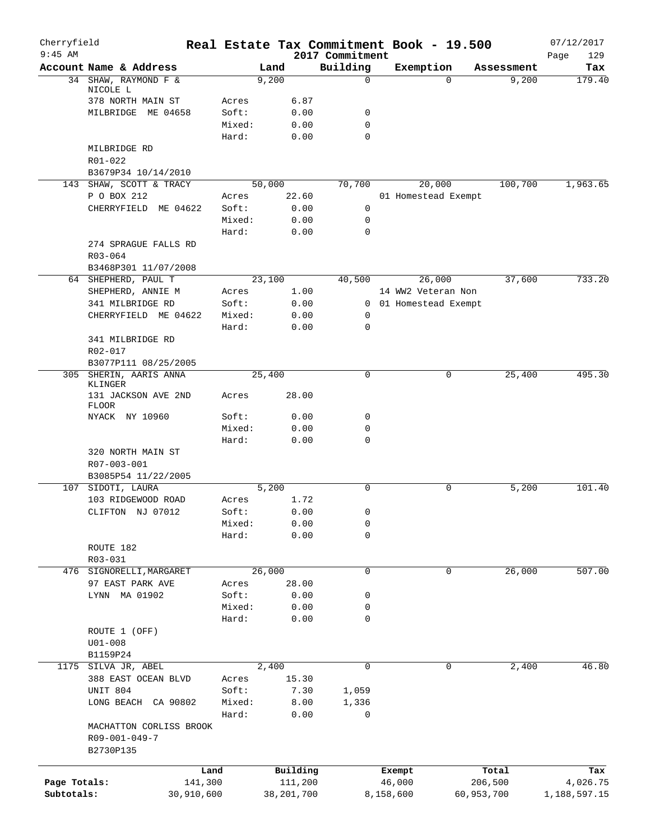| Cherryfield<br>$9:45$ AM |                                                       |            |                 |            |              | 2017 Commitment         | Real Estate Tax Commitment Book - 19.500 |            | 07/12/2017         |
|--------------------------|-------------------------------------------------------|------------|-----------------|------------|--------------|-------------------------|------------------------------------------|------------|--------------------|
|                          | Account Name & Address                                |            |                 | Land       |              | Building                | Exemption                                | Assessment | 129<br>Page<br>Tax |
|                          | 34 SHAW, RAYMOND F &                                  |            |                 | 9,200      |              | 0                       | $\Omega$                                 | 9,200      | 179.40             |
|                          | NICOLE L                                              |            |                 |            |              |                         |                                          |            |                    |
|                          | 378 NORTH MAIN ST                                     |            | Acres           |            | 6.87         |                         |                                          |            |                    |
|                          | MILBRIDGE<br>ME 04658                                 |            | Soft:           |            | 0.00         | 0                       |                                          |            |                    |
|                          |                                                       |            | Mixed:          |            | 0.00         | $\mathbf 0$<br>$\Omega$ |                                          |            |                    |
|                          | MILBRIDGE RD                                          |            | Hard:           |            | 0.00         |                         |                                          |            |                    |
|                          | R01-022                                               |            |                 |            |              |                         |                                          |            |                    |
|                          | B3679P34 10/14/2010                                   |            |                 |            |              |                         |                                          |            |                    |
|                          | 143 SHAW, SCOTT & TRACY                               |            |                 | 50,000     |              | 70,700                  | 20,000                                   | 100,700    | 1,963.65           |
|                          | P O BOX 212                                           |            | Acres           |            | 22.60        |                         | 01 Homestead Exempt                      |            |                    |
|                          | CHERRYFIELD ME 04622                                  |            | Soft:           |            | 0.00         | $\mathsf{O}$            |                                          |            |                    |
|                          |                                                       |            | Mixed:          |            | 0.00         | 0                       |                                          |            |                    |
|                          |                                                       |            | Hard:           |            | 0.00         | $\mathbf 0$             |                                          |            |                    |
|                          | 274 SPRAGUE FALLS RD                                  |            |                 |            |              |                         |                                          |            |                    |
|                          | R03-064                                               |            |                 |            |              |                         |                                          |            |                    |
|                          | B3468P301 11/07/2008                                  |            |                 |            |              |                         |                                          |            |                    |
|                          | 64 SHEPHERD, PAUL T                                   |            |                 | 23,100     |              | 40,500                  | 26,000                                   | 37,600     | 733.20             |
|                          | SHEPHERD, ANNIE M                                     |            | Acres           |            | 1.00         |                         | 14 WW2 Veteran Non                       |            |                    |
|                          | 341 MILBRIDGE RD                                      |            | Soft:           |            | 0.00         |                         | 0 01 Homestead Exempt                    |            |                    |
|                          | CHERRYFIELD ME 04622                                  |            | Mixed:          |            | 0.00         | 0                       |                                          |            |                    |
|                          |                                                       |            | Hard:           |            | 0.00         | 0                       |                                          |            |                    |
|                          | 341 MILBRIDGE RD                                      |            |                 |            |              |                         |                                          |            |                    |
|                          | R02-017                                               |            |                 |            |              |                         |                                          |            |                    |
|                          | B3077P111 08/25/2005                                  |            |                 |            |              |                         |                                          |            |                    |
|                          | 305 SHERIN, AARIS ANNA<br>KLINGER                     |            |                 | 25,400     |              | 0                       | 0                                        | 25,400     | 495.30             |
|                          | 131 JACKSON AVE 2ND<br>FLOOR                          |            | Acres           |            | 28.00        |                         |                                          |            |                    |
|                          | NYACK NY 10960                                        |            | Soft:           |            | 0.00         | 0                       |                                          |            |                    |
|                          |                                                       |            | Mixed:          |            | 0.00         | 0                       |                                          |            |                    |
|                          |                                                       |            | Hard:           |            | 0.00         | 0                       |                                          |            |                    |
|                          | 320 NORTH MAIN ST                                     |            |                 |            |              |                         |                                          |            |                    |
|                          | R07-003-001                                           |            |                 |            |              |                         |                                          |            |                    |
|                          | B3085P54 11/22/2005                                   |            |                 |            |              |                         |                                          |            |                    |
| 107                      | SIDOTI, LAURA                                         |            |                 | 5,200      |              | $\mathbf 0$             | 0                                        | 5,200      | 101.40             |
|                          | 103 RIDGEWOOD ROAD                                    |            | Acres           |            | 1.72         |                         |                                          |            |                    |
|                          | CLIFTON NJ 07012                                      |            | Soft:<br>Mixed: |            | 0.00<br>0.00 | 0                       |                                          |            |                    |
|                          |                                                       |            | Hard:           |            |              | 0<br>0                  |                                          |            |                    |
|                          | ROUTE 182                                             |            |                 |            | 0.00         |                         |                                          |            |                    |
|                          | $R03 - 031$                                           |            |                 |            |              |                         |                                          |            |                    |
|                          | 476 SIGNORELLI, MARGARET                              |            |                 | 26,000     |              | $\mathbf 0$             | 0                                        | 26,000     | 507.00             |
|                          | 97 EAST PARK AVE                                      |            | Acres           |            | 28.00        |                         |                                          |            |                    |
|                          | LYNN MA 01902                                         |            | Soft:           |            | 0.00         | 0                       |                                          |            |                    |
|                          |                                                       |            | Mixed:          |            | 0.00         | 0                       |                                          |            |                    |
|                          |                                                       |            | Hard:           |            | 0.00         | 0                       |                                          |            |                    |
|                          | ROUTE 1 (OFF)                                         |            |                 |            |              |                         |                                          |            |                    |
|                          | $U01 - 008$                                           |            |                 |            |              |                         |                                          |            |                    |
|                          | B1159P24                                              |            |                 |            |              |                         |                                          |            |                    |
|                          | 1175 SILVA JR, ABEL                                   |            |                 | 2,400      |              | $\mathbf 0$             | 0                                        | 2,400      | 46.80              |
|                          | 388 EAST OCEAN BLVD                                   |            | Acres           |            | 15.30        |                         |                                          |            |                    |
|                          | UNIT 804                                              |            | Soft:           |            | 7.30         | 1,059                   |                                          |            |                    |
|                          | LONG BEACH CA 90802                                   |            | Mixed:          |            | 8.00         | 1,336                   |                                          |            |                    |
|                          |                                                       |            | Hard:           |            | 0.00         | 0                       |                                          |            |                    |
|                          | MACHATTON CORLISS BROOK<br>R09-001-049-7<br>B2730P135 |            |                 |            |              |                         |                                          |            |                    |
|                          |                                                       | Land       |                 | Building   |              |                         | Exempt                                   | Total      | Tax                |
| Page Totals:             |                                                       | 141,300    |                 | 111,200    |              |                         | 46,000                                   | 206,500    | 4,026.75           |
| Subtotals:               |                                                       | 30,910,600 |                 | 38,201,700 |              |                         | 8,158,600<br>60,953,700                  |            | 1,188,597.15       |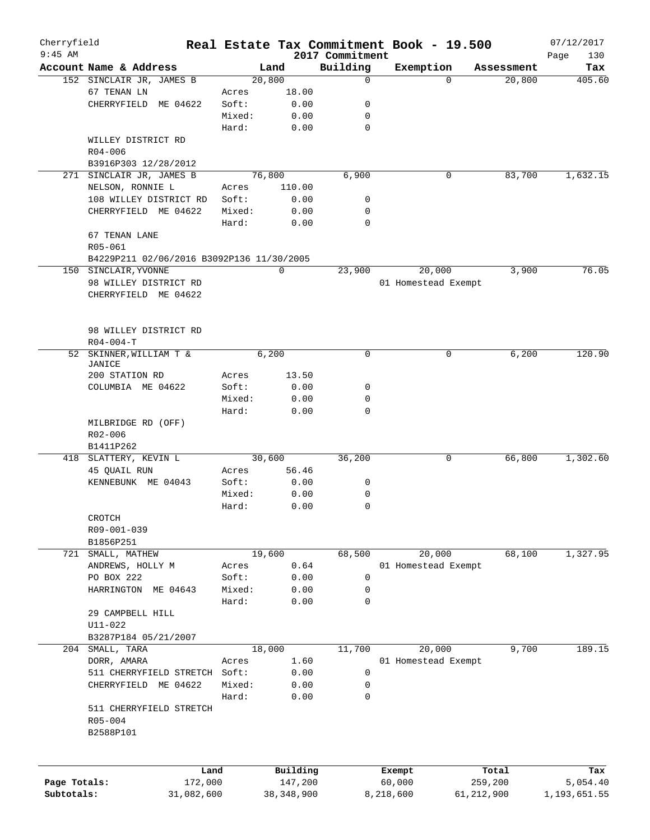| Cherryfield  |                                                    |        |                |                 | Real Estate Tax Commitment Book - 19.500 |                      | 07/12/2017    |
|--------------|----------------------------------------------------|--------|----------------|-----------------|------------------------------------------|----------------------|---------------|
| $9:45$ AM    |                                                    |        |                | 2017 Commitment |                                          |                      | 130<br>Page   |
|              | Account Name & Address<br>152 SINCLAIR JR, JAMES B |        | Land<br>20,800 | Building<br>0   | Exemption<br>$\Omega$                    | Assessment<br>20,800 | Tax<br>405.60 |
|              | 67 TENAN LN                                        | Acres  | 18.00          |                 |                                          |                      |               |
|              |                                                    | Soft:  |                | 0               |                                          |                      |               |
|              | CHERRYFIELD ME 04622                               |        | 0.00           |                 |                                          |                      |               |
|              |                                                    | Mixed: | 0.00           | 0               |                                          |                      |               |
|              |                                                    | Hard:  | 0.00           | $\mathbf 0$     |                                          |                      |               |
|              | WILLEY DISTRICT RD                                 |        |                |                 |                                          |                      |               |
|              | $R04 - 006$                                        |        |                |                 |                                          |                      |               |
|              | B3916P303 12/28/2012                               |        |                |                 |                                          |                      |               |
|              | 271 SINCLAIR JR, JAMES B                           |        | 76,800         | 6,900           | 0                                        | 83,700               | 1,632.15      |
|              | NELSON, RONNIE L                                   | Acres  | 110.00         |                 |                                          |                      |               |
|              | 108 WILLEY DISTRICT RD                             | Soft:  | 0.00           | 0               |                                          |                      |               |
|              | CHERRYFIELD ME 04622                               | Mixed: | 0.00           | 0               |                                          |                      |               |
|              |                                                    | Hard:  | 0.00           | $\mathbf 0$     |                                          |                      |               |
|              | 67 TENAN LANE                                      |        |                |                 |                                          |                      |               |
|              | R05-061                                            |        |                |                 |                                          |                      |               |
|              | B4229P211 02/06/2016 B3092P136 11/30/2005          |        |                |                 |                                          |                      |               |
|              | 150 SINCLAIR, YVONNE                               |        | 0              | 23,900          | 20,000                                   | 3,900                | 76.05         |
|              | 98 WILLEY DISTRICT RD                              |        |                |                 | 01 Homestead Exempt                      |                      |               |
|              | CHERRYFIELD ME 04622                               |        |                |                 |                                          |                      |               |
|              |                                                    |        |                |                 |                                          |                      |               |
|              |                                                    |        |                |                 |                                          |                      |               |
|              | 98 WILLEY DISTRICT RD                              |        |                |                 |                                          |                      |               |
|              | $R04 - 004 - T$                                    |        |                |                 |                                          |                      |               |
| 52           | SKINNER, WILLIAM T &                               |        | 6,200          | $\mathbf 0$     | 0                                        | 6,200                | 120.90        |
|              | JANICE                                             |        |                |                 |                                          |                      |               |
|              | 200 STATION RD                                     | Acres  | 13.50          |                 |                                          |                      |               |
|              | COLUMBIA ME 04622                                  | Soft:  | 0.00           | 0               |                                          |                      |               |
|              |                                                    | Mixed: | 0.00           | 0               |                                          |                      |               |
|              |                                                    | Hard:  | 0.00           | $\mathbf 0$     |                                          |                      |               |
|              | MILBRIDGE RD (OFF)                                 |        |                |                 |                                          |                      |               |
|              | R02-006                                            |        |                |                 |                                          |                      |               |
|              | B1411P262                                          |        |                |                 |                                          |                      |               |
|              | 418 SLATTERY, KEVIN L                              |        | 30,600         | 36,200          | 0                                        | 66,800               | 1,302.60      |
|              | 45 QUAIL RUN                                       | Acres  | 56.46          |                 |                                          |                      |               |
|              | KENNEBUNK ME 04043                                 | Soft:  | 0.00           | 0               |                                          |                      |               |
|              |                                                    | Mixed: | 0.00           | 0               |                                          |                      |               |
|              |                                                    | Hard:  | 0.00           | 0               |                                          |                      |               |
|              |                                                    |        |                |                 |                                          |                      |               |
|              | CROTCH                                             |        |                |                 |                                          |                      |               |
|              | R09-001-039                                        |        |                |                 |                                          |                      |               |
|              | B1856P251                                          |        |                |                 |                                          |                      |               |
|              | 721 SMALL, MATHEW                                  |        | 19,600         | 68,500          | 20,000                                   | 68,100               | 1,327.95      |
|              | ANDREWS, HOLLY M                                   | Acres  | 0.64           |                 | 01 Homestead Exempt                      |                      |               |
|              | PO BOX 222                                         | Soft:  | 0.00           | $\mathsf{O}$    |                                          |                      |               |
|              | HARRINGTON ME 04643                                | Mixed: | 0.00           | 0               |                                          |                      |               |
|              |                                                    | Hard:  | 0.00           | 0               |                                          |                      |               |
|              | 29 CAMPBELL HILL                                   |        |                |                 |                                          |                      |               |
|              | $U11 - 022$                                        |        |                |                 |                                          |                      |               |
|              | B3287P184 05/21/2007                               |        |                |                 |                                          |                      |               |
|              | 204 SMALL, TARA                                    |        | 18,000         | 11,700          | 20,000                                   | 9,700                | 189.15        |
|              | DORR, AMARA                                        | Acres  | 1.60           |                 | 01 Homestead Exempt                      |                      |               |
|              | 511 CHERRYFIELD STRETCH Soft:                      |        | 0.00           | 0               |                                          |                      |               |
|              | CHERRYFIELD<br>ME 04622                            | Mixed: | 0.00           | 0               |                                          |                      |               |
|              |                                                    | Hard:  | 0.00           | 0               |                                          |                      |               |
|              | 511 CHERRYFIELD STRETCH                            |        |                |                 |                                          |                      |               |
|              | R05-004                                            |        |                |                 |                                          |                      |               |
|              | B2588P101                                          |        |                |                 |                                          |                      |               |
|              |                                                    |        |                |                 |                                          |                      |               |
|              |                                                    |        |                |                 |                                          |                      |               |
|              |                                                    |        |                |                 |                                          |                      |               |
|              | Land                                               |        | Building       |                 | Exempt                                   | Total                | Tax           |
| Page Totals: | 172,000                                            |        | 147,200        |                 | 60,000                                   | 259,200              | 5,054.40      |
| Subtotals:   | 31,082,600                                         |        | 38, 348, 900   |                 | 8,218,600                                | 61, 212, 900         | 1,193,651.55  |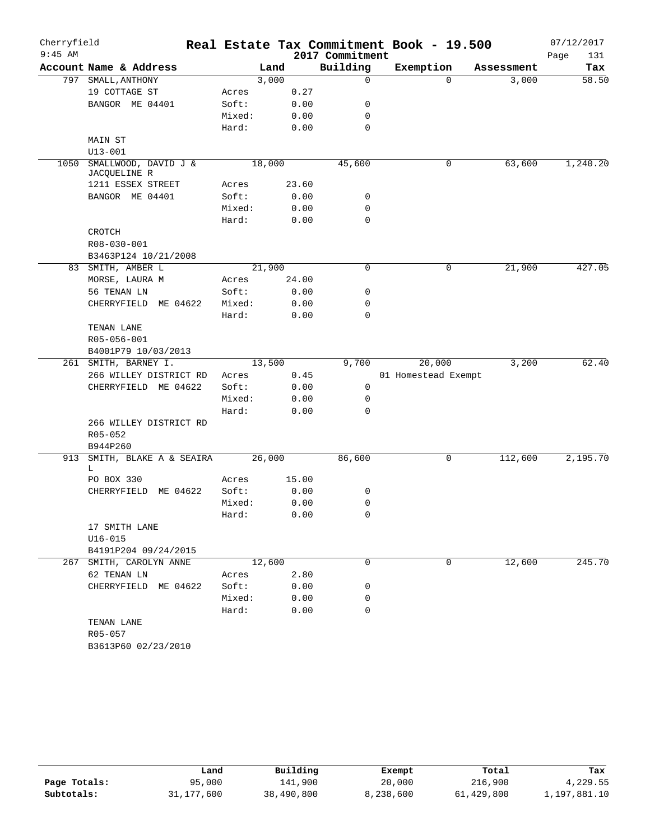| Cherryfield |                                      |        |       |                 | Real Estate Tax Commitment Book - 19.500 |            | 07/12/2017  |
|-------------|--------------------------------------|--------|-------|-----------------|------------------------------------------|------------|-------------|
| $9:45$ AM   |                                      |        |       | 2017 Commitment |                                          |            | Page<br>131 |
|             | Account Name & Address               |        | Land  | Building        | Exemption                                | Assessment | Tax         |
|             | 797 SMALL, ANTHONY                   | 3,000  |       | $\mathbf 0$     | $\Omega$                                 | 3,000      | 58.50       |
|             | 19 COTTAGE ST                        | Acres  | 0.27  |                 |                                          |            |             |
|             | BANGOR ME 04401                      | Soft:  | 0.00  | 0               |                                          |            |             |
|             |                                      | Mixed: | 0.00  | 0               |                                          |            |             |
|             |                                      | Hard:  | 0.00  | 0               |                                          |            |             |
|             | MAIN ST                              |        |       |                 |                                          |            |             |
|             | $U13 - 001$                          |        |       |                 |                                          |            |             |
| 1050        | SMALLWOOD, DAVID J &<br>JACQUELINE R | 18,000 |       | 45,600          | 0                                        | 63,600     | 1,240.20    |
|             | 1211 ESSEX STREET                    | Acres  | 23.60 |                 |                                          |            |             |
|             | BANGOR ME 04401                      | Soft:  | 0.00  | 0               |                                          |            |             |
|             |                                      | Mixed: | 0.00  | $\mathbf 0$     |                                          |            |             |
|             |                                      | Hard:  | 0.00  | $\mathbf 0$     |                                          |            |             |
|             | CROTCH                               |        |       |                 |                                          |            |             |
|             | R08-030-001                          |        |       |                 |                                          |            |             |
|             | B3463P124 10/21/2008                 |        |       |                 |                                          |            |             |
|             | 83 SMITH, AMBER L                    | 21,900 |       | 0               | 0                                        | 21,900     | 427.05      |
|             | MORSE, LAURA M                       | Acres  | 24.00 |                 |                                          |            |             |
|             | 56 TENAN LN                          | Soft:  | 0.00  | 0               |                                          |            |             |
|             | CHERRYFIELD ME 04622                 | Mixed: | 0.00  | 0               |                                          |            |             |
|             |                                      | Hard:  | 0.00  | 0               |                                          |            |             |
|             | TENAN LANE                           |        |       |                 |                                          |            |             |
|             | R05-056-001                          |        |       |                 |                                          |            |             |
|             | B4001P79 10/03/2013                  |        |       |                 |                                          |            |             |
|             | 261 SMITH, BARNEY I.                 | 13,500 |       | 9,700           | 20,000                                   | 3,200      | 62.40       |
|             | 266 WILLEY DISTRICT RD               | Acres  | 0.45  |                 | 01 Homestead Exempt                      |            |             |
|             | CHERRYFIELD ME 04622                 | Soft:  | 0.00  | 0               |                                          |            |             |
|             |                                      | Mixed: | 0.00  | 0               |                                          |            |             |
|             |                                      | Hard:  | 0.00  | 0               |                                          |            |             |
|             | 266 WILLEY DISTRICT RD               |        |       |                 |                                          |            |             |
|             | R05-052                              |        |       |                 |                                          |            |             |
|             | B944P260                             |        |       |                 |                                          |            |             |
| 913         | SMITH, BLAKE A & SEAIRA<br>L.        | 26,000 |       | 86,600          | 0                                        | 112,600    | 2,195.70    |
|             | PO BOX 330                           | Acres  | 15.00 |                 |                                          |            |             |
|             | CHERRYFIELD ME 04622                 | Soft:  | 0.00  | 0               |                                          |            |             |
|             |                                      | Mixed: | 0.00  | 0               |                                          |            |             |
|             |                                      | Hard:  | 0.00  | 0               |                                          |            |             |
|             | 17 SMITH LANE                        |        |       |                 |                                          |            |             |
|             | $U16 - 015$                          |        |       |                 |                                          |            |             |
|             | B4191P204 09/24/2015                 |        |       |                 |                                          |            |             |
| 267         | SMITH, CAROLYN ANNE                  | 12,600 |       | $\Omega$        | $\Omega$                                 | 12,600     | 245.70      |
|             | 62 TENAN LN                          | Acres  | 2.80  |                 |                                          |            |             |
|             | CHERRYFIELD ME 04622                 | Soft:  | 0.00  | 0               |                                          |            |             |
|             |                                      | Mixed: | 0.00  | 0               |                                          |            |             |
|             |                                      | Hard:  | 0.00  | $\mathbf 0$     |                                          |            |             |
|             | TENAN LANE                           |        |       |                 |                                          |            |             |
|             | R05-057                              |        |       |                 |                                          |            |             |
|             | B3613P60 02/23/2010                  |        |       |                 |                                          |            |             |

|              | Land         | Building   | Exempt    | Total      | Tax          |
|--------------|--------------|------------|-----------|------------|--------------|
| Page Totals: | 95,000       | 141,900    | 20,000    | 216,900    | 4,229.55     |
| Subtotals:   | 31, 177, 600 | 38,490,800 | 8,238,600 | 61,429,800 | 1,197,881.10 |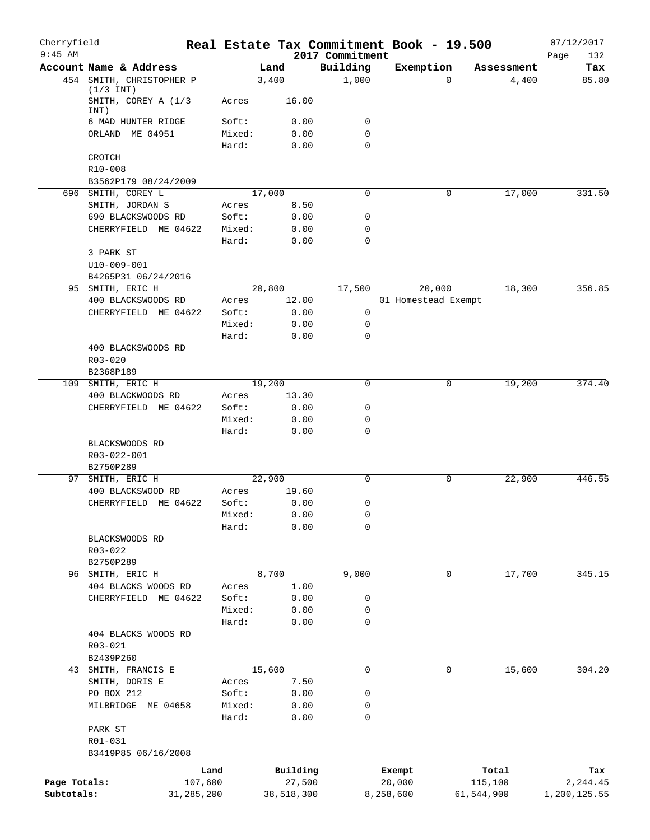| Cherryfield<br>$9:45$ AM |                                            |                 | Real Estate Tax Commitment Book - 19.500 |                             |                     |            | 07/12/2017         |
|--------------------------|--------------------------------------------|-----------------|------------------------------------------|-----------------------------|---------------------|------------|--------------------|
|                          | Account Name & Address                     |                 | Land                                     | 2017 Commitment<br>Building | Exemption           | Assessment | Page<br>132<br>Tax |
|                          | 454 SMITH, CHRISTOPHER P                   |                 | 3,400                                    | 1,000                       |                     | $\Omega$   | 85.80<br>4,400     |
|                          | $(1/3$ INT)<br>SMITH, COREY A (1/3<br>INT) | Acres           | 16.00                                    |                             |                     |            |                    |
|                          | 6 MAD HUNTER RIDGE                         | Soft:           | 0.00                                     | 0                           |                     |            |                    |
|                          | ORLAND ME 04951                            | Mixed:          | 0.00                                     | $\mathbf 0$                 |                     |            |                    |
|                          |                                            | Hard:           | 0.00                                     | $\mathbf 0$                 |                     |            |                    |
|                          | CROTCH                                     |                 |                                          |                             |                     |            |                    |
|                          | R10-008                                    |                 |                                          |                             |                     |            |                    |
|                          | B3562P179 08/24/2009                       |                 |                                          |                             |                     |            |                    |
|                          | 696 SMITH, COREY L                         |                 | 17,000                                   | $\mathbf 0$                 |                     | 0          | 17,000<br>331.50   |
|                          | SMITH, JORDAN S                            | Acres           | 8.50                                     | $\mathbf 0$                 |                     |            |                    |
|                          | 690 BLACKSWOODS RD<br>CHERRYFIELD ME 04622 | Soft:<br>Mixed: | 0.00<br>0.00                             | $\mathbf 0$                 |                     |            |                    |
|                          |                                            | Hard:           | 0.00                                     | $\mathbf 0$                 |                     |            |                    |
|                          | 3 PARK ST                                  |                 |                                          |                             |                     |            |                    |
|                          | U10-009-001                                |                 |                                          |                             |                     |            |                    |
|                          | B4265P31 06/24/2016                        |                 |                                          |                             |                     |            |                    |
|                          | 95 SMITH, ERIC H                           |                 | 20,800                                   | 17,500                      | 20,000              |            | 18,300<br>356.85   |
|                          | 400 BLACKSWOODS RD                         | Acres           | 12.00                                    |                             | 01 Homestead Exempt |            |                    |
|                          | CHERRYFIELD ME 04622                       | Soft:           | 0.00                                     | 0                           |                     |            |                    |
|                          |                                            | Mixed:          | 0.00                                     | 0                           |                     |            |                    |
|                          |                                            | Hard:           | 0.00                                     | $\mathbf 0$                 |                     |            |                    |
|                          | 400 BLACKSWOODS RD                         |                 |                                          |                             |                     |            |                    |
|                          | $R03 - 020$<br>B2368P189                   |                 |                                          |                             |                     |            |                    |
|                          | 109 SMITH, ERIC H                          |                 | 19,200                                   | $\mathbf 0$                 |                     | 0          | 19,200<br>374.40   |
|                          | 400 BLACKWOODS RD                          | Acres           | 13.30                                    |                             |                     |            |                    |
|                          | CHERRYFIELD ME 04622                       | Soft:           | 0.00                                     | $\mathbf 0$                 |                     |            |                    |
|                          |                                            | Mixed:          | 0.00                                     | $\mathbf 0$                 |                     |            |                    |
|                          |                                            | Hard:           | 0.00                                     | $\mathbf 0$                 |                     |            |                    |
|                          | BLACKSWOODS RD<br>R03-022-001              |                 |                                          |                             |                     |            |                    |
|                          | B2750P289                                  |                 |                                          |                             |                     |            |                    |
|                          | 97 SMITH, ERIC H                           |                 | 22,900                                   | $\mathbf 0$                 |                     | 0          | 22,900<br>446.55   |
|                          | 400 BLACKSWOOD RD                          | Acres           | 19.60                                    |                             |                     |            |                    |
|                          | CHERRYFIELD ME 04622                       | Soft:           | 0.00                                     | 0                           |                     |            |                    |
|                          |                                            | Mixed:          | 0.00<br>0.00                             | 0<br>0                      |                     |            |                    |
|                          | BLACKSWOODS RD                             | Hard:           |                                          |                             |                     |            |                    |
|                          | R03-022                                    |                 |                                          |                             |                     |            |                    |
|                          | B2750P289                                  |                 |                                          |                             |                     |            |                    |
|                          | 96 SMITH, ERIC H                           |                 | 8,700                                    | 9,000                       |                     | 0          | 17,700<br>345.15   |
|                          | 404 BLACKS WOODS RD                        | Acres           | 1.00                                     |                             |                     |            |                    |
|                          | CHERRYFIELD ME 04622                       | Soft:           | 0.00                                     | 0                           |                     |            |                    |
|                          |                                            | Mixed:          | 0.00                                     | 0                           |                     |            |                    |
|                          |                                            | Hard:           | 0.00                                     | $\mathbf 0$                 |                     |            |                    |
|                          | 404 BLACKS WOODS RD                        |                 |                                          |                             |                     |            |                    |
|                          | R03-021                                    |                 |                                          |                             |                     |            |                    |
|                          | B2439P260<br>43 SMITH, FRANCIS E           |                 | 15,600                                   | 0                           |                     | 0          | 15,600<br>304.20   |
|                          | SMITH, DORIS E                             | Acres           | 7.50                                     |                             |                     |            |                    |
|                          | PO BOX 212                                 | Soft:           | 0.00                                     | 0                           |                     |            |                    |
|                          | MILBRIDGE ME 04658                         | Mixed:          | 0.00                                     | 0                           |                     |            |                    |
|                          |                                            | Hard:           | 0.00                                     | 0                           |                     |            |                    |
|                          | PARK ST                                    |                 |                                          |                             |                     |            |                    |
|                          | R01-031                                    |                 |                                          |                             |                     |            |                    |
|                          | B3419P85 06/16/2008                        |                 |                                          |                             |                     |            |                    |
|                          |                                            | Land            | Building                                 |                             | Exempt              | Total      | Tax                |
| Page Totals:             | 107,600                                    |                 | 27,500                                   |                             | 20,000              | 115,100    | 2,244.45           |
| Subtotals:               | 31, 285, 200                               |                 | 38,518,300                               |                             | 8,258,600           | 61,544,900 | 1,200,125.55       |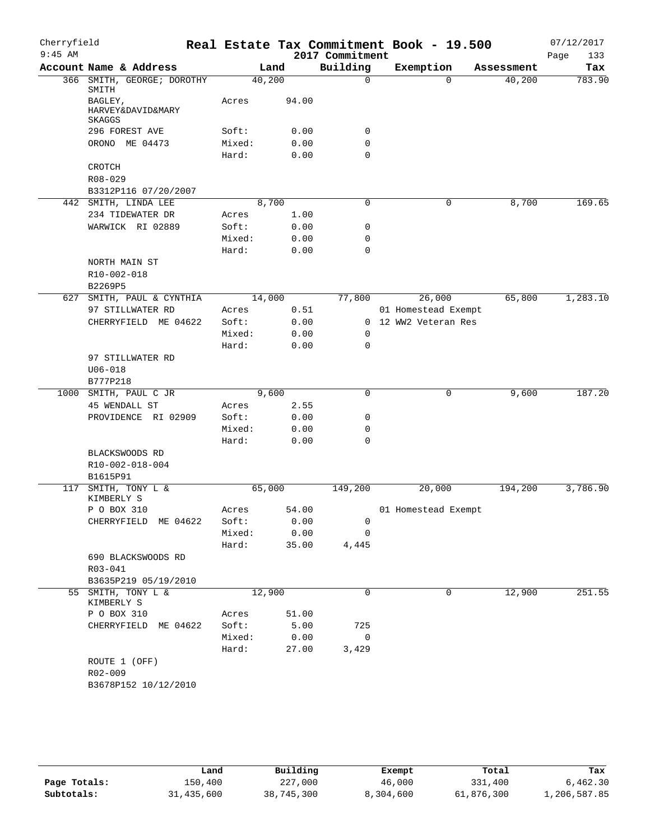| Cherryfield |                                               |                 |              |                 | Real Estate Tax Commitment Book - 19.500 |            | 07/12/2017  |
|-------------|-----------------------------------------------|-----------------|--------------|-----------------|------------------------------------------|------------|-------------|
| $9:45$ AM   |                                               |                 |              | 2017 Commitment |                                          |            | Page<br>133 |
|             | Account Name & Address                        |                 | Land         | Building        | Exemption                                | Assessment | Tax         |
|             | 366 SMITH, GEORGE; DOROTHY<br>SMITH           | 40,200          |              | $\mathbf 0$     | $\Omega$                                 | 40,200     | 783.90      |
|             | BAGLEY,<br>HARVEY&DAVID&MARY<br><b>SKAGGS</b> | Acres           | 94.00        |                 |                                          |            |             |
|             | 296 FOREST AVE                                | Soft:           | 0.00         | 0               |                                          |            |             |
|             | ORONO ME 04473                                | Mixed:          | 0.00         | 0               |                                          |            |             |
|             |                                               | Hard:           | 0.00         | $\mathbf 0$     |                                          |            |             |
|             | CROTCH                                        |                 |              |                 |                                          |            |             |
|             | R08-029                                       |                 |              |                 |                                          |            |             |
|             | B3312P116 07/20/2007                          |                 |              |                 |                                          |            |             |
|             | 442 SMITH, LINDA LEE                          |                 | 8,700        | 0               | 0                                        | 8,700      | 169.65      |
|             | 234 TIDEWATER DR                              | Acres           | 1.00         |                 |                                          |            |             |
|             | WARWICK RI 02889                              | Soft:           | 0.00         | 0               |                                          |            |             |
|             |                                               | Mixed:          | 0.00         | 0               |                                          |            |             |
|             |                                               | Hard:           | 0.00         | $\mathbf 0$     |                                          |            |             |
|             | NORTH MAIN ST                                 |                 |              |                 |                                          |            |             |
|             | R10-002-018                                   |                 |              |                 |                                          |            |             |
|             | B2269P5                                       |                 |              |                 |                                          |            |             |
|             | 627 SMITH, PAUL & CYNTHIA                     | 14,000          |              | 77,800          | 26,000                                   | 65,800     | 1,283.10    |
|             | 97 STILLWATER RD                              | Acres           | 0.51         |                 | 01 Homestead Exempt                      |            |             |
|             | CHERRYFIELD ME 04622                          | Soft:<br>Mixed: | 0.00<br>0.00 | 0               | 0 12 WW2 Veteran Res                     |            |             |
|             |                                               |                 |              | 0               |                                          |            |             |
|             | 97 STILLWATER RD                              | Hard:           | 0.00         |                 |                                          |            |             |
|             | $U06 - 018$                                   |                 |              |                 |                                          |            |             |
|             | B777P218                                      |                 |              |                 |                                          |            |             |
|             | 1000 SMITH, PAUL C JR                         |                 | 9,600        | 0               | 0                                        | 9,600      | 187.20      |
|             | 45 WENDALL ST                                 | Acres           | 2.55         |                 |                                          |            |             |
|             | PROVIDENCE RI 02909                           | Soft:           | 0.00         | 0               |                                          |            |             |
|             |                                               | Mixed:          | 0.00         | 0               |                                          |            |             |
|             |                                               | Hard:           | 0.00         | 0               |                                          |            |             |
|             | BLACKSWOODS RD<br>R10-002-018-004             |                 |              |                 |                                          |            |             |
|             | B1615P91                                      |                 |              |                 |                                          |            |             |
|             | 117 SMITH, TONY L &<br>KIMBERLY S             | 65,000          |              | 149,200         | 20,000                                   | 194,200    | 3,786.90    |
|             | P O BOX 310                                   | Acres           | 54.00        |                 | 01 Homestead Exempt                      |            |             |
|             | CHERRYFIELD ME 04622                          | Soft:           | 0.00         | 0               |                                          |            |             |
|             |                                               | Mixed:          | 0.00         | 0               |                                          |            |             |
|             |                                               | Hard:           | 35.00        | 4,445           |                                          |            |             |
|             | 690 BLACKSWOODS RD                            |                 |              |                 |                                          |            |             |
|             | R03-041<br>B3635P219 05/19/2010               |                 |              |                 |                                          |            |             |
|             | 55 SMITH, TONY L &<br>KIMBERLY S              | 12,900          |              | 0               | 0                                        | 12,900     | 251.55      |
|             | P O BOX 310                                   | Acres           | 51.00        |                 |                                          |            |             |
|             | CHERRYFIELD ME 04622                          | Soft:           | 5.00         | 725             |                                          |            |             |
|             |                                               | Mixed:          | 0.00         | 0               |                                          |            |             |
|             |                                               | Hard:           | 27.00        | 3,429           |                                          |            |             |
|             | ROUTE 1 (OFF)<br>$R02 - 009$                  |                 |              |                 |                                          |            |             |
|             | B3678P152 10/12/2010                          |                 |              |                 |                                          |            |             |

|              | Land       | Building   | Exempt    | Total      | Tax          |
|--------------|------------|------------|-----------|------------|--------------|
| Page Totals: | 150,400    | 227,000    | 46,000    | 331,400    | 6,462.30     |
| Subtotals:   | 31,435,600 | 38,745,300 | 8,304,600 | 61,876,300 | 1,206,587.85 |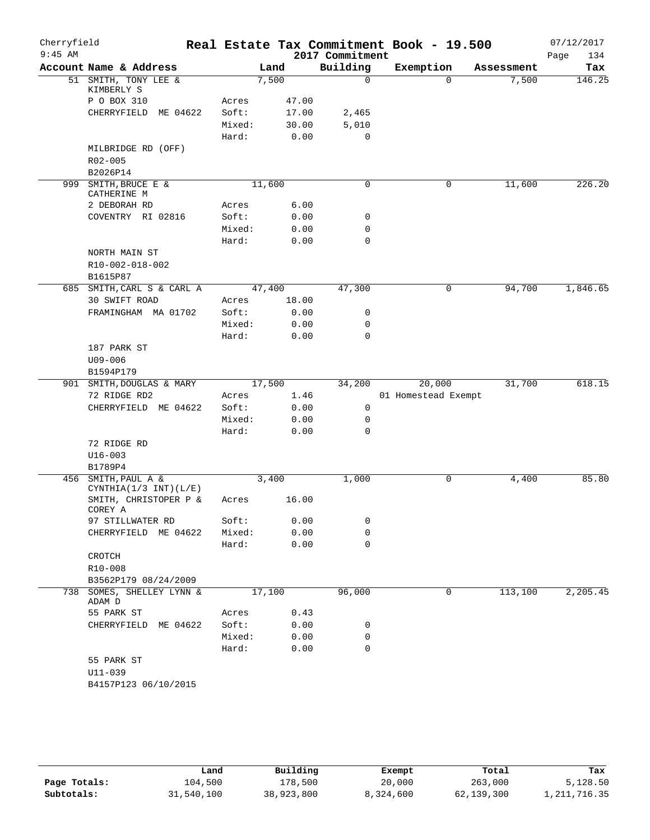| Cherryfield<br>$9:45$ AM |                                     |        |       | 2017 Commitment | Real Estate Tax Commitment Book - 19.500 |            | 07/12/2017<br>134<br>Page |
|--------------------------|-------------------------------------|--------|-------|-----------------|------------------------------------------|------------|---------------------------|
|                          | Account Name & Address              |        | Land  | Building        | Exemption                                | Assessment | Tax                       |
|                          | 51 SMITH, TONY LEE &<br>KIMBERLY S  |        | 7,500 | $\mathbf 0$     | $\Omega$                                 | 7,500      | 146.25                    |
|                          | P O BOX 310                         | Acres  | 47.00 |                 |                                          |            |                           |
|                          | CHERRYFIELD ME 04622                | Soft:  | 17.00 | 2,465           |                                          |            |                           |
|                          |                                     | Mixed: | 30.00 | 5,010           |                                          |            |                           |
|                          |                                     | Hard:  | 0.00  | $\mathbf 0$     |                                          |            |                           |
|                          | MILBRIDGE RD (OFF)<br>R02-005       |        |       |                 |                                          |            |                           |
|                          | B2026P14                            |        |       |                 |                                          |            |                           |
| 999                      | SMITH, BRUCE E &                    | 11,600 |       | $\mathbf 0$     | 0                                        | 11,600     | 226.20                    |
|                          | CATHERINE M                         |        |       |                 |                                          |            |                           |
|                          | 2 DEBORAH RD                        | Acres  | 6.00  |                 |                                          |            |                           |
|                          | COVENTRY RI 02816                   | Soft:  | 0.00  | 0               |                                          |            |                           |
|                          |                                     | Mixed: | 0.00  | 0               |                                          |            |                           |
|                          |                                     | Hard:  | 0.00  | $\mathbf 0$     |                                          |            |                           |
|                          | NORTH MAIN ST                       |        |       |                 |                                          |            |                           |
|                          | R10-002-018-002                     |        |       |                 |                                          |            |                           |
|                          | B1615P87                            |        |       |                 |                                          |            |                           |
|                          | 685 SMITH, CARL S & CARL A          | 47,400 |       | 47,300          | 0                                        | 94,700     | 1,846.65                  |
|                          | 30 SWIFT ROAD                       | Acres  | 18.00 |                 |                                          |            |                           |
|                          | FRAMINGHAM MA 01702                 | Soft:  | 0.00  | 0               |                                          |            |                           |
|                          |                                     | Mixed: | 0.00  | 0               |                                          |            |                           |
|                          |                                     | Hard:  | 0.00  | $\mathbf 0$     |                                          |            |                           |
|                          | 187 PARK ST                         |        |       |                 |                                          |            |                           |
|                          | $U09 - 006$                         |        |       |                 |                                          |            |                           |
|                          | B1594P179                           |        |       |                 |                                          |            |                           |
|                          | 901 SMITH, DOUGLAS & MARY           | 17,500 |       | 34,200          | 20,000                                   | 31,700     | 618.15                    |
|                          | 72 RIDGE RD2                        | Acres  | 1.46  |                 | 01 Homestead Exempt                      |            |                           |
|                          | CHERRYFIELD ME 04622                | Soft:  | 0.00  | 0               |                                          |            |                           |
|                          |                                     | Mixed: | 0.00  | 0               |                                          |            |                           |
|                          |                                     | Hard:  | 0.00  | $\mathbf 0$     |                                          |            |                           |
|                          | 72 RIDGE RD                         |        |       |                 |                                          |            |                           |
|                          | $U16 - 003$                         |        |       |                 |                                          |            |                           |
|                          | B1789P4                             |        |       |                 |                                          |            |                           |
|                          | 456 SMITH, PAUL A &                 | 3,400  |       | 1,000           | 0                                        | 4,400      | 85.80                     |
|                          | CYNTHIA $(1/3$ INT $)(L/E)$         |        |       |                 |                                          |            |                           |
|                          | SMITH, CHRISTOPER P &<br>COREY A    | Acres  | 16.00 |                 |                                          |            |                           |
|                          | 97 STILLWATER RD                    | Soft:  | 0.00  | 0               |                                          |            |                           |
|                          | CHERRYFIELD ME 04622                | Mixed: | 0.00  | 0               |                                          |            |                           |
|                          |                                     | Hard:  | 0.00  | $\mathbf 0$     |                                          |            |                           |
|                          | CROTCH                              |        |       |                 |                                          |            |                           |
|                          | R10-008                             |        |       |                 |                                          |            |                           |
|                          | B3562P179 08/24/2009                |        |       |                 |                                          |            |                           |
|                          | 738 SOMES, SHELLEY LYNN &<br>ADAM D | 17,100 |       | 96,000          | 0                                        | 113,100    | 2,205.45                  |
|                          | 55 PARK ST                          | Acres  | 0.43  |                 |                                          |            |                           |
|                          | CHERRYFIELD ME 04622                | Soft:  | 0.00  | 0               |                                          |            |                           |
|                          |                                     | Mixed: | 0.00  | 0               |                                          |            |                           |
|                          |                                     | Hard:  | 0.00  | $\mathbf 0$     |                                          |            |                           |
|                          | 55 PARK ST                          |        |       |                 |                                          |            |                           |
|                          |                                     |        |       |                 |                                          |            |                           |
|                          | U11-039                             |        |       |                 |                                          |            |                           |

**Page Totals:** 104,500 178,500 20,000 263,000 5,128.50<br>**Subtotals:** 31,540,100 38,923,800 8,324,600 62,139,300 1,211,716.35 **Subtotals:** 31,540,100 38,923,800 8,324,600 62,139,300 1,211,716.35 **Land Building Exempt Total Tax**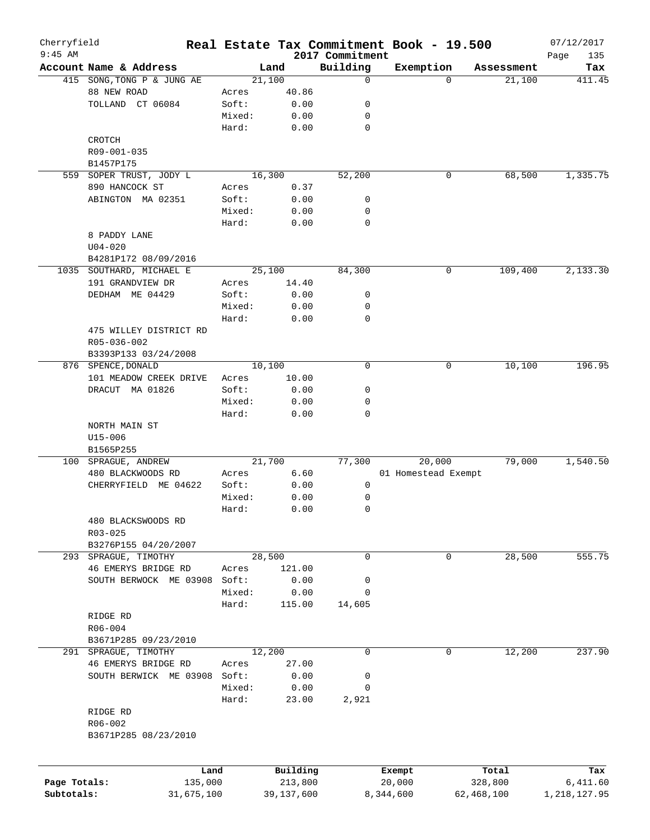| Cherryfield  |                          |        |              |                             | Real Estate Tax Commitment Book - 19.500 |            | 07/12/2017         |
|--------------|--------------------------|--------|--------------|-----------------------------|------------------------------------------|------------|--------------------|
| $9:45$ AM    | Account Name & Address   |        | Land         | 2017 Commitment<br>Building | Exemption                                | Assessment | Page<br>135<br>Tax |
| 415          | SONG, TONG P & JUNG AE   |        | 21,100       | 0                           | $\Omega$                                 | 21,100     | 411.45             |
|              | 88 NEW ROAD              | Acres  | 40.86        |                             |                                          |            |                    |
|              | TOLLAND CT 06084         | Soft:  | 0.00         | 0                           |                                          |            |                    |
|              |                          | Mixed: | 0.00         | 0                           |                                          |            |                    |
|              |                          | Hard:  | 0.00         | $\mathbf 0$                 |                                          |            |                    |
|              | CROTCH                   |        |              |                             |                                          |            |                    |
|              | R09-001-035              |        |              |                             |                                          |            |                    |
|              | B1457P175                |        |              |                             |                                          |            |                    |
| 559          | SOPER TRUST, JODY L      |        | 16,300       | 52,200                      | 0                                        | 68,500     | 1,335.75           |
|              | 890 HANCOCK ST           | Acres  |              |                             |                                          |            |                    |
|              |                          | Soft:  | 0.37         | 0                           |                                          |            |                    |
|              | ABINGTON MA 02351        | Mixed: | 0.00<br>0.00 | 0                           |                                          |            |                    |
|              |                          |        |              | 0                           |                                          |            |                    |
|              |                          | Hard:  | 0.00         |                             |                                          |            |                    |
|              | 8 PADDY LANE             |        |              |                             |                                          |            |                    |
|              | $U04 - 020$              |        |              |                             |                                          |            |                    |
|              | B4281P172 08/09/2016     |        |              |                             |                                          |            |                    |
|              | 1035 SOUTHARD, MICHAEL E |        | 25,100       | 84,300                      | 0                                        | 109,400    | 2,133.30           |
|              | 191 GRANDVIEW DR         | Acres  | 14.40        |                             |                                          |            |                    |
|              | DEDHAM ME 04429          | Soft:  | 0.00         | 0                           |                                          |            |                    |
|              |                          | Mixed: | 0.00         | 0                           |                                          |            |                    |
|              |                          | Hard:  | 0.00         | 0                           |                                          |            |                    |
|              | 475 WILLEY DISTRICT RD   |        |              |                             |                                          |            |                    |
|              | R05-036-002              |        |              |                             |                                          |            |                    |
|              | B3393P133 03/24/2008     |        |              |                             |                                          |            |                    |
|              | 876 SPENCE, DONALD       |        | 10,100       | $\mathbf 0$                 | 0                                        | 10,100     | 196.95             |
|              | 101 MEADOW CREEK DRIVE   | Acres  | 10.00        |                             |                                          |            |                    |
|              | DRACUT MA 01826          | Soft:  | 0.00         | 0                           |                                          |            |                    |
|              |                          | Mixed: | 0.00         | 0                           |                                          |            |                    |
|              |                          | Hard:  | 0.00         | $\mathbf 0$                 |                                          |            |                    |
|              | NORTH MAIN ST            |        |              |                             |                                          |            |                    |
|              | $U15 - 006$              |        |              |                             |                                          |            |                    |
|              | B1565P255                |        |              |                             |                                          |            |                    |
|              | 100 SPRAGUE, ANDREW      |        | 21,700       | 77,300                      | 20,000                                   | 79,000     | 1,540.50           |
|              | 480 BLACKWOODS RD        | Acres  | 6.60         |                             | 01 Homestead Exempt                      |            |                    |
|              | CHERRYFIELD ME 04622     | Soft:  | 0.00         | 0                           |                                          |            |                    |
|              |                          | Mixed: | 0.00         | 0                           |                                          |            |                    |
|              |                          | Hard:  | 0.00         | 0                           |                                          |            |                    |
|              | 480 BLACKSWOODS RD       |        |              |                             |                                          |            |                    |
|              | $R03 - 025$              |        |              |                             |                                          |            |                    |
|              | B3276P155 04/20/2007     |        |              |                             |                                          |            |                    |
| 293          | SPRAGUE, TIMOTHY         |        | 28,500       | 0                           | 0                                        | 28,500     | 555.75             |
|              | 46 EMERYS BRIDGE RD      | Acres  | 121.00       |                             |                                          |            |                    |
|              | SOUTH BERWOCK ME 03908   | Soft:  | 0.00         | 0                           |                                          |            |                    |
|              |                          | Mixed: | 0.00         | 0                           |                                          |            |                    |
|              |                          | Hard:  | 115.00       | 14,605                      |                                          |            |                    |
|              | RIDGE RD                 |        |              |                             |                                          |            |                    |
|              | R06-004                  |        |              |                             |                                          |            |                    |
|              | B3671P285 09/23/2010     |        |              |                             |                                          |            |                    |
|              | 291 SPRAGUE, TIMOTHY     |        | 12,200       | 0                           | 0                                        | 12,200     | 237.90             |
|              | 46 EMERYS BRIDGE RD      | Acres  | 27.00        |                             |                                          |            |                    |
|              | SOUTH BERWICK ME 03908   | Soft:  | 0.00         | 0                           |                                          |            |                    |
|              |                          | Mixed: | 0.00         | 0                           |                                          |            |                    |
|              |                          | Hard:  | 23.00        | 2,921                       |                                          |            |                    |
|              | RIDGE RD                 |        |              |                             |                                          |            |                    |
|              | R06-002                  |        |              |                             |                                          |            |                    |
|              | B3671P285 08/23/2010     |        |              |                             |                                          |            |                    |
|              |                          |        |              |                             |                                          |            |                    |
|              |                          |        |              |                             |                                          |            |                    |
|              | Land                     |        | Building     |                             | Exempt                                   | Total      | Tax                |
| Page Totals: | 135,000                  |        | 213,800      |                             | 20,000                                   | 328,800    | 6,411.60           |
| Subtotals:   | 31,675,100               |        | 39,137,600   |                             | 8,344,600                                | 62,468,100 | 1,218,127.95       |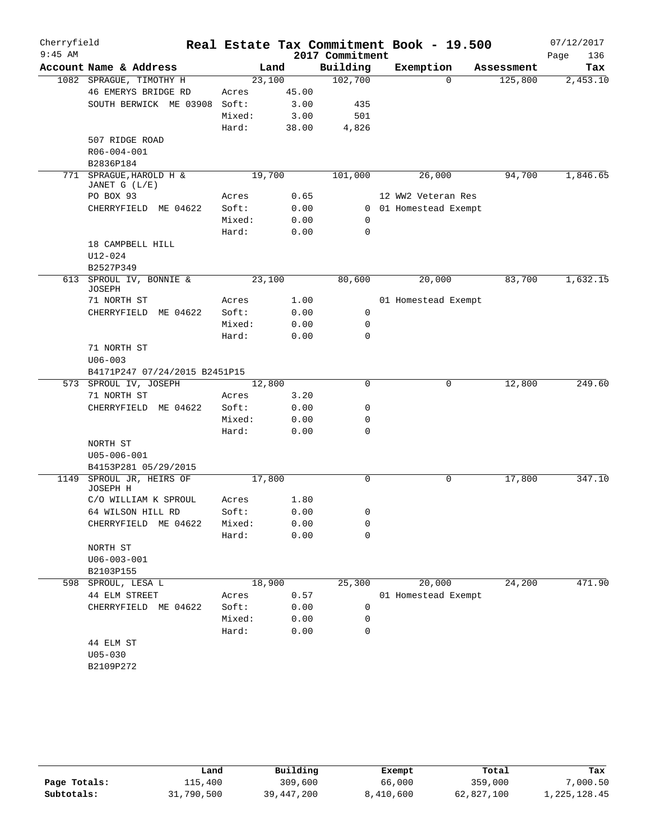| Cherryfield<br>$9:45$ AM |                                      |                |              |                             | Real Estate Tax Commitment Book - 19.500 |            | 07/12/2017         |
|--------------------------|--------------------------------------|----------------|--------------|-----------------------------|------------------------------------------|------------|--------------------|
|                          | Account Name & Address               |                | Land         | 2017 Commitment<br>Building | Exemption                                | Assessment | Page<br>136<br>Tax |
|                          | 1082 SPRAGUE, TIMOTHY H              | 23,100         |              | 102,700                     | $\Omega$                                 | 125,800    | 2,453.10           |
|                          | 46 EMERYS BRIDGE RD                  | Acres          | 45.00        |                             |                                          |            |                    |
|                          | SOUTH BERWICK ME 03908               | Soft:          | 3.00         | 435                         |                                          |            |                    |
|                          |                                      | Mixed:         | 3.00         | 501                         |                                          |            |                    |
|                          |                                      | Hard:          | 38.00        | 4,826                       |                                          |            |                    |
|                          | 507 RIDGE ROAD                       |                |              |                             |                                          |            |                    |
|                          | R06-004-001                          |                |              |                             |                                          |            |                    |
|                          | B2836P184                            |                |              |                             |                                          |            |                    |
|                          | 771 SPRAGUE, HAROLD H &              | 19,700         |              | 101,000                     | 26,000                                   | 94,700     | 1,846.65           |
|                          | JANET G (L/E)<br>PO BOX 93           |                |              |                             |                                          |            |                    |
|                          |                                      | Acres<br>Soft: | 0.65<br>0.00 |                             | 12 WW2 Veteran Res                       |            |                    |
|                          | CHERRYFIELD ME 04622                 | Mixed:         | 0.00         | $\mathbf 0$                 | 0 01 Homestead Exempt                    |            |                    |
|                          |                                      | Hard:          | 0.00         | $\mathbf 0$                 |                                          |            |                    |
|                          | 18 CAMPBELL HILL                     |                |              |                             |                                          |            |                    |
|                          | U12-024                              |                |              |                             |                                          |            |                    |
|                          | B2527P349                            |                |              |                             |                                          |            |                    |
|                          | 613 SPROUL IV, BONNIE &<br>JOSEPH    | 23,100         |              | 80,600                      | 20,000                                   | 83,700     | 1,632.15           |
|                          | 71 NORTH ST                          | Acres          | 1.00         |                             | 01 Homestead Exempt                      |            |                    |
|                          | CHERRYFIELD<br>ME 04622              | Soft:          | 0.00         | 0                           |                                          |            |                    |
|                          |                                      | Mixed:         | 0.00         | 0                           |                                          |            |                    |
|                          |                                      | Hard:          | 0.00         | $\Omega$                    |                                          |            |                    |
|                          | 71 NORTH ST                          |                |              |                             |                                          |            |                    |
|                          | $U06 - 003$                          |                |              |                             |                                          |            |                    |
|                          | B4171P247 07/24/2015 B2451P15        |                |              |                             |                                          |            |                    |
|                          | 573 SPROUL IV, JOSEPH                | 12,800         |              | 0                           | 0                                        | 12,800     | 249.60             |
|                          | 71 NORTH ST                          | Acres          | 3.20         |                             |                                          |            |                    |
|                          | CHERRYFIELD ME 04622                 | Soft:          | 0.00         | 0                           |                                          |            |                    |
|                          |                                      | Mixed:         | 0.00         | 0                           |                                          |            |                    |
|                          |                                      | Hard:          | 0.00         | $\mathbf 0$                 |                                          |            |                    |
|                          | NORTH ST                             |                |              |                             |                                          |            |                    |
|                          | $U05 - 006 - 001$                    |                |              |                             |                                          |            |                    |
|                          | B4153P281 05/29/2015                 |                |              |                             |                                          |            |                    |
|                          | 1149 SPROUL JR, HEIRS OF<br>JOSEPH H | 17,800         |              | 0                           | 0                                        | 17,800     | 347.10             |
|                          | C/O WILLIAM K SPROUL                 | Acres          | 1.80         |                             |                                          |            |                    |
|                          | 64 WILSON HILL RD                    | Soft:          | 0.00         | 0                           |                                          |            |                    |
|                          | CHERRYFIELD<br>ME 04622              | Mixed:         | 0.00         | 0                           |                                          |            |                    |
|                          |                                      | Hard:          | 0.00         | 0                           |                                          |            |                    |
|                          | NORTH ST<br>$U06 - 003 - 001$        |                |              |                             |                                          |            |                    |
|                          | B2103P155                            |                |              |                             |                                          |            |                    |
| 598                      | SPROUL, LESA L                       | 18,900         |              | 25,300                      | 20,000                                   | 24,200     | 471.90             |
|                          | 44 ELM STREET                        | Acres          | 0.57         |                             | 01 Homestead Exempt                      |            |                    |
|                          | CHERRYFIELD ME 04622                 | Soft:          | 0.00         | 0                           |                                          |            |                    |
|                          |                                      | Mixed:         | 0.00         | 0                           |                                          |            |                    |
|                          |                                      | Hard:          | 0.00         | 0                           |                                          |            |                    |
|                          | 44 ELM ST                            |                |              |                             |                                          |            |                    |
|                          | $U05 - 030$                          |                |              |                             |                                          |            |                    |
|                          | B2109P272                            |                |              |                             |                                          |            |                    |
|                          |                                      |                |              |                             |                                          |            |                    |

|              | Land       | Building   | Exempt    | Total      | Tax          |
|--------------|------------|------------|-----------|------------|--------------|
| Page Totals: | 115,400    | 309,600    | 66,000    | 359,000    | .000.50      |
| Subtotals:   | 31,790,500 | 39,447,200 | 8,410,600 | 62,827,100 | 1,225,128.45 |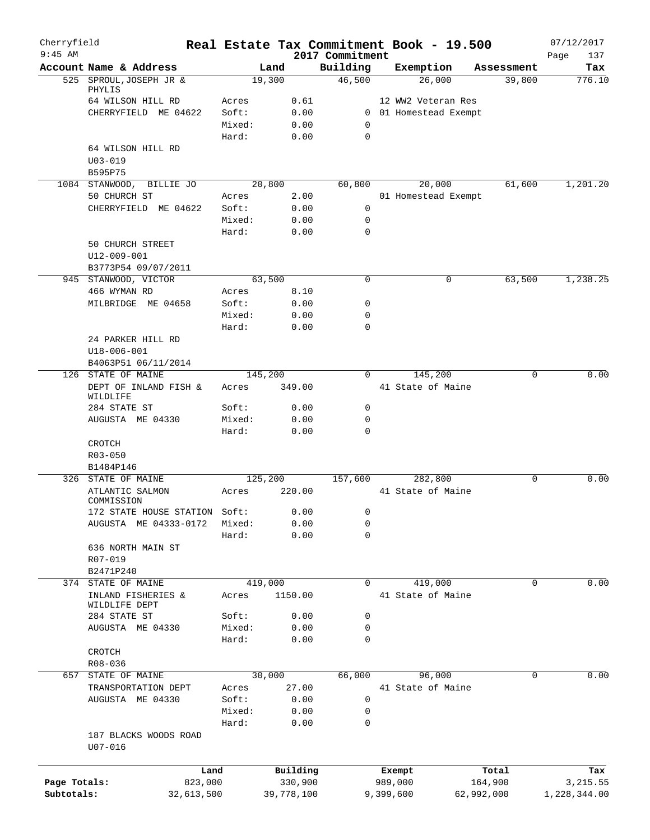| Cherryfield<br>$9:45$ AM |                               |                 |              | 2017 Commitment            | Real Estate Tax Commitment Book - 19.500 |            | 07/12/2017<br>Page<br>137 |
|--------------------------|-------------------------------|-----------------|--------------|----------------------------|------------------------------------------|------------|---------------------------|
|                          | Account Name & Address        | Land            |              | Building                   | Exemption                                | Assessment | Tax                       |
|                          | 525 SPROUL, JOSEPH JR &       | 19,300          |              | 46,500                     | 26,000                                   | 39,800     | 776.10                    |
|                          | PHYLIS                        |                 |              |                            |                                          |            |                           |
|                          | 64 WILSON HILL RD             | Acres           | 0.61         |                            | 12 WW2 Veteran Res                       |            |                           |
|                          | CHERRYFIELD ME 04622          | Soft:           | 0.00         |                            | 0 01 Homestead Exempt                    |            |                           |
|                          |                               | Mixed:<br>Hard: | 0.00<br>0.00 | $\mathbf 0$<br>$\mathbf 0$ |                                          |            |                           |
|                          | 64 WILSON HILL RD             |                 |              |                            |                                          |            |                           |
|                          | $U03 - 019$                   |                 |              |                            |                                          |            |                           |
|                          | B595P75                       |                 |              |                            |                                          |            |                           |
|                          | 1084 STANWOOD, BILLIE JO      | 20,800          |              | 60,800                     | 20,000                                   | 61,600     | 1,201.20                  |
|                          | 50 CHURCH ST                  | Acres           | 2.00         |                            | 01 Homestead Exempt                      |            |                           |
|                          | CHERRYFIELD ME 04622          | Soft:           | 0.00         | 0                          |                                          |            |                           |
|                          |                               | Mixed:          | 0.00         | $\mathbf 0$                |                                          |            |                           |
|                          |                               | Hard:           | 0.00         | 0                          |                                          |            |                           |
|                          | 50 CHURCH STREET              |                 |              |                            |                                          |            |                           |
|                          | $U12 - 009 - 001$             |                 |              |                            |                                          |            |                           |
|                          | B3773P54 09/07/2011           |                 |              |                            |                                          |            |                           |
|                          | 945 STANWOOD, VICTOR          | 63,500          |              | 0                          | 0                                        | 63,500     | 1,238.25                  |
|                          | 466 WYMAN RD                  | Acres           | 8.10         |                            |                                          |            |                           |
|                          | MILBRIDGE ME 04658            | Soft:           | 0.00         | 0                          |                                          |            |                           |
|                          |                               | Mixed:          | 0.00         | 0                          |                                          |            |                           |
|                          | 24 PARKER HILL RD             | Hard:           | 0.00         | 0                          |                                          |            |                           |
|                          | $U18 - 006 - 001$             |                 |              |                            |                                          |            |                           |
|                          | B4063P51 06/11/2014           |                 |              |                            |                                          |            |                           |
|                          | 126 STATE OF MAINE            | 145,200         |              | $\Omega$                   | 145,200                                  | $\Omega$   | 0.00                      |
|                          | DEPT OF INLAND FISH &         | Acres           | 349.00       |                            | 41 State of Maine                        |            |                           |
|                          | WILDLIFE                      |                 |              |                            |                                          |            |                           |
|                          | 284 STATE ST                  | Soft:           | 0.00         | 0                          |                                          |            |                           |
|                          | AUGUSTA ME 04330              | Mixed:          | 0.00         | 0                          |                                          |            |                           |
|                          |                               | Hard:           | 0.00         | 0                          |                                          |            |                           |
|                          | CROTCH                        |                 |              |                            |                                          |            |                           |
|                          | R03-050                       |                 |              |                            |                                          |            |                           |
|                          | B1484P146                     |                 |              |                            |                                          |            |                           |
|                          | 326 STATE OF MAINE            | 125,200         |              | 157,600                    | 282,800                                  | 0          | 0.00                      |
|                          | ATLANTIC SALMON<br>COMMISSION | Acres           | 220.00       |                            | 41 State of Maine                        |            |                           |
|                          | 172 STATE HOUSE STATION Soft: |                 | 0.00         | 0                          |                                          |            |                           |
|                          | AUGUSTA ME 04333-0172         | Mixed:          | 0.00         | 0                          |                                          |            |                           |
|                          |                               | Hard:           | 0.00         | 0                          |                                          |            |                           |
|                          | 636 NORTH MAIN ST             |                 |              |                            |                                          |            |                           |
|                          | R07-019                       |                 |              |                            |                                          |            |                           |
|                          | B2471P240                     |                 |              |                            |                                          |            |                           |
|                          | 374 STATE OF MAINE            | 419,000         |              | 0                          | 419,000                                  | 0          | 0.00                      |
|                          | INLAND FISHERIES &            | Acres           | 1150.00      |                            | 41 State of Maine                        |            |                           |
|                          | WILDLIFE DEPT                 |                 |              |                            |                                          |            |                           |
|                          | 284 STATE ST                  | Soft:           | 0.00         | 0                          |                                          |            |                           |
|                          | AUGUSTA ME 04330              | Mixed:<br>Hard: | 0.00<br>0.00 | 0<br>0                     |                                          |            |                           |
|                          | CROTCH                        |                 |              |                            |                                          |            |                           |
|                          | R08-036                       |                 |              |                            |                                          |            |                           |
|                          | 657 STATE OF MAINE            | 30,000          |              | 66,000                     | 96,000                                   | 0          | 0.00                      |
|                          | TRANSPORTATION DEPT           | Acres           | 27.00        |                            | 41 State of Maine                        |            |                           |
|                          | AUGUSTA ME 04330              | Soft:           | 0.00         | 0                          |                                          |            |                           |
|                          |                               | Mixed:          | 0.00         | 0                          |                                          |            |                           |
|                          |                               | Hard:           | 0.00         | 0                          |                                          |            |                           |
|                          | 187 BLACKS WOODS ROAD         |                 |              |                            |                                          |            |                           |
|                          | $U07 - 016$                   |                 |              |                            |                                          |            |                           |
|                          |                               |                 |              |                            |                                          |            |                           |
|                          | Land                          |                 | Building     |                            | Exempt                                   | Total      | Tax                       |
| Page Totals:             | 823,000                       |                 | 330,900      |                            | 989,000                                  | 164,900    | 3,215.55                  |
| Subtotals:               | 32,613,500                    |                 | 39,778,100   |                            | 9,399,600                                | 62,992,000 | 1,228,344.00              |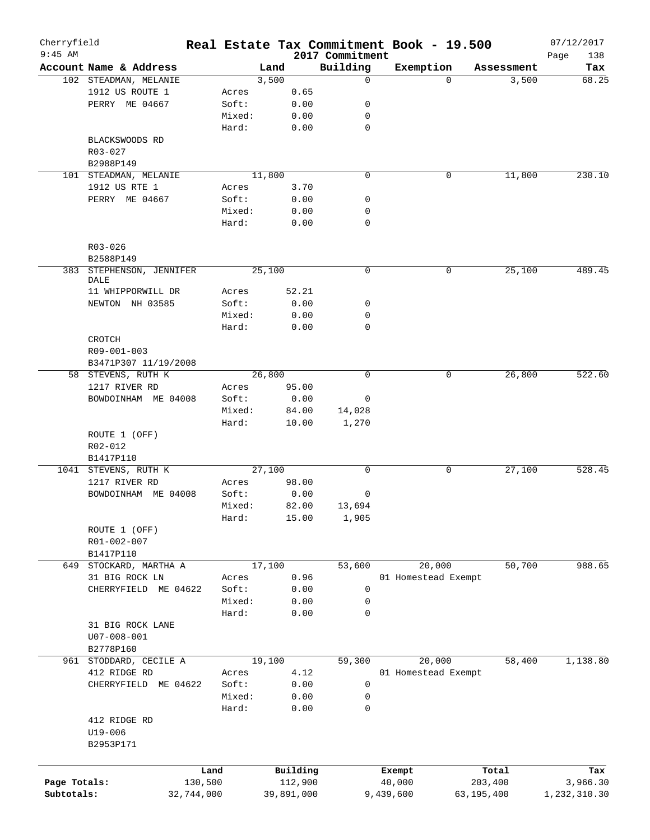| Cherryfield<br>$9:45$ AM |                                  |            |        |            |                             | Real Estate Tax Commitment Book - 19.500 |            |            | 07/12/2017         |
|--------------------------|----------------------------------|------------|--------|------------|-----------------------------|------------------------------------------|------------|------------|--------------------|
|                          | Account Name & Address           |            | Land   |            | 2017 Commitment<br>Building | Exemption                                |            | Assessment | 138<br>Page<br>Tax |
|                          | 102 STEADMAN, MELANIE            |            | 3,500  |            | $\mathbf 0$                 |                                          | $\Omega$   | 3,500      | 68.25              |
|                          | 1912 US ROUTE 1                  |            | Acres  | 0.65       |                             |                                          |            |            |                    |
|                          | PERRY ME 04667                   |            | Soft:  | 0.00       | 0                           |                                          |            |            |                    |
|                          |                                  |            | Mixed: | 0.00       | 0                           |                                          |            |            |                    |
|                          |                                  |            |        |            | $\mathbf 0$                 |                                          |            |            |                    |
|                          |                                  |            | Hard:  | 0.00       |                             |                                          |            |            |                    |
|                          | BLACKSWOODS RD                   |            |        |            |                             |                                          |            |            |                    |
|                          | $R03 - 027$                      |            |        |            |                             |                                          |            |            |                    |
|                          | B2988P149                        |            |        |            |                             |                                          |            |            |                    |
|                          | 101 STEADMAN, MELANIE            |            | 11,800 |            | $\mathbf 0$                 |                                          | 0          | 11,800     | 230.10             |
|                          | 1912 US RTE 1                    |            | Acres  | 3.70       |                             |                                          |            |            |                    |
|                          | PERRY ME 04667                   |            | Soft:  | 0.00       | 0                           |                                          |            |            |                    |
|                          |                                  |            | Mixed: | 0.00       | 0                           |                                          |            |            |                    |
|                          |                                  |            | Hard:  | 0.00       | $\mathbf 0$                 |                                          |            |            |                    |
|                          | R03-026                          |            |        |            |                             |                                          |            |            |                    |
|                          | B2588P149                        |            |        |            |                             |                                          |            |            |                    |
|                          | 383 STEPHENSON, JENNIFER<br>DALE |            | 25,100 |            | 0                           |                                          | 0          | 25,100     | 489.45             |
|                          | 11 WHIPPORWILL DR                |            | Acres  | 52.21      |                             |                                          |            |            |                    |
|                          | NEWTON NH 03585                  |            | Soft:  | 0.00       | 0                           |                                          |            |            |                    |
|                          |                                  |            | Mixed: | 0.00       | 0                           |                                          |            |            |                    |
|                          |                                  |            | Hard:  | 0.00       | 0                           |                                          |            |            |                    |
|                          | CROTCH                           |            |        |            |                             |                                          |            |            |                    |
|                          | R09-001-003                      |            |        |            |                             |                                          |            |            |                    |
|                          |                                  |            |        |            |                             |                                          |            |            |                    |
|                          | B3471P307 11/19/2008             |            | 26,800 |            | 0                           |                                          | 0          | 26,800     | 522.60             |
|                          | 58 STEVENS, RUTH K               |            |        |            |                             |                                          |            |            |                    |
|                          | 1217 RIVER RD                    |            | Acres  | 95.00      |                             |                                          |            |            |                    |
|                          | BOWDOINHAM ME 04008              |            | Soft:  | 0.00       | 0                           |                                          |            |            |                    |
|                          |                                  |            | Mixed: | 84.00      | 14,028                      |                                          |            |            |                    |
|                          |                                  |            | Hard:  | 10.00      | 1,270                       |                                          |            |            |                    |
|                          | ROUTE 1 (OFF)                    |            |        |            |                             |                                          |            |            |                    |
|                          | R02-012                          |            |        |            |                             |                                          |            |            |                    |
|                          | B1417P110                        |            |        |            |                             |                                          |            |            |                    |
|                          | 1041 STEVENS, RUTH K             |            | 27,100 |            | 0                           |                                          | 0          | 27,100     | 528.45             |
|                          | 1217 RIVER RD                    |            | Acres  | 98.00      |                             |                                          |            |            |                    |
|                          | BOWDOINHAM ME 04008              |            | Soft:  | 0.00       | 0                           |                                          |            |            |                    |
|                          |                                  |            | Mixed: | 82.00      | 13,694                      |                                          |            |            |                    |
|                          |                                  |            | Hard:  | 15.00      | 1,905                       |                                          |            |            |                    |
|                          | ROUTE 1 (OFF)                    |            |        |            |                             |                                          |            |            |                    |
|                          | R01-002-007                      |            |        |            |                             |                                          |            |            |                    |
|                          | B1417P110                        |            |        |            |                             |                                          |            |            |                    |
| 649                      | STOCKARD, MARTHA A               |            | 17,100 |            | 53,600                      | 20,000                                   |            | 50,700     | 988.65             |
|                          | 31 BIG ROCK LN                   |            | Acres  | 0.96       |                             | 01 Homestead Exempt                      |            |            |                    |
|                          | CHERRYFIELD ME 04622             |            | Soft:  | 0.00       | $\mathbf 0$                 |                                          |            |            |                    |
|                          |                                  |            | Mixed: | 0.00       | 0                           |                                          |            |            |                    |
|                          |                                  |            | Hard:  | 0.00       | 0                           |                                          |            |            |                    |
|                          | 31 BIG ROCK LANE                 |            |        |            |                             |                                          |            |            |                    |
|                          | $U07 - 008 - 001$                |            |        |            |                             |                                          |            |            |                    |
|                          | B2778P160                        |            |        |            |                             |                                          |            |            |                    |
|                          | 961 STODDARD, CECILE A           |            | 19,100 |            | 59,300                      | 20,000                                   |            | 58,400     | 1,138.80           |
|                          | 412 RIDGE RD                     |            | Acres  | 4.12       |                             | 01 Homestead Exempt                      |            |            |                    |
|                          | CHERRYFIELD ME 04622             |            | Soft:  | 0.00       | 0                           |                                          |            |            |                    |
|                          |                                  |            | Mixed: | 0.00       | 0                           |                                          |            |            |                    |
|                          |                                  |            | Hard:  | 0.00       | 0                           |                                          |            |            |                    |
|                          | 412 RIDGE RD                     |            |        |            |                             |                                          |            |            |                    |
|                          | U19-006                          |            |        |            |                             |                                          |            |            |                    |
|                          | B2953P171                        |            |        |            |                             |                                          |            |            |                    |
|                          |                                  |            |        |            |                             |                                          |            |            |                    |
|                          |                                  | Land       |        | Building   |                             | Exempt                                   |            | Total      | Tax                |
| Page Totals:             |                                  | 130,500    |        | 112,900    |                             | 40,000                                   | 203,400    |            | 3,966.30           |
| Subtotals:               |                                  | 32,744,000 |        | 39,891,000 |                             | 9,439,600                                | 63,195,400 |            | 1,232,310.30       |
|                          |                                  |            |        |            |                             |                                          |            |            |                    |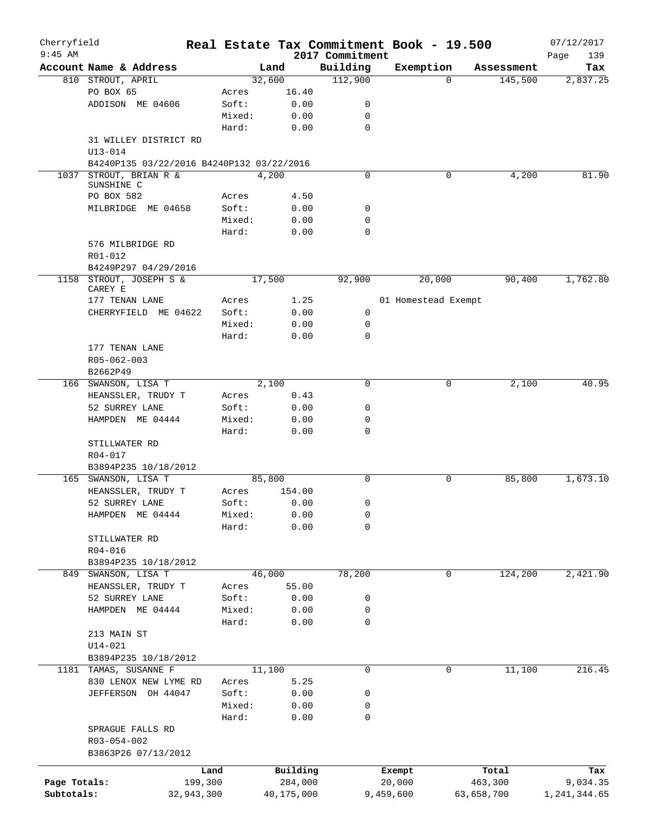| Cherryfield  |                                           |            |        |            |                 | Real Estate Tax Commitment Book - 19.500 |                     | 07/12/2017         |
|--------------|-------------------------------------------|------------|--------|------------|-----------------|------------------------------------------|---------------------|--------------------|
| $9:45$ AM    |                                           |            |        |            | 2017 Commitment |                                          |                     | Page<br>139        |
|              | Account Name & Address                    |            | Land   |            | Building        | Exemption                                | Assessment          | Tax                |
|              | 810 STROUT, APRIL                         |            | 32,600 |            | 112,900         |                                          | 145,500<br>$\Omega$ | 2,837.25           |
|              | PO BOX 65                                 |            | Acres  | 16.40      |                 |                                          |                     |                    |
|              | ADDISON ME 04606                          |            | Soft:  | 0.00       | 0               |                                          |                     |                    |
|              |                                           |            | Mixed: | 0.00       | 0               |                                          |                     |                    |
|              |                                           |            | Hard:  | 0.00       | $\mathbf 0$     |                                          |                     |                    |
|              | 31 WILLEY DISTRICT RD                     |            |        |            |                 |                                          |                     |                    |
|              | U13-014                                   |            |        |            |                 |                                          |                     |                    |
|              | B4240P135 03/22/2016 B4240P132 03/22/2016 |            |        |            |                 |                                          |                     |                    |
| 1037         | STROUT, BRIAN R &                         |            | 4,200  |            | $\mathbf 0$     |                                          | 0                   | 4,200<br>81.90     |
|              | SUNSHINE C                                |            |        |            |                 |                                          |                     |                    |
|              | PO BOX 582                                |            | Acres  | 4.50       |                 |                                          |                     |                    |
|              | MILBRIDGE ME 04658                        |            | Soft:  | 0.00       | 0               |                                          |                     |                    |
|              |                                           |            | Mixed: | 0.00       | $\mathbf 0$     |                                          |                     |                    |
|              |                                           |            | Hard:  | 0.00       | $\mathbf 0$     |                                          |                     |                    |
|              | 576 MILBRIDGE RD                          |            |        |            |                 |                                          |                     |                    |
|              | R01-012                                   |            |        |            |                 |                                          |                     |                    |
|              | B4249P297 04/29/2016                      |            |        |            |                 |                                          |                     |                    |
| 1158         | STROUT, JOSEPH S &<br>CAREY E             |            | 17,500 |            | 92,900          | 20,000                                   |                     | 90,400<br>1,762.80 |
|              | 177 TENAN LANE                            |            | Acres  | 1.25       |                 | 01 Homestead Exempt                      |                     |                    |
|              | CHERRYFIELD ME 04622                      |            | Soft:  | 0.00       | 0               |                                          |                     |                    |
|              |                                           |            | Mixed: | 0.00       | 0               |                                          |                     |                    |
|              |                                           |            | Hard:  | 0.00       | $\Omega$        |                                          |                     |                    |
|              | 177 TENAN LANE                            |            |        |            |                 |                                          |                     |                    |
|              | R05-062-003                               |            |        |            |                 |                                          |                     |                    |
|              | B2662P49                                  |            |        |            |                 |                                          |                     |                    |
|              | 166 SWANSON, LISA T                       |            | 2,100  |            | $\mathbf 0$     |                                          | 0                   | 2,100<br>40.95     |
|              | HEANSSLER, TRUDY T                        |            | Acres  | 0.43       |                 |                                          |                     |                    |
|              | 52 SURREY LANE                            |            | Soft:  | 0.00       | $\mathbf 0$     |                                          |                     |                    |
|              |                                           |            |        |            | $\mathbf 0$     |                                          |                     |                    |
|              | HAMPDEN ME 04444                          |            | Mixed: | 0.00       |                 |                                          |                     |                    |
|              |                                           |            | Hard:  | 0.00       | $\mathbf 0$     |                                          |                     |                    |
|              | STILLWATER RD                             |            |        |            |                 |                                          |                     |                    |
|              | R04-017                                   |            |        |            |                 |                                          |                     |                    |
|              | B3894P235 10/18/2012                      |            |        |            |                 |                                          |                     |                    |
|              | 165 SWANSON, LISA T                       |            | 85,800 |            | $\mathbf 0$     |                                          | 0                   | 85,800<br>1,673.10 |
|              | HEANSSLER, TRUDY T                        |            | Acres  | 154.00     |                 |                                          |                     |                    |
|              | 52 SURREY LANE                            |            | Soft:  | 0.00       | 0               |                                          |                     |                    |
|              | HAMPDEN ME 04444                          |            | Mixed: | 0.00       | 0               |                                          |                     |                    |
|              |                                           |            | Hard:  | 0.00       | 0               |                                          |                     |                    |
|              | STILLWATER RD                             |            |        |            |                 |                                          |                     |                    |
|              | R04-016                                   |            |        |            |                 |                                          |                     |                    |
|              | B3894P235 10/18/2012                      |            |        |            |                 |                                          |                     |                    |
|              | 849 SWANSON, LISA T                       |            | 46,000 |            | 78,200          |                                          | 124,200<br>0        | 2,421.90           |
|              | HEANSSLER, TRUDY T                        |            | Acres  | 55.00      |                 |                                          |                     |                    |
|              | 52 SURREY LANE                            |            | Soft:  | 0.00       | 0               |                                          |                     |                    |
|              | HAMPDEN ME 04444                          |            | Mixed: | 0.00       | 0               |                                          |                     |                    |
|              |                                           |            | Hard:  | 0.00       | $\mathsf{O}$    |                                          |                     |                    |
|              | 213 MAIN ST                               |            |        |            |                 |                                          |                     |                    |
|              | $U14 - 021$                               |            |        |            |                 |                                          |                     |                    |
|              | B3894P235 10/18/2012                      |            |        |            |                 |                                          |                     |                    |
|              | 1181 TAMAS, SUSANNE F                     |            | 11,100 |            | 0               |                                          | 0                   | 11,100<br>216.45   |
|              | 830 LENOX NEW LYME RD                     |            | Acres  | 5.25       |                 |                                          |                     |                    |
|              | JEFFERSON OH 44047                        |            | Soft:  | 0.00       | 0               |                                          |                     |                    |
|              |                                           |            | Mixed: | 0.00       | 0               |                                          |                     |                    |
|              |                                           |            |        |            | 0               |                                          |                     |                    |
|              |                                           |            | Hard:  | 0.00       |                 |                                          |                     |                    |
|              | SPRAGUE FALLS RD                          |            |        |            |                 |                                          |                     |                    |
|              | R03-054-002                               |            |        |            |                 |                                          |                     |                    |
|              | B3863P26 07/13/2012                       |            |        |            |                 |                                          |                     |                    |
|              |                                           | Land       |        | Building   |                 | Exempt                                   | Total               | Tax                |
| Page Totals: |                                           | 199,300    |        | 284,000    |                 | 20,000                                   | 463,300             | 9,034.35           |
| Subtotals:   |                                           | 32,943,300 |        | 40,175,000 |                 | 9,459,600                                | 63,658,700          | 1,241,344.65       |
|              |                                           |            |        |            |                 |                                          |                     |                    |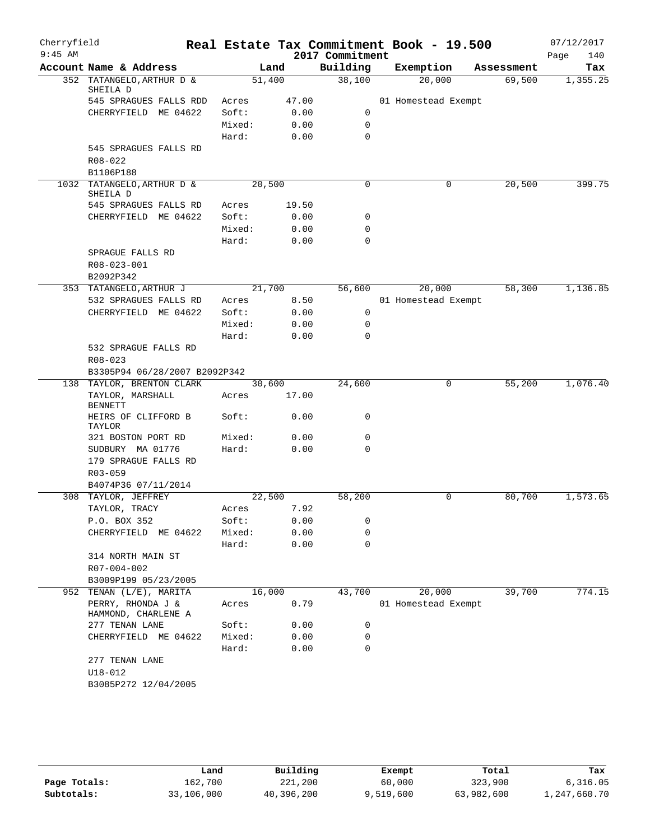| Cherryfield<br>$9:45$ AM |                                          |        |        | 2017 Commitment  | Real Estate Tax Commitment Book - 19.500 |            | 07/12/2017<br>140<br>Page |
|--------------------------|------------------------------------------|--------|--------|------------------|------------------------------------------|------------|---------------------------|
|                          | Account Name & Address                   |        | Land   | Building         | Exemption                                | Assessment | Tax                       |
|                          | 352 TATANGELO, ARTHUR D &<br>SHEILA D    | 51,400 |        | 38,100           | 20,000                                   | 69,500     | 1,355.25                  |
|                          | 545 SPRAGUES FALLS RDD                   | Acres  | 47.00  |                  | 01 Homestead Exempt                      |            |                           |
|                          | CHERRYFIELD ME 04622                     | Soft:  | 0.00   | 0                |                                          |            |                           |
|                          |                                          | Mixed: | 0.00   | $\mathbf 0$      |                                          |            |                           |
|                          |                                          | Hard:  | 0.00   | $\mathbf 0$      |                                          |            |                           |
|                          | 545 SPRAGUES FALLS RD                    |        |        |                  |                                          |            |                           |
|                          | R08-022                                  |        |        |                  |                                          |            |                           |
|                          | B1106P188                                |        |        |                  |                                          |            |                           |
|                          | 1032 TATANGELO, ARTHUR D &<br>SHEILA D   | 20,500 |        | 0                | 0                                        | 20,500     | 399.75                    |
|                          | 545 SPRAGUES FALLS RD                    | Acres  | 19.50  |                  |                                          |            |                           |
|                          | CHERRYFIELD ME 04622                     | Soft:  | 0.00   | 0                |                                          |            |                           |
|                          |                                          | Mixed: | 0.00   | 0                |                                          |            |                           |
|                          |                                          | Hard:  | 0.00   | $\mathbf 0$      |                                          |            |                           |
|                          | SPRAGUE FALLS RD                         |        |        |                  |                                          |            |                           |
|                          | R08-023-001<br>B2092P342                 |        |        |                  |                                          |            |                           |
|                          | 353 TATANGELO, ARTHUR J                  | 21,700 |        | 56,600           | 20,000                                   | 58,300     | 1,136.85                  |
|                          | 532 SPRAGUES FALLS RD                    | Acres  | 8.50   |                  | 01 Homestead Exempt                      |            |                           |
|                          | CHERRYFIELD ME 04622                     | Soft:  | 0.00   | 0                |                                          |            |                           |
|                          |                                          | Mixed: | 0.00   | 0                |                                          |            |                           |
|                          |                                          | Hard:  | 0.00   | $\mathbf 0$      |                                          |            |                           |
|                          | 532 SPRAGUE FALLS RD<br>$R08 - 023$      |        |        |                  |                                          |            |                           |
|                          | B3305P94 06/28/2007 B2092P342            |        |        |                  |                                          |            |                           |
|                          | 138 TAYLOR, BRENTON CLARK                |        | 30,600 | 24,600           | 0                                        | 55,200     | 1,076.40                  |
|                          | TAYLOR, MARSHALL<br><b>BENNETT</b>       | Acres  | 17.00  |                  |                                          |            |                           |
|                          | HEIRS OF CLIFFORD B<br>TAYLOR            | Soft:  | 0.00   | 0                |                                          |            |                           |
|                          | 321 BOSTON PORT RD                       | Mixed: | 0.00   | 0                |                                          |            |                           |
|                          | SUDBURY MA 01776                         | Hard:  | 0.00   | $\Omega$         |                                          |            |                           |
|                          | 179 SPRAGUE FALLS RD                     |        |        |                  |                                          |            |                           |
|                          | R03-059                                  |        |        |                  |                                          |            |                           |
|                          | B4074P36 07/11/2014                      |        |        |                  |                                          |            |                           |
|                          | 308 TAYLOR, JEFFREY                      | 22,500 |        | 58,200           | 0                                        | 80,700     | 1,573.65                  |
|                          | TAYLOR, TRACY                            | Acres  | 7.92   |                  |                                          |            |                           |
|                          | P.O. BOX 352                             | Soft:  | 0.00   | 0                |                                          |            |                           |
|                          | CHERRYFIELD ME 04622                     | Mixed: | 0.00   | 0<br>$\mathbf 0$ |                                          |            |                           |
|                          | 314 NORTH MAIN ST                        | Hard:  | 0.00   |                  |                                          |            |                           |
|                          | R07-004-002                              |        |        |                  |                                          |            |                           |
|                          | B3009P199 05/23/2005                     |        |        |                  |                                          |            |                           |
|                          | 952 TENAN (L/E), MARITA                  | 16,000 |        | 43,700           | 20,000                                   | 39,700     | 774.15                    |
|                          | PERRY, RHONDA J &<br>HAMMOND, CHARLENE A | Acres  | 0.79   |                  | 01 Homestead Exempt                      |            |                           |
|                          | 277 TENAN LANE                           | Soft:  | 0.00   | 0                |                                          |            |                           |
|                          | CHERRYFIELD ME 04622                     | Mixed: | 0.00   | 0                |                                          |            |                           |
|                          |                                          | Hard:  | 0.00   | 0                |                                          |            |                           |
|                          | 277 TENAN LANE                           |        |        |                  |                                          |            |                           |
|                          | $U18 - 012$                              |        |        |                  |                                          |            |                           |
|                          | B3085P272 12/04/2005                     |        |        |                  |                                          |            |                           |
|                          |                                          |        |        |                  |                                          |            |                           |

|              | Land       | Building   | Exempt    | Total      | Tax          |
|--------------|------------|------------|-----------|------------|--------------|
| Page Totals: | 162.700    | 221,200    | 60,000    | 323,900    | 6,316.05     |
| Subtotals:   | 33,106,000 | 40,396,200 | 9,519,600 | 63,982,600 | 1,247,660.70 |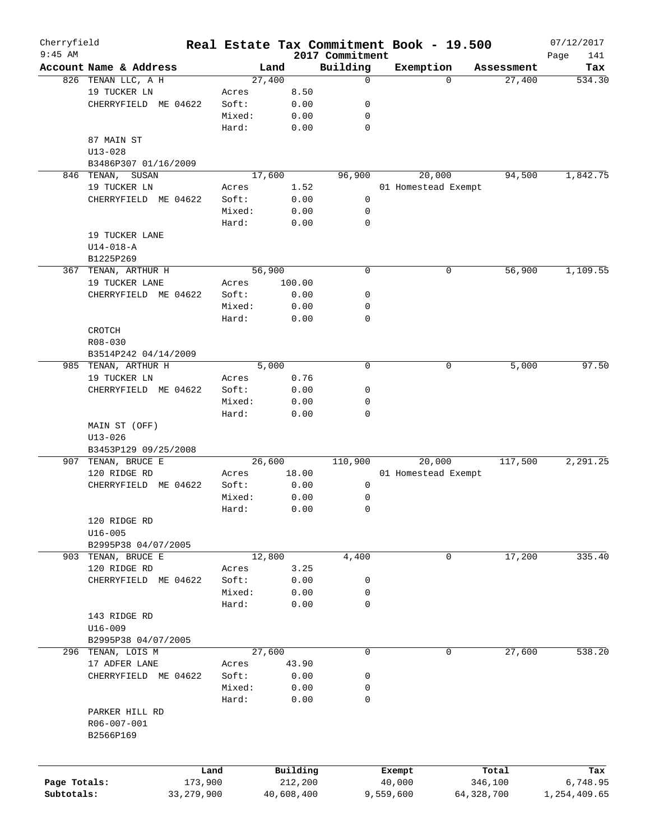| 2017 Commitment<br>Building<br>Account Name & Address<br>Exemption<br>Land<br>Assessment<br>826 TENAN LLC, A H<br>27,400<br>27,400<br>0<br>$\Omega$<br>19 TUCKER LN<br>8.50<br>Acres<br>CHERRYFIELD ME 04622<br>Soft:<br>0.00<br>0<br>Mixed:<br>0.00<br>0<br>Hard:<br>0.00<br>0<br>87 MAIN ST<br>$U13 - 028$<br>B3486P307 01/16/2009<br>846 TENAN, SUSAN<br>17,600<br>96,900<br>20,000<br>94,500<br>19 TUCKER LN<br>1.52<br>01 Homestead Exempt<br>Acres<br>CHERRYFIELD ME 04622<br>Soft:<br>0.00<br>0<br>Mixed:<br>0.00<br>0<br>$\mathbf 0$<br>Hard:<br>0.00<br>19 TUCKER LANE<br>$U14 - 018 - A$<br>B1225P269<br>367 TENAN, ARTHUR H<br>56,900<br>0<br>56,900<br>0<br>19 TUCKER LANE<br>Acres<br>100.00<br>CHERRYFIELD ME 04622<br>Soft:<br>0.00<br>0<br>Mixed:<br>0.00<br>0<br>0<br>Hard:<br>0.00<br>CROTCH<br>R08-030<br>B3514P242 04/14/2009<br>985 TENAN, ARTHUR H<br>5,000<br>0<br>5,000<br>0<br>19 TUCKER LN<br>0.76<br>Acres<br>CHERRYFIELD ME 04622<br>Soft:<br>0.00<br>0<br>Mixed:<br>0.00<br>0<br>0<br>Hard:<br>0.00<br>MAIN ST (OFF)<br>$U13 - 026$<br>B3453P129 09/25/2008<br>TENAN, BRUCE E<br>110,900<br>20,000<br>117,500<br>907<br>26,600<br>120 RIDGE RD<br>18.00<br>01 Homestead Exempt<br>Acres<br>CHERRYFIELD ME 04622<br>Soft:<br>0.00<br>0<br>Mixed:<br>0.00<br>0<br>0<br>Hard:<br>0.00<br>120 RIDGE RD<br>$U16 - 005$<br>B2995P38 04/07/2005<br>903 TENAN, BRUCE E<br>12,800<br>4,400<br>17,200<br>0<br>120 RIDGE RD<br>Acres<br>3.25<br>CHERRYFIELD ME 04622<br>Soft:<br>0.00<br>0<br>Mixed:<br>0.00<br>0<br>0<br>Hard:<br>0.00<br>143 RIDGE RD<br>$U16 - 009$<br>B2995P38 04/07/2005<br>296 TENAN, LOIS M<br>27,600<br>0<br>0<br>27,600<br>17 ADFER LANE<br>Acres<br>43.90<br>CHERRYFIELD ME 04622<br>Soft:<br>0.00<br>0<br>Mixed:<br>0.00<br>0<br>$\mathbf 0$<br>Hard:<br>0.00<br>PARKER HILL RD<br>R06-007-001<br>B2566P169<br>Building<br>Land<br>Exempt<br>Total<br>Page Totals:<br>173,900<br>212,200<br>346,100<br>40,000<br>Subtotals:<br>33,279,900<br>40,608,400<br>9,559,600<br>64,328,700 | Cherryfield<br>$9:45$ AM |  |  | Real Estate Tax Commitment Book - 19.500 |      | 07/12/2017   |
|---------------------------------------------------------------------------------------------------------------------------------------------------------------------------------------------------------------------------------------------------------------------------------------------------------------------------------------------------------------------------------------------------------------------------------------------------------------------------------------------------------------------------------------------------------------------------------------------------------------------------------------------------------------------------------------------------------------------------------------------------------------------------------------------------------------------------------------------------------------------------------------------------------------------------------------------------------------------------------------------------------------------------------------------------------------------------------------------------------------------------------------------------------------------------------------------------------------------------------------------------------------------------------------------------------------------------------------------------------------------------------------------------------------------------------------------------------------------------------------------------------------------------------------------------------------------------------------------------------------------------------------------------------------------------------------------------------------------------------------------------------------------------------------------------------------------------------------------------------------------------------------------------------------------------------------------------------------------------------------------------------------------------------|--------------------------|--|--|------------------------------------------|------|--------------|
|                                                                                                                                                                                                                                                                                                                                                                                                                                                                                                                                                                                                                                                                                                                                                                                                                                                                                                                                                                                                                                                                                                                                                                                                                                                                                                                                                                                                                                                                                                                                                                                                                                                                                                                                                                                                                                                                                                                                                                                                                                 |                          |  |  |                                          | Page | 141<br>Tax   |
|                                                                                                                                                                                                                                                                                                                                                                                                                                                                                                                                                                                                                                                                                                                                                                                                                                                                                                                                                                                                                                                                                                                                                                                                                                                                                                                                                                                                                                                                                                                                                                                                                                                                                                                                                                                                                                                                                                                                                                                                                                 |                          |  |  |                                          |      | 534.30       |
|                                                                                                                                                                                                                                                                                                                                                                                                                                                                                                                                                                                                                                                                                                                                                                                                                                                                                                                                                                                                                                                                                                                                                                                                                                                                                                                                                                                                                                                                                                                                                                                                                                                                                                                                                                                                                                                                                                                                                                                                                                 |                          |  |  |                                          |      |              |
|                                                                                                                                                                                                                                                                                                                                                                                                                                                                                                                                                                                                                                                                                                                                                                                                                                                                                                                                                                                                                                                                                                                                                                                                                                                                                                                                                                                                                                                                                                                                                                                                                                                                                                                                                                                                                                                                                                                                                                                                                                 |                          |  |  |                                          |      |              |
|                                                                                                                                                                                                                                                                                                                                                                                                                                                                                                                                                                                                                                                                                                                                                                                                                                                                                                                                                                                                                                                                                                                                                                                                                                                                                                                                                                                                                                                                                                                                                                                                                                                                                                                                                                                                                                                                                                                                                                                                                                 |                          |  |  |                                          |      |              |
|                                                                                                                                                                                                                                                                                                                                                                                                                                                                                                                                                                                                                                                                                                                                                                                                                                                                                                                                                                                                                                                                                                                                                                                                                                                                                                                                                                                                                                                                                                                                                                                                                                                                                                                                                                                                                                                                                                                                                                                                                                 |                          |  |  |                                          |      |              |
|                                                                                                                                                                                                                                                                                                                                                                                                                                                                                                                                                                                                                                                                                                                                                                                                                                                                                                                                                                                                                                                                                                                                                                                                                                                                                                                                                                                                                                                                                                                                                                                                                                                                                                                                                                                                                                                                                                                                                                                                                                 |                          |  |  |                                          |      |              |
|                                                                                                                                                                                                                                                                                                                                                                                                                                                                                                                                                                                                                                                                                                                                                                                                                                                                                                                                                                                                                                                                                                                                                                                                                                                                                                                                                                                                                                                                                                                                                                                                                                                                                                                                                                                                                                                                                                                                                                                                                                 |                          |  |  |                                          |      |              |
|                                                                                                                                                                                                                                                                                                                                                                                                                                                                                                                                                                                                                                                                                                                                                                                                                                                                                                                                                                                                                                                                                                                                                                                                                                                                                                                                                                                                                                                                                                                                                                                                                                                                                                                                                                                                                                                                                                                                                                                                                                 |                          |  |  |                                          |      |              |
|                                                                                                                                                                                                                                                                                                                                                                                                                                                                                                                                                                                                                                                                                                                                                                                                                                                                                                                                                                                                                                                                                                                                                                                                                                                                                                                                                                                                                                                                                                                                                                                                                                                                                                                                                                                                                                                                                                                                                                                                                                 |                          |  |  |                                          |      | 1,842.75     |
|                                                                                                                                                                                                                                                                                                                                                                                                                                                                                                                                                                                                                                                                                                                                                                                                                                                                                                                                                                                                                                                                                                                                                                                                                                                                                                                                                                                                                                                                                                                                                                                                                                                                                                                                                                                                                                                                                                                                                                                                                                 |                          |  |  |                                          |      |              |
|                                                                                                                                                                                                                                                                                                                                                                                                                                                                                                                                                                                                                                                                                                                                                                                                                                                                                                                                                                                                                                                                                                                                                                                                                                                                                                                                                                                                                                                                                                                                                                                                                                                                                                                                                                                                                                                                                                                                                                                                                                 |                          |  |  |                                          |      |              |
|                                                                                                                                                                                                                                                                                                                                                                                                                                                                                                                                                                                                                                                                                                                                                                                                                                                                                                                                                                                                                                                                                                                                                                                                                                                                                                                                                                                                                                                                                                                                                                                                                                                                                                                                                                                                                                                                                                                                                                                                                                 |                          |  |  |                                          |      |              |
|                                                                                                                                                                                                                                                                                                                                                                                                                                                                                                                                                                                                                                                                                                                                                                                                                                                                                                                                                                                                                                                                                                                                                                                                                                                                                                                                                                                                                                                                                                                                                                                                                                                                                                                                                                                                                                                                                                                                                                                                                                 |                          |  |  |                                          |      |              |
|                                                                                                                                                                                                                                                                                                                                                                                                                                                                                                                                                                                                                                                                                                                                                                                                                                                                                                                                                                                                                                                                                                                                                                                                                                                                                                                                                                                                                                                                                                                                                                                                                                                                                                                                                                                                                                                                                                                                                                                                                                 |                          |  |  |                                          |      |              |
|                                                                                                                                                                                                                                                                                                                                                                                                                                                                                                                                                                                                                                                                                                                                                                                                                                                                                                                                                                                                                                                                                                                                                                                                                                                                                                                                                                                                                                                                                                                                                                                                                                                                                                                                                                                                                                                                                                                                                                                                                                 |                          |  |  |                                          |      |              |
|                                                                                                                                                                                                                                                                                                                                                                                                                                                                                                                                                                                                                                                                                                                                                                                                                                                                                                                                                                                                                                                                                                                                                                                                                                                                                                                                                                                                                                                                                                                                                                                                                                                                                                                                                                                                                                                                                                                                                                                                                                 |                          |  |  |                                          |      |              |
|                                                                                                                                                                                                                                                                                                                                                                                                                                                                                                                                                                                                                                                                                                                                                                                                                                                                                                                                                                                                                                                                                                                                                                                                                                                                                                                                                                                                                                                                                                                                                                                                                                                                                                                                                                                                                                                                                                                                                                                                                                 |                          |  |  |                                          |      |              |
|                                                                                                                                                                                                                                                                                                                                                                                                                                                                                                                                                                                                                                                                                                                                                                                                                                                                                                                                                                                                                                                                                                                                                                                                                                                                                                                                                                                                                                                                                                                                                                                                                                                                                                                                                                                                                                                                                                                                                                                                                                 |                          |  |  |                                          |      | 1,109.55     |
|                                                                                                                                                                                                                                                                                                                                                                                                                                                                                                                                                                                                                                                                                                                                                                                                                                                                                                                                                                                                                                                                                                                                                                                                                                                                                                                                                                                                                                                                                                                                                                                                                                                                                                                                                                                                                                                                                                                                                                                                                                 |                          |  |  |                                          |      |              |
|                                                                                                                                                                                                                                                                                                                                                                                                                                                                                                                                                                                                                                                                                                                                                                                                                                                                                                                                                                                                                                                                                                                                                                                                                                                                                                                                                                                                                                                                                                                                                                                                                                                                                                                                                                                                                                                                                                                                                                                                                                 |                          |  |  |                                          |      |              |
|                                                                                                                                                                                                                                                                                                                                                                                                                                                                                                                                                                                                                                                                                                                                                                                                                                                                                                                                                                                                                                                                                                                                                                                                                                                                                                                                                                                                                                                                                                                                                                                                                                                                                                                                                                                                                                                                                                                                                                                                                                 |                          |  |  |                                          |      |              |
|                                                                                                                                                                                                                                                                                                                                                                                                                                                                                                                                                                                                                                                                                                                                                                                                                                                                                                                                                                                                                                                                                                                                                                                                                                                                                                                                                                                                                                                                                                                                                                                                                                                                                                                                                                                                                                                                                                                                                                                                                                 |                          |  |  |                                          |      |              |
|                                                                                                                                                                                                                                                                                                                                                                                                                                                                                                                                                                                                                                                                                                                                                                                                                                                                                                                                                                                                                                                                                                                                                                                                                                                                                                                                                                                                                                                                                                                                                                                                                                                                                                                                                                                                                                                                                                                                                                                                                                 |                          |  |  |                                          |      |              |
|                                                                                                                                                                                                                                                                                                                                                                                                                                                                                                                                                                                                                                                                                                                                                                                                                                                                                                                                                                                                                                                                                                                                                                                                                                                                                                                                                                                                                                                                                                                                                                                                                                                                                                                                                                                                                                                                                                                                                                                                                                 |                          |  |  |                                          |      |              |
|                                                                                                                                                                                                                                                                                                                                                                                                                                                                                                                                                                                                                                                                                                                                                                                                                                                                                                                                                                                                                                                                                                                                                                                                                                                                                                                                                                                                                                                                                                                                                                                                                                                                                                                                                                                                                                                                                                                                                                                                                                 |                          |  |  |                                          |      |              |
|                                                                                                                                                                                                                                                                                                                                                                                                                                                                                                                                                                                                                                                                                                                                                                                                                                                                                                                                                                                                                                                                                                                                                                                                                                                                                                                                                                                                                                                                                                                                                                                                                                                                                                                                                                                                                                                                                                                                                                                                                                 |                          |  |  |                                          |      | 97.50        |
|                                                                                                                                                                                                                                                                                                                                                                                                                                                                                                                                                                                                                                                                                                                                                                                                                                                                                                                                                                                                                                                                                                                                                                                                                                                                                                                                                                                                                                                                                                                                                                                                                                                                                                                                                                                                                                                                                                                                                                                                                                 |                          |  |  |                                          |      |              |
|                                                                                                                                                                                                                                                                                                                                                                                                                                                                                                                                                                                                                                                                                                                                                                                                                                                                                                                                                                                                                                                                                                                                                                                                                                                                                                                                                                                                                                                                                                                                                                                                                                                                                                                                                                                                                                                                                                                                                                                                                                 |                          |  |  |                                          |      |              |
|                                                                                                                                                                                                                                                                                                                                                                                                                                                                                                                                                                                                                                                                                                                                                                                                                                                                                                                                                                                                                                                                                                                                                                                                                                                                                                                                                                                                                                                                                                                                                                                                                                                                                                                                                                                                                                                                                                                                                                                                                                 |                          |  |  |                                          |      |              |
|                                                                                                                                                                                                                                                                                                                                                                                                                                                                                                                                                                                                                                                                                                                                                                                                                                                                                                                                                                                                                                                                                                                                                                                                                                                                                                                                                                                                                                                                                                                                                                                                                                                                                                                                                                                                                                                                                                                                                                                                                                 |                          |  |  |                                          |      |              |
|                                                                                                                                                                                                                                                                                                                                                                                                                                                                                                                                                                                                                                                                                                                                                                                                                                                                                                                                                                                                                                                                                                                                                                                                                                                                                                                                                                                                                                                                                                                                                                                                                                                                                                                                                                                                                                                                                                                                                                                                                                 |                          |  |  |                                          |      |              |
|                                                                                                                                                                                                                                                                                                                                                                                                                                                                                                                                                                                                                                                                                                                                                                                                                                                                                                                                                                                                                                                                                                                                                                                                                                                                                                                                                                                                                                                                                                                                                                                                                                                                                                                                                                                                                                                                                                                                                                                                                                 |                          |  |  |                                          |      |              |
|                                                                                                                                                                                                                                                                                                                                                                                                                                                                                                                                                                                                                                                                                                                                                                                                                                                                                                                                                                                                                                                                                                                                                                                                                                                                                                                                                                                                                                                                                                                                                                                                                                                                                                                                                                                                                                                                                                                                                                                                                                 |                          |  |  |                                          |      |              |
|                                                                                                                                                                                                                                                                                                                                                                                                                                                                                                                                                                                                                                                                                                                                                                                                                                                                                                                                                                                                                                                                                                                                                                                                                                                                                                                                                                                                                                                                                                                                                                                                                                                                                                                                                                                                                                                                                                                                                                                                                                 |                          |  |  |                                          |      | 2, 291.25    |
|                                                                                                                                                                                                                                                                                                                                                                                                                                                                                                                                                                                                                                                                                                                                                                                                                                                                                                                                                                                                                                                                                                                                                                                                                                                                                                                                                                                                                                                                                                                                                                                                                                                                                                                                                                                                                                                                                                                                                                                                                                 |                          |  |  |                                          |      |              |
|                                                                                                                                                                                                                                                                                                                                                                                                                                                                                                                                                                                                                                                                                                                                                                                                                                                                                                                                                                                                                                                                                                                                                                                                                                                                                                                                                                                                                                                                                                                                                                                                                                                                                                                                                                                                                                                                                                                                                                                                                                 |                          |  |  |                                          |      |              |
|                                                                                                                                                                                                                                                                                                                                                                                                                                                                                                                                                                                                                                                                                                                                                                                                                                                                                                                                                                                                                                                                                                                                                                                                                                                                                                                                                                                                                                                                                                                                                                                                                                                                                                                                                                                                                                                                                                                                                                                                                                 |                          |  |  |                                          |      |              |
|                                                                                                                                                                                                                                                                                                                                                                                                                                                                                                                                                                                                                                                                                                                                                                                                                                                                                                                                                                                                                                                                                                                                                                                                                                                                                                                                                                                                                                                                                                                                                                                                                                                                                                                                                                                                                                                                                                                                                                                                                                 |                          |  |  |                                          |      |              |
|                                                                                                                                                                                                                                                                                                                                                                                                                                                                                                                                                                                                                                                                                                                                                                                                                                                                                                                                                                                                                                                                                                                                                                                                                                                                                                                                                                                                                                                                                                                                                                                                                                                                                                                                                                                                                                                                                                                                                                                                                                 |                          |  |  |                                          |      |              |
|                                                                                                                                                                                                                                                                                                                                                                                                                                                                                                                                                                                                                                                                                                                                                                                                                                                                                                                                                                                                                                                                                                                                                                                                                                                                                                                                                                                                                                                                                                                                                                                                                                                                                                                                                                                                                                                                                                                                                                                                                                 |                          |  |  |                                          |      |              |
|                                                                                                                                                                                                                                                                                                                                                                                                                                                                                                                                                                                                                                                                                                                                                                                                                                                                                                                                                                                                                                                                                                                                                                                                                                                                                                                                                                                                                                                                                                                                                                                                                                                                                                                                                                                                                                                                                                                                                                                                                                 |                          |  |  |                                          |      |              |
|                                                                                                                                                                                                                                                                                                                                                                                                                                                                                                                                                                                                                                                                                                                                                                                                                                                                                                                                                                                                                                                                                                                                                                                                                                                                                                                                                                                                                                                                                                                                                                                                                                                                                                                                                                                                                                                                                                                                                                                                                                 |                          |  |  |                                          |      | 335.40       |
|                                                                                                                                                                                                                                                                                                                                                                                                                                                                                                                                                                                                                                                                                                                                                                                                                                                                                                                                                                                                                                                                                                                                                                                                                                                                                                                                                                                                                                                                                                                                                                                                                                                                                                                                                                                                                                                                                                                                                                                                                                 |                          |  |  |                                          |      |              |
|                                                                                                                                                                                                                                                                                                                                                                                                                                                                                                                                                                                                                                                                                                                                                                                                                                                                                                                                                                                                                                                                                                                                                                                                                                                                                                                                                                                                                                                                                                                                                                                                                                                                                                                                                                                                                                                                                                                                                                                                                                 |                          |  |  |                                          |      |              |
|                                                                                                                                                                                                                                                                                                                                                                                                                                                                                                                                                                                                                                                                                                                                                                                                                                                                                                                                                                                                                                                                                                                                                                                                                                                                                                                                                                                                                                                                                                                                                                                                                                                                                                                                                                                                                                                                                                                                                                                                                                 |                          |  |  |                                          |      |              |
|                                                                                                                                                                                                                                                                                                                                                                                                                                                                                                                                                                                                                                                                                                                                                                                                                                                                                                                                                                                                                                                                                                                                                                                                                                                                                                                                                                                                                                                                                                                                                                                                                                                                                                                                                                                                                                                                                                                                                                                                                                 |                          |  |  |                                          |      |              |
|                                                                                                                                                                                                                                                                                                                                                                                                                                                                                                                                                                                                                                                                                                                                                                                                                                                                                                                                                                                                                                                                                                                                                                                                                                                                                                                                                                                                                                                                                                                                                                                                                                                                                                                                                                                                                                                                                                                                                                                                                                 |                          |  |  |                                          |      |              |
|                                                                                                                                                                                                                                                                                                                                                                                                                                                                                                                                                                                                                                                                                                                                                                                                                                                                                                                                                                                                                                                                                                                                                                                                                                                                                                                                                                                                                                                                                                                                                                                                                                                                                                                                                                                                                                                                                                                                                                                                                                 |                          |  |  |                                          |      |              |
|                                                                                                                                                                                                                                                                                                                                                                                                                                                                                                                                                                                                                                                                                                                                                                                                                                                                                                                                                                                                                                                                                                                                                                                                                                                                                                                                                                                                                                                                                                                                                                                                                                                                                                                                                                                                                                                                                                                                                                                                                                 |                          |  |  |                                          |      |              |
|                                                                                                                                                                                                                                                                                                                                                                                                                                                                                                                                                                                                                                                                                                                                                                                                                                                                                                                                                                                                                                                                                                                                                                                                                                                                                                                                                                                                                                                                                                                                                                                                                                                                                                                                                                                                                                                                                                                                                                                                                                 |                          |  |  |                                          |      |              |
|                                                                                                                                                                                                                                                                                                                                                                                                                                                                                                                                                                                                                                                                                                                                                                                                                                                                                                                                                                                                                                                                                                                                                                                                                                                                                                                                                                                                                                                                                                                                                                                                                                                                                                                                                                                                                                                                                                                                                                                                                                 |                          |  |  |                                          |      | 538.20       |
|                                                                                                                                                                                                                                                                                                                                                                                                                                                                                                                                                                                                                                                                                                                                                                                                                                                                                                                                                                                                                                                                                                                                                                                                                                                                                                                                                                                                                                                                                                                                                                                                                                                                                                                                                                                                                                                                                                                                                                                                                                 |                          |  |  |                                          |      |              |
|                                                                                                                                                                                                                                                                                                                                                                                                                                                                                                                                                                                                                                                                                                                                                                                                                                                                                                                                                                                                                                                                                                                                                                                                                                                                                                                                                                                                                                                                                                                                                                                                                                                                                                                                                                                                                                                                                                                                                                                                                                 |                          |  |  |                                          |      |              |
|                                                                                                                                                                                                                                                                                                                                                                                                                                                                                                                                                                                                                                                                                                                                                                                                                                                                                                                                                                                                                                                                                                                                                                                                                                                                                                                                                                                                                                                                                                                                                                                                                                                                                                                                                                                                                                                                                                                                                                                                                                 |                          |  |  |                                          |      |              |
|                                                                                                                                                                                                                                                                                                                                                                                                                                                                                                                                                                                                                                                                                                                                                                                                                                                                                                                                                                                                                                                                                                                                                                                                                                                                                                                                                                                                                                                                                                                                                                                                                                                                                                                                                                                                                                                                                                                                                                                                                                 |                          |  |  |                                          |      |              |
|                                                                                                                                                                                                                                                                                                                                                                                                                                                                                                                                                                                                                                                                                                                                                                                                                                                                                                                                                                                                                                                                                                                                                                                                                                                                                                                                                                                                                                                                                                                                                                                                                                                                                                                                                                                                                                                                                                                                                                                                                                 |                          |  |  |                                          |      |              |
|                                                                                                                                                                                                                                                                                                                                                                                                                                                                                                                                                                                                                                                                                                                                                                                                                                                                                                                                                                                                                                                                                                                                                                                                                                                                                                                                                                                                                                                                                                                                                                                                                                                                                                                                                                                                                                                                                                                                                                                                                                 |                          |  |  |                                          |      |              |
|                                                                                                                                                                                                                                                                                                                                                                                                                                                                                                                                                                                                                                                                                                                                                                                                                                                                                                                                                                                                                                                                                                                                                                                                                                                                                                                                                                                                                                                                                                                                                                                                                                                                                                                                                                                                                                                                                                                                                                                                                                 |                          |  |  |                                          |      |              |
|                                                                                                                                                                                                                                                                                                                                                                                                                                                                                                                                                                                                                                                                                                                                                                                                                                                                                                                                                                                                                                                                                                                                                                                                                                                                                                                                                                                                                                                                                                                                                                                                                                                                                                                                                                                                                                                                                                                                                                                                                                 |                          |  |  |                                          |      |              |
|                                                                                                                                                                                                                                                                                                                                                                                                                                                                                                                                                                                                                                                                                                                                                                                                                                                                                                                                                                                                                                                                                                                                                                                                                                                                                                                                                                                                                                                                                                                                                                                                                                                                                                                                                                                                                                                                                                                                                                                                                                 |                          |  |  |                                          |      |              |
|                                                                                                                                                                                                                                                                                                                                                                                                                                                                                                                                                                                                                                                                                                                                                                                                                                                                                                                                                                                                                                                                                                                                                                                                                                                                                                                                                                                                                                                                                                                                                                                                                                                                                                                                                                                                                                                                                                                                                                                                                                 |                          |  |  |                                          |      | Tax          |
|                                                                                                                                                                                                                                                                                                                                                                                                                                                                                                                                                                                                                                                                                                                                                                                                                                                                                                                                                                                                                                                                                                                                                                                                                                                                                                                                                                                                                                                                                                                                                                                                                                                                                                                                                                                                                                                                                                                                                                                                                                 |                          |  |  |                                          |      | 6,748.95     |
|                                                                                                                                                                                                                                                                                                                                                                                                                                                                                                                                                                                                                                                                                                                                                                                                                                                                                                                                                                                                                                                                                                                                                                                                                                                                                                                                                                                                                                                                                                                                                                                                                                                                                                                                                                                                                                                                                                                                                                                                                                 |                          |  |  |                                          |      | 1,254,409.65 |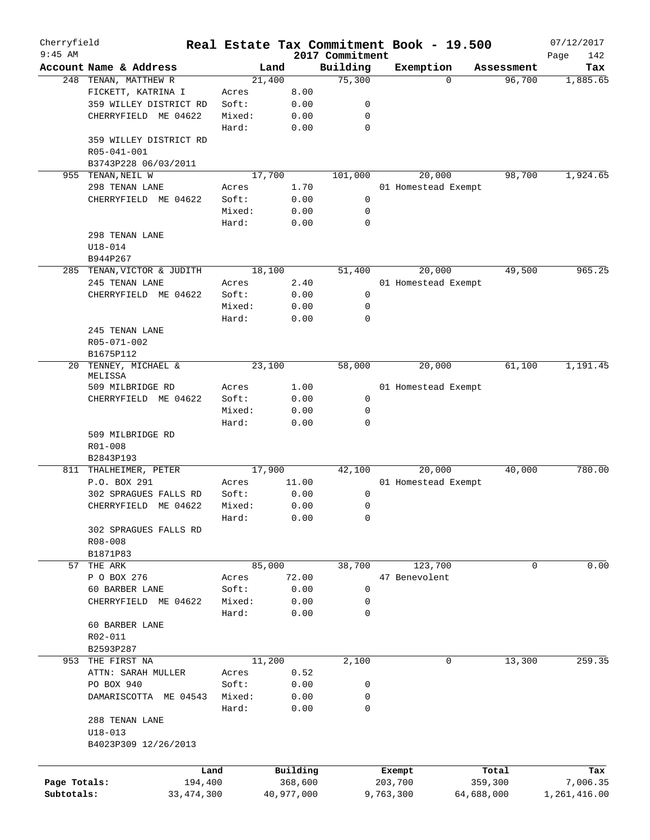| Cherryfield<br>$9:45$ AM |                            |        |            | 2017 Commitment | Real Estate Tax Commitment Book - 19.500 |                       | 07/12/2017         |
|--------------------------|----------------------------|--------|------------|-----------------|------------------------------------------|-----------------------|--------------------|
|                          | Account Name & Address     | Land   |            | Building        | Exemption                                | Assessment            | Page<br>142<br>Tax |
|                          | 248 TENAN, MATTHEW R       | 21,400 |            | 75,300          |                                          | 96,700<br>$\Omega$    | 1,885.65           |
|                          | FICKETT, KATRINA I         | Acres  | 8.00       |                 |                                          |                       |                    |
|                          | 359 WILLEY DISTRICT RD     | Soft:  | 0.00       | 0               |                                          |                       |                    |
|                          | CHERRYFIELD ME 04622       | Mixed: | 0.00       | 0               |                                          |                       |                    |
|                          |                            | Hard:  | 0.00       | $\mathbf 0$     |                                          |                       |                    |
|                          | 359 WILLEY DISTRICT RD     |        |            |                 |                                          |                       |                    |
|                          | R05-041-001                |        |            |                 |                                          |                       |                    |
|                          | B3743P228 06/03/2011       |        |            |                 |                                          |                       |                    |
|                          | 955 TENAN, NEIL W          | 17,700 |            | 101,000         | 20,000                                   | 98,700                | 1,924.65           |
|                          | 298 TENAN LANE             | Acres  | 1.70       |                 | 01 Homestead Exempt                      |                       |                    |
|                          | CHERRYFIELD ME 04622       | Soft:  | 0.00       | 0               |                                          |                       |                    |
|                          |                            | Mixed: | 0.00       | 0               |                                          |                       |                    |
|                          |                            | Hard:  |            | 0               |                                          |                       |                    |
|                          |                            |        | 0.00       |                 |                                          |                       |                    |
|                          | 298 TENAN LANE             |        |            |                 |                                          |                       |                    |
|                          | $U18 - 014$                |        |            |                 |                                          |                       |                    |
|                          | B944P267                   |        |            |                 |                                          |                       |                    |
|                          | 285 TENAN, VICTOR & JUDITH | 18,100 |            | 51,400          | 20,000                                   | 49,500                | 965.25             |
|                          | 245 TENAN LANE             | Acres  | 2.40       |                 | 01 Homestead Exempt                      |                       |                    |
|                          | CHERRYFIELD ME 04622       | Soft:  | 0.00       | 0               |                                          |                       |                    |
|                          |                            | Mixed: | 0.00       | 0               |                                          |                       |                    |
|                          |                            | Hard:  | 0.00       | 0               |                                          |                       |                    |
|                          | 245 TENAN LANE             |        |            |                 |                                          |                       |                    |
|                          | R05-071-002                |        |            |                 |                                          |                       |                    |
|                          | B1675P112                  |        |            |                 |                                          |                       |                    |
| 20                       | TENNEY, MICHAEL &          | 23,100 |            | 58,000          | 20,000                                   | 61,100                | 1,191.45           |
|                          | MELISSA                    |        |            |                 |                                          |                       |                    |
|                          | 509 MILBRIDGE RD           | Acres  | 1.00       |                 | 01 Homestead Exempt                      |                       |                    |
|                          | CHERRYFIELD ME 04622       | Soft:  | 0.00       | 0               |                                          |                       |                    |
|                          |                            | Mixed: | 0.00       | 0               |                                          |                       |                    |
|                          |                            | Hard:  | 0.00       | $\mathbf 0$     |                                          |                       |                    |
|                          | 509 MILBRIDGE RD           |        |            |                 |                                          |                       |                    |
|                          | R01-008                    |        |            |                 |                                          |                       |                    |
|                          | B2843P193                  |        |            |                 |                                          |                       |                    |
| 811                      | THALHEIMER, PETER          | 17,900 |            | 42,100          | 20,000                                   | 40,000                | 780.00             |
|                          | P.O. BOX 291               | Acres  | 11.00      |                 | 01 Homestead Exempt                      |                       |                    |
|                          | 302 SPRAGUES FALLS RD      | Soft:  | 0.00       | 0               |                                          |                       |                    |
|                          | CHERRYFIELD ME 04622       | Mixed: | 0.00       | 0               |                                          |                       |                    |
|                          |                            | Hard:  | 0.00       | 0               |                                          |                       |                    |
|                          | 302 SPRAGUES FALLS RD      |        |            |                 |                                          |                       |                    |
|                          | R08-008                    |        |            |                 |                                          |                       |                    |
|                          | B1871P83                   |        |            |                 |                                          |                       |                    |
| 57                       | THE ARK                    | 85,000 |            | 38,700          | 123,700                                  |                       | 0.00<br>0          |
|                          | P O BOX 276                | Acres  | 72.00      |                 | 47 Benevolent                            |                       |                    |
|                          | 60 BARBER LANE             | Soft:  | 0.00       | 0               |                                          |                       |                    |
|                          | CHERRYFIELD ME 04622       | Mixed: | 0.00       | 0               |                                          |                       |                    |
|                          |                            | Hard:  | 0.00       | 0               |                                          |                       |                    |
|                          | 60 BARBER LANE             |        |            |                 |                                          |                       |                    |
|                          | R02-011                    |        |            |                 |                                          |                       |                    |
|                          | B2593P287                  |        |            |                 |                                          |                       |                    |
|                          | 953 THE FIRST NA           | 11,200 |            | 2,100           |                                          | $\mathbf 0$<br>13,300 | 259.35             |
|                          | ATTN: SARAH MULLER         | Acres  | 0.52       |                 |                                          |                       |                    |
|                          | PO BOX 940                 | Soft:  | 0.00       | 0               |                                          |                       |                    |
|                          | DAMARISCOTTA ME 04543      | Mixed: | 0.00       | 0               |                                          |                       |                    |
|                          |                            | Hard:  | 0.00       | 0               |                                          |                       |                    |
|                          | 288 TENAN LANE             |        |            |                 |                                          |                       |                    |
|                          | $U18 - 013$                |        |            |                 |                                          |                       |                    |
|                          | B4023P309 12/26/2013       |        |            |                 |                                          |                       |                    |
|                          |                            |        |            |                 |                                          |                       |                    |
|                          | Land                       |        | Building   |                 | Exempt                                   | Total                 | Tax                |
| Page Totals:             | 194,400                    |        | 368,600    |                 | 203,700                                  | 359,300               | 7,006.35           |
| Subtotals:               | 33, 474, 300               |        | 40,977,000 |                 | 9,763,300                                | 64,688,000            | 1,261,416.00       |
|                          |                            |        |            |                 |                                          |                       |                    |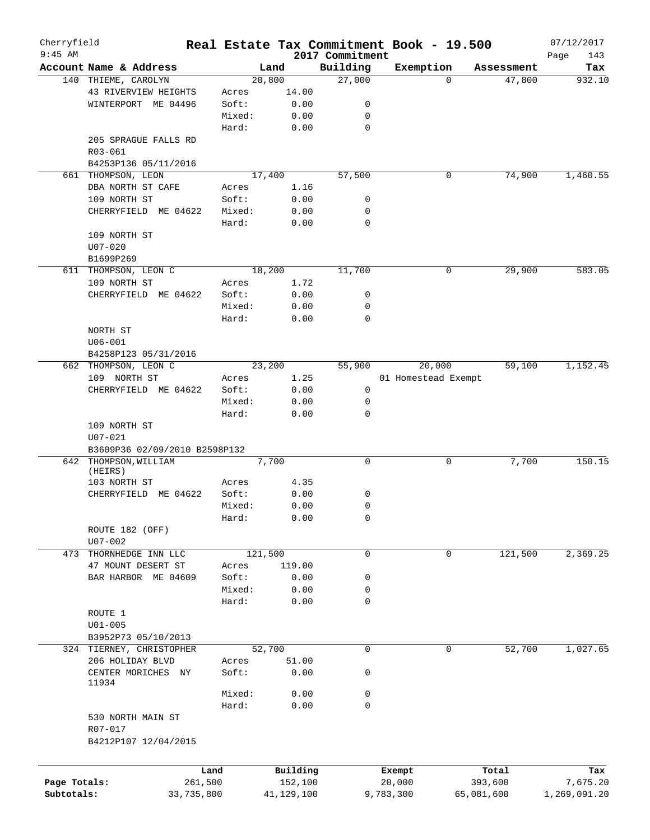| Cherryfield  |                               |                 |                     |                             | Real Estate Tax Commitment Book - 19.500 |                  | 07/12/2017               |
|--------------|-------------------------------|-----------------|---------------------|-----------------------------|------------------------------------------|------------------|--------------------------|
| $9:45$ AM    | Account Name & Address        |                 | Land                | 2017 Commitment<br>Building | Exemption                                | Assessment       | Page<br>143<br>Tax       |
|              | 140 THIEME, CAROLYN           |                 | 20,800              | 27,000                      | $\Omega$                                 | 47,800           | 932.10                   |
|              | 43 RIVERVIEW HEIGHTS          | Acres           | 14.00               |                             |                                          |                  |                          |
|              | WINTERPORT ME 04496           | Soft:           | 0.00                | 0                           |                                          |                  |                          |
|              |                               | Mixed:          | 0.00                | 0                           |                                          |                  |                          |
|              |                               | Hard:           | 0.00                | $\mathbf 0$                 |                                          |                  |                          |
|              | 205 SPRAGUE FALLS RD          |                 |                     |                             |                                          |                  |                          |
|              |                               |                 |                     |                             |                                          |                  |                          |
|              | R03-061                       |                 |                     |                             |                                          |                  |                          |
|              | B4253P136 05/11/2016          |                 |                     | 57,500                      |                                          |                  |                          |
| 661          | THOMPSON, LEON                |                 | 17,400              |                             | 0                                        | 74,900           | 1,460.55                 |
|              | DBA NORTH ST CAFE             | Acres           | 1.16                |                             |                                          |                  |                          |
|              | 109 NORTH ST                  | Soft:           | 0.00                | 0                           |                                          |                  |                          |
|              | CHERRYFIELD ME 04622          | Mixed:          | 0.00                | 0                           |                                          |                  |                          |
|              |                               | Hard:           | 0.00                | $\mathbf 0$                 |                                          |                  |                          |
|              | 109 NORTH ST                  |                 |                     |                             |                                          |                  |                          |
|              | $U07 - 020$                   |                 |                     |                             |                                          |                  |                          |
|              | B1699P269                     |                 |                     |                             |                                          |                  |                          |
|              | 611 THOMPSON, LEON C          |                 | 18,200              | 11,700                      | 0                                        | 29,900           | 583.05                   |
|              | 109 NORTH ST                  | Acres           | 1.72                |                             |                                          |                  |                          |
|              | CHERRYFIELD ME 04622          | Soft:           | 0.00                | 0                           |                                          |                  |                          |
|              |                               | Mixed:          | 0.00                | $\mathbf 0$                 |                                          |                  |                          |
|              |                               | Hard:           | 0.00                | $\mathbf 0$                 |                                          |                  |                          |
|              | NORTH ST                      |                 |                     |                             |                                          |                  |                          |
|              | $U06 - 001$                   |                 |                     |                             |                                          |                  |                          |
|              | B4258P123 05/31/2016          |                 |                     |                             |                                          |                  |                          |
| 662          | THOMPSON, LEON C              |                 | 23,200              | 55,900                      | 20,000                                   | 59,100           | 1,152.45                 |
|              | 109 NORTH ST                  | Acres           | 1.25                |                             | 01 Homestead Exempt                      |                  |                          |
|              | CHERRYFIELD ME 04622          | Soft:           | 0.00                | 0                           |                                          |                  |                          |
|              |                               | Mixed:          | 0.00                | 0                           |                                          |                  |                          |
|              |                               | Hard:           | 0.00                | $\mathbf 0$                 |                                          |                  |                          |
|              | 109 NORTH ST                  |                 |                     |                             |                                          |                  |                          |
|              | $U07 - 021$                   |                 |                     |                             |                                          |                  |                          |
|              | B3609P36 02/09/2010 B2598P132 |                 |                     |                             |                                          |                  |                          |
|              | 642 THOMPSON, WILLIAM         |                 | 7,700               | 0                           | 0                                        | 7,700            | 150.15                   |
|              | (HEIRS)                       |                 |                     |                             |                                          |                  |                          |
|              | 103 NORTH ST                  | Acres           | 4.35                |                             |                                          |                  |                          |
|              | CHERRYFIELD ME 04622          | Soft:           | 0.00                | 0                           |                                          |                  |                          |
|              |                               | Mixed:          | 0.00                | $\mathbf 0$                 |                                          |                  |                          |
|              |                               | Hard:           | 0.00                | 0                           |                                          |                  |                          |
|              | ROUTE 182 (OFF)               |                 |                     |                             |                                          |                  |                          |
|              | U07-002                       |                 |                     |                             |                                          |                  |                          |
|              | 473 THORNHEDGE INN LLC        |                 | 121,500             | $\mathsf{O}$                | 0                                        | 121,500          | 2,369.25                 |
|              | 47 MOUNT DESERT ST            | Acres           | 119.00              |                             |                                          |                  |                          |
|              | BAR HARBOR ME 04609           | Soft:           | 0.00                | 0                           |                                          |                  |                          |
|              |                               | Mixed:          | 0.00                | 0                           |                                          |                  |                          |
|              |                               | Hard:           | 0.00                | $\mathbf 0$                 |                                          |                  |                          |
|              | ROUTE 1                       |                 |                     |                             |                                          |                  |                          |
|              | $U01 - 005$                   |                 |                     |                             |                                          |                  |                          |
|              | B3952P73 05/10/2013           |                 |                     |                             |                                          |                  |                          |
|              | 324 TIERNEY, CHRISTOPHER      |                 | 52,700              | $\mathbf 0$                 | 0                                        | 52,700           | 1,027.65                 |
|              | 206 HOLIDAY BLVD              | Acres           | 51.00               |                             |                                          |                  |                          |
|              | CENTER MORICHES NY            | Soft:           | 0.00                | 0                           |                                          |                  |                          |
|              | 11934                         |                 |                     |                             |                                          |                  |                          |
|              |                               | Mixed:          | 0.00                | 0                           |                                          |                  |                          |
|              |                               | Hard:           | 0.00                | $\mathbf 0$                 |                                          |                  |                          |
|              | 530 NORTH MAIN ST             |                 |                     |                             |                                          |                  |                          |
|              | R07-017                       |                 |                     |                             |                                          |                  |                          |
|              | B4212P107 12/04/2015          |                 |                     |                             |                                          |                  |                          |
|              |                               |                 |                     |                             |                                          |                  |                          |
|              |                               |                 |                     |                             |                                          |                  |                          |
| Page Totals: |                               | Land<br>261,500 | Building<br>152,100 |                             | Exempt<br>20,000                         | Total<br>393,600 | Tax                      |
| Subtotals:   |                               |                 | 41,129,100          |                             | 9,783,300                                | 65,081,600       | 7,675.20<br>1,269,091.20 |
|              |                               | 33,735,800      |                     |                             |                                          |                  |                          |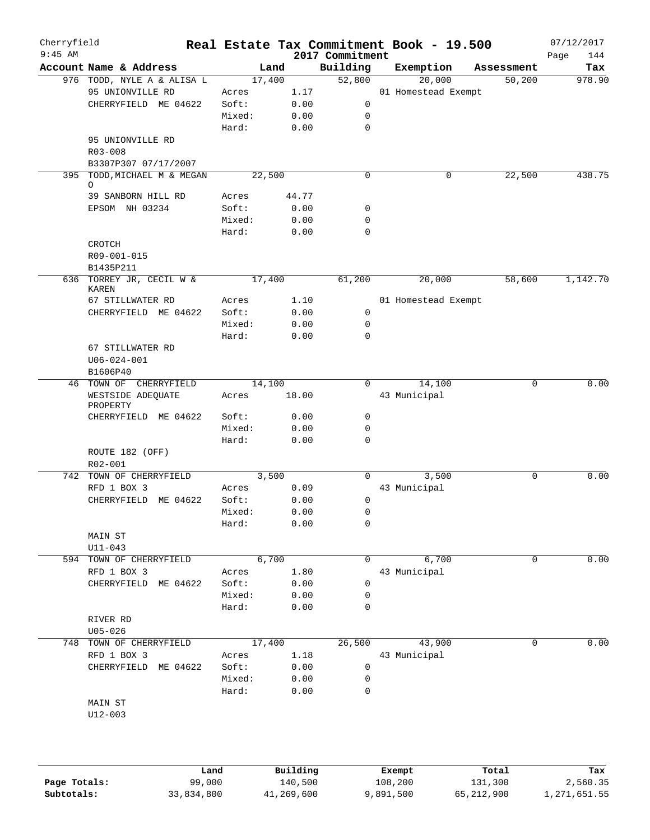| Cherryfield<br>$9:45$ AM |             |                            |        |        |       | 2017 Commitment | Real Estate Tax Commitment Book - 19.500 |            | 07/12/2017<br>Page<br>144 |
|--------------------------|-------------|----------------------------|--------|--------|-------|-----------------|------------------------------------------|------------|---------------------------|
|                          |             | Account Name & Address     |        | Land   |       | Building        | Exemption                                | Assessment | Tax                       |
|                          |             | 976 TODD, NYLE A & ALISA L |        | 17,400 |       | 52,800          | 20,000                                   | 50,200     | 978.90                    |
|                          |             | 95 UNIONVILLE RD           | Acres  |        | 1.17  |                 | 01 Homestead Exempt                      |            |                           |
|                          |             | CHERRYFIELD ME 04622       | Soft:  |        | 0.00  | 0               |                                          |            |                           |
|                          |             |                            | Mixed: |        | 0.00  | 0               |                                          |            |                           |
|                          |             |                            | Hard:  |        | 0.00  | $\mathbf 0$     |                                          |            |                           |
|                          |             | 95 UNIONVILLE RD           |        |        |       |                 |                                          |            |                           |
|                          |             |                            |        |        |       |                 |                                          |            |                           |
|                          | $R03 - 008$ |                            |        |        |       |                 |                                          |            |                           |
|                          |             | B3307P307 07/17/2007       |        |        |       |                 |                                          |            |                           |
| 395                      | $\circ$     | TODD, MICHAEL M & MEGAN    |        | 22,500 |       | $\mathbf 0$     | 0                                        | 22,500     | 438.75                    |
|                          |             | 39 SANBORN HILL RD         | Acres  |        | 44.77 |                 |                                          |            |                           |
|                          |             | EPSOM NH 03234             | Soft:  |        | 0.00  | 0               |                                          |            |                           |
|                          |             |                            | Mixed: |        | 0.00  | $\mathbf 0$     |                                          |            |                           |
|                          |             |                            |        |        |       |                 |                                          |            |                           |
|                          |             |                            | Hard:  |        | 0.00  | $\mathbf 0$     |                                          |            |                           |
|                          | CROTCH      |                            |        |        |       |                 |                                          |            |                           |
|                          |             | R09-001-015                |        |        |       |                 |                                          |            |                           |
|                          | B1435P211   |                            |        |        |       |                 |                                          |            |                           |
|                          | KAREN       | 636 TORREY JR, CECIL W &   |        | 17,400 |       | 61,200          | 20,000                                   | 58,600     | 1,142.70                  |
|                          |             | 67 STILLWATER RD           | Acres  |        | 1.10  |                 | 01 Homestead Exempt                      |            |                           |
|                          |             | CHERRYFIELD ME 04622       | Soft:  |        | 0.00  | 0               |                                          |            |                           |
|                          |             |                            | Mixed: |        | 0.00  | 0               |                                          |            |                           |
|                          |             |                            |        |        |       | $\Omega$        |                                          |            |                           |
|                          |             |                            | Hard:  |        | 0.00  |                 |                                          |            |                           |
|                          |             | 67 STILLWATER RD           |        |        |       |                 |                                          |            |                           |
|                          |             | $U06 - 024 - 001$          |        |        |       |                 |                                          |            |                           |
|                          | B1606P40    |                            |        |        |       |                 |                                          |            |                           |
| 46                       |             | TOWN OF CHERRYFIELD        |        | 14,100 |       | 0               | 14,100                                   | 0          | 0.00                      |
|                          | PROPERTY    | WESTSIDE ADEQUATE          | Acres  |        | 18.00 |                 | 43 Municipal                             |            |                           |
|                          |             | CHERRYFIELD ME 04622       | Soft:  |        | 0.00  | 0               |                                          |            |                           |
|                          |             |                            | Mixed: |        | 0.00  | $\mathbf 0$     |                                          |            |                           |
|                          |             |                            | Hard:  |        | 0.00  | $\mathbf 0$     |                                          |            |                           |
|                          | R02-001     | ROUTE 182 (OFF)            |        |        |       |                 |                                          |            |                           |
|                          |             | 742 TOWN OF CHERRYFIELD    |        | 3,500  |       | $\Omega$        | 3,500                                    | $\Omega$   | 0.00                      |
|                          |             | RFD 1 BOX 3                | Acres  |        | 0.09  |                 | 43 Municipal                             |            |                           |
|                          |             | CHERRYFIELD<br>ME 04622    | Soft:  |        | 0.00  | 0               |                                          |            |                           |
|                          |             |                            | Mixed: |        | 0.00  | 0               |                                          |            |                           |
|                          |             |                            | Hard:  |        | 0.00  | $\mathbf 0$     |                                          |            |                           |
|                          | MAIN ST     |                            |        |        |       |                 |                                          |            |                           |
|                          | $U11 - 043$ |                            |        |        |       |                 |                                          |            |                           |
|                          |             | 594 TOWN OF CHERRYFIELD    |        | 6,700  |       | $\Omega$        | 6,700                                    | 0          | 0.00                      |
|                          |             | RFD 1 BOX 3                | Acres  |        | 1.80  |                 | 43 Municipal                             |            |                           |
|                          |             | ME 04622<br>CHERRYFIELD    | Soft:  |        | 0.00  | 0               |                                          |            |                           |
|                          |             |                            | Mixed: |        | 0.00  | $\mathbf 0$     |                                          |            |                           |
|                          |             |                            | Hard:  |        | 0.00  | 0               |                                          |            |                           |
|                          |             |                            |        |        |       |                 |                                          |            |                           |
|                          | RIVER RD    |                            |        |        |       |                 |                                          |            |                           |
|                          | $U05 - 026$ |                            |        |        |       |                 |                                          |            |                           |
| 748                      |             | TOWN OF CHERRYFIELD        |        | 17,400 |       | 26,500          | 43,900                                   | 0          | 0.00                      |
|                          |             | RFD 1 BOX 3                | Acres  |        | 1.18  |                 | 43 Municipal                             |            |                           |
|                          |             | CHERRYFIELD ME 04622       | Soft:  |        | 0.00  | 0               |                                          |            |                           |
|                          |             |                            | Mixed: |        | 0.00  | 0               |                                          |            |                           |
|                          |             |                            | Hard:  |        | 0.00  | 0               |                                          |            |                           |
|                          | MAIN ST     |                            |        |        |       |                 |                                          |            |                           |
|                          | $U12 - 003$ |                            |        |        |       |                 |                                          |            |                           |
|                          |             |                            |        |        |       |                 |                                          |            |                           |

|              | Land       | Building   | Exempt    | Total      | Tax          |
|--------------|------------|------------|-----------|------------|--------------|
| Page Totals: | 99,000     | 140,500    | 108,200   | 131,300    | 2,560.35     |
| Subtotals:   | 33,834,800 | 41,269,600 | 9,891,500 | 65,212,900 | 1,271,651.55 |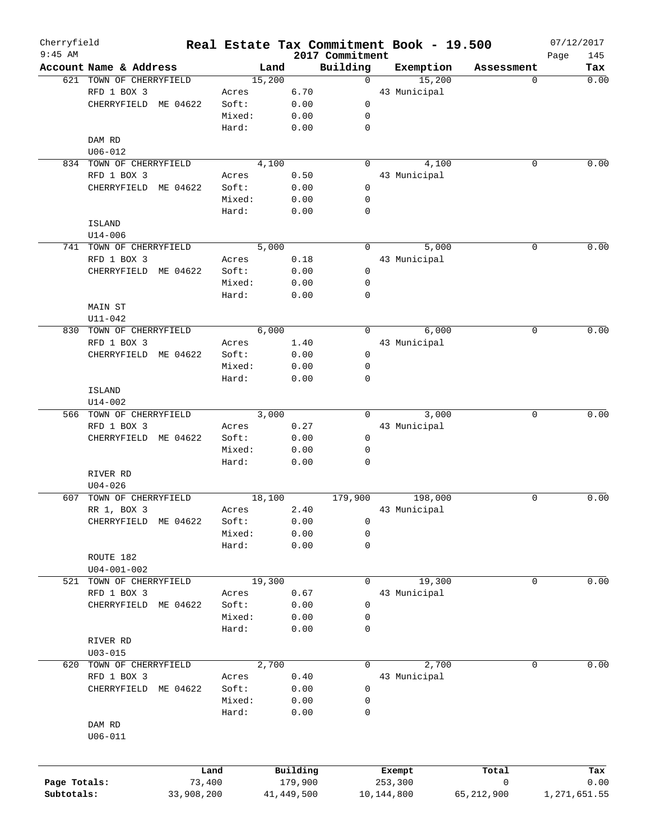| Cherryfield  |                         |            |        |        |              |                             | Real Estate Tax Commitment Book - 19.500 |              |             | 07/12/2017   |
|--------------|-------------------------|------------|--------|--------|--------------|-----------------------------|------------------------------------------|--------------|-------------|--------------|
| $9:45$ AM    | Account Name & Address  |            |        | Land   |              | 2017 Commitment<br>Building | Exemption                                | Assessment   | Page        | 145<br>Tax   |
|              | 621 TOWN OF CHERRYFIELD |            |        | 15,200 |              | $\mathbf 0$                 | 15,200                                   |              | 0           | 0.00         |
|              | RFD 1 BOX 3             |            | Acres  |        | 6.70         |                             | 43 Municipal                             |              |             |              |
|              | CHERRYFIELD ME 04622    |            | Soft:  |        |              | $\mathbf 0$                 |                                          |              |             |              |
|              |                         |            |        |        | 0.00         |                             |                                          |              |             |              |
|              |                         |            | Mixed: |        | 0.00         | 0                           |                                          |              |             |              |
|              |                         |            | Hard:  |        | 0.00         | 0                           |                                          |              |             |              |
|              | DAM RD                  |            |        |        |              |                             |                                          |              |             |              |
|              | $U06 - 012$             |            |        |        |              |                             |                                          |              |             |              |
|              | 834 TOWN OF CHERRYFIELD |            |        | 4,100  |              | $\Omega$                    | 4,100                                    |              | 0           | 0.00         |
|              | RFD 1 BOX 3             |            | Acres  |        | 0.50         |                             | 43 Municipal                             |              |             |              |
|              | CHERRYFIELD ME 04622    |            | Soft:  |        | 0.00         | 0                           |                                          |              |             |              |
|              |                         |            | Mixed: |        | 0.00         | 0                           |                                          |              |             |              |
|              |                         |            | Hard:  |        | 0.00         | 0                           |                                          |              |             |              |
|              | <b>ISLAND</b>           |            |        |        |              |                             |                                          |              |             |              |
|              | $U14 - 006$             |            |        |        |              |                             |                                          |              |             |              |
|              | 741 TOWN OF CHERRYFIELD |            |        | 5,000  |              | $\Omega$                    | 5,000                                    |              | 0           | 0.00         |
|              |                         |            |        |        |              |                             |                                          |              |             |              |
|              | RFD 1 BOX 3             |            | Acres  |        | 0.18         |                             | 43 Municipal                             |              |             |              |
|              | CHERRYFIELD             | ME 04622   | Soft:  |        | 0.00         | $\mathbf 0$                 |                                          |              |             |              |
|              |                         |            | Mixed: |        | 0.00         | 0                           |                                          |              |             |              |
|              |                         |            | Hard:  |        | 0.00         | 0                           |                                          |              |             |              |
|              | MAIN ST                 |            |        |        |              |                             |                                          |              |             |              |
|              | $U11 - 042$             |            |        |        |              |                             |                                          |              |             |              |
|              | 830 TOWN OF CHERRYFIELD |            |        | 6,000  |              | 0                           | 6,000                                    |              | 0           | 0.00         |
|              | RFD 1 BOX 3             |            | Acres  |        | 1.40         |                             | 43 Municipal                             |              |             |              |
|              | CHERRYFIELD ME 04622    |            | Soft:  |        | 0.00         | 0                           |                                          |              |             |              |
|              |                         |            |        |        |              |                             |                                          |              |             |              |
|              |                         |            | Mixed: |        | 0.00         | 0                           |                                          |              |             |              |
|              |                         |            | Hard:  |        | 0.00         | 0                           |                                          |              |             |              |
|              | <b>ISLAND</b>           |            |        |        |              |                             |                                          |              |             |              |
|              | $U14 - 002$             |            |        |        |              |                             |                                          |              |             |              |
|              | 566 TOWN OF CHERRYFIELD |            |        | 3,000  |              | $\Omega$                    | 3,000                                    |              | $\mathbf 0$ | 0.00         |
|              | RFD 1 BOX 3             |            | Acres  |        | 0.27         |                             | 43 Municipal                             |              |             |              |
|              | CHERRYFIELD             | ME 04622   | Soft:  |        | 0.00         | 0                           |                                          |              |             |              |
|              |                         |            | Mixed: |        | 0.00         | 0                           |                                          |              |             |              |
|              |                         |            | Hard:  |        | 0.00         | 0                           |                                          |              |             |              |
|              | RIVER RD                |            |        |        |              |                             |                                          |              |             |              |
|              | $U04 - 026$             |            |        |        |              |                             |                                          |              |             |              |
| 607          | TOWN OF CHERRYFIELD     |            |        | 18,100 |              | 179,900                     | 198,000                                  |              | 0           | 0.00         |
|              | RR 1, BOX 3             |            | Acres  |        | 2.40         |                             | 43 Municipal                             |              |             |              |
|              |                         |            |        |        |              |                             |                                          |              |             |              |
|              | CHERRYFIELD ME 04622    |            | Soft:  |        | 0.00         | 0                           |                                          |              |             |              |
|              |                         |            | Mixed: |        | 0.00         | 0                           |                                          |              |             |              |
|              |                         |            | Hard:  |        | 0.00         | 0                           |                                          |              |             |              |
|              | ROUTE 182               |            |        |        |              |                             |                                          |              |             |              |
|              | $U04 - 001 - 002$       |            |        |        |              |                             |                                          |              |             |              |
| 521          | TOWN OF CHERRYFIELD     |            |        | 19,300 |              | 0                           | 19,300                                   |              | 0           | 0.00         |
|              | RFD 1 BOX 3             |            | Acres  |        | 0.67         |                             | 43 Municipal                             |              |             |              |
|              | CHERRYFIELD             | ME 04622   | Soft:  |        | 0.00         | 0                           |                                          |              |             |              |
|              |                         |            | Mixed: |        | 0.00         | 0                           |                                          |              |             |              |
|              |                         |            | Hard:  |        | 0.00         | 0                           |                                          |              |             |              |
|              |                         |            |        |        |              |                             |                                          |              |             |              |
|              | RIVER RD                |            |        |        |              |                             |                                          |              |             |              |
|              | $U03 - 015$             |            |        |        |              |                             |                                          |              |             |              |
| 620          | TOWN OF CHERRYFIELD     |            |        | 2,700  |              | 0                           | 2,700                                    |              | 0           | 0.00         |
|              | RFD 1 BOX 3             |            | Acres  |        | 0.40         |                             | 43 Municipal                             |              |             |              |
|              | CHERRYFIELD             | ME 04622   | Soft:  |        | 0.00         | 0                           |                                          |              |             |              |
|              |                         |            | Mixed: |        | 0.00         | 0                           |                                          |              |             |              |
|              |                         |            | Hard:  |        | 0.00         | 0                           |                                          |              |             |              |
|              | DAM RD                  |            |        |        |              |                             |                                          |              |             |              |
|              | $U06 - 011$             |            |        |        |              |                             |                                          |              |             |              |
|              |                         |            |        |        |              |                             |                                          |              |             |              |
|              |                         | Land       |        |        | Building     |                             | Exempt                                   | Total        |             | Tax          |
| Page Totals: |                         | 73,400     |        |        | 179,900      |                             | 253,300                                  | 0            |             | 0.00         |
| Subtotals:   |                         | 33,908,200 |        |        | 41, 449, 500 |                             | 10,144,800                               | 65, 212, 900 |             | 1,271,651.55 |
|              |                         |            |        |        |              |                             |                                          |              |             |              |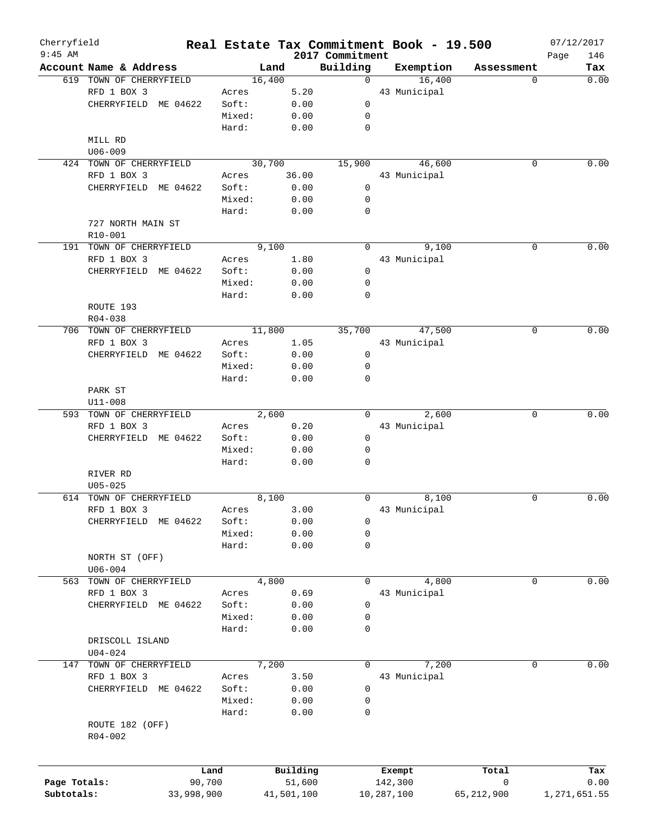| Cherryfield<br>$9:45$ AM |                                |            |        |        |            | 2017 Commitment | Real Estate Tax Commitment Book - 19.500 |              |          | 07/12/2017<br>146 |
|--------------------------|--------------------------------|------------|--------|--------|------------|-----------------|------------------------------------------|--------------|----------|-------------------|
|                          | Account Name & Address         |            |        | Land   |            | Building        | Exemption                                | Assessment   | Page     | Tax               |
|                          | 619 TOWN OF CHERRYFIELD        |            |        | 16,400 |            | $\Omega$        | 16,400                                   |              | $\Omega$ | 0.00              |
|                          | RFD 1 BOX 3                    |            | Acres  |        | 5.20       |                 | 43 Municipal                             |              |          |                   |
|                          | CHERRYFIELD ME 04622           |            | Soft:  |        | 0.00       | $\mathbf 0$     |                                          |              |          |                   |
|                          |                                |            | Mixed: |        | 0.00       | 0               |                                          |              |          |                   |
|                          |                                |            | Hard:  |        | 0.00       | $\mathbf 0$     |                                          |              |          |                   |
|                          | MILL RD                        |            |        |        |            |                 |                                          |              |          |                   |
|                          | $U06 - 009$                    |            |        |        |            |                 |                                          |              |          |                   |
|                          | 424 TOWN OF CHERRYFIELD        |            |        | 30,700 |            | 15,900          | 46,600                                   |              | 0        | 0.00              |
|                          | RFD 1 BOX 3                    |            | Acres  |        | 36.00      |                 | 43 Municipal                             |              |          |                   |
|                          | CHERRYFIELD ME 04622           |            | Soft:  |        | 0.00       | $\mathbf 0$     |                                          |              |          |                   |
|                          |                                |            | Mixed: |        | 0.00       | $\mathbf 0$     |                                          |              |          |                   |
|                          |                                |            | Hard:  |        | 0.00       | 0               |                                          |              |          |                   |
|                          | 727 NORTH MAIN ST              |            |        |        |            |                 |                                          |              |          |                   |
|                          | $R10 - 001$                    |            |        |        |            |                 |                                          |              |          |                   |
|                          | 191 TOWN OF CHERRYFIELD        |            |        | 9,100  |            | $\Omega$        | 9,100                                    |              | 0        | 0.00              |
|                          | RFD 1 BOX 3                    |            | Acres  |        | 1.80       |                 | 43 Municipal                             |              |          |                   |
|                          | CHERRYFIELD                    | ME 04622   | Soft:  |        | 0.00       | 0               |                                          |              |          |                   |
|                          |                                |            | Mixed: |        | 0.00       | $\mathbf 0$     |                                          |              |          |                   |
|                          |                                |            | Hard:  |        | 0.00       | 0               |                                          |              |          |                   |
|                          | ROUTE 193                      |            |        |        |            |                 |                                          |              |          |                   |
|                          | $R04 - 038$                    |            |        |        |            |                 |                                          |              |          |                   |
|                          | 706 TOWN OF CHERRYFIELD        |            |        | 11,800 |            | 35,700          | 47,500                                   |              | 0        | 0.00              |
|                          | RFD 1 BOX 3                    |            | Acres  |        | 1.05       |                 | 43 Municipal                             |              |          |                   |
|                          | CHERRYFIELD ME 04622           |            | Soft:  |        | 0.00       | 0               |                                          |              |          |                   |
|                          |                                |            | Mixed: |        | 0.00       | 0               |                                          |              |          |                   |
|                          |                                |            | Hard:  |        | 0.00       | 0               |                                          |              |          |                   |
|                          | PARK ST                        |            |        |        |            |                 |                                          |              |          |                   |
|                          | $U11 - 008$                    |            |        |        |            |                 |                                          |              |          |                   |
|                          | 593 TOWN OF CHERRYFIELD        |            |        | 2,600  |            | $\Omega$        | 2,600                                    |              | 0        | 0.00              |
|                          | RFD 1 BOX 3                    |            | Acres  |        | 0.20       |                 | 43 Municipal                             |              |          |                   |
|                          | CHERRYFIELD ME 04622           |            | Soft:  |        | 0.00       | 0               |                                          |              |          |                   |
|                          |                                |            | Mixed: |        | 0.00       | 0               |                                          |              |          |                   |
|                          |                                |            | Hard:  |        | 0.00       | 0               |                                          |              |          |                   |
|                          | RIVER RD                       |            |        |        |            |                 |                                          |              |          |                   |
|                          | $U05 - 025$                    |            |        |        |            |                 |                                          |              |          |                   |
|                          | 614 TOWN OF CHERRYFIELD        |            |        | 8,100  |            | 0               | 8,100                                    |              | 0        | 0.00              |
|                          | RFD 1 BOX 3                    |            | Acres  |        | 3.00       |                 | 43 Municipal                             |              |          |                   |
|                          | CHERRYFIELD ME 04622           |            | Soft:  |        | 0.00       | 0               |                                          |              |          |                   |
|                          |                                |            | Mixed: |        | 0.00       | 0               |                                          |              |          |                   |
|                          |                                |            | Hard:  |        | 0.00       | 0               |                                          |              |          |                   |
|                          | NORTH ST (OFF)                 |            |        |        |            |                 |                                          |              |          |                   |
|                          | $U06 - 004$                    |            |        |        |            |                 |                                          |              |          |                   |
|                          | 563 TOWN OF CHERRYFIELD        |            |        | 4,800  |            | 0               | 4,800                                    |              | 0        | 0.00              |
|                          | RFD 1 BOX 3                    |            | Acres  |        | 0.69       |                 | 43 Municipal                             |              |          |                   |
|                          | CHERRYFIELD ME 04622           |            | Soft:  |        | 0.00       | 0               |                                          |              |          |                   |
|                          |                                |            | Mixed: |        | 0.00       | 0               |                                          |              |          |                   |
|                          |                                |            | Hard:  |        | 0.00       | 0               |                                          |              |          |                   |
|                          | DRISCOLL ISLAND                |            |        |        |            |                 |                                          |              |          |                   |
|                          | $U04 - 024$                    |            |        |        |            |                 |                                          |              |          |                   |
| 147                      | TOWN OF CHERRYFIELD            |            |        | 7,200  |            | 0               | 7,200                                    |              | 0        | 0.00              |
|                          | RFD 1 BOX 3                    |            | Acres  |        | 3.50       |                 | 43 Municipal                             |              |          |                   |
|                          | CHERRYFIELD ME 04622           |            | Soft:  |        | 0.00       | 0               |                                          |              |          |                   |
|                          |                                |            | Mixed: |        | 0.00       | 0               |                                          |              |          |                   |
|                          |                                |            | Hard:  |        | 0.00       | 0               |                                          |              |          |                   |
|                          | ROUTE 182 (OFF)<br>$R04 - 002$ |            |        |        |            |                 |                                          |              |          |                   |
|                          |                                | Land       |        |        | Building   |                 | Exempt                                   | Total        |          | Tax               |
| Page Totals:             |                                | 90,700     |        |        | 51,600     |                 | 142,300                                  | 0            |          | 0.00              |
| Subtotals:               |                                | 33,998,900 |        |        | 41,501,100 |                 | 10,287,100                               | 65, 212, 900 |          | 1,271,651.55      |
|                          |                                |            |        |        |            |                 |                                          |              |          |                   |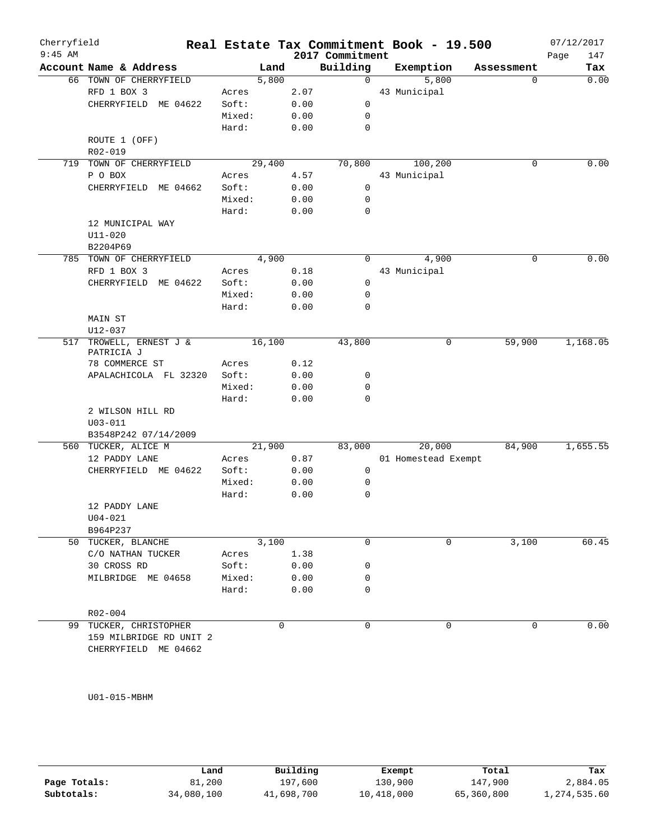| Cherryfield |                                |                |          |                 | Real Estate Tax Commitment Book - 19.500 |            | 07/12/2017  |
|-------------|--------------------------------|----------------|----------|-----------------|------------------------------------------|------------|-------------|
| $9:45$ AM   |                                |                |          | 2017 Commitment |                                          |            | Page<br>147 |
|             | Account Name & Address         |                | Land     | Building        | Exemption                                | Assessment | Tax         |
|             | 66 TOWN OF CHERRYFIELD         |                | 5,800    | $\mathbf 0$     | 5,800                                    | 0          | 0.00        |
|             | RFD 1 BOX 3                    | Acres<br>Soft: | 2.07     |                 | 43 Municipal                             |            |             |
|             | CHERRYFIELD ME 04622           |                | 0.00     | 0               |                                          |            |             |
|             |                                | Mixed:         | 0.00     | 0               |                                          |            |             |
|             |                                | Hard:          | 0.00     | $\mathbf 0$     |                                          |            |             |
|             | ROUTE 1 (OFF)                  |                |          |                 |                                          |            |             |
| 719         | R02-019<br>TOWN OF CHERRYFIELD |                | 29,400   | 70,800          | 100,200                                  | 0          | 0.00        |
|             | P O BOX                        | Acres          | 4.57     |                 | 43 Municipal                             |            |             |
|             | CHERRYFIELD ME 04662           | Soft:          | 0.00     | $\mathbf 0$     |                                          |            |             |
|             |                                | Mixed:         | 0.00     | 0               |                                          |            |             |
|             |                                | Hard:          | 0.00     | 0               |                                          |            |             |
|             | 12 MUNICIPAL WAY               |                |          |                 |                                          |            |             |
|             | $U11 - 020$                    |                |          |                 |                                          |            |             |
|             | B2204P69                       |                |          |                 |                                          |            |             |
|             | 785 TOWN OF CHERRYFIELD        |                | 4,900    | 0               | 4,900                                    | 0          | 0.00        |
|             | RFD 1 BOX 3                    | Acres          | 0.18     |                 | 43 Municipal                             |            |             |
|             | CHERRYFIELD ME 04622           | Soft:          | 0.00     | $\mathbf 0$     |                                          |            |             |
|             |                                | Mixed:         | 0.00     | 0               |                                          |            |             |
|             |                                | Hard:          | 0.00     | 0               |                                          |            |             |
|             | MAIN ST                        |                |          |                 |                                          |            |             |
|             | U12-037                        |                |          |                 |                                          |            |             |
| 517         | TROWELL, ERNEST J &            |                | 16,100   | 43,800          | 0                                        | 59,900     | 1,168.05    |
|             | PATRICIA J                     |                |          |                 |                                          |            |             |
|             | 78 COMMERCE ST                 | Acres          | 0.12     |                 |                                          |            |             |
|             | APALACHICOLA FL 32320          | Soft:          | 0.00     | 0               |                                          |            |             |
|             |                                | Mixed:         | 0.00     | 0               |                                          |            |             |
|             |                                | Hard:          | 0.00     | $\mathbf 0$     |                                          |            |             |
|             | 2 WILSON HILL RD               |                |          |                 |                                          |            |             |
|             | $U03 - 011$                    |                |          |                 |                                          |            |             |
|             | B3548P242 07/14/2009           |                |          |                 |                                          |            |             |
|             | 560 TUCKER, ALICE M            |                | 21,900   | 83,000          | 20,000                                   | 84,900     | 1,655.55    |
|             | 12 PADDY LANE                  | Acres          | 0.87     |                 | 01 Homestead Exempt                      |            |             |
|             | CHERRYFIELD ME 04622           | Soft:          | 0.00     | 0               |                                          |            |             |
|             |                                | Mixed:         | 0.00     | 0               |                                          |            |             |
|             |                                | Hard:          | 0.00     | $\mathbf 0$     |                                          |            |             |
|             | 12 PADDY LANE                  |                |          |                 |                                          |            |             |
|             | $U04 - 021$                    |                |          |                 |                                          |            |             |
|             | B964P237                       |                |          |                 |                                          |            |             |
|             | 50 TUCKER, BLANCHE             |                | 3,100    | 0               | 0                                        | 3,100      | 60.45       |
|             | C/O NATHAN TUCKER              | Acres          | 1.38     |                 |                                          |            |             |
|             | 30 CROSS RD                    | Soft:          | 0.00     | 0               |                                          |            |             |
|             | MILBRIDGE ME 04658             | Mixed:         | 0.00     | 0               |                                          |            |             |
|             |                                | Hard:          | 0.00     | 0               |                                          |            |             |
|             | R02-004                        |                |          |                 |                                          |            |             |
|             | 99 TUCKER, CHRISTOPHER         |                | $\Omega$ | 0               | $\Omega$                                 | 0          | 0.00        |
|             |                                |                |          |                 |                                          |            |             |
|             | 159 MILBRIDGE RD UNIT 2        |                |          |                 |                                          |            |             |

U01-015-MBHM

|              | Land       | Building   | Exempt     | Total      | Tax          |
|--------------|------------|------------|------------|------------|--------------|
| Page Totals: | 81,200     | 197,600    | 130,900    | 147,900    | 2,884.05     |
| Subtotals:   | 34,080,100 | 41,698,700 | 10,418,000 | 65,360,800 | 1,274,535.60 |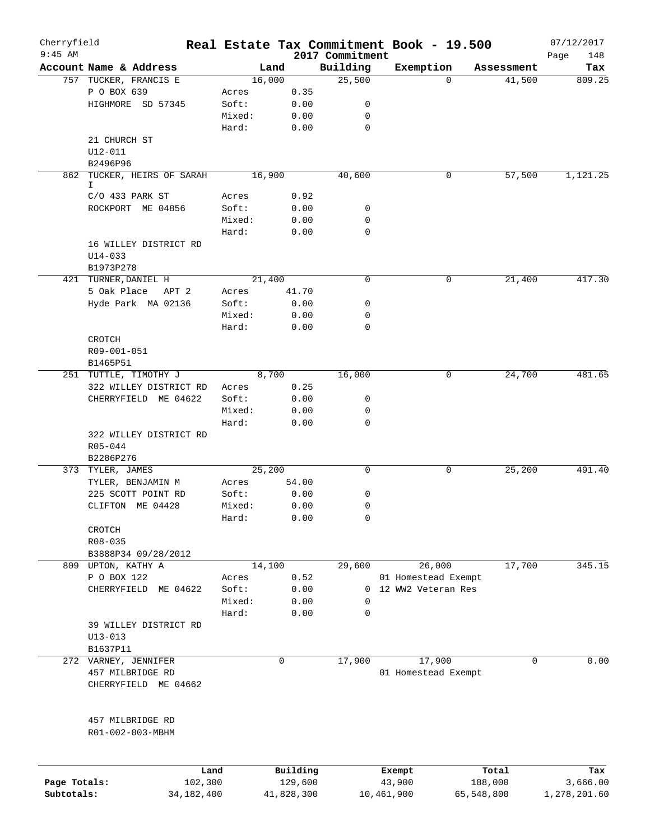| Cherryfield  |                                      |              |        |            |                             | Real Estate Tax Commitment Book - 19.500 |                      | 07/12/2017    |
|--------------|--------------------------------------|--------------|--------|------------|-----------------------------|------------------------------------------|----------------------|---------------|
| $9:45$ AM    | Account Name & Address               |              | Land   |            | 2017 Commitment<br>Building | Exemption                                |                      | Page<br>148   |
|              | 757 TUCKER, FRANCIS E                |              | 16,000 |            | 25,500                      | $\Omega$                                 | Assessment<br>41,500 | Tax<br>809.25 |
|              |                                      |              |        |            |                             |                                          |                      |               |
|              | P O BOX 639                          |              | Acres  | 0.35       |                             |                                          |                      |               |
|              | HIGHMORE SD 57345                    |              | Soft:  | 0.00       | 0                           |                                          |                      |               |
|              |                                      |              | Mixed: | 0.00       | 0                           |                                          |                      |               |
|              |                                      |              | Hard:  | 0.00       | $\mathbf 0$                 |                                          |                      |               |
|              | 21 CHURCH ST                         |              |        |            |                             |                                          |                      |               |
|              | $U12 - 011$                          |              |        |            |                             |                                          |                      |               |
|              | B2496P96                             |              |        |            |                             |                                          |                      |               |
|              | 862 TUCKER, HEIRS OF SARAH<br>I.     |              | 16,900 |            | 40,600                      | 0                                        | 57,500               | 1,121.25      |
|              | $C/O$ 433 PARK ST                    |              | Acres  | 0.92       |                             |                                          |                      |               |
|              | ROCKPORT ME 04856                    |              | Soft:  | 0.00       | 0                           |                                          |                      |               |
|              |                                      |              | Mixed: | 0.00       | $\mathbf 0$                 |                                          |                      |               |
|              |                                      |              | Hard:  | 0.00       | 0                           |                                          |                      |               |
|              | 16 WILLEY DISTRICT RD                |              |        |            |                             |                                          |                      |               |
|              |                                      |              |        |            |                             |                                          |                      |               |
|              | $U14 - 033$                          |              |        |            |                             |                                          |                      |               |
|              | B1973P278                            |              | 21,400 |            | 0                           |                                          |                      | 417.30        |
|              | 421 TURNER, DANIEL H                 |              |        |            |                             | 0                                        | 21,400               |               |
|              | 5 Oak Place<br>APT 2                 |              | Acres  | 41.70      |                             |                                          |                      |               |
|              | Hyde Park MA 02136                   |              | Soft:  | 0.00       | 0                           |                                          |                      |               |
|              |                                      |              | Mixed: | 0.00       | 0                           |                                          |                      |               |
|              |                                      |              | Hard:  | 0.00       | 0                           |                                          |                      |               |
|              | CROTCH                               |              |        |            |                             |                                          |                      |               |
|              | R09-001-051                          |              |        |            |                             |                                          |                      |               |
|              | B1465P51                             |              |        |            |                             |                                          |                      |               |
|              | 251 TUTTLE, TIMOTHY J                |              | 8,700  |            | 16,000                      | 0                                        | 24,700               | 481.65        |
|              | 322 WILLEY DISTRICT RD               |              | Acres  | 0.25       |                             |                                          |                      |               |
|              | CHERRYFIELD ME 04622                 |              | Soft:  | 0.00       | 0                           |                                          |                      |               |
|              |                                      |              | Mixed: | 0.00       | 0                           |                                          |                      |               |
|              |                                      |              | Hard:  | 0.00       | 0                           |                                          |                      |               |
|              | 322 WILLEY DISTRICT RD               |              |        |            |                             |                                          |                      |               |
|              | $R05 - 044$                          |              |        |            |                             |                                          |                      |               |
|              | B2286P276                            |              |        |            |                             |                                          |                      |               |
|              | 373 TYLER, JAMES                     |              | 25,200 |            | 0                           | 0                                        | 25,200               | 491.40        |
|              | TYLER, BENJAMIN M                    |              | Acres  | 54.00      |                             |                                          |                      |               |
|              | 225 SCOTT POINT RD                   |              | Soft:  | 0.00       | 0                           |                                          |                      |               |
|              | CLIFTON ME 04428                     |              | Mixed: | 0.00       | 0                           |                                          |                      |               |
|              |                                      |              | Hard:  | 0.00       | 0                           |                                          |                      |               |
|              | CROTCH                               |              |        |            |                             |                                          |                      |               |
|              | $R08 - 035$                          |              |        |            |                             |                                          |                      |               |
|              | B3888P34 09/28/2012                  |              |        |            |                             |                                          |                      |               |
|              | 809 UPTON, KATHY A                   |              | 14,100 |            | 29,600                      | 26,000                                   | 17,700               | 345.15        |
|              | P O BOX 122                          |              | Acres  | 0.52       |                             | 01 Homestead Exempt                      |                      |               |
|              | CHERRYFIELD ME 04622                 |              | Soft:  | 0.00       |                             | 0 12 WW2 Veteran Res                     |                      |               |
|              |                                      |              | Mixed: | 0.00       | 0                           |                                          |                      |               |
|              |                                      |              | Hard:  | 0.00       | 0                           |                                          |                      |               |
|              | 39 WILLEY DISTRICT RD                |              |        |            |                             |                                          |                      |               |
|              | $U13 - 013$                          |              |        |            |                             |                                          |                      |               |
|              | B1637P11                             |              |        |            |                             |                                          |                      |               |
|              | 272 VARNEY, JENNIFER                 |              | 0      |            | 17,900                      | 17,900                                   | 0                    | 0.00          |
|              | 457 MILBRIDGE RD                     |              |        |            |                             | 01 Homestead Exempt                      |                      |               |
|              | CHERRYFIELD ME 04662                 |              |        |            |                             |                                          |                      |               |
|              |                                      |              |        |            |                             |                                          |                      |               |
|              | 457 MILBRIDGE RD<br>R01-002-003-MBHM |              |        |            |                             |                                          |                      |               |
|              |                                      | Land         |        | Building   |                             | Exempt                                   | Total                | Tax           |
| Page Totals: |                                      | 102,300      |        | 129,600    |                             | 43,900                                   | 188,000              | 3,666.00      |
| Subtotals:   |                                      | 34, 182, 400 |        | 41,828,300 |                             | 10,461,900                               | 65,548,800           | 1,278,201.60  |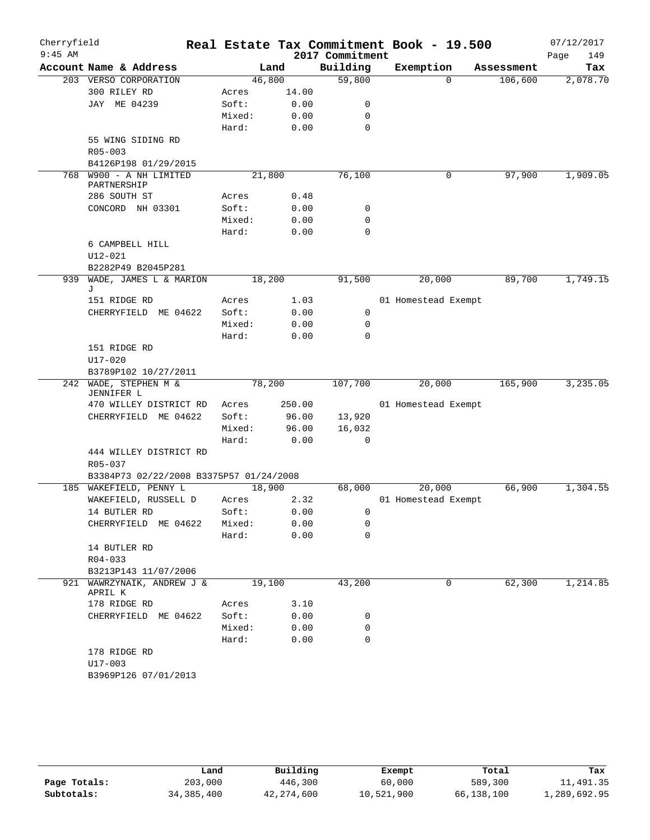| Cherryfield<br>$9:45$ AM |             |                                               |        |      |        | 2017 Commitment | Real Estate Tax Commitment Book - 19.500 |            | 07/12/2017<br>Page | 149      |
|--------------------------|-------------|-----------------------------------------------|--------|------|--------|-----------------|------------------------------------------|------------|--------------------|----------|
|                          |             | Account Name & Address                        |        | Land |        | Building        | Exemption                                | Assessment |                    | Tax      |
|                          |             | 203 VERSO CORPORATION                         | 46,800 |      |        | 59,800          | $\Omega$                                 | 106,600    |                    | 2,078.70 |
|                          |             | 300 RILEY RD                                  | Acres  |      | 14.00  |                 |                                          |            |                    |          |
|                          |             | JAY ME 04239                                  | Soft:  |      | 0.00   | 0               |                                          |            |                    |          |
|                          |             |                                               | Mixed: |      | 0.00   | 0               |                                          |            |                    |          |
|                          |             |                                               | Hard:  |      | 0.00   | 0               |                                          |            |                    |          |
|                          |             | 55 WING SIDING RD                             |        |      |        |                 |                                          |            |                    |          |
|                          | $R05 - 003$ |                                               |        |      |        |                 |                                          |            |                    |          |
|                          |             | B4126P198 01/29/2015                          |        |      |        |                 |                                          |            |                    |          |
| 768                      | PARTNERSHIP | W900 - A NH LIMITED                           | 21,800 |      |        | 76,100          | 0                                        | 97,900     |                    | 1,909.05 |
|                          |             | 286 SOUTH ST                                  | Acres  |      | 0.48   |                 |                                          |            |                    |          |
|                          |             | CONCORD NH 03301                              | Soft:  |      | 0.00   | 0               |                                          |            |                    |          |
|                          |             |                                               | Mixed: |      | 0.00   | 0               |                                          |            |                    |          |
|                          |             |                                               | Hard:  |      | 0.00   | $\mathbf 0$     |                                          |            |                    |          |
|                          |             | 6 CAMPBELL HILL                               |        |      |        |                 |                                          |            |                    |          |
|                          | $U12 - 021$ |                                               |        |      |        |                 |                                          |            |                    |          |
|                          |             | B2282P49 B2045P281                            |        |      |        |                 |                                          |            |                    |          |
| 939                      |             | WADE, JAMES L & MARION                        | 18,200 |      |        | 91,500          | 20,000                                   | 89,700     |                    | 1,749.15 |
|                          | J           |                                               |        |      |        |                 |                                          |            |                    |          |
|                          |             | 151 RIDGE RD                                  | Acres  |      | 1.03   |                 | 01 Homestead Exempt                      |            |                    |          |
|                          |             | CHERRYFIELD ME 04622                          | Soft:  |      | 0.00   | 0               |                                          |            |                    |          |
|                          |             |                                               | Mixed: |      | 0.00   | 0               |                                          |            |                    |          |
|                          |             |                                               | Hard:  |      | 0.00   | $\Omega$        |                                          |            |                    |          |
|                          |             | 151 RIDGE RD                                  |        |      |        |                 |                                          |            |                    |          |
|                          | $U17 - 020$ |                                               |        |      |        |                 |                                          |            |                    |          |
|                          |             | B3789P102 10/27/2011<br>242 WADE, STEPHEN M & | 78,200 |      |        | 107,700         | 20,000                                   | 165,900    |                    | 3,235.05 |
|                          | JENNIFER L  |                                               |        |      |        |                 |                                          |            |                    |          |
|                          |             | 470 WILLEY DISTRICT RD                        | Acres  |      | 250.00 |                 | 01 Homestead Exempt                      |            |                    |          |
|                          |             | CHERRYFIELD ME 04622                          | Soft:  |      | 96.00  | 13,920          |                                          |            |                    |          |
|                          |             |                                               | Mixed: |      | 96.00  | 16,032          |                                          |            |                    |          |
|                          |             |                                               | Hard:  |      | 0.00   | 0               |                                          |            |                    |          |
|                          |             | 444 WILLEY DISTRICT RD                        |        |      |        |                 |                                          |            |                    |          |
|                          | R05-037     |                                               |        |      |        |                 |                                          |            |                    |          |
|                          |             | B3384P73 02/22/2008 B3375P57 01/24/2008       |        |      |        |                 |                                          |            |                    |          |
| 185                      |             | WAKEFIELD, PENNY L                            | 18,900 |      |        | 68,000          | 20,000                                   | 66,900     |                    | 1,304.55 |
|                          |             | WAKEFIELD, RUSSELL D                          | Acres  |      | 2.32   |                 | 01 Homestead Exempt                      |            |                    |          |
|                          |             | 14 BUTLER RD                                  | Soft:  |      | 0.00   | 0               |                                          |            |                    |          |
|                          |             | CHERRYFIELD ME 04622                          | Mixed: |      | 0.00   | 0               |                                          |            |                    |          |
|                          |             |                                               | Hard:  |      | 0.00   | 0               |                                          |            |                    |          |
|                          |             | 14 BUTLER RD                                  |        |      |        |                 |                                          |            |                    |          |
|                          | R04-033     |                                               |        |      |        |                 |                                          |            |                    |          |
|                          |             | B3213P143 11/07/2006                          |        |      |        |                 |                                          |            |                    |          |
| 921                      | APRIL K     | WAWRZYNAIK, ANDREW J &                        | 19,100 |      |        | 43,200          | 0                                        | 62,300     |                    | 1,214.85 |
|                          |             | 178 RIDGE RD                                  | Acres  |      | 3.10   |                 |                                          |            |                    |          |
|                          |             | CHERRYFIELD ME 04622                          | Soft:  |      | 0.00   | 0               |                                          |            |                    |          |
|                          |             |                                               | Mixed: |      | 0.00   | 0               |                                          |            |                    |          |
|                          |             |                                               | Hard:  |      | 0.00   | $\Omega$        |                                          |            |                    |          |
|                          |             | 178 RIDGE RD                                  |        |      |        |                 |                                          |            |                    |          |
|                          | U17-003     |                                               |        |      |        |                 |                                          |            |                    |          |
|                          |             | B3969P126 07/01/2013                          |        |      |        |                 |                                          |            |                    |          |
|                          |             |                                               |        |      |        |                 |                                          |            |                    |          |
|                          |             |                                               |        |      |        |                 |                                          |            |                    |          |

|              | úand         | Building     | Exempt     | Total      | Tax          |
|--------------|--------------|--------------|------------|------------|--------------|
| Page Totals: | 203,000      | 446,300      | 60,000     | 589,300    | 11,491.35    |
| Subtotals:   | 34, 385, 400 | 42, 274, 600 | 10,521,900 | 66,138,100 | 1,289,692.95 |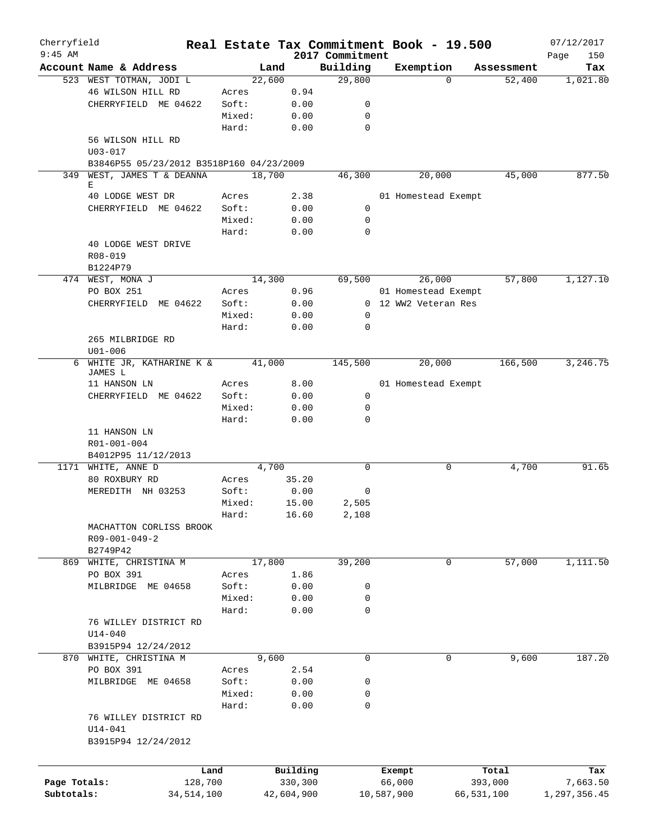| Cherryfield<br>$9:45$ AM |                                                         |        |            | 2017 Commitment | Real Estate Tax Commitment Book - 19.500    |            | 07/12/2017         |
|--------------------------|---------------------------------------------------------|--------|------------|-----------------|---------------------------------------------|------------|--------------------|
|                          | Account Name & Address                                  | Land   |            | Building        | Exemption                                   | Assessment | 150<br>Page<br>Tax |
|                          | 523 WEST TOTMAN, JODI L                                 | 22,600 |            | 29,800          | $\Omega$                                    | 52,400     | 1,021.80           |
|                          | 46 WILSON HILL RD                                       | Acres  | 0.94       |                 |                                             |            |                    |
|                          | CHERRYFIELD ME 04622                                    | Soft:  | 0.00       | 0               |                                             |            |                    |
|                          |                                                         | Mixed: | 0.00       | 0               |                                             |            |                    |
|                          |                                                         | Hard:  | 0.00       | $\mathbf 0$     |                                             |            |                    |
|                          | 56 WILSON HILL RD                                       |        |            |                 |                                             |            |                    |
|                          | $U03 - 017$<br>B3846P55 05/23/2012 B3518P160 04/23/2009 |        |            |                 |                                             |            |                    |
|                          | 349 WEST, JAMES T & DEANNA                              | 18,700 |            | 46,300          | 20,000                                      | 45,000     | 877.50             |
|                          | Е                                                       |        |            |                 |                                             |            |                    |
|                          | 40 LODGE WEST DR                                        | Acres  | 2.38       |                 | 01 Homestead Exempt                         |            |                    |
|                          | CHERRYFIELD ME 04622                                    | Soft:  | 0.00       | 0               |                                             |            |                    |
|                          |                                                         | Mixed: | 0.00       | 0               |                                             |            |                    |
|                          |                                                         | Hard:  | 0.00       | $\mathbf 0$     |                                             |            |                    |
|                          | 40 LODGE WEST DRIVE                                     |        |            |                 |                                             |            |                    |
|                          | R08-019                                                 |        |            |                 |                                             |            |                    |
|                          | B1224P79                                                |        |            |                 |                                             | 57,800     |                    |
|                          | 474 WEST, MONA J                                        | 14,300 |            | 69,500          | 26,000                                      |            | 1,127.10           |
|                          | PO BOX 251                                              | Acres  | 0.96       |                 | 01 Homestead Exempt<br>0 12 WW2 Veteran Res |            |                    |
|                          | CHERRYFIELD<br>ME 04622                                 | Soft:  | 0.00       |                 |                                             |            |                    |
|                          |                                                         | Mixed: | 0.00       | 0               |                                             |            |                    |
|                          |                                                         | Hard:  | 0.00       | 0               |                                             |            |                    |
|                          | 265 MILBRIDGE RD                                        |        |            |                 |                                             |            |                    |
|                          | $U01 - 006$                                             |        |            |                 |                                             |            |                    |
|                          | 6 WHITE JR, KATHARINE K &<br>JAMES L                    | 41,000 |            | 145,500         | 20,000                                      | 166,500    | 3,246.75           |
|                          | 11 HANSON LN                                            | Acres  | 8.00       |                 | 01 Homestead Exempt                         |            |                    |
|                          | CHERRYFIELD ME 04622                                    | Soft:  | 0.00       | 0               |                                             |            |                    |
|                          |                                                         | Mixed: | 0.00       | 0               |                                             |            |                    |
|                          |                                                         | Hard:  | 0.00       | $\Omega$        |                                             |            |                    |
|                          | 11 HANSON LN                                            |        |            |                 |                                             |            |                    |
|                          | R01-001-004                                             |        |            |                 |                                             |            |                    |
|                          | B4012P95 11/12/2013                                     |        |            |                 |                                             |            |                    |
|                          | 1171 WHITE, ANNE D                                      | 4,700  |            | $\Omega$        | 0                                           | 4,700      | 91.65              |
|                          | 80 ROXBURY RD                                           | Acres  | 35.20      |                 |                                             |            |                    |
|                          | MEREDITH NH 03253                                       | Soft:  | 0.00       | 0               |                                             |            |                    |
|                          |                                                         | Mixed: | 15.00      | 2,505           |                                             |            |                    |
|                          |                                                         | Hard:  | 16.60      | 2,108           |                                             |            |                    |
|                          | MACHATTON CORLISS BROOK                                 |        |            |                 |                                             |            |                    |
|                          | R09-001-049-2                                           |        |            |                 |                                             |            |                    |
|                          | B2749P42                                                |        |            |                 |                                             |            |                    |
|                          | 869 WHITE, CHRISTINA M                                  | 17,800 |            | 39,200          | 0                                           | 57,000     | 1,111.50           |
|                          | PO BOX 391                                              | Acres  | 1.86       |                 |                                             |            |                    |
|                          | MILBRIDGE ME 04658                                      | Soft:  | 0.00       | 0               |                                             |            |                    |
|                          |                                                         | Mixed: | 0.00       | 0               |                                             |            |                    |
|                          |                                                         | Hard:  | 0.00       | 0               |                                             |            |                    |
|                          | 76 WILLEY DISTRICT RD                                   |        |            |                 |                                             |            |                    |
|                          | $U14 - 040$                                             |        |            |                 |                                             |            |                    |
|                          | B3915P94 12/24/2012                                     |        |            |                 |                                             |            |                    |
|                          | 870 WHITE, CHRISTINA M                                  | 9,600  |            | 0               | 0                                           | 9,600      | 187.20             |
|                          | PO BOX 391                                              | Acres  | 2.54       |                 |                                             |            |                    |
|                          | MILBRIDGE ME 04658                                      | Soft:  | 0.00       | 0               |                                             |            |                    |
|                          |                                                         | Mixed: | 0.00       | 0               |                                             |            |                    |
|                          |                                                         | Hard:  | 0.00       | 0               |                                             |            |                    |
|                          | 76 WILLEY DISTRICT RD                                   |        |            |                 |                                             |            |                    |
|                          | U14-041                                                 |        |            |                 |                                             |            |                    |
|                          | B3915P94 12/24/2012                                     |        |            |                 |                                             |            |                    |
|                          |                                                         |        |            |                 |                                             |            |                    |
|                          | Land                                                    |        | Building   |                 | Exempt                                      | Total      | Tax                |
| Page Totals:             | 128,700                                                 |        | 330,300    |                 | 66,000                                      | 393,000    | 7,663.50           |
| Subtotals:               | 34, 514, 100                                            |        | 42,604,900 |                 | 10,587,900                                  | 66,531,100 | 1,297,356.45       |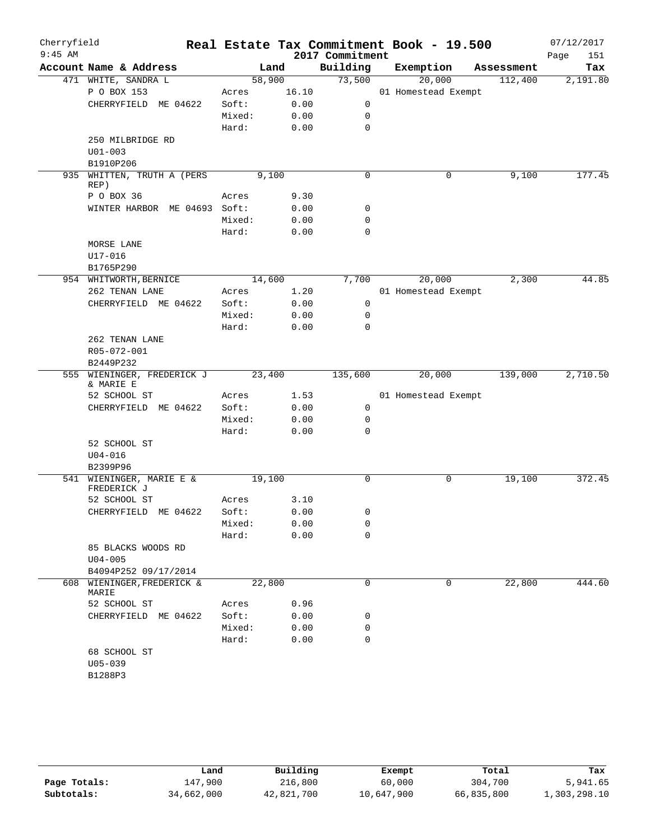| Cherryfield<br>$9:45$ AM |                                         |        |       | 2017 Commitment | Real Estate Tax Commitment Book - 19.500 |            | 07/12/2017<br>Page<br>151 |
|--------------------------|-----------------------------------------|--------|-------|-----------------|------------------------------------------|------------|---------------------------|
|                          | Account Name & Address                  |        | Land  | Building        | Exemption                                | Assessment | Tax                       |
|                          | 471 WHITE, SANDRA L                     | 58,900 |       | 73,500          | 20,000                                   | 112,400    | 2,191.80                  |
|                          | P O BOX 153                             | Acres  | 16.10 |                 | 01 Homestead Exempt                      |            |                           |
|                          | CHERRYFIELD ME 04622                    | Soft:  | 0.00  | 0               |                                          |            |                           |
|                          |                                         | Mixed: | 0.00  | 0               |                                          |            |                           |
|                          |                                         | Hard:  | 0.00  | 0               |                                          |            |                           |
|                          | 250 MILBRIDGE RD                        |        |       |                 |                                          |            |                           |
|                          | $U01 - 003$                             |        |       |                 |                                          |            |                           |
|                          | B1910P206                               |        |       |                 |                                          |            |                           |
| 935                      | WHITTEN, TRUTH A (PERS<br>REP)          |        | 9,100 | $\mathbf 0$     | 0                                        | 9,100      | 177.45                    |
|                          | P O BOX 36                              | Acres  | 9.30  |                 |                                          |            |                           |
|                          | WINTER HARBOR ME 04693 Soft:            |        | 0.00  | 0               |                                          |            |                           |
|                          |                                         | Mixed: | 0.00  | 0               |                                          |            |                           |
|                          |                                         | Hard:  | 0.00  | $\mathbf 0$     |                                          |            |                           |
|                          | MORSE LANE                              |        |       |                 |                                          |            |                           |
|                          | $U17 - 016$                             |        |       |                 |                                          |            |                           |
|                          | B1765P290                               |        |       |                 |                                          |            |                           |
|                          | 954 WHITWORTH, BERNICE                  | 14,600 |       | 7,700           | 20,000                                   | 2,300      | 44.85                     |
|                          | 262 TENAN LANE                          | Acres  | 1.20  |                 | 01 Homestead Exempt                      |            |                           |
|                          |                                         |        |       | $\mathbf 0$     |                                          |            |                           |
|                          | CHERRYFIELD ME 04622                    | Soft:  | 0.00  |                 |                                          |            |                           |
|                          |                                         | Mixed: | 0.00  | 0               |                                          |            |                           |
|                          |                                         | Hard:  | 0.00  | 0               |                                          |            |                           |
|                          | 262 TENAN LANE                          |        |       |                 |                                          |            |                           |
|                          | R05-072-001                             |        |       |                 |                                          |            |                           |
|                          | B2449P232<br>555 WIENINGER, FREDERICK J | 23,400 |       | 135,600         | 20,000                                   | 139,000    | 2,710.50                  |
|                          | & MARIE E                               |        |       |                 |                                          |            |                           |
|                          | 52 SCHOOL ST                            | Acres  | 1.53  |                 | 01 Homestead Exempt                      |            |                           |
|                          | CHERRYFIELD ME 04622                    | Soft:  | 0.00  | 0               |                                          |            |                           |
|                          |                                         | Mixed: | 0.00  | 0               |                                          |            |                           |
|                          |                                         | Hard:  | 0.00  | 0               |                                          |            |                           |
|                          | 52 SCHOOL ST                            |        |       |                 |                                          |            |                           |
|                          | $U04 - 016$                             |        |       |                 |                                          |            |                           |
|                          | B2399P96                                |        |       |                 |                                          |            |                           |
|                          | 541 WIENINGER, MARIE E &                | 19,100 |       | 0               | 0                                        | 19,100     | 372.45                    |
|                          | FREDERICK J                             |        |       |                 |                                          |            |                           |
|                          | 52 SCHOOL ST                            | Acres  | 3.10  |                 |                                          |            |                           |
|                          | CHERRYFIELD ME 04622                    | Soft:  | 0.00  | 0               |                                          |            |                           |
|                          |                                         | Mixed: | 0.00  | 0               |                                          |            |                           |
|                          |                                         | Hard:  | 0.00  | 0               |                                          |            |                           |
|                          | 85 BLACKS WOODS RD                      |        |       |                 |                                          |            |                           |
|                          | $U04 - 005$                             |        |       |                 |                                          |            |                           |
|                          | B4094P252 09/17/2014                    |        |       |                 |                                          |            |                           |
| 608                      | WIENINGER, FREDERICK &<br>MARIE         | 22,800 |       | $\mathbf 0$     | 0                                        | 22,800     | 444.60                    |
|                          | 52 SCHOOL ST                            | Acres  | 0.96  |                 |                                          |            |                           |
|                          | CHERRYFIELD ME 04622                    | Soft:  | 0.00  | 0               |                                          |            |                           |
|                          |                                         | Mixed: | 0.00  | 0               |                                          |            |                           |
|                          |                                         | Hard:  | 0.00  | $\mathbf 0$     |                                          |            |                           |
|                          | 68 SCHOOL ST                            |        |       |                 |                                          |            |                           |
|                          | $U05 - 039$                             |        |       |                 |                                          |            |                           |
|                          | B1288P3                                 |        |       |                 |                                          |            |                           |
|                          |                                         |        |       |                 |                                          |            |                           |

|              | Land       | Building   | Exempt     | Total      | Tax          |
|--------------|------------|------------|------------|------------|--------------|
| Page Totals: | 147.900    | 216,800    | 60,000     | 304,700    | 5,941.65     |
| Subtotals:   | 34,662,000 | 42,821,700 | 10,647,900 | 66,835,800 | 1,303,298.10 |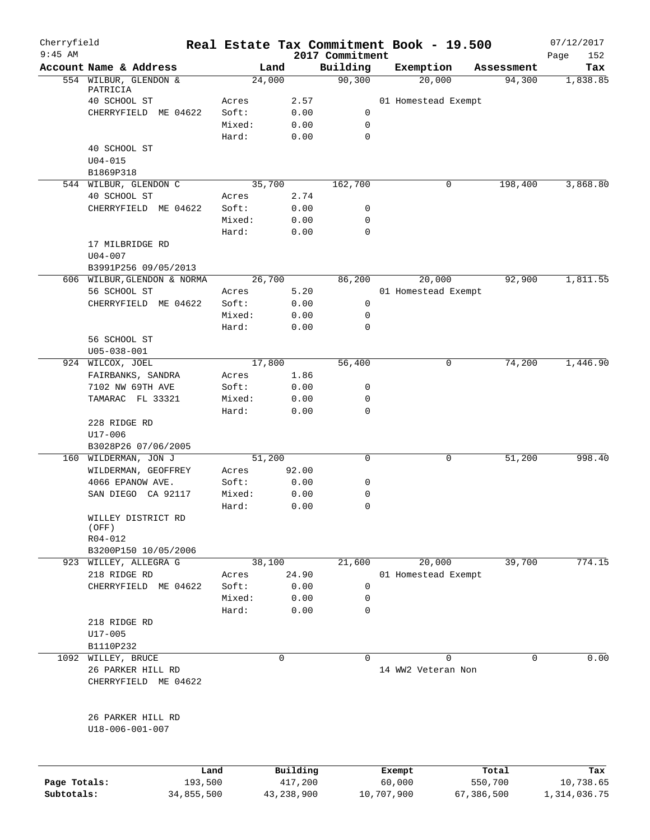| Cherryfield<br>$9:45$ AM |                                |                 |              |                             | Real Estate Tax Commitment Book - 19.500 |            | 07/12/2017         |
|--------------------------|--------------------------------|-----------------|--------------|-----------------------------|------------------------------------------|------------|--------------------|
|                          | Account Name & Address         |                 | Land         | 2017 Commitment<br>Building | Exemption                                | Assessment | 152<br>Page<br>Tax |
|                          | 554 WILBUR, GLENDON &          |                 | 24,000       | 90, 300                     | 20,000                                   | 94,300     | 1,838.85           |
|                          | PATRICIA                       |                 |              |                             |                                          |            |                    |
|                          | 40 SCHOOL ST                   | Acres           | 2.57         |                             | 01 Homestead Exempt                      |            |                    |
|                          | CHERRYFIELD ME 04622           | Soft:           | 0.00         | 0                           |                                          |            |                    |
|                          |                                | Mixed:<br>Hard: | 0.00<br>0.00 | 0<br>0                      |                                          |            |                    |
|                          | 40 SCHOOL ST                   |                 |              |                             |                                          |            |                    |
|                          | $U04 - 015$                    |                 |              |                             |                                          |            |                    |
|                          | B1869P318                      |                 |              |                             |                                          |            |                    |
|                          | 544 WILBUR, GLENDON C          |                 | 35,700       | 162,700                     | 0                                        | 198,400    | 3,868.80           |
|                          | 40 SCHOOL ST                   | Acres           | 2.74         |                             |                                          |            |                    |
|                          | CHERRYFIELD ME 04622           | Soft:           | 0.00         | 0                           |                                          |            |                    |
|                          |                                | Mixed:          | 0.00         | 0                           |                                          |            |                    |
|                          |                                | Hard:           | 0.00         | 0                           |                                          |            |                    |
|                          | 17 MILBRIDGE RD                |                 |              |                             |                                          |            |                    |
|                          | $U04 - 007$                    |                 |              |                             |                                          |            |                    |
|                          | B3991P256 09/05/2013           |                 |              |                             |                                          |            |                    |
|                          | 606 WILBUR, GLENDON & NORMA    |                 | 26,700       | 86,200                      | 20,000                                   | 92,900     | 1,811.55           |
|                          | 56 SCHOOL ST                   | Acres           | 5.20         |                             | 01 Homestead Exempt                      |            |                    |
|                          | CHERRYFIELD ME 04622           | Soft:           | 0.00         | 0                           |                                          |            |                    |
|                          |                                | Mixed:          | 0.00         | 0                           |                                          |            |                    |
|                          |                                | Hard:           | 0.00         | 0                           |                                          |            |                    |
|                          | 56 SCHOOL ST                   |                 |              |                             |                                          |            |                    |
|                          | $U05 - 038 - 001$              |                 |              |                             |                                          |            |                    |
|                          | 924 WILCOX, JOEL               |                 | 17,800       | 56,400                      | 0                                        | 74,200     | 1,446.90           |
|                          | FAIRBANKS, SANDRA              | Acres           | 1.86         |                             |                                          |            |                    |
|                          | 7102 NW 69TH AVE               | Soft:           | 0.00         | 0                           |                                          |            |                    |
|                          | TAMARAC FL 33321               | Mixed:          | 0.00         | 0                           |                                          |            |                    |
|                          |                                | Hard:           | 0.00         | $\mathbf 0$                 |                                          |            |                    |
|                          | 228 RIDGE RD                   |                 |              |                             |                                          |            |                    |
|                          | U17-006<br>B3028P26 07/06/2005 |                 |              |                             |                                          |            |                    |
|                          | 160 WILDERMAN, JON J           |                 | 51,200       | 0                           | 0                                        | 51,200     | 998.40             |
|                          | WILDERMAN, GEOFFREY            | Acres           | 92.00        |                             |                                          |            |                    |
|                          | 4066 EPANOW AVE.               | Soft:           | 0.00         | 0                           |                                          |            |                    |
|                          | SAN DIEGO CA 92117             | Mixed:          | 0.00         | 0                           |                                          |            |                    |
|                          |                                | Hard:           | 0.00         | $\mathbf 0$                 |                                          |            |                    |
|                          | WILLEY DISTRICT RD             |                 |              |                             |                                          |            |                    |
|                          | (OFF)                          |                 |              |                             |                                          |            |                    |
|                          | $R04 - 012$                    |                 |              |                             |                                          |            |                    |
|                          | B3200P150 10/05/2006           |                 |              |                             |                                          |            |                    |
|                          | 923 WILLEY, ALLEGRA G          |                 | 38,100       | 21,600                      | 20,000                                   | 39,700     | 774.15             |
|                          | 218 RIDGE RD                   | Acres           | 24.90        |                             | 01 Homestead Exempt                      |            |                    |
|                          | CHERRYFIELD ME 04622           | Soft:           | 0.00         | 0                           |                                          |            |                    |
|                          |                                | Mixed:          | 0.00         | 0                           |                                          |            |                    |
|                          |                                | Hard:           | 0.00         | $\mathbf 0$                 |                                          |            |                    |
|                          | 218 RIDGE RD                   |                 |              |                             |                                          |            |                    |
|                          | $U17 - 005$<br>B1110P232       |                 |              |                             |                                          |            |                    |
| 1092                     | WILLEY, BRUCE                  |                 | 0            | 0                           | $\Omega$                                 | 0          | 0.00               |
|                          | 26 PARKER HILL RD              |                 |              |                             | 14 WW2 Veteran Non                       |            |                    |
|                          | CHERRYFIELD ME 04622           |                 |              |                             |                                          |            |                    |
|                          |                                |                 |              |                             |                                          |            |                    |
|                          |                                |                 |              |                             |                                          |            |                    |
|                          | 26 PARKER HILL RD              |                 |              |                             |                                          |            |                    |
|                          | U18-006-001-007                |                 |              |                             |                                          |            |                    |
|                          |                                |                 |              |                             |                                          |            |                    |
|                          |                                |                 |              |                             |                                          |            |                    |
|                          |                                | Land            | Building     |                             | Exempt                                   | Total      | Tax                |
| Page Totals:             | 193,500                        |                 | 417,200      |                             | 60,000                                   | 550,700    | 10,738.65          |
| Subtotals:               | 34,855,500                     |                 | 43,238,900   |                             | 10,707,900                               | 67,386,500 | 1,314,036.75       |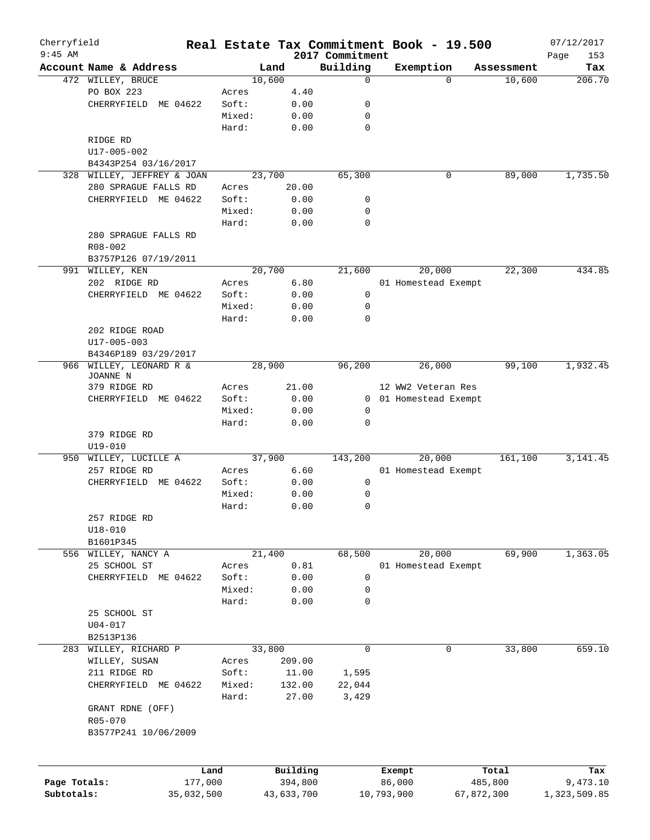| Cherryfield<br>$9:45$ AM |                         |        |            | 2017 Commitment | Real Estate Tax Commitment Book - 19.500 |             | 07/12/2017         |
|--------------------------|-------------------------|--------|------------|-----------------|------------------------------------------|-------------|--------------------|
|                          | Account Name & Address  |        | Land       | Building        | Exemption                                | Assessment  | Page<br>153<br>Tax |
|                          | 472 WILLEY, BRUCE       |        | 10,600     | $\mathbf 0$     |                                          | 10,600<br>0 | 206.70             |
|                          | PO BOX 223              | Acres  | 4.40       |                 |                                          |             |                    |
|                          | CHERRYFIELD ME 04622    | Soft:  | 0.00       | 0               |                                          |             |                    |
|                          |                         | Mixed: | 0.00       | 0               |                                          |             |                    |
|                          |                         | Hard:  | 0.00       | $\mathbf 0$     |                                          |             |                    |
|                          | RIDGE RD                |        |            |                 |                                          |             |                    |
|                          |                         |        |            |                 |                                          |             |                    |
|                          | U17-005-002             |        |            |                 |                                          |             |                    |
|                          | B4343P254 03/16/2017    |        |            |                 |                                          |             |                    |
| 328                      | WILLEY, JEFFREY & JOAN  |        | 23,700     | 65,300          |                                          | 0<br>89,000 | 1,735.50           |
|                          | 280 SPRAGUE FALLS RD    | Acres  | 20.00      |                 |                                          |             |                    |
|                          | CHERRYFIELD ME 04622    | Soft:  | 0.00       | 0               |                                          |             |                    |
|                          |                         | Mixed: | 0.00       | 0               |                                          |             |                    |
|                          |                         | Hard:  | 0.00       | $\mathbf 0$     |                                          |             |                    |
|                          | 280 SPRAGUE FALLS RD    |        |            |                 |                                          |             |                    |
|                          | $R08 - 002$             |        |            |                 |                                          |             |                    |
|                          | B3757P126 07/19/2011    |        |            |                 |                                          |             |                    |
|                          | 991 WILLEY, KEN         |        | 20,700     | 21,600          | 20,000                                   | 22,300      | 434.85             |
|                          | 202 RIDGE RD            | Acres  | 6.80       |                 | 01 Homestead Exempt                      |             |                    |
|                          | CHERRYFIELD ME 04622    | Soft:  | 0.00       | 0               |                                          |             |                    |
|                          |                         | Mixed: | 0.00       | 0               |                                          |             |                    |
|                          |                         | Hard:  | 0.00       | $\mathbf 0$     |                                          |             |                    |
|                          | 202 RIDGE ROAD          |        |            |                 |                                          |             |                    |
|                          | U17-005-003             |        |            |                 |                                          |             |                    |
|                          | B4346P189 03/29/2017    |        |            |                 |                                          |             |                    |
|                          | 966 WILLEY, LEONARD R & |        | 28,900     | 96,200          | 26,000                                   | 99,100      | 1,932.45           |
|                          | JOANNE N                |        |            |                 |                                          |             |                    |
|                          | 379 RIDGE RD            | Acres  | 21.00      |                 | 12 WW2 Veteran Res                       |             |                    |
|                          | CHERRYFIELD ME 04622    | Soft:  | 0.00       |                 | 0 01 Homestead Exempt                    |             |                    |
|                          |                         | Mixed: | 0.00       | 0               |                                          |             |                    |
|                          |                         | Hard:  | 0.00       | 0               |                                          |             |                    |
|                          | 379 RIDGE RD            |        |            |                 |                                          |             |                    |
|                          |                         |        |            |                 |                                          |             |                    |
|                          | $U19 - 010$             |        |            |                 |                                          |             |                    |
|                          | 950 WILLEY, LUCILLE A   |        | 37,900     | 143,200         | 20,000                                   | 161,100     | 3, 141.45          |
|                          | 257 RIDGE RD            | Acres  | 6.60       |                 | 01 Homestead Exempt                      |             |                    |
|                          | CHERRYFIELD ME 04622    | Soft:  | 0.00       | $\mathbf 0$     |                                          |             |                    |
|                          |                         | Mixed: | 0.00       | 0               |                                          |             |                    |
|                          |                         | Hard:  | 0.00       | 0               |                                          |             |                    |
|                          | 257 RIDGE RD            |        |            |                 |                                          |             |                    |
|                          | U18-010                 |        |            |                 |                                          |             |                    |
|                          | B1601P345               |        |            |                 |                                          |             |                    |
|                          | 556 WILLEY, NANCY A     |        | 21,400     | 68,500          | 20,000                                   | 69,900      | 1,363.05           |
|                          | 25 SCHOOL ST            | Acres  | 0.81       |                 | 01 Homestead Exempt                      |             |                    |
|                          | CHERRYFIELD ME 04622    | Soft:  | 0.00       | 0               |                                          |             |                    |
|                          |                         | Mixed: | 0.00       | 0               |                                          |             |                    |
|                          |                         | Hard:  | 0.00       | 0               |                                          |             |                    |
|                          | 25 SCHOOL ST            |        |            |                 |                                          |             |                    |
|                          | $U04 - 017$             |        |            |                 |                                          |             |                    |
|                          | B2513P136               |        |            |                 |                                          |             |                    |
|                          | 283 WILLEY, RICHARD P   |        | 33,800     | 0               |                                          | 33,800<br>0 | 659.10             |
|                          | WILLEY, SUSAN           | Acres  | 209.00     |                 |                                          |             |                    |
|                          | 211 RIDGE RD            | Soft:  | 11.00      | 1,595           |                                          |             |                    |
|                          | CHERRYFIELD ME 04622    | Mixed: | 132.00     | 22,044          |                                          |             |                    |
|                          |                         | Hard:  | 27.00      | 3,429           |                                          |             |                    |
|                          | GRANT RDNE (OFF)        |        |            |                 |                                          |             |                    |
|                          |                         |        |            |                 |                                          |             |                    |
|                          | R05-070                 |        |            |                 |                                          |             |                    |
|                          | B3577P241 10/06/2009    |        |            |                 |                                          |             |                    |
|                          |                         |        |            |                 |                                          |             |                    |
|                          |                         |        |            |                 |                                          |             |                    |
|                          |                         | Land   | Building   |                 | Exempt                                   | Total       | Tax                |
| Page Totals:             | 177,000                 |        | 394,800    |                 | 86,000                                   | 485,800     | 9,473.10           |
| Subtotals:               | 35,032,500              |        | 43,633,700 |                 | 10,793,900                               | 67,872,300  | 1,323,509.85       |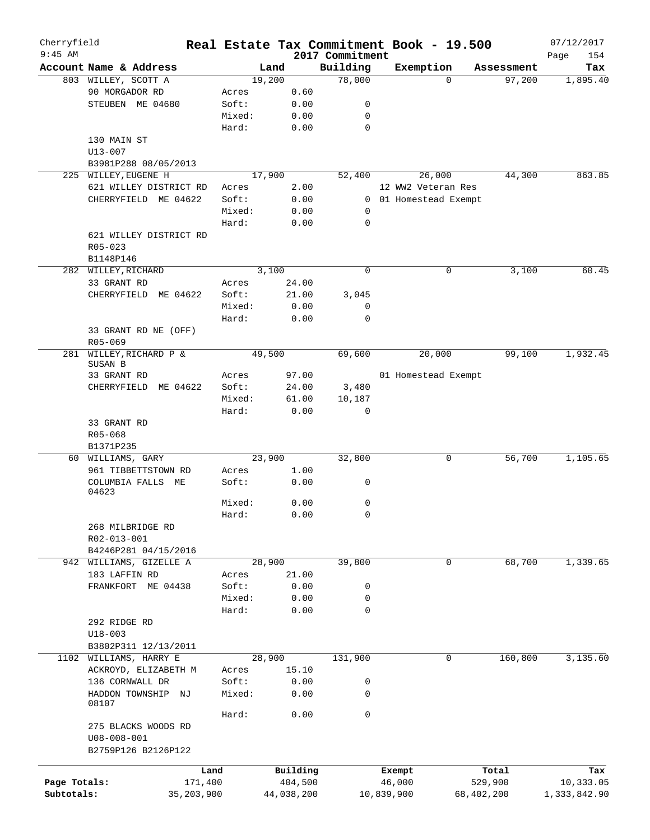| Cherryfield<br>$9:45$ AM |                         |         |            |          | 2017 Commitment                                         | Real Estate Tax Commitment Book - 19.500 |            | 07/12/2017<br>Page<br>154 |
|--------------------------|-------------------------|---------|------------|----------|---------------------------------------------------------|------------------------------------------|------------|---------------------------|
|                          | Account Name & Address  |         | Land       |          | Building                                                | Exemption                                | Assessment | Tax                       |
|                          | 803 WILLEY, SCOTT A     |         | 19,200     |          | 78,000                                                  | $\Omega$                                 | 97,200     | 1,895.40                  |
|                          | 90 MORGADOR RD          | Acres   |            | 0.60     |                                                         |                                          |            |                           |
|                          | STEUBEN ME 04680        | Soft:   |            | 0.00     | 0                                                       |                                          |            |                           |
|                          |                         | Mixed:  |            | 0.00     | $\mathbf 0$                                             |                                          |            |                           |
|                          |                         | Hard:   |            | 0.00     | $\mathbf 0$                                             |                                          |            |                           |
|                          | 130 MAIN ST             |         |            |          |                                                         |                                          |            |                           |
|                          | U13-007                 |         |            |          |                                                         |                                          |            |                           |
|                          |                         |         |            |          |                                                         |                                          |            |                           |
|                          | B3981P288 08/05/2013    |         |            |          |                                                         |                                          |            |                           |
| 225                      | WILLEY, EUGENE H        |         | 17,900     |          | 52,400                                                  | 26,000                                   | 44,300     | 863.85                    |
|                          | 621 WILLEY DISTRICT RD  | Acres   |            | 2.00     |                                                         | 12 WW2 Veteran Res                       |            |                           |
|                          | CHERRYFIELD ME 04622    | Soft:   |            | 0.00     | $\mathbf{0}$                                            | 01 Homestead Exempt                      |            |                           |
|                          |                         | Mixed:  |            | 0.00     | 0                                                       |                                          |            |                           |
|                          |                         | Hard:   |            | 0.00     | $\mathbf 0$                                             |                                          |            |                           |
|                          | 621 WILLEY DISTRICT RD  |         |            |          |                                                         |                                          |            |                           |
|                          | $R05 - 023$             |         |            |          |                                                         |                                          |            |                           |
|                          | B1148P146               |         |            |          |                                                         |                                          |            |                           |
|                          | 282 WILLEY, RICHARD     |         | 3,100      |          | $\mathbf 0$                                             | 0                                        | 3,100      | 60.45                     |
|                          | 33 GRANT RD             | Acres   |            | 24.00    |                                                         |                                          |            |                           |
|                          | CHERRYFIELD ME 04622    | Soft:   |            | 21.00    | 3,045                                                   |                                          |            |                           |
|                          |                         | Mixed:  |            | 0.00     | 0                                                       |                                          |            |                           |
|                          |                         | Hard:   |            | 0.00     | 0                                                       |                                          |            |                           |
|                          | 33 GRANT RD NE (OFF)    |         |            |          |                                                         |                                          |            |                           |
|                          | R05-069                 |         |            |          |                                                         |                                          |            |                           |
| 281                      | WILLEY, RICHARD P &     |         | 49,500     |          | 69,600                                                  | 20,000                                   | 99,100     | 1,932.45                  |
|                          | SUSAN B                 |         |            |          |                                                         |                                          |            |                           |
|                          | 33 GRANT RD             | Acres   |            | 97.00    |                                                         | 01 Homestead Exempt                      |            |                           |
|                          | CHERRYFIELD<br>ME 04622 | Soft:   |            | 24.00    | $\ensuremath{\mathbf{3}}$ , $\ensuremath{\mathbf{480}}$ |                                          |            |                           |
|                          |                         | Mixed:  |            | 61.00    | 10,187                                                  |                                          |            |                           |
|                          |                         | Hard:   |            | 0.00     | $\mathbf 0$                                             |                                          |            |                           |
|                          | 33 GRANT RD             |         |            |          |                                                         |                                          |            |                           |
|                          | R05-068                 |         |            |          |                                                         |                                          |            |                           |
|                          | B1371P235               |         |            |          |                                                         |                                          |            |                           |
|                          | 60 WILLIAMS, GARY       |         | 23,900     |          | 32,800                                                  | 0                                        | 56,700     | 1,105.65                  |
|                          | 961 TIBBETTSTOWN RD     | Acres   |            | 1.00     |                                                         |                                          |            |                           |
|                          | COLUMBIA FALLS ME       | Soft:   |            | 0.00     | 0                                                       |                                          |            |                           |
|                          | 04623                   |         |            |          |                                                         |                                          |            |                           |
|                          |                         | Mixed:  |            | 0.00     | 0                                                       |                                          |            |                           |
|                          |                         | Hard:   |            | 0.00     | $\mathbf 0$                                             |                                          |            |                           |
|                          | 268 MILBRIDGE RD        |         |            |          |                                                         |                                          |            |                           |
|                          | R02-013-001             |         |            |          |                                                         |                                          |            |                           |
|                          |                         |         |            |          |                                                         |                                          |            |                           |
|                          | B4246P281 04/15/2016    |         | 28,900     |          |                                                         |                                          |            |                           |
| 942                      | WILLIAMS, GIZELLE A     |         |            |          | 39,800                                                  | 0                                        | 68,700     | 1,339.65                  |
|                          | 183 LAFFIN RD           | Acres   |            | 21.00    |                                                         |                                          |            |                           |
|                          | FRANKFORT ME 04438      | Soft:   |            | 0.00     | 0                                                       |                                          |            |                           |
|                          |                         | Mixed:  |            | 0.00     | 0                                                       |                                          |            |                           |
|                          |                         | Hard:   |            | 0.00     | $\mathbf 0$                                             |                                          |            |                           |
|                          | 292 RIDGE RD            |         |            |          |                                                         |                                          |            |                           |
|                          | $U18 - 003$             |         |            |          |                                                         |                                          |            |                           |
|                          | B3802P311 12/13/2011    |         |            |          |                                                         |                                          |            |                           |
|                          | 1102 WILLIAMS, HARRY E  |         | 28,900     |          | 131,900                                                 | 0                                        | 160,800    | 3,135.60                  |
|                          | ACKROYD, ELIZABETH M    | Acres   |            | 15.10    |                                                         |                                          |            |                           |
|                          | 136 CORNWALL DR         | Soft:   |            | 0.00     | 0                                                       |                                          |            |                           |
|                          | HADDON TOWNSHIP NJ      | Mixed:  |            | 0.00     | 0                                                       |                                          |            |                           |
|                          | 08107                   |         |            |          |                                                         |                                          |            |                           |
|                          |                         | Hard:   |            | 0.00     | 0                                                       |                                          |            |                           |
|                          | 275 BLACKS WOODS RD     |         |            |          |                                                         |                                          |            |                           |
|                          | $U08 - 008 - 001$       |         |            |          |                                                         |                                          |            |                           |
|                          | B2759P126 B2126P122     |         |            |          |                                                         |                                          |            |                           |
|                          |                         |         |            |          |                                                         |                                          |            |                           |
|                          |                         | Land    |            | Building |                                                         | Exempt                                   | Total      | Tax                       |
| Page Totals:             |                         | 171,400 |            | 404,500  |                                                         | 46,000                                   | 529,900    | 10,333.05                 |
| Subtotals:               | 35, 203, 900            |         | 44,038,200 |          |                                                         | 10,839,900                               | 68,402,200 | 1,333,842.90              |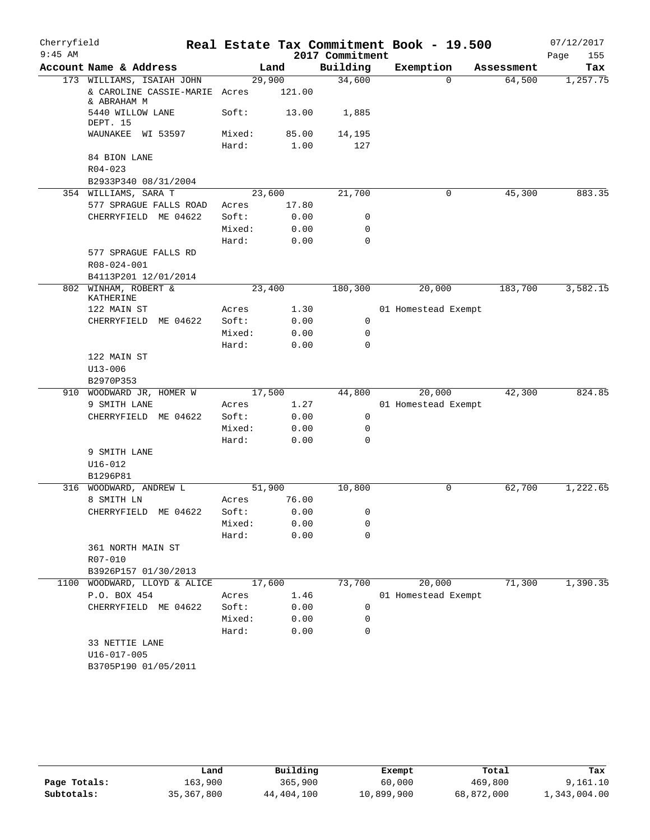| Cherryfield<br>$9:45$ AM |                                              |        |        | 2017 Commitment | Real Estate Tax Commitment Book - 19.500 |            | 07/12/2017<br>Page<br>155 |
|--------------------------|----------------------------------------------|--------|--------|-----------------|------------------------------------------|------------|---------------------------|
|                          | Account Name & Address                       |        | Land   | Building        | Exemption                                | Assessment | Tax                       |
|                          | 173 WILLIAMS, ISAIAH JOHN                    | 29,900 |        | 34,600          | $\Omega$                                 | 64,500     | 1,257.75                  |
|                          | & CAROLINE CASSIE-MARIE Acres<br>& ABRAHAM M |        | 121.00 |                 |                                          |            |                           |
|                          | 5440 WILLOW LANE<br>DEPT. 15                 | Soft:  | 13.00  | 1,885           |                                          |            |                           |
|                          | WAUNAKEE WI 53597                            | Mixed: | 85.00  | 14,195          |                                          |            |                           |
|                          |                                              | Hard:  | 1.00   | 127             |                                          |            |                           |
|                          | 84 BION LANE                                 |        |        |                 |                                          |            |                           |
|                          | $R04 - 023$                                  |        |        |                 |                                          |            |                           |
|                          | B2933P340 08/31/2004                         |        |        |                 |                                          |            |                           |
|                          | 354 WILLIAMS, SARA T                         | 23,600 |        | 21,700          | 0                                        | 45,300     | 883.35                    |
|                          | 577 SPRAGUE FALLS ROAD                       | Acres  | 17.80  |                 |                                          |            |                           |
|                          | CHERRYFIELD ME 04622                         | Soft:  | 0.00   | 0               |                                          |            |                           |
|                          |                                              | Mixed: | 0.00   | 0               |                                          |            |                           |
|                          |                                              | Hard:  | 0.00   | $\mathbf 0$     |                                          |            |                           |
|                          | 577 SPRAGUE FALLS RD                         |        |        |                 |                                          |            |                           |
|                          | R08-024-001                                  |        |        |                 |                                          |            |                           |
|                          | B4113P201 12/01/2014                         |        |        |                 |                                          |            |                           |
|                          | 802 WINHAM, ROBERT &<br>KATHERINE            | 23,400 |        | 180,300         | 20,000                                   | 183,700    | 3,582.15                  |
|                          | 122 MAIN ST                                  | Acres  | 1.30   |                 | 01 Homestead Exempt                      |            |                           |
|                          | CHERRYFIELD<br>ME 04622                      | Soft:  | 0.00   | 0               |                                          |            |                           |
|                          |                                              | Mixed: | 0.00   | 0               |                                          |            |                           |
|                          |                                              | Hard:  | 0.00   | $\mathbf 0$     |                                          |            |                           |
|                          | 122 MAIN ST                                  |        |        |                 |                                          |            |                           |
|                          | $U13 - 006$                                  |        |        |                 |                                          |            |                           |
|                          | B2970P353                                    |        |        |                 |                                          |            |                           |
| 910                      | WOODWARD JR, HOMER W                         | 17,500 |        | 44,800          | 20,000                                   | 42,300     | 824.85                    |
|                          | 9 SMITH LANE                                 | Acres  | 1.27   |                 | 01 Homestead Exempt                      |            |                           |
|                          | CHERRYFIELD ME 04622                         | Soft:  | 0.00   | 0               |                                          |            |                           |
|                          |                                              | Mixed: | 0.00   | 0               |                                          |            |                           |
|                          |                                              | Hard:  | 0.00   | $\mathbf 0$     |                                          |            |                           |
|                          | 9 SMITH LANE                                 |        |        |                 |                                          |            |                           |
|                          | $U16 - 012$                                  |        |        |                 |                                          |            |                           |
|                          | B1296P81                                     |        |        |                 |                                          |            |                           |
| 316                      | WOODWARD, ANDREW L                           | 51,900 |        | 10,800          | 0                                        | 62,700     | 1,222.65                  |
|                          | 8 SMITH LN                                   | Acres  | 76.00  |                 |                                          |            |                           |
|                          | CHERRYFIELD<br>ME 04622                      | Soft:  | 0.00   | 0               |                                          |            |                           |
|                          |                                              | Mixed: | 0.00   | 0               |                                          |            |                           |
|                          |                                              | Hard:  | 0.00   | 0               |                                          |            |                           |
|                          | 361 NORTH MAIN ST                            |        |        |                 |                                          |            |                           |
|                          | R07-010                                      |        |        |                 |                                          |            |                           |
|                          | B3926P157 01/30/2013                         |        |        |                 |                                          |            |                           |
| 1100                     | WOODWARD, LLOYD & ALICE                      | 17,600 |        | 73,700          | 20,000                                   | 71,300     | 1,390.35                  |
|                          | P.O. BOX 454                                 | Acres  | 1.46   |                 | 01 Homestead Exempt                      |            |                           |
|                          | CHERRYFIELD ME 04622                         | Soft:  | 0.00   | 0               |                                          |            |                           |
|                          |                                              | Mixed: | 0.00   | 0               |                                          |            |                           |
|                          |                                              | Hard:  | 0.00   | 0               |                                          |            |                           |
|                          | 33 NETTIE LANE                               |        |        |                 |                                          |            |                           |
|                          | U16-017-005                                  |        |        |                 |                                          |            |                           |
|                          | B3705P190 01/05/2011                         |        |        |                 |                                          |            |                           |

|              | Land         | Building   | Exempt     | Total      | Tax          |
|--------------|--------------|------------|------------|------------|--------------|
| Page Totals: | 163,900      | 365,900    | 60,000     | 469,800    | 9,161.10     |
| Subtotals:   | 35, 367, 800 | 44,404,100 | 10,899,900 | 68,872,000 | 1,343,004.00 |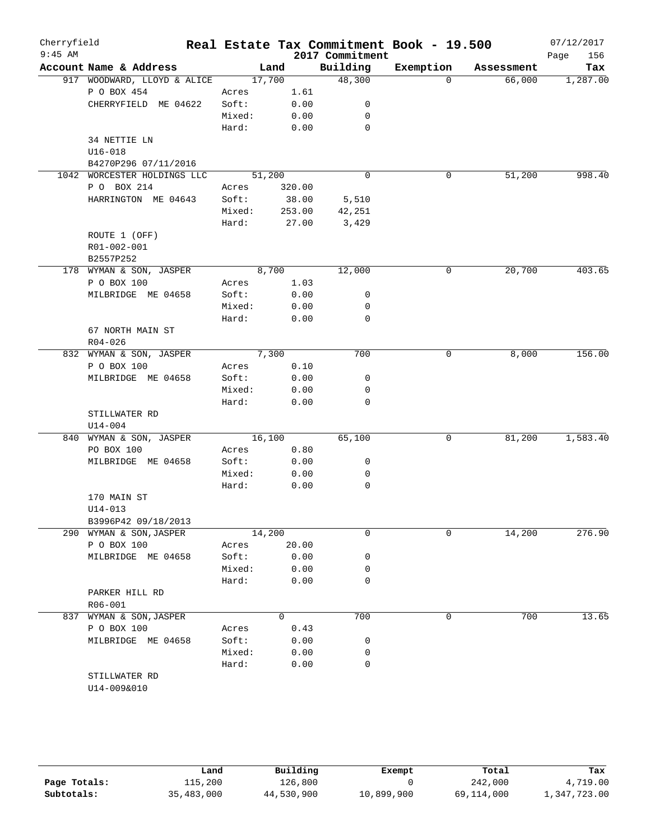| Cherryfield<br>$9:45$ AM |                              |        |          | 2017 Commitment | Real Estate Tax Commitment Book - 19.500 |            | 07/12/2017<br>156<br>Page |
|--------------------------|------------------------------|--------|----------|-----------------|------------------------------------------|------------|---------------------------|
|                          | Account Name & Address       |        | Land     | Building        | Exemption                                | Assessment | Tax                       |
|                          | 917 WOODWARD, LLOYD & ALICE  |        | 17,700   | 48,300          | $\Omega$                                 | 66,000     | 1,287.00                  |
|                          | P O BOX 454                  | Acres  | 1.61     |                 |                                          |            |                           |
|                          | CHERRYFIELD ME 04622         | Soft:  | 0.00     | 0               |                                          |            |                           |
|                          |                              | Mixed: | 0.00     | 0               |                                          |            |                           |
|                          |                              | Hard:  | 0.00     | $\mathbf 0$     |                                          |            |                           |
|                          | 34 NETTIE LN                 |        |          |                 |                                          |            |                           |
|                          | $U16 - 018$                  |        |          |                 |                                          |            |                           |
|                          | B4270P296 07/11/2016         |        |          |                 |                                          |            |                           |
| 1042                     | WORCESTER HOLDINGS LLC       |        | 51,200   | $\mathbf 0$     | 0                                        | 51,200     | 998.40                    |
|                          | P O BOX 214                  | Acres  | 320.00   |                 |                                          |            |                           |
|                          | HARRINGTON ME 04643          | Soft:  | 38.00    | 5,510           |                                          |            |                           |
|                          |                              | Mixed: | 253.00   | 42,251          |                                          |            |                           |
|                          |                              | Hard:  | 27.00    | 3,429           |                                          |            |                           |
|                          | ROUTE 1 (OFF)                |        |          |                 |                                          |            |                           |
|                          | R01-002-001                  |        |          |                 |                                          |            |                           |
|                          | B2557P252                    |        |          |                 |                                          |            |                           |
|                          | 178 WYMAN & SON, JASPER      |        | 8,700    | 12,000          | 0                                        | 20,700     | 403.65                    |
|                          | P O BOX 100                  | Acres  | 1.03     |                 |                                          |            |                           |
|                          | MILBRIDGE ME 04658           | Soft:  | 0.00     | 0               |                                          |            |                           |
|                          |                              | Mixed: | 0.00     | 0               |                                          |            |                           |
|                          |                              | Hard:  | 0.00     | $\mathbf 0$     |                                          |            |                           |
|                          | 67 NORTH MAIN ST             |        |          |                 |                                          |            |                           |
|                          | $R04 - 026$                  |        |          |                 |                                          |            |                           |
| 832                      | WYMAN & SON, JASPER          |        | 7,300    | 700             | 0                                        | 8,000      | 156.00                    |
|                          | P O BOX 100                  | Acres  | 0.10     |                 |                                          |            |                           |
|                          | MILBRIDGE ME 04658           | Soft:  | 0.00     | 0               |                                          |            |                           |
|                          |                              | Mixed: | 0.00     | 0               |                                          |            |                           |
|                          |                              | Hard:  | 0.00     | $\mathbf 0$     |                                          |            |                           |
|                          | STILLWATER RD                |        |          |                 |                                          |            |                           |
|                          | $U14 - 004$                  |        |          |                 |                                          |            |                           |
| 840                      | WYMAN & SON, JASPER          |        | 16,100   | 65,100          | 0                                        | 81,200     | 1,583.40                  |
|                          | PO BOX 100                   | Acres  | 0.80     |                 |                                          |            |                           |
|                          | MILBRIDGE ME 04658           | Soft:  | 0.00     | 0               |                                          |            |                           |
|                          |                              | Mixed: | 0.00     | 0               |                                          |            |                           |
|                          |                              | Hard:  | 0.00     | 0               |                                          |            |                           |
|                          | 170 MAIN ST                  |        |          |                 |                                          |            |                           |
|                          | U14-013                      |        |          |                 |                                          |            |                           |
|                          | B3996P42 09/18/2013          |        |          |                 |                                          |            |                           |
|                          | 290 WYMAN & SON, JASPER      |        | 14,200   | $\mathbf 0$     | $\Omega$                                 | 14,200     | 276.90                    |
|                          | P O BOX 100                  | Acres  | 20.00    |                 |                                          |            |                           |
|                          | MILBRIDGE ME 04658           | Soft:  | 0.00     | 0               |                                          |            |                           |
|                          |                              | Mixed: | 0.00     | 0               |                                          |            |                           |
|                          |                              | Hard:  | 0.00     | $\mathbf 0$     |                                          |            |                           |
|                          | PARKER HILL RD<br>R06-001    |        |          |                 |                                          |            |                           |
|                          | 837 WYMAN & SON, JASPER      |        | $\Omega$ | 700             | 0                                        | 700        | 13.65                     |
|                          | P O BOX 100                  | Acres  | 0.43     |                 |                                          |            |                           |
|                          | MILBRIDGE ME 04658           | Soft:  | 0.00     | 0               |                                          |            |                           |
|                          |                              | Mixed: | 0.00     | 0               |                                          |            |                           |
|                          |                              | Hard:  | 0.00     | $\mathbf 0$     |                                          |            |                           |
|                          | STILLWATER RD<br>U14-009&010 |        |          |                 |                                          |            |                           |

|              | úand       | Building   | Exempt     | Total      | Tax          |
|--------------|------------|------------|------------|------------|--------------|
| Page Totals: | 115,200    | 126,800    |            | 242,000    | 4,719.00     |
| Subtotals:   | 35,483,000 | 44,530,900 | 10,899,900 | 69,114,000 | 1,347,723.00 |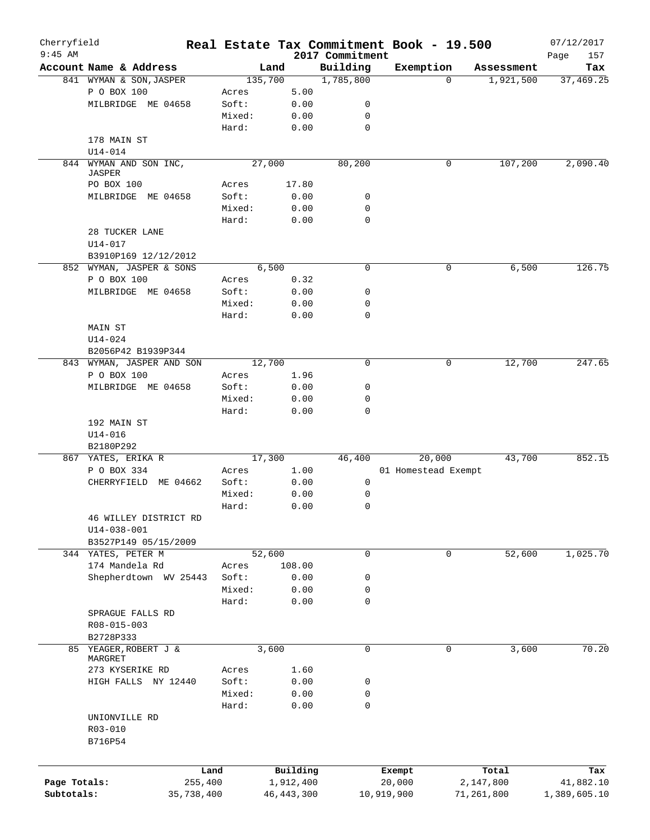| Cherryfield  |                                  |        |              | Real Estate Tax Commitment Book - 19.500 |                     |          |            | 07/12/2017         |
|--------------|----------------------------------|--------|--------------|------------------------------------------|---------------------|----------|------------|--------------------|
| $9:45$ AM    | Account Name & Address           |        | Land         | 2017 Commitment<br>Building              | Exemption           |          | Assessment | Page<br>157<br>Tax |
|              | 841 WYMAN & SON, JASPER          |        | 135,700      | 1,785,800                                |                     | $\Omega$ | 1,921,500  | 37,469.25          |
|              | P O BOX 100                      | Acres  | 5.00         |                                          |                     |          |            |                    |
|              | MILBRIDGE ME 04658               | Soft:  | 0.00         | 0                                        |                     |          |            |                    |
|              |                                  | Mixed: | 0.00         | 0                                        |                     |          |            |                    |
|              |                                  |        |              | $\mathbf 0$                              |                     |          |            |                    |
|              |                                  | Hard:  | 0.00         |                                          |                     |          |            |                    |
|              | 178 MAIN ST                      |        |              |                                          |                     |          |            |                    |
|              | $U14 - 014$                      |        |              |                                          |                     |          |            |                    |
|              | 844 WYMAN AND SON INC,<br>JASPER |        | 27,000       | 80,200                                   |                     | 0        | 107,200    | 2,090.40           |
|              | PO BOX 100                       | Acres  | 17.80        |                                          |                     |          |            |                    |
|              | MILBRIDGE ME 04658               | Soft:  | 0.00         | 0                                        |                     |          |            |                    |
|              |                                  | Mixed: | 0.00         | 0                                        |                     |          |            |                    |
|              |                                  |        |              | $\mathbf 0$                              |                     |          |            |                    |
|              |                                  | Hard:  | 0.00         |                                          |                     |          |            |                    |
|              | 28 TUCKER LANE                   |        |              |                                          |                     |          |            |                    |
|              | U14-017                          |        |              |                                          |                     |          |            |                    |
|              | B3910P169 12/12/2012             |        |              |                                          |                     |          |            |                    |
|              | 852 WYMAN, JASPER & SONS         |        | 6,500        | 0                                        |                     | 0        | 6,500      | 126.75             |
|              | P O BOX 100                      | Acres  | 0.32         |                                          |                     |          |            |                    |
|              | MILBRIDGE ME 04658               | Soft:  | 0.00         | 0                                        |                     |          |            |                    |
|              |                                  | Mixed: | 0.00         | 0                                        |                     |          |            |                    |
|              |                                  | Hard:  | 0.00         | 0                                        |                     |          |            |                    |
|              | MAIN ST                          |        |              |                                          |                     |          |            |                    |
|              | U14-024                          |        |              |                                          |                     |          |            |                    |
|              | B2056P42 B1939P344               |        |              |                                          |                     |          |            |                    |
|              | 843 WYMAN, JASPER AND SON        |        | 12,700       | $\mathbf 0$                              |                     | 0        | 12,700     | 247.65             |
|              | P O BOX 100                      | Acres  | 1.96         |                                          |                     |          |            |                    |
|              | MILBRIDGE ME 04658               | Soft:  | 0.00         | 0                                        |                     |          |            |                    |
|              |                                  | Mixed: | 0.00         | 0                                        |                     |          |            |                    |
|              |                                  | Hard:  | 0.00         | 0                                        |                     |          |            |                    |
|              | 192 MAIN ST                      |        |              |                                          |                     |          |            |                    |
|              | $U14 - 016$                      |        |              |                                          |                     |          |            |                    |
|              | B2180P292                        |        |              |                                          |                     |          |            |                    |
|              | 867 YATES, ERIKA R               |        | 17,300       | 46,400                                   |                     | 20,000   | 43,700     | 852.15             |
|              | P O BOX 334                      | Acres  | 1.00         |                                          | 01 Homestead Exempt |          |            |                    |
|              | CHERRYFIELD ME 04662             | Soft:  | 0.00         | 0                                        |                     |          |            |                    |
|              |                                  | Mixed: | 0.00         | 0                                        |                     |          |            |                    |
|              |                                  | Hard:  | 0.00         | 0                                        |                     |          |            |                    |
|              |                                  |        |              |                                          |                     |          |            |                    |
|              | 46 WILLEY DISTRICT RD            |        |              |                                          |                     |          |            |                    |
|              | $U14 - 038 - 001$                |        |              |                                          |                     |          |            |                    |
|              | B3527P149 05/15/2009             |        |              |                                          |                     |          |            |                    |
|              | 344 YATES, PETER M               |        | 52,600       | 0                                        |                     | 0        | 52,600     | 1,025.70           |
|              | 174 Mandela Rd                   | Acres  | 108.00       |                                          |                     |          |            |                    |
|              | Shepherdtown WV 25443            | Soft:  | 0.00         | 0                                        |                     |          |            |                    |
|              |                                  | Mixed: | 0.00         | 0                                        |                     |          |            |                    |
|              |                                  | Hard:  | 0.00         | 0                                        |                     |          |            |                    |
|              | SPRAGUE FALLS RD                 |        |              |                                          |                     |          |            |                    |
|              | R08-015-003                      |        |              |                                          |                     |          |            |                    |
|              | B2728P333                        |        |              |                                          |                     |          |            |                    |
|              | 85 YEAGER, ROBERT J &            |        | 3,600        | 0                                        |                     | 0        | 3,600      | 70.20              |
|              | MARGRET                          |        |              |                                          |                     |          |            |                    |
|              | 273 KYSERIKE RD                  | Acres  | 1.60         |                                          |                     |          |            |                    |
|              | HIGH FALLS NY 12440              | Soft:  | 0.00         | 0                                        |                     |          |            |                    |
|              |                                  | Mixed: | 0.00         | 0                                        |                     |          |            |                    |
|              |                                  | Hard:  | 0.00         | 0                                        |                     |          |            |                    |
|              | UNIONVILLE RD                    |        |              |                                          |                     |          |            |                    |
|              | R03-010                          |        |              |                                          |                     |          |            |                    |
|              | B716P54                          |        |              |                                          |                     |          |            |                    |
|              |                                  |        |              |                                          |                     |          |            |                    |
|              |                                  |        |              |                                          |                     |          |            |                    |
|              |                                  | Land   | Building     |                                          | Exempt              |          | Total      | Tax                |
| Page Totals: | 255,400                          |        | 1,912,400    |                                          | 20,000              |          | 2,147,800  | 41,882.10          |
| Subtotals:   | 35,738,400                       |        | 46, 443, 300 |                                          | 10,919,900          |          | 71,261,800 | 1,389,605.10       |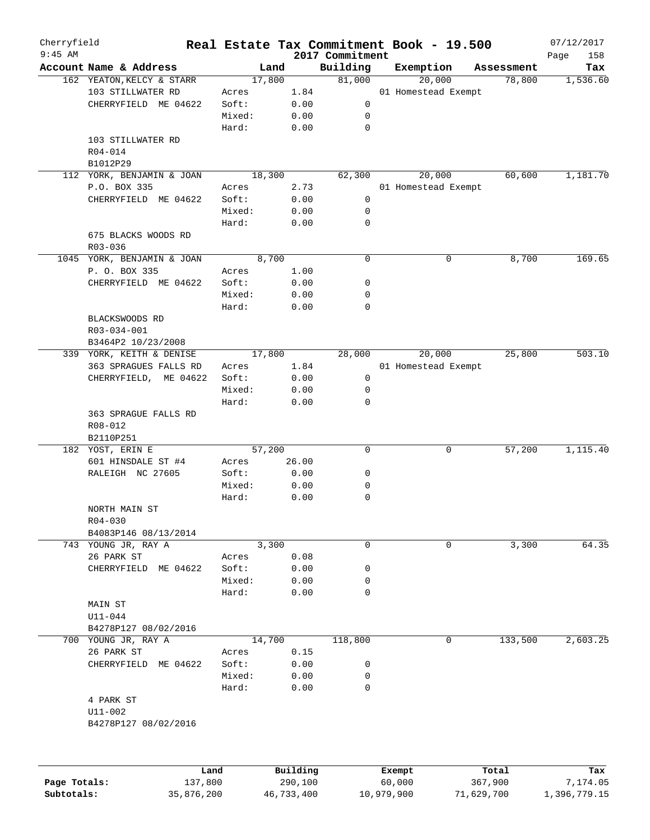| Cherryfield  |                                                |                       |        |                     |                 | Real Estate Tax Commitment Book - 19.500 |                  | 07/12/2017               |
|--------------|------------------------------------------------|-----------------------|--------|---------------------|-----------------|------------------------------------------|------------------|--------------------------|
| $9:45$ AM    |                                                |                       |        |                     | 2017 Commitment |                                          |                  | 158<br>Page              |
|              | Account Name & Address                         |                       | Land   |                     | Building        | Exemption                                | Assessment       | Tax                      |
|              | 162 YEATON, KELCY & STARR<br>103 STILLWATER RD |                       | 17,800 |                     | 81,000          | 20,000                                   | 78,800           | 1,536.60                 |
|              |                                                |                       | Acres  | 1.84                |                 | 01 Homestead Exempt                      |                  |                          |
|              | CHERRYFIELD ME 04622                           |                       | Soft:  | 0.00                | 0               |                                          |                  |                          |
|              |                                                |                       | Mixed: | 0.00                | 0               |                                          |                  |                          |
|              |                                                |                       | Hard:  | 0.00                | $\mathbf 0$     |                                          |                  |                          |
|              | 103 STILLWATER RD                              |                       |        |                     |                 |                                          |                  |                          |
|              | R04-014                                        |                       |        |                     |                 |                                          |                  |                          |
|              | B1012P29                                       |                       |        |                     |                 |                                          |                  |                          |
|              | 112 YORK, BENJAMIN & JOAN                      |                       | 18,300 |                     | 62,300          | 20,000                                   | 60,600           | 1,181.70                 |
|              | P.O. BOX 335                                   |                       | Acres  | 2.73                |                 | 01 Homestead Exempt                      |                  |                          |
|              | CHERRYFIELD ME 04622                           |                       | Soft:  | 0.00                | 0               |                                          |                  |                          |
|              |                                                |                       | Mixed: | 0.00                | 0               |                                          |                  |                          |
|              |                                                |                       | Hard:  | 0.00                | $\mathbf 0$     |                                          |                  |                          |
|              | 675 BLACKS WOODS RD                            |                       |        |                     |                 |                                          |                  |                          |
|              | R03-036                                        |                       |        |                     |                 |                                          |                  |                          |
|              | 1045 YORK, BENJAMIN & JOAN                     |                       | 8,700  |                     | $\mathbf 0$     | 0                                        | 8,700            | 169.65                   |
|              | P. O. BOX 335                                  |                       | Acres  | 1.00                |                 |                                          |                  |                          |
|              | CHERRYFIELD ME 04622                           |                       | Soft:  | 0.00                | 0               |                                          |                  |                          |
|              |                                                |                       | Mixed: | 0.00                | 0               |                                          |                  |                          |
|              |                                                |                       | Hard:  | 0.00                | 0               |                                          |                  |                          |
|              | BLACKSWOODS RD                                 |                       |        |                     |                 |                                          |                  |                          |
|              | R03-034-001                                    |                       |        |                     |                 |                                          |                  |                          |
|              | B3464P2 10/23/2008                             |                       |        |                     |                 |                                          |                  |                          |
|              | 339 YORK, KEITH & DENISE                       |                       | 17,800 |                     | 28,000          | 20,000                                   | 25,800           | 503.10                   |
|              | 363 SPRAGUES FALLS RD                          |                       | Acres  | 1.84                |                 | 01 Homestead Exempt                      |                  |                          |
|              | CHERRYFIELD, ME 04622                          |                       | Soft:  | 0.00                | 0               |                                          |                  |                          |
|              |                                                |                       | Mixed: | 0.00                | 0               |                                          |                  |                          |
|              |                                                |                       | Hard:  | 0.00                | $\mathbf 0$     |                                          |                  |                          |
|              | 363 SPRAGUE FALLS RD                           |                       |        |                     |                 |                                          |                  |                          |
|              | R08-012                                        |                       |        |                     |                 |                                          |                  |                          |
|              | B2110P251                                      |                       |        |                     |                 |                                          |                  |                          |
|              |                                                |                       |        |                     | $\mathbf 0$     | 0                                        | 57,200           | 1,115.40                 |
|              | 182 YOST, ERIN E<br>601 HINSDALE ST #4         |                       | 57,200 |                     |                 |                                          |                  |                          |
|              |                                                |                       | Acres  | 26.00               |                 |                                          |                  |                          |
|              | RALEIGH NC 27605                               |                       | Soft:  | 0.00                | 0               |                                          |                  |                          |
|              |                                                |                       | Mixed: | 0.00                | 0               |                                          |                  |                          |
|              |                                                |                       | Hard:  | 0.00                | 0               |                                          |                  |                          |
|              | NORTH MAIN ST                                  |                       |        |                     |                 |                                          |                  |                          |
|              | $R04 - 030$                                    |                       |        |                     |                 |                                          |                  |                          |
|              | B4083P146 08/13/2014                           |                       |        |                     |                 |                                          |                  |                          |
|              | 743 YOUNG JR, RAY A                            |                       | 3,300  |                     | 0               | 0                                        | 3,300            | 64.35                    |
|              | 26 PARK ST                                     |                       | Acres  | 0.08                |                 |                                          |                  |                          |
|              | CHERRYFIELD ME 04622                           |                       | Soft:  | 0.00                | 0               |                                          |                  |                          |
|              |                                                |                       | Mixed: | 0.00                | 0               |                                          |                  |                          |
|              |                                                |                       | Hard:  | 0.00                | $\mathbf 0$     |                                          |                  |                          |
|              | MAIN ST                                        |                       |        |                     |                 |                                          |                  |                          |
|              | $U11 - 044$                                    |                       |        |                     |                 |                                          |                  |                          |
|              | B4278P127 08/02/2016                           |                       |        |                     |                 |                                          |                  |                          |
|              | 700 YOUNG JR, RAY A                            |                       | 14,700 |                     | 118,800         | 0                                        | 133,500          | 2,603.25                 |
|              | 26 PARK ST                                     |                       | Acres  | 0.15                |                 |                                          |                  |                          |
|              | CHERRYFIELD ME 04622                           |                       | Soft:  | 0.00                | 0               |                                          |                  |                          |
|              |                                                |                       | Mixed: | 0.00                | 0               |                                          |                  |                          |
|              |                                                |                       | Hard:  | 0.00                | $\mathbf 0$     |                                          |                  |                          |
|              | 4 PARK ST                                      |                       |        |                     |                 |                                          |                  |                          |
|              | $U11 - 002$                                    |                       |        |                     |                 |                                          |                  |                          |
|              | B4278P127 08/02/2016                           |                       |        |                     |                 |                                          |                  |                          |
|              |                                                |                       |        |                     |                 |                                          |                  |                          |
|              |                                                |                       |        |                     |                 |                                          |                  |                          |
| Page Totals: |                                                | Land                  |        | Building<br>290,100 |                 | Exempt<br>60,000                         | Total<br>367,900 | Tax                      |
| Subtotals:   |                                                | 137,800<br>35,876,200 |        | 46,733,400          |                 | 10,979,900                               | 71,629,700       | 7,174.05<br>1,396,779.15 |
|              |                                                |                       |        |                     |                 |                                          |                  |                          |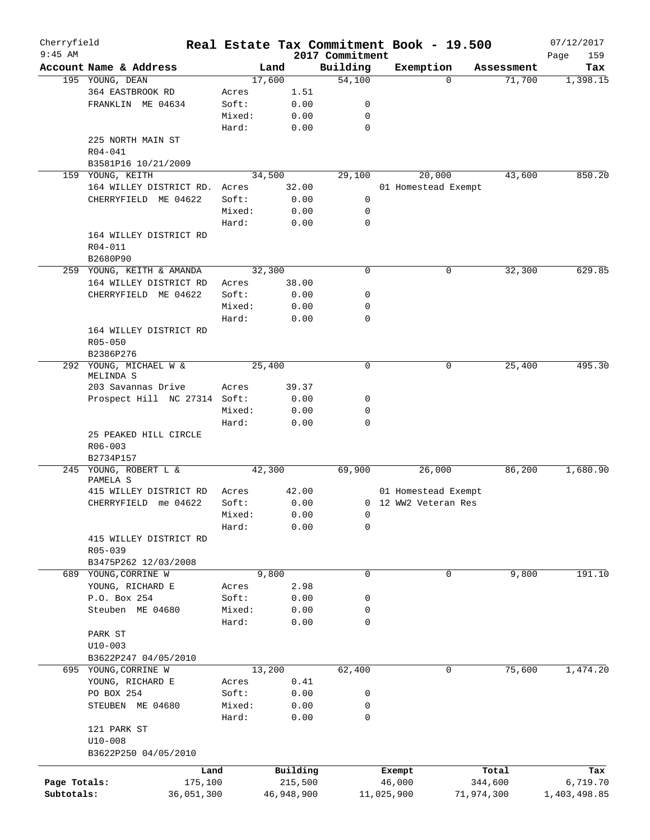| Cherryfield  |                              |        |            |                             | Real Estate Tax Commitment Book - 19.500 |             |            | 07/12/2017         |
|--------------|------------------------------|--------|------------|-----------------------------|------------------------------------------|-------------|------------|--------------------|
| $9:45$ AM    | Account Name & Address       | Land   |            | 2017 Commitment<br>Building | Exemption                                |             | Assessment | Page<br>159<br>Tax |
|              | 195 YOUNG, DEAN              | 17,600 |            | 54,100                      |                                          | $\Omega$    | 71,700     | 1,398.15           |
|              | 364 EASTBROOK RD             | Acres  | 1.51       |                             |                                          |             |            |                    |
|              | FRANKLIN ME 04634            | Soft:  | 0.00       | 0                           |                                          |             |            |                    |
|              |                              | Mixed: | 0.00       | 0                           |                                          |             |            |                    |
|              |                              | Hard:  | 0.00       | $\mathbf 0$                 |                                          |             |            |                    |
|              |                              |        |            |                             |                                          |             |            |                    |
|              | 225 NORTH MAIN ST            |        |            |                             |                                          |             |            |                    |
|              | $R04 - 041$                  |        |            |                             |                                          |             |            |                    |
|              | B3581P16 10/21/2009          |        |            |                             |                                          |             |            |                    |
|              | 159 YOUNG, KEITH             | 34,500 |            | 29,100                      | 20,000                                   |             | 43,600     | 850.20             |
|              | 164 WILLEY DISTRICT RD.      | Acres  | 32.00      |                             | 01 Homestead Exempt                      |             |            |                    |
|              | CHERRYFIELD ME 04622         | Soft:  | 0.00       | 0                           |                                          |             |            |                    |
|              |                              | Mixed: | 0.00       | 0                           |                                          |             |            |                    |
|              |                              | Hard:  | 0.00       | 0                           |                                          |             |            |                    |
|              | 164 WILLEY DISTRICT RD       |        |            |                             |                                          |             |            |                    |
|              | R04-011                      |        |            |                             |                                          |             |            |                    |
|              | B2680P90                     |        |            |                             |                                          |             |            |                    |
|              | 259 YOUNG, KEITH & AMANDA    | 32,300 |            | 0                           |                                          | 0           | 32,300     | 629.85             |
|              | 164 WILLEY DISTRICT RD       | Acres  | 38.00      |                             |                                          |             |            |                    |
|              | CHERRYFIELD ME 04622         | Soft:  | 0.00       | 0                           |                                          |             |            |                    |
|              |                              | Mixed: | 0.00       | 0                           |                                          |             |            |                    |
|              |                              | Hard:  | 0.00       | 0                           |                                          |             |            |                    |
|              | 164 WILLEY DISTRICT RD       |        |            |                             |                                          |             |            |                    |
|              | R05-050                      |        |            |                             |                                          |             |            |                    |
|              | B2386P276                    |        |            |                             |                                          |             |            |                    |
|              | 292 YOUNG, MICHAEL W &       | 25,400 |            | $\mathbf 0$                 |                                          | 0           | 25,400     | 495.30             |
|              | MELINDA S                    |        |            |                             |                                          |             |            |                    |
|              | 203 Savannas Drive           | Acres  | 39.37      |                             |                                          |             |            |                    |
|              | Prospect Hill NC 27314 Soft: |        | 0.00       | 0                           |                                          |             |            |                    |
|              |                              | Mixed: | 0.00       | 0                           |                                          |             |            |                    |
|              |                              | Hard:  | 0.00       | $\mathbf 0$                 |                                          |             |            |                    |
|              | 25 PEAKED HILL CIRCLE        |        |            |                             |                                          |             |            |                    |
|              | R06-003                      |        |            |                             |                                          |             |            |                    |
|              | B2734P157                    |        |            |                             |                                          |             |            |                    |
| 245          | YOUNG, ROBERT L &            | 42,300 |            | 69,900                      | 26,000                                   |             | 86,200     | 1,680.90           |
|              | PAMELA S                     |        |            |                             |                                          |             |            |                    |
|              | 415 WILLEY DISTRICT RD       | Acres  | 42.00      |                             | 01 Homestead Exempt                      |             |            |                    |
|              | CHERRYFIELD me 04622         | Soft:  | 0.00       |                             | 0 12 WW2 Veteran Res                     |             |            |                    |
|              |                              | Mixed: | 0.00       | $\overline{0}$              |                                          |             |            |                    |
|              |                              | Hard:  | 0.00       | 0                           |                                          |             |            |                    |
|              | 415 WILLEY DISTRICT RD       |        |            |                             |                                          |             |            |                    |
|              | R05-039                      |        |            |                             |                                          |             |            |                    |
|              |                              |        |            |                             |                                          |             |            |                    |
|              | B3475P262 12/03/2008         | 9,800  |            |                             |                                          |             |            |                    |
|              | 689 YOUNG, CORRINE W         |        |            | 0                           |                                          | $\mathbf 0$ | 9,800      | 191.10             |
|              | YOUNG, RICHARD E             | Acres  | 2.98       |                             |                                          |             |            |                    |
|              | P.O. Box 254                 | Soft:  | 0.00       | 0                           |                                          |             |            |                    |
|              | Steuben ME 04680             | Mixed: | 0.00       | 0                           |                                          |             |            |                    |
|              |                              | Hard:  | 0.00       | 0                           |                                          |             |            |                    |
|              | PARK ST                      |        |            |                             |                                          |             |            |                    |
|              | $U10-003$                    |        |            |                             |                                          |             |            |                    |
|              | B3622P247 04/05/2010         |        |            |                             |                                          |             |            |                    |
|              | 695 YOUNG, CORRINE W         | 13,200 |            | 62,400                      |                                          | 0           | 75,600     | 1,474.20           |
|              | YOUNG, RICHARD E             | Acres  | 0.41       |                             |                                          |             |            |                    |
|              | PO BOX 254                   | Soft:  | 0.00       | 0                           |                                          |             |            |                    |
|              | STEUBEN ME 04680             | Mixed: | 0.00       | 0                           |                                          |             |            |                    |
|              |                              | Hard:  | 0.00       | 0                           |                                          |             |            |                    |
|              | 121 PARK ST                  |        |            |                             |                                          |             |            |                    |
|              | $U10 - 008$                  |        |            |                             |                                          |             |            |                    |
|              | B3622P250 04/05/2010         |        |            |                             |                                          |             |            |                    |
|              |                              |        |            |                             |                                          |             |            |                    |
|              | Land                         |        | Building   |                             | Exempt                                   |             | Total      | Tax                |
| Page Totals: | 175,100                      |        | 215,500    |                             | 46,000                                   |             | 344,600    | 6,719.70           |
| Subtotals:   | 36,051,300                   |        | 46,948,900 |                             | 11,025,900                               |             | 71,974,300 | 1,403,498.85       |
|              |                              |        |            |                             |                                          |             |            |                    |